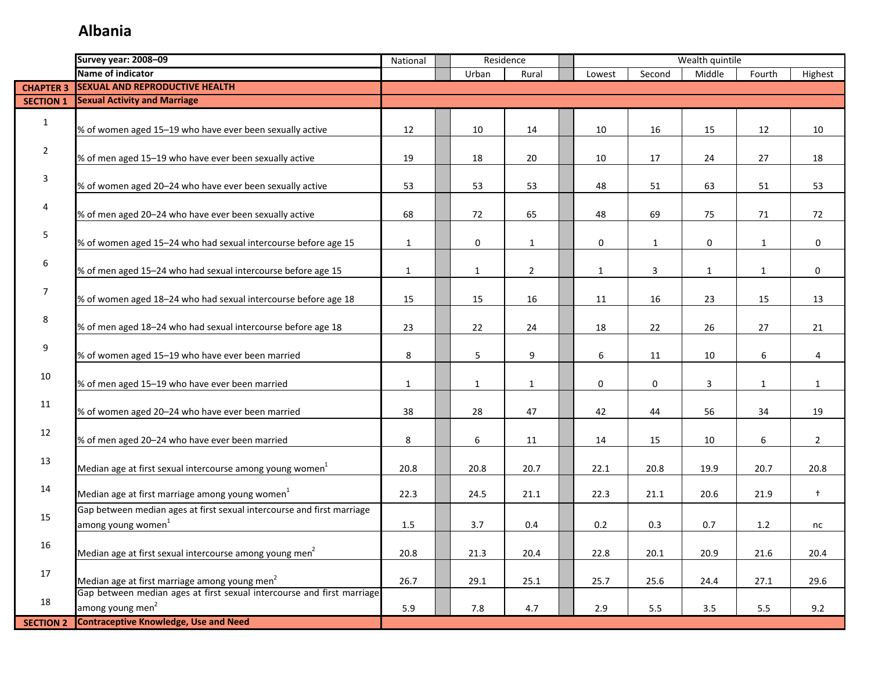|                  | <b>Survey year: 2008-09</b>                                            | Residence<br>National<br>Rural<br>Lowest |  |              |                | Wealth quintile |              |              |              |                |
|------------------|------------------------------------------------------------------------|------------------------------------------|--|--------------|----------------|-----------------|--------------|--------------|--------------|----------------|
|                  | Name of indicator                                                      |                                          |  | Urban        |                |                 | Second       | Middle       | Fourth       | Highest        |
|                  | <b>CHAPTER 3 SEXUAL AND REPRODUCTIVE HEALTH</b>                        |                                          |  |              |                |                 |              |              |              |                |
| <b>SECTION 1</b> | <b>Sexual Activity and Marriage</b>                                    |                                          |  |              |                |                 |              |              |              |                |
| $\mathbf{1}$     |                                                                        |                                          |  |              |                |                 |              |              |              |                |
|                  | % of women aged 15-19 who have ever been sexually active               | 12                                       |  | 10           | 14             | 10              | 16           | 15           | 12           | 10             |
| $\overline{2}$   |                                                                        |                                          |  |              |                |                 |              |              |              |                |
|                  | % of men aged 15-19 who have ever been sexually active                 | 19                                       |  | 18           | 20             | 10              | 17           | 24           | 27           | 18             |
| 3                |                                                                        |                                          |  |              |                |                 |              |              |              |                |
|                  | % of women aged 20-24 who have ever been sexually active               | 53                                       |  | 53           | 53             | 48              | 51           | 63           | 51           | 53             |
| 4                |                                                                        |                                          |  |              |                |                 |              |              |              |                |
|                  | % of men aged 20-24 who have ever been sexually active                 | 68                                       |  | 72           | 65             | 48              | 69           | 75           | 71           | 72             |
| 5                |                                                                        |                                          |  |              |                |                 |              |              |              |                |
|                  | % of women aged 15-24 who had sexual intercourse before age 15         | $\mathbf{1}$                             |  | 0            | $\mathbf{1}$   | 0               | $\mathbf{1}$ | 0            | $\mathbf{1}$ | $\mathbf 0$    |
| $6\,$            |                                                                        |                                          |  |              |                |                 |              |              |              |                |
|                  | % of men aged 15-24 who had sexual intercourse before age 15           | $\mathbf{1}$                             |  | $\mathbf{1}$ | $\overline{2}$ | 1               | 3            | $\mathbf{1}$ | 1            | 0              |
| 7                |                                                                        |                                          |  |              |                |                 |              |              |              |                |
|                  | % of women aged 18-24 who had sexual intercourse before age 18         | 15                                       |  | 15           | 16             | 11              | 16           | 23           | 15           | 13             |
| 8                |                                                                        |                                          |  |              |                |                 |              |              |              |                |
|                  | % of men aged 18-24 who had sexual intercourse before age 18           | 23                                       |  | 22           | 24             | 18              | 22           | 26           | 27           | 21             |
| 9                |                                                                        |                                          |  |              |                |                 |              |              |              |                |
|                  | % of women aged 15-19 who have ever been married                       | 8                                        |  | 5            | 9              | 6               | 11           | 10           | 6            | 4              |
| 10               |                                                                        |                                          |  |              |                |                 |              |              |              |                |
|                  | % of men aged 15-19 who have ever been married                         | $\mathbf{1}$                             |  | $\mathbf{1}$ | $\mathbf{1}$   | 0               | 0            | 3            | $\mathbf{1}$ | $\mathbf{1}$   |
| 11               |                                                                        |                                          |  |              |                |                 |              |              |              |                |
|                  | % of women aged 20-24 who have ever been married                       | 38                                       |  | 28           | 47             | 42              | 44           | 56           | 34           | 19             |
| 12               |                                                                        |                                          |  |              |                |                 |              |              |              |                |
|                  | % of men aged 20-24 who have ever been married                         | 8                                        |  | 6            | 11             | 14              | 15           | 10           | 6            | $\overline{2}$ |
| 13               | Median age at first sexual intercourse among young women <sup>1</sup>  | 20.8                                     |  | 20.8         | 20.7           | 22.1            | 20.8         | 19.9         | 20.7         | 20.8           |
|                  |                                                                        |                                          |  |              |                |                 |              |              |              |                |
| 14               | Median age at first marriage among young women <sup>1</sup>            | 22.3                                     |  | 24.5         | 21.1           | 22.3            | 21.1         | 20.6         | 21.9         | $\ddagger$     |
|                  | Gap between median ages at first sexual intercourse and first marriage |                                          |  |              |                |                 |              |              |              |                |
| 15               | among young women <sup>1</sup>                                         | 1.5                                      |  | 3.7          | 0.4            | 0.2             | 0.3          | 0.7          | 1.2          | nc             |
|                  |                                                                        |                                          |  |              |                |                 |              |              |              |                |
| 16               | Median age at first sexual intercourse among young men <sup>2</sup>    | 20.8                                     |  | 21.3         | 20.4           | 22.8            | 20.1         | 20.9         | 21.6         | 20.4           |
|                  |                                                                        |                                          |  |              |                |                 |              |              |              |                |
| 17               | Median age at first marriage among young men <sup>2</sup>              | 26.7                                     |  | 29.1         | 25.1           | 25.7            | 25.6         | 24.4         | 27.1         | 29.6           |
|                  | Gap between median ages at first sexual intercourse and first marriage |                                          |  |              |                |                 |              |              |              |                |
| 18               | among young men <sup>2</sup>                                           | 5.9                                      |  | 7.8          | 4.7            | 2.9             | $5.5\,$      | 3.5          | 5.5          | 9.2            |
| <b>SECTION 2</b> | <b>Contraceptive Knowledge, Use and Need</b>                           |                                          |  |              |                |                 |              |              |              |                |
|                  |                                                                        |                                          |  |              |                |                 |              |              |              |                |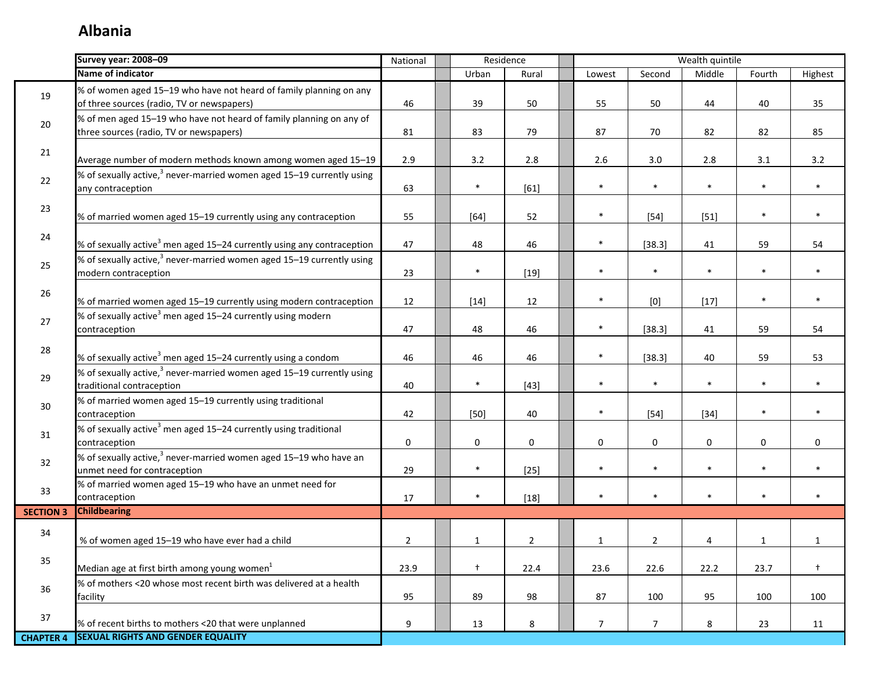|                  | Survey year: 2008-09                                                                                             | National       | Residence<br>Wealth quintile<br>Urban<br>Second<br>Middle<br>Fourth<br>Lowest<br>Rural |                |  |                |                |             |              |              |
|------------------|------------------------------------------------------------------------------------------------------------------|----------------|----------------------------------------------------------------------------------------|----------------|--|----------------|----------------|-------------|--------------|--------------|
|                  | Name of indicator                                                                                                |                |                                                                                        |                |  |                |                |             |              | Highest      |
| 19               | % of women aged 15-19 who have not heard of family planning on any<br>of three sources (radio, TV or newspapers) | 46             | 39                                                                                     | 50             |  | 55             | 50             | 44          | 40           | 35           |
| 20               | % of men aged 15-19 who have not heard of family planning on any of<br>three sources (radio, TV or newspapers)   | 81             | 83                                                                                     | 79             |  | 87             | 70             | 82          | 82           | 85           |
| 21               | Average number of modern methods known among women aged 15-19                                                    | 2.9            | 3.2                                                                                    | 2.8            |  | 2.6            | 3.0            | 2.8         | 3.1          | 3.2          |
| 22               | % of sexually active, <sup>3</sup> never-married women aged 15-19 currently using<br>any contraception           | 63             | $\ast$                                                                                 | $[61]$         |  | $\ast$         | $\ast$         | $\ast$      | $\ast$       | $\ast$       |
| 23               | % of married women aged 15-19 currently using any contraception                                                  | 55             | $[64]$                                                                                 | 52             |  | $\ast$         | $[54]$         | $[51]$      | $\ast$       | $\ast$       |
| 24               | % of sexually active <sup>3</sup> men aged 15–24 currently using any contraception                               | 47             | 48                                                                                     | 46             |  | $\ast$         | [38.3]         | 41          | 59           | 54           |
| 25               | % of sexually active, <sup>3</sup> never-married women aged 15-19 currently using<br>modern contraception        | 23             | $\ast$                                                                                 | $[19]$         |  | $\ast$         | $\ast$         | $\ast$      | $\ast$       | $\ast$       |
| 26               | % of married women aged 15-19 currently using modern contraception                                               | 12             | $[14]$                                                                                 | 12             |  | $\ast$         | [0]            | $[17]$      | $\ast$       | $\ast$       |
| 27               | % of sexually active <sup>3</sup> men aged 15-24 currently using modern<br>contraception                         | 47             | 48                                                                                     | 46             |  | $\ast$         | [38.3]         | 41          | 59           | 54           |
| 28               | % of sexually active <sup>3</sup> men aged 15–24 currently using a condom                                        | 46             | 46                                                                                     | 46             |  | $\ast$         | [38.3]         | 40          | 59           | 53           |
| 29               | % of sexually active, $3$ never-married women aged 15-19 currently using<br>traditional contraception            | 40             | $\ast$                                                                                 | $[43]$         |  | $\ast$         | $\ast$         | $\ast$      | $\ast$       | $\ast$       |
| 30               | % of married women aged 15-19 currently using traditional<br>contraception                                       | 42             | $[50]$                                                                                 | 40             |  | $\ast$         | $[54]$         | $[34]$      | $\ast$       | $\ast$       |
| 31               | % of sexually active <sup>3</sup> men aged 15-24 currently using traditional<br>contraception                    | $\mathbf 0$    | 0                                                                                      | $\mathbf 0$    |  | $\mathbf 0$    | 0              | $\mathbf 0$ | 0            | $\mathbf 0$  |
| 32               | % of sexually active, <sup>3</sup> never-married women aged 15-19 who have an<br>unmet need for contraception    | 29             | $\ast$                                                                                 | $[25]$         |  | $\ast$         | $\ast$         | $\ast$      | $\ast$       | $\ast$       |
| 33               | % of married women aged 15-19 who have an unmet need for<br>contraception                                        | 17             | $\ast$                                                                                 | $[18]$         |  | $\ast$         | $\ast$         | $\ast$      | $\ast$       | $\ast$       |
| <b>SECTION 3</b> | <b>Childbearing</b>                                                                                              |                |                                                                                        |                |  |                |                |             |              |              |
| 34               | % of women aged 15-19 who have ever had a child                                                                  | $\overline{2}$ | $\mathbf{1}$                                                                           | $\overline{2}$ |  | $\mathbf{1}$   | $\overline{2}$ | 4           | $\mathbf{1}$ | $\mathbf{1}$ |
| 35               | Median age at first birth among young women <sup>1</sup>                                                         | 23.9           | $\ddagger$                                                                             | 22.4           |  | 23.6           | 22.6           | 22.2        | 23.7         | $\ddagger$   |
| 36               | % of mothers <20 whose most recent birth was delivered at a health<br>facility                                   | 95             | 89                                                                                     | 98             |  | 87             | 100            | 95          | 100          | 100          |
| 37               | % of recent births to mothers <20 that were unplanned                                                            | 9              | 13                                                                                     | 8              |  | 7 <sup>1</sup> | $\overline{7}$ | 8           | 23           | 11           |
| <b>CHAPTER 4</b> | <b>SEXUAL RIGHTS AND GENDER EQUALITY</b>                                                                         |                |                                                                                        |                |  |                |                |             |              |              |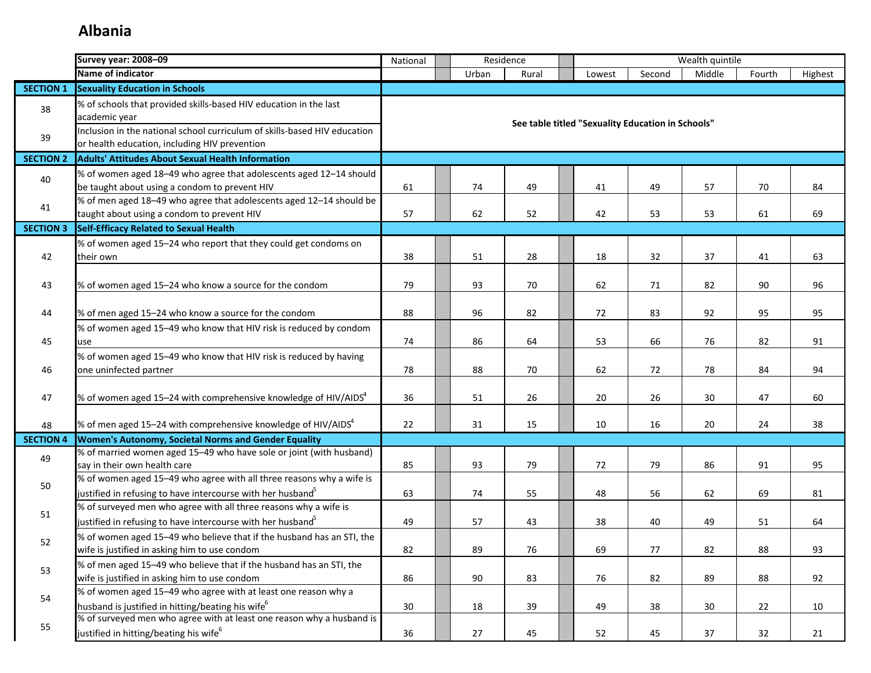|                  | <b>Survey year: 2008-09</b>                                                                                                                     | National |       | Residence |                                                   |        | Wealth quintile |        |         |
|------------------|-------------------------------------------------------------------------------------------------------------------------------------------------|----------|-------|-----------|---------------------------------------------------|--------|-----------------|--------|---------|
|                  | Name of indicator                                                                                                                               |          | Urban | Rural     | Lowest                                            | Second | Middle          | Fourth | Highest |
| <b>SECTION 1</b> | <b>Sexuality Education in Schools</b>                                                                                                           |          |       |           |                                                   |        |                 |        |         |
| 38               | % of schools that provided skills-based HIV education in the last<br>academic year                                                              |          |       |           | See table titled "Sexuality Education in Schools" |        |                 |        |         |
| 39               | Inclusion in the national school curriculum of skills-based HIV education<br>or health education, including HIV prevention                      |          |       |           |                                                   |        |                 |        |         |
| <b>SECTION 2</b> | <b>Adults' Attitudes About Sexual Health Information</b>                                                                                        |          |       |           |                                                   |        |                 |        |         |
| 40               | % of women aged 18-49 who agree that adolescents aged 12-14 should<br>be taught about using a condom to prevent HIV                             | 61       | 74    | 49        | 41                                                | 49     | 57              | 70     | 84      |
| 41               | % of men aged 18-49 who agree that adolescents aged 12-14 should be<br>taught about using a condom to prevent HIV                               | 57       | 62    | 52        | 42                                                | 53     | 53              | 61     | 69      |
| <b>SECTION 3</b> | Self-Efficacy Related to Sexual Health                                                                                                          |          |       |           |                                                   |        |                 |        |         |
|                  | % of women aged 15-24 who report that they could get condoms on                                                                                 |          |       |           |                                                   |        |                 |        |         |
| 42               | their own                                                                                                                                       | 38       | 51    | 28        | 18                                                | 32     | 37              | 41     | 63      |
| 43               | % of women aged 15-24 who know a source for the condom                                                                                          | 79       | 93    | 70        | 62                                                | 71     | 82              | 90     | 96      |
| 44               | % of men aged 15-24 who know a source for the condom                                                                                            | 88       | 96    | 82        | 72                                                | 83     | 92              | 95     | 95      |
| 45               | % of women aged 15-49 who know that HIV risk is reduced by condom<br>use                                                                        | 74       | 86    | 64        | 53                                                | 66     | 76              | 82     | 91      |
| 46               | % of women aged 15-49 who know that HIV risk is reduced by having<br>one uninfected partner                                                     | 78       | 88    | 70        | 62                                                | 72     | 78              | 84     | 94      |
| 47               | % of women aged 15-24 with comprehensive knowledge of HIV/AIDS $4$                                                                              | 36       | 51    | 26        | 20                                                | 26     | 30              | 47     | 60      |
| 48               | % of men aged 15–24 with comprehensive knowledge of HIV/AIDS $4$                                                                                | 22       | 31    | 15        | 10                                                | 16     | 20              | 24     | 38      |
| <b>SECTION 4</b> | Women's Autonomy, Societal Norms and Gender Equality                                                                                            |          |       |           |                                                   |        |                 |        |         |
| 49               | % of married women aged 15-49 who have sole or joint (with husband)<br>say in their own health care                                             | 85       | 93    | 79        | 72                                                | 79     | 86              | 91     | 95      |
| 50               | % of women aged 15-49 who agree with all three reasons why a wife is<br>justified in refusing to have intercourse with her husband <sup>5</sup> | 63       | 74    | 55        | 48                                                | 56     | 62              | 69     | 81      |
| 51               | % of surveyed men who agree with all three reasons why a wife is<br>justified in refusing to have intercourse with her husband <sup>5</sup>     | 49       | 57    | 43        | 38                                                | 40     | 49              | 51     | 64      |
| 52               | % of women aged 15-49 who believe that if the husband has an STI, the<br>wife is justified in asking him to use condom                          | 82       | 89    | 76        | 69                                                | 77     | 82              | 88     | 93      |
| 53               | % of men aged 15-49 who believe that if the husband has an STI, the<br>wife is justified in asking him to use condom                            | 86       | 90    | 83        | 76                                                | 82     | 89              | 88     | 92      |
| 54               | % of women aged 15-49 who agree with at least one reason why a<br>husband is justified in hitting/beating his wife <sup>6</sup>                 | 30       | 18    | 39        | 49                                                | 38     | 30              | 22     | 10      |
| 55               | % of surveyed men who agree with at least one reason why a husband is<br>justified in hitting/beating his wife <sup>6</sup>                     | 36       | 27    | 45        | 52                                                | 45     | 37              | 32     | 21      |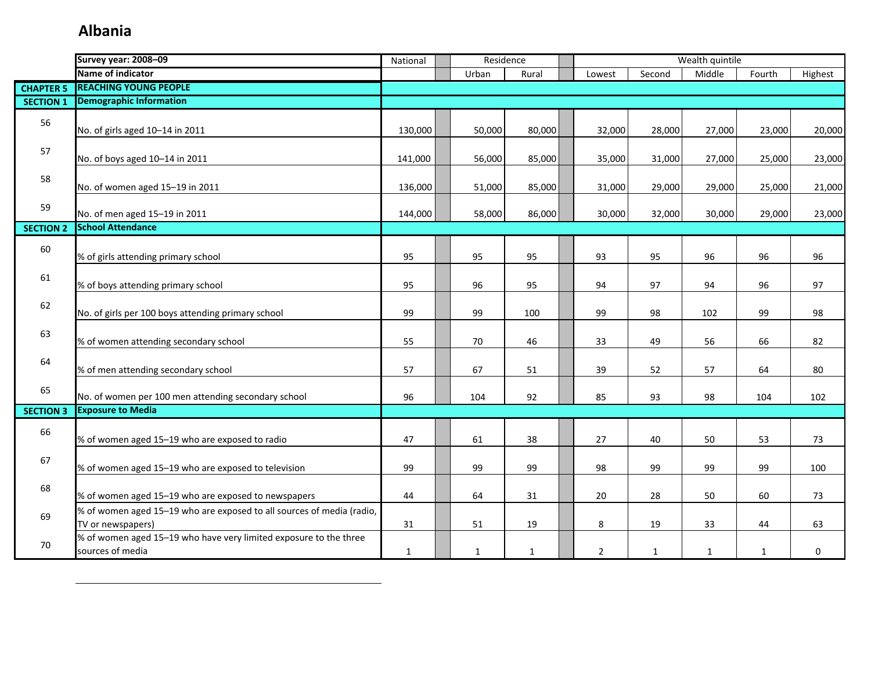|                  | <b>Survey year: 2008-09</b>                                                                | National     | Residence    |             |                |              | Wealth quintile |              |         |
|------------------|--------------------------------------------------------------------------------------------|--------------|--------------|-------------|----------------|--------------|-----------------|--------------|---------|
|                  | Name of indicator                                                                          |              | Urban        | Rural       | Lowest         | Second       | Middle          | Fourth       | Highest |
| <b>CHAPTER 5</b> | <b>REACHING YOUNG PEOPLE</b>                                                               |              |              |             |                |              |                 |              |         |
| <b>SECTION 1</b> | <b>Demographic Information</b>                                                             |              |              |             |                |              |                 |              |         |
| 56               | No. of girls aged 10-14 in 2011                                                            | 130,000      | 50,000       | 80,000      | 32,000         | 28,000       | 27,000          | 23,000       | 20,000  |
| 57               | No. of boys aged 10-14 in 2011                                                             | 141,000      | 56,000       | 85,000      | 35,000         | 31,000       | 27,000          | 25,000       | 23,000  |
| 58               | No. of women aged 15-19 in 2011                                                            | 136,000      | 51,000       | 85,000      | 31,000         | 29,000       | 29,000          | 25,000       | 21,000  |
| 59               | No. of men aged 15-19 in 2011                                                              | 144,000      | 58,000       | 86,000      | 30,000         | 32,000       | 30,000          | 29,000       | 23,000  |
| <b>SECTION 2</b> | <b>School Attendance</b>                                                                   |              |              |             |                |              |                 |              |         |
| 60               | % of girls attending primary school                                                        | 95           | 95           | 95          | 93             | 95           | 96              | 96           | 96      |
| 61               | % of boys attending primary school                                                         | 95           | 96           | 95          | 94             | 97           | 94              | 96           | 97      |
| 62               | No. of girls per 100 boys attending primary school                                         | 99           | 99           | 100         | 99             | 98           | 102             | 99           | 98      |
| 63               | % of women attending secondary school                                                      | 55           | 70           | 46          | 33             | 49           | 56              | 66           | 82      |
| 64               | % of men attending secondary school                                                        | 57           | 67           | 51          | 39             | 52           | 57              | 64           | 80      |
| 65               | No. of women per 100 men attending secondary school                                        | 96           | 104          | 92          | 85             | 93           | 98              | 104          | 102     |
| <b>SECTION 3</b> | <b>Exposure to Media</b>                                                                   |              |              |             |                |              |                 |              |         |
| 66               | % of women aged 15-19 who are exposed to radio                                             | 47           | 61           | 38          | 27             | 40           | 50              | 53           | 73      |
| 67               | % of women aged 15-19 who are exposed to television                                        | 99           | 99           | 99          | 98             | 99           | 99              | 99           | 100     |
| 68               | % of women aged 15-19 who are exposed to newspapers                                        | 44           | 64           | 31          | 20             | 28           | 50              | 60           | 73      |
| 69               | % of women aged 15-19 who are exposed to all sources of media (radio,<br>TV or newspapers) | 31           | 51           | 19          | 8              | 19           | 33              | 44           | 63      |
| 70               | % of women aged 15-19 who have very limited exposure to the three<br>sources of media      | $\mathbf{1}$ | $\mathbf{1}$ | $\mathbf 1$ | $\overline{2}$ | $\mathbf{1}$ | $\mathbf{1}$    | $\mathbf{1}$ | 0       |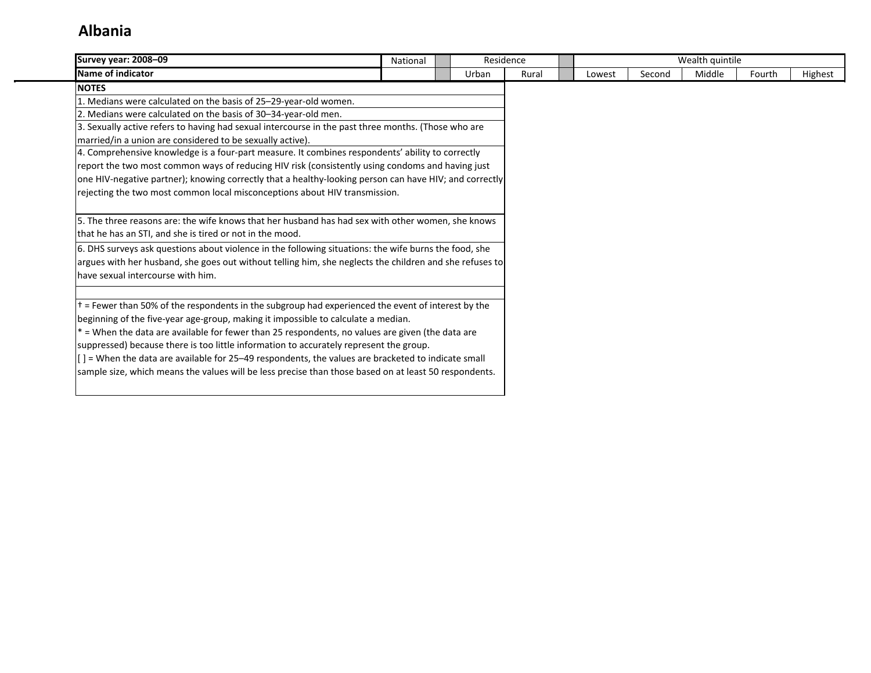| <b>Survey year: 2008-09</b>                                                                                      | National | Residence |       |        |        | Wealth quintile |        |         |
|------------------------------------------------------------------------------------------------------------------|----------|-----------|-------|--------|--------|-----------------|--------|---------|
| Name of indicator                                                                                                |          | Urban     | Rural | Lowest | Second | Middle          | Fourth | Highest |
| <b>NOTES</b>                                                                                                     |          |           |       |        |        |                 |        |         |
| 1. Medians were calculated on the basis of 25-29-year-old women.                                                 |          |           |       |        |        |                 |        |         |
| 2. Medians were calculated on the basis of 30-34-year-old men.                                                   |          |           |       |        |        |                 |        |         |
| 3. Sexually active refers to having had sexual intercourse in the past three months. (Those who are              |          |           |       |        |        |                 |        |         |
| married/in a union are considered to be sexually active).                                                        |          |           |       |        |        |                 |        |         |
| 4. Comprehensive knowledge is a four-part measure. It combines respondents' ability to correctly                 |          |           |       |        |        |                 |        |         |
| report the two most common ways of reducing HIV risk (consistently using condoms and having just                 |          |           |       |        |        |                 |        |         |
| one HIV-negative partner); knowing correctly that a healthy-looking person can have HIV; and correctly           |          |           |       |        |        |                 |        |         |
| rejecting the two most common local misconceptions about HIV transmission.                                       |          |           |       |        |        |                 |        |         |
|                                                                                                                  |          |           |       |        |        |                 |        |         |
| 5. The three reasons are: the wife knows that her husband has had sex with other women, she knows                |          |           |       |        |        |                 |        |         |
| that he has an STI, and she is tired or not in the mood.                                                         |          |           |       |        |        |                 |        |         |
| 6. DHS surveys ask questions about violence in the following situations: the wife burns the food, she            |          |           |       |        |        |                 |        |         |
| argues with her husband, she goes out without telling him, she neglects the children and she refuses to          |          |           |       |        |        |                 |        |         |
| have sexual intercourse with him.                                                                                |          |           |       |        |        |                 |        |         |
|                                                                                                                  |          |           |       |        |        |                 |        |         |
| t = Fewer than 50% of the respondents in the subgroup had experienced the event of interest by the               |          |           |       |        |        |                 |        |         |
| beginning of the five-year age-group, making it impossible to calculate a median.                                |          |           |       |        |        |                 |        |         |
| * = When the data are available for fewer than 25 respondents, no values are given (the data are                 |          |           |       |        |        |                 |        |         |
| suppressed) because there is too little information to accurately represent the group.                           |          |           |       |        |        |                 |        |         |
| $\left[ \right]$ = When the data are available for 25–49 respondents, the values are bracketed to indicate small |          |           |       |        |        |                 |        |         |
| sample size, which means the values will be less precise than those based on at least 50 respondents.            |          |           |       |        |        |                 |        |         |
|                                                                                                                  |          |           |       |        |        |                 |        |         |
|                                                                                                                  |          |           |       |        |        |                 |        |         |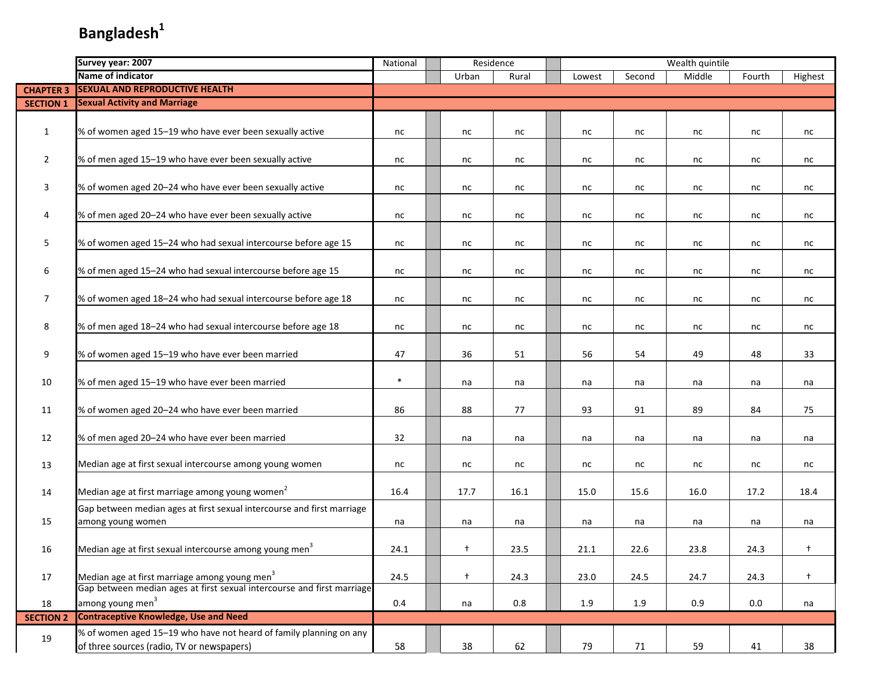|                  | Survey year: 2007                                                                                                | National | Residence  |       |        |        | Wealth quintile |        |            |
|------------------|------------------------------------------------------------------------------------------------------------------|----------|------------|-------|--------|--------|-----------------|--------|------------|
|                  | Name of indicator                                                                                                |          | Urban      | Rural | Lowest | Second | Middle          | Fourth | Highest    |
| <b>CHAPTER 3</b> | <b>SEXUAL AND REPRODUCTIVE HEALTH</b>                                                                            |          |            |       |        |        |                 |        |            |
| <b>SECTION 1</b> | <b>Sexual Activity and Marriage</b>                                                                              |          |            |       |        |        |                 |        |            |
| 1                | % of women aged 15-19 who have ever been sexually active                                                         | nc       | nc         | nc    | nc     | nc     | nc              | nc     | nc         |
| $\overline{2}$   | % of men aged 15-19 who have ever been sexually active                                                           | nc       | nc         | nc    | nc     | nc     | nc              | nc     | nc         |
| 3                | % of women aged 20-24 who have ever been sexually active                                                         | nc       | nc         | nc    | nc     | nc     | nc              | nc     | nc         |
| 4                | % of men aged 20-24 who have ever been sexually active                                                           | nc       | nc         | nc    | nc     | nc     | nc              | nc     | nc         |
| 5                | % of women aged 15-24 who had sexual intercourse before age 15                                                   | nc       | nc         | nc    | nc     | nc     | nc              | nc     | nc         |
| 6                | % of men aged 15-24 who had sexual intercourse before age 15                                                     | nc       | nc         | nc    | nc     | nc     | nc              | nc     | nc         |
| $\overline{7}$   | % of women aged 18-24 who had sexual intercourse before age 18                                                   | nc       | nc         | nc    | nc     | nc     | nc              | nc     | nc         |
| 8                | % of men aged 18-24 who had sexual intercourse before age 18                                                     | nc       | nc         | nc    | nc     | nc     | nc              | nc     | nc         |
| 9                | % of women aged 15-19 who have ever been married                                                                 | 47       | 36         | 51    | 56     | 54     | 49              | 48     | 33         |
| 10               | % of men aged 15-19 who have ever been married                                                                   | $\ast$   | na         | na    | na     | na     | na              | na     | na         |
| 11               | % of women aged 20-24 who have ever been married                                                                 | 86       | 88         | 77    | 93     | 91     | 89              | 84     | 75         |
| 12               | % of men aged 20-24 who have ever been married                                                                   | 32       | na         | na    | na     | na     | na              | na     | na         |
| 13               | Median age at first sexual intercourse among young women                                                         | nc       | nc         | nc    | nc     | nc     | nc              | nc     | nc         |
| 14               | Median age at first marriage among young women <sup>2</sup>                                                      | 16.4     | 17.7       | 16.1  | 15.0   | 15.6   | 16.0            | 17.2   | 18.4       |
| 15               | Gap between median ages at first sexual intercourse and first marriage<br>among young women                      | na       | na         | na    | na     | na     | na              | na     | na         |
| 16               | Median age at first sexual intercourse among young men <sup>3</sup>                                              | 24.1     | $\ddagger$ | 23.5  | 21.1   | 22.6   | 23.8            | 24.3   |            |
| 17               | Median age at first marriage among young men <sup>3</sup>                                                        | 24.5     | $+$        | 24.3  | 23.0   | 24.5   | 24.7            | 24.3   | $\ddagger$ |
| 18               | Gap between median ages at first sexual intercourse and first marriage<br>among young men <sup>3</sup>           | 0.4      | na         | 0.8   | 1.9    | 1.9    | 0.9             | 0.0    | na         |
| <b>SECTION 2</b> | <b>Contraceptive Knowledge, Use and Need</b>                                                                     |          |            |       |        |        |                 |        |            |
| 19               | % of women aged 15-19 who have not heard of family planning on any<br>of three sources (radio, TV or newspapers) | 58       | 38         | 62    | 79     | 71     | 59              | 41     | 38         |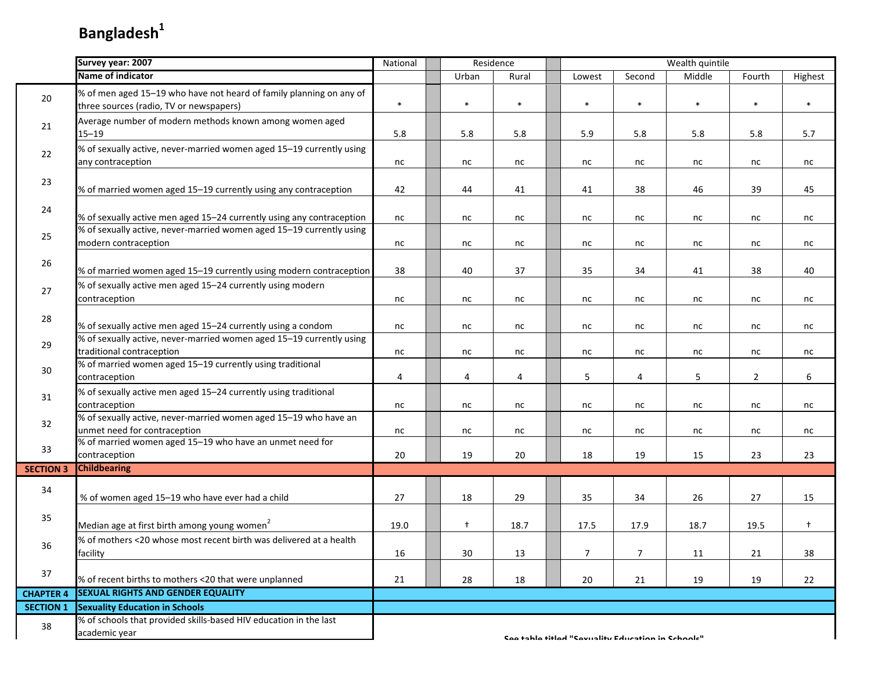|                  | Survey year: 2007                                                                                              | National | Residence  |        |                                                  |        | Wealth quintile |                |            |
|------------------|----------------------------------------------------------------------------------------------------------------|----------|------------|--------|--------------------------------------------------|--------|-----------------|----------------|------------|
|                  | Name of indicator                                                                                              |          | Urban      | Rural  | Lowest                                           | Second | Middle          | Fourth         | Highest    |
| 20               | % of men aged 15-19 who have not heard of family planning on any of<br>three sources (radio, TV or newspapers) | $\ast$   | $\ast$     | $\ast$ | $\ast$                                           | $\ast$ | $\ast$          | $\ast$         | $\ast$     |
| 21               | Average number of modern methods known among women aged<br>$15 - 19$                                           | 5.8      | 5.8        | 5.8    | 5.9                                              | 5.8    | 5.8             | 5.8            | 5.7        |
| 22               | % of sexually active, never-married women aged 15-19 currently using<br>any contraception                      | nc       | nc         | nc     | nc                                               | nc     | nc              | nc             | nc         |
| 23               | % of married women aged 15-19 currently using any contraception                                                | 42       | 44         | 41     | 41                                               | 38     | 46              | 39             | 45         |
| 24               | % of sexually active men aged 15-24 currently using any contraception                                          | nc       | nc         | nc     | nc                                               | nc     | nc              | nc             | nc         |
| 25               | % of sexually active, never-married women aged 15-19 currently using<br>modern contraception                   | nc       | nc         | nc     | nc                                               | nc     | nc              | nc             | nc         |
| 26               | % of married women aged 15-19 currently using modern contraception                                             | 38       | 40         | 37     | 35                                               | 34     | 41              | 38             | 40         |
| 27               | % of sexually active men aged 15-24 currently using modern<br>contraception                                    | nc       | nc         | nc     | nc                                               | nc     | nc              | nc             | nc         |
| 28               | % of sexually active men aged 15-24 currently using a condom                                                   | nc       | nc         | nc     | nc                                               | nc     | nc              | nc             | nc         |
| 29               | % of sexually active, never-married women aged 15-19 currently using<br>traditional contraception              | nc       | nc         | nc     | nc                                               | nc     | nc              | nc             | nc         |
| 30               | % of married women aged 15-19 currently using traditional<br>contraception                                     | 4        | 4          | 4      | 5                                                | 4      | 5               | $\overline{2}$ | 6          |
| 31               | % of sexually active men aged 15-24 currently using traditional<br>contraception                               | nc       | nc         | nc     | nc                                               | nc     | nc              | nc             | nc         |
| 32               | % of sexually active, never-married women aged 15-19 who have an<br>unmet need for contraception               | nc       | nc         | nc     | nc                                               | nc     | nc              | nc             | nc         |
| 33               | % of married women aged 15-19 who have an unmet need for<br>contraception                                      | 20       | 19         | 20     | 18                                               | 19     | 15              | 23             | 23         |
| <b>SECTION 3</b> | <b>Childbearing</b>                                                                                            |          |            |        |                                                  |        |                 |                |            |
| 34               | % of women aged 15-19 who have ever had a child                                                                | 27       | 18         | 29     | 35                                               | 34     | 26              | 27             | 15         |
| 35               | Median age at first birth among young women <sup>2</sup>                                                       | 19.0     | $\ddagger$ | 18.7   | 17.5                                             | 17.9   | 18.7            | 19.5           | $\ddagger$ |
| 36               | % of mothers <20 whose most recent birth was delivered at a health<br>facility                                 | 16       | 30         | 13     | 7                                                | 7      | 11              | 21             | 38         |
| 37               | % of recent births to mothers <20 that were unplanned                                                          | 21       | 28         | 18     | 20                                               | 21     | 19              | 19             | 22         |
| <b>CHAPTER 4</b> | <b>SEXUAL RIGHTS AND GENDER EQUALITY</b>                                                                       |          |            |        |                                                  |        |                 |                |            |
| <b>SECTION 1</b> | <b>Sexuality Education in Schools</b>                                                                          |          |            |        |                                                  |        |                 |                |            |
| 38               | % of schools that provided skills-based HIV education in the last<br>academic year                             |          |            |        | Contable titled "Covuality Education in Cchaole" |        |                 |                |            |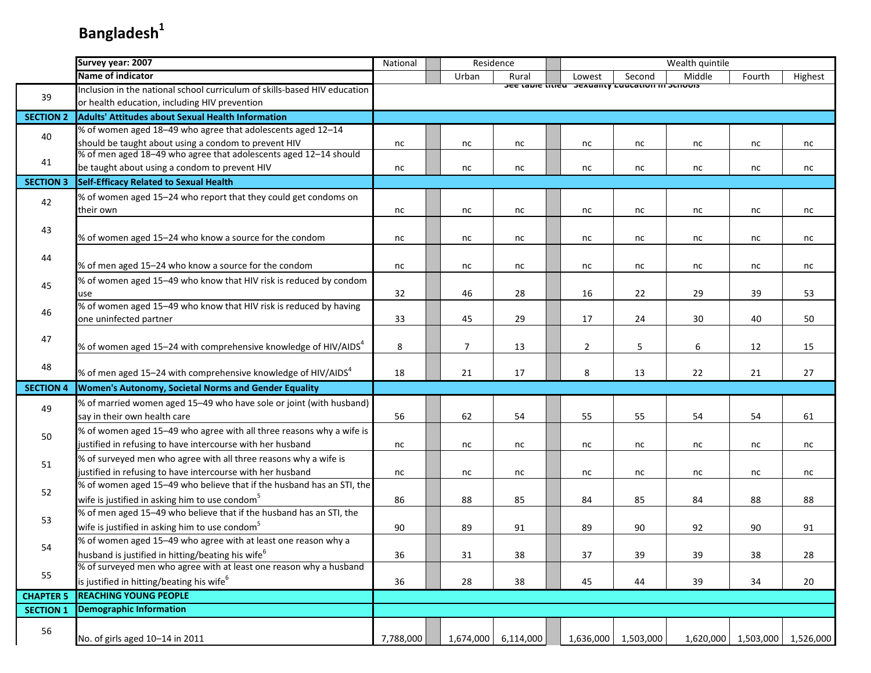|                  | Survey year: 2007                                                         | National  |                | Residence |                |                                                           | Wealth quintile |        |                               |
|------------------|---------------------------------------------------------------------------|-----------|----------------|-----------|----------------|-----------------------------------------------------------|-----------------|--------|-------------------------------|
|                  | Name of indicator                                                         |           | Urban          | Rural     | Lowest         | Second                                                    | Middle          | Fourth | Highest                       |
|                  | Inclusion in the national school curriculum of skills-based HIV education |           |                |           |                | <b>JEE LANIE LITIEU JEAUAIILY LUULALIUII III JUIIUUIJ</b> |                 |        |                               |
| 39               | or health education, including HIV prevention                             |           |                |           |                |                                                           |                 |        |                               |
| <b>SECTION 2</b> | <b>Adults' Attitudes about Sexual Health Information</b>                  |           |                |           |                |                                                           |                 |        |                               |
| 40               | % of women aged 18-49 who agree that adolescents aged 12-14               |           |                |           |                |                                                           |                 |        |                               |
|                  | should be taught about using a condom to prevent HIV                      | nc        | nc             | nc        | nc             | nc                                                        | nc              | nc     | nc                            |
| 41               | % of men aged 18-49 who agree that adolescents aged 12-14 should          |           |                |           |                |                                                           |                 |        |                               |
|                  | be taught about using a condom to prevent HIV                             | nc        | nc             | nc        | nc             | nc                                                        | nc              | nc     | nc                            |
| <b>SECTION 3</b> | Self-Efficacy Related to Sexual Health                                    |           |                |           |                |                                                           |                 |        |                               |
| 42               | % of women aged 15-24 who report that they could get condoms on           |           |                |           |                |                                                           |                 |        |                               |
|                  | their own                                                                 | nc        | nc             | nc        | nc             | nc                                                        | nc              | nc     | nc                            |
| 43               |                                                                           |           |                |           |                |                                                           |                 |        |                               |
|                  | % of women aged 15-24 who know a source for the condom                    | nc        | nc             | nc        | nc             | nc                                                        | nc              | nc     | nc                            |
| 44               |                                                                           |           |                |           |                |                                                           |                 |        |                               |
|                  | % of men aged 15-24 who know a source for the condom                      | nc        | nc             | nc        | nc             | nc                                                        | nc              | nc     | nc                            |
| 45               | % of women aged 15-49 who know that HIV risk is reduced by condom         |           |                |           |                |                                                           |                 |        |                               |
|                  | use                                                                       | 32        | 46             | 28        | 16             | 22                                                        | 29              | 39     | 53                            |
| 46               | % of women aged 15-49 who know that HIV risk is reduced by having         |           |                |           |                |                                                           |                 |        |                               |
|                  | one uninfected partner                                                    | 33        | 45             | 29        | 17             | 24                                                        | 30              | 40     | 50                            |
| 47               |                                                                           |           |                |           |                |                                                           |                 |        |                               |
|                  | % of women aged 15–24 with comprehensive knowledge of HIV/AIDS $^4$       | 8         | $\overline{7}$ | 13        | $\overline{2}$ | 5                                                         | 6               | 12     | 15                            |
| 48               |                                                                           |           |                |           |                |                                                           |                 |        |                               |
|                  | % of men aged 15–24 with comprehensive knowledge of HIV/AIDS $4$          | 18        | 21             | 17        | 8              | 13                                                        | 22              | 21     | 27                            |
| <b>SECTION 4</b> | Women's Autonomy, Societal Norms and Gender Equality                      |           |                |           |                |                                                           |                 |        |                               |
| 49               | % of married women aged 15-49 who have sole or joint (with husband)       |           |                |           |                |                                                           |                 |        |                               |
|                  | say in their own health care                                              | 56        | 62             | 54        | 55             | 55                                                        | 54              | 54     | 61                            |
| 50               | % of women aged 15-49 who agree with all three reasons why a wife is      |           |                |           |                |                                                           |                 |        |                               |
|                  | justified in refusing to have intercourse with her husband                | nc        | nc             | nc        | nc             | nc                                                        | nc              | nc     | nc                            |
| 51               | % of surveyed men who agree with all three reasons why a wife is          |           |                |           |                |                                                           |                 |        |                               |
|                  | justified in refusing to have intercourse with her husband                | nc        | nc             | nc        | nc             | nc                                                        | nc              | nc     | nc                            |
| 52               | % of women aged 15-49 who believe that if the husband has an STI, the     |           |                |           |                |                                                           |                 |        |                               |
|                  | wife is justified in asking him to use condom <sup>5</sup>                | 86        | 88             | 85        | 84             | 85                                                        | 84              | 88     | 88                            |
| 53               | % of men aged 15-49 who believe that if the husband has an STI, the       |           |                |           |                |                                                           |                 |        |                               |
|                  | wife is justified in asking him to use condom <sup>5</sup>                | 90        | 89             | 91        | 89             | 90                                                        | 92              | 90     | 91                            |
| 54               | % of women aged 15-49 who agree with at least one reason why a            |           |                |           |                |                                                           |                 |        |                               |
|                  | husband is justified in hitting/beating his wife <sup>6</sup>             | 36        | 31             | 38        | 37             | 39                                                        | 39              | 38     | 28                            |
| 55               | % of surveyed men who agree with at least one reason why a husband        |           |                |           |                |                                                           |                 |        |                               |
|                  | is justified in hitting/beating his wife <sup>6</sup>                     | 36        | 28             | 38        | 45             | 44                                                        | 39              | 34     | 20                            |
| <b>CHAPTER 5</b> | <b>REACHING YOUNG PEOPLE</b>                                              |           |                |           |                |                                                           |                 |        |                               |
| <b>SECTION 1</b> | <b>Demographic Information</b>                                            |           |                |           |                |                                                           |                 |        |                               |
| 56               |                                                                           |           |                |           |                |                                                           |                 |        |                               |
|                  | No. of girls aged 10-14 in 2011                                           | 7,788,000 | 1,674,000      | 6,114,000 | 1,636,000      | 1,503,000                                                 |                 |        | 1,620,000 1,503,000 1,526,000 |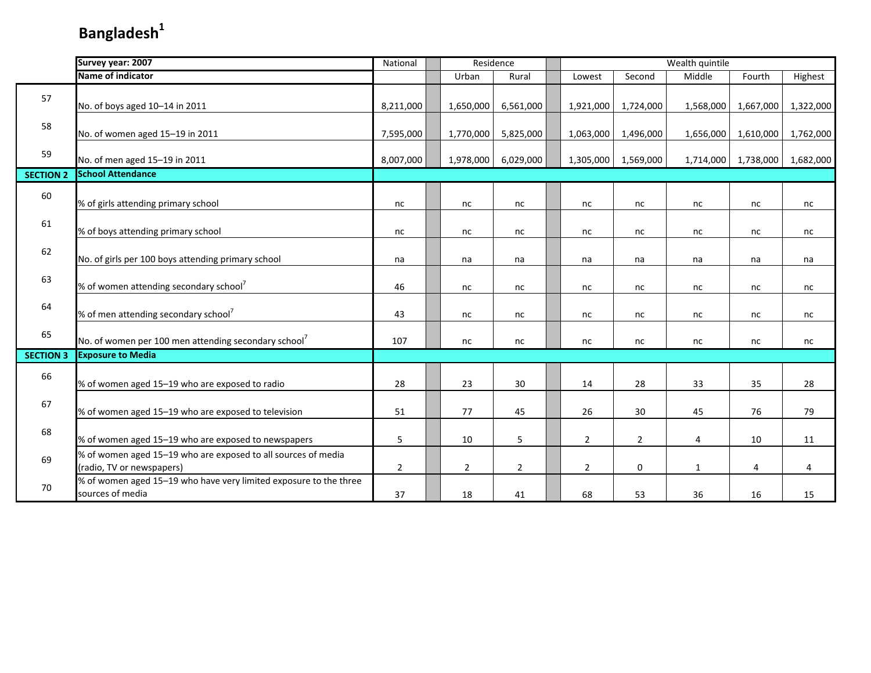|                  | Survey year: 2007                                                                          | National       |                | Residence      | Wealth quintile<br>Middle<br>Rural<br>Second<br>Lowest |                |                |              |           |           |
|------------------|--------------------------------------------------------------------------------------------|----------------|----------------|----------------|--------------------------------------------------------|----------------|----------------|--------------|-----------|-----------|
|                  | Name of indicator                                                                          |                | Urban          |                |                                                        |                |                |              | Fourth    | Highest   |
| 57               | No. of boys aged 10-14 in 2011                                                             | 8,211,000      | 1,650,000      | 6,561,000      |                                                        | 1,921,000      | 1,724,000      | 1,568,000    | 1,667,000 | 1,322,000 |
| 58               | No. of women aged 15-19 in 2011                                                            | 7,595,000      | 1,770,000      | 5,825,000      |                                                        | 1,063,000      | 1,496,000      | 1,656,000    | 1,610,000 | 1,762,000 |
| 59               | No. of men aged 15-19 in 2011                                                              | 8,007,000      | 1,978,000      | 6,029,000      |                                                        | 1,305,000      | 1,569,000      | 1,714,000    | 1,738,000 | 1,682,000 |
| <b>SECTION 2</b> | <b>School Attendance</b>                                                                   |                |                |                |                                                        |                |                |              |           |           |
| 60               | % of girls attending primary school                                                        | nc             | nc             | nc             |                                                        | nc             | nc             | nc           | nc        | nc        |
| 61               | % of boys attending primary school                                                         | nc             | nc             | nc             |                                                        | nc             | nc             | nc           | nc        | nc        |
| 62               | No. of girls per 100 boys attending primary school                                         | na             | na             | na             |                                                        | na             | na             | na           | na        | na        |
| 63               | % of women attending secondary school <sup>7</sup>                                         | 46             | nc             | nc             |                                                        | nc             | nc             | nc           | nc        | nc        |
| 64               | % of men attending secondary school <sup>7</sup>                                           | 43             | nc             | nc             |                                                        | nc             | nc             | nc           | nc        | nc        |
| 65               | No. of women per 100 men attending secondary school <sup>7</sup>                           | 107            | nc             | nc             |                                                        | nc             | nc             | nc           | nc        | nc        |
| <b>SECTION 3</b> | <b>Exposure to Media</b>                                                                   |                |                |                |                                                        |                |                |              |           |           |
| 66               | % of women aged 15-19 who are exposed to radio                                             | 28             | 23             | 30             |                                                        | 14             | 28             | 33           | 35        | 28        |
| 67               | % of women aged 15-19 who are exposed to television                                        | 51             | 77             | 45             |                                                        | 26             | 30             | 45           | 76        | 79        |
| 68               | % of women aged 15-19 who are exposed to newspapers                                        | 5              | 10             | 5              |                                                        | $\overline{2}$ | $\overline{2}$ | 4            | 10        | 11        |
| 69               | % of women aged 15-19 who are exposed to all sources of media<br>(radio, TV or newspapers) | $\overline{2}$ | $\overline{2}$ | $\overline{2}$ |                                                        | $\overline{2}$ | $\mathbf 0$    | $\mathbf{1}$ | 4         | 4         |
| 70               | % of women aged 15-19 who have very limited exposure to the three<br>sources of media      | 37             | 18             | 41             |                                                        | 68             | 53             | 36           | 16        | 15        |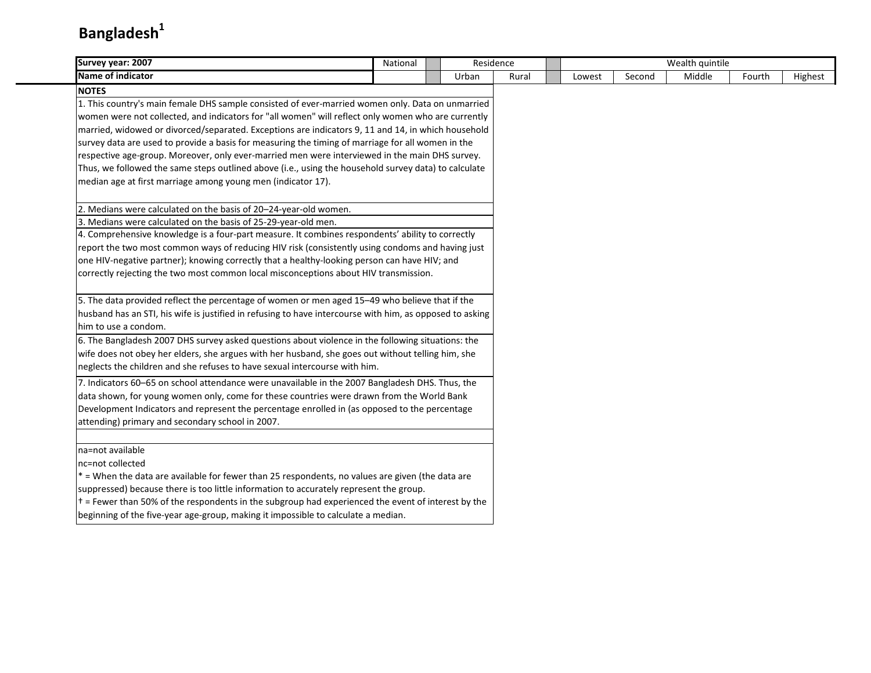| Survey year: 2007                                                                                                                                                                    | National | Residence |       |        |        | Wealth quintile |        |         |
|--------------------------------------------------------------------------------------------------------------------------------------------------------------------------------------|----------|-----------|-------|--------|--------|-----------------|--------|---------|
| Name of indicator                                                                                                                                                                    |          | Urban     | Rural | Lowest | Second | Middle          | Fourth | Highest |
| <b>NOTES</b>                                                                                                                                                                         |          |           |       |        |        |                 |        |         |
| 1. This country's main female DHS sample consisted of ever-married women only. Data on unmarried                                                                                     |          |           |       |        |        |                 |        |         |
| women were not collected, and indicators for "all women" will reflect only women who are currently                                                                                   |          |           |       |        |        |                 |        |         |
| married, widowed or divorced/separated. Exceptions are indicators 9, 11 and 14, in which household                                                                                   |          |           |       |        |        |                 |        |         |
| survey data are used to provide a basis for measuring the timing of marriage for all women in the                                                                                    |          |           |       |        |        |                 |        |         |
| respective age-group. Moreover, only ever-married men were interviewed in the main DHS survey.                                                                                       |          |           |       |        |        |                 |        |         |
| Thus, we followed the same steps outlined above (i.e., using the household survey data) to calculate                                                                                 |          |           |       |        |        |                 |        |         |
| median age at first marriage among young men (indicator 17).                                                                                                                         |          |           |       |        |        |                 |        |         |
|                                                                                                                                                                                      |          |           |       |        |        |                 |        |         |
| 2. Medians were calculated on the basis of 20-24-year-old women.                                                                                                                     |          |           |       |        |        |                 |        |         |
| 3. Medians were calculated on the basis of 25-29-year-old men.                                                                                                                       |          |           |       |        |        |                 |        |         |
| 4. Comprehensive knowledge is a four-part measure. It combines respondents' ability to correctly                                                                                     |          |           |       |        |        |                 |        |         |
| report the two most common ways of reducing HIV risk (consistently using condoms and having just                                                                                     |          |           |       |        |        |                 |        |         |
| one HIV-negative partner); knowing correctly that a healthy-looking person can have HIV; and<br>correctly rejecting the two most common local misconceptions about HIV transmission. |          |           |       |        |        |                 |        |         |
|                                                                                                                                                                                      |          |           |       |        |        |                 |        |         |
| 5. The data provided reflect the percentage of women or men aged 15-49 who believe that if the                                                                                       |          |           |       |        |        |                 |        |         |
| husband has an STI, his wife is justified in refusing to have intercourse with him, as opposed to asking                                                                             |          |           |       |        |        |                 |        |         |
| him to use a condom.                                                                                                                                                                 |          |           |       |        |        |                 |        |         |
| 6. The Bangladesh 2007 DHS survey asked questions about violence in the following situations: the                                                                                    |          |           |       |        |        |                 |        |         |
| wife does not obey her elders, she argues with her husband, she goes out without telling him, she                                                                                    |          |           |       |        |        |                 |        |         |
| neglects the children and she refuses to have sexual intercourse with him.                                                                                                           |          |           |       |        |        |                 |        |         |
| 7. Indicators 60-65 on school attendance were unavailable in the 2007 Bangladesh DHS. Thus, the                                                                                      |          |           |       |        |        |                 |        |         |
| data shown, for young women only, come for these countries were drawn from the World Bank                                                                                            |          |           |       |        |        |                 |        |         |
| Development Indicators and represent the percentage enrolled in (as opposed to the percentage                                                                                        |          |           |       |        |        |                 |        |         |
| attending) primary and secondary school in 2007.                                                                                                                                     |          |           |       |        |        |                 |        |         |
| na=not available                                                                                                                                                                     |          |           |       |        |        |                 |        |         |
| nc=not collected                                                                                                                                                                     |          |           |       |        |        |                 |        |         |
| * = When the data are available for fewer than 25 respondents, no values are given (the data are                                                                                     |          |           |       |        |        |                 |        |         |
| suppressed) because there is too little information to accurately represent the group.                                                                                               |          |           |       |        |        |                 |        |         |
| t = Fewer than 50% of the respondents in the subgroup had experienced the event of interest by the                                                                                   |          |           |       |        |        |                 |        |         |
| beginning of the five-year age-group, making it impossible to calculate a median.                                                                                                    |          |           |       |        |        |                 |        |         |
|                                                                                                                                                                                      |          |           |       |        |        |                 |        |         |
|                                                                                                                                                                                      |          |           |       |        |        |                 |        |         |
|                                                                                                                                                                                      |          |           |       |        |        |                 |        |         |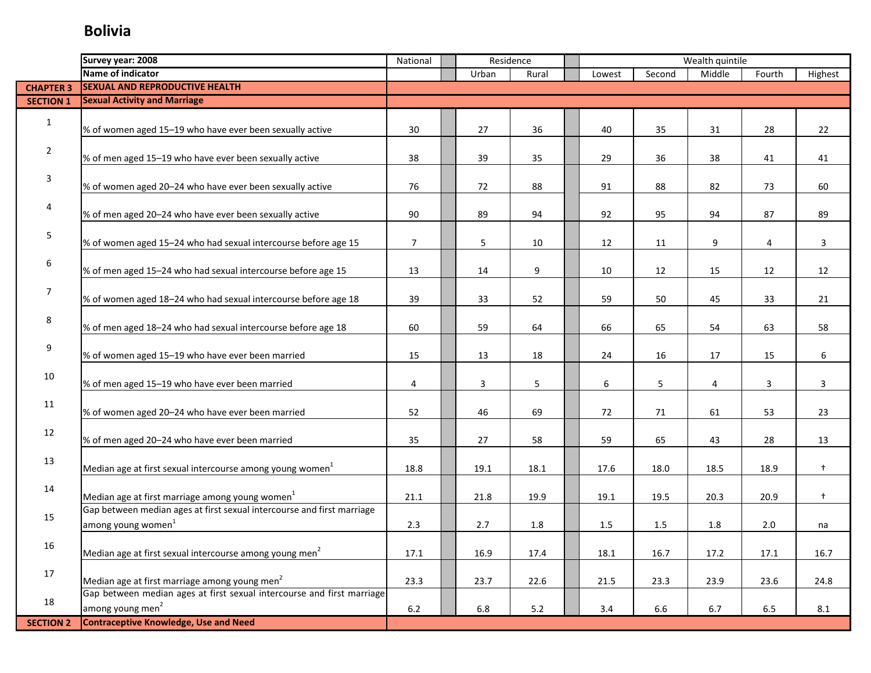|                  | Survey year: 2008                                                                                        | National       | Residence<br>Urban |         |       |        |        |                | Wealth quintile |                |
|------------------|----------------------------------------------------------------------------------------------------------|----------------|--------------------|---------|-------|--------|--------|----------------|-----------------|----------------|
|                  | Name of indicator                                                                                        |                |                    |         | Rural | Lowest | Second | Middle         | Fourth          | Highest        |
| <b>CHAPTER 3</b> | <b>SEXUAL AND REPRODUCTIVE HEALTH</b>                                                                    |                |                    |         |       |        |        |                |                 |                |
| <b>SECTION 1</b> | <b>Sexual Activity and Marriage</b>                                                                      |                |                    |         |       |        |        |                |                 |                |
| $\mathbf{1}$     | % of women aged 15-19 who have ever been sexually active                                                 | 30             |                    | 27      | 36    | 40     | 35     | 31             | 28              | 22             |
| $\overline{2}$   | % of men aged 15-19 who have ever been sexually active                                                   | 38             |                    | 39      | 35    | 29     | 36     | 38             | 41              | 41             |
| 3                | % of women aged 20-24 who have ever been sexually active                                                 | 76             |                    | 72      | 88    | 91     | 88     | 82             | 73              | 60             |
| 4                | % of men aged 20-24 who have ever been sexually active                                                   | 90             |                    | 89      | 94    | 92     | 95     | 94             | 87              | 89             |
| 5                | % of women aged 15-24 who had sexual intercourse before age 15                                           | $\overline{7}$ |                    | 5       | 10    | 12     | 11     | 9              | 4               | 3              |
| 6                | % of men aged 15-24 who had sexual intercourse before age 15                                             | 13             |                    | 14      | 9     | 10     | 12     | 15             | 12              | 12             |
| $\overline{7}$   | % of women aged 18-24 who had sexual intercourse before age 18                                           | 39             |                    | 33      | 52    | 59     | 50     | 45             | 33              | 21             |
| 8                | % of men aged 18-24 who had sexual intercourse before age 18                                             | 60             |                    | 59      | 64    | 66     | 65     | 54             | 63              | 58             |
| 9                | % of women aged 15-19 who have ever been married                                                         | 15             |                    | 13      | 18    | 24     | 16     | 17             | 15              | 6              |
| 10               | % of men aged 15-19 who have ever been married                                                           | 4              |                    | 3       | 5     | 6      | 5      | $\overline{4}$ | 3               | $\overline{3}$ |
| 11               | % of women aged 20-24 who have ever been married                                                         | 52             |                    | 46      | 69    | 72     | 71     | 61             | 53              | 23             |
| 12               | % of men aged 20-24 who have ever been married                                                           | 35             |                    | 27      | 58    | 59     | 65     | 43             | 28              | 13             |
| 13               | Median age at first sexual intercourse among young women $^{1}$                                          | 18.8           |                    | 19.1    | 18.1  | 17.6   | 18.0   | 18.5           | 18.9            | $\ddagger$     |
| 14               | Median age at first marriage among young women $1$                                                       | 21.1           |                    | 21.8    | 19.9  | 19.1   | 19.5   | 20.3           | 20.9            | $\ddagger$     |
| 15               | Gap between median ages at first sexual intercourse and first marriage<br>among young women <sup>1</sup> | 2.3            |                    | 2.7     | 1.8   | 1.5    | 1.5    | 1.8            | 2.0             | na             |
| 16               | Median age at first sexual intercourse among young men <sup>2</sup>                                      | 17.1           |                    | 16.9    | 17.4  | 18.1   | 16.7   | 17.2           | 17.1            | 16.7           |
| 17               | Median age at first marriage among young men <sup>2</sup>                                                | 23.3           |                    | 23.7    | 22.6  | 21.5   | 23.3   | 23.9           | 23.6            | 24.8           |
| 18               | Gap between median ages at first sexual intercourse and first marriage<br>among young men <sup>2</sup>   | 6.2            |                    | $6.8\,$ | 5.2   | 3.4    | 6.6    | 6.7            | 6.5             | $8.1\,$        |
| <b>SECTION 2</b> | <b>Contraceptive Knowledge, Use and Need</b>                                                             |                |                    |         |       |        |        |                |                 |                |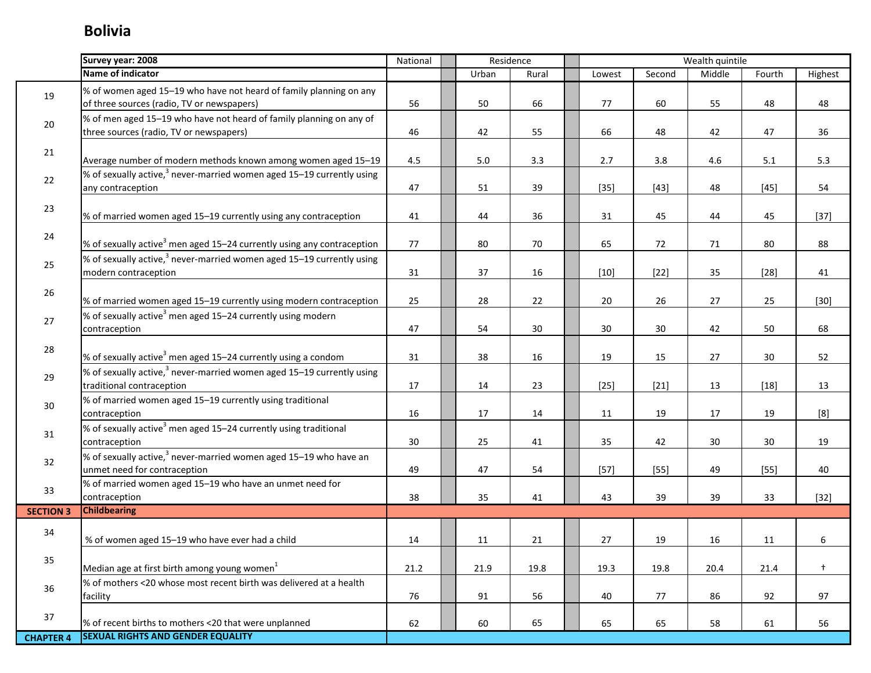|                  | Survey year: 2008                                                                                                | National |         | Residence |        |        | Wealth quintile |        |            |
|------------------|------------------------------------------------------------------------------------------------------------------|----------|---------|-----------|--------|--------|-----------------|--------|------------|
|                  | Name of indicator                                                                                                |          | Urban   | Rural     | Lowest | Second | Middle          | Fourth | Highest    |
| 19               | % of women aged 15-19 who have not heard of family planning on any<br>of three sources (radio, TV or newspapers) | 56       | 50      | 66        | 77     | 60     | 55              | 48     | 48         |
| 20               | % of men aged 15-19 who have not heard of family planning on any of<br>three sources (radio, TV or newspapers)   | 46       | 42      | 55        | 66     | 48     | 42              | 47     | 36         |
| 21               | Average number of modern methods known among women aged 15-19                                                    | 4.5      | $5.0\,$ | 3.3       | 2.7    | 3.8    | 4.6             | 5.1    | 5.3        |
| 22               | % of sexually active, <sup>3</sup> never-married women aged 15-19 currently using<br>any contraception           | 47       | 51      | 39        | $[35]$ | $[43]$ | 48              | $[45]$ | 54         |
| 23               | % of married women aged 15-19 currently using any contraception                                                  | 41       | 44      | 36        | 31     | 45     | 44              | 45     | $[37]$     |
| 24               | % of sexually active <sup>3</sup> men aged 15-24 currently using any contraception                               | 77       | 80      | 70        | 65     | 72     | 71              | 80     | 88         |
| 25               | % of sexually active, $3$ never-married women aged 15-19 currently using<br>modern contraception                 | 31       | 37      | 16        | $[10]$ | $[22]$ | 35              | $[28]$ | 41         |
| 26               | % of married women aged 15-19 currently using modern contraception                                               | 25       | 28      | 22        | 20     | 26     | 27              | 25     | $[30]$     |
| 27               | % of sexually active <sup>3</sup> men aged 15-24 currently using modern<br>contraception                         | 47       | 54      | $30\,$    | 30     | 30     | 42              | 50     | 68         |
| 28               | % of sexually active <sup>3</sup> men aged 15-24 currently using a condom                                        | 31       | 38      | 16        | 19     | 15     | 27              | 30     | 52         |
| 29               | % of sexually active, $3$ never-married women aged 15–19 currently using<br>traditional contraception            | 17       | 14      | 23        | $[25]$ | $[21]$ | 13              | $[18]$ | 13         |
| $30\,$           | % of married women aged 15-19 currently using traditional<br>contraception                                       | 16       | 17      | 14        | 11     | 19     | 17              | 19     | [8]        |
| 31               | % of sexually active <sup>3</sup> men aged 15-24 currently using traditional<br>contraception                    | 30       | 25      | 41        | 35     | 42     | 30              | 30     | 19         |
| 32               | % of sexually active, <sup>3</sup> never-married women aged 15-19 who have an<br>unmet need for contraception    | 49       | 47      | 54        | $[57]$ | $[55]$ | 49              | $[55]$ | 40         |
| 33               | % of married women aged 15-19 who have an unmet need for<br>contraception                                        | 38       | 35      | 41        | 43     | 39     | 39              | 33     | $[32]$     |
| <b>SECTION 3</b> | <b>Childbearing</b>                                                                                              |          |         |           |        |        |                 |        |            |
| 34               | % of women aged 15-19 who have ever had a child                                                                  | 14       | 11      | 21        | 27     | 19     | 16              | 11     | 6          |
| 35               | Median age at first birth among young women <sup>1</sup>                                                         | 21.2     | 21.9    | 19.8      | 19.3   | 19.8   | 20.4            | 21.4   | $\ddagger$ |
| 36               | % of mothers <20 whose most recent birth was delivered at a health<br>facility                                   | 76       | 91      | 56        | 40     | 77     | 86              | 92     | 97         |
| 37               | % of recent births to mothers <20 that were unplanned                                                            | 62       | 60      | 65        | 65     | 65     | 58              | 61     | 56         |
| <b>CHAPTER 4</b> | <b>SEXUAL RIGHTS AND GENDER EQUALITY</b>                                                                         |          |         |           |        |        |                 |        |            |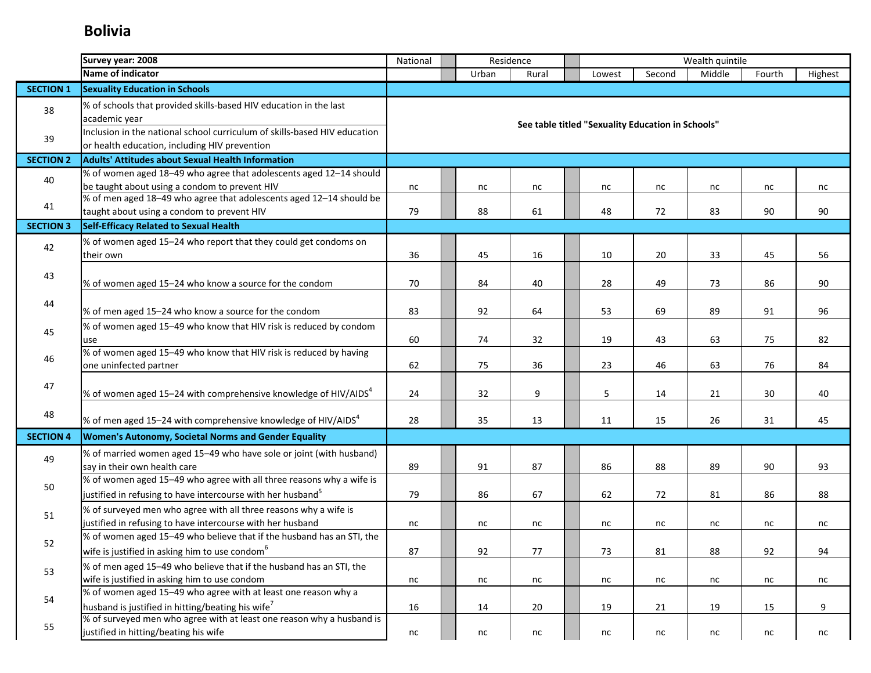|                  | Survey year: 2008                                                                                                 | Residence<br>National |  |       |       |  |                                                   |        | Wealth quintile |        |          |
|------------------|-------------------------------------------------------------------------------------------------------------------|-----------------------|--|-------|-------|--|---------------------------------------------------|--------|-----------------|--------|----------|
|                  | Name of indicator                                                                                                 |                       |  | Urban | Rural |  | Lowest                                            | Second | Middle          | Fourth | Highest  |
| <b>SECTION 1</b> | <b>Sexuality Education in Schools</b>                                                                             |                       |  |       |       |  |                                                   |        |                 |        |          |
| 38               | % of schools that provided skills-based HIV education in the last                                                 |                       |  |       |       |  |                                                   |        |                 |        |          |
|                  | academic year                                                                                                     |                       |  |       |       |  | See table titled "Sexuality Education in Schools" |        |                 |        |          |
| 39               | Inclusion in the national school curriculum of skills-based HIV education                                         |                       |  |       |       |  |                                                   |        |                 |        |          |
|                  | or health education, including HIV prevention                                                                     |                       |  |       |       |  |                                                   |        |                 |        |          |
| <b>SECTION 2</b> | <b>Adults' Attitudes about Sexual Health Information</b>                                                          |                       |  |       |       |  |                                                   |        |                 |        |          |
| 40               | % of women aged 18-49 who agree that adolescents aged 12-14 should                                                |                       |  |       |       |  |                                                   |        |                 |        |          |
|                  | be taught about using a condom to prevent HIV                                                                     | nc                    |  | nc    | nc    |  | nc                                                | nc     | nc              | nc     | nc       |
| 41               | % of men aged 18-49 who agree that adolescents aged 12-14 should be<br>taught about using a condom to prevent HIV | 79                    |  | 88    | 61    |  | 48                                                | 72     | 83              | 90     | 90       |
|                  | <b>Self-Efficacy Related to Sexual Health</b>                                                                     |                       |  |       |       |  |                                                   |        |                 |        |          |
| <b>SECTION 3</b> |                                                                                                                   |                       |  |       |       |  |                                                   |        |                 |        |          |
| 42               | % of women aged 15-24 who report that they could get condoms on                                                   |                       |  |       |       |  |                                                   |        |                 |        |          |
|                  | their own                                                                                                         | 36                    |  | 45    | 16    |  | 10                                                | 20     | 33              | 45     | 56       |
| 43               |                                                                                                                   | 70                    |  | 84    |       |  |                                                   | 49     |                 |        | 90       |
|                  | % of women aged 15-24 who know a source for the condom                                                            |                       |  |       | 40    |  | 28                                                |        | 73              | 86     |          |
| 44               |                                                                                                                   |                       |  |       |       |  |                                                   |        |                 |        |          |
|                  | % of men aged 15-24 who know a source for the condom                                                              | 83                    |  | 92    | 64    |  | 53                                                | 69     | 89              | 91     | 96       |
| 45               | % of women aged 15-49 who know that HIV risk is reduced by condom                                                 |                       |  |       |       |  |                                                   |        |                 |        |          |
|                  | use<br>% of women aged 15-49 who know that HIV risk is reduced by having                                          | 60                    |  | 74    | 32    |  | 19                                                | 43     | 63              | 75     | 82       |
| 46               | one uninfected partner                                                                                            | 62                    |  | 75    | 36    |  | 23                                                | 46     | 63              | 76     | 84       |
|                  |                                                                                                                   |                       |  |       |       |  |                                                   |        |                 |        |          |
| 47               | % of women aged 15-24 with comprehensive knowledge of HIV/AIDS $4$                                                | 24                    |  | 32    | 9     |  | 5                                                 | 14     | 21              | 30     | 40       |
|                  |                                                                                                                   |                       |  |       |       |  |                                                   |        |                 |        |          |
| 48               | % of men aged 15–24 with comprehensive knowledge of HIV/AIDS <sup>4</sup>                                         | 28                    |  | 35    | 13    |  | 11                                                | 15     | 26              | 31     | 45       |
| <b>SECTION 4</b> | Women's Autonomy, Societal Norms and Gender Equality                                                              |                       |  |       |       |  |                                                   |        |                 |        |          |
|                  | % of married women aged 15-49 who have sole or joint (with husband)                                               |                       |  |       |       |  |                                                   |        |                 |        |          |
| 49               | say in their own health care                                                                                      | 89                    |  | 91    | 87    |  | 86                                                | 88     | 89              | 90     | 93       |
|                  | % of women aged 15-49 who agree with all three reasons why a wife is                                              |                       |  |       |       |  |                                                   |        |                 |        |          |
| 50               | justified in refusing to have intercourse with her husband <sup>5</sup>                                           | 79                    |  | 86    | 67    |  | 62                                                | 72     | 81              | 86     | 88       |
|                  | % of surveyed men who agree with all three reasons why a wife is                                                  |                       |  |       |       |  |                                                   |        |                 |        |          |
| 51               | justified in refusing to have intercourse with her husband                                                        | nc                    |  | nc    | nc    |  | nc                                                | nc     | nc              | nc     | nc       |
|                  | % of women aged 15-49 who believe that if the husband has an STI, the                                             |                       |  |       |       |  |                                                   |        |                 |        |          |
| 52               | wife is justified in asking him to use condom <sup>6</sup>                                                        | 87                    |  | 92    | 77    |  | 73                                                | 81     | 88              | 92     | 94       |
|                  | % of men aged 15-49 who believe that if the husband has an STI, the                                               |                       |  |       |       |  |                                                   |        |                 |        |          |
| 53               | wife is justified in asking him to use condom                                                                     | nc                    |  | nc    | nc    |  | nc                                                | nc     | nc              | nc     | $\sf nc$ |
|                  | % of women aged 15-49 who agree with at least one reason why a                                                    |                       |  |       |       |  |                                                   |        |                 |        |          |
| 54               | husband is justified in hitting/beating his wife <sup>7</sup>                                                     | 16                    |  | 14    | 20    |  | 19                                                | 21     | 19              | 15     | 9        |
|                  | % of surveyed men who agree with at least one reason why a husband is                                             |                       |  |       |       |  |                                                   |        |                 |        |          |
| 55               | justified in hitting/beating his wife                                                                             | nc                    |  | nc    | nc    |  | nc                                                | nc     | nc              | nc     | nc       |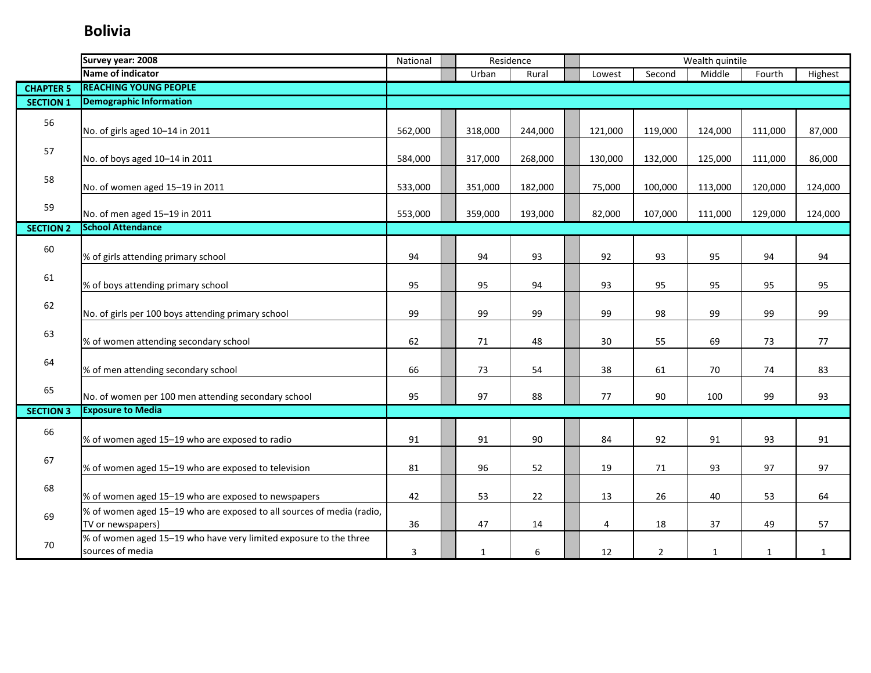|                  | Survey year: 2008                                                                          | National |              | Residence | Wealth quintile |                |              |              |              |
|------------------|--------------------------------------------------------------------------------------------|----------|--------------|-----------|-----------------|----------------|--------------|--------------|--------------|
|                  | Name of indicator                                                                          |          | Urban        | Rural     | Lowest          | Second         | Middle       | Fourth       | Highest      |
| <b>CHAPTER 5</b> | <b>REACHING YOUNG PEOPLE</b>                                                               |          |              |           |                 |                |              |              |              |
| <b>SECTION 1</b> | <b>Demographic Information</b>                                                             |          |              |           |                 |                |              |              |              |
| 56               | No. of girls aged 10-14 in 2011                                                            | 562,000  | 318,000      | 244,000   | 121,000         | 119,000        | 124,000      | 111,000      | 87,000       |
| 57               | No. of boys aged 10-14 in 2011                                                             | 584,000  | 317,000      | 268,000   | 130,000         | 132,000        | 125,000      | 111,000      | 86,000       |
| 58               | No. of women aged 15-19 in 2011                                                            | 533,000  | 351,000      | 182,000   | 75,000          | 100,000        | 113,000      | 120,000      | 124,000      |
| 59               | No. of men aged 15-19 in 2011                                                              | 553,000  | 359,000      | 193,000   | 82,000          | 107,000        | 111,000      | 129,000      | 124,000      |
| <b>SECTION 2</b> | <b>School Attendance</b>                                                                   |          |              |           |                 |                |              |              |              |
| 60               | % of girls attending primary school                                                        | 94       | 94           | 93        | 92              | 93             | 95           | 94           | 94           |
| 61               | % of boys attending primary school                                                         | 95       | 95           | 94        | 93              | 95             | 95           | 95           | 95           |
| 62               | No. of girls per 100 boys attending primary school                                         | 99       | 99           | 99        | 99              | 98             | 99           | 99           | 99           |
| 63               | % of women attending secondary school                                                      | 62       | 71           | 48        | 30              | 55             | 69           | 73           | 77           |
| 64               | % of men attending secondary school                                                        | 66       | 73           | 54        | 38              | 61             | 70           | 74           | 83           |
| 65               | No. of women per 100 men attending secondary school                                        | 95       | 97           | 88        | 77              | 90             | 100          | 99           | 93           |
| <b>SECTION 3</b> | <b>Exposure to Media</b>                                                                   |          |              |           |                 |                |              |              |              |
| 66               | % of women aged 15-19 who are exposed to radio                                             | 91       | 91           | 90        | 84              | 92             | 91           | 93           | 91           |
| 67               | % of women aged 15-19 who are exposed to television                                        | 81       | 96           | 52        | 19              | 71             | 93           | 97           | 97           |
| 68               | % of women aged 15-19 who are exposed to newspapers                                        | 42       | 53           | 22        | 13              | 26             | 40           | 53           | 64           |
| 69               | % of women aged 15-19 who are exposed to all sources of media (radio,<br>TV or newspapers) | 36       | 47           | 14        | 4               | 18             | 37           | 49           | 57           |
| 70               | % of women aged 15-19 who have very limited exposure to the three<br>sources of media      | 3        | $\mathbf{1}$ | 6         | 12              | $\overline{2}$ | $\mathbf{1}$ | $\mathbf{1}$ | $\mathbf{1}$ |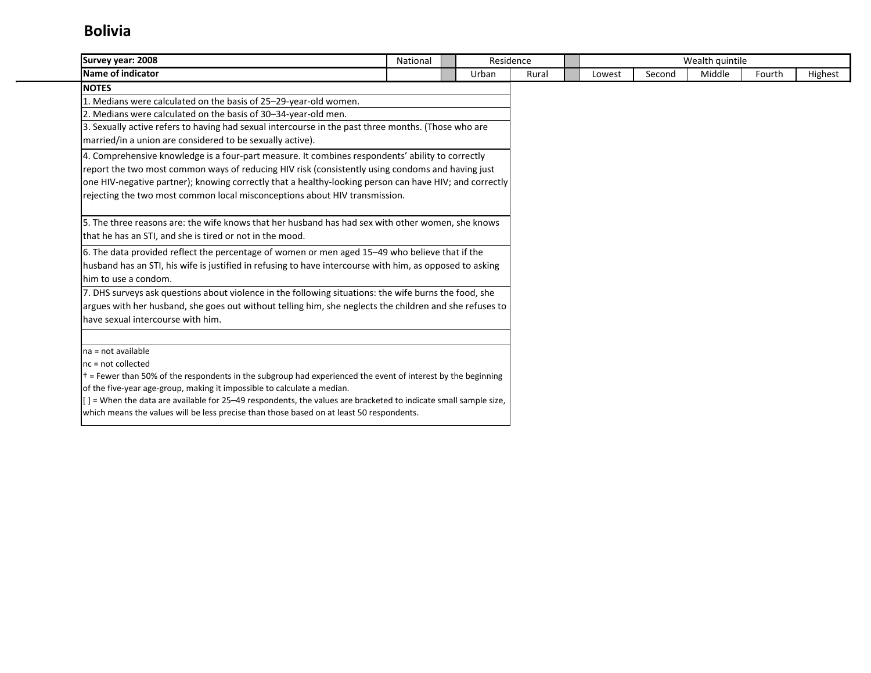| Survey year: 2008                                                                                                    | National | Residence |       |        |        | Wealth quintile |        |         |
|----------------------------------------------------------------------------------------------------------------------|----------|-----------|-------|--------|--------|-----------------|--------|---------|
| Name of indicator                                                                                                    |          | Urban     | Rural | Lowest | Second | Middle          | Fourth | Highest |
| <b>NOTES</b>                                                                                                         |          |           |       |        |        |                 |        |         |
| 1. Medians were calculated on the basis of 25-29-year-old women.                                                     |          |           |       |        |        |                 |        |         |
| 2. Medians were calculated on the basis of 30-34-year-old men.                                                       |          |           |       |        |        |                 |        |         |
| 3. Sexually active refers to having had sexual intercourse in the past three months. (Those who are                  |          |           |       |        |        |                 |        |         |
| married/in a union are considered to be sexually active).                                                            |          |           |       |        |        |                 |        |         |
| 4. Comprehensive knowledge is a four-part measure. It combines respondents' ability to correctly                     |          |           |       |        |        |                 |        |         |
| report the two most common ways of reducing HIV risk (consistently using condoms and having just                     |          |           |       |        |        |                 |        |         |
| one HIV-negative partner); knowing correctly that a healthy-looking person can have HIV; and correctly               |          |           |       |        |        |                 |        |         |
| rejecting the two most common local misconceptions about HIV transmission.                                           |          |           |       |        |        |                 |        |         |
|                                                                                                                      |          |           |       |        |        |                 |        |         |
| 5. The three reasons are: the wife knows that her husband has had sex with other women, she knows                    |          |           |       |        |        |                 |        |         |
| that he has an STI, and she is tired or not in the mood.                                                             |          |           |       |        |        |                 |        |         |
| 6. The data provided reflect the percentage of women or men aged 15-49 who believe that if the                       |          |           |       |        |        |                 |        |         |
| husband has an STI, his wife is justified in refusing to have intercourse with him, as opposed to asking             |          |           |       |        |        |                 |        |         |
| him to use a condom.                                                                                                 |          |           |       |        |        |                 |        |         |
| 7. DHS surveys ask questions about violence in the following situations: the wife burns the food, she                |          |           |       |        |        |                 |        |         |
| argues with her husband, she goes out without telling him, she neglects the children and she refuses to              |          |           |       |        |        |                 |        |         |
| have sexual intercourse with him.                                                                                    |          |           |       |        |        |                 |        |         |
|                                                                                                                      |          |           |       |        |        |                 |        |         |
| na = not available                                                                                                   |          |           |       |        |        |                 |        |         |
| $nc = not collected$                                                                                                 |          |           |       |        |        |                 |        |         |
| $\dagger$ = Fewer than 50% of the respondents in the subgroup had experienced the event of interest by the beginning |          |           |       |        |        |                 |        |         |
| of the five-year age-group, making it impossible to calculate a median.                                              |          |           |       |        |        |                 |        |         |
| [] = When the data are available for 25–49 respondents, the values are bracketed to indicate small sample size,      |          |           |       |        |        |                 |        |         |
| which means the values will be less precise than those based on at least 50 respondents.                             |          |           |       |        |        |                 |        |         |
|                                                                                                                      |          |           |       |        |        |                 |        |         |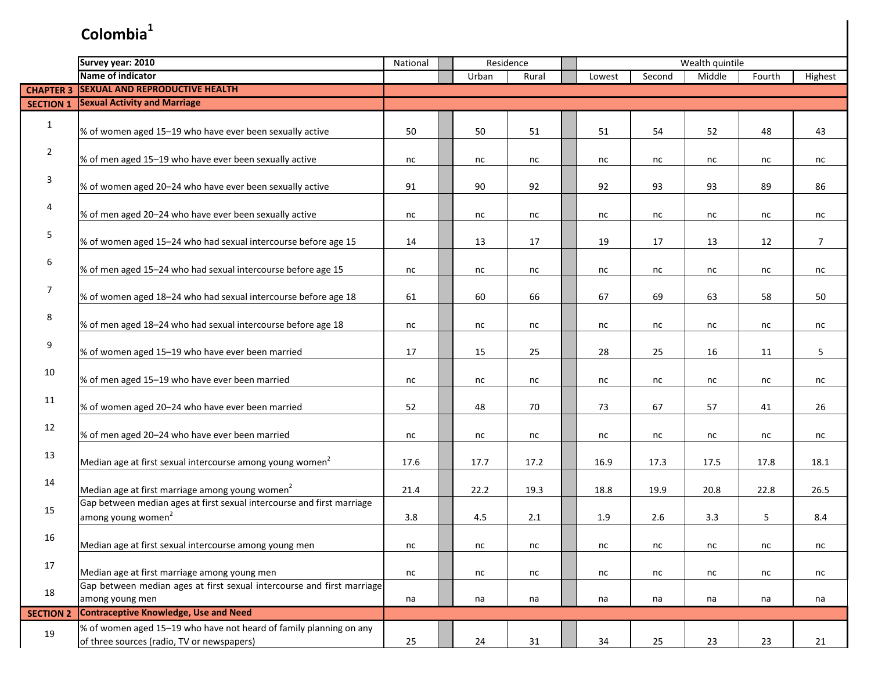|                  | Survey year: 2010                                                                                                | National | Residence |       |       |  |        | Wealth quintile |        |        |         |
|------------------|------------------------------------------------------------------------------------------------------------------|----------|-----------|-------|-------|--|--------|-----------------|--------|--------|---------|
|                  | Name of indicator                                                                                                |          |           | Urban | Rural |  | Lowest | Second          | Middle | Fourth | Highest |
| <b>CHAPTER 3</b> | <b>SEXUAL AND REPRODUCTIVE HEALTH</b>                                                                            |          |           |       |       |  |        |                 |        |        |         |
| <b>SECTION 1</b> | <b>Sexual Activity and Marriage</b>                                                                              |          |           |       |       |  |        |                 |        |        |         |
| $\mathbf{1}$     | % of women aged 15-19 who have ever been sexually active                                                         | 50       |           | 50    | 51    |  | 51     | 54              | 52     | 48     | 43      |
| $\overline{2}$   | % of men aged 15-19 who have ever been sexually active                                                           | nc       |           | nc    | nc    |  | nc     | nc              | nc     | nc     | nc      |
| 3                | % of women aged 20-24 who have ever been sexually active                                                         | 91       |           | 90    | 92    |  | 92     | 93              | 93     | 89     | 86      |
| 4                | % of men aged 20-24 who have ever been sexually active                                                           | nc       |           | nc    | nc    |  | nc     | nc              | nc     | nc     | nc      |
| 5                | % of women aged 15-24 who had sexual intercourse before age 15                                                   | 14       |           | 13    | 17    |  | 19     | 17              | 13     | 12     | 7       |
| 6                | % of men aged 15-24 who had sexual intercourse before age 15                                                     | nc       |           | nc    | nc    |  | nc     | nc              | nc     | nc     | nc      |
| 7                | % of women aged 18-24 who had sexual intercourse before age 18                                                   | 61       |           | 60    | 66    |  | 67     | 69              | 63     | 58     | 50      |
| 8                | % of men aged 18-24 who had sexual intercourse before age 18                                                     | nc       |           | nc    | nc    |  | nc     | nc              | nc     | nc     | nc      |
| $\boldsymbol{9}$ | % of women aged 15-19 who have ever been married                                                                 | 17       |           | 15    | 25    |  | 28     | 25              | 16     | 11     | 5       |
| 10               | % of men aged 15-19 who have ever been married                                                                   | nc       |           | nc    | nc    |  | nc     | nc              | nc     | nc     | nc      |
| 11               | % of women aged 20-24 who have ever been married                                                                 | 52       |           | 48    | 70    |  | 73     | 67              | 57     | 41     | 26      |
| 12               | % of men aged 20-24 who have ever been married                                                                   | nc       |           | nc    | nc    |  | nc     | nc              | nc     | nc     | nc      |
| 13               | Median age at first sexual intercourse among young women <sup>2</sup>                                            | 17.6     |           | 17.7  | 17.2  |  | 16.9   | 17.3            | 17.5   | 17.8   | 18.1    |
| 14               | Median age at first marriage among young women <sup>2</sup>                                                      | 21.4     |           | 22.2  | 19.3  |  | 18.8   | 19.9            | 20.8   | 22.8   | 26.5    |
| 15               | Gap between median ages at first sexual intercourse and first marriage<br>among young women <sup>2</sup>         | 3.8      |           | 4.5   | 2.1   |  | 1.9    | 2.6             | 3.3    | 5      | 8.4     |
| 16               | Median age at first sexual intercourse among young men                                                           | nc       |           | nc    | nc    |  | nc     | nc              | nc     | nc     | nc      |
| 17               | Median age at first marriage among young men                                                                     | nc       |           | nc    | nc    |  | nc     | nc              | nc     | nc     | nc      |
| 18               | Gap between median ages at first sexual intercourse and first marriage<br>among young men                        | na       |           | na    | na    |  | na     | na              | na     | na     | na      |
| <b>SECTION 2</b> | <b>Contraceptive Knowledge, Use and Need</b>                                                                     |          |           |       |       |  |        |                 |        |        |         |
| 19               | % of women aged 15-19 who have not heard of family planning on any<br>of three sources (radio, TV or newspapers) | 25       |           | 24    | 31    |  | 34     | 25              | 23     | 23     | 21      |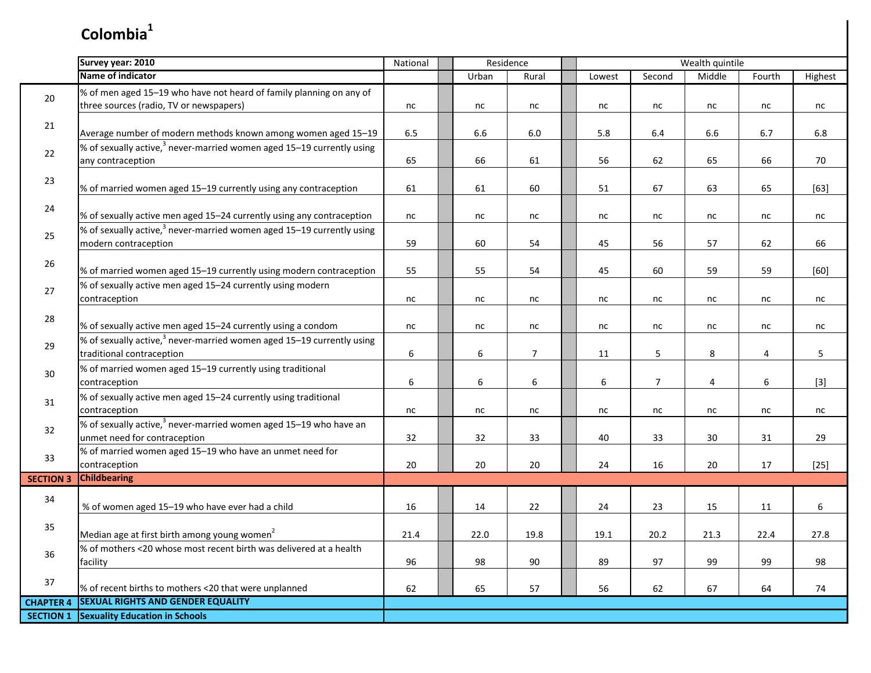|                  | Survey year: 2010                                                                              | National | Residence      |                |                  |                | Wealth quintile |                |         |
|------------------|------------------------------------------------------------------------------------------------|----------|----------------|----------------|------------------|----------------|-----------------|----------------|---------|
|                  | <b>Name of indicator</b>                                                                       |          | Urban          | Rural          | Lowest           | Second         | Middle          | Fourth         | Highest |
| 20               | % of men aged 15-19 who have not heard of family planning on any of                            |          |                |                |                  |                |                 |                |         |
|                  | three sources (radio, TV or newspapers)                                                        | nc       | nc             | nc             | nc               | nc             | nc              | nc             | nc      |
| 21               |                                                                                                |          |                |                |                  |                |                 |                |         |
|                  | Average number of modern methods known among women aged 15-19                                  | 6.5      | 6.6            | 6.0            | 5.8              | 6.4            | 6.6             | 6.7            | 6.8     |
| 22               | % of sexually active, $3$ never-married women aged 15–19 currently using<br>any contraception  | 65       | 66             | 61             | 56               | 62             | 65              | 66             | 70      |
|                  |                                                                                                |          |                |                |                  |                |                 |                |         |
| 23               | % of married women aged 15-19 currently using any contraception                                | 61       | 61             | 60             | 51               | 67             | 63              | 65             | $[63]$  |
| 24               |                                                                                                |          |                |                |                  |                |                 |                |         |
|                  | % of sexually active men aged 15-24 currently using any contraception                          | nc       | nc             | nc             | $nc$             | nc             | nc              | nc             | nc      |
| 25               | % of sexually active, <sup>3</sup> never-married women aged 15–19 currently using              |          |                |                |                  |                |                 |                |         |
|                  | modern contraception                                                                           | 59       | 60             | 54             | 45               | 56             | 57              | 62             | 66      |
| 26               | % of married women aged 15-19 currently using modern contraception                             | 55       | 55             | 54             | 45               | 60             | 59              | 59             | [60]    |
|                  | % of sexually active men aged 15-24 currently using modern                                     |          |                |                |                  |                |                 |                |         |
| 27               | contraception                                                                                  | nc       | nc             | nc             | nc               | nc             | nc              | nc             | nc      |
| 28               |                                                                                                |          |                |                |                  |                |                 |                |         |
|                  | % of sexually active men aged 15-24 currently using a condom                                   | nc       | nc             | nc             | nc               | nc             | nc              | nc             | nc      |
| 29               | % of sexually active, $3$ never-married women aged 15–19 currently using                       |          |                |                |                  |                |                 |                |         |
|                  | traditional contraception                                                                      | 6        | 6              | $\overline{7}$ | 11               | 5              | 8               | 4              | 5       |
| 30               | % of married women aged 15-19 currently using traditional                                      |          |                |                |                  |                |                 |                |         |
|                  | contraception                                                                                  | 6        | $6\phantom{a}$ | $6\,$          | $\boldsymbol{6}$ | $\overline{7}$ | $\overline{4}$  | $6\phantom{a}$ | $[3]$   |
| 31               | % of sexually active men aged 15-24 currently using traditional                                |          |                |                |                  |                |                 |                |         |
|                  | contraception<br>% of sexually active, <sup>3</sup> never-married women aged 15-19 who have an | nc       | nc             | nc             | nc               | nc             | nc              | nc             | nc      |
| 32               | unmet need for contraception                                                                   | 32       | 32             | 33             | 40               | 33             | 30              | 31             | 29      |
|                  | % of married women aged 15-19 who have an unmet need for                                       |          |                |                |                  |                |                 |                |         |
| 33               | contraception                                                                                  | 20       | 20             | 20             | 24               | 16             | 20              | 17             | $[25]$  |
| <b>SECTION 3</b> | <b>Childbearing</b>                                                                            |          |                |                |                  |                |                 |                |         |
| 34               |                                                                                                |          |                |                |                  |                |                 |                |         |
|                  | % of women aged 15-19 who have ever had a child                                                | 16       | 14             | 22             | 24               | 23             | 15              | 11             | 6       |
| 35               | Median age at first birth among young women <sup>2</sup>                                       | 21.4     | 22.0           | 19.8           | 19.1             | 20.2           | 21.3            | 22.4           | 27.8    |
|                  | % of mothers <20 whose most recent birth was delivered at a health                             |          |                |                |                  |                |                 |                |         |
| 36               | facility                                                                                       | 96       | 98             | 90             | 89               | 97             | 99              | 99             | 98      |
| 37               |                                                                                                |          |                |                |                  |                |                 |                |         |
|                  | % of recent births to mothers <20 that were unplanned                                          | 62       | 65             | 57             | 56               | 62             | 67              | 64             | 74      |
| <b>CHAPTER 4</b> | <b>SEXUAL RIGHTS AND GENDER EQUALITY</b>                                                       |          |                |                |                  |                |                 |                |         |
| <b>SECTION 1</b> | <b>Sexuality Education in Schools</b>                                                          |          |                |                |                  |                |                 |                |         |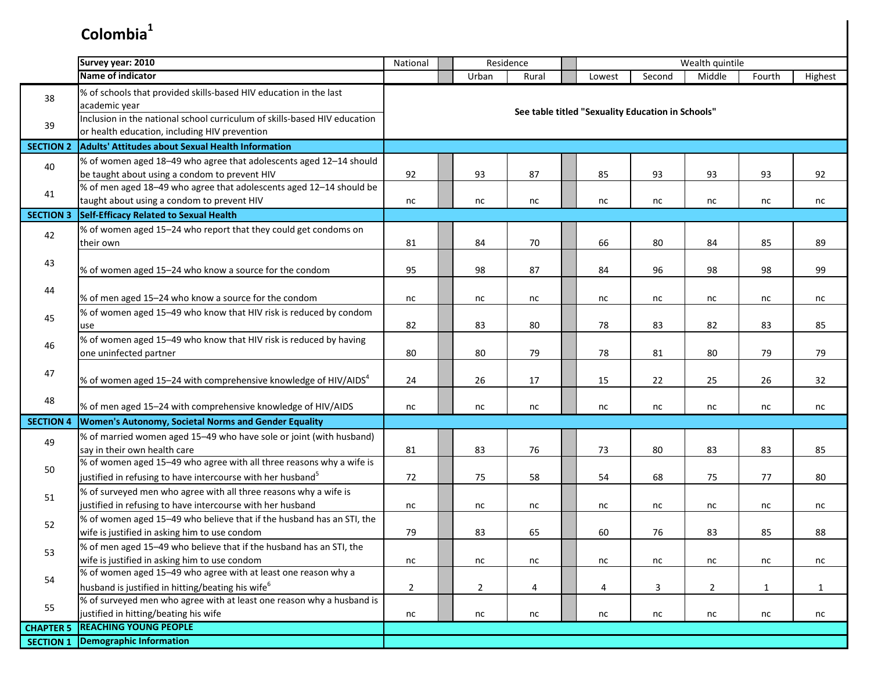|                  | Survey year: 2010                                                                                                                               | Residence<br>National |  |                |       |  |                                                   |        | Wealth quintile |        |              |
|------------------|-------------------------------------------------------------------------------------------------------------------------------------------------|-----------------------|--|----------------|-------|--|---------------------------------------------------|--------|-----------------|--------|--------------|
|                  | Name of indicator                                                                                                                               |                       |  | Urban          | Rural |  | Lowest                                            | Second | Middle          | Fourth | Highest      |
| 38               | % of schools that provided skills-based HIV education in the last<br>academic year                                                              |                       |  |                |       |  | See table titled "Sexuality Education in Schools" |        |                 |        |              |
| 39               | Inclusion in the national school curriculum of skills-based HIV education<br>or health education, including HIV prevention                      |                       |  |                |       |  |                                                   |        |                 |        |              |
| <b>SECTION 2</b> | <b>Adults' Attitudes about Sexual Health Information</b>                                                                                        |                       |  |                |       |  |                                                   |        |                 |        |              |
| 40               | % of women aged 18-49 who agree that adolescents aged 12-14 should<br>be taught about using a condom to prevent HIV                             | 92                    |  | 93             | 87    |  | 85                                                | 93     | 93              | 93     | 92           |
| 41               | % of men aged 18-49 who agree that adolescents aged 12-14 should be<br>taught about using a condom to prevent HIV                               | nc                    |  | nc             | nc    |  | nc                                                | nc     | nc              | nc     | nc           |
| <b>SECTION 3</b> | Self-Efficacy Related to Sexual Health                                                                                                          |                       |  |                |       |  |                                                   |        |                 |        |              |
| 42               | % of women aged 15-24 who report that they could get condoms on<br>their own                                                                    | 81                    |  | 84             | 70    |  | 66                                                | 80     | 84              | 85     | 89           |
| 43               | % of women aged 15-24 who know a source for the condom                                                                                          | 95                    |  | 98             | 87    |  | 84                                                | 96     | 98              | 98     | 99           |
| 44               | % of men aged 15-24 who know a source for the condom                                                                                            | nc                    |  | nc             | nc    |  | nc                                                | nc     | nc              | nc     | nc           |
| 45               | % of women aged 15-49 who know that HIV risk is reduced by condom<br>use                                                                        | 82                    |  | 83             | 80    |  | 78                                                | 83     | 82              | 83     | 85           |
| 46               | % of women aged 15-49 who know that HIV risk is reduced by having<br>one uninfected partner                                                     | 80                    |  | 80             | 79    |  | 78                                                | 81     | 80              | 79     | 79           |
| 47               | % of women aged 15-24 with comprehensive knowledge of HIV/AIDS <sup>4</sup>                                                                     | 24                    |  | 26             | 17    |  | 15                                                | 22     | 25              | 26     | 32           |
| 48               | % of men aged 15-24 with comprehensive knowledge of HIV/AIDS                                                                                    | nc                    |  | nc             | nc    |  | nc                                                | nc     | nc              | nc     | nc           |
| <b>SECTION 4</b> | <b>Women's Autonomy, Societal Norms and Gender Equality</b>                                                                                     |                       |  |                |       |  |                                                   |        |                 |        |              |
| 49               | % of married women aged 15-49 who have sole or joint (with husband)<br>say in their own health care                                             | 81                    |  | 83             | 76    |  | 73                                                | 80     | 83              | 83     | 85           |
| 50               | % of women aged 15-49 who agree with all three reasons why a wife is<br>justified in refusing to have intercourse with her husband <sup>5</sup> | 72                    |  | 75             | 58    |  | 54                                                | 68     | 75              | 77     | 80           |
| 51               | % of surveyed men who agree with all three reasons why a wife is<br>justified in refusing to have intercourse with her husband                  | nc                    |  | nc             | nc    |  | nc                                                | nc     | nc              | nc     | nc           |
| 52               | % of women aged 15-49 who believe that if the husband has an STI, the<br>wife is justified in asking him to use condom                          | 79                    |  | 83             | 65    |  | 60                                                | 76     | 83              | 85     | 88           |
| 53               | % of men aged 15-49 who believe that if the husband has an STI, the<br>wife is justified in asking him to use condom                            | nc                    |  | nc             | nc    |  | nc                                                | nc     | nc              | nc     | nc           |
| 54               | % of women aged 15-49 who agree with at least one reason why a<br>husband is justified in hitting/beating his wife <sup>6</sup>                 | $\overline{2}$        |  | $\overline{2}$ | 4     |  | 4                                                 | 3      | $\overline{2}$  | 1      | $\mathbf{1}$ |
| 55               | % of surveyed men who agree with at least one reason why a husband is<br>justified in hitting/beating his wife                                  | nc                    |  | nc             | nc    |  | nc                                                | nc     | nc              | nc     | nc           |
| <b>CHAPTER 5</b> | <b>REACHING YOUNG PEOPLE</b>                                                                                                                    |                       |  |                |       |  |                                                   |        |                 |        |              |
| <b>SECTION 1</b> | <b>Demographic Information</b>                                                                                                                  |                       |  |                |       |  |                                                   |        |                 |        |              |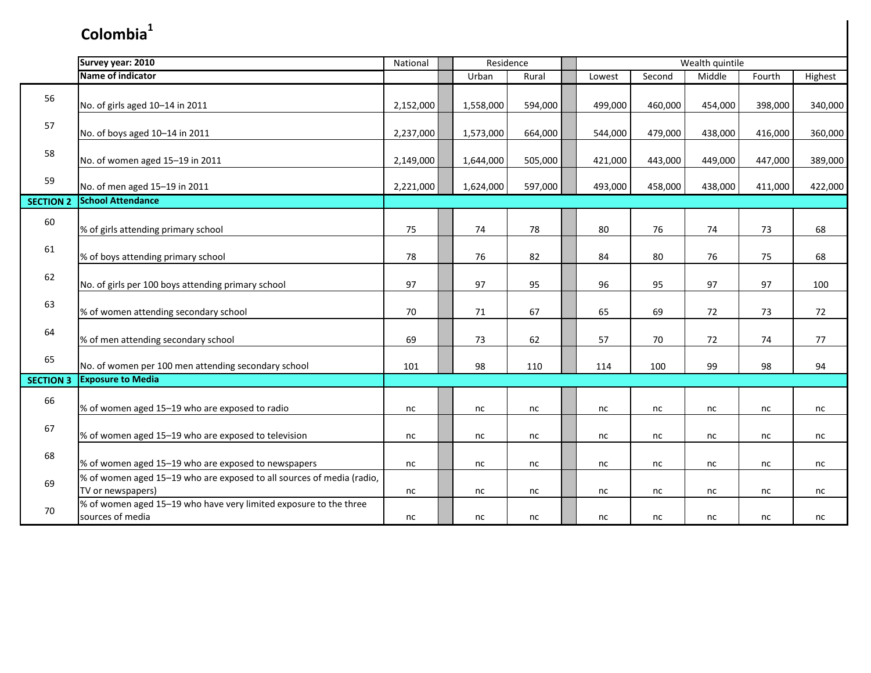|                  | Survey year: 2010                                                                          | National  | Residence |           |         | Wealth quintile |         |         |         |         |         |
|------------------|--------------------------------------------------------------------------------------------|-----------|-----------|-----------|---------|-----------------|---------|---------|---------|---------|---------|
|                  | Name of indicator                                                                          |           |           | Urban     | Rural   |                 | Lowest  | Second  | Middle  | Fourth  | Highest |
| 56               | No. of girls aged 10-14 in 2011                                                            | 2,152,000 |           | 1,558,000 | 594,000 |                 | 499,000 | 460,000 | 454,000 | 398,000 | 340,000 |
| 57               | No. of boys aged 10-14 in 2011                                                             | 2,237,000 |           | 1,573,000 | 664,000 |                 | 544,000 | 479,000 | 438,000 | 416,000 | 360,000 |
| 58               | No. of women aged 15-19 in 2011                                                            | 2,149,000 |           | 1,644,000 | 505,000 |                 | 421,000 | 443,000 | 449,000 | 447,000 | 389,000 |
| 59               | No. of men aged 15-19 in 2011                                                              | 2,221,000 |           | 1,624,000 | 597,000 |                 | 493,000 | 458,000 | 438,000 | 411,000 | 422,000 |
| <b>SECTION 2</b> | <b>School Attendance</b>                                                                   |           |           |           |         |                 |         |         |         |         |         |
| 60               | % of girls attending primary school                                                        | 75        |           | 74        | 78      |                 | 80      | 76      | 74      | 73      | 68      |
| 61               | % of boys attending primary school                                                         | 78        |           | 76        | 82      |                 | 84      | 80      | 76      | 75      | 68      |
| 62               | No. of girls per 100 boys attending primary school                                         | 97        |           | 97        | 95      |                 | 96      | 95      | 97      | 97      | 100     |
| 63               | % of women attending secondary school                                                      | 70        |           | $71\,$    | 67      |                 | 65      | 69      | 72      | 73      | 72      |
| 64               | % of men attending secondary school                                                        | 69        |           | 73        | 62      |                 | 57      | 70      | 72      | 74      | 77      |
| 65               | No. of women per 100 men attending secondary school                                        | 101       |           | 98        | 110     |                 | 114     | 100     | 99      | 98      | 94      |
| <b>SECTION 3</b> | <b>Exposure to Media</b>                                                                   |           |           |           |         |                 |         |         |         |         |         |
| 66               | % of women aged 15-19 who are exposed to radio                                             | nc        |           | nc        | nc      |                 | nc      | nc      | nc      | nc      | nc      |
| 67               | % of women aged 15-19 who are exposed to television                                        | nc        |           | nc        | nc      |                 | nc      | nc      | nc      | nc      | nc      |
| 68               | % of women aged 15-19 who are exposed to newspapers                                        | nc        |           | nc        | nc      |                 | nc      | nc      | nc      | nc      | nc      |
| 69               | % of women aged 15-19 who are exposed to all sources of media (radio,<br>TV or newspapers) | nc        |           | nc        | nc      |                 | nc      | nc      | nc      | nc      | nc      |
| 70               | % of women aged 15-19 who have very limited exposure to the three<br>sources of media      | nc        |           | nc        | nc      |                 | nc      | nc      | nc      | nc      | nc      |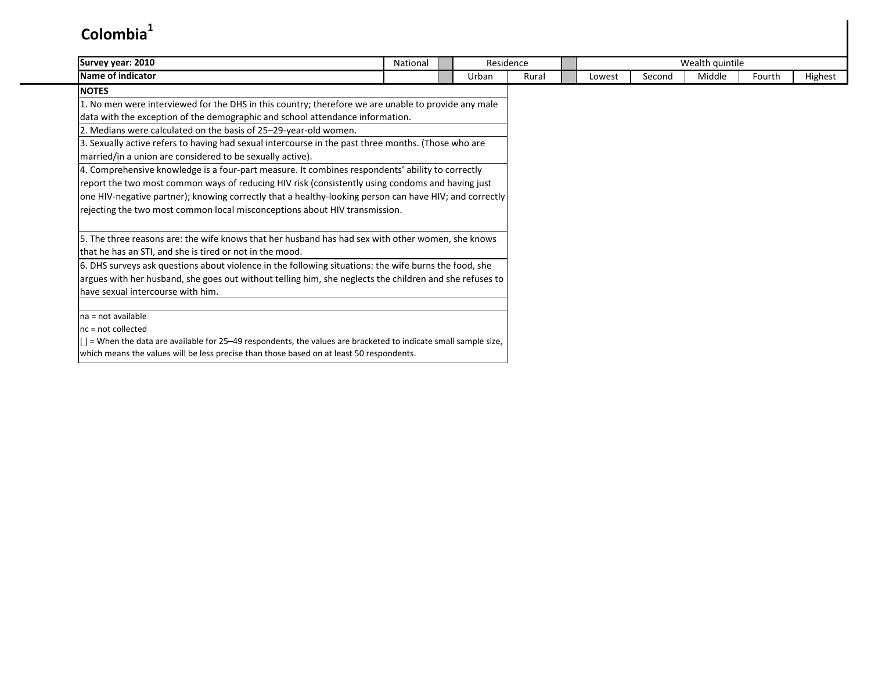| Survey year: 2010                                                                                                    | National |       | Residence |        |        | Wealth quintile |        |         |
|----------------------------------------------------------------------------------------------------------------------|----------|-------|-----------|--------|--------|-----------------|--------|---------|
| Name of indicator                                                                                                    |          | Urban | Rural     | Lowest | Second | Middle          | Fourth | Highest |
| <b>NOTES</b>                                                                                                         |          |       |           |        |        |                 |        |         |
| 1. No men were interviewed for the DHS in this country; therefore we are unable to provide any male                  |          |       |           |        |        |                 |        |         |
| data with the exception of the demographic and school attendance information.                                        |          |       |           |        |        |                 |        |         |
| 2. Medians were calculated on the basis of 25-29-year-old women.                                                     |          |       |           |        |        |                 |        |         |
| 3. Sexually active refers to having had sexual intercourse in the past three months. (Those who are                  |          |       |           |        |        |                 |        |         |
| married/in a union are considered to be sexually active).                                                            |          |       |           |        |        |                 |        |         |
| 4. Comprehensive knowledge is a four-part measure. It combines respondents' ability to correctly                     |          |       |           |        |        |                 |        |         |
| report the two most common ways of reducing HIV risk (consistently using condoms and having just                     |          |       |           |        |        |                 |        |         |
| one HIV-negative partner); knowing correctly that a healthy-looking person can have HIV; and correctly               |          |       |           |        |        |                 |        |         |
| rejecting the two most common local misconceptions about HIV transmission.                                           |          |       |           |        |        |                 |        |         |
|                                                                                                                      |          |       |           |        |        |                 |        |         |
| 5. The three reasons are: the wife knows that her husband has had sex with other women, she knows                    |          |       |           |        |        |                 |        |         |
| that he has an STI, and she is tired or not in the mood.                                                             |          |       |           |        |        |                 |        |         |
| 6. DHS surveys ask questions about violence in the following situations: the wife burns the food, she                |          |       |           |        |        |                 |        |         |
| argues with her husband, she goes out without telling him, she neglects the children and she refuses to              |          |       |           |        |        |                 |        |         |
| have sexual intercourse with him.                                                                                    |          |       |           |        |        |                 |        |         |
|                                                                                                                      |          |       |           |        |        |                 |        |         |
| na = not available                                                                                                   |          |       |           |        |        |                 |        |         |
| $nc = not collected$                                                                                                 |          |       |           |        |        |                 |        |         |
| $[$ $]$ = When the data are available for 25–49 respondents, the values are bracketed to indicate small sample size, |          |       |           |        |        |                 |        |         |
| which means the values will be less precise than those based on at least 50 respondents.                             |          |       |           |        |        |                 |        |         |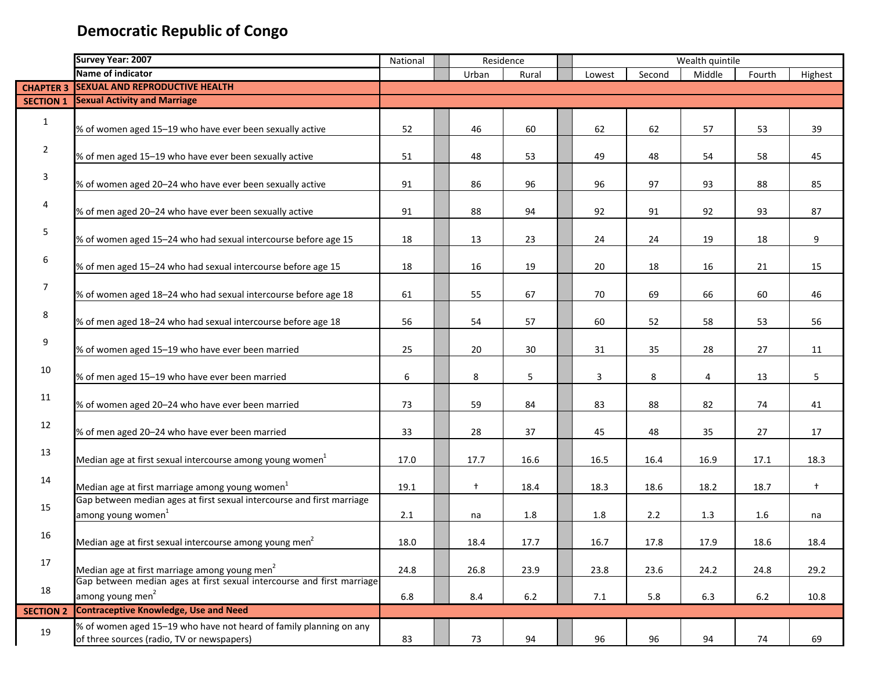|                  | Survey Year: 2007                                                                                                | National | Residence  |         |  |        | Wealth quintile |        |        |            |
|------------------|------------------------------------------------------------------------------------------------------------------|----------|------------|---------|--|--------|-----------------|--------|--------|------------|
|                  | Name of indicator                                                                                                |          | Urban      | Rural   |  | Lowest | Second          | Middle | Fourth | Highest    |
| <b>CHAPTER 3</b> | <b>SEXUAL AND REPRODUCTIVE HEALTH</b>                                                                            |          |            |         |  |        |                 |        |        |            |
| <b>SECTION 1</b> | <b>Sexual Activity and Marriage</b>                                                                              |          |            |         |  |        |                 |        |        |            |
| $\mathbf{1}$     | % of women aged 15-19 who have ever been sexually active                                                         | 52       | 46         | 60      |  | 62     | 62              | 57     | 53     | 39         |
| $\overline{2}$   | % of men aged 15-19 who have ever been sexually active                                                           | 51       | 48         | 53      |  | 49     | 48              | 54     | 58     | 45         |
| 3                | % of women aged 20-24 who have ever been sexually active                                                         | 91       | 86         | 96      |  | 96     | 97              | 93     | 88     | 85         |
| 4                | % of men aged 20-24 who have ever been sexually active                                                           | 91       | 88         | 94      |  | 92     | 91              | 92     | 93     | 87         |
| 5                | % of women aged 15-24 who had sexual intercourse before age 15                                                   | 18       | 13         | 23      |  | 24     | 24              | 19     | 18     | 9          |
| 6                | % of men aged 15-24 who had sexual intercourse before age 15                                                     | 18       | 16         | 19      |  | 20     | 18              | 16     | 21     | 15         |
| $\overline{7}$   | % of women aged 18-24 who had sexual intercourse before age 18                                                   | 61       | 55         | 67      |  | 70     | 69              | 66     | 60     | 46         |
| 8                | % of men aged 18-24 who had sexual intercourse before age 18                                                     | 56       | 54         | 57      |  | 60     | 52              | 58     | 53     | 56         |
| 9                | % of women aged 15-19 who have ever been married                                                                 | 25       | 20         | 30      |  | 31     | 35              | 28     | 27     | 11         |
| 10               | % of men aged 15-19 who have ever been married                                                                   | 6        | 8          | 5       |  | 3      | 8               | 4      | 13     | 5          |
| 11               | % of women aged 20-24 who have ever been married                                                                 | 73       | 59         | 84      |  | 83     | 88              | 82     | 74     | 41         |
| 12               | % of men aged 20-24 who have ever been married                                                                   | 33       | 28         | 37      |  | 45     | 48              | 35     | 27     | 17         |
| 13               | Median age at first sexual intercourse among young women <sup>1</sup>                                            | 17.0     | 17.7       | 16.6    |  | 16.5   | 16.4            | 16.9   | 17.1   | 18.3       |
| 14               | Median age at first marriage among young women <sup>1</sup>                                                      | 19.1     | $\ddagger$ | 18.4    |  | 18.3   | 18.6            | 18.2   | 18.7   | $\ddagger$ |
| 15               | Gap between median ages at first sexual intercourse and first marriage<br>among young women <sup>1</sup>         | 2.1      | na         | $1.8\,$ |  | 1.8    | 2.2             | 1.3    | 1.6    | na         |
| 16               | Median age at first sexual intercourse among young men <sup>2</sup>                                              | 18.0     | 18.4       | 17.7    |  | 16.7   | 17.8            | 17.9   | 18.6   | 18.4       |
| 17               | Median age at first marriage among young men <sup>2</sup>                                                        | 24.8     | 26.8       | 23.9    |  | 23.8   | 23.6            | 24.2   | 24.8   | 29.2       |
| 18               | Gap between median ages at first sexual intercourse and first marriage<br>among young men <sup>2</sup>           | 6.8      | 8.4        | 6.2     |  | 7.1    | 5.8             | 6.3    | 6.2    | 10.8       |
| <b>SECTION 2</b> | <b>Contraceptive Knowledge, Use and Need</b>                                                                     |          |            |         |  |        |                 |        |        |            |
| 19               | % of women aged 15-19 who have not heard of family planning on any<br>of three sources (radio, TV or newspapers) | 83       | 73         | 94      |  | 96     | 96              | 94     | 74     | 69         |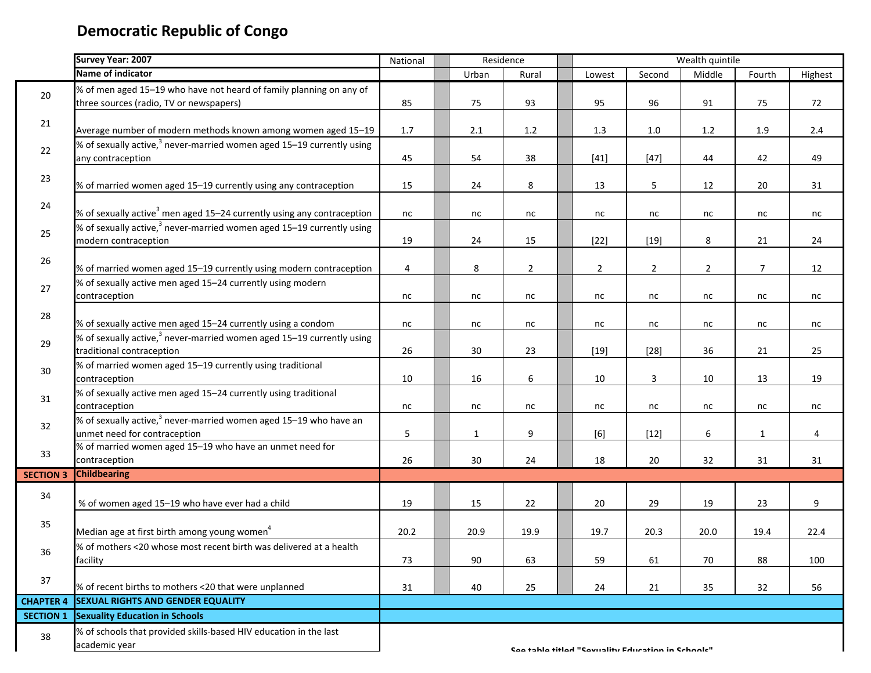|                  | <b>Survey Year: 2007</b>                                                           | National | Residence    |                | Wealth quintile |                                                   |                |                |                 |         |
|------------------|------------------------------------------------------------------------------------|----------|--------------|----------------|-----------------|---------------------------------------------------|----------------|----------------|-----------------|---------|
|                  | Name of indicator                                                                  |          | Urban        | Rural          |                 | Lowest                                            | Second         | Middle         | Fourth          | Highest |
|                  | % of men aged 15-19 who have not heard of family planning on any of                |          |              |                |                 |                                                   |                |                |                 |         |
| 20               | three sources (radio, TV or newspapers)                                            | 85       | 75           | 93             |                 | 95                                                | 96             | 91             | 75              | 72      |
|                  |                                                                                    |          |              |                |                 |                                                   |                |                |                 |         |
| 21               | Average number of modern methods known among women aged 15-19                      | 1.7      | 2.1          | $1.2\,$        |                 | 1.3                                               | 1.0            | 1.2            | 1.9             | $2.4\,$ |
|                  | % of sexually active, $3$ never-married women aged 15–19 currently using           |          |              |                |                 |                                                   |                |                |                 |         |
| 22               | any contraception                                                                  | 45       | 54           | 38             |                 | $[41]$                                            | $[47]$         | 44             | 42              | 49      |
|                  |                                                                                    |          |              |                |                 |                                                   |                |                |                 |         |
| 23               | % of married women aged 15-19 currently using any contraception                    | 15       | 24           | 8              |                 | 13                                                | 5              | 12             | 20              | 31      |
|                  |                                                                                    |          |              |                |                 |                                                   |                |                |                 |         |
| $24\,$           | % of sexually active <sup>3</sup> men aged 15–24 currently using any contraception | nc       | nc           | nc             |                 | nc                                                | nc             | nc             | nc              | nc      |
|                  | % of sexually active, $3$ never-married women aged 15–19 currently using           |          |              |                |                 |                                                   |                |                |                 |         |
| 25               | modern contraception                                                               | 19       | 24           | 15             |                 | $[22]$                                            | $[19]$         | 8              | 21              | 24      |
|                  |                                                                                    |          |              |                |                 |                                                   |                |                |                 |         |
| 26               | % of married women aged 15-19 currently using modern contraception                 | 4        | 8            | $\overline{2}$ |                 | $\overline{2}$                                    | $\overline{2}$ | $\overline{2}$ | $7\overline{ }$ | 12      |
|                  | % of sexually active men aged 15-24 currently using modern                         |          |              |                |                 |                                                   |                |                |                 |         |
| 27               | contraception                                                                      | nc       | nc           | nc             |                 | nc                                                | nc             | nc             | nc              | nc      |
|                  |                                                                                    |          |              |                |                 |                                                   |                |                |                 |         |
| 28               | % of sexually active men aged 15-24 currently using a condom                       |          |              |                |                 |                                                   |                |                |                 |         |
|                  | % of sexually active, $3$ never-married women aged 15–19 currently using           | nc       | nc           | nc             |                 | nc                                                | nc             | nc             | nc              | nc      |
| 29               |                                                                                    |          |              |                |                 |                                                   |                |                |                 |         |
|                  | traditional contraception                                                          | 26       | 30           | 23             |                 | $[19]$                                            | $[28]$         | 36             | 21              | 25      |
| 30               | % of married women aged 15-19 currently using traditional                          |          |              |                |                 |                                                   |                |                |                 |         |
|                  | contraception                                                                      | 10       | 16           | 6              |                 | 10                                                | 3              | 10             | 13              | 19      |
| 31               | % of sexually active men aged 15-24 currently using traditional                    |          |              |                |                 |                                                   |                |                |                 |         |
|                  | contraception                                                                      | nc       | nc           | nc             |                 | nc                                                | nc             | nc             | nc              | nc      |
| 32               | % of sexually active, <sup>3</sup> never-married women aged 15-19 who have an      |          |              |                |                 |                                                   |                |                |                 |         |
|                  | unmet need for contraception                                                       | 5        | $\mathbf{1}$ | 9              |                 | [6]                                               | $[12]$         | 6              | $\mathbf{1}$    | 4       |
| 33               | % of married women aged 15-19 who have an unmet need for                           |          |              |                |                 |                                                   |                |                |                 |         |
|                  | contraception                                                                      | 26       | 30           | 24             |                 | 18                                                | 20             | 32             | 31              | 31      |
| <b>SECTION 3</b> | <b>Childbearing</b>                                                                |          |              |                |                 |                                                   |                |                |                 |         |
| 34               |                                                                                    |          |              |                |                 |                                                   |                |                |                 |         |
|                  | % of women aged 15-19 who have ever had a child                                    | 19       | 15           | 22             |                 | 20                                                | 29             | 19             | 23              | 9       |
| 35               |                                                                                    |          |              |                |                 |                                                   |                |                |                 |         |
|                  | Median age at first birth among young women <sup>4</sup>                           | 20.2     | 20.9         | 19.9           |                 | 19.7                                              | 20.3           | 20.0           | 19.4            | 22.4    |
|                  | % of mothers <20 whose most recent birth was delivered at a health                 |          |              |                |                 |                                                   |                |                |                 |         |
| 36               | facility                                                                           | 73       | 90           | 63             |                 | 59                                                | 61             | 70             | 88              | 100     |
|                  |                                                                                    |          |              |                |                 |                                                   |                |                |                 |         |
| 37               | % of recent births to mothers <20 that were unplanned                              | 31       | 40           | 25             |                 | 24                                                | 21             | 35             | 32              | 56      |
| <b>CHAPTER 4</b> | <b>SEXUAL RIGHTS AND GENDER EQUALITY</b>                                           |          |              |                |                 |                                                   |                |                |                 |         |
| <b>SECTION 1</b> | <b>Sexuality Education in Schools</b>                                              |          |              |                |                 |                                                   |                |                |                 |         |
|                  | % of schools that provided skills-based HIV education in the last                  |          |              |                |                 |                                                   |                |                |                 |         |
| 38               |                                                                                    |          |              |                |                 |                                                   |                |                |                 |         |
|                  | academic year                                                                      |          |              |                |                 | Saa tahla titlad "Savuality Education in Schoole" |                |                |                 |         |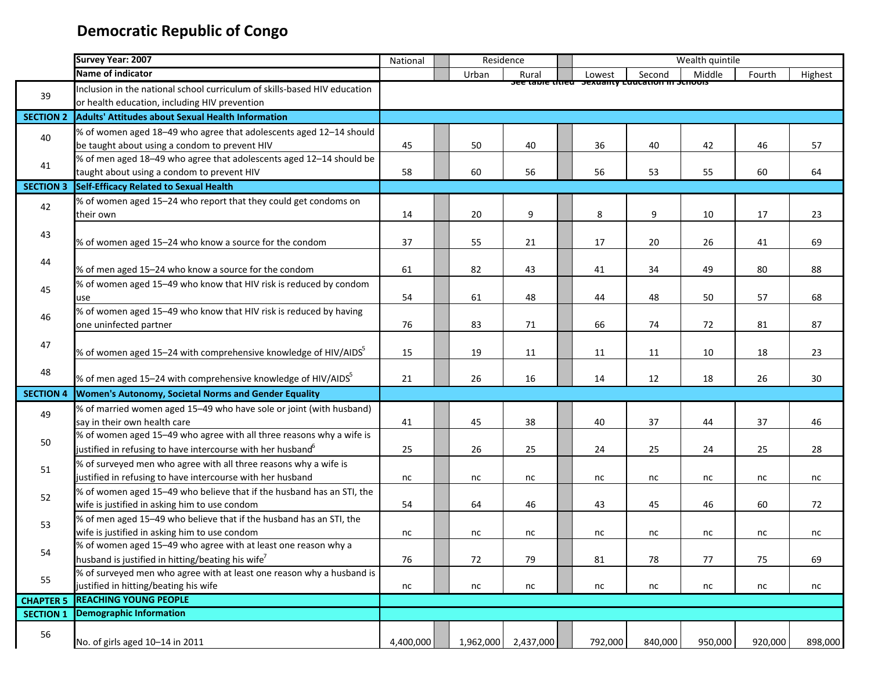|                  | Survey Year: 2007                                                                                                                      | National  | Residence |           | Wealth quintile |                                                              |         |         |         |  |
|------------------|----------------------------------------------------------------------------------------------------------------------------------------|-----------|-----------|-----------|-----------------|--------------------------------------------------------------|---------|---------|---------|--|
|                  | Name of indicator                                                                                                                      |           | Urban     | Rural     | Lowest          | Second                                                       | Middle  | Fourth  | Highest |  |
|                  | Inclusion in the national school curriculum of skills-based HIV education                                                              |           |           |           |                 | <del>see table titled - sexuality Euucation in schools</del> |         |         |         |  |
| 39               | or health education, including HIV prevention                                                                                          |           |           |           |                 |                                                              |         |         |         |  |
| <b>SECTION 2</b> | <b>Adults' Attitudes about Sexual Health Information</b>                                                                               |           |           |           |                 |                                                              |         |         |         |  |
| 40               | % of women aged 18-49 who agree that adolescents aged 12-14 should                                                                     |           |           |           |                 |                                                              |         |         |         |  |
|                  | be taught about using a condom to prevent HIV                                                                                          | 45        | 50        | 40        | 36              | 40                                                           | 42      | 46      | 57      |  |
|                  | % of men aged 18-49 who agree that adolescents aged 12-14 should be                                                                    |           |           |           |                 |                                                              |         |         |         |  |
| 41               | taught about using a condom to prevent HIV                                                                                             | 58        | 60        | 56        | 56              | 53                                                           | 55      | 60      | 64      |  |
| <b>SECTION 3</b> | <b>Self-Efficacy Related to Sexual Health</b>                                                                                          |           |           |           |                 |                                                              |         |         |         |  |
| 42               | % of women aged 15-24 who report that they could get condoms on                                                                        |           |           |           |                 |                                                              |         |         |         |  |
|                  | their own                                                                                                                              | 14        | 20        | 9         | 8               | 9                                                            | 10      | 17      | 23      |  |
|                  |                                                                                                                                        |           |           |           |                 |                                                              |         |         |         |  |
| 43               | % of women aged 15-24 who know a source for the condom                                                                                 | 37        | 55        | 21        | 17              | 20                                                           | 26      | 41      | 69      |  |
| 44               |                                                                                                                                        |           |           |           |                 |                                                              |         |         |         |  |
|                  | % of men aged 15-24 who know a source for the condom                                                                                   | 61        | 82        | 43        | 41              | 34                                                           | 49      | 80      | 88      |  |
| 45               | % of women aged 15-49 who know that HIV risk is reduced by condom                                                                      |           |           |           |                 |                                                              |         |         |         |  |
|                  | use                                                                                                                                    | 54        | 61        | 48        | 44              | 48                                                           | 50      | 57      | 68      |  |
| 46               | % of women aged 15-49 who know that HIV risk is reduced by having                                                                      |           |           |           |                 |                                                              |         |         |         |  |
|                  | one uninfected partner                                                                                                                 | 76        | 83        | 71        | 66              | 74                                                           | 72      | 81      | 87      |  |
| 47               |                                                                                                                                        |           |           |           |                 |                                                              |         |         |         |  |
|                  | % of women aged 15-24 with comprehensive knowledge of HIV/AIDS <sup>5</sup>                                                            | 15        | 19        | 11        | 11              | 11                                                           | 10      | 18      | 23      |  |
| 48               |                                                                                                                                        |           |           |           |                 |                                                              |         |         |         |  |
|                  | % of men aged 15-24 with comprehensive knowledge of HIV/AIDS <sup>5</sup>                                                              | 21        | 26        | 16        | 14              | 12                                                           | 18      | 26      | 30      |  |
| <b>SECTION 4</b> | <b>Women's Autonomy, Societal Norms and Gender Equality</b>                                                                            |           |           |           |                 |                                                              |         |         |         |  |
| 49               | % of married women aged 15-49 who have sole or joint (with husband)                                                                    |           |           |           |                 |                                                              |         |         |         |  |
|                  | say in their own health care                                                                                                           | 41        | 45        | 38        | 40              | 37                                                           | 44      | 37      | 46      |  |
| 50               | % of women aged 15-49 who agree with all three reasons why a wife is                                                                   |           |           |           |                 |                                                              |         |         |         |  |
|                  | justified in refusing to have intercourse with her husband <sup>o</sup>                                                                | 25        | 26        | 25        | 24              | 25                                                           | 24      | 25      | 28      |  |
| 51               | % of surveyed men who agree with all three reasons why a wife is                                                                       |           |           |           |                 |                                                              |         |         |         |  |
|                  | justified in refusing to have intercourse with her husband                                                                             | nc        | nc        | nc        | nc              | nc                                                           | nc      | nc      | nc      |  |
| 52               | % of women aged 15-49 who believe that if the husband has an STI, the                                                                  |           |           |           |                 |                                                              |         |         |         |  |
|                  | wife is justified in asking him to use condom                                                                                          | 54        | 64        | 46        | 43              | 45                                                           | 46      | 60      | 72      |  |
| 53               | % of men aged 15-49 who believe that if the husband has an STI, the                                                                    |           |           |           |                 |                                                              |         |         |         |  |
|                  | wife is justified in asking him to use condom                                                                                          | nc        | nc        | nc        | nc              | nc                                                           | nc      | nc      | nc      |  |
| 54               | % of women aged 15-49 who agree with at least one reason why a                                                                         |           |           |           |                 |                                                              |         |         |         |  |
|                  | husband is justified in hitting/beating his wife <sup>7</sup><br>% of surveyed men who agree with at least one reason why a husband is | 76        | 72        | 79        | 81              | 78                                                           | 77      | 75      | 69      |  |
| 55               | justified in hitting/beating his wife                                                                                                  |           |           |           |                 |                                                              |         |         |         |  |
|                  | <b>REACHING YOUNG PEOPLE</b>                                                                                                           | nc        | nc        | $\sf nc$  | nc              | nc                                                           | nc      | nc      | nc      |  |
| <b>CHAPTER 5</b> | <b>Demographic Information</b>                                                                                                         |           |           |           |                 |                                                              |         |         |         |  |
| <b>SECTION 1</b> |                                                                                                                                        |           |           |           |                 |                                                              |         |         |         |  |
| 56               |                                                                                                                                        |           |           |           |                 |                                                              |         |         |         |  |
|                  | No. of girls aged 10-14 in 2011                                                                                                        | 4,400,000 | 1,962,000 | 2,437,000 | 792,000         | 840,000                                                      | 950,000 | 920,000 | 898,000 |  |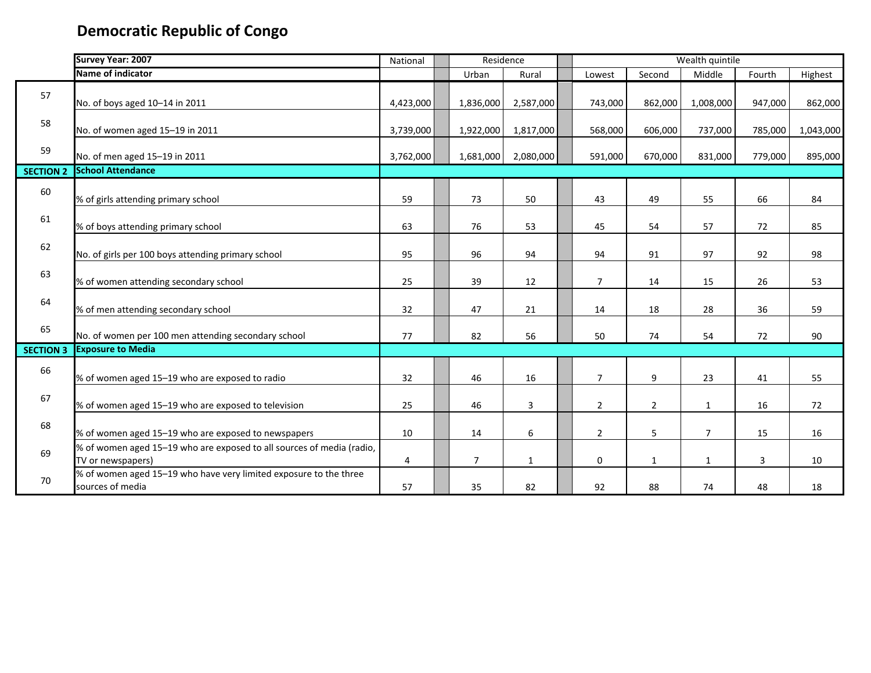|                  | Survey Year: 2007                                                                          | National       | Residence |                |                | Wealth quintile |                |                |         |           |
|------------------|--------------------------------------------------------------------------------------------|----------------|-----------|----------------|----------------|-----------------|----------------|----------------|---------|-----------|
|                  | Name of indicator                                                                          |                |           | Urban          | Rural          | Lowest          | Second         | Middle         | Fourth  | Highest   |
| 57               | No. of boys aged 10-14 in 2011                                                             | 4,423,000      |           | 1,836,000      | 2,587,000      | 743,000         | 862,000        | 1,008,000      | 947,000 | 862,000   |
| 58               | No. of women aged 15-19 in 2011                                                            | 3,739,000      |           | 1,922,000      | 1,817,000      | 568,000         | 606,000        | 737,000        | 785,000 | 1,043,000 |
| 59               | No. of men aged 15-19 in 2011                                                              | 3,762,000      |           | 1,681,000      | 2,080,000      | 591,000         | 670,000        | 831,000        | 779,000 | 895,000   |
| <b>SECTION 2</b> | <b>School Attendance</b>                                                                   |                |           |                |                |                 |                |                |         |           |
| 60               | % of girls attending primary school                                                        | 59             |           | 73             | 50             | 43              | 49             | 55             | 66      | 84        |
| 61               | % of boys attending primary school                                                         | 63             |           | 76             | 53             | 45              | 54             | 57             | 72      | 85        |
| 62               | No. of girls per 100 boys attending primary school                                         | 95             |           | 96             | 94             | 94              | 91             | 97             | 92      | 98        |
| 63               | % of women attending secondary school                                                      | 25             |           | 39             | 12             | $\overline{7}$  | 14             | 15             | 26      | 53        |
| 64               | % of men attending secondary school                                                        | 32             |           | 47             | 21             | 14              | 18             | 28             | 36      | 59        |
| 65               | No. of women per 100 men attending secondary school                                        | 77             |           | 82             | 56             | 50              | 74             | 54             | 72      | 90        |
| <b>SECTION 3</b> | <b>Exposure to Media</b>                                                                   |                |           |                |                |                 |                |                |         |           |
| 66               | % of women aged 15-19 who are exposed to radio                                             | 32             |           | 46             | 16             | $\overline{7}$  | 9              | 23             | 41      | 55        |
| 67               | % of women aged 15-19 who are exposed to television                                        | 25             |           | 46             | $\overline{3}$ | $\overline{2}$  | $\overline{2}$ | $\mathbf{1}$   | 16      | 72        |
| 68               | % of women aged 15-19 who are exposed to newspapers                                        | 10             |           | 14             | 6              | $\overline{2}$  | 5              | $\overline{7}$ | 15      | 16        |
| 69               | % of women aged 15-19 who are exposed to all sources of media (radio,<br>TV or newspapers) | $\overline{4}$ |           | $\overline{7}$ | $\mathbf{1}$   | $\mathbf 0$     | $\mathbf{1}$   | $\mathbf{1}$   | 3       | 10        |
| 70               | % of women aged 15-19 who have very limited exposure to the three<br>sources of media      | 57             |           | 35             | 82             | 92              | 88             | 74             | 48      | 18        |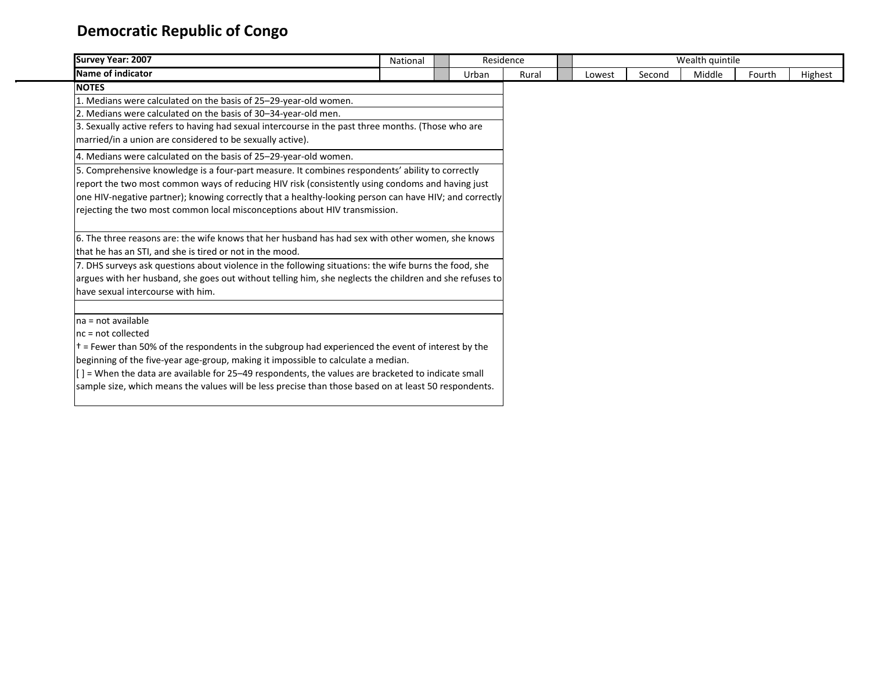| Survey Year: 2007                                                                                               | National                                                                                         |  | Residence |       |  |        |        | Wealth quintile |        |         |
|-----------------------------------------------------------------------------------------------------------------|--------------------------------------------------------------------------------------------------|--|-----------|-------|--|--------|--------|-----------------|--------|---------|
| Name of indicator                                                                                               |                                                                                                  |  | Urban     | Rural |  | Lowest | Second | Middle          | Fourth | Highest |
| <b>NOTES</b>                                                                                                    |                                                                                                  |  |           |       |  |        |        |                 |        |         |
| 1. Medians were calculated on the basis of 25–29-year-old women.                                                |                                                                                                  |  |           |       |  |        |        |                 |        |         |
| 2. Medians were calculated on the basis of 30–34-year-old men.                                                  |                                                                                                  |  |           |       |  |        |        |                 |        |         |
| 3. Sexually active refers to having had sexual intercourse in the past three months. (Those who are             |                                                                                                  |  |           |       |  |        |        |                 |        |         |
| married/in a union are considered to be sexually active).                                                       |                                                                                                  |  |           |       |  |        |        |                 |        |         |
| 4. Medians were calculated on the basis of 25–29-year-old women.                                                |                                                                                                  |  |           |       |  |        |        |                 |        |         |
| 5. Comprehensive knowledge is a four-part measure. It combines respondents' ability to correctly                |                                                                                                  |  |           |       |  |        |        |                 |        |         |
|                                                                                                                 | report the two most common ways of reducing HIV risk (consistently using condoms and having just |  |           |       |  |        |        |                 |        |         |
| one HIV-negative partner); knowing correctly that a healthy-looking person can have HIV; and correctly          |                                                                                                  |  |           |       |  |        |        |                 |        |         |
| rejecting the two most common local misconceptions about HIV transmission.                                      |                                                                                                  |  |           |       |  |        |        |                 |        |         |
|                                                                                                                 |                                                                                                  |  |           |       |  |        |        |                 |        |         |
| 6. The three reasons are: the wife knows that her husband has had sex with other women, she knows               |                                                                                                  |  |           |       |  |        |        |                 |        |         |
| that he has an STI, and she is tired or not in the mood.                                                        |                                                                                                  |  |           |       |  |        |        |                 |        |         |
| 7. DHS surveys ask questions about violence in the following situations: the wife burns the food, she           |                                                                                                  |  |           |       |  |        |        |                 |        |         |
| argues with her husband, she goes out without telling him, she neglects the children and she refuses to         |                                                                                                  |  |           |       |  |        |        |                 |        |         |
| have sexual intercourse with him.                                                                               |                                                                                                  |  |           |       |  |        |        |                 |        |         |
|                                                                                                                 |                                                                                                  |  |           |       |  |        |        |                 |        |         |
| $na = not available$                                                                                            |                                                                                                  |  |           |       |  |        |        |                 |        |         |
| $nc = not collected$                                                                                            |                                                                                                  |  |           |       |  |        |        |                 |        |         |
| $\pm$ = Fewer than 50% of the respondents in the subgroup had experienced the event of interest by the          |                                                                                                  |  |           |       |  |        |        |                 |        |         |
| beginning of the five-year age-group, making it impossible to calculate a median.                               |                                                                                                  |  |           |       |  |        |        |                 |        |         |
| $\left[\right]$ = When the data are available for 25–49 respondents, the values are bracketed to indicate small |                                                                                                  |  |           |       |  |        |        |                 |        |         |
| sample size, which means the values will be less precise than those based on at least 50 respondents.           |                                                                                                  |  |           |       |  |        |        |                 |        |         |
|                                                                                                                 |                                                                                                  |  |           |       |  |        |        |                 |        |         |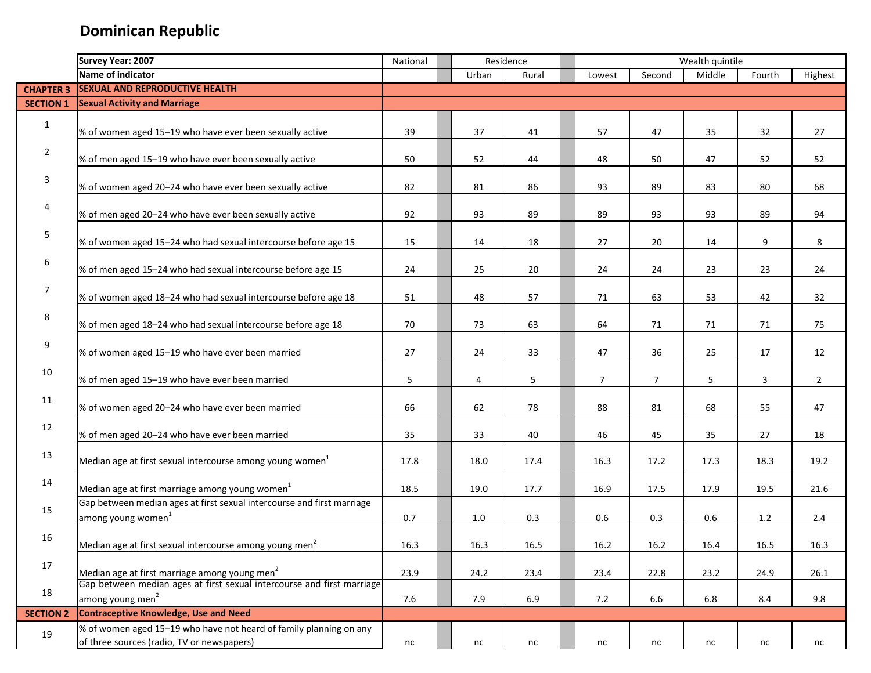|                  | Survey Year: 2007                                                      | National |         | Residence |                |                | Wealth quintile |          |                |
|------------------|------------------------------------------------------------------------|----------|---------|-----------|----------------|----------------|-----------------|----------|----------------|
|                  | Name of indicator                                                      |          | Urban   | Rural     | Lowest         | Second         | Middle          | Fourth   | Highest        |
| <b>CHAPTER 3</b> | <b>SEXUAL AND REPRODUCTIVE HEALTH</b>                                  |          |         |           |                |                |                 |          |                |
| <b>SECTION 1</b> | <b>Sexual Activity and Marriage</b>                                    |          |         |           |                |                |                 |          |                |
| $\mathbf{1}$     |                                                                        |          |         |           |                |                |                 |          |                |
|                  | % of women aged 15-19 who have ever been sexually active               | 39       | 37      | 41        | 57             | 47             | 35              | 32       | 27             |
| $\overline{2}$   |                                                                        |          |         |           |                |                |                 |          |                |
|                  | % of men aged 15-19 who have ever been sexually active                 | 50       | 52      | 44        | 48             | 50             | 47              | 52       | 52             |
| 3                |                                                                        |          |         |           |                |                |                 |          |                |
|                  | % of women aged 20-24 who have ever been sexually active               | 82       | 81      | 86        | 93             | 89             | 83              | 80       | 68             |
| 4                |                                                                        |          |         |           |                |                |                 |          |                |
|                  | % of men aged 20-24 who have ever been sexually active                 | 92       | 93      | 89        | 89             | 93             | 93              | 89       | 94             |
| 5                |                                                                        | 15       | 14      |           | 27             | 20             | 14              | 9        | 8              |
|                  | % of women aged 15-24 who had sexual intercourse before age 15         |          |         | 18        |                |                |                 |          |                |
| 6                | % of men aged 15-24 who had sexual intercourse before age 15           | 24       | 25      | 20        | 24             | 24             | 23              | 23       | 24             |
|                  |                                                                        |          |         |           |                |                |                 |          |                |
| $\overline{7}$   | % of women aged 18-24 who had sexual intercourse before age 18         | 51       | 48      | 57        | 71             | 63             | 53              | 42       | 32             |
|                  |                                                                        |          |         |           |                |                |                 |          |                |
| 8                | % of men aged 18-24 who had sexual intercourse before age 18           | 70       | 73      | 63        | 64             | 71             | 71              | 71       | 75             |
| 9                |                                                                        |          |         |           |                |                |                 |          |                |
|                  | % of women aged 15-19 who have ever been married                       | 27       | 24      | 33        | 47             | 36             | 25              | 17       | 12             |
| 10               |                                                                        |          |         |           |                |                |                 |          |                |
|                  | % of men aged 15-19 who have ever been married                         | 5        | 4       | 5         | $\overline{7}$ | $\overline{7}$ | 5               | 3        | $\overline{2}$ |
| 11               |                                                                        |          |         |           |                |                |                 |          |                |
|                  | % of women aged 20-24 who have ever been married                       | 66       | 62      | 78        | 88             | 81             | 68              | 55       | 47             |
| 12               |                                                                        |          |         |           |                |                |                 |          |                |
|                  | % of men aged 20-24 who have ever been married                         | 35       | 33      | 40        | 46             | 45             | 35              | 27       | 18             |
| 13               | Median age at first sexual intercourse among young women <sup>1</sup>  | 17.8     | 18.0    | 17.4      | 16.3           | 17.2           | 17.3            | 18.3     | 19.2           |
|                  |                                                                        |          |         |           |                |                |                 |          |                |
| 14               | Median age at first marriage among young women <sup>1</sup>            | 18.5     | 19.0    | 17.7      | 16.9           | 17.5           | 17.9            | 19.5     | 21.6           |
|                  | Gap between median ages at first sexual intercourse and first marriage |          |         |           |                |                |                 |          |                |
| 15               | among young women <sup>1</sup>                                         | 0.7      | $1.0\,$ | 0.3       | 0.6            | 0.3            | 0.6             | $1.2$    | 2.4            |
|                  |                                                                        |          |         |           |                |                |                 |          |                |
| 16               | Median age at first sexual intercourse among young men <sup>2</sup>    | 16.3     | 16.3    | 16.5      | 16.2           | 16.2           | 16.4            | $16.5\,$ | 16.3           |
| 17               |                                                                        |          |         |           |                |                |                 |          |                |
|                  | Median age at first marriage among young men <sup>2</sup>              | 23.9     | 24.2    | 23.4      | 23.4           | 22.8           | 23.2            | 24.9     | 26.1           |
| 18               | Gap between median ages at first sexual intercourse and first marriage |          |         |           |                |                |                 |          |                |
|                  | among young men <sup>2</sup>                                           | 7.6      | 7.9     | 6.9       | 7.2            | 6.6            | 6.8             | 8.4      | 9.8            |
| <b>SECTION 2</b> | <b>Contraceptive Knowledge, Use and Need</b>                           |          |         |           |                |                |                 |          |                |
| 19               | % of women aged 15-19 who have not heard of family planning on any     |          |         |           |                |                |                 |          |                |
|                  | of three sources (radio, TV or newspapers)                             | nc       | nc      | nc        | nc             | nc             | nc              | nc       | nc             |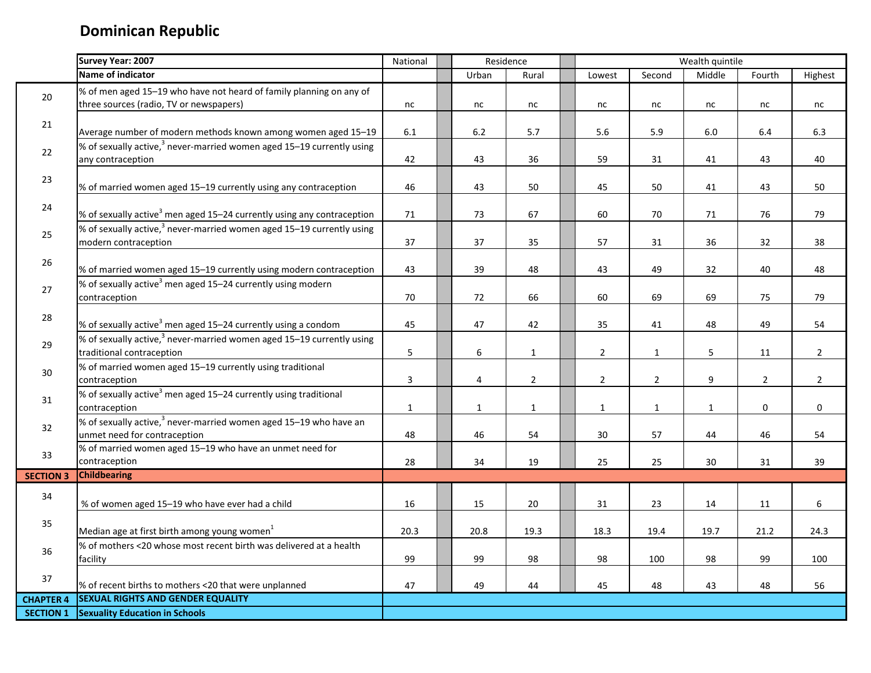|                  | Survey Year: 2007                                                                             | National       |             | Residence      |                |                | Wealth quintile |                |                |
|------------------|-----------------------------------------------------------------------------------------------|----------------|-------------|----------------|----------------|----------------|-----------------|----------------|----------------|
|                  | Name of indicator                                                                             |                | Urban       | Rural          | Lowest         | Second         | Middle          | Fourth         | Highest        |
| 20               | % of men aged 15-19 who have not heard of family planning on any of                           |                |             |                |                |                |                 |                |                |
|                  | three sources (radio, TV or newspapers)                                                       | nc             | nc          | nc             | nc             | nc             | nc              | nc             | nc             |
| 21               | Average number of modern methods known among women aged 15-19                                 | $6.1\,$        | 6.2         | 5.7            | 5.6            | 5.9            | 6.0             | $6.4\,$        | 6.3            |
| 22               | % of sexually active, $3$ never-married women aged 15–19 currently using                      |                |             |                |                |                |                 |                |                |
|                  | any contraception                                                                             | 42             | 43          | 36             | 59             | 31             | 41              | 43             | 40             |
| 23               | % of married women aged 15-19 currently using any contraception                               | 46             | 43          | 50             | 45             | 50             | 41              | 43             | 50             |
| 24               | % of sexually active <sup>3</sup> men aged 15-24 currently using any contraception            | 71             | 73          | 67             | 60             | 70             | 71              | 76             | 79             |
| 25               | % of sexually active, $3$ never-married women aged 15–19 currently using                      |                |             |                |                |                |                 |                |                |
|                  | modern contraception                                                                          | 37             | 37          | 35             | 57             | 31             | 36              | 32             | 38             |
| 26               | % of married women aged 15-19 currently using modern contraception                            | 43             | 39          | 48             | 43             | 49             | 32              | 40             | 48             |
| 27               | % of sexually active <sup>3</sup> men aged 15-24 currently using modern                       |                |             |                |                |                |                 |                |                |
|                  | contraception                                                                                 | 70             | 72          | 66             | 60             | 69             | 69              | 75             | 79             |
| 28               | % of sexually active <sup>3</sup> men aged 15-24 currently using a condom                     | 45             | 47          | 42             | 35             | 41             | 48              | 49             | 54             |
| 29               | % of sexually active, <sup>3</sup> never-married women aged 15-19 currently using             |                |             |                |                |                |                 |                |                |
|                  | traditional contraception                                                                     | 5              | 6           | $\mathbf{1}$   | $\overline{2}$ | $\mathbf{1}$   | 5               | 11             | $\overline{2}$ |
| 30               | % of married women aged 15-19 currently using traditional<br>contraception                    | $\overline{3}$ | 4           | $\overline{2}$ | $\overline{2}$ | $\overline{2}$ | 9               | $\overline{2}$ | $\overline{2}$ |
| 31               | % of sexually active <sup>3</sup> men aged 15-24 currently using traditional<br>contraception | $\mathbf{1}$   | $\mathbf 1$ | $\mathbf{1}$   | $\mathbf{1}$   | $\mathbf{1}$   | $\mathbf{1}$    | $\pmb{0}$      | $\mathbf 0$    |
| 32               | % of sexually active, <sup>3</sup> never-married women aged 15-19 who have an                 |                |             |                |                |                |                 |                |                |
|                  | unmet need for contraception                                                                  | 48             | 46          | 54             | 30             | 57             | 44              | 46             | 54             |
| 33               | % of married women aged 15-19 who have an unmet need for                                      |                |             |                |                |                |                 |                |                |
|                  | contraception                                                                                 | 28             | 34          | 19             | 25             | 25             | 30              | 31             | 39             |
| <b>SECTION 3</b> | <b>Childbearing</b>                                                                           |                |             |                |                |                |                 |                |                |
| 34               | % of women aged 15-19 who have ever had a child                                               | 16             | 15          | 20             | 31             | 23             | 14              | 11             | 6              |
| 35               | Median age at first birth among young women <sup>1</sup>                                      | 20.3           | 20.8        | 19.3           | 18.3           | 19.4           | 19.7            | 21.2           | 24.3           |
| 36               | % of mothers <20 whose most recent birth was delivered at a health                            |                |             |                |                |                |                 |                |                |
|                  | facility                                                                                      | 99             | 99          | 98             | 98             | 100            | 98              | 99             | 100            |
| 37               | % of recent births to mothers <20 that were unplanned                                         | 47             | 49          | 44             | 45             | 48             | 43              | 48             | 56             |
| <b>CHAPTER 4</b> | <b>SEXUAL RIGHTS AND GENDER EQUALITY</b>                                                      |                |             |                |                |                |                 |                |                |
| <b>SECTION 1</b> | <b>Sexuality Education in Schools</b>                                                         |                |             |                |                |                |                 |                |                |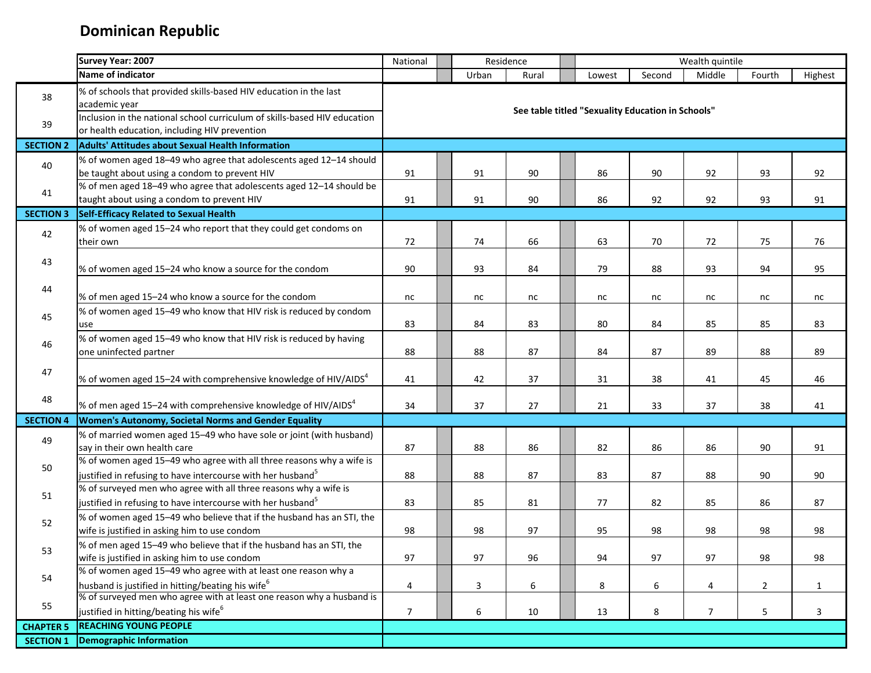|                  | Survey Year: 2007                                                                                                                               | National       | Residence |       |                                                   |        | Wealth quintile |                |              |
|------------------|-------------------------------------------------------------------------------------------------------------------------------------------------|----------------|-----------|-------|---------------------------------------------------|--------|-----------------|----------------|--------------|
|                  | Name of indicator                                                                                                                               |                | Urban     | Rural | Lowest                                            | Second | Middle          | Fourth         | Highest      |
| 38               | % of schools that provided skills-based HIV education in the last<br>academic year                                                              |                |           |       | See table titled "Sexuality Education in Schools" |        |                 |                |              |
| 39               | Inclusion in the national school curriculum of skills-based HIV education<br>or health education, including HIV prevention                      |                |           |       |                                                   |        |                 |                |              |
| <b>SECTION 2</b> | <b>Adults' Attitudes about Sexual Health Information</b>                                                                                        |                |           |       |                                                   |        |                 |                |              |
| 40               | % of women aged 18-49 who agree that adolescents aged 12-14 should<br>be taught about using a condom to prevent HIV                             | 91             | 91        | 90    | 86                                                | 90     | 92              | 93             | 92           |
| 41               | % of men aged 18-49 who agree that adolescents aged 12-14 should be<br>taught about using a condom to prevent HIV                               | 91             | 91        | 90    | 86                                                | 92     | 92              | 93             | 91           |
| <b>SECTION 3</b> | Self-Efficacy Related to Sexual Health                                                                                                          |                |           |       |                                                   |        |                 |                |              |
| 42               | % of women aged 15-24 who report that they could get condoms on<br>their own                                                                    | 72             | 74        | 66    | 63                                                | 70     | 72              | 75             | 76           |
| 43               | % of women aged 15-24 who know a source for the condom                                                                                          | 90             | 93        | 84    | 79                                                | 88     | 93              | 94             | 95           |
| 44               | % of men aged 15-24 who know a source for the condom                                                                                            | nc             | nc        | nc    | nc                                                | nc     | nc              | nc             | nc           |
| 45               | % of women aged 15-49 who know that HIV risk is reduced by condom<br>use                                                                        | 83             | 84        | 83    | 80                                                | 84     | 85              | 85             | 83           |
| 46               | % of women aged 15-49 who know that HIV risk is reduced by having<br>one uninfected partner                                                     | 88             | 88        | 87    | 84                                                | 87     | 89              | 88             | 89           |
| 47               | % of women aged 15–24 with comprehensive knowledge of HIV/AIDS <sup>4</sup>                                                                     | 41             | 42        | 37    | 31                                                | 38     | 41              | 45             | 46           |
| 48               | % of men aged 15–24 with comprehensive knowledge of HIV/AIDS $4$                                                                                | 34             | 37        | 27    | 21                                                | 33     | 37              | 38             | 41           |
| <b>SECTION 4</b> | Women's Autonomy, Societal Norms and Gender Equality                                                                                            |                |           |       |                                                   |        |                 |                |              |
| 49               | % of married women aged 15-49 who have sole or joint (with husband)<br>say in their own health care                                             | 87             | 88        | 86    | 82                                                | 86     | 86              | 90             | 91           |
| 50               | % of women aged 15-49 who agree with all three reasons why a wife is<br>justified in refusing to have intercourse with her husband <sup>5</sup> | 88             | 88        | 87    | 83                                                | 87     | 88              | 90             | 90           |
| 51               | % of surveyed men who agree with all three reasons why a wife is<br>justified in refusing to have intercourse with her husband <sup>5</sup>     | 83             | 85        | 81    | 77                                                | 82     | 85              | 86             | 87           |
| 52               | % of women aged 15-49 who believe that if the husband has an STI, the<br>wife is justified in asking him to use condom                          | 98             | 98        | 97    | 95                                                | 98     | 98              | 98             | 98           |
| 53               | % of men aged 15-49 who believe that if the husband has an STI, the<br>wife is justified in asking him to use condom                            | 97             | 97        | 96    | 94                                                | 97     | 97              | 98             | 98           |
| 54               | % of women aged 15-49 who agree with at least one reason why a<br>husband is justified in hitting/beating his wife <sup>6</sup>                 | 4              | 3         | 6     | 8                                                 | 6      | 4               | $\overline{2}$ | $\mathbf{1}$ |
| 55               | % of surveyed men who agree with at least one reason why a husband is<br>justified in hitting/beating his wife <sup>6</sup>                     | $\overline{7}$ | 6         | 10    | 13                                                | 8      | 7               | 5              | 3            |
| <b>CHAPTER 5</b> | <b>REACHING YOUNG PEOPLE</b>                                                                                                                    |                |           |       |                                                   |        |                 |                |              |
| <b>SECTION 1</b> | <b>Demographic Information</b>                                                                                                                  |                |           |       |                                                   |        |                 |                |              |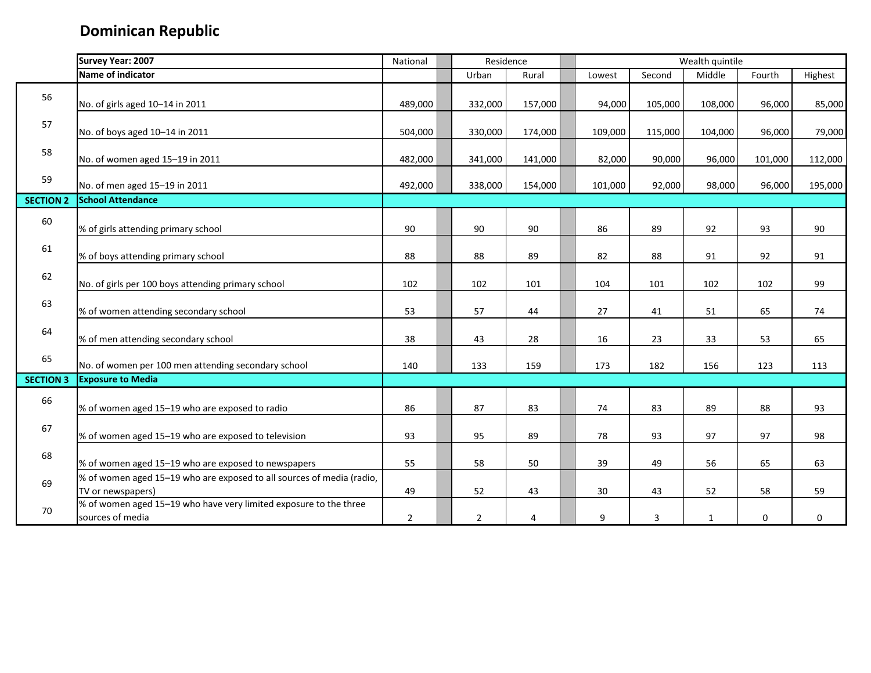|                  | Survey Year: 2007                                                                          | National       |                | Residence |         |         | Wealth quintile |             |         |
|------------------|--------------------------------------------------------------------------------------------|----------------|----------------|-----------|---------|---------|-----------------|-------------|---------|
|                  | Name of indicator                                                                          |                | Urban          | Rural     | Lowest  | Second  | Middle          | Fourth      | Highest |
| 56               | No. of girls aged 10-14 in 2011                                                            | 489,000        | 332,000        | 157,000   | 94,000  | 105,000 | 108,000         | 96,000      | 85,000  |
| 57               | No. of boys aged 10-14 in 2011                                                             | 504,000        | 330,000        | 174,000   | 109,000 | 115,000 | 104,000         | 96,000      | 79,000  |
| 58               | No. of women aged 15-19 in 2011                                                            | 482,000        | 341,000        | 141,000   | 82,000  | 90,000  | 96,000          | 101,000     | 112,000 |
| 59               | No. of men aged 15-19 in 2011                                                              | 492,000        | 338,000        | 154,000   | 101,000 | 92,000  | 98,000          | 96,000      | 195,000 |
| <b>SECTION 2</b> | <b>School Attendance</b>                                                                   |                |                |           |         |         |                 |             |         |
| 60               | % of girls attending primary school                                                        | 90             | 90             | 90        | 86      | 89      | 92              | 93          | 90      |
| 61               | % of boys attending primary school                                                         | 88             | 88             | 89        | 82      | 88      | 91              | 92          | 91      |
| 62               | No. of girls per 100 boys attending primary school                                         | 102            | 102            | 101       | 104     | 101     | 102             | 102         | 99      |
| 63               | % of women attending secondary school                                                      | 53             | 57             | 44        | 27      | 41      | 51              | 65          | 74      |
| 64               | % of men attending secondary school                                                        | 38             | 43             | 28        | 16      | 23      | 33              | 53          | 65      |
| 65               | No. of women per 100 men attending secondary school                                        | 140            | 133            | 159       | 173     | 182     | 156             | 123         | 113     |
| <b>SECTION 3</b> | <b>Exposure to Media</b>                                                                   |                |                |           |         |         |                 |             |         |
| 66               | % of women aged 15-19 who are exposed to radio                                             | 86             | 87             | 83        | 74      | 83      | 89              | 88          | 93      |
| 67               | % of women aged 15-19 who are exposed to television                                        | 93             | 95             | 89        | 78      | 93      | 97              | 97          | 98      |
| 68               | % of women aged 15-19 who are exposed to newspapers                                        | 55             | 58             | 50        | 39      | 49      | 56              | 65          | 63      |
| 69               | % of women aged 15-19 who are exposed to all sources of media (radio,<br>TV or newspapers) | 49             | 52             | 43        | 30      | 43      | 52              | 58          | 59      |
| 70               | % of women aged 15-19 who have very limited exposure to the three<br>sources of media      | $\overline{2}$ | $\overline{2}$ | 4         | 9       | 3       | $\mathbf{1}$    | $\mathbf 0$ | 0       |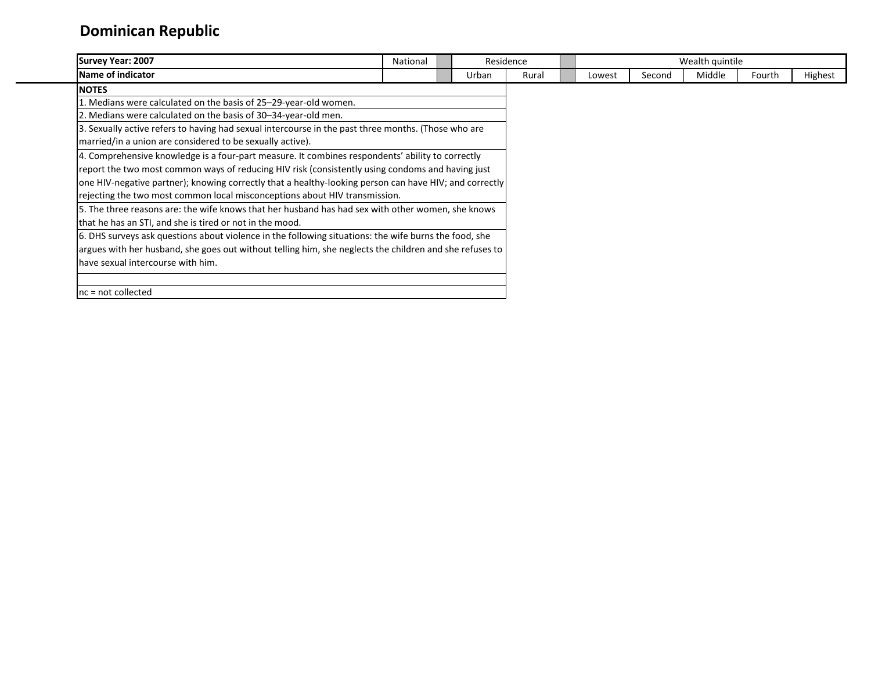| <b>Survey Year: 2007</b>                                                                                | National |  |       | Residence |        |        | Wealth quintile |        |         |
|---------------------------------------------------------------------------------------------------------|----------|--|-------|-----------|--------|--------|-----------------|--------|---------|
| Name of indicator                                                                                       |          |  | Urban | Rural     | Lowest | Second | Middle          | Fourth | Highest |
| <b>NOTES</b>                                                                                            |          |  |       |           |        |        |                 |        |         |
| 1. Medians were calculated on the basis of 25–29-year-old women.                                        |          |  |       |           |        |        |                 |        |         |
| 2. Medians were calculated on the basis of 30-34-year-old men.                                          |          |  |       |           |        |        |                 |        |         |
| 3. Sexually active refers to having had sexual intercourse in the past three months. (Those who are     |          |  |       |           |        |        |                 |        |         |
| married/in a union are considered to be sexually active).                                               |          |  |       |           |        |        |                 |        |         |
| 4. Comprehensive knowledge is a four-part measure. It combines respondents' ability to correctly        |          |  |       |           |        |        |                 |        |         |
| report the two most common ways of reducing HIV risk (consistently using condoms and having just        |          |  |       |           |        |        |                 |        |         |
| one HIV-negative partner); knowing correctly that a healthy-looking person can have HIV; and correctly  |          |  |       |           |        |        |                 |        |         |
| rejecting the two most common local misconceptions about HIV transmission.                              |          |  |       |           |        |        |                 |        |         |
| 5. The three reasons are: the wife knows that her husband has had sex with other women, she knows       |          |  |       |           |        |        |                 |        |         |
| that he has an STI, and she is tired or not in the mood.                                                |          |  |       |           |        |        |                 |        |         |
| 6. DHS surveys ask questions about violence in the following situations: the wife burns the food, she   |          |  |       |           |        |        |                 |        |         |
| argues with her husband, she goes out without telling him, she neglects the children and she refuses to |          |  |       |           |        |        |                 |        |         |
| have sexual intercourse with him.                                                                       |          |  |       |           |        |        |                 |        |         |
|                                                                                                         |          |  |       |           |        |        |                 |        |         |
| $nc = not collected$                                                                                    |          |  |       |           |        |        |                 |        |         |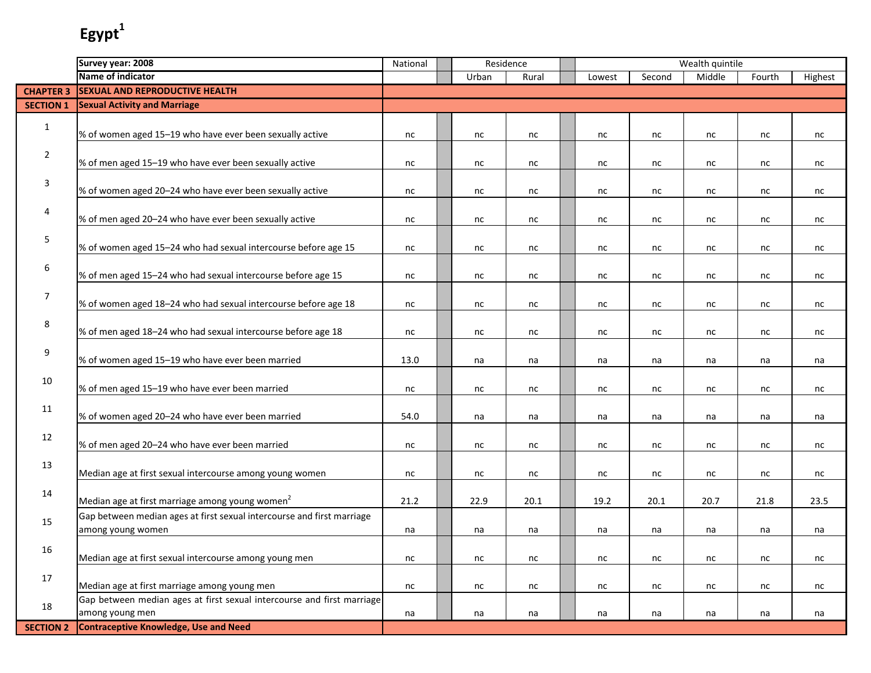|                  | Survey year: 2008                                                      | National | Residence |       |        |          | Wealth quintile |        |         |
|------------------|------------------------------------------------------------------------|----------|-----------|-------|--------|----------|-----------------|--------|---------|
|                  | Name of indicator                                                      |          | Urban     | Rural | Lowest | Second   | Middle          | Fourth | Highest |
| <b>CHAPTER 3</b> | <b>SEXUAL AND REPRODUCTIVE HEALTH</b>                                  |          |           |       |        |          |                 |        |         |
| <b>SECTION 1</b> | <b>Sexual Activity and Marriage</b>                                    |          |           |       |        |          |                 |        |         |
|                  |                                                                        |          |           |       |        |          |                 |        |         |
| $\mathbf{1}$     | % of women aged 15-19 who have ever been sexually active               | nc       | nc        | nc    | nc     | nc       | nc              | nc     | nc      |
|                  |                                                                        |          |           |       |        |          |                 |        |         |
| $\overline{2}$   | % of men aged 15-19 who have ever been sexually active                 | nc       | nc        | nc    | nc     | nc       | nc              | nc     | nc      |
|                  |                                                                        |          |           |       |        |          |                 |        |         |
| 3                | % of women aged 20-24 who have ever been sexually active               | nc       | nc        | nc    | nc     | nc       | nc              | nc     | nc      |
|                  |                                                                        |          |           |       |        |          |                 |        |         |
| 4                | % of men aged 20-24 who have ever been sexually active                 |          |           |       |        |          |                 |        |         |
|                  |                                                                        | nc       | nc        | nc    | nc     | nc       | nc              | nc     | nc      |
| 5                |                                                                        |          |           |       |        |          |                 |        |         |
|                  | % of women aged 15-24 who had sexual intercourse before age 15         | nc       | nc        | nc    | nc     | nc       | nc              | nc     | nc      |
| 6                |                                                                        |          |           |       |        |          |                 |        |         |
|                  | % of men aged 15-24 who had sexual intercourse before age 15           | nc       | nc        | nc    | nc     | nc       | nc              | nc     | nc      |
| $\overline{7}$   |                                                                        |          |           |       |        |          |                 |        |         |
|                  | % of women aged 18-24 who had sexual intercourse before age 18         | nc       | nc        | nc    | nc     | nc       | nc              | nc     | nc      |
| 8                |                                                                        |          |           |       |        |          |                 |        |         |
|                  | % of men aged 18-24 who had sexual intercourse before age 18           | nc       | nc        | nc    | nc     | nc       | nc              | nc     | nc      |
| 9                |                                                                        |          |           |       |        |          |                 |        |         |
|                  | % of women aged 15-19 who have ever been married                       | 13.0     | na        | na    | na     | na       | na              | na     | na      |
| 10               |                                                                        |          |           |       |        |          |                 |        |         |
|                  | % of men aged 15-19 who have ever been married                         | nc       | nc        | nc    | nc     | nc       | nc              | nc     | nc      |
| 11               |                                                                        |          |           |       |        |          |                 |        |         |
|                  | % of women aged 20-24 who have ever been married                       | 54.0     | na        | na    | na     | na       | na              | na     | na      |
| 12               |                                                                        |          |           |       |        |          |                 |        |         |
|                  | % of men aged 20-24 who have ever been married                         | nc       | nc        | nc    | nc     | nc       | nc              | nc     | nc      |
| 13               |                                                                        |          |           |       |        |          |                 |        |         |
|                  | Median age at first sexual intercourse among young women               | nc       | nc        | nc    | nc     | nc       | nc              | nc     | nc      |
| 14               |                                                                        |          |           |       |        |          |                 |        |         |
|                  | Median age at first marriage among young women <sup>2</sup>            | 21.2     | 22.9      | 20.1  | 19.2   | 20.1     | 20.7            | 21.8   | 23.5    |
|                  | Gap between median ages at first sexual intercourse and first marriage |          |           |       |        |          |                 |        |         |
| 15               | among young women                                                      | na       | na        | na    | na     | na       | na              | na     | na      |
|                  |                                                                        |          |           |       |        |          |                 |        |         |
| 16               | Median age at first sexual intercourse among young men                 | $\sf nc$ | $\sf nc$  | nc    | nc     | $\sf nc$ | nc              | nc     | nc      |
|                  |                                                                        |          |           |       |        |          |                 |        |         |
| 17               | Median age at first marriage among young men                           | nc       | nc        | nc    | nc     | nc       | nc              | nc     | nc      |
|                  | Gap between median ages at first sexual intercourse and first marriage |          |           |       |        |          |                 |        |         |
| 18               | among young men                                                        | na       | na        | na    | na     | na       | na              | na     | na      |
| <b>SECTION 2</b> | <b>Contraceptive Knowledge, Use and Need</b>                           |          |           |       |        |          |                 |        |         |
|                  |                                                                        |          |           |       |        |          |                 |        |         |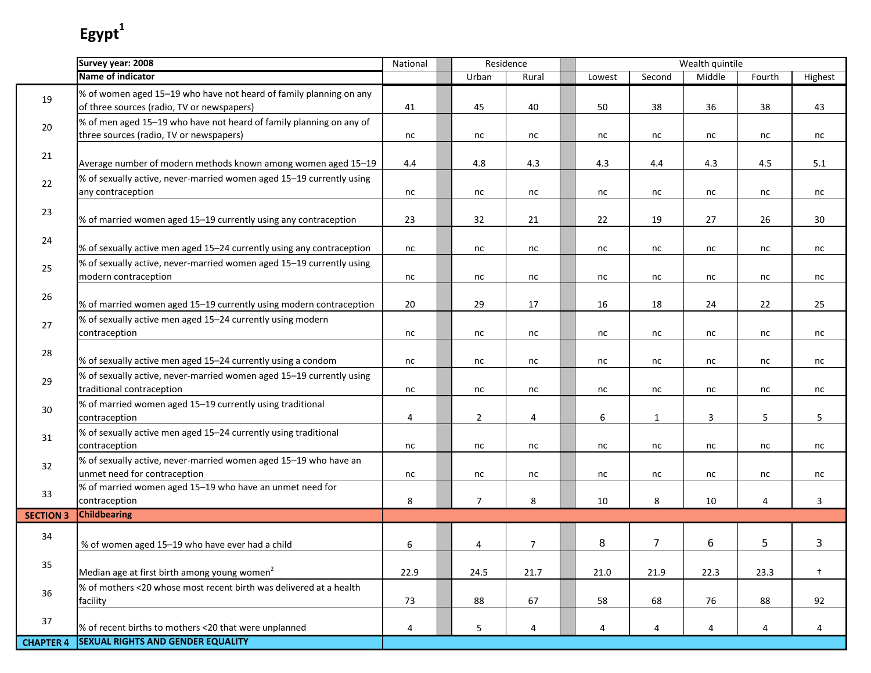I.

|                  | Survey year: 2008                                                                                                | National | Residence      |                |        |                | Wealth quintile |        |                 |
|------------------|------------------------------------------------------------------------------------------------------------------|----------|----------------|----------------|--------|----------------|-----------------|--------|-----------------|
|                  | Name of indicator                                                                                                |          | Urban          | Rural          | Lowest | Second         | Middle          | Fourth | Highest         |
| 19               | % of women aged 15-19 who have not heard of family planning on any<br>of three sources (radio, TV or newspapers) | 41       | 45             | 40             | 50     | 38             | 36              | 38     | 43              |
| 20               | % of men aged 15-19 who have not heard of family planning on any of<br>three sources (radio, TV or newspapers)   | nc       | nc             | nc             | nc     | nc             | nc              | nc     | nc              |
| 21               | Average number of modern methods known among women aged 15-19                                                    | 4.4      | 4.8            | 4.3            | 4.3    | 4.4            | 4.3             | 4.5    | 5.1             |
| 22               | % of sexually active, never-married women aged 15-19 currently using<br>any contraception                        | nc       | nc             | nc             | nc     | nc             | nc              | nc     | nc              |
| 23               | % of married women aged 15-19 currently using any contraception                                                  | 23       | 32             | 21             | 22     | 19             | 27              | 26     | 30 <sup>°</sup> |
| 24               | % of sexually active men aged 15-24 currently using any contraception                                            | nc       | nc             | nc             | nc     | nc             | nc              | nc     | nc              |
| 25               | % of sexually active, never-married women aged 15-19 currently using<br>modern contraception                     | nc       | nc             | nc             | nc     | nc             | nc              | nc     | nc              |
| 26               | % of married women aged 15-19 currently using modern contraception                                               | 20       | 29             | 17             | 16     | 18             | 24              | 22     | 25              |
| 27               | % of sexually active men aged 15-24 currently using modern<br>contraception                                      | nc       | nc             | nc             | nc     | nc             | nc              | nc     | nc              |
| 28               | % of sexually active men aged 15-24 currently using a condom                                                     | nc       | nc             | nc             | nc     | nc             | nc              | nc     | nc              |
| 29               | % of sexually active, never-married women aged 15-19 currently using<br>traditional contraception                | nc       | nc             | nc             | nc     | nc             | nc              | nc     | nc              |
| $30\,$           | % of married women aged 15-19 currently using traditional<br>contraception                                       | 4        | $\overline{2}$ | 4              | 6      | $\mathbf{1}$   | $\overline{3}$  | 5      | 5               |
| 31               | % of sexually active men aged 15-24 currently using traditional<br>contraception                                 | nc       | nc             | nc             | nc     | nc             | nc              | nc     | nc              |
| 32               | % of sexually active, never-married women aged 15-19 who have an<br>unmet need for contraception                 | nc       | nc             | nc             | nc     | nc             | nc              | nc     | nc              |
| 33               | % of married women aged 15-19 who have an unmet need for<br>contraception                                        | 8        | $\overline{7}$ | 8              | 10     | 8              | 10              | 4      | 3               |
| <b>SECTION 3</b> | <b>Childbearing</b>                                                                                              |          |                |                |        |                |                 |        |                 |
| 34               | % of women aged 15-19 who have ever had a child                                                                  | 6        | $\overline{4}$ | $\overline{7}$ | 8      | $\overline{7}$ | 6               | 5      | 3               |
| 35               | Median age at first birth among young women <sup>2</sup>                                                         | 22.9     | 24.5           | 21.7           | 21.0   | 21.9           | 22.3            | 23.3   | $\ddagger$      |
| 36               | % of mothers <20 whose most recent birth was delivered at a health<br>facility                                   | 73       | 88             | 67             | 58     | 68             | 76              | 88     | 92              |
| 37               | % of recent births to mothers <20 that were unplanned                                                            | 4        | 5              | 4              | 4      | 4              | 4               | 4      | 4               |
| <b>CHAPTER 4</b> | <b>SEXUAL RIGHTS AND GENDER EQUALITY</b>                                                                         |          |                |                |        |                |                 |        |                 |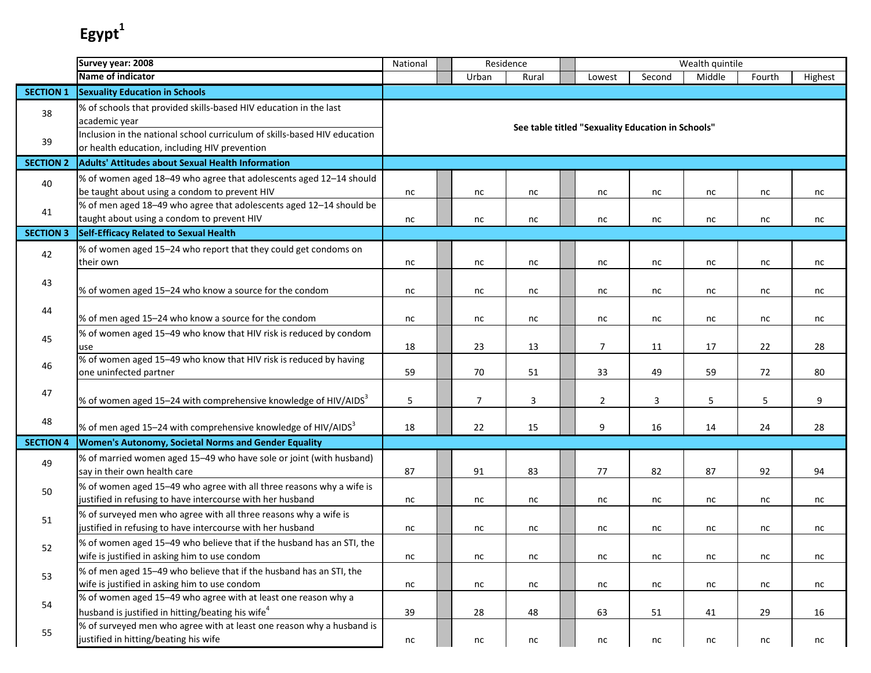|                  | Survey year: 2008                                                                                                                  | National | Residence      |          |                                                   |          | Wealth quintile |          |         |
|------------------|------------------------------------------------------------------------------------------------------------------------------------|----------|----------------|----------|---------------------------------------------------|----------|-----------------|----------|---------|
|                  | <b>Name of indicator</b>                                                                                                           |          | Urban          | Rural    | Lowest                                            | Second   | Middle          | Fourth   | Highest |
| <b>SECTION 1</b> | <b>Sexuality Education in Schools</b>                                                                                              |          |                |          |                                                   |          |                 |          |         |
| 38               | % of schools that provided skills-based HIV education in the last<br>academic year                                                 |          |                |          | See table titled "Sexuality Education in Schools" |          |                 |          |         |
| 39               | Inclusion in the national school curriculum of skills-based HIV education<br>or health education, including HIV prevention         |          |                |          |                                                   |          |                 |          |         |
| <b>SECTION 2</b> | <b>Adults' Attitudes about Sexual Health Information</b>                                                                           |          |                |          |                                                   |          |                 |          |         |
| 40               | % of women aged 18-49 who agree that adolescents aged 12-14 should<br>be taught about using a condom to prevent HIV                | nc       | nc             | nc       | nc                                                | nc       | nc              | nc       | nc      |
| 41               | % of men aged 18-49 who agree that adolescents aged 12-14 should be<br>taught about using a condom to prevent HIV                  | nc       | nc             | nc       | nc                                                | nc       | nc              | nc       | nc      |
| <b>SECTION 3</b> | Self-Efficacy Related to Sexual Health                                                                                             |          |                |          |                                                   |          |                 |          |         |
| 42               | % of women aged 15-24 who report that they could get condoms on<br>their own                                                       | nc       | nc             | nc       | nc                                                | nc       | nc              | nc       | nc      |
| 43               | % of women aged 15-24 who know a source for the condom                                                                             | nc       | nc             | nc       | nc                                                | nc       | nc              | nc       | nc      |
| 44               | % of men aged 15-24 who know a source for the condom                                                                               | nc       | nc             | nc       | nc                                                | nc       | nc              | nc       | nc      |
| 45               | % of women aged 15-49 who know that HIV risk is reduced by condom<br>use                                                           | 18       | 23             | 13       | $\overline{7}$                                    | 11       | 17              | 22       | 28      |
| 46               | % of women aged 15-49 who know that HIV risk is reduced by having<br>one uninfected partner                                        | 59       | 70             | 51       | 33                                                | 49       | 59              | 72       | 80      |
| 47               | % of women aged 15-24 with comprehensive knowledge of HIV/AIDS <sup>3</sup>                                                        | 5        | $\overline{7}$ | 3        | $\overline{2}$                                    | 3        | 5               | 5        | 9       |
| 48               | % of men aged 15-24 with comprehensive knowledge of HIV/AIDS <sup>3</sup>                                                          | 18       | 22             | 15       | 9                                                 | 16       | 14              | 24       | 28      |
| <b>SECTION 4</b> | Women's Autonomy, Societal Norms and Gender Equality                                                                               |          |                |          |                                                   |          |                 |          |         |
| 49               | % of married women aged 15-49 who have sole or joint (with husband)<br>say in their own health care                                | 87       | 91             | 83       | 77                                                | 82       | 87              | 92       | 94      |
| 50               | % of women aged 15-49 who agree with all three reasons why a wife is<br>justified in refusing to have intercourse with her husband | nc       | nc             | nc       | nc                                                | nc       | nc              | nc       | nc      |
| 51               | % of surveyed men who agree with all three reasons why a wife is<br>justified in refusing to have intercourse with her husband     | nc       | nc             | nc       | nc                                                | nc       | nc              | nc       | nc      |
| 52               | % of women aged 15-49 who believe that if the husband has an STI, the<br>wife is justified in asking him to use condom             | nc       | $\sf nc$       | $\sf nc$ | nc                                                | nc       | nc              | $\sf nc$ | nc      |
| 53               | % of men aged 15-49 who believe that if the husband has an STI, the<br>wife is justified in asking him to use condom               | nc       | nc             | nc       | nc                                                | nc       | nc              | nc       | nc      |
| 54               | % of women aged 15-49 who agree with at least one reason why a<br>husband is justified in hitting/beating his wife <sup>4</sup>    | 39       | 28             | 48       | 63                                                | 51       | 41              | 29       | 16      |
| 55               | % of surveyed men who agree with at least one reason why a husband is<br>justified in hitting/beating his wife                     | nc       | $\sf nc$       | $\sf nc$ | nc                                                | $\sf nc$ | nc              | nc       | nc      |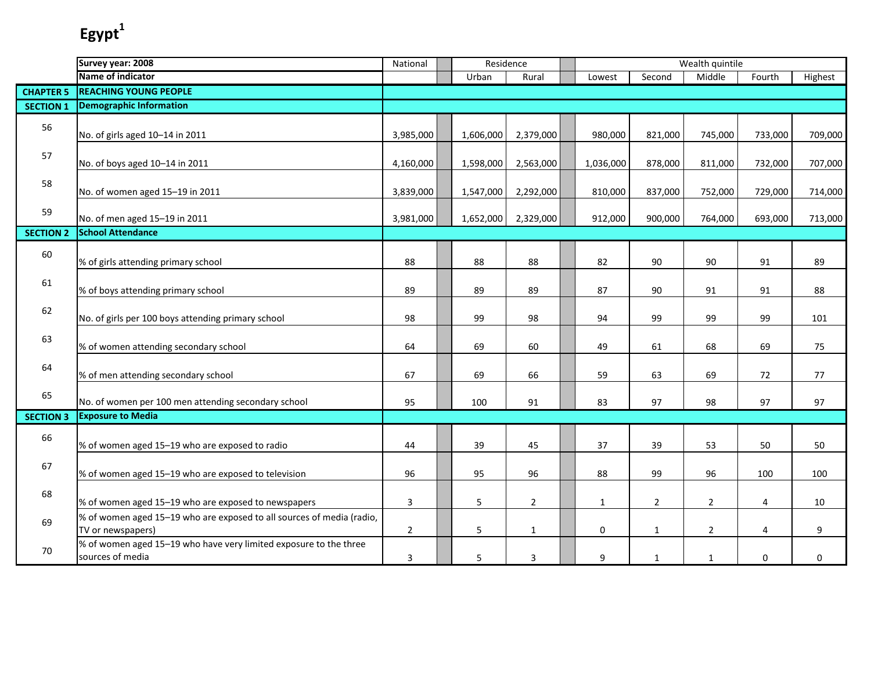|                  | Survey year: 2008                                                                          | National       |           | Residence      |              |                | Wealth quintile |             |         |
|------------------|--------------------------------------------------------------------------------------------|----------------|-----------|----------------|--------------|----------------|-----------------|-------------|---------|
|                  | Name of indicator                                                                          |                | Urban     | Rural          | Lowest       | Second         | Middle          | Fourth      | Highest |
| <b>CHAPTER 5</b> | <b>REACHING YOUNG PEOPLE</b>                                                               |                |           |                |              |                |                 |             |         |
| <b>SECTION 1</b> | <b>Demographic Information</b>                                                             |                |           |                |              |                |                 |             |         |
| 56               | No. of girls aged 10-14 in 2011                                                            | 3,985,000      | 1,606,000 | 2,379,000      | 980,000      | 821,000        | 745,000         | 733,000     | 709,000 |
| 57               | No. of boys aged 10-14 in 2011                                                             | 4,160,000      | 1,598,000 | 2,563,000      | 1,036,000    | 878,000        | 811,000         | 732,000     | 707,000 |
| 58               | No. of women aged 15-19 in 2011                                                            | 3,839,000      | 1,547,000 | 2,292,000      | 810,000      | 837,000        | 752,000         | 729,000     | 714,000 |
| 59               | No. of men aged 15-19 in 2011                                                              | 3,981,000      | 1,652,000 | 2,329,000      | 912,000      | 900,000        | 764,000         | 693,000     | 713,000 |
| <b>SECTION 2</b> | <b>School Attendance</b>                                                                   |                |           |                |              |                |                 |             |         |
| 60               | % of girls attending primary school                                                        | 88             | 88        | 88             | 82           | 90             | 90              | 91          | 89      |
| 61               | % of boys attending primary school                                                         | 89             | 89        | 89             | 87           | 90             | 91              | 91          | 88      |
| 62               | No. of girls per 100 boys attending primary school                                         | 98             | 99        | 98             | 94           | 99             | 99              | 99          | 101     |
| 63               | % of women attending secondary school                                                      | 64             | 69        | 60             | 49           | 61             | 68              | 69          | 75      |
| 64               | % of men attending secondary school                                                        | 67             | 69        | 66             | 59           | 63             | 69              | 72          | 77      |
| 65               | No. of women per 100 men attending secondary school                                        | 95             | 100       | 91             | 83           | 97             | 98              | 97          | 97      |
| <b>SECTION 3</b> | <b>Exposure to Media</b>                                                                   |                |           |                |              |                |                 |             |         |
| 66               | % of women aged 15-19 who are exposed to radio                                             | 44             | 39        | 45             | 37           | 39             | 53              | 50          | 50      |
| 67               | % of women aged 15-19 who are exposed to television                                        | 96             | 95        | 96             | 88           | 99             | 96              | 100         | 100     |
| 68               | % of women aged 15-19 who are exposed to newspapers                                        | $\mathbf{3}$   | 5         | $\overline{2}$ | $\mathbf{1}$ | $\overline{2}$ | $\overline{2}$  | 4           | 10      |
| 69               | % of women aged 15-19 who are exposed to all sources of media (radio,<br>TV or newspapers) | $\overline{2}$ | 5         | $\mathbf{1}$   | 0            | $\mathbf{1}$   | $\overline{2}$  | 4           | 9       |
| 70               | % of women aged 15-19 who have very limited exposure to the three<br>sources of media      | 3              | 5         | 3              | 9            | $\mathbf{1}$   | $\mathbf{1}$    | $\mathbf 0$ | 0       |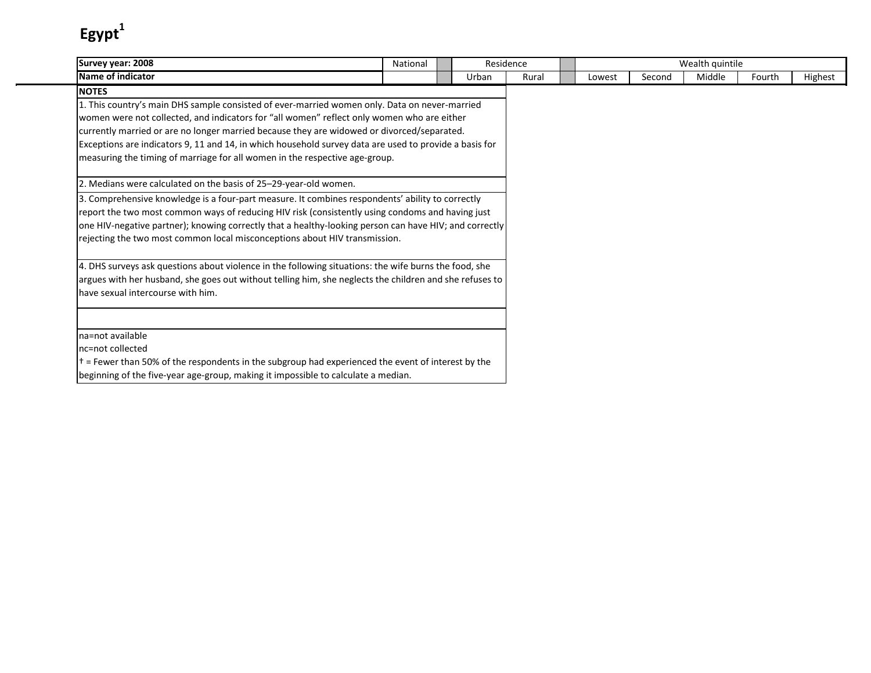| Survey year: 2008                                                                                          | National |       | Residence |        |        | Wealth quintile |        |         |
|------------------------------------------------------------------------------------------------------------|----------|-------|-----------|--------|--------|-----------------|--------|---------|
| Name of indicator                                                                                          |          | Urban | Rural     | Lowest | Second | Middle          | Fourth | Highest |
| <b>NOTES</b>                                                                                               |          |       |           |        |        |                 |        |         |
| 1. This country's main DHS sample consisted of ever-married women only. Data on never-married              |          |       |           |        |        |                 |        |         |
| women were not collected, and indicators for "all women" reflect only women who are either                 |          |       |           |        |        |                 |        |         |
| currently married or are no longer married because they are widowed or divorced/separated.                 |          |       |           |        |        |                 |        |         |
| Exceptions are indicators 9, 11 and 14, in which household survey data are used to provide a basis for     |          |       |           |        |        |                 |        |         |
| measuring the timing of marriage for all women in the respective age-group.                                |          |       |           |        |        |                 |        |         |
| 2. Medians were calculated on the basis of 25-29-year-old women.                                           |          |       |           |        |        |                 |        |         |
| 3. Comprehensive knowledge is a four-part measure. It combines respondents' ability to correctly           |          |       |           |        |        |                 |        |         |
| report the two most common ways of reducing HIV risk (consistently using condoms and having just           |          |       |           |        |        |                 |        |         |
| one HIV-negative partner); knowing correctly that a healthy-looking person can have HIV; and correctly     |          |       |           |        |        |                 |        |         |
| rejecting the two most common local misconceptions about HIV transmission.                                 |          |       |           |        |        |                 |        |         |
| 4. DHS surveys ask questions about violence in the following situations: the wife burns the food, she      |          |       |           |        |        |                 |        |         |
| argues with her husband, she goes out without telling him, she neglects the children and she refuses to    |          |       |           |        |        |                 |        |         |
| have sexual intercourse with him.                                                                          |          |       |           |        |        |                 |        |         |
|                                                                                                            |          |       |           |        |        |                 |        |         |
| na=not available                                                                                           |          |       |           |        |        |                 |        |         |
| Inc=not collected                                                                                          |          |       |           |        |        |                 |        |         |
| $\vert t$ = Fewer than 50% of the respondents in the subgroup had experienced the event of interest by the |          |       |           |        |        |                 |        |         |
| beginning of the five-year age-group, making it impossible to calculate a median.                          |          |       |           |        |        |                 |        |         |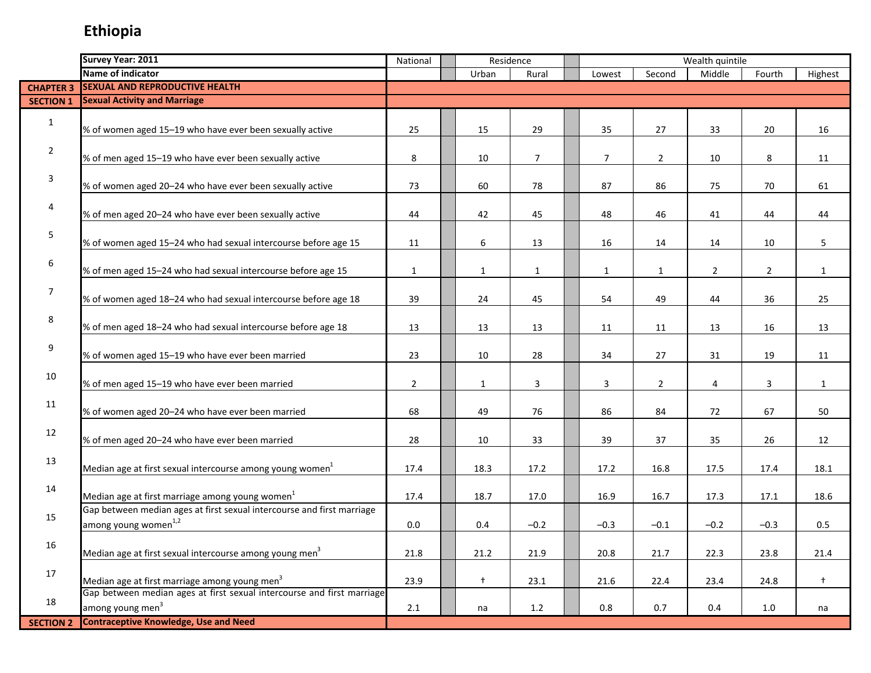### **Ethiopia**

|                  | Survey Year: 2011                                                      | National       |              | Residence      |                |                | Wealth quintile |                |              |
|------------------|------------------------------------------------------------------------|----------------|--------------|----------------|----------------|----------------|-----------------|----------------|--------------|
|                  | Name of indicator                                                      |                | Urban        | Rural          | Lowest         | Second         | Middle          | Fourth         | Highest      |
| <b>CHAPTER 3</b> | <b>SEXUAL AND REPRODUCTIVE HEALTH</b>                                  |                |              |                |                |                |                 |                |              |
| <b>SECTION 1</b> | <b>Sexual Activity and Marriage</b>                                    |                |              |                |                |                |                 |                |              |
|                  |                                                                        |                |              |                |                |                |                 |                |              |
| $\mathbf{1}$     | % of women aged 15-19 who have ever been sexually active               | 25             | 15           | 29             | 35             | 27             | 33              | 20             | 16           |
|                  |                                                                        |                |              |                |                |                |                 |                |              |
| $\overline{2}$   | % of men aged 15-19 who have ever been sexually active                 | 8              | 10           | $\overline{7}$ | $\overline{7}$ | $\overline{2}$ | 10              | 8              | 11           |
|                  |                                                                        |                |              |                |                |                |                 |                |              |
| 3                | % of women aged 20-24 who have ever been sexually active               | 73             | 60           | 78             | 87             | 86             | 75              | 70             | 61           |
|                  |                                                                        |                |              |                |                |                |                 |                |              |
| 4                | % of men aged 20-24 who have ever been sexually active                 | 44             | 42           | 45             | 48             | 46             | 41              | 44             | 44           |
|                  |                                                                        |                |              |                |                |                |                 |                |              |
| 5                | % of women aged 15-24 who had sexual intercourse before age 15         | 11             | 6            | 13             | 16             | 14             | 14              | 10             | 5            |
|                  |                                                                        |                |              |                |                |                |                 |                |              |
| 6                | % of men aged 15-24 who had sexual intercourse before age 15           | $\mathbf{1}$   | $\mathbf{1}$ | $\mathbf{1}$   | $\mathbf{1}$   | $\mathbf{1}$   | $\overline{2}$  | $\overline{2}$ | $\mathbf{1}$ |
|                  |                                                                        |                |              |                |                |                |                 |                |              |
| $\overline{7}$   | % of women aged 18-24 who had sexual intercourse before age 18         | 39             | 24           | 45             | 54             | 49             | 44              | 36             | 25           |
|                  |                                                                        |                |              |                |                |                |                 |                |              |
| 8                | % of men aged 18-24 who had sexual intercourse before age 18           | 13             | 13           | 13             | 11             | 11             | 13              | 16             | 13           |
|                  |                                                                        |                |              |                |                |                |                 |                |              |
| 9                | % of women aged 15-19 who have ever been married                       | 23             | 10           | 28             | 34             | 27             | 31              | 19             |              |
|                  |                                                                        |                |              |                |                |                |                 |                | 11           |
| 10               |                                                                        |                |              |                |                |                |                 |                |              |
|                  | % of men aged 15-19 who have ever been married                         | $\overline{2}$ | $\mathbf{1}$ | 3              | 3              | $\overline{2}$ | 4               | 3              | $\mathbf{1}$ |
| 11               |                                                                        |                |              |                |                |                |                 |                |              |
|                  | % of women aged 20-24 who have ever been married                       | 68             | 49           | 76             | 86             | 84             | 72              | 67             | 50           |
| 12               |                                                                        |                |              |                |                |                |                 |                |              |
|                  | % of men aged 20-24 who have ever been married                         | 28             | 10           | 33             | 39             | 37             | 35              | 26             | 12           |
| 13               |                                                                        |                |              |                |                |                |                 |                |              |
|                  | Median age at first sexual intercourse among young women <sup>1</sup>  | 17.4           | 18.3         | 17.2           | 17.2           | 16.8           | 17.5            | 17.4           | 18.1         |
| 14               |                                                                        |                |              |                |                |                |                 |                |              |
|                  | Median age at first marriage among young women <sup>1</sup>            | 17.4           | 18.7         | 17.0           | 16.9           | 16.7           | 17.3            | 17.1           | 18.6         |
| 15               | Gap between median ages at first sexual intercourse and first marriage |                |              |                |                |                |                 |                |              |
|                  | among young women <sup>1,2</sup>                                       | $0.0\,$        | $0.4\,$      | $-0.2$         | $-0.3$         | $-0.1$         | $-0.2$          | $-0.3$         | 0.5          |
| 16               |                                                                        |                |              |                |                |                |                 |                |              |
|                  | Median age at first sexual intercourse among young men <sup>3</sup>    | 21.8           | 21.2         | 21.9           | 20.8           | 21.7           | 22.3            | 23.8           | 21.4         |
| 17               |                                                                        |                |              |                |                |                |                 |                |              |
|                  | Median age at first marriage among young men <sup>3</sup>              | 23.9           | $\ddagger$   | 23.1           | 21.6           | 22.4           | 23.4            | 24.8           | $\ddagger$   |
| 18               | Gap between median ages at first sexual intercourse and first marriage |                |              |                |                |                |                 |                |              |
|                  | among young men <sup>3</sup>                                           | 2.1            | na           | 1.2            | 0.8            | 0.7            | 0.4             | 1.0            | na           |
| <b>SECTION 2</b> | <b>Contraceptive Knowledge, Use and Need</b>                           |                |              |                |                |                |                 |                |              |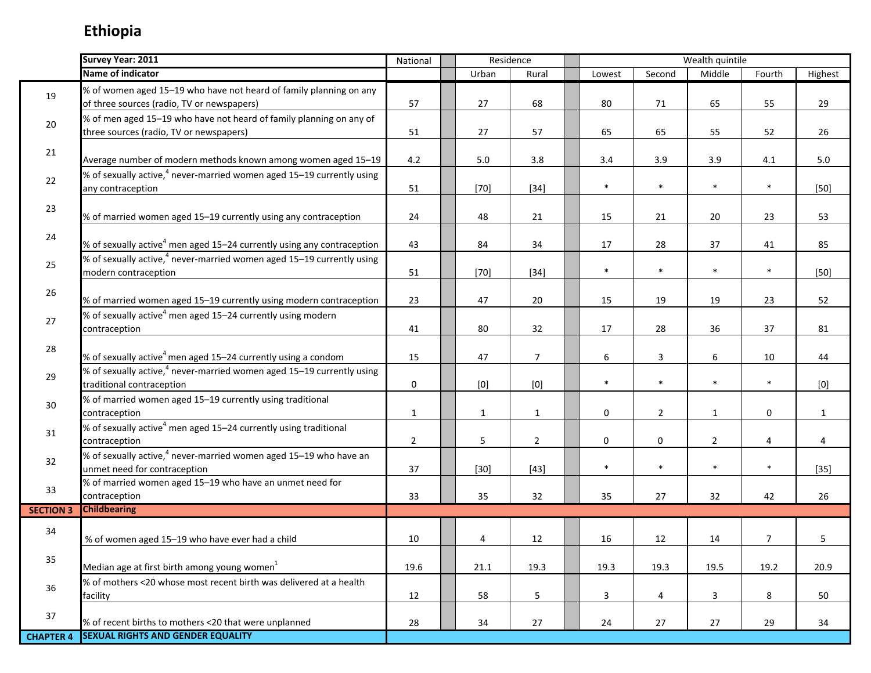|                  | Survey Year: 2011                                                                                                | National       | Residence    |                |             |                | Wealth quintile |                |              |
|------------------|------------------------------------------------------------------------------------------------------------------|----------------|--------------|----------------|-------------|----------------|-----------------|----------------|--------------|
|                  | Name of indicator                                                                                                |                | Urban        | Rural          | Lowest      | Second         | Middle          | Fourth         | Highest      |
| 19               | % of women aged 15-19 who have not heard of family planning on any<br>of three sources (radio, TV or newspapers) | 57             | 27           | 68             | 80          | 71             | 65              | 55             | 29           |
| 20               | % of men aged 15-19 who have not heard of family planning on any of<br>three sources (radio, TV or newspapers)   | 51             | 27           | 57             | 65          | 65             | 55              | 52             | 26           |
| 21               | Average number of modern methods known among women aged 15-19                                                    | 4.2            | $5.0\,$      | 3.8            | 3.4         | 3.9            | 3.9             | 4.1            | 5.0          |
| 22               | % of sexually active, <sup>4</sup> never-married women aged 15–19 currently using<br>any contraception           | 51             | $[70]$       | $[34]$         | $\ast$      | $\ast$         | $\ast$          | $\ast$         | $[50]$       |
| 23               | % of married women aged 15-19 currently using any contraception                                                  | 24             | 48           | 21             | 15          | 21             | 20              | 23             | 53           |
| 24               | % of sexually active <sup>4</sup> men aged 15-24 currently using any contraception                               | 43             | 84           | 34             | 17          | 28             | 37              | 41             | 85           |
| 25               | % of sexually active, <sup>4</sup> never-married women aged 15–19 currently using<br>modern contraception        | 51             | $[70]$       | $[34]$         | $\ast$      | $\ast$         | $\ast$          | $\ast$         | $[50]$       |
| 26               | % of married women aged 15-19 currently using modern contraception                                               | 23             | 47           | 20             | 15          | 19             | 19              | 23             | 52           |
| 27               | % of sexually active <sup>4</sup> men aged 15-24 currently using modern<br>contraception                         | 41             | 80           | 32             | 17          | 28             | 36              | 37             | 81           |
| 28               | % of sexually active <sup>4</sup> men aged 15–24 currently using a condom                                        | 15             | 47           | $\overline{7}$ | 6           | 3              | 6               | 10             | 44           |
| 29               | % of sexually active, <sup>4</sup> never-married women aged 15–19 currently using<br>traditional contraception   | 0              | [0]          | $[0]$          | $\ast$      | $\ast$         | $\ast$          | $\ast$         | [0]          |
| 30               | % of married women aged 15-19 currently using traditional<br>contraception                                       | $\mathbf{1}$   | $\mathbf{1}$ | $\mathbf{1}$   | $\mathbf 0$ | $\overline{2}$ | $\mathbf{1}$    | 0              | $\mathbf{1}$ |
| 31               | % of sexually active <sup>4</sup> men aged 15-24 currently using traditional<br>contraception                    | $\overline{2}$ | 5            | $\overline{2}$ | $\mathbf 0$ | $\pmb{0}$      | $\overline{2}$  | 4              | 4            |
| 32               | % of sexually active, <sup>4</sup> never-married women aged 15–19 who have an<br>unmet need for contraception    | 37             | $[30]$       | $[43]$         | $\ast$      | $\ast$         | $\ast$          | $\ast$         | $[35]$       |
| 33               | % of married women aged 15-19 who have an unmet need for<br>contraception                                        | 33             | 35           | 32             | 35          | 27             | 32              | 42             | 26           |
| <b>SECTION 3</b> | <b>Childbearing</b>                                                                                              |                |              |                |             |                |                 |                |              |
| 34               | % of women aged 15-19 who have ever had a child                                                                  | 10             | 4            | 12             | 16          | 12             | 14              | $\overline{7}$ | 5            |
| 35               | Median age at first birth among young women <sup>1</sup>                                                         | 19.6           | 21.1         | 19.3           | 19.3        | 19.3           | 19.5            | 19.2           | 20.9         |
| 36               | % of mothers <20 whose most recent birth was delivered at a health<br>facility                                   | 12             | 58           | 5              | 3           | 4              | 3               | 8              | 50           |
| 37               | % of recent births to mothers <20 that were unplanned                                                            | 28             | 34           | 27             | 24          | 27             | 27              | 29             | 34           |
| <b>CHAPTER 4</b> | <b>SEXUAL RIGHTS AND GENDER EQUALITY</b>                                                                         |                |              |                |             |                |                 |                |              |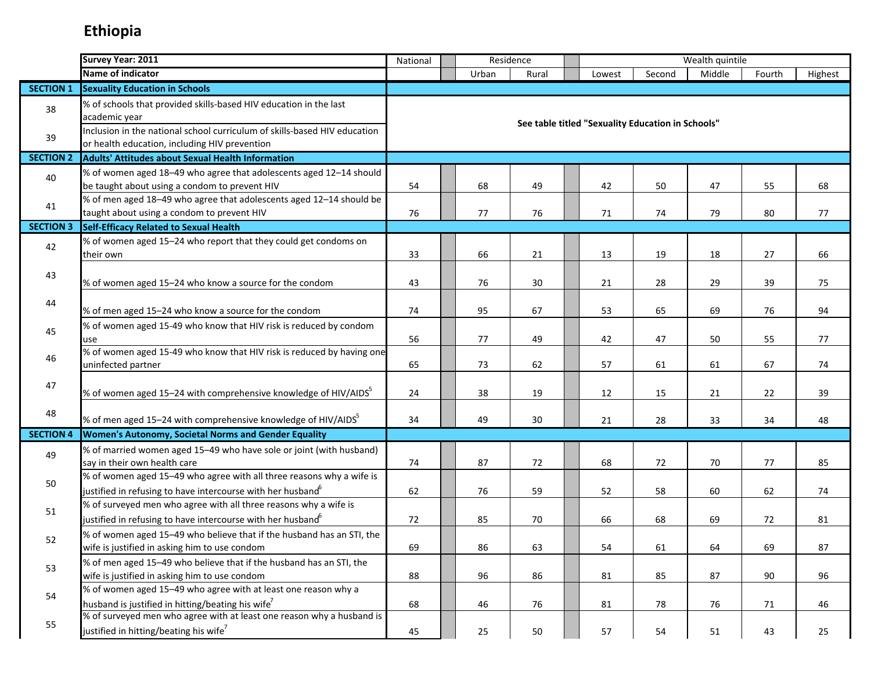|                  | Survey Year: 2011                                                                                                                               | Residence<br>Wealth quintile<br>National |       |       |  |                                                   |        |        |        |         |
|------------------|-------------------------------------------------------------------------------------------------------------------------------------------------|------------------------------------------|-------|-------|--|---------------------------------------------------|--------|--------|--------|---------|
|                  | Name of indicator                                                                                                                               |                                          | Urban | Rural |  | Lowest                                            | Second | Middle | Fourth | Highest |
| <b>SECTION 1</b> | <b>Sexuality Education in Schools</b>                                                                                                           |                                          |       |       |  |                                                   |        |        |        |         |
| 38               | % of schools that provided skills-based HIV education in the last<br>academic year                                                              |                                          |       |       |  |                                                   |        |        |        |         |
| 39               | Inclusion in the national school curriculum of skills-based HIV education<br>or health education, including HIV prevention                      |                                          |       |       |  | See table titled "Sexuality Education in Schools" |        |        |        |         |
| <b>SECTION 2</b> | <b>Adults' Attitudes about Sexual Health Information</b>                                                                                        |                                          |       |       |  |                                                   |        |        |        |         |
| 40               | % of women aged 18-49 who agree that adolescents aged 12-14 should<br>be taught about using a condom to prevent HIV                             | 54                                       | 68    | 49    |  | 42                                                | 50     | 47     | 55     | 68      |
| 41               | % of men aged 18-49 who agree that adolescents aged 12-14 should be<br>taught about using a condom to prevent HIV                               | 76                                       | 77    | 76    |  | 71                                                | 74     | 79     | 80     | 77      |
| <b>SECTION 3</b> | Self-Efficacy Related to Sexual Health                                                                                                          |                                          |       |       |  |                                                   |        |        |        |         |
| 42               | % of women aged 15-24 who report that they could get condoms on<br>their own                                                                    | 33                                       | 66    | 21    |  | 13                                                | 19     | 18     | 27     | 66      |
| 43               | % of women aged 15-24 who know a source for the condom                                                                                          | 43                                       | 76    | 30    |  | 21                                                | 28     | 29     | 39     | 75      |
| 44               | % of men aged 15-24 who know a source for the condom                                                                                            | 74                                       | 95    | 67    |  | 53                                                | 65     | 69     | 76     | 94      |
| 45               | % of women aged 15-49 who know that HIV risk is reduced by condom<br>use                                                                        | 56                                       | 77    | 49    |  | 42                                                | 47     | 50     | 55     | 77      |
| 46               | % of women aged 15-49 who know that HIV risk is reduced by having one<br>uninfected partner                                                     | 65                                       | 73    | 62    |  | 57                                                | 61     | 61     | 67     | 74      |
| 47               | % of women aged 15-24 with comprehensive knowledge of HIV/AIDS <sup>5</sup>                                                                     | 24                                       | 38    | 19    |  | 12                                                | 15     | 21     | 22     | 39      |
| 48               | % of men aged 15-24 with comprehensive knowledge of HIV/AIDS <sup>5</sup>                                                                       | 34                                       | 49    | 30    |  | 21                                                | 28     | 33     | 34     | 48      |
| <b>SECTION 4</b> | <b>Women's Autonomy, Societal Norms and Gender Equality</b>                                                                                     |                                          |       |       |  |                                                   |        |        |        |         |
| 49               | % of married women aged 15-49 who have sole or joint (with husband)<br>say in their own health care                                             | 74                                       | 87    | 72    |  | 68                                                | 72     | 70     | 77     | 85      |
| 50               | % of women aged 15-49 who agree with all three reasons why a wife is<br>justified in refusing to have intercourse with her husband <sup>6</sup> | 62                                       | 76    | 59    |  | 52                                                | 58     | 60     | 62     | 74      |
| 51               | % of surveyed men who agree with all three reasons why a wife is<br>justified in refusing to have intercourse with her husband <sup>6</sup>     | 72                                       | 85    | 70    |  | 66                                                | 68     | 69     | 72     | 81      |
| 52               | % of women aged 15-49 who believe that if the husband has an STI, the<br>wife is justified in asking him to use condom                          | 69                                       | 86    | 63    |  | 54                                                | 61     | 64     | 69     | 87      |
| 53               | % of men aged 15-49 who believe that if the husband has an STI, the<br>wife is justified in asking him to use condom                            | 88                                       | 96    | 86    |  | 81                                                | 85     | 87     | 90     | 96      |
| 54               | % of women aged 15-49 who agree with at least one reason why a<br>husband is justified in hitting/beating his wife <sup>7</sup>                 | 68                                       | 46    | 76    |  | 81                                                | 78     | 76     | 71     | 46      |
| 55               | % of surveyed men who agree with at least one reason why a husband is<br>justified in hitting/beating his wife <sup>7</sup>                     | 45                                       | 25    | 50    |  | 57                                                | 54     | 51     | 43     | 25      |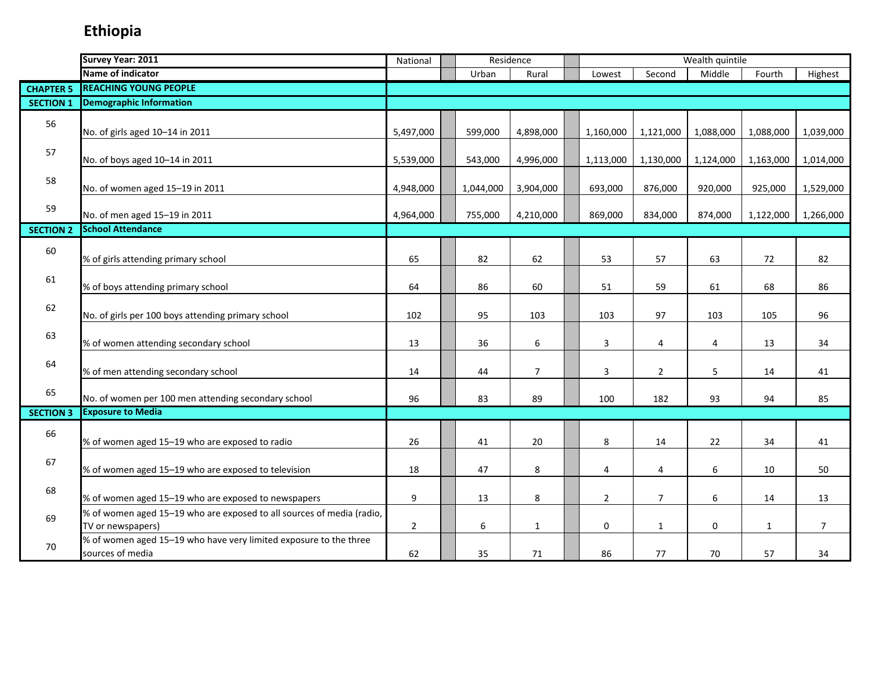|                  | Survey Year: 2011                                                                          | National       | Residence |           |                |  |                |                | Wealth quintile |              |                |
|------------------|--------------------------------------------------------------------------------------------|----------------|-----------|-----------|----------------|--|----------------|----------------|-----------------|--------------|----------------|
|                  | Name of indicator                                                                          |                |           | Urban     | Rural          |  | Lowest         | Second         | Middle          | Fourth       | Highest        |
| <b>CHAPTER 5</b> | <b>REACHING YOUNG PEOPLE</b>                                                               |                |           |           |                |  |                |                |                 |              |                |
| <b>SECTION 1</b> | <b>Demographic Information</b>                                                             |                |           |           |                |  |                |                |                 |              |                |
| 56               | No. of girls aged 10-14 in 2011                                                            | 5,497,000      |           | 599,000   | 4,898,000      |  | 1,160,000      | 1,121,000      | 1,088,000       | 1,088,000    | 1,039,000      |
| 57               | No. of boys aged 10-14 in 2011                                                             | 5,539,000      |           | 543,000   | 4,996,000      |  | 1,113,000      | 1,130,000      | 1,124,000       | 1,163,000    | 1,014,000      |
| 58               | No. of women aged 15-19 in 2011                                                            | 4,948,000      |           | 1,044,000 | 3,904,000      |  | 693,000        | 876,000        | 920,000         | 925,000      | 1,529,000      |
| 59               | No. of men aged 15-19 in 2011                                                              | 4,964,000      |           | 755,000   | 4,210,000      |  | 869,000        | 834,000        | 874,000         | 1,122,000    | 1,266,000      |
| <b>SECTION 2</b> | <b>School Attendance</b>                                                                   |                |           |           |                |  |                |                |                 |              |                |
| 60               | % of girls attending primary school                                                        | 65             |           | 82        | 62             |  | 53             | 57             | 63              | 72           | 82             |
| 61               | % of boys attending primary school                                                         | 64             |           | 86        | 60             |  | 51             | 59             | 61              | 68           | 86             |
| 62               | No. of girls per 100 boys attending primary school                                         | 102            |           | 95        | 103            |  | 103            | 97             | 103             | 105          | 96             |
| 63               | % of women attending secondary school                                                      | 13             |           | 36        | 6              |  | 3              | 4              | $\overline{4}$  | 13           | 34             |
| 64               | % of men attending secondary school                                                        | 14             |           | 44        | $\overline{7}$ |  | 3              | $\overline{2}$ | 5               | 14           | 41             |
| 65               | No. of women per 100 men attending secondary school                                        | 96             |           | 83        | 89             |  | 100            | 182            | 93              | 94           | 85             |
| <b>SECTION 3</b> | <b>Exposure to Media</b>                                                                   |                |           |           |                |  |                |                |                 |              |                |
| 66               | % of women aged 15-19 who are exposed to radio                                             | 26             |           | 41        | 20             |  | 8              | 14             | 22              | 34           | 41             |
| 67               | % of women aged 15-19 who are exposed to television                                        | 18             |           | 47        | 8              |  | 4              | 4              | 6               | 10           | 50             |
| 68               | % of women aged 15-19 who are exposed to newspapers                                        | 9              |           | 13        | 8              |  | $\overline{2}$ | $\overline{7}$ | 6               | 14           | 13             |
| 69               | % of women aged 15-19 who are exposed to all sources of media (radio,<br>TV or newspapers) | $\overline{2}$ |           | 6         | $\mathbf 1$    |  | $\mathbf{0}$   | $\mathbf{1}$   | $\mathbf 0$     | $\mathbf{1}$ | $\overline{7}$ |
| 70               | % of women aged 15-19 who have very limited exposure to the three<br>sources of media      | 62             |           | 35        | 71             |  | 86             | 77             | 70              | 57           | 34             |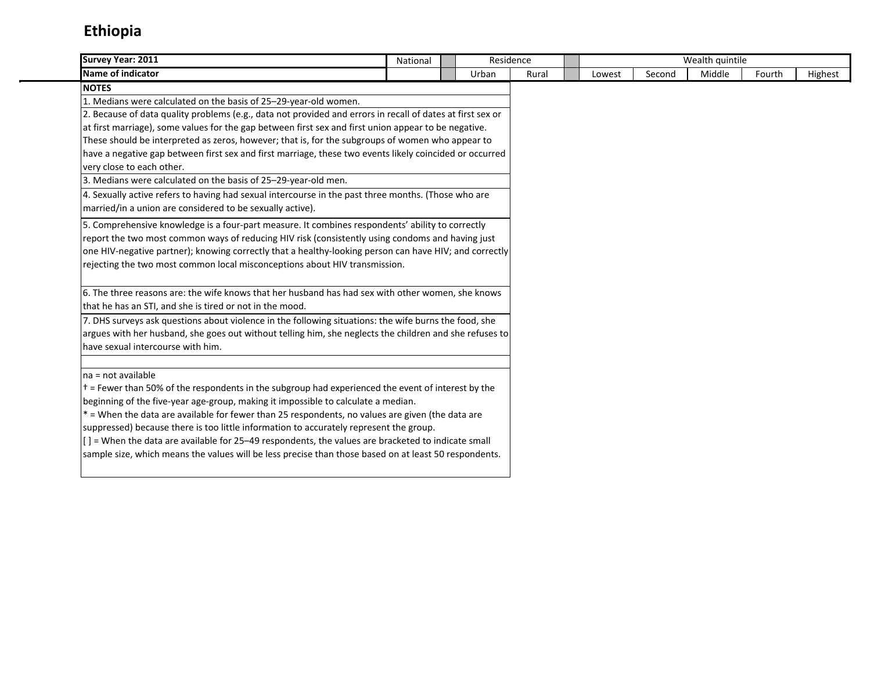| Survey Year: 2011                                                                                          | National |  |       | Residence |        |        | Wealth quintile |        |         |
|------------------------------------------------------------------------------------------------------------|----------|--|-------|-----------|--------|--------|-----------------|--------|---------|
| <b>Name of indicator</b>                                                                                   |          |  | Urban | Rural     | Lowest | Second | Middle          | Fourth | Highest |
| <b>NOTES</b>                                                                                               |          |  |       |           |        |        |                 |        |         |
| 1. Medians were calculated on the basis of 25-29-year-old women.                                           |          |  |       |           |        |        |                 |        |         |
| 2. Because of data quality problems (e.g., data not provided and errors in recall of dates at first sex or |          |  |       |           |        |        |                 |        |         |
| at first marriage), some values for the gap between first sex and first union appear to be negative.       |          |  |       |           |        |        |                 |        |         |
| These should be interpreted as zeros, however; that is, for the subgroups of women who appear to           |          |  |       |           |        |        |                 |        |         |
| have a negative gap between first sex and first marriage, these two events likely coincided or occurred    |          |  |       |           |        |        |                 |        |         |
| very close to each other.                                                                                  |          |  |       |           |        |        |                 |        |         |
| 3. Medians were calculated on the basis of 25-29-year-old men.                                             |          |  |       |           |        |        |                 |        |         |
| 4. Sexually active refers to having had sexual intercourse in the past three months. (Those who are        |          |  |       |           |        |        |                 |        |         |
| married/in a union are considered to be sexually active).                                                  |          |  |       |           |        |        |                 |        |         |
| 5. Comprehensive knowledge is a four-part measure. It combines respondents' ability to correctly           |          |  |       |           |        |        |                 |        |         |
| report the two most common ways of reducing HIV risk (consistently using condoms and having just           |          |  |       |           |        |        |                 |        |         |
| one HIV-negative partner); knowing correctly that a healthy-looking person can have HIV; and correctly     |          |  |       |           |        |        |                 |        |         |
| rejecting the two most common local misconceptions about HIV transmission.                                 |          |  |       |           |        |        |                 |        |         |
|                                                                                                            |          |  |       |           |        |        |                 |        |         |
| 6. The three reasons are: the wife knows that her husband has had sex with other women, she knows          |          |  |       |           |        |        |                 |        |         |
| that he has an STI, and she is tired or not in the mood.                                                   |          |  |       |           |        |        |                 |        |         |
| 7. DHS surveys ask questions about violence in the following situations: the wife burns the food, she      |          |  |       |           |        |        |                 |        |         |
| argues with her husband, she goes out without telling him, she neglects the children and she refuses to    |          |  |       |           |        |        |                 |        |         |
| have sexual intercourse with him.                                                                          |          |  |       |           |        |        |                 |        |         |
|                                                                                                            |          |  |       |           |        |        |                 |        |         |
| na = not available                                                                                         |          |  |       |           |        |        |                 |        |         |
| $\dagger$ = Fewer than 50% of the respondents in the subgroup had experienced the event of interest by the |          |  |       |           |        |        |                 |        |         |
| beginning of the five-year age-group, making it impossible to calculate a median.                          |          |  |       |           |        |        |                 |        |         |
| * = When the data are available for fewer than 25 respondents, no values are given (the data are           |          |  |       |           |        |        |                 |        |         |
| suppressed) because there is too little information to accurately represent the group.                     |          |  |       |           |        |        |                 |        |         |
| $[$ ] = When the data are available for 25–49 respondents, the values are bracketed to indicate small      |          |  |       |           |        |        |                 |        |         |
| sample size, which means the values will be less precise than those based on at least 50 respondents.      |          |  |       |           |        |        |                 |        |         |
|                                                                                                            |          |  |       |           |        |        |                 |        |         |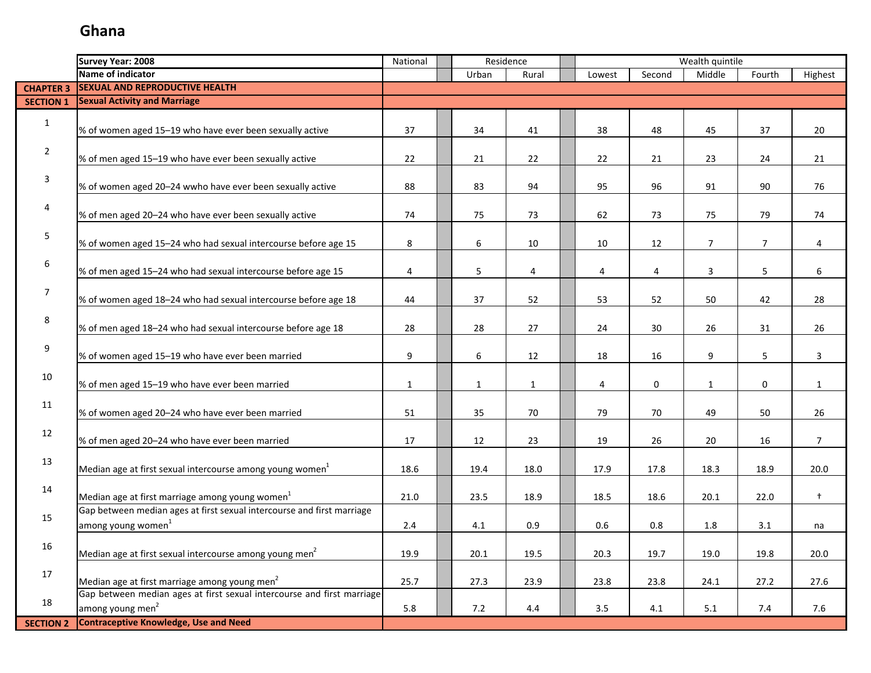| Name of indicator<br>Middle<br>Highest<br>Urban<br>Lowest<br>Second<br>Fourth<br>Rural<br><b>SEXUAL AND REPRODUCTIVE HEALTH</b><br><b>CHAPTER 3</b><br><b>Sexual Activity and Marriage</b><br><b>SECTION 1</b><br>$\mathbf{1}$<br>% of women aged 15-19 who have ever been sexually active<br>37<br>34<br>41<br>38<br>48<br>45<br>37<br>20<br>$\overline{2}$<br>% of men aged 15-19 who have ever been sexually active<br>22<br>21<br>22<br>24<br>22<br>21<br>23<br>21<br>3<br>% of women aged 20-24 wwho have ever been sexually active<br>83<br>96<br>88<br>94<br>95<br>91<br>90<br>76<br>4<br>% of men aged 20-24 who have ever been sexually active<br>74<br>75<br>73<br>62<br>73<br>75<br>79<br>74<br>5<br>8<br>6<br>12<br>$\overline{7}$<br>% of women aged 15-24 who had sexual intercourse before age 15<br>10<br>10<br>$\overline{7}$<br>$\overline{4}$<br>6<br>$5\phantom{.0}$<br>% of men aged 15-24 who had sexual intercourse before age 15<br>$\overline{4}$<br>5<br>6<br>4<br>3<br>4<br>4<br>7<br>% of women aged 18-24 who had sexual intercourse before age 18<br>44<br>37<br>52<br>53<br>52<br>50<br>42<br>28<br>8<br>% of men aged 18-24 who had sexual intercourse before age 18<br>28<br>28<br>27<br>30<br>24<br>26<br>31<br>26<br>9<br>9<br>6<br>% of women aged 15-19 who have ever been married<br>12<br>16<br>9<br>5<br>3<br>18<br>10<br>% of men aged 15-19 who have ever been married<br>$\mathbf 0$<br>$\mathbf{1}$<br>$\mathbf{1}$<br>$\mathbf{1}$<br>4<br>0<br>$\mathbf{1}$<br>$\mathbf{1}$<br>11<br>% of women aged 20-24 who have ever been married<br>51<br>35<br>70<br>79<br>70<br>49<br>50<br>26<br>12<br>% of men aged 20-24 who have ever been married<br>17<br>12<br>23<br>19<br>26<br>20<br>16<br>$\overline{7}$<br>13<br>Median age at first sexual intercourse among young women <sup>1</sup><br>18.9<br>20.0<br>18.6<br>19.4<br>18.0<br>17.9<br>17.8<br>18.3<br>14<br>Median age at first marriage among young women <sup>1</sup><br>$\ddagger$<br>21.0<br>23.5<br>22.0<br>18.9<br>18.5<br>18.6<br>20.1<br>Gap between median ages at first sexual intercourse and first marriage<br>15<br>among young women <sup>1</sup><br>0.9<br>0.8<br>2.4<br>4.1<br>0.6<br>1.8<br>3.1<br>na<br>16<br>Median age at first sexual intercourse among young men <sup>2</sup><br>19.9<br>19.5<br>20.1<br>20.3<br>19.7<br>19.0<br>19.8<br>20.0<br>17<br>Median age at first marriage among young men <sup>2</sup><br>25.7<br>27.3<br>23.9<br>27.6<br>23.8<br>23.8<br>24.1<br>27.2<br>Gap between median ages at first sexual intercourse and first marriage<br>18<br>among young men <sup>2</sup><br>5.8<br>7.2<br>3.5<br>5.1<br>7.4<br>7.6<br>4.4<br>4.1 |                  | <b>Survey Year: 2008</b>                     | National | Residence |  |  |  | Wealth quintile |  |
|------------------------------------------------------------------------------------------------------------------------------------------------------------------------------------------------------------------------------------------------------------------------------------------------------------------------------------------------------------------------------------------------------------------------------------------------------------------------------------------------------------------------------------------------------------------------------------------------------------------------------------------------------------------------------------------------------------------------------------------------------------------------------------------------------------------------------------------------------------------------------------------------------------------------------------------------------------------------------------------------------------------------------------------------------------------------------------------------------------------------------------------------------------------------------------------------------------------------------------------------------------------------------------------------------------------------------------------------------------------------------------------------------------------------------------------------------------------------------------------------------------------------------------------------------------------------------------------------------------------------------------------------------------------------------------------------------------------------------------------------------------------------------------------------------------------------------------------------------------------------------------------------------------------------------------------------------------------------------------------------------------------------------------------------------------------------------------------------------------------------------------------------------------------------------------------------------------------------------------------------------------------------------------------------------------------------------------------------------------------------------------------------------------------------------------------------------------------------------------------------------------------------------------------------------------------------------------------------------------------------------------------------------------------------------------|------------------|----------------------------------------------|----------|-----------|--|--|--|-----------------|--|
|                                                                                                                                                                                                                                                                                                                                                                                                                                                                                                                                                                                                                                                                                                                                                                                                                                                                                                                                                                                                                                                                                                                                                                                                                                                                                                                                                                                                                                                                                                                                                                                                                                                                                                                                                                                                                                                                                                                                                                                                                                                                                                                                                                                                                                                                                                                                                                                                                                                                                                                                                                                                                                                                                    |                  |                                              |          |           |  |  |  |                 |  |
|                                                                                                                                                                                                                                                                                                                                                                                                                                                                                                                                                                                                                                                                                                                                                                                                                                                                                                                                                                                                                                                                                                                                                                                                                                                                                                                                                                                                                                                                                                                                                                                                                                                                                                                                                                                                                                                                                                                                                                                                                                                                                                                                                                                                                                                                                                                                                                                                                                                                                                                                                                                                                                                                                    |                  |                                              |          |           |  |  |  |                 |  |
|                                                                                                                                                                                                                                                                                                                                                                                                                                                                                                                                                                                                                                                                                                                                                                                                                                                                                                                                                                                                                                                                                                                                                                                                                                                                                                                                                                                                                                                                                                                                                                                                                                                                                                                                                                                                                                                                                                                                                                                                                                                                                                                                                                                                                                                                                                                                                                                                                                                                                                                                                                                                                                                                                    |                  |                                              |          |           |  |  |  |                 |  |
|                                                                                                                                                                                                                                                                                                                                                                                                                                                                                                                                                                                                                                                                                                                                                                                                                                                                                                                                                                                                                                                                                                                                                                                                                                                                                                                                                                                                                                                                                                                                                                                                                                                                                                                                                                                                                                                                                                                                                                                                                                                                                                                                                                                                                                                                                                                                                                                                                                                                                                                                                                                                                                                                                    |                  |                                              |          |           |  |  |  |                 |  |
|                                                                                                                                                                                                                                                                                                                                                                                                                                                                                                                                                                                                                                                                                                                                                                                                                                                                                                                                                                                                                                                                                                                                                                                                                                                                                                                                                                                                                                                                                                                                                                                                                                                                                                                                                                                                                                                                                                                                                                                                                                                                                                                                                                                                                                                                                                                                                                                                                                                                                                                                                                                                                                                                                    |                  |                                              |          |           |  |  |  |                 |  |
|                                                                                                                                                                                                                                                                                                                                                                                                                                                                                                                                                                                                                                                                                                                                                                                                                                                                                                                                                                                                                                                                                                                                                                                                                                                                                                                                                                                                                                                                                                                                                                                                                                                                                                                                                                                                                                                                                                                                                                                                                                                                                                                                                                                                                                                                                                                                                                                                                                                                                                                                                                                                                                                                                    |                  |                                              |          |           |  |  |  |                 |  |
|                                                                                                                                                                                                                                                                                                                                                                                                                                                                                                                                                                                                                                                                                                                                                                                                                                                                                                                                                                                                                                                                                                                                                                                                                                                                                                                                                                                                                                                                                                                                                                                                                                                                                                                                                                                                                                                                                                                                                                                                                                                                                                                                                                                                                                                                                                                                                                                                                                                                                                                                                                                                                                                                                    |                  |                                              |          |           |  |  |  |                 |  |
|                                                                                                                                                                                                                                                                                                                                                                                                                                                                                                                                                                                                                                                                                                                                                                                                                                                                                                                                                                                                                                                                                                                                                                                                                                                                                                                                                                                                                                                                                                                                                                                                                                                                                                                                                                                                                                                                                                                                                                                                                                                                                                                                                                                                                                                                                                                                                                                                                                                                                                                                                                                                                                                                                    |                  |                                              |          |           |  |  |  |                 |  |
|                                                                                                                                                                                                                                                                                                                                                                                                                                                                                                                                                                                                                                                                                                                                                                                                                                                                                                                                                                                                                                                                                                                                                                                                                                                                                                                                                                                                                                                                                                                                                                                                                                                                                                                                                                                                                                                                                                                                                                                                                                                                                                                                                                                                                                                                                                                                                                                                                                                                                                                                                                                                                                                                                    |                  |                                              |          |           |  |  |  |                 |  |
|                                                                                                                                                                                                                                                                                                                                                                                                                                                                                                                                                                                                                                                                                                                                                                                                                                                                                                                                                                                                                                                                                                                                                                                                                                                                                                                                                                                                                                                                                                                                                                                                                                                                                                                                                                                                                                                                                                                                                                                                                                                                                                                                                                                                                                                                                                                                                                                                                                                                                                                                                                                                                                                                                    |                  |                                              |          |           |  |  |  |                 |  |
|                                                                                                                                                                                                                                                                                                                                                                                                                                                                                                                                                                                                                                                                                                                                                                                                                                                                                                                                                                                                                                                                                                                                                                                                                                                                                                                                                                                                                                                                                                                                                                                                                                                                                                                                                                                                                                                                                                                                                                                                                                                                                                                                                                                                                                                                                                                                                                                                                                                                                                                                                                                                                                                                                    |                  |                                              |          |           |  |  |  |                 |  |
|                                                                                                                                                                                                                                                                                                                                                                                                                                                                                                                                                                                                                                                                                                                                                                                                                                                                                                                                                                                                                                                                                                                                                                                                                                                                                                                                                                                                                                                                                                                                                                                                                                                                                                                                                                                                                                                                                                                                                                                                                                                                                                                                                                                                                                                                                                                                                                                                                                                                                                                                                                                                                                                                                    |                  |                                              |          |           |  |  |  |                 |  |
|                                                                                                                                                                                                                                                                                                                                                                                                                                                                                                                                                                                                                                                                                                                                                                                                                                                                                                                                                                                                                                                                                                                                                                                                                                                                                                                                                                                                                                                                                                                                                                                                                                                                                                                                                                                                                                                                                                                                                                                                                                                                                                                                                                                                                                                                                                                                                                                                                                                                                                                                                                                                                                                                                    |                  |                                              |          |           |  |  |  |                 |  |
|                                                                                                                                                                                                                                                                                                                                                                                                                                                                                                                                                                                                                                                                                                                                                                                                                                                                                                                                                                                                                                                                                                                                                                                                                                                                                                                                                                                                                                                                                                                                                                                                                                                                                                                                                                                                                                                                                                                                                                                                                                                                                                                                                                                                                                                                                                                                                                                                                                                                                                                                                                                                                                                                                    |                  |                                              |          |           |  |  |  |                 |  |
|                                                                                                                                                                                                                                                                                                                                                                                                                                                                                                                                                                                                                                                                                                                                                                                                                                                                                                                                                                                                                                                                                                                                                                                                                                                                                                                                                                                                                                                                                                                                                                                                                                                                                                                                                                                                                                                                                                                                                                                                                                                                                                                                                                                                                                                                                                                                                                                                                                                                                                                                                                                                                                                                                    |                  |                                              |          |           |  |  |  |                 |  |
|                                                                                                                                                                                                                                                                                                                                                                                                                                                                                                                                                                                                                                                                                                                                                                                                                                                                                                                                                                                                                                                                                                                                                                                                                                                                                                                                                                                                                                                                                                                                                                                                                                                                                                                                                                                                                                                                                                                                                                                                                                                                                                                                                                                                                                                                                                                                                                                                                                                                                                                                                                                                                                                                                    |                  |                                              |          |           |  |  |  |                 |  |
|                                                                                                                                                                                                                                                                                                                                                                                                                                                                                                                                                                                                                                                                                                                                                                                                                                                                                                                                                                                                                                                                                                                                                                                                                                                                                                                                                                                                                                                                                                                                                                                                                                                                                                                                                                                                                                                                                                                                                                                                                                                                                                                                                                                                                                                                                                                                                                                                                                                                                                                                                                                                                                                                                    |                  |                                              |          |           |  |  |  |                 |  |
|                                                                                                                                                                                                                                                                                                                                                                                                                                                                                                                                                                                                                                                                                                                                                                                                                                                                                                                                                                                                                                                                                                                                                                                                                                                                                                                                                                                                                                                                                                                                                                                                                                                                                                                                                                                                                                                                                                                                                                                                                                                                                                                                                                                                                                                                                                                                                                                                                                                                                                                                                                                                                                                                                    |                  |                                              |          |           |  |  |  |                 |  |
|                                                                                                                                                                                                                                                                                                                                                                                                                                                                                                                                                                                                                                                                                                                                                                                                                                                                                                                                                                                                                                                                                                                                                                                                                                                                                                                                                                                                                                                                                                                                                                                                                                                                                                                                                                                                                                                                                                                                                                                                                                                                                                                                                                                                                                                                                                                                                                                                                                                                                                                                                                                                                                                                                    |                  |                                              |          |           |  |  |  |                 |  |
|                                                                                                                                                                                                                                                                                                                                                                                                                                                                                                                                                                                                                                                                                                                                                                                                                                                                                                                                                                                                                                                                                                                                                                                                                                                                                                                                                                                                                                                                                                                                                                                                                                                                                                                                                                                                                                                                                                                                                                                                                                                                                                                                                                                                                                                                                                                                                                                                                                                                                                                                                                                                                                                                                    |                  |                                              |          |           |  |  |  |                 |  |
|                                                                                                                                                                                                                                                                                                                                                                                                                                                                                                                                                                                                                                                                                                                                                                                                                                                                                                                                                                                                                                                                                                                                                                                                                                                                                                                                                                                                                                                                                                                                                                                                                                                                                                                                                                                                                                                                                                                                                                                                                                                                                                                                                                                                                                                                                                                                                                                                                                                                                                                                                                                                                                                                                    |                  |                                              |          |           |  |  |  |                 |  |
|                                                                                                                                                                                                                                                                                                                                                                                                                                                                                                                                                                                                                                                                                                                                                                                                                                                                                                                                                                                                                                                                                                                                                                                                                                                                                                                                                                                                                                                                                                                                                                                                                                                                                                                                                                                                                                                                                                                                                                                                                                                                                                                                                                                                                                                                                                                                                                                                                                                                                                                                                                                                                                                                                    |                  |                                              |          |           |  |  |  |                 |  |
|                                                                                                                                                                                                                                                                                                                                                                                                                                                                                                                                                                                                                                                                                                                                                                                                                                                                                                                                                                                                                                                                                                                                                                                                                                                                                                                                                                                                                                                                                                                                                                                                                                                                                                                                                                                                                                                                                                                                                                                                                                                                                                                                                                                                                                                                                                                                                                                                                                                                                                                                                                                                                                                                                    |                  |                                              |          |           |  |  |  |                 |  |
|                                                                                                                                                                                                                                                                                                                                                                                                                                                                                                                                                                                                                                                                                                                                                                                                                                                                                                                                                                                                                                                                                                                                                                                                                                                                                                                                                                                                                                                                                                                                                                                                                                                                                                                                                                                                                                                                                                                                                                                                                                                                                                                                                                                                                                                                                                                                                                                                                                                                                                                                                                                                                                                                                    |                  |                                              |          |           |  |  |  |                 |  |
|                                                                                                                                                                                                                                                                                                                                                                                                                                                                                                                                                                                                                                                                                                                                                                                                                                                                                                                                                                                                                                                                                                                                                                                                                                                                                                                                                                                                                                                                                                                                                                                                                                                                                                                                                                                                                                                                                                                                                                                                                                                                                                                                                                                                                                                                                                                                                                                                                                                                                                                                                                                                                                                                                    |                  |                                              |          |           |  |  |  |                 |  |
|                                                                                                                                                                                                                                                                                                                                                                                                                                                                                                                                                                                                                                                                                                                                                                                                                                                                                                                                                                                                                                                                                                                                                                                                                                                                                                                                                                                                                                                                                                                                                                                                                                                                                                                                                                                                                                                                                                                                                                                                                                                                                                                                                                                                                                                                                                                                                                                                                                                                                                                                                                                                                                                                                    |                  |                                              |          |           |  |  |  |                 |  |
|                                                                                                                                                                                                                                                                                                                                                                                                                                                                                                                                                                                                                                                                                                                                                                                                                                                                                                                                                                                                                                                                                                                                                                                                                                                                                                                                                                                                                                                                                                                                                                                                                                                                                                                                                                                                                                                                                                                                                                                                                                                                                                                                                                                                                                                                                                                                                                                                                                                                                                                                                                                                                                                                                    |                  |                                              |          |           |  |  |  |                 |  |
|                                                                                                                                                                                                                                                                                                                                                                                                                                                                                                                                                                                                                                                                                                                                                                                                                                                                                                                                                                                                                                                                                                                                                                                                                                                                                                                                                                                                                                                                                                                                                                                                                                                                                                                                                                                                                                                                                                                                                                                                                                                                                                                                                                                                                                                                                                                                                                                                                                                                                                                                                                                                                                                                                    |                  |                                              |          |           |  |  |  |                 |  |
|                                                                                                                                                                                                                                                                                                                                                                                                                                                                                                                                                                                                                                                                                                                                                                                                                                                                                                                                                                                                                                                                                                                                                                                                                                                                                                                                                                                                                                                                                                                                                                                                                                                                                                                                                                                                                                                                                                                                                                                                                                                                                                                                                                                                                                                                                                                                                                                                                                                                                                                                                                                                                                                                                    |                  |                                              |          |           |  |  |  |                 |  |
|                                                                                                                                                                                                                                                                                                                                                                                                                                                                                                                                                                                                                                                                                                                                                                                                                                                                                                                                                                                                                                                                                                                                                                                                                                                                                                                                                                                                                                                                                                                                                                                                                                                                                                                                                                                                                                                                                                                                                                                                                                                                                                                                                                                                                                                                                                                                                                                                                                                                                                                                                                                                                                                                                    |                  |                                              |          |           |  |  |  |                 |  |
|                                                                                                                                                                                                                                                                                                                                                                                                                                                                                                                                                                                                                                                                                                                                                                                                                                                                                                                                                                                                                                                                                                                                                                                                                                                                                                                                                                                                                                                                                                                                                                                                                                                                                                                                                                                                                                                                                                                                                                                                                                                                                                                                                                                                                                                                                                                                                                                                                                                                                                                                                                                                                                                                                    |                  |                                              |          |           |  |  |  |                 |  |
|                                                                                                                                                                                                                                                                                                                                                                                                                                                                                                                                                                                                                                                                                                                                                                                                                                                                                                                                                                                                                                                                                                                                                                                                                                                                                                                                                                                                                                                                                                                                                                                                                                                                                                                                                                                                                                                                                                                                                                                                                                                                                                                                                                                                                                                                                                                                                                                                                                                                                                                                                                                                                                                                                    |                  |                                              |          |           |  |  |  |                 |  |
|                                                                                                                                                                                                                                                                                                                                                                                                                                                                                                                                                                                                                                                                                                                                                                                                                                                                                                                                                                                                                                                                                                                                                                                                                                                                                                                                                                                                                                                                                                                                                                                                                                                                                                                                                                                                                                                                                                                                                                                                                                                                                                                                                                                                                                                                                                                                                                                                                                                                                                                                                                                                                                                                                    |                  |                                              |          |           |  |  |  |                 |  |
|                                                                                                                                                                                                                                                                                                                                                                                                                                                                                                                                                                                                                                                                                                                                                                                                                                                                                                                                                                                                                                                                                                                                                                                                                                                                                                                                                                                                                                                                                                                                                                                                                                                                                                                                                                                                                                                                                                                                                                                                                                                                                                                                                                                                                                                                                                                                                                                                                                                                                                                                                                                                                                                                                    |                  |                                              |          |           |  |  |  |                 |  |
|                                                                                                                                                                                                                                                                                                                                                                                                                                                                                                                                                                                                                                                                                                                                                                                                                                                                                                                                                                                                                                                                                                                                                                                                                                                                                                                                                                                                                                                                                                                                                                                                                                                                                                                                                                                                                                                                                                                                                                                                                                                                                                                                                                                                                                                                                                                                                                                                                                                                                                                                                                                                                                                                                    |                  |                                              |          |           |  |  |  |                 |  |
|                                                                                                                                                                                                                                                                                                                                                                                                                                                                                                                                                                                                                                                                                                                                                                                                                                                                                                                                                                                                                                                                                                                                                                                                                                                                                                                                                                                                                                                                                                                                                                                                                                                                                                                                                                                                                                                                                                                                                                                                                                                                                                                                                                                                                                                                                                                                                                                                                                                                                                                                                                                                                                                                                    |                  |                                              |          |           |  |  |  |                 |  |
|                                                                                                                                                                                                                                                                                                                                                                                                                                                                                                                                                                                                                                                                                                                                                                                                                                                                                                                                                                                                                                                                                                                                                                                                                                                                                                                                                                                                                                                                                                                                                                                                                                                                                                                                                                                                                                                                                                                                                                                                                                                                                                                                                                                                                                                                                                                                                                                                                                                                                                                                                                                                                                                                                    |                  |                                              |          |           |  |  |  |                 |  |
|                                                                                                                                                                                                                                                                                                                                                                                                                                                                                                                                                                                                                                                                                                                                                                                                                                                                                                                                                                                                                                                                                                                                                                                                                                                                                                                                                                                                                                                                                                                                                                                                                                                                                                                                                                                                                                                                                                                                                                                                                                                                                                                                                                                                                                                                                                                                                                                                                                                                                                                                                                                                                                                                                    |                  |                                              |          |           |  |  |  |                 |  |
|                                                                                                                                                                                                                                                                                                                                                                                                                                                                                                                                                                                                                                                                                                                                                                                                                                                                                                                                                                                                                                                                                                                                                                                                                                                                                                                                                                                                                                                                                                                                                                                                                                                                                                                                                                                                                                                                                                                                                                                                                                                                                                                                                                                                                                                                                                                                                                                                                                                                                                                                                                                                                                                                                    | <b>SECTION 2</b> | <b>Contraceptive Knowledge, Use and Need</b> |          |           |  |  |  |                 |  |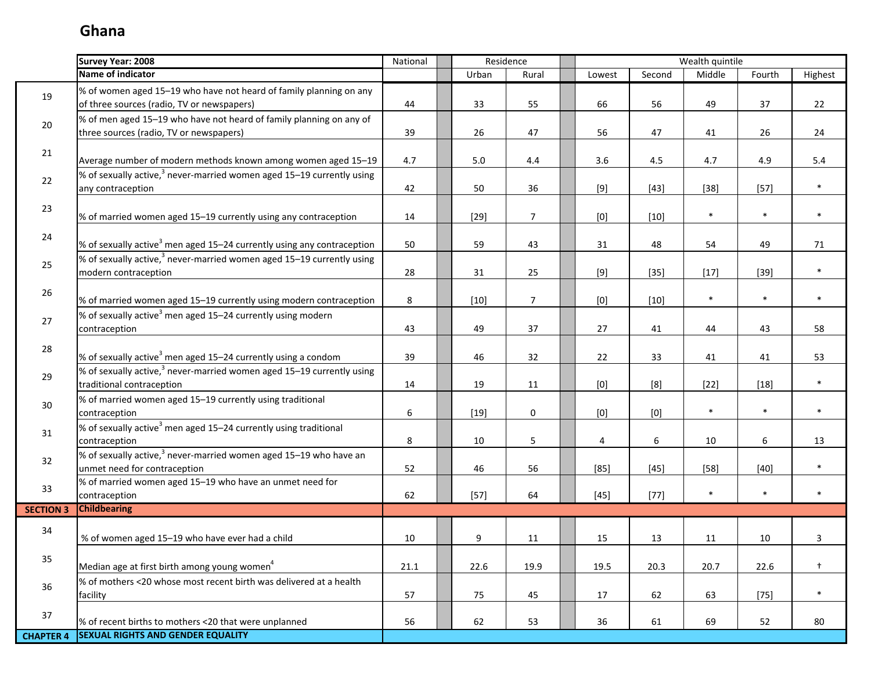I.

|                  | <b>Survey Year: 2008</b>                                                                                         | National |         | Residence      |                                                                                                                                                                                                                                                                                                                                                                                                                                                                                                                                                                                                                                                                    |        | Wealth quintile |        |            |
|------------------|------------------------------------------------------------------------------------------------------------------|----------|---------|----------------|--------------------------------------------------------------------------------------------------------------------------------------------------------------------------------------------------------------------------------------------------------------------------------------------------------------------------------------------------------------------------------------------------------------------------------------------------------------------------------------------------------------------------------------------------------------------------------------------------------------------------------------------------------------------|--------|-----------------|--------|------------|
|                  | Name of indicator                                                                                                |          | Urban   | Rural          | Lowest                                                                                                                                                                                                                                                                                                                                                                                                                                                                                                                                                                                                                                                             | Second | Middle          | Fourth | Highest    |
| 19               | % of women aged 15-19 who have not heard of family planning on any<br>of three sources (radio, TV or newspapers) | 44       | 33      | 55             | 66                                                                                                                                                                                                                                                                                                                                                                                                                                                                                                                                                                                                                                                                 | 56     | 49              | 37     | 22         |
| 20               | % of men aged 15-19 who have not heard of family planning on any of<br>three sources (radio, TV or newspapers)   | 39       | 26      | 47             | 56                                                                                                                                                                                                                                                                                                                                                                                                                                                                                                                                                                                                                                                                 | 47     | 41              | 26     | 24         |
| 21               | Average number of modern methods known among women aged 15-19                                                    | 4.7      | $5.0\,$ | 4.4            | 3.6                                                                                                                                                                                                                                                                                                                                                                                                                                                                                                                                                                                                                                                                | 4.5    | 4.7             | 4.9    | 5.4        |
| 22               | % of sexually active, $3$ never-married women aged 15–19 currently using<br>any contraception                    | 42       | 50      | 36             | $[9]$                                                                                                                                                                                                                                                                                                                                                                                                                                                                                                                                                                                                                                                              | $[43]$ | $[38]$          | $[57]$ | $\ast$     |
| 23               | % of married women aged 15-19 currently using any contraception                                                  | 14       | $[29]$  | $\overline{7}$ | [0]                                                                                                                                                                                                                                                                                                                                                                                                                                                                                                                                                                                                                                                                | $[10]$ | $\ast$          | $\ast$ | $\ast$     |
| 24               | % of sexually active <sup>3</sup> men aged 15-24 currently using any contraception                               | 50       | 59      | 43             | 31                                                                                                                                                                                                                                                                                                                                                                                                                                                                                                                                                                                                                                                                 | 48     | 54              | 49     | 71         |
| 25               | % of sexually active, $3$ never-married women aged 15–19 currently using<br>modern contraception                 | 28       | 31      | 25             | $[9]$                                                                                                                                                                                                                                                                                                                                                                                                                                                                                                                                                                                                                                                              | $[35]$ | $[17]$          | $[39]$ | $\ast$     |
| 26               | % of married women aged 15-19 currently using modern contraception                                               | 8        | $[10]$  | $\overline{7}$ | $[0] % \begin{center} % \includegraphics[width=\linewidth]{imagesSupplemental_3.png} % \end{center} % \caption { % Our method is used for the method. % Note that the \emph{exponent} and the \emph{exponent} is used for the \emph{exponent} and the \emph{exponent} is used for the \emph{exponent} and the \emph{exponent} is used for the \emph{exponent} and the \emph{exponent} is used for the \emph{exponent} and the \emph{exponent} is used for the \emph{exponent} and the \emph{exponent} is used for the \emph{exponent} and the \emph{exponent} is used for the \emph{exponent} and the \emph{exponent} is used for the \emph{exponent} and the \em$ | $[10]$ | $\ast$          | $\ast$ | $\ast$     |
| 27               | % of sexually active <sup>3</sup> men aged 15–24 currently using modern<br>contraception                         | 43       | 49      | 37             | 27                                                                                                                                                                                                                                                                                                                                                                                                                                                                                                                                                                                                                                                                 | 41     | 44              | 43     | 58         |
| 28               | % of sexually active <sup>3</sup> men aged 15–24 currently using a condom                                        | 39       | 46      | 32             | 22                                                                                                                                                                                                                                                                                                                                                                                                                                                                                                                                                                                                                                                                 | 33     | 41              | 41     | 53         |
| 29               | % of sexually active, $3$ never-married women aged 15–19 currently using<br>traditional contraception            | 14       | 19      | 11             | $[0] % \begin{center} % \includegraphics[width=\linewidth]{imagesSupplemental_3.png} % \end{center} % \caption { % Our method can be used for the use of the image. % Note that the \emph{DefNet}~\cite{bib66} as a function of the \emph{DefNet}~\cite{bib66} as a function of the \emph{DefNet}~\cite{bib66} as a function of the \emph{DefNet}~\cite{bib66} as a function of the \emph{DefNet}~\cite{bib66} as a function of the \emph{DefNet}~\cite{bib66} as a function of the \emph{DefNet}~\cite{bib66} as a function of the \emph{DefNet}~\cite{bib66} as a function of the \emph{DefNet}$                                                                 | [8]    | $[22]$          | $[18]$ | $\ast$     |
| 30               | % of married women aged 15-19 currently using traditional<br>contraception                                       | 6        | $[19]$  | $\mathbf 0$    | [0]                                                                                                                                                                                                                                                                                                                                                                                                                                                                                                                                                                                                                                                                | [0]    | $\ast$          | $\ast$ | $\ast$     |
| 31               | % of sexually active <sup>3</sup> men aged 15-24 currently using traditional<br>contraception                    | 8        | 10      | 5              | 4                                                                                                                                                                                                                                                                                                                                                                                                                                                                                                                                                                                                                                                                  | 6      | 10              | 6      | 13         |
| 32               | % of sexually active, <sup>3</sup> never-married women aged 15-19 who have an<br>unmet need for contraception    | 52       | 46      | 56             | $[85]$                                                                                                                                                                                                                                                                                                                                                                                                                                                                                                                                                                                                                                                             | $[45]$ | $[58]$          | $[40]$ | $\ast$     |
| 33               | % of married women aged 15-19 who have an unmet need for<br>contraception                                        | 62       | $[57]$  | 64             | $[45]$                                                                                                                                                                                                                                                                                                                                                                                                                                                                                                                                                                                                                                                             | $[77]$ | $\ast$          | $\ast$ | $\ast$     |
| <b>SECTION 3</b> | <b>Childbearing</b>                                                                                              |          |         |                |                                                                                                                                                                                                                                                                                                                                                                                                                                                                                                                                                                                                                                                                    |        |                 |        |            |
| 34               | % of women aged 15-19 who have ever had a child                                                                  | 10       | 9       | 11             | 15                                                                                                                                                                                                                                                                                                                                                                                                                                                                                                                                                                                                                                                                 | 13     | 11              | 10     | 3          |
| 35               | Median age at first birth among young women <sup>4</sup>                                                         | 21.1     | 22.6    | 19.9           | 19.5                                                                                                                                                                                                                                                                                                                                                                                                                                                                                                                                                                                                                                                               | 20.3   | 20.7            | 22.6   | $\ddagger$ |
| 36               | % of mothers <20 whose most recent birth was delivered at a health<br>facility                                   | 57       | 75      | 45             | 17                                                                                                                                                                                                                                                                                                                                                                                                                                                                                                                                                                                                                                                                 | 62     | 63              | $[75]$ | $\ast$     |
| 37               | % of recent births to mothers <20 that were unplanned                                                            | 56       | 62      | 53             | 36                                                                                                                                                                                                                                                                                                                                                                                                                                                                                                                                                                                                                                                                 | 61     | 69              | 52     | 80         |
| <b>CHAPTER 4</b> | <b>SEXUAL RIGHTS AND GENDER EQUALITY</b>                                                                         |          |         |                |                                                                                                                                                                                                                                                                                                                                                                                                                                                                                                                                                                                                                                                                    |        |                 |        |            |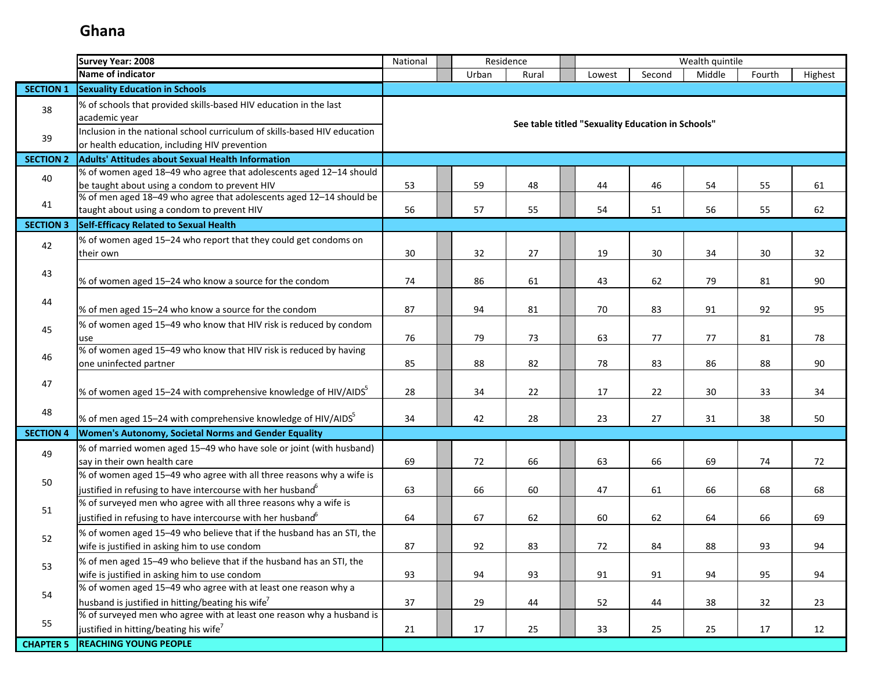|                  | <b>Survey Year: 2008</b>                                                                                                                        | Wealth quintile<br>Residence<br>National<br>Urban<br>Second<br>Rural<br>Lowest |  |          |          |  |                                                   |          |          |          |          |
|------------------|-------------------------------------------------------------------------------------------------------------------------------------------------|--------------------------------------------------------------------------------|--|----------|----------|--|---------------------------------------------------|----------|----------|----------|----------|
|                  | Name of indicator                                                                                                                               |                                                                                |  |          |          |  |                                                   |          | Middle   | Fourth   | Highest  |
| <b>SECTION 1</b> | <b>Sexuality Education in Schools</b>                                                                                                           |                                                                                |  |          |          |  |                                                   |          |          |          |          |
| 38               | % of schools that provided skills-based HIV education in the last<br>academic year                                                              |                                                                                |  |          |          |  |                                                   |          |          |          |          |
| 39               | Inclusion in the national school curriculum of skills-based HIV education<br>or health education, including HIV prevention                      |                                                                                |  |          |          |  | See table titled "Sexuality Education in Schools" |          |          |          |          |
| <b>SECTION 2</b> | <b>Adults' Attitudes about Sexual Health Information</b>                                                                                        |                                                                                |  |          |          |  |                                                   |          |          |          |          |
| 40               | % of women aged 18-49 who agree that adolescents aged 12-14 should<br>be taught about using a condom to prevent HIV                             | 53                                                                             |  | 59       | 48       |  | 44                                                | 46       | 54       | 55       | 61       |
| 41               | % of men aged 18-49 who agree that adolescents aged 12-14 should be<br>taught about using a condom to prevent HIV                               | 56                                                                             |  | 57       | 55       |  | 54                                                | 51       | 56       | 55       | 62       |
| <b>SECTION 3</b> | Self-Efficacy Related to Sexual Health                                                                                                          |                                                                                |  |          |          |  |                                                   |          |          |          |          |
| 42               | % of women aged 15-24 who report that they could get condoms on<br>their own                                                                    | 30                                                                             |  | 32       | 27       |  | 19                                                | 30       | 34       | 30       | 32       |
| 43               | % of women aged 15-24 who know a source for the condom                                                                                          | 74                                                                             |  | 86       | 61       |  | 43                                                | 62       | 79       | 81       | 90       |
| 44               | % of men aged 15-24 who know a source for the condom                                                                                            | 87                                                                             |  | 94       | 81       |  | 70                                                | 83       | 91       | 92       | 95       |
| 45               | % of women aged 15-49 who know that HIV risk is reduced by condom<br>use                                                                        | 76                                                                             |  | 79       | 73       |  | 63                                                | 77       | 77       | 81       | 78       |
| 46               | % of women aged 15-49 who know that HIV risk is reduced by having<br>one uninfected partner                                                     | 85                                                                             |  | 88       | 82       |  | 78                                                | 83       | 86       | 88       | 90       |
| 47               | % of women aged 15–24 with comprehensive knowledge of HIV/AIDS                                                                                  | 28                                                                             |  | 34       | 22       |  | 17                                                | 22       | 30       | 33       | 34       |
| 48               | % of men aged 15–24 with comprehensive knowledge of HIV/AIDS                                                                                    | 34                                                                             |  | 42       | 28       |  | 23                                                | 27       | 31       | 38       | 50       |
| <b>SECTION 4</b> | <b>Women's Autonomy, Societal Norms and Gender Equality</b>                                                                                     |                                                                                |  |          |          |  |                                                   |          |          |          |          |
| 49               | % of married women aged 15-49 who have sole or joint (with husband)<br>say in their own health care                                             | 69                                                                             |  | 72       | 66       |  | 63                                                | 66       | 69       | 74       | 72       |
| 50               | % of women aged 15-49 who agree with all three reasons why a wife is<br>justified in refusing to have intercourse with her husband <sup>6</sup> | 63                                                                             |  | 66       | 60       |  | 47                                                | 61       | 66       | 68       | 68       |
| 51               | % of surveyed men who agree with all three reasons why a wife is<br>justified in refusing to have intercourse with her husband <sup>o</sup>     | 64                                                                             |  | 67       | 62       |  | 60                                                | 62       | 64       | 66       | 69       |
| 52               | % of women aged 15-49 who believe that if the husband has an STI, the<br>wife is justified in asking him to use condom                          | 87                                                                             |  | 92       | 83       |  | 72                                                | 84       | 88       | 93       | 94       |
| 53               | % of men aged 15-49 who believe that if the husband has an STI, the<br>wife is justified in asking him to use condom                            | 93                                                                             |  | 94       | 93       |  | 91                                                | 91       | 94       | 95       | 94       |
| 54               | % of women aged 15-49 who agree with at least one reason why a<br>husband is justified in hitting/beating his wife <sup>7</sup>                 |                                                                                |  |          |          |  |                                                   |          |          |          |          |
| 55               | % of surveyed men who agree with at least one reason why a husband is<br>justified in hitting/beating his wife <sup>7</sup>                     | 37<br>21                                                                       |  | 29<br>17 | 44<br>25 |  | 52<br>33                                          | 44<br>25 | 38<br>25 | 32<br>17 | 23<br>12 |
| <b>CHAPTER 5</b> | <b>REACHING YOUNG PEOPLE</b>                                                                                                                    |                                                                                |  |          |          |  |                                                   |          |          |          |          |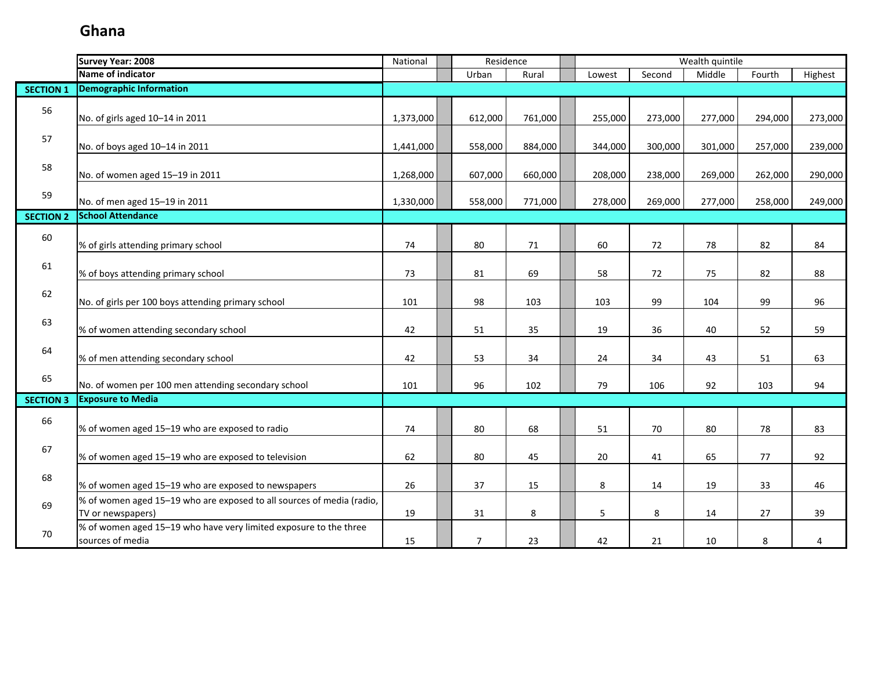|                  | <b>Survey Year: 2008</b>                                                                   | National  | Residence      |         |         |         | Wealth quintile |         |         |
|------------------|--------------------------------------------------------------------------------------------|-----------|----------------|---------|---------|---------|-----------------|---------|---------|
|                  | Name of indicator                                                                          |           | Urban          | Rural   | Lowest  | Second  | Middle          | Fourth  | Highest |
| <b>SECTION 1</b> | <b>Demographic Information</b>                                                             |           |                |         |         |         |                 |         |         |
| 56               | No. of girls aged 10-14 in 2011                                                            | 1,373,000 | 612,000        | 761,000 | 255,000 | 273,000 | 277,000         | 294,000 | 273,000 |
| 57               | No. of boys aged 10-14 in 2011                                                             | 1,441,000 | 558,000        | 884,000 | 344,000 | 300,000 | 301,000         | 257,000 | 239,000 |
| 58               | No. of women aged 15-19 in 2011                                                            | 1,268,000 | 607,000        | 660,000 | 208,000 | 238,000 | 269,000         | 262,000 | 290,000 |
| 59               | No. of men aged 15-19 in 2011                                                              | 1,330,000 | 558,000        | 771,000 | 278,000 | 269,000 | 277,000         | 258,000 | 249,000 |
| <b>SECTION 2</b> | <b>School Attendance</b>                                                                   |           |                |         |         |         |                 |         |         |
| 60               | % of girls attending primary school                                                        | 74        | 80             | 71      | 60      | 72      | 78              | 82      | 84      |
| 61               | % of boys attending primary school                                                         | 73        | 81             | 69      | 58      | 72      | 75              | 82      | 88      |
| 62               | No. of girls per 100 boys attending primary school                                         | 101       | 98             | 103     | 103     | 99      | 104             | 99      | 96      |
| 63               | % of women attending secondary school                                                      | 42        | 51             | 35      | 19      | 36      | 40              | 52      | 59      |
| 64               | % of men attending secondary school                                                        | 42        | 53             | 34      | 24      | 34      | 43              | 51      | 63      |
| 65               | No. of women per 100 men attending secondary school                                        | 101       | 96             | 102     | 79      | 106     | 92              | 103     | 94      |
| <b>SECTION 3</b> | <b>Exposure to Media</b>                                                                   |           |                |         |         |         |                 |         |         |
| 66               | % of women aged 15-19 who are exposed to radio                                             | 74        | 80             | 68      | 51      | 70      | 80              | 78      | 83      |
| 67               | % of women aged 15-19 who are exposed to television                                        | 62        | 80             | 45      | 20      | 41      | 65              | 77      | 92      |
| 68               | % of women aged 15-19 who are exposed to newspapers                                        | 26        | 37             | 15      | 8       | 14      | 19              | 33      | 46      |
| 69               | % of women aged 15-19 who are exposed to all sources of media (radio,<br>TV or newspapers) | 19        | 31             | 8       | 5       | 8       | 14              | 27      | 39      |
| 70               | % of women aged 15-19 who have very limited exposure to the three<br>sources of media      | 15        | $\overline{7}$ | 23      | 42      | 21      | 10              | 8       | 4       |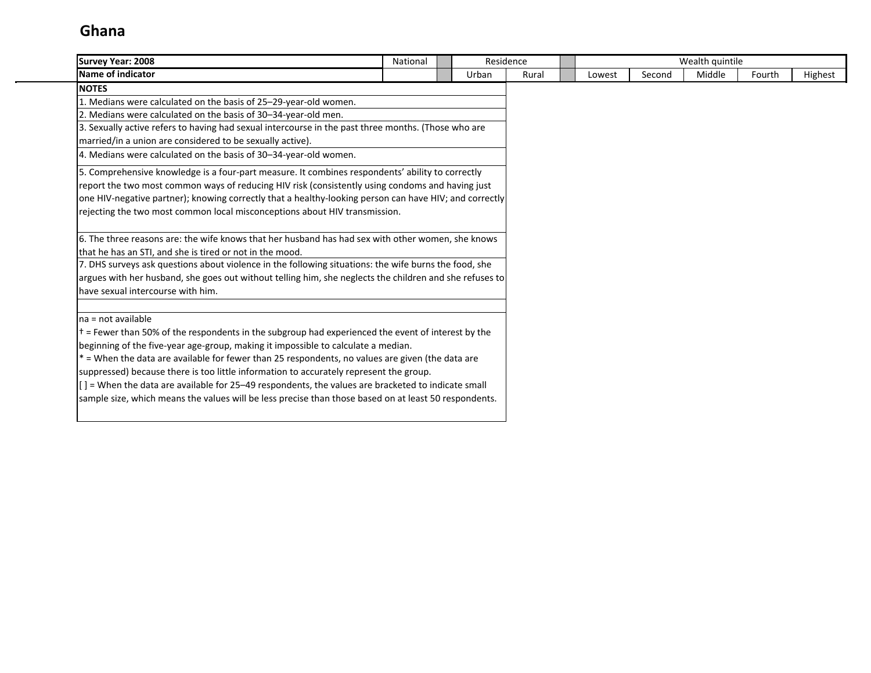| <b>Survey Year: 2008</b>                                                                                   | National | Residence |       |        |        | Wealth quintile |        |         |
|------------------------------------------------------------------------------------------------------------|----------|-----------|-------|--------|--------|-----------------|--------|---------|
| Name of indicator                                                                                          |          | Urban     | Rural | Lowest | Second | Middle          | Fourth | Highest |
| <b>NOTES</b>                                                                                               |          |           |       |        |        |                 |        |         |
| 1. Medians were calculated on the basis of 25-29-year-old women.                                           |          |           |       |        |        |                 |        |         |
| 2. Medians were calculated on the basis of 30-34-year-old men.                                             |          |           |       |        |        |                 |        |         |
| 3. Sexually active refers to having had sexual intercourse in the past three months. (Those who are        |          |           |       |        |        |                 |        |         |
| married/in a union are considered to be sexually active).                                                  |          |           |       |        |        |                 |        |         |
| 4. Medians were calculated on the basis of 30-34-year-old women.                                           |          |           |       |        |        |                 |        |         |
| 5. Comprehensive knowledge is a four-part measure. It combines respondents' ability to correctly           |          |           |       |        |        |                 |        |         |
| report the two most common ways of reducing HIV risk (consistently using condoms and having just           |          |           |       |        |        |                 |        |         |
| one HIV-negative partner); knowing correctly that a healthy-looking person can have HIV; and correctly     |          |           |       |        |        |                 |        |         |
| rejecting the two most common local misconceptions about HIV transmission.                                 |          |           |       |        |        |                 |        |         |
| 6. The three reasons are: the wife knows that her husband has had sex with other women, she knows          |          |           |       |        |        |                 |        |         |
| that he has an STI, and she is tired or not in the mood.                                                   |          |           |       |        |        |                 |        |         |
| 7. DHS surveys ask questions about violence in the following situations: the wife burns the food, she      |          |           |       |        |        |                 |        |         |
| argues with her husband, she goes out without telling him, she neglects the children and she refuses to    |          |           |       |        |        |                 |        |         |
| have sexual intercourse with him.                                                                          |          |           |       |        |        |                 |        |         |
| Ina = not available                                                                                        |          |           |       |        |        |                 |        |         |
| $\dagger$ = Fewer than 50% of the respondents in the subgroup had experienced the event of interest by the |          |           |       |        |        |                 |        |         |
| beginning of the five-year age-group, making it impossible to calculate a median.                          |          |           |       |        |        |                 |        |         |
| $*$ = When the data are available for fewer than 25 respondents, no values are given (the data are         |          |           |       |        |        |                 |        |         |
| suppressed) because there is too little information to accurately represent the group.                     |          |           |       |        |        |                 |        |         |
| $[$ ] = When the data are available for 25–49 respondents, the values are bracketed to indicate small      |          |           |       |        |        |                 |        |         |
| sample size, which means the values will be less precise than those based on at least 50 respondents.      |          |           |       |        |        |                 |        |         |
|                                                                                                            |          |           |       |        |        |                 |        |         |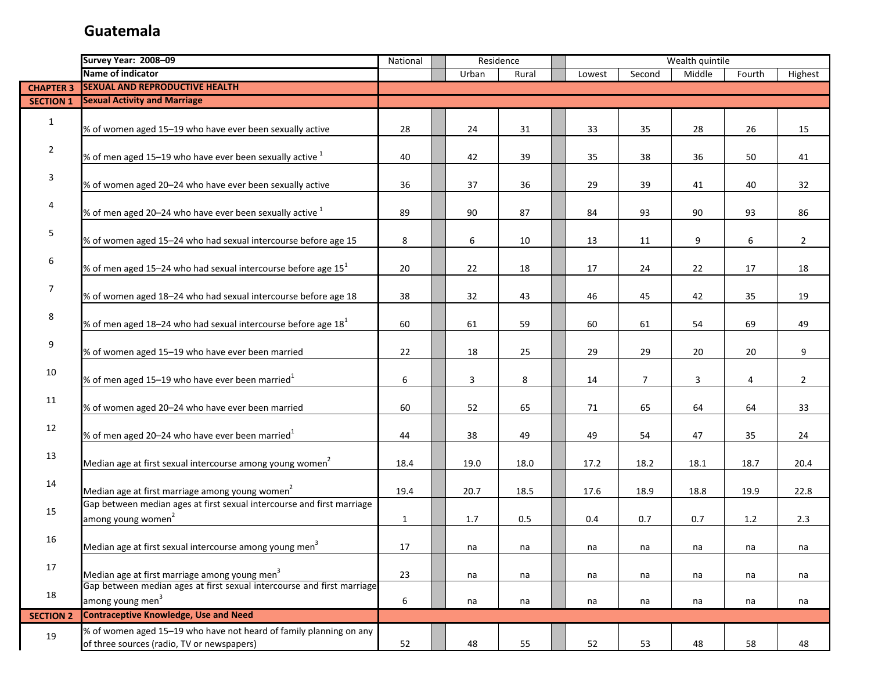|                  | <b>Survey Year: 2008-09</b>                                                                                      | Residence<br>National |  |       |       |  | Wealth quintile |        |        |        |                  |
|------------------|------------------------------------------------------------------------------------------------------------------|-----------------------|--|-------|-------|--|-----------------|--------|--------|--------|------------------|
|                  | <b>Name of indicator</b>                                                                                         |                       |  | Urban | Rural |  | Lowest          | Second | Middle | Fourth | Highest          |
| <b>CHAPTER 3</b> | <b>SEXUAL AND REPRODUCTIVE HEALTH</b>                                                                            |                       |  |       |       |  |                 |        |        |        |                  |
| <b>SECTION 1</b> | <b>Sexual Activity and Marriage</b>                                                                              |                       |  |       |       |  |                 |        |        |        |                  |
| $\mathbf{1}$     | % of women aged 15-19 who have ever been sexually active                                                         | 28                    |  | 24    | 31    |  | 33              | 35     | 28     | 26     | 15               |
| $\overline{2}$   | % of men aged 15-19 who have ever been sexually active $^1$                                                      | 40                    |  | 42    | 39    |  | 35              | 38     | 36     | 50     | 41               |
| 3                | % of women aged 20-24 who have ever been sexually active                                                         | 36                    |  | 37    | 36    |  | 29              | 39     | 41     | 40     | 32               |
| 4                | % of men aged 20–24 who have ever been sexually active $^1$                                                      | 89                    |  | 90    | 87    |  | 84              | 93     | 90     | 93     | 86               |
| 5                | % of women aged 15-24 who had sexual intercourse before age 15                                                   | 8                     |  | 6     | 10    |  | 13              | 11     | 9      | 6      | $\overline{2}$   |
| 6                | % of men aged 15–24 who had sexual intercourse before age $151$                                                  | 20                    |  | 22    | 18    |  | 17              | 24     | 22     | 17     | 18               |
| $\overline{7}$   | % of women aged 18-24 who had sexual intercourse before age 18                                                   | 38                    |  | 32    | 43    |  | 46              | 45     | 42     | 35     | 19               |
| 8                | % of men aged 18–24 who had sexual intercourse before age $181$                                                  | 60                    |  | 61    | 59    |  | 60              | 61     | 54     | 69     | 49               |
| 9                | % of women aged 15-19 who have ever been married                                                                 | 22                    |  | 18    | 25    |  | 29              | 29     | 20     | 20     | $\boldsymbol{9}$ |
| 10               | % of men aged 15–19 who have ever been married $^1$                                                              | 6                     |  | 3     | 8     |  | 14              | 7      | 3      | 4      | $\overline{2}$   |
| 11               | % of women aged 20-24 who have ever been married                                                                 | 60                    |  | 52    | 65    |  | 71              | 65     | 64     | 64     | 33               |
| 12               | % of men aged 20–24 who have ever been married $^1$                                                              | 44                    |  | 38    | 49    |  | 49              | 54     | 47     | 35     | 24               |
| 13               | Median age at first sexual intercourse among young women <sup>2</sup>                                            | 18.4                  |  | 19.0  | 18.0  |  | 17.2            | 18.2   | 18.1   | 18.7   | 20.4             |
| 14               | Median age at first marriage among young women <sup>2</sup>                                                      | 19.4                  |  | 20.7  | 18.5  |  | 17.6            | 18.9   | 18.8   | 19.9   | 22.8             |
| 15               | Gap between median ages at first sexual intercourse and first marriage<br>among young women <sup>2</sup>         | $\mathbf{1}$          |  | 1.7   | 0.5   |  | 0.4             | 0.7    | 0.7    | 1.2    | 2.3              |
| 16               | Median age at first sexual intercourse among young men <sup>3</sup>                                              | 17                    |  | na    | na    |  | na              | na     | na     | na     | na               |
| 17               | Median age at first marriage among young men <sup>3</sup>                                                        | 23                    |  | na    | na    |  | na              | na     | na     | na     | na               |
| 18               | Gap between median ages at first sexual intercourse and first marriage<br>among young men <sup>3</sup>           | 6                     |  | na    | na    |  | na              | na     | na     | na     | na               |
| <b>SECTION 2</b> | <b>Contraceptive Knowledge, Use and Need</b>                                                                     |                       |  |       |       |  |                 |        |        |        |                  |
| 19               | % of women aged 15-19 who have not heard of family planning on any<br>of three sources (radio, TV or newspapers) | 52                    |  | 48    | 55    |  | 52              | 53     | 48     | 58     | 48               |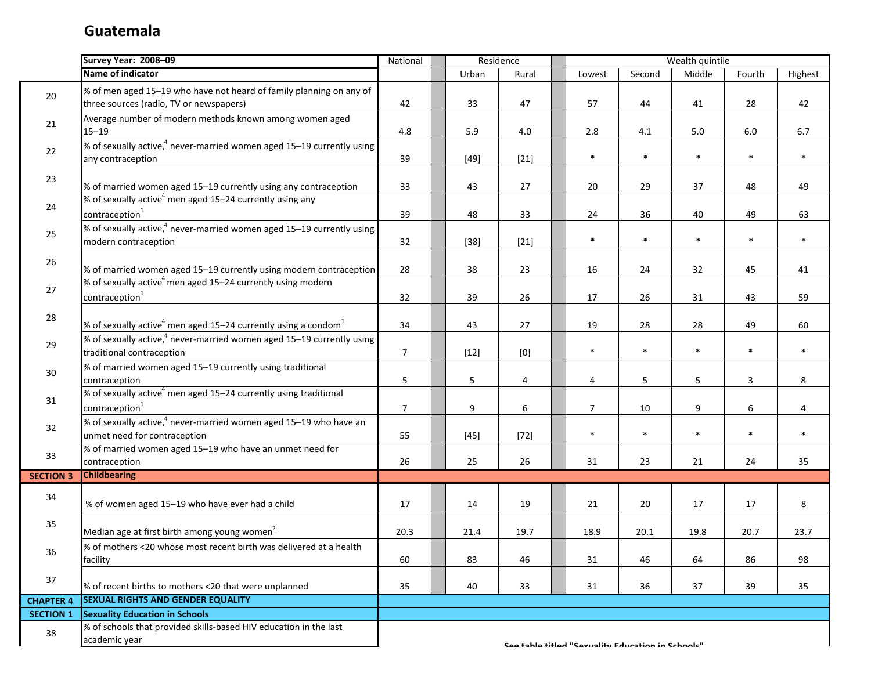П

|                  | <b>Survey Year: 2008-09</b>                                                                                    | National        | Residence       |                  |                                                   |        | Wealth quintile |        |         |
|------------------|----------------------------------------------------------------------------------------------------------------|-----------------|-----------------|------------------|---------------------------------------------------|--------|-----------------|--------|---------|
|                  | Name of indicator                                                                                              |                 | Urban           | Rural            | Lowest                                            | Second | Middle          | Fourth | Highest |
| 20               | % of men aged 15-19 who have not heard of family planning on any of<br>three sources (radio, TV or newspapers) | 42              | 33              | 47               | 57                                                | 44     | 41              | 28     | 42      |
| 21               | Average number of modern methods known among women aged<br>$15 - 19$                                           | 4.8             | 5.9             | 4.0              | 2.8                                               | 4.1    | 5.0             | 6.0    | 6.7     |
| 22               | % of sexually active, <sup>4</sup> never-married women aged 15-19 currently using<br>any contraception         | 39              | $[49]$          | $[21]$           | $\ast$                                            | $\ast$ | $\ast$          | $\ast$ | $\ast$  |
| 23               | % of married women aged 15-19 currently using any contraception                                                | 33              | 43              | 27               | 20                                                | 29     | 37              | 48     | 49      |
| 24               | % of sexually active <sup>4</sup> men aged 15-24 currently using any<br>contraception <sup>1</sup>             | 39              | 48              | 33               | 24                                                | 36     | 40              | 49     | 63      |
| 25               | % of sexually active, <sup>4</sup> never-married women aged 15-19 currently using<br>modern contraception      | 32              | $[38]$          | $[21]$           | $\ast$                                            | $\ast$ | $\ast$          | $\ast$ | $\ast$  |
| 26               | % of married women aged 15-19 currently using modern contraception                                             | 28              | 38              | 23               | 16                                                | 24     | 32              | 45     | 41      |
| 27               | % of sexually active <sup>4</sup> men aged 15-24 currently using modern<br>contraception <sup>1</sup>          | 32              | 39              | 26               | 17                                                | 26     | 31              | 43     | 59      |
| 28               | % of sexually active <sup>4</sup> men aged 15–24 currently using a condom <sup>1</sup>                         | 34              | 43              | 27               | 19                                                | 28     | 28              | 49     | 60      |
| 29               | % of sexually active, <sup>4</sup> never-married women aged 15-19 currently using<br>traditional contraception | $\overline{7}$  | $[12]$          | $\left[0\right]$ | $\ast$                                            | $\ast$ | $\ast$          | $\ast$ | $\ast$  |
| 30               | % of married women aged 15-19 currently using traditional<br>contraception                                     | $5\phantom{.0}$ | $5\phantom{.0}$ | 4                | 4                                                 | 5      | 5               | 3      | 8       |
| 31               | % of sexually active <sup>4</sup> men aged 15-24 currently using traditional<br>contraception <sup>1</sup>     | $\overline{7}$  | 9               | 6                | $\overline{7}$                                    | 10     | 9               | 6      | 4       |
| 32               | % of sexually active, <sup>4</sup> never-married women aged 15-19 who have an<br>unmet need for contraception  | 55              | $[45]$          | $[72]$           | $\ast$                                            | $\ast$ | $\ast$          | $\ast$ | $\ast$  |
| 33               | % of married women aged 15-19 who have an unmet need for<br>contraception                                      | 26              | 25              | 26               | 31                                                | 23     | 21              | 24     | 35      |
| <b>SECTION 3</b> | <b>Childbearing</b>                                                                                            |                 |                 |                  |                                                   |        |                 |        |         |
| 34               | % of women aged 15-19 who have ever had a child                                                                | 17              | 14              | 19               | 21                                                | 20     | 17              | 17     | 8       |
| 35               | Median age at first birth among young women <sup>2</sup>                                                       | 20.3            | 21.4            | 19.7             | 18.9                                              | 20.1   | 19.8            | 20.7   | 23.7    |
| 36               | % of mothers <20 whose most recent birth was delivered at a health<br>facility                                 | 60              | 83              | 46               | 31                                                | 46     | 64              | 86     | 98      |
| 37               | % of recent births to mothers <20 that were unplanned                                                          | 35              | 40              | 33               | 31                                                | 36     | 37              | 39     | 35      |
| <b>CHAPTER 4</b> | <b>SEXUAL RIGHTS AND GENDER EQUALITY</b>                                                                       |                 |                 |                  |                                                   |        |                 |        |         |
| <b>SECTION 1</b> | <b>Sexuality Education in Schools</b>                                                                          |                 |                 |                  |                                                   |        |                 |        |         |
| 38               | % of schools that provided skills-based HIV education in the last<br>academic year                             |                 |                 |                  | Soo tahla titlad "Savuality Education in Schoole" |        |                 |        |         |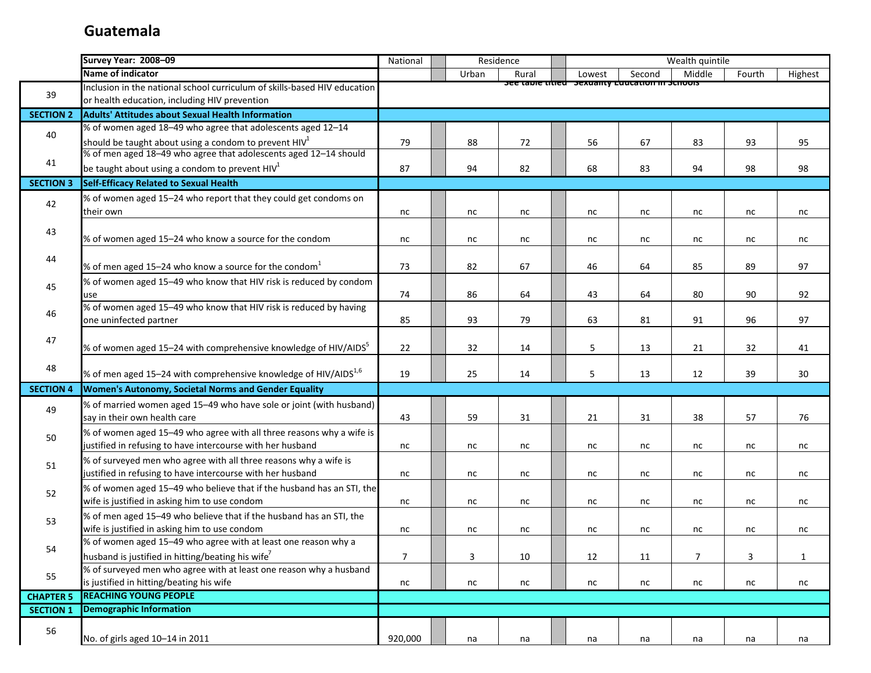|                        | <b>Survey Year: 2008-09</b>                                                                                            | National       |          | Residence |                                                             |          | Wealth quintile |          |              |
|------------------------|------------------------------------------------------------------------------------------------------------------------|----------------|----------|-----------|-------------------------------------------------------------|----------|-----------------|----------|--------------|
|                        | Name of indicator                                                                                                      |                | Urban    | Rural     | Lowest                                                      | Second   | Middle          | Fourth   | Highest      |
|                        | Inclusion in the national school curriculum of skills-based HIV education                                              |                |          |           | <u>סכב נמטוב נונוכט - סבגעמוונץ בעענסגוטוו ווו סכווטטוס</u> |          |                 |          |              |
| 39                     | or health education, including HIV prevention                                                                          |                |          |           |                                                             |          |                 |          |              |
| <b>SECTION 2</b>       | <b>Adults' Attitudes about Sexual Health Information</b>                                                               |                |          |           |                                                             |          |                 |          |              |
| 40                     | % of women aged 18-49 who agree that adolescents aged 12-14                                                            |                |          |           |                                                             |          |                 |          |              |
|                        | should be taught about using a condom to prevent $HIV1$                                                                | 79             | 88       | 72        | 56                                                          | 67       | 83              | 93       | 95           |
| 41                     | % of men aged 18-49 who agree that adolescents aged 12-14 should                                                       |                |          |           |                                                             |          |                 |          |              |
|                        | be taught about using a condom to prevent HIV $1$                                                                      | 87             | 94       | 82        | 68                                                          | 83       | 94              | 98       | 98           |
| <b>SECTION 3</b>       | Self-Efficacy Related to Sexual Health                                                                                 |                |          |           |                                                             |          |                 |          |              |
| 42                     | % of women aged 15-24 who report that they could get condoms on                                                        |                |          |           |                                                             |          |                 |          |              |
|                        | their own                                                                                                              | nc             | nc       | nc        | nc                                                          | nc       | nc              | nc       | nc           |
| 43                     |                                                                                                                        |                |          |           |                                                             |          |                 |          |              |
|                        | % of women aged 15-24 who know a source for the condom                                                                 | nc             | nc       | nc        | nc                                                          | nc       | nc              | nc       | nc           |
| 44                     |                                                                                                                        |                |          |           |                                                             |          |                 |          |              |
|                        | % of men aged 15–24 who know a source for the condom $1$                                                               | 73             | 82       | 67        | 46                                                          | 64       | 85              | 89       | 97           |
| 45                     | % of women aged 15-49 who know that HIV risk is reduced by condom                                                      |                |          |           |                                                             |          |                 |          |              |
|                        | use                                                                                                                    | 74             | 86       | 64        | 43                                                          | 64       | 80              | 90       | 92           |
| 46                     | % of women aged 15-49 who know that HIV risk is reduced by having                                                      |                |          |           |                                                             |          |                 |          |              |
|                        | one uninfected partner                                                                                                 | 85             | 93       | 79        | 63                                                          | 81       | 91              | 96       | 97           |
| 47                     |                                                                                                                        |                |          |           |                                                             |          |                 |          |              |
|                        | % of women aged 15-24 with comprehensive knowledge of HIV/AIDS <sup>5</sup>                                            | 22             | 32       | 14        | 5                                                           | 13       | 21              | 32       | 41           |
| 48                     | % of men aged 15-24 with comprehensive knowledge of HIV/AIDS <sup>1,6</sup>                                            | 19             | 25       | 14        | 5                                                           | 13       | 12              | 39       | 30           |
|                        |                                                                                                                        |                |          |           |                                                             |          |                 |          |              |
| <b>SECTION 4</b>       | Women's Autonomy, Societal Norms and Gender Equality                                                                   |                |          |           |                                                             |          |                 |          |              |
| 49                     | % of married women aged 15-49 who have sole or joint (with husband)                                                    |                |          |           |                                                             |          |                 |          |              |
|                        | say in their own health care                                                                                           | 43             | 59       | 31        | 21                                                          | 31       | 38              | 57       | 76           |
| 50                     | % of women aged 15-49 who agree with all three reasons why a wife is                                                   |                |          |           |                                                             |          |                 |          |              |
|                        | justified in refusing to have intercourse with her husband                                                             | nc             | nc       | nc        | nc                                                          | nc       | nc              | nc       | nc           |
| 51                     | % of surveyed men who agree with all three reasons why a wife is                                                       |                |          |           |                                                             |          |                 |          |              |
|                        | justified in refusing to have intercourse with her husband                                                             | nc             | nc       | nc        | nc                                                          | nc       | nc              | nc       | nc           |
| 52                     | % of women aged 15-49 who believe that if the husband has an STI, the<br>wife is justified in asking him to use condom |                | nc       |           |                                                             |          |                 | nc       |              |
|                        |                                                                                                                        | nc             |          | nc        | nc                                                          | nc       | nc              |          | nc           |
| 53                     | % of men aged 15-49 who believe that if the husband has an STI, the<br>wife is justified in asking him to use condom   | nc             | nc       | nc        | nc                                                          | nc       | nc              | nc       | nc           |
|                        | % of women aged 15-49 who agree with at least one reason why a                                                         |                |          |           |                                                             |          |                 |          |              |
| 54                     | husband is justified in hitting/beating his wife <sup>7</sup>                                                          | $\overline{7}$ | 3        | $10\,$    | 12                                                          | 11       | $\overline{7}$  | 3        | $\mathbf{1}$ |
|                        | % of surveyed men who agree with at least one reason why a husband                                                     |                |          |           |                                                             |          |                 |          |              |
| 55                     |                                                                                                                        |                |          |           |                                                             |          |                 |          |              |
|                        | <b>REACHING YOUNG PEOPLE</b>                                                                                           |                |          |           |                                                             |          |                 |          |              |
| <b>SECTION 1</b>       | <b>Demographic Information</b>                                                                                         |                |          |           |                                                             |          |                 |          |              |
|                        |                                                                                                                        |                |          |           |                                                             |          |                 |          |              |
|                        |                                                                                                                        |                |          |           |                                                             |          |                 |          |              |
| <b>CHAPTER 5</b><br>56 | is justified in hitting/beating his wife<br>No. of girls aged 10-14 in 2011                                            | nc<br>920,000  | nc<br>na | nc<br>na  | nc<br>na                                                    | nc<br>na | nc<br>na        | nc<br>na | nc<br>na     |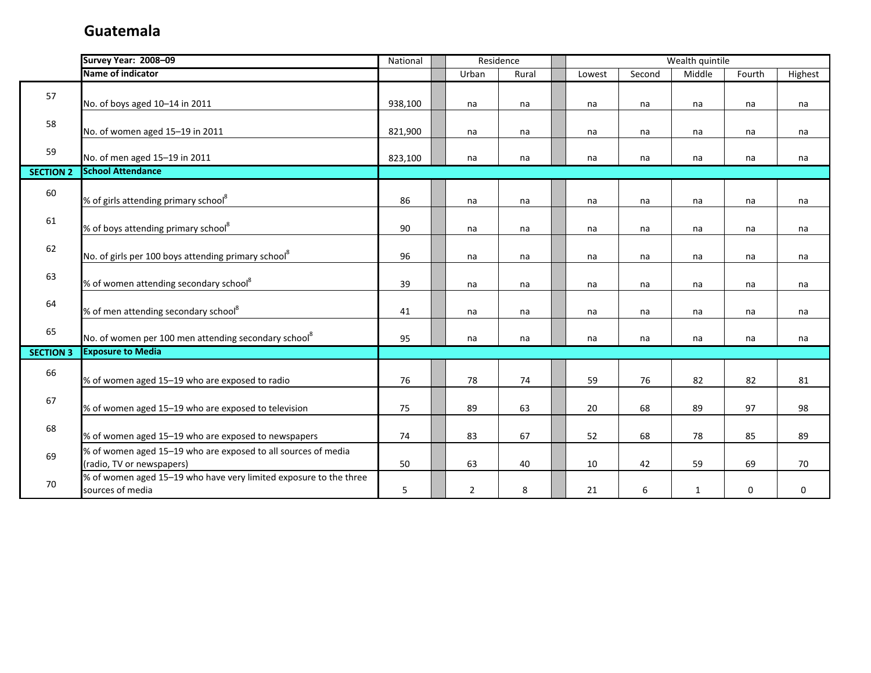|                  | <b>Survey Year: 2008-09</b>                                       | Residence<br>National |  |                |       | Wealth quintile |        |              |        |         |
|------------------|-------------------------------------------------------------------|-----------------------|--|----------------|-------|-----------------|--------|--------------|--------|---------|
|                  | Name of indicator                                                 |                       |  | Urban          | Rural | Lowest          | Second | Middle       | Fourth | Highest |
| 57               |                                                                   |                       |  |                |       |                 |        |              |        |         |
|                  | No. of boys aged 10-14 in 2011                                    | 938,100               |  | na             | na    | na              | na     | na           | na     | na      |
| 58               |                                                                   |                       |  |                |       |                 |        |              |        |         |
|                  | No. of women aged 15-19 in 2011                                   | 821,900               |  | na             | na    | na              | na     | na           | na     | na      |
| 59               |                                                                   |                       |  |                |       |                 |        |              |        |         |
|                  | No. of men aged 15-19 in 2011                                     | 823,100               |  | na             | na    | na              | na     | na           | na     | na      |
| <b>SECTION 2</b> | <b>School Attendance</b>                                          |                       |  |                |       |                 |        |              |        |         |
| 60               |                                                                   |                       |  |                |       |                 |        |              |        |         |
|                  | % of girls attending primary school <sup>8</sup>                  | 86                    |  | na             | na    | na              | na     | na           | na     | na      |
| 61               |                                                                   |                       |  |                |       |                 |        |              |        |         |
|                  | % of boys attending primary school <sup>8</sup>                   | 90                    |  | na             | na    | na              | na     | na           | na     | na      |
| 62               |                                                                   |                       |  |                |       |                 |        |              |        |         |
|                  | No. of girls per 100 boys attending primary school <sup>8</sup>   | 96                    |  | na             | na    | na              | na     | na           | na     | na      |
| 63               |                                                                   |                       |  |                |       |                 |        |              |        |         |
|                  | % of women attending secondary school <sup>8</sup>                | 39                    |  | na             | na    | na              | na     | na           | na     | na      |
| 64               |                                                                   |                       |  |                |       |                 |        |              |        |         |
|                  | % of men attending secondary school <sup>8</sup>                  | 41                    |  | na             | na    | na              | na     | na           | na     | na      |
| 65               | No. of women per 100 men attending secondary school <sup>8</sup>  | 95                    |  | na             | na    | na              | na     | na           | na     | na      |
| <b>SECTION 3</b> | <b>Exposure to Media</b>                                          |                       |  |                |       |                 |        |              |        |         |
|                  |                                                                   |                       |  |                |       |                 |        |              |        |         |
| 66               | % of women aged 15-19 who are exposed to radio                    | 76                    |  | 78             | 74    | 59              | 76     | 82           | 82     | 81      |
|                  |                                                                   |                       |  |                |       |                 |        |              |        |         |
| 67               | % of women aged 15-19 who are exposed to television               | 75                    |  | 89             | 63    | 20              | 68     | 89           | 97     | 98      |
|                  |                                                                   |                       |  |                |       |                 |        |              |        |         |
| 68               | % of women aged 15-19 who are exposed to newspapers               | 74                    |  | 83             | 67    | 52              | 68     | 78           | 85     | 89      |
|                  | % of women aged 15-19 who are exposed to all sources of media     |                       |  |                |       |                 |        |              |        |         |
| 69               | (radio, TV or newspapers)                                         | 50                    |  | 63             | 40    | 10              | 42     | 59           | 69     | 70      |
|                  | % of women aged 15-19 who have very limited exposure to the three |                       |  |                |       |                 |        |              |        |         |
| 70               | sources of media                                                  | 5                     |  | $\overline{2}$ | 8     | 21              | 6      | $\mathbf{1}$ | 0      | 0       |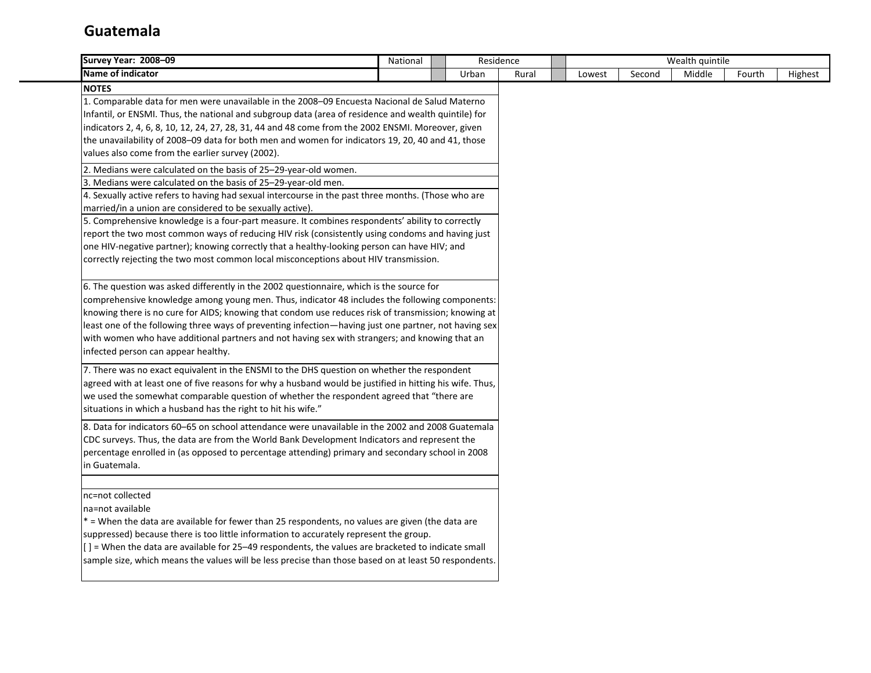| <b>Survey Year: 2008-09</b>                                                                              | National                                                                                              |  |       | Residence |        |        | Wealth quintile |        |         |
|----------------------------------------------------------------------------------------------------------|-------------------------------------------------------------------------------------------------------|--|-------|-----------|--------|--------|-----------------|--------|---------|
| <b>Name of indicator</b>                                                                                 |                                                                                                       |  | Urban | Rural     | Lowest | Second | Middle          | Fourth | Highest |
| <b>NOTES</b>                                                                                             |                                                                                                       |  |       |           |        |        |                 |        |         |
| 1. Comparable data for men were unavailable in the 2008-09 Encuesta Nacional de Salud Materno            |                                                                                                       |  |       |           |        |        |                 |        |         |
| Infantil, or ENSMI. Thus, the national and subgroup data (area of residence and wealth quintile) for     |                                                                                                       |  |       |           |        |        |                 |        |         |
| indicators 2, 4, 6, 8, 10, 12, 24, 27, 28, 31, 44 and 48 come from the 2002 ENSMI. Moreover, given       |                                                                                                       |  |       |           |        |        |                 |        |         |
| the unavailability of 2008-09 data for both men and women for indicators 19, 20, 40 and 41, those        |                                                                                                       |  |       |           |        |        |                 |        |         |
| values also come from the earlier survey (2002).                                                         |                                                                                                       |  |       |           |        |        |                 |        |         |
| 2. Medians were calculated on the basis of 25-29-year-old women.                                         |                                                                                                       |  |       |           |        |        |                 |        |         |
| 3. Medians were calculated on the basis of 25-29-year-old men.                                           |                                                                                                       |  |       |           |        |        |                 |        |         |
| 4. Sexually active refers to having had sexual intercourse in the past three months. (Those who are      |                                                                                                       |  |       |           |        |        |                 |        |         |
| married/in a union are considered to be sexually active).                                                |                                                                                                       |  |       |           |        |        |                 |        |         |
| 5. Comprehensive knowledge is a four-part measure. It combines respondents' ability to correctly         |                                                                                                       |  |       |           |        |        |                 |        |         |
| report the two most common ways of reducing HIV risk (consistently using condoms and having just         |                                                                                                       |  |       |           |        |        |                 |        |         |
| one HIV-negative partner); knowing correctly that a healthy-looking person can have HIV; and             |                                                                                                       |  |       |           |        |        |                 |        |         |
| correctly rejecting the two most common local misconceptions about HIV transmission.                     |                                                                                                       |  |       |           |        |        |                 |        |         |
|                                                                                                          |                                                                                                       |  |       |           |        |        |                 |        |         |
| 6. The question was asked differently in the 2002 questionnaire, which is the source for                 |                                                                                                       |  |       |           |        |        |                 |        |         |
| comprehensive knowledge among young men. Thus, indicator 48 includes the following components:           |                                                                                                       |  |       |           |        |        |                 |        |         |
| knowing there is no cure for AIDS; knowing that condom use reduces risk of transmission; knowing at      |                                                                                                       |  |       |           |        |        |                 |        |         |
| least one of the following three ways of preventing infection—having just one partner, not having sex    |                                                                                                       |  |       |           |        |        |                 |        |         |
| with women who have additional partners and not having sex with strangers; and knowing that an           |                                                                                                       |  |       |           |        |        |                 |        |         |
| infected person can appear healthy.                                                                      |                                                                                                       |  |       |           |        |        |                 |        |         |
| 7. There was no exact equivalent in the ENSMI to the DHS question on whether the respondent              |                                                                                                       |  |       |           |        |        |                 |        |         |
| agreed with at least one of five reasons for why a husband would be justified in hitting his wife. Thus, |                                                                                                       |  |       |           |        |        |                 |        |         |
| we used the somewhat comparable question of whether the respondent agreed that "there are                |                                                                                                       |  |       |           |        |        |                 |        |         |
| situations in which a husband has the right to hit his wife."                                            |                                                                                                       |  |       |           |        |        |                 |        |         |
| 8. Data for indicators 60-65 on school attendance were unavailable in the 2002 and 2008 Guatemala        |                                                                                                       |  |       |           |        |        |                 |        |         |
| CDC surveys. Thus, the data are from the World Bank Development Indicators and represent the             |                                                                                                       |  |       |           |        |        |                 |        |         |
| percentage enrolled in (as opposed to percentage attending) primary and secondary school in 2008         |                                                                                                       |  |       |           |        |        |                 |        |         |
| in Guatemala.                                                                                            |                                                                                                       |  |       |           |        |        |                 |        |         |
|                                                                                                          |                                                                                                       |  |       |           |        |        |                 |        |         |
| nc=not collected                                                                                         |                                                                                                       |  |       |           |        |        |                 |        |         |
| na=not available                                                                                         |                                                                                                       |  |       |           |        |        |                 |        |         |
| * = When the data are available for fewer than 25 respondents, no values are given (the data are         |                                                                                                       |  |       |           |        |        |                 |        |         |
| suppressed) because there is too little information to accurately represent the group.                   |                                                                                                       |  |       |           |        |        |                 |        |         |
| $[$ ] = When the data are available for 25–49 respondents, the values are bracketed to indicate small    |                                                                                                       |  |       |           |        |        |                 |        |         |
|                                                                                                          |                                                                                                       |  |       |           |        |        |                 |        |         |
|                                                                                                          | sample size, which means the values will be less precise than those based on at least 50 respondents. |  |       |           |        |        |                 |        |         |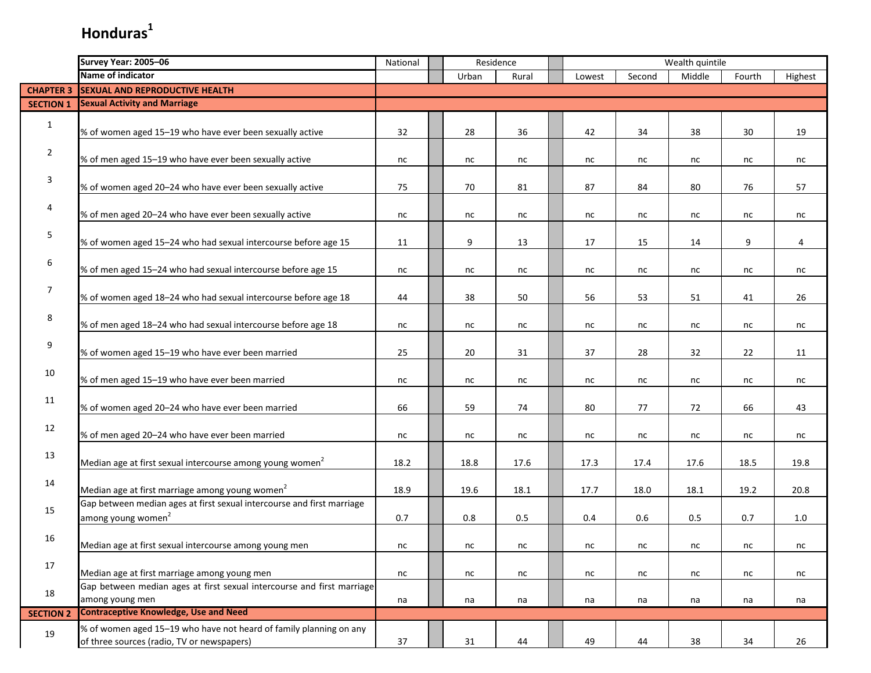|                  | Survey Year: 2005-06                                                                                             |      |       | Residence |        | Wealth quintile |        |        |         |
|------------------|------------------------------------------------------------------------------------------------------------------|------|-------|-----------|--------|-----------------|--------|--------|---------|
|                  | Name of indicator                                                                                                |      | Urban | Rural     | Lowest | Second          | Middle | Fourth | Highest |
| <b>CHAPTER 3</b> | <b>SEXUAL AND REPRODUCTIVE HEALTH</b>                                                                            |      |       |           |        |                 |        |        |         |
| <b>SECTION 1</b> | <b>Sexual Activity and Marriage</b>                                                                              |      |       |           |        |                 |        |        |         |
| $\mathbf{1}$     | % of women aged 15-19 who have ever been sexually active                                                         | 32   | 28    | 36        | 42     | 34              | 38     | 30     | 19      |
| $\overline{2}$   | % of men aged 15-19 who have ever been sexually active                                                           | nc   | nc    | nc        | nc     | nc              | nc     | nc     | nc      |
| 3                | % of women aged 20-24 who have ever been sexually active                                                         | 75   | 70    | 81        | 87     | 84              | 80     | 76     | 57      |
| 4                | % of men aged 20-24 who have ever been sexually active                                                           | nc   | nc    | nc        | nc     | nc              | nc     | nc     | nc      |
| 5                | % of women aged 15-24 who had sexual intercourse before age 15                                                   | 11   | 9     | 13        | 17     | 15              | 14     | 9      | 4       |
| 6                | % of men aged 15-24 who had sexual intercourse before age 15                                                     | nc   | nc    | nc        | nc     | nc              | nc     | nc     | nc      |
| $\overline{7}$   | % of women aged 18-24 who had sexual intercourse before age 18                                                   | 44   | 38    | 50        | 56     | 53              | 51     | 41     | 26      |
| 8                | % of men aged 18-24 who had sexual intercourse before age 18                                                     | nc   | nc    | nc        | nc     | nc              | nc     | nc     | nc      |
| 9                | % of women aged 15-19 who have ever been married                                                                 | 25   | 20    | 31        | 37     | 28              | 32     | 22     | 11      |
| 10               | % of men aged 15-19 who have ever been married                                                                   | nc   | nc    | nc        | nc     | nc              | nc     | nc     | nc      |
| 11               | % of women aged 20-24 who have ever been married                                                                 | 66   | 59    | 74        | 80     | 77              | 72     | 66     | 43      |
| 12               | % of men aged 20-24 who have ever been married                                                                   | nc   | nc    | nc        | nc     | nc              | nc     | nc     | nc      |
| 13               | Median age at first sexual intercourse among young women <sup>2</sup>                                            | 18.2 | 18.8  | 17.6      | 17.3   | 17.4            | 17.6   | 18.5   | 19.8    |
| 14               | Median age at first marriage among young women <sup>2</sup>                                                      | 18.9 | 19.6  | 18.1      | 17.7   | 18.0            | 18.1   | 19.2   | 20.8    |
| 15               | Gap between median ages at first sexual intercourse and first marriage<br>among young women <sup>2</sup>         | 0.7  | 0.8   | 0.5       | 0.4    | $0.6\,$         | 0.5    | 0.7    | 1.0     |
| 16               | Median age at first sexual intercourse among young men                                                           | nc   | nc    | nc        | nc     | nc              | nc     | nc     | nc      |
| 17               | Median age at first marriage among young men                                                                     | nc   | nc    | nc        | nc     | nc              | nc     | nc     | nc      |
| 18               | Gap between median ages at first sexual intercourse and first marriage<br>among young men                        | na   | na    | na        | na     | na              | na     | na     | na      |
| <b>SECTION 2</b> | <b>Contraceptive Knowledge, Use and Need</b>                                                                     |      |       |           |        |                 |        |        |         |
| 19               | % of women aged 15-19 who have not heard of family planning on any<br>of three sources (radio, TV or newspapers) | 37   | 31    | 44        | 49     | 44              | 38     | 34     | 26      |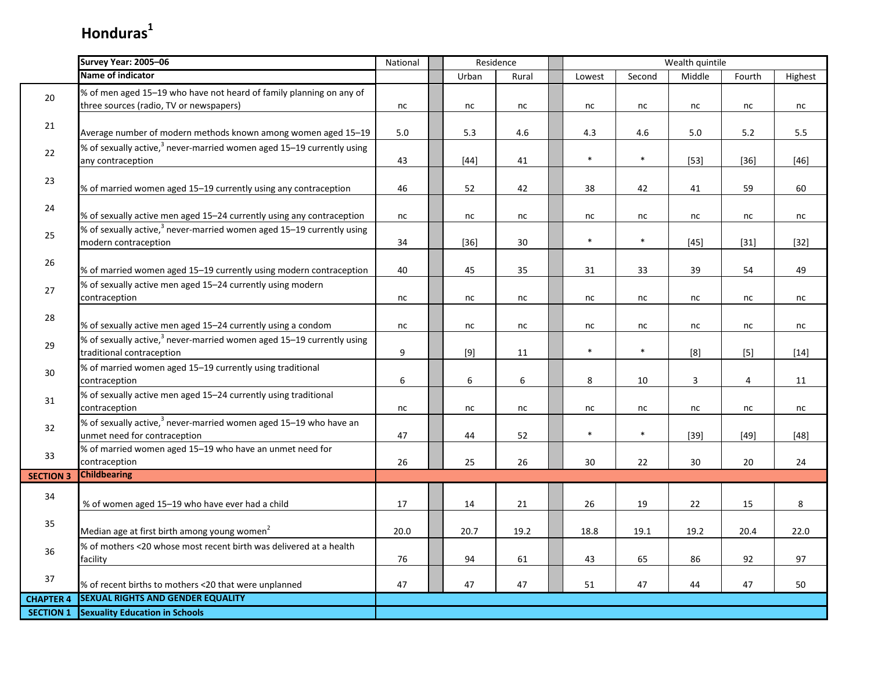|                  | Survey Year: 2005-06                                                                                           | National | Residence |       | Wealth quintile |        |                |                |         |  |
|------------------|----------------------------------------------------------------------------------------------------------------|----------|-----------|-------|-----------------|--------|----------------|----------------|---------|--|
|                  | <b>Name of indicator</b>                                                                                       |          | Urban     | Rural | Lowest          | Second | Middle         | Fourth         | Highest |  |
| 20               | % of men aged 15-19 who have not heard of family planning on any of<br>three sources (radio, TV or newspapers) | nc       | nc        | nc    | nc              | nc     | nc             | nc             | nc      |  |
|                  |                                                                                                                |          |           |       |                 |        |                |                |         |  |
| 21               | Average number of modern methods known among women aged 15-19                                                  | 5.0      | 5.3       | 4.6   | 4.3             | 4.6    | 5.0            | 5.2            | 5.5     |  |
| $22\,$           | % of sexually active, $3$ never-married women aged 15–19 currently using<br>any contraception                  | 43       | $[44]$    | 41    | $\ast$          | $\ast$ | $[53]$         | $[36]$         | $[46]$  |  |
| 23               | % of married women aged 15-19 currently using any contraception                                                | 46       | 52        | 42    | 38              | 42     | 41             | 59             | 60      |  |
| 24               | % of sexually active men aged 15-24 currently using any contraception                                          | nc       | nc        | nc    | nc              | nc     | nc             | nc             | nc      |  |
| 25               | % of sexually active, <sup>3</sup> never-married women aged 15-19 currently using<br>modern contraception      | 34       | $[36]$    | 30    | $\ast$          | $\ast$ | $[45]$         | $[31]$         | $[32]$  |  |
| $26\,$           | % of married women aged 15-19 currently using modern contraception                                             | 40       | 45        | 35    | 31              | 33     | 39             | 54             | 49      |  |
| 27               | % of sexually active men aged 15-24 currently using modern<br>contraception                                    | nc       | nc        | nc    | nc              | nc     | nc             | nc             | nc      |  |
| 28               | % of sexually active men aged 15-24 currently using a condom                                                   | nc       | nc        | nc    | nc              | nc     | nc             | nc             | nc      |  |
| 29               | % of sexually active, <sup>3</sup> never-married women aged 15–19 currently using<br>traditional contraception | 9        | $[9]$     | 11    | $\ast$          | $\ast$ | [8]            | $[5]$          | $[14]$  |  |
| $30\,$           | % of married women aged 15-19 currently using traditional<br>contraception                                     | 6        | 6         | 6     | 8               | 10     | $\overline{3}$ | $\overline{4}$ | 11      |  |
| 31               | % of sexually active men aged 15-24 currently using traditional<br>contraception                               | $\sf nc$ | nc        | nc    | nc              | nc     | nc             | nc             | nc      |  |
| 32               | % of sexually active, <sup>3</sup> never-married women aged 15–19 who have an<br>unmet need for contraception  | 47       | 44        | 52    | $\ast$          | $\ast$ | $[39]$         | $[49]$         | $[48]$  |  |
| 33               | % of married women aged 15-19 who have an unmet need for<br>contraception                                      | 26       | 25        | 26    | 30              | 22     | 30             | 20             | 24      |  |
| <b>SECTION 3</b> | <b>Childbearing</b>                                                                                            |          |           |       |                 |        |                |                |         |  |
| 34               | % of women aged 15-19 who have ever had a child                                                                | 17       | 14        | 21    | 26              | 19     | 22             | 15             | 8       |  |
| 35               | Median age at first birth among young women <sup>2</sup>                                                       | 20.0     | 20.7      | 19.2  | 18.8            | 19.1   | 19.2           | 20.4           | 22.0    |  |
| 36               | % of mothers <20 whose most recent birth was delivered at a health<br>facility                                 | 76       | 94        | 61    | 43              | 65     | 86             | 92             | 97      |  |
| $37\,$           | % of recent births to mothers <20 that were unplanned                                                          | 47       | 47        | 47    | 51              | 47     | 44             | 47             | 50      |  |
| <b>CHAPTER 4</b> | <b>SEXUAL RIGHTS AND GENDER EQUALITY</b>                                                                       |          |           |       |                 |        |                |                |         |  |
| <b>SECTION 1</b> | <b>Sexuality Education in Schools</b>                                                                          |          |           |       |                 |        |                |                |         |  |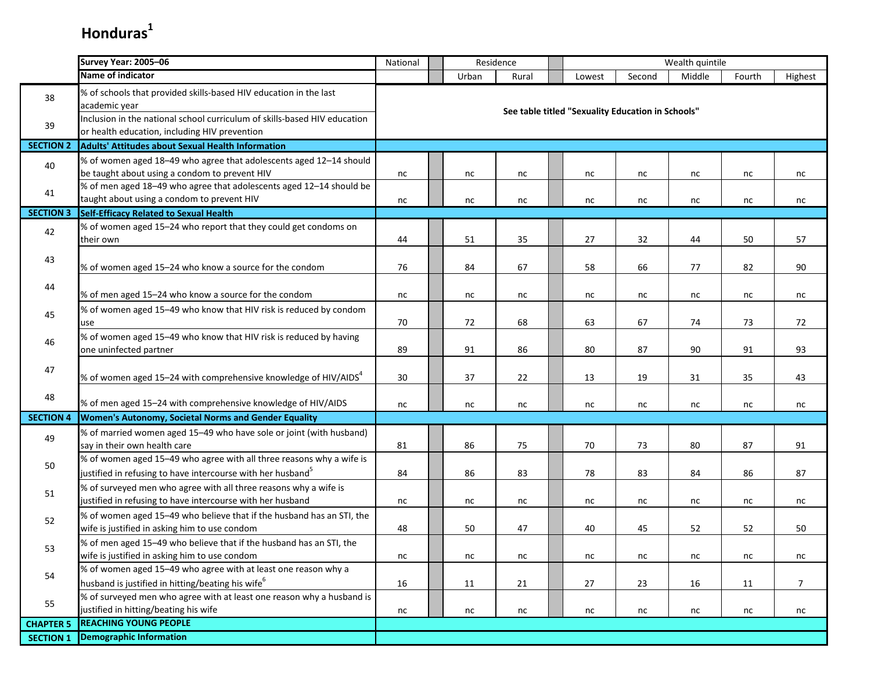|                  | <b>Survey Year: 2005-06</b>                                                                                                                     | National |          | Residence |                                                   |          | Wealth quintile |          |                |
|------------------|-------------------------------------------------------------------------------------------------------------------------------------------------|----------|----------|-----------|---------------------------------------------------|----------|-----------------|----------|----------------|
|                  | <b>Name of indicator</b>                                                                                                                        |          | Urban    | Rural     | Lowest                                            | Second   | Middle          | Fourth   | Highest        |
| 38               | % of schools that provided skills-based HIV education in the last<br>academic year                                                              |          |          |           | See table titled "Sexuality Education in Schools" |          |                 |          |                |
| 39               | Inclusion in the national school curriculum of skills-based HIV education<br>or health education, including HIV prevention                      |          |          |           |                                                   |          |                 |          |                |
| <b>SECTION 2</b> | Adults' Attitudes about Sexual Health Information                                                                                               |          |          |           |                                                   |          |                 |          |                |
| 40               | % of women aged 18-49 who agree that adolescents aged 12-14 should<br>be taught about using a condom to prevent HIV                             | nc       | nc       | nc        | nc                                                | nc       | nc              | nc       | nc             |
| 41               | % of men aged 18-49 who agree that adolescents aged 12-14 should be<br>taught about using a condom to prevent HIV                               | nc       | nc       | nc        | nc                                                | nc       | nc              | nc       | nc             |
| <b>SECTION 3</b> | <b>Self-Efficacy Related to Sexual Health</b>                                                                                                   |          |          |           |                                                   |          |                 |          |                |
| 42               | % of women aged 15-24 who report that they could get condoms on<br>their own                                                                    | 44       | 51       | 35        | 27                                                | 32       | 44              | 50       | 57             |
| 43               | % of women aged 15-24 who know a source for the condom                                                                                          | 76       | 84       | 67        | 58                                                | 66       | 77              | 82       | 90             |
| 44               | % of men aged 15-24 who know a source for the condom                                                                                            | nc       | nc       | nc        | nc                                                | nc       | nc              | nc       | nc             |
| 45               | % of women aged 15-49 who know that HIV risk is reduced by condom<br>use                                                                        | 70       | 72       | 68        | 63                                                | 67       | 74              | 73       | 72             |
| 46               | % of women aged 15-49 who know that HIV risk is reduced by having<br>one uninfected partner                                                     | 89       | 91       | 86        | 80                                                | 87       | 90              | 91       | 93             |
| 47               | % of women aged 15-24 with comprehensive knowledge of HIV/AIDS $^4$                                                                             | 30       | 37       | 22        | 13                                                | 19       | 31              | 35       | 43             |
| 48               | % of men aged 15-24 with comprehensive knowledge of HIV/AIDS                                                                                    | nc       | nc       | nc        | nc                                                | nc       | nc              | nc       | nc             |
| <b>SECTION 4</b> | Women's Autonomy, Societal Norms and Gender Equality                                                                                            |          |          |           |                                                   |          |                 |          |                |
| 49               | % of married women aged 15-49 who have sole or joint (with husband)<br>say in their own health care                                             | 81       | 86       | 75        | 70                                                | 73       | 80              | 87       | 91             |
| 50               | % of women aged 15-49 who agree with all three reasons why a wife is<br>justified in refusing to have intercourse with her husband <sup>5</sup> | 84       | 86       | 83        | 78                                                | 83       | 84              | 86       | 87             |
| 51               | % of surveyed men who agree with all three reasons why a wife is<br>justified in refusing to have intercourse with her husband                  | nc       | nc       | nc        | nc                                                | nc       | nc              | nc       | nc             |
| 52               | % of women aged 15-49 who believe that if the husband has an STI, the<br>wife is justified in asking him to use condom                          | 48       | 50       | 47        | 40                                                | 45       | 52              | 52       | 50             |
| 53               | % of men aged 15-49 who believe that if the husband has an STI, the<br>wife is justified in asking him to use condom                            | $\sf nc$ | $\sf nc$ | $\sf nc$  | nc                                                | $\sf nc$ | $nc$            | $\sf nc$ | nc             |
| 54               | % of women aged 15-49 who agree with at least one reason why a<br>husband is justified in hitting/beating his wife <sup>6</sup>                 | 16       | 11       | 21        | 27                                                | 23       | 16              | 11       | $\overline{7}$ |
| 55               | % of surveyed men who agree with at least one reason why a husband is<br>justified in hitting/beating his wife                                  | nc       | nc       | nc        | nc                                                | nc       | nc              | nc       | nc             |
| <b>CHAPTER 5</b> | <b>REACHING YOUNG PEOPLE</b>                                                                                                                    |          |          |           |                                                   |          |                 |          |                |
| <b>SECTION 1</b> | <b>Demographic Information</b>                                                                                                                  |          |          |           |                                                   |          |                 |          |                |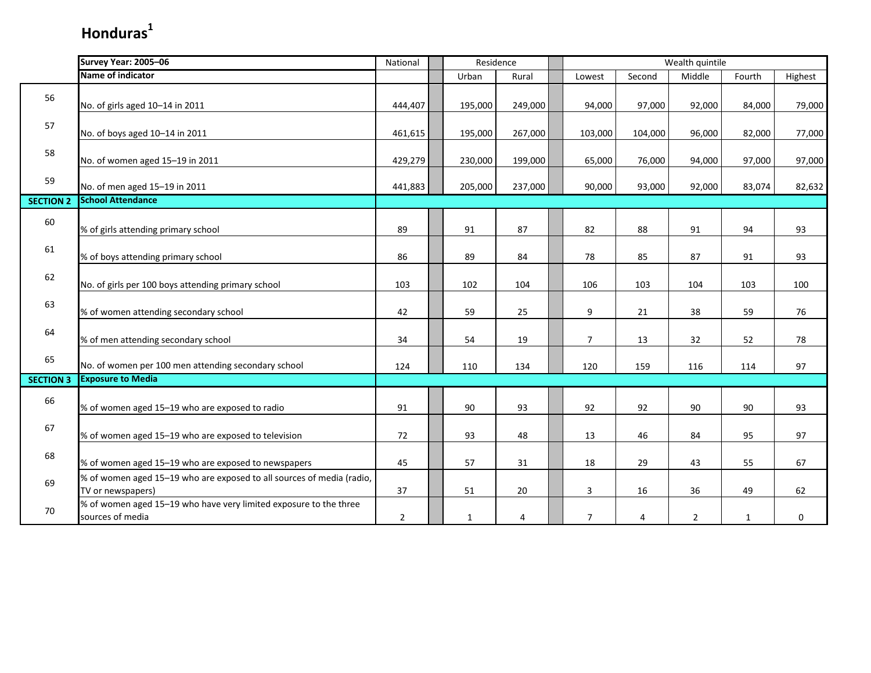|                  | Survey Year: 2005-06                                                                       | National       |              | Residence |                | Wealth quintile |                |              |         |  |
|------------------|--------------------------------------------------------------------------------------------|----------------|--------------|-----------|----------------|-----------------|----------------|--------------|---------|--|
|                  | Name of indicator                                                                          |                | Urban        | Rural     | Lowest         | Second          | Middle         | Fourth       | Highest |  |
| 56               | No. of girls aged 10-14 in 2011                                                            | 444,407        | 195,000      | 249,000   | 94,000         | 97,000          | 92,000         | 84,000       | 79,000  |  |
| 57               | No. of boys aged 10-14 in 2011                                                             | 461,615        | 195,000      | 267,000   | 103,000        | 104,000         | 96,000         | 82,000       | 77,000  |  |
| 58               | No. of women aged 15-19 in 2011                                                            | 429,279        | 230,000      | 199,000   | 65,000         | 76,000          | 94,000         | 97,000       | 97,000  |  |
| 59               | No. of men aged 15-19 in 2011                                                              | 441,883        | 205,000      | 237,000   | 90,000         | 93,000          | 92,000         | 83,074       | 82,632  |  |
| <b>SECTION 2</b> | <b>School Attendance</b>                                                                   |                |              |           |                |                 |                |              |         |  |
| 60               | % of girls attending primary school                                                        | 89             | 91           | 87        | 82             | 88              | 91             | 94           | 93      |  |
| 61               | % of boys attending primary school                                                         | 86             | 89           | 84        | 78             | 85              | 87             | 91           | 93      |  |
| 62               | No. of girls per 100 boys attending primary school                                         | 103            | 102          | 104       | 106            | 103             | 104            | 103          | 100     |  |
| 63               | % of women attending secondary school                                                      | 42             | 59           | 25        | 9              | 21              | 38             | 59           | 76      |  |
| 64               | % of men attending secondary school                                                        | 34             | 54           | 19        | $\overline{7}$ | 13              | 32             | 52           | 78      |  |
| 65               | No. of women per 100 men attending secondary school                                        | 124            | 110          | 134       | 120            | 159             | 116            | 114          | 97      |  |
| <b>SECTION 3</b> | <b>Exposure to Media</b>                                                                   |                |              |           |                |                 |                |              |         |  |
| 66               | % of women aged 15-19 who are exposed to radio                                             | 91             | 90           | 93        | 92             | 92              | 90             | 90           | 93      |  |
| 67               | % of women aged 15-19 who are exposed to television                                        | 72             | 93           | 48        | 13             | 46              | 84             | 95           | 97      |  |
| 68               | % of women aged 15-19 who are exposed to newspapers                                        | 45             | 57           | 31        | 18             | 29              | 43             | 55           | 67      |  |
| 69               | % of women aged 15-19 who are exposed to all sources of media (radio,<br>TV or newspapers) | 37             | 51           | 20        | 3              | 16              | 36             | 49           | 62      |  |
| 70               | % of women aged 15-19 who have very limited exposure to the three<br>sources of media      | $\overline{2}$ | $\mathbf{1}$ | 4         | 7              | 4               | $\overline{2}$ | $\mathbf{1}$ | 0       |  |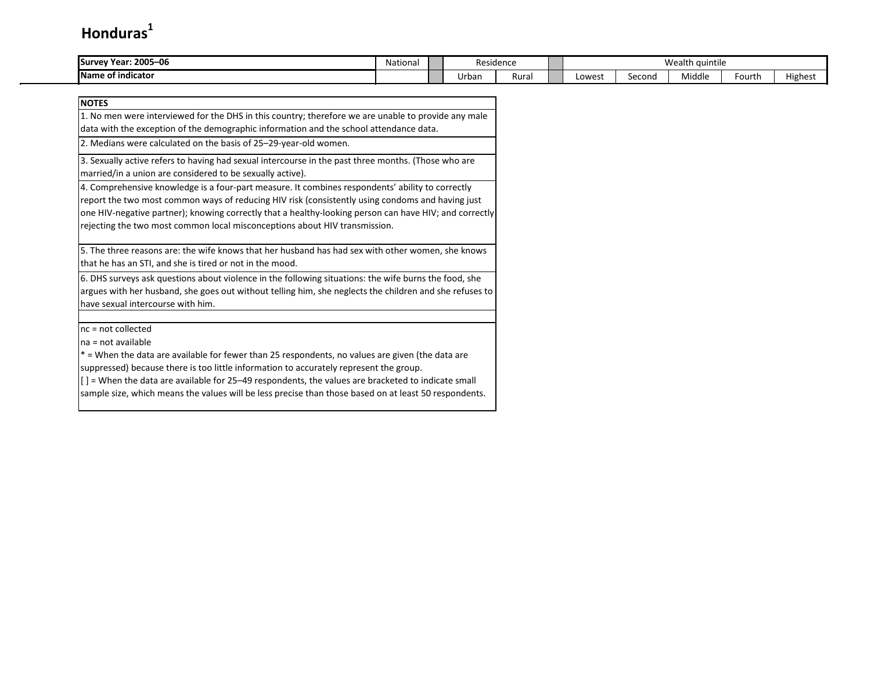| -06<br>2005-<br><b>ISurvey Year:</b> | Nationa | Residence |       |  | Wealth quintile |        |        |        |         |  |  |  |
|--------------------------------------|---------|-----------|-------|--|-----------------|--------|--------|--------|---------|--|--|--|
| <b>IName</b><br>of indicator ؛       |         | Urban     | Rural |  | Lowest          | Second | Middle | ourth: | Highest |  |  |  |

| <b>NOTES</b>                                                                                                                                                                                                                                                                                                                                                                                                                                                       |
|--------------------------------------------------------------------------------------------------------------------------------------------------------------------------------------------------------------------------------------------------------------------------------------------------------------------------------------------------------------------------------------------------------------------------------------------------------------------|
| 1. No men were interviewed for the DHS in this country; therefore we are unable to provide any male                                                                                                                                                                                                                                                                                                                                                                |
| data with the exception of the demographic information and the school attendance data.                                                                                                                                                                                                                                                                                                                                                                             |
| 2. Medians were calculated on the basis of 25-29-year-old women.                                                                                                                                                                                                                                                                                                                                                                                                   |
| 3. Sexually active refers to having had sexual intercourse in the past three months. (Those who are<br>married/in a union are considered to be sexually active).                                                                                                                                                                                                                                                                                                   |
| 4. Comprehensive knowledge is a four-part measure. It combines respondents' ability to correctly<br>report the two most common ways of reducing HIV risk (consistently using condoms and having just<br>one HIV-negative partner); knowing correctly that a healthy-looking person can have HIV; and correctly<br>rejecting the two most common local misconceptions about HIV transmission.                                                                       |
| 5. The three reasons are: the wife knows that her husband has had sex with other women, she knows<br>that he has an STI, and she is tired or not in the mood.                                                                                                                                                                                                                                                                                                      |
| 6. DHS surveys ask questions about violence in the following situations: the wife burns the food, she<br>argues with her husband, she goes out without telling him, she neglects the children and she refuses to<br>have sexual intercourse with him.                                                                                                                                                                                                              |
| $nc = not collected$<br>na = not available<br>* = When the data are available for fewer than 25 respondents, no values are given (the data are<br>suppressed) because there is too little information to accurately represent the group.<br>$\vert \vert$ = When the data are available for 25–49 respondents, the values are bracketed to indicate small<br>sample size, which means the values will be less precise than those based on at least 50 respondents. |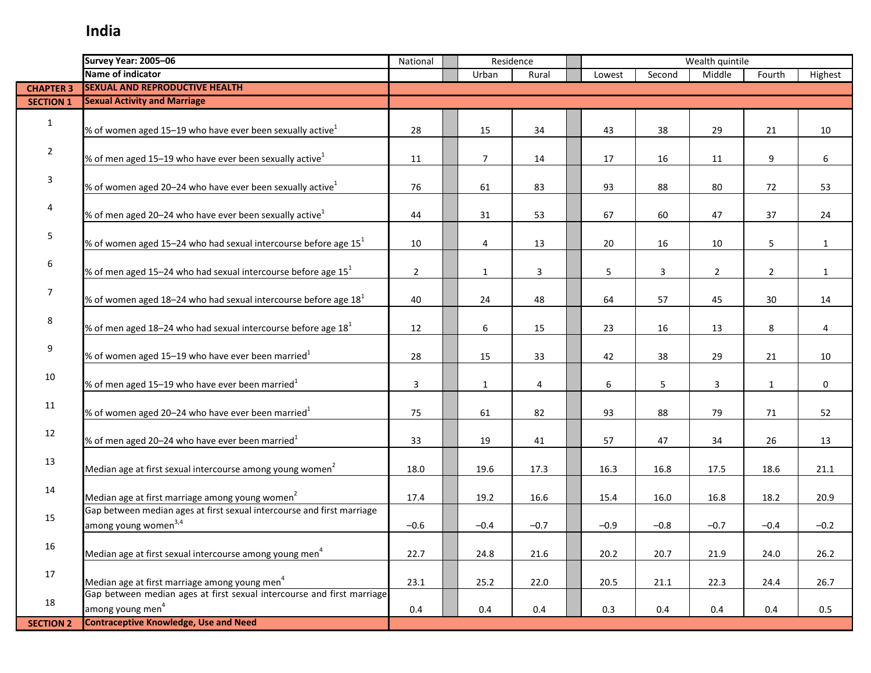|                  | Survey Year: 2005-06                                                   |                |                | Residence |        | Wealth quintile |                |                |                |
|------------------|------------------------------------------------------------------------|----------------|----------------|-----------|--------|-----------------|----------------|----------------|----------------|
|                  | <b>Name of indicator</b>                                               |                | Urban          | Rural     | Lowest | Second          | Middle         | Fourth         | Highest        |
| <b>CHAPTER 3</b> | <b>SEXUAL AND REPRODUCTIVE HEALTH</b>                                  |                |                |           |        |                 |                |                |                |
| <b>SECTION 1</b> | <b>Sexual Activity and Marriage</b>                                    |                |                |           |        |                 |                |                |                |
|                  |                                                                        |                |                |           |        |                 |                |                |                |
| $\mathbf{1}$     | % of women aged 15–19 who have ever been sexually active $^1$          | 28             | 15             | 34        | 43     | 38              | 29             | 21             | 10             |
|                  |                                                                        |                |                |           |        |                 |                |                |                |
| $\overline{2}$   | % of men aged 15–19 who have ever been sexually active <sup>1</sup>    | 11             | $\overline{7}$ | 14        | 17     | 16              | 11             | 9              | 6              |
|                  |                                                                        |                |                |           |        |                 |                |                |                |
| 3                | % of women aged 20–24 who have ever been sexually active <sup>1</sup>  | 76             | 61             | 83        | 93     | 88              | 80             | 72             | 53             |
|                  |                                                                        |                |                |           |        |                 |                |                |                |
| 4                | % of men aged 20–24 who have ever been sexually active $^1$            | 44             | 31             | 53        | 67     | 60              | 47             | 37             | 24             |
|                  |                                                                        |                |                |           |        |                 |                |                |                |
| 5                | % of women aged 15-24 who had sexual intercourse before age $151$      | 10             | 4              | 13        | 20     | 16              | 10             | 5              | $\mathbf{1}$   |
|                  |                                                                        |                |                |           |        |                 |                |                |                |
| 6                | % of men aged 15–24 who had sexual intercourse before age $151$        |                |                |           |        |                 |                |                |                |
|                  |                                                                        | $\overline{2}$ | $\mathbf{1}$   | 3         | 5      | 3               | $\overline{2}$ | $\overline{2}$ | $\mathbf{1}$   |
| 7                |                                                                        |                |                |           |        |                 |                |                |                |
|                  | % of women aged 18-24 who had sexual intercourse before age $181$      | 40             | 24             | 48        | 64     | 57              | 45             | 30             | 14             |
| 8                |                                                                        |                |                |           |        |                 |                |                |                |
|                  | % of men aged 18-24 who had sexual intercourse before age $181$        | 12             | 6              | 15        | 23     | 16              | 13             | 8              | $\overline{4}$ |
| 9                |                                                                        |                |                |           |        |                 |                |                |                |
|                  | % of women aged 15-19 who have ever been married $^1$                  | 28             | 15             | 33        | 42     | 38              | 29             | 21             | 10             |
| 10               |                                                                        |                |                |           |        |                 |                |                |                |
|                  | % of men aged 15–19 who have ever been married $1$                     | 3              | 1              | 4         | 6      | 5               | 3              | $\mathbf{1}$   | $\mathbf 0$    |
| 11               |                                                                        |                |                |           |        |                 |                |                |                |
|                  | % of women aged 20-24 who have ever been married $^1$                  | 75             | 61             | 82        | 93     | 88              | 79             | 71             | 52             |
| 12               |                                                                        |                |                |           |        |                 |                |                |                |
|                  | % of men aged 20-24 who have ever been married $1$                     | 33             | 19             | 41        | 57     | 47              | 34             | 26             | 13             |
| 13               |                                                                        |                |                |           |        |                 |                |                |                |
|                  | Median age at first sexual intercourse among young women <sup>2</sup>  | 18.0           | 19.6           | 17.3      | 16.3   | 16.8            | 17.5           | 18.6           | 21.1           |
| 14               |                                                                        |                |                |           |        |                 |                |                |                |
|                  | Median age at first marriage among young women <sup>2</sup>            | 17.4           | 19.2           | 16.6      | 15.4   | 16.0            | 16.8           | 18.2           | 20.9           |
| 15               | Gap between median ages at first sexual intercourse and first marriage |                |                |           |        |                 |                |                |                |
|                  | among young women <sup>3,4</sup>                                       | $-0.6$         | $-0.4$         | $-0.7$    | $-0.9$ | $-0.8$          | $-0.7$         | $-0.4$         | $-0.2$         |
| 16               |                                                                        |                |                |           |        |                 |                |                |                |
|                  | Median age at first sexual intercourse among young men <sup>4</sup>    | 22.7           | 24.8           | 21.6      | 20.2   | 20.7            | 21.9           | 24.0           | 26.2           |
| 17               |                                                                        |                |                |           |        |                 |                |                |                |
|                  | Median age at first marriage among young men <sup>4</sup>              | 23.1           | 25.2           | 22.0      | 20.5   | 21.1            | 22.3           | 24.4           | 26.7           |
|                  | Gap between median ages at first sexual intercourse and first marriage |                |                |           |        |                 |                |                |                |
| 18               | among young men <sup>4</sup>                                           | 0.4            | 0.4            | 0.4       | 0.3    | 0.4             | 0.4            | 0.4            | 0.5            |
| <b>SECTION 2</b> | <b>Contraceptive Knowledge, Use and Need</b>                           |                |                |           |        |                 |                |                |                |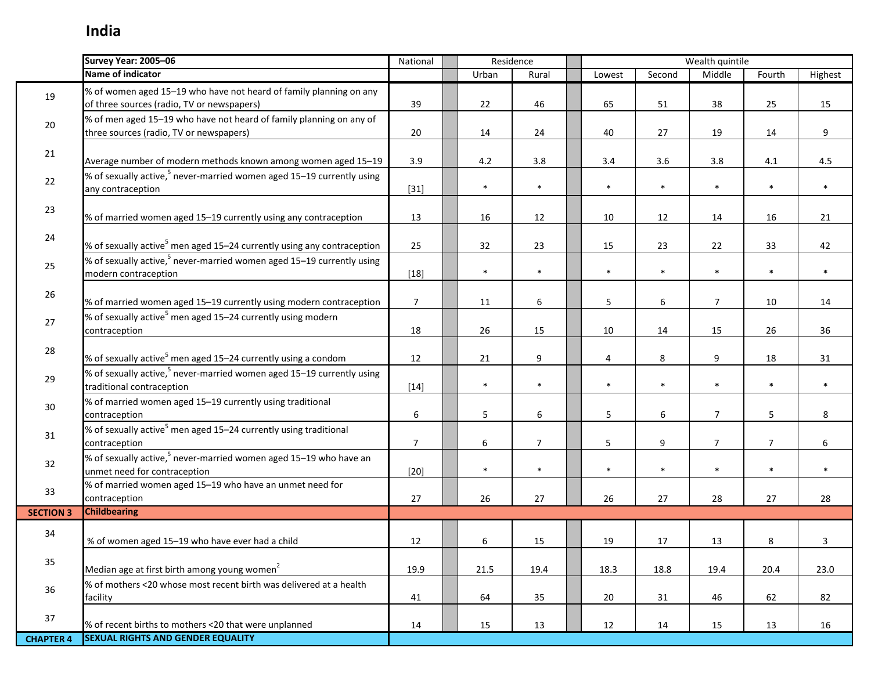Ţ

|                  | Survey Year: 2005-06                                                                                             | National       | Residence |                |        |                  | Wealth quintile |                |         |
|------------------|------------------------------------------------------------------------------------------------------------------|----------------|-----------|----------------|--------|------------------|-----------------|----------------|---------|
|                  | <b>Name of indicator</b>                                                                                         |                | Urban     | Rural          | Lowest | Second           | Middle          | Fourth         | Highest |
| 19               | % of women aged 15-19 who have not heard of family planning on any<br>of three sources (radio, TV or newspapers) | 39             | 22        | 46             | 65     | 51               | 38              | 25             | 15      |
| 20               | % of men aged 15-19 who have not heard of family planning on any of<br>three sources (radio, TV or newspapers)   | 20             | 14        | 24             | 40     | 27               | 19              | 14             | 9       |
| 21               | Average number of modern methods known among women aged 15-19                                                    | 3.9            | $4.2\,$   | 3.8            | 3.4    | 3.6              | 3.8             | 4.1            | 4.5     |
| 22               | % of sexually active, <sup>5</sup> never-married women aged 15-19 currently using<br>any contraception           | $[31]$         | $\ast$    | $\ast$         | $\ast$ | $\ast$           | $\ast$          | $\ast$         | $\ast$  |
| 23               | % of married women aged 15-19 currently using any contraception                                                  | 13             | 16        | 12             | 10     | 12               | 14              | 16             | 21      |
| 24               | % of sexually active <sup>5</sup> men aged 15–24 currently using any contraception                               | 25             | 32        | 23             | 15     | 23               | 22              | 33             | 42      |
| 25               | % of sexually active, <sup>5</sup> never-married women aged 15-19 currently using<br>modern contraception        | $[18]$         | $\ast$    | $\ast$         | $\ast$ | $\ast$           | $\ast$          | $\ast$         | $\ast$  |
| 26               | % of married women aged 15-19 currently using modern contraception                                               | $\overline{7}$ | 11        | 6              | 5      | 6                | $\overline{7}$  | 10             | 14      |
| 27               | % of sexually active <sup>5</sup> men aged 15–24 currently using modern<br>contraception                         | 18             | 26        | 15             | 10     | 14               | 15              | 26             | 36      |
| 28               | % of sexually active <sup>5</sup> men aged 15–24 currently using a condom                                        | 12             | 21        | 9              | 4      | 8                | 9               | 18             | 31      |
| 29               | % of sexually active, <sup>5</sup> never-married women aged 15-19 currently using<br>traditional contraception   | $[14]$         | $\ast$    | $\ast$         | $\ast$ | $\ast$           | $\ast$          | $\ast$         | $\ast$  |
| 30 <sup>°</sup>  | % of married women aged 15-19 currently using traditional<br>contraception                                       | $6\phantom{1}$ | 5         | 6              | 5      | $\boldsymbol{6}$ | $\overline{7}$  | 5              | 8       |
| 31               | % of sexually active <sup>5</sup> men aged 15-24 currently using traditional<br>contraception                    | $\overline{7}$ | 6         | $\overline{7}$ | 5      | 9                | $\overline{7}$  | $\overline{7}$ | 6       |
| 32               | % of sexually active, <sup>5</sup> never-married women aged 15-19 who have an<br>unmet need for contraception    | $[20]$         | $\ast$    | $\ast$         | $\ast$ | $\ast$           | $\ast$          | $\ast$         | $\ast$  |
| 33               | % of married women aged 15-19 who have an unmet need for<br>contraception                                        | 27             | 26        | 27             | 26     | 27               | 28              | 27             | 28      |
| <b>SECTION 3</b> | <b>Childbearing</b>                                                                                              |                |           |                |        |                  |                 |                |         |
| 34               | % of women aged 15-19 who have ever had a child                                                                  | 12             | 6         | 15             | 19     | 17               | 13              | 8              | 3       |
| 35               | Median age at first birth among young women <sup>2</sup>                                                         | 19.9           | 21.5      | 19.4           | 18.3   | 18.8             | 19.4            | 20.4           | 23.0    |
| 36               | % of mothers <20 whose most recent birth was delivered at a health<br>facility                                   | 41             | 64        | 35             | 20     | 31               | 46              | 62             | 82      |
| 37               | % of recent births to mothers <20 that were unplanned                                                            | 14             | 15        | 13             | 12     | 14               | 15              | 13             | 16      |
| <b>CHAPTER 4</b> | <b>SEXUAL RIGHTS AND GENDER EQUALITY</b>                                                                         |                |           |                |        |                  |                 |                |         |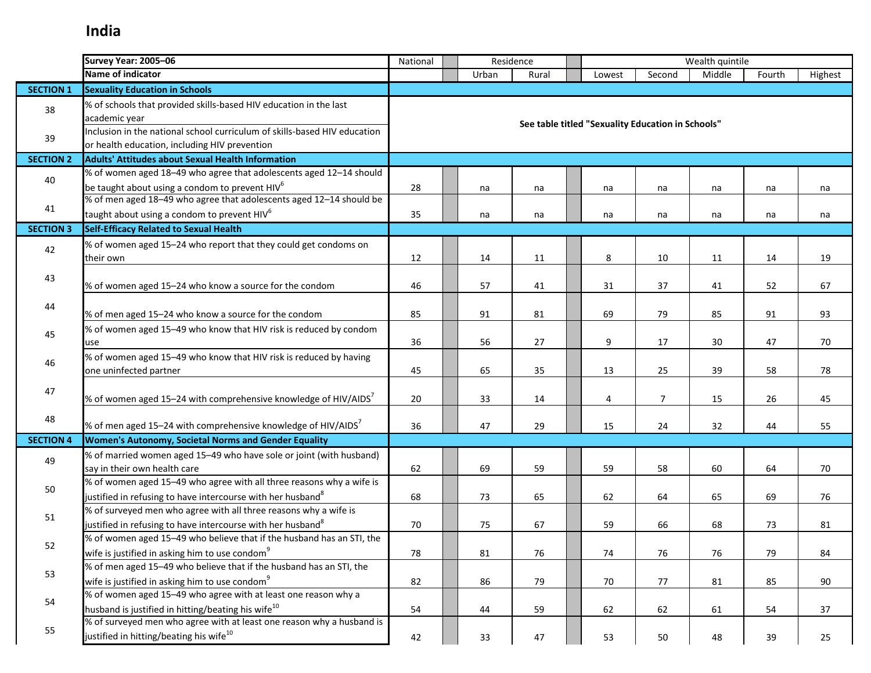|                  | Survey Year: 2005-06                                                                                                       | Residence<br>National |  |       |       |                                                   | Wealth quintile |        |        |         |
|------------------|----------------------------------------------------------------------------------------------------------------------------|-----------------------|--|-------|-------|---------------------------------------------------|-----------------|--------|--------|---------|
|                  | <b>Name of indicator</b>                                                                                                   |                       |  | Urban | Rural | Lowest                                            | Second          | Middle | Fourth | Highest |
| <b>SECTION 1</b> | <b>Sexuality Education in Schools</b>                                                                                      |                       |  |       |       |                                                   |                 |        |        |         |
| 38               | % of schools that provided skills-based HIV education in the last<br>academic year                                         |                       |  |       |       |                                                   |                 |        |        |         |
| 39               | Inclusion in the national school curriculum of skills-based HIV education<br>or health education, including HIV prevention |                       |  |       |       | See table titled "Sexuality Education in Schools" |                 |        |        |         |
| <b>SECTION 2</b> | <b>Adults' Attitudes about Sexual Health Information</b>                                                                   |                       |  |       |       |                                                   |                 |        |        |         |
|                  | % of women aged 18-49 who agree that adolescents aged 12-14 should                                                         |                       |  |       |       |                                                   |                 |        |        |         |
| 40               | be taught about using a condom to prevent HIV <sup>6</sup>                                                                 | 28                    |  | na    | na    | na                                                | na              | na     | na     | na      |
|                  | % of men aged 18-49 who agree that adolescents aged 12-14 should be                                                        |                       |  |       |       |                                                   |                 |        |        |         |
| 41               | taught about using a condom to prevent HIV <sup>6</sup>                                                                    | 35                    |  | na    | na    | na                                                | na              | na     | na     | na      |
| <b>SECTION 3</b> | <b>Self-Efficacy Related to Sexual Health</b>                                                                              |                       |  |       |       |                                                   |                 |        |        |         |
| 42               | % of women aged 15-24 who report that they could get condoms on                                                            |                       |  |       |       |                                                   |                 |        |        |         |
|                  | their own                                                                                                                  | 12                    |  | 14    | 11    | 8                                                 | 10              | 11     | 14     | 19      |
| 43               |                                                                                                                            |                       |  |       |       |                                                   |                 |        |        |         |
|                  | % of women aged 15-24 who know a source for the condom                                                                     | 46                    |  | 57    | 41    | 31                                                | 37              | 41     | 52     | 67      |
| 44               |                                                                                                                            |                       |  |       |       |                                                   |                 |        |        |         |
|                  | % of men aged 15-24 who know a source for the condom                                                                       | 85                    |  | 91    | 81    | 69                                                | 79              | 85     | 91     | 93      |
| 45               | % of women aged 15-49 who know that HIV risk is reduced by condom                                                          |                       |  |       |       |                                                   |                 |        |        |         |
|                  | use                                                                                                                        | 36                    |  | 56    | 27    | 9                                                 | 17              | 30     | 47     | 70      |
| 46               | % of women aged 15-49 who know that HIV risk is reduced by having                                                          |                       |  |       |       |                                                   |                 |        |        |         |
|                  | one uninfected partner                                                                                                     | 45                    |  | 65    | 35    | 13                                                | 25              | 39     | 58     | 78      |
| 47               | % of women aged 15-24 with comprehensive knowledge of HIV/AIDS <sup>7</sup>                                                | 20                    |  | 33    | 14    | 4                                                 | $\overline{7}$  | 15     | 26     | 45      |
|                  |                                                                                                                            |                       |  |       |       |                                                   |                 |        |        |         |
| 48               | % of men aged 15–24 with comprehensive knowledge of HIV/AIDS <sup>7</sup>                                                  | 36                    |  | 47    | 29    | 15                                                | 24              | 32     | 44     | 55      |
| <b>SECTION 4</b> | Women's Autonomy, Societal Norms and Gender Equality                                                                       |                       |  |       |       |                                                   |                 |        |        |         |
| 49               | % of married women aged 15-49 who have sole or joint (with husband)                                                        |                       |  |       |       |                                                   |                 |        |        |         |
|                  | say in their own health care                                                                                               | 62                    |  | 69    | 59    | 59                                                | 58              | 60     | 64     | 70      |
| 50               | % of women aged 15-49 who agree with all three reasons why a wife is                                                       |                       |  |       |       |                                                   |                 |        |        |         |
|                  | justified in refusing to have intercourse with her husband <sup>8</sup>                                                    | 68                    |  | 73    | 65    | 62                                                | 64              | 65     | 69     | 76      |
| 51               | % of surveyed men who agree with all three reasons why a wife is                                                           |                       |  |       |       |                                                   |                 |        |        |         |
|                  | justified in refusing to have intercourse with her husband <sup>8</sup>                                                    | 70                    |  | 75    | 67    | 59                                                | 66              | 68     | 73     | 81      |
| 52               | % of women aged 15-49 who believe that if the husband has an STI, the                                                      |                       |  |       |       |                                                   |                 |        |        |         |
|                  | wife is justified in asking him to use condom <sup>9</sup>                                                                 | 78                    |  | 81    | 76    | 74                                                | 76              | 76     | 79     | 84      |
| 53               | % of men aged 15-49 who believe that if the husband has an STI, the                                                        |                       |  |       |       |                                                   |                 |        |        |         |
|                  | wife is justified in asking him to use condom <sup>9</sup>                                                                 | 82                    |  | 86    | 79    | 70                                                | 77              | 81     | 85     | 90      |
| 54               | % of women aged 15-49 who agree with at least one reason why a                                                             |                       |  |       |       |                                                   |                 |        |        |         |
|                  | husband is justified in hitting/beating his wife <sup>10</sup>                                                             | 54                    |  | 44    | 59    | 62                                                | 62              | 61     | 54     | 37      |
| 55               | % of surveyed men who agree with at least one reason why a husband is                                                      |                       |  |       |       |                                                   |                 |        |        |         |
|                  | justified in hitting/beating his wife <sup>10</sup>                                                                        | 42                    |  | 33    | 47    | 53                                                | 50              | 48     | 39     | 25      |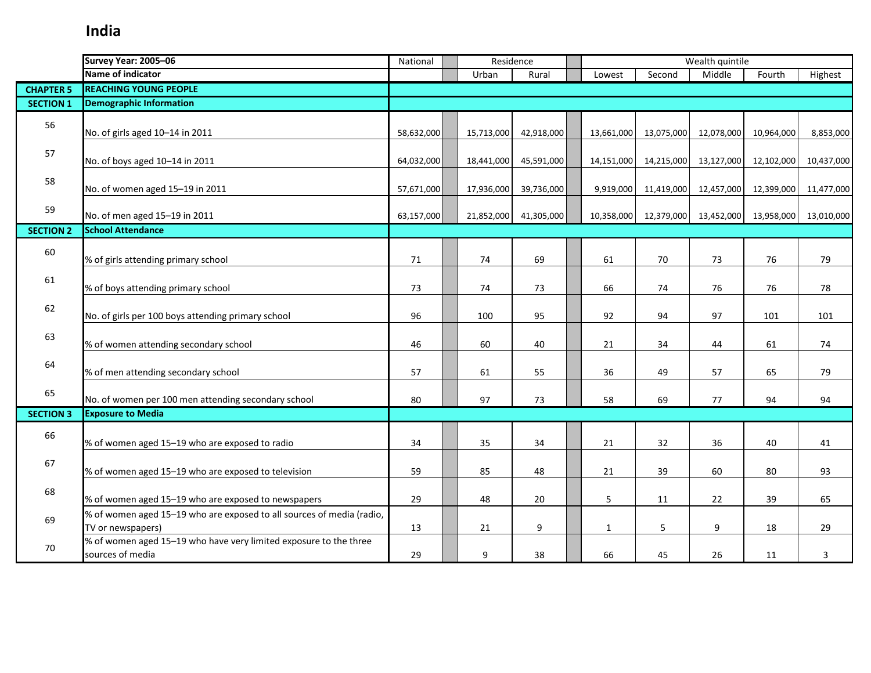|                  | Survey Year: 2005-06<br>Residence<br>National                                              |            |  |            |            | Wealth quintile |            |            |            |            |
|------------------|--------------------------------------------------------------------------------------------|------------|--|------------|------------|-----------------|------------|------------|------------|------------|
|                  | Name of indicator                                                                          |            |  | Urban      | Rural      | Lowest          | Second     | Middle     | Fourth     | Highest    |
| <b>CHAPTER 5</b> | <b>REACHING YOUNG PEOPLE</b>                                                               |            |  |            |            |                 |            |            |            |            |
| <b>SECTION 1</b> | <b>Demographic Information</b>                                                             |            |  |            |            |                 |            |            |            |            |
| 56               | No. of girls aged 10-14 in 2011                                                            | 58,632,000 |  | 15,713,000 | 42,918,000 | 13,661,000      | 13,075,000 | 12,078,000 | 10,964,000 | 8,853,000  |
| 57               | No. of boys aged 10-14 in 2011                                                             | 64,032,000 |  | 18,441,000 | 45,591,000 | 14,151,000      | 14,215,000 | 13,127,000 | 12,102,000 | 10,437,000 |
| 58               | No. of women aged 15-19 in 2011                                                            | 57,671,000 |  | 17,936,000 | 39,736,000 | 9,919,000       | 11,419,000 | 12,457,000 | 12,399,000 | 11,477,000 |
| 59               | No. of men aged 15-19 in 2011                                                              | 63,157,000 |  | 21,852,000 | 41,305,000 | 10,358,000      | 12,379,000 | 13,452,000 | 13,958,000 | 13,010,000 |
| <b>SECTION 2</b> | <b>School Attendance</b>                                                                   |            |  |            |            |                 |            |            |            |            |
| 60               | % of girls attending primary school                                                        | 71         |  | 74         | 69         | 61              | 70         | 73         | 76         | 79         |
| 61               | % of boys attending primary school                                                         | 73         |  | 74         | 73         | 66              | 74         | 76         | 76         | 78         |
| 62               | No. of girls per 100 boys attending primary school                                         | 96         |  | 100        | 95         | 92              | 94         | 97         | 101        | 101        |
| 63               | % of women attending secondary school                                                      | 46         |  | 60         | 40         | 21              | 34         | 44         | 61         | 74         |
| 64               | % of men attending secondary school                                                        | 57         |  | 61         | 55         | 36              | 49         | 57         | 65         | 79         |
| 65               | No. of women per 100 men attending secondary school                                        | 80         |  | 97         | 73         | 58              | 69         | 77         | 94         | 94         |
| <b>SECTION 3</b> | <b>Exposure to Media</b>                                                                   |            |  |            |            |                 |            |            |            |            |
| 66               | % of women aged 15-19 who are exposed to radio                                             | 34         |  | 35         | 34         | 21              | 32         | 36         | 40         | 41         |
| 67               | % of women aged 15-19 who are exposed to television                                        | 59         |  | 85         | 48         | 21              | 39         | 60         | 80         | 93         |
| 68               | % of women aged 15-19 who are exposed to newspapers                                        | 29         |  | 48         | 20         | 5               | 11         | 22         | 39         | 65         |
| 69               | % of women aged 15-19 who are exposed to all sources of media (radio,<br>TV or newspapers) | 13         |  | 21         | 9          | $\mathbf{1}$    | 5          | 9          | 18         | 29         |
| 70               | % of women aged 15-19 who have very limited exposure to the three<br>sources of media      | 29         |  | 9          | 38         | 66              | 45         | 26         | 11         | 3          |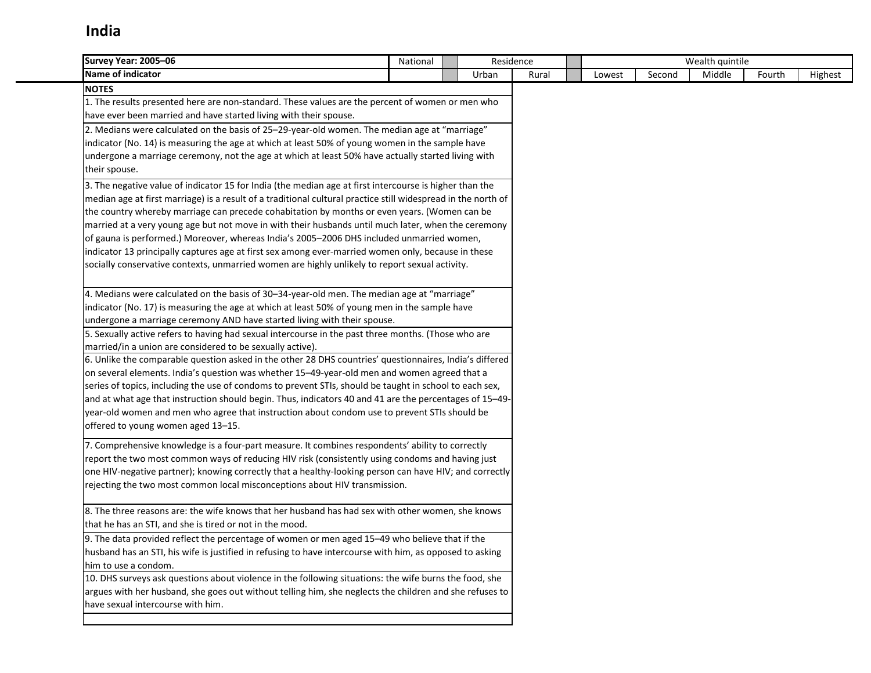| Survey Year: 2005-06                                                                                          | National | Residence |       |        |        | Wealth quintile |        |         |
|---------------------------------------------------------------------------------------------------------------|----------|-----------|-------|--------|--------|-----------------|--------|---------|
| Name of indicator                                                                                             |          | Urban     | Rural | Lowest | Second | Middle          | Fourth | Highest |
| <b>NOTES</b>                                                                                                  |          |           |       |        |        |                 |        |         |
| 1. The results presented here are non-standard. These values are the percent of women or men who              |          |           |       |        |        |                 |        |         |
| have ever been married and have started living with their spouse.                                             |          |           |       |        |        |                 |        |         |
| 2. Medians were calculated on the basis of 25-29-year-old women. The median age at "marriage"                 |          |           |       |        |        |                 |        |         |
| indicator (No. 14) is measuring the age at which at least 50% of young women in the sample have               |          |           |       |        |        |                 |        |         |
| undergone a marriage ceremony, not the age at which at least 50% have actually started living with            |          |           |       |        |        |                 |        |         |
| their spouse.                                                                                                 |          |           |       |        |        |                 |        |         |
| 3. The negative value of indicator 15 for India (the median age at first intercourse is higher than the       |          |           |       |        |        |                 |        |         |
| median age at first marriage) is a result of a traditional cultural practice still widespread in the north of |          |           |       |        |        |                 |        |         |
| the country whereby marriage can precede cohabitation by months or even years. (Women can be                  |          |           |       |        |        |                 |        |         |
| married at a very young age but not move in with their husbands until much later, when the ceremony           |          |           |       |        |        |                 |        |         |
| of gauna is performed.) Moreover, whereas India's 2005-2006 DHS included unmarried women,                     |          |           |       |        |        |                 |        |         |
| indicator 13 principally captures age at first sex among ever-married women only, because in these            |          |           |       |        |        |                 |        |         |
| socially conservative contexts, unmarried women are highly unlikely to report sexual activity.                |          |           |       |        |        |                 |        |         |
|                                                                                                               |          |           |       |        |        |                 |        |         |
| 4. Medians were calculated on the basis of 30-34-year-old men. The median age at "marriage"                   |          |           |       |        |        |                 |        |         |
| indicator (No. 17) is measuring the age at which at least 50% of young men in the sample have                 |          |           |       |        |        |                 |        |         |
| undergone a marriage ceremony AND have started living with their spouse.                                      |          |           |       |        |        |                 |        |         |
| 5. Sexually active refers to having had sexual intercourse in the past three months. (Those who are           |          |           |       |        |        |                 |        |         |
| married/in a union are considered to be sexually active).                                                     |          |           |       |        |        |                 |        |         |
| 6. Unlike the comparable question asked in the other 28 DHS countries' questionnaires, India's differed       |          |           |       |        |        |                 |        |         |
| on several elements. India's question was whether 15-49-year-old men and women agreed that a                  |          |           |       |        |        |                 |        |         |
| series of topics, including the use of condoms to prevent STIs, should be taught in school to each sex,       |          |           |       |        |        |                 |        |         |
| and at what age that instruction should begin. Thus, indicators 40 and 41 are the percentages of 15-49-       |          |           |       |        |        |                 |        |         |
| year-old women and men who agree that instruction about condom use to prevent STIs should be                  |          |           |       |        |        |                 |        |         |
| offered to young women aged 13-15.                                                                            |          |           |       |        |        |                 |        |         |
| 7. Comprehensive knowledge is a four-part measure. It combines respondents' ability to correctly              |          |           |       |        |        |                 |        |         |
| report the two most common ways of reducing HIV risk (consistently using condoms and having just              |          |           |       |        |        |                 |        |         |
| one HIV-negative partner); knowing correctly that a healthy-looking person can have HIV; and correctly        |          |           |       |        |        |                 |        |         |
| rejecting the two most common local misconceptions about HIV transmission.                                    |          |           |       |        |        |                 |        |         |
|                                                                                                               |          |           |       |        |        |                 |        |         |
| 8. The three reasons are: the wife knows that her husband has had sex with other women, she knows             |          |           |       |        |        |                 |        |         |
| that he has an STI, and she is tired or not in the mood.                                                      |          |           |       |        |        |                 |        |         |
| 9. The data provided reflect the percentage of women or men aged 15-49 who believe that if the                |          |           |       |        |        |                 |        |         |
| husband has an STI, his wife is justified in refusing to have intercourse with him, as opposed to asking      |          |           |       |        |        |                 |        |         |
| him to use a condom.                                                                                          |          |           |       |        |        |                 |        |         |
| 10. DHS surveys ask questions about violence in the following situations: the wife burns the food, she        |          |           |       |        |        |                 |        |         |
| argues with her husband, she goes out without telling him, she neglects the children and she refuses to       |          |           |       |        |        |                 |        |         |
| have sexual intercourse with him.                                                                             |          |           |       |        |        |                 |        |         |
|                                                                                                               |          |           |       |        |        |                 |        |         |
|                                                                                                               |          |           |       |        |        |                 |        |         |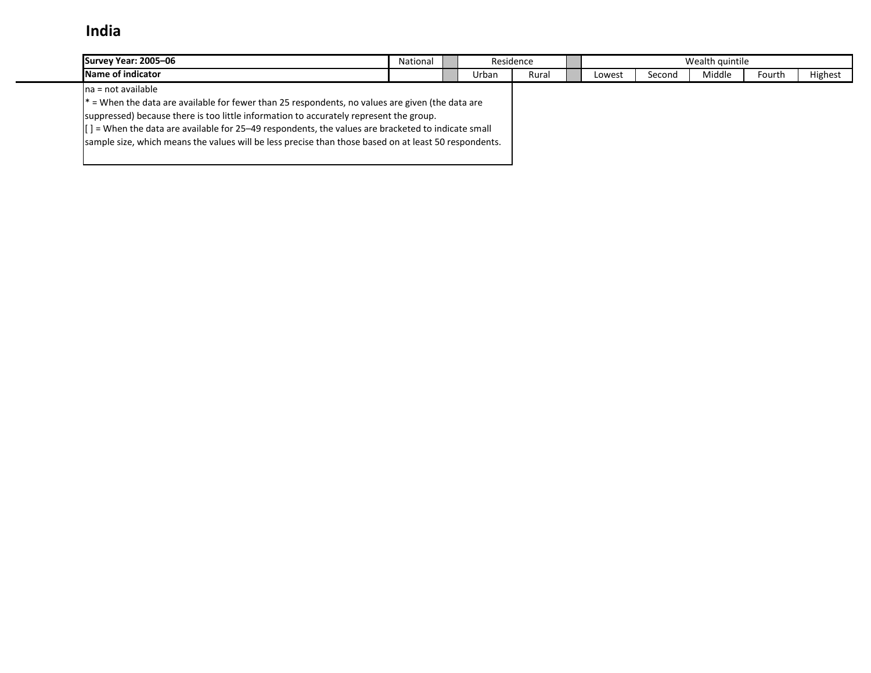| Survey Year: 2005-06                                                                                            | National | Residence |       |        |        | Wealth quintile |        |         |
|-----------------------------------------------------------------------------------------------------------------|----------|-----------|-------|--------|--------|-----------------|--------|---------|
| Name of indicator                                                                                               |          | Urban     | Rural | Lowest | Second | Middle          | Fourth | Highest |
| Ina = not available                                                                                             |          |           |       |        |        |                 |        |         |
| $\vert$ * = When the data are available for fewer than 25 respondents, no values are given (the data are        |          |           |       |        |        |                 |        |         |
| suppressed) because there is too little information to accurately represent the group.                          |          |           |       |        |        |                 |        |         |
| $\vert$ $\vert$ = When the data are available for 25–49 respondents, the values are bracketed to indicate small |          |           |       |        |        |                 |        |         |
| sample size, which means the values will be less precise than those based on at least 50 respondents.           |          |           |       |        |        |                 |        |         |
|                                                                                                                 |          |           |       |        |        |                 |        |         |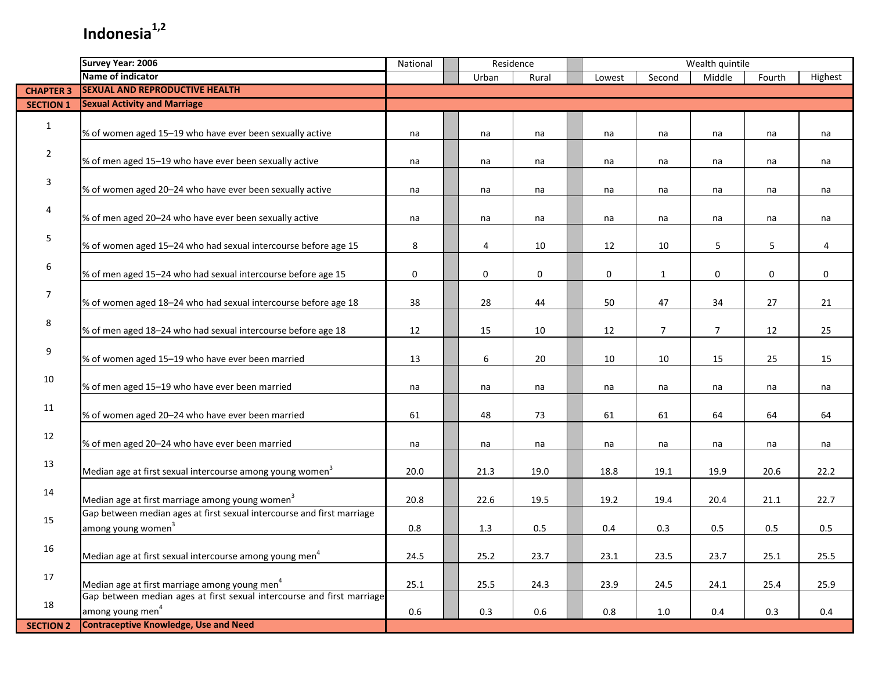|                  | <b>Survey Year: 2006</b>                                                                                 | National    |       | Residence |        |                | Wealth quintile |        |         |
|------------------|----------------------------------------------------------------------------------------------------------|-------------|-------|-----------|--------|----------------|-----------------|--------|---------|
|                  | Name of indicator                                                                                        |             | Urban | Rural     | Lowest | Second         | Middle          | Fourth | Highest |
| <b>CHAPTER 3</b> | <b>SEXUAL AND REPRODUCTIVE HEALTH</b>                                                                    |             |       |           |        |                |                 |        |         |
| <b>SECTION 1</b> | <b>Sexual Activity and Marriage</b>                                                                      |             |       |           |        |                |                 |        |         |
| $\mathbf{1}$     | % of women aged 15-19 who have ever been sexually active                                                 | na          | na    | na        | na     | na             | na              | na     | na      |
| $\overline{2}$   | % of men aged 15-19 who have ever been sexually active                                                   | na          | na    | na        | na     | na             | na              | na     | na      |
| 3                | % of women aged 20-24 who have ever been sexually active                                                 | na          | na    | na        | na     | na             | na              | na     | na      |
| 4                | % of men aged 20-24 who have ever been sexually active                                                   | na          | na    | na        | na     | na             | na              | na     | na      |
| 5                | % of women aged 15-24 who had sexual intercourse before age 15                                           | 8           | 4     | 10        | 12     | 10             | 5               | 5      | 4       |
| 6                | % of men aged 15-24 who had sexual intercourse before age 15                                             | $\mathbf 0$ | 0     | 0         | 0      | $\mathbf{1}$   | 0               | 0      | 0       |
| 7                | % of women aged 18-24 who had sexual intercourse before age 18                                           | 38          | 28    | 44        | 50     | 47             | 34              | 27     | 21      |
| 8                | % of men aged 18-24 who had sexual intercourse before age 18                                             | 12          | 15    | 10        | 12     | $\overline{7}$ | $\overline{7}$  | 12     | 25      |
| 9                | % of women aged 15-19 who have ever been married                                                         | 13          | 6     | 20        | 10     | 10             | 15              | 25     | 15      |
| 10               | % of men aged 15-19 who have ever been married                                                           | na          | na    | na        | na     | na             | na              | na     | na      |
| 11               | % of women aged 20-24 who have ever been married                                                         | 61          | 48    | 73        | 61     | 61             | 64              | 64     | 64      |
| 12               | % of men aged 20-24 who have ever been married                                                           | na          | na    | na        | na     | na             | na              | na     | na      |
| 13               | Median age at first sexual intercourse among young women <sup>3</sup>                                    | 20.0        | 21.3  | 19.0      | 18.8   | 19.1           | 19.9            | 20.6   | 22.2    |
| 14               | Median age at first marriage among young women <sup>3</sup>                                              | 20.8        | 22.6  | 19.5      | 19.2   | 19.4           | 20.4            | 21.1   | 22.7    |
| 15               | Gap between median ages at first sexual intercourse and first marriage<br>among young women <sup>3</sup> | 0.8         | 1.3   | 0.5       | 0.4    | 0.3            | 0.5             | 0.5    | 0.5     |
| 16               | Median age at first sexual intercourse among young men <sup>4</sup>                                      | 24.5        | 25.2  | 23.7      | 23.1   | 23.5           | 23.7            | 25.1   | 25.5    |
| 17               | Median age at first marriage among young men <sup>4</sup>                                                | 25.1        | 25.5  | 24.3      | 23.9   | 24.5           | 24.1            | 25.4   | 25.9    |
| 18               | Gap between median ages at first sexual intercourse and first marriage<br>among young men <sup>4</sup>   | 0.6         | 0.3   | 0.6       | 0.8    | 1.0            | 0.4             | 0.3    | 0.4     |
| <b>SECTION 2</b> | <b>Contraceptive Knowledge, Use and Need</b>                                                             |             |       |           |        |                |                 |        |         |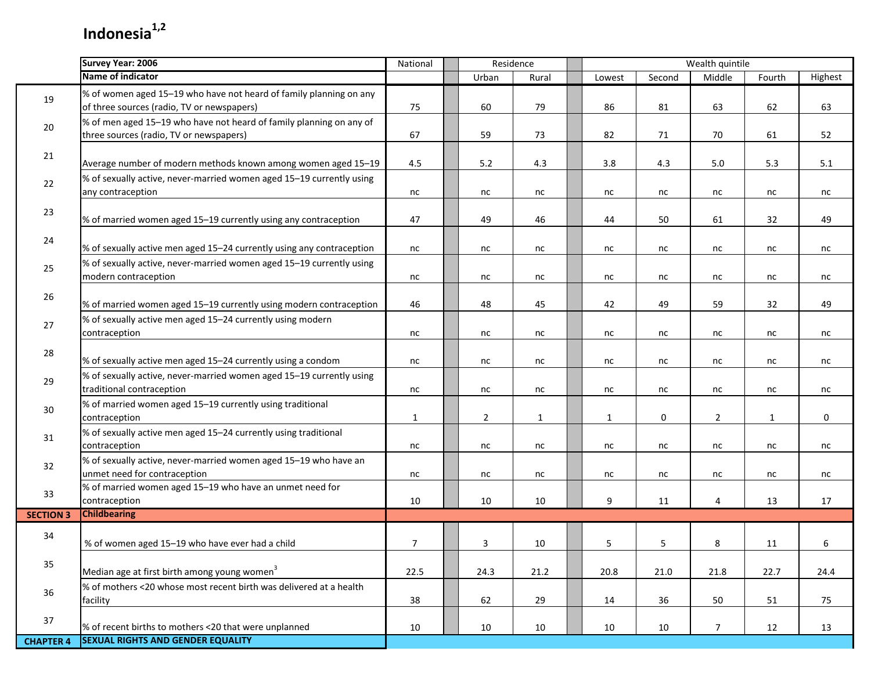П

|                  | <b>Survey Year: 2006</b>                                                                                         | National       |                | Residence    |              |        | Wealth quintile |              |         |
|------------------|------------------------------------------------------------------------------------------------------------------|----------------|----------------|--------------|--------------|--------|-----------------|--------------|---------|
|                  | <b>Name of indicator</b>                                                                                         |                | Urban          | Rural        | Lowest       | Second | Middle          | Fourth       | Highest |
| 19               | % of women aged 15-19 who have not heard of family planning on any<br>of three sources (radio, TV or newspapers) | 75             | 60             | 79           | 86           | 81     | 63              | 62           | 63      |
| 20               | % of men aged 15-19 who have not heard of family planning on any of<br>three sources (radio, TV or newspapers)   | 67             | 59             | 73           | 82           | 71     | 70              | 61           | 52      |
| 21               | Average number of modern methods known among women aged 15-19                                                    | 4.5            | 5.2            | 4.3          | 3.8          | 4.3    | $5.0\,$         | 5.3          | 5.1     |
| 22               | % of sexually active, never-married women aged 15-19 currently using<br>any contraception                        | nc             | nc             | nc           | nc           | nc     | nc              | nc           | nc      |
| 23               | % of married women aged 15-19 currently using any contraception                                                  | 47             | 49             | 46           | 44           | 50     | 61              | 32           | 49      |
| 24               | % of sexually active men aged 15-24 currently using any contraception                                            | nc             | nc             | nc           | nc           | nc     | nc              | nc           | nc      |
| 25               | % of sexually active, never-married women aged 15-19 currently using<br>modern contraception                     | nc             | nc             | nc           | nc           | nc     | nc              | nc           | nc      |
| 26               | % of married women aged 15-19 currently using modern contraception                                               | 46             | 48             | 45           | 42           | 49     | 59              | 32           | 49      |
| 27               | % of sexually active men aged 15-24 currently using modern<br>contraception                                      | nc             | nc             | nc           | nc           | nc     | nc              | nc           | nc      |
| 28               | % of sexually active men aged 15-24 currently using a condom                                                     | nc             | nc             | nc           | nc           | nc     | nc              | nc           | nc      |
| 29               | % of sexually active, never-married women aged 15-19 currently using<br>traditional contraception                | nc             | nc             | nc           | nc           | nc     | nc              | nc           | nc      |
| 30               | % of married women aged 15-19 currently using traditional<br>contraception                                       | $\mathbf{1}$   | $\overline{2}$ | $\mathbf{1}$ | $\mathbf{1}$ | 0      | $\overline{2}$  | $\mathbf{1}$ | 0       |
| 31               | % of sexually active men aged 15-24 currently using traditional<br>contraception                                 | nc             | nc             | nc           | nc           | nc     | nc              | nc           | nc      |
| 32               | % of sexually active, never-married women aged 15-19 who have an<br>unmet need for contraception                 | nc             | nc             | nc           | nc           | nc     | nc              | nc           | nc      |
| 33               | % of married women aged 15-19 who have an unmet need for<br>contraception                                        | 10             | 10             | 10           | 9            | 11     | 4               | 13           | 17      |
| <b>SECTION 3</b> | <b>Childbearing</b>                                                                                              |                |                |              |              |        |                 |              |         |
| 34               | % of women aged 15-19 who have ever had a child                                                                  | $\overline{7}$ | 3              | 10           | 5            | 5      | 8               | 11           | 6       |
| 35               | Median age at first birth among young women <sup>3</sup>                                                         | 22.5           | 24.3           | 21.2         | 20.8         | 21.0   | 21.8            | 22.7         | 24.4    |
| 36               | % of mothers <20 whose most recent birth was delivered at a health<br>facility                                   | 38             | 62             | 29           | 14           | 36     | 50              | 51           | 75      |
| 37               | % of recent births to mothers <20 that were unplanned                                                            | 10             | 10             | 10           | 10           | 10     | $\overline{7}$  | 12           | 13      |
| <b>CHAPTER 4</b> | <b>SEXUAL RIGHTS AND GENDER EQUALITY</b>                                                                         |                |                |              |              |        |                 |              |         |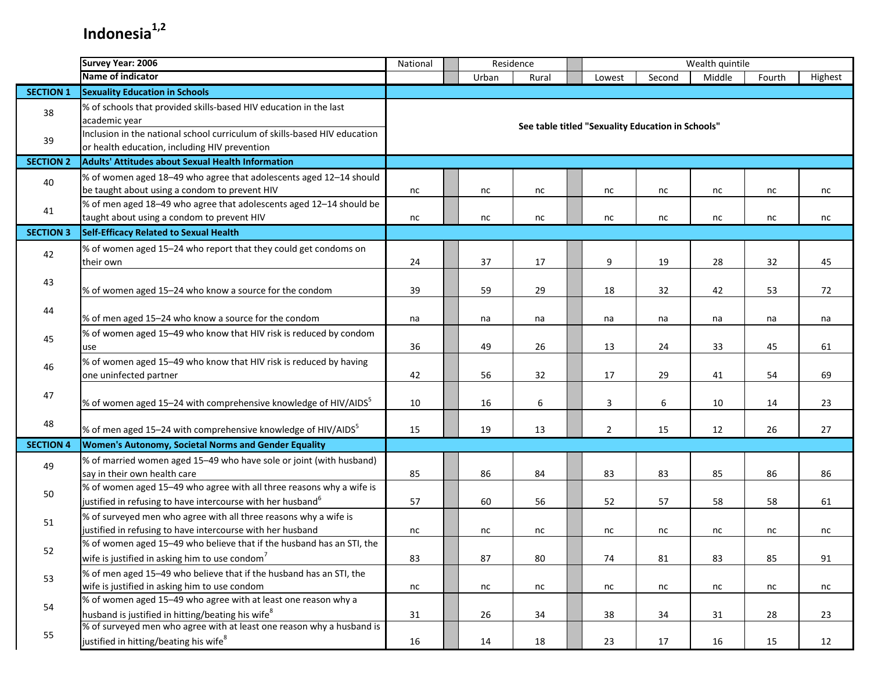|                  | <b>Survey Year: 2006</b>                                                                                                                | National | Residence |       |                |                                                   | Wealth quintile |        |         |
|------------------|-----------------------------------------------------------------------------------------------------------------------------------------|----------|-----------|-------|----------------|---------------------------------------------------|-----------------|--------|---------|
|                  | Name of indicator                                                                                                                       |          | Urban     | Rural | Lowest         | Second                                            | Middle          | Fourth | Highest |
| <b>SECTION 1</b> | <b>Sexuality Education in Schools</b>                                                                                                   |          |           |       |                |                                                   |                 |        |         |
| 38               | % of schools that provided skills-based HIV education in the last<br>academic year                                                      |          |           |       |                | See table titled "Sexuality Education in Schools" |                 |        |         |
| 39               | Inclusion in the national school curriculum of skills-based HIV education<br>or health education, including HIV prevention              |          |           |       |                |                                                   |                 |        |         |
| <b>SECTION 2</b> | <b>Adults' Attitudes about Sexual Health Information</b>                                                                                |          |           |       |                |                                                   |                 |        |         |
| 40               | % of women aged 18-49 who agree that adolescents aged 12-14 should<br>be taught about using a condom to prevent HIV                     | nc       | nc        | nc    | nc             | nc                                                | nc              | nc     | nc      |
| 41               | % of men aged 18-49 who agree that adolescents aged 12-14 should be<br>taught about using a condom to prevent HIV                       | nc       | nc        | nc    | nc             | nc                                                | nc              | nc     | nc      |
| <b>SECTION 3</b> | <b>Self-Efficacy Related to Sexual Health</b>                                                                                           |          |           |       |                |                                                   |                 |        |         |
| 42               | % of women aged 15-24 who report that they could get condoms on<br>their own                                                            | 24       | 37        | 17    | 9              | 19                                                | 28              | 32     | 45      |
| 43               | % of women aged 15-24 who know a source for the condom                                                                                  | 39       | 59        | 29    | 18             | 32                                                | 42              | 53     | 72      |
| 44               | % of men aged 15-24 who know a source for the condom                                                                                    | na       | na        | na    | na             | na                                                | na              | na     | na      |
| 45               | % of women aged 15-49 who know that HIV risk is reduced by condom<br>use                                                                | 36       | 49        | 26    | 13             | 24                                                | 33              | 45     | 61      |
| 46               | % of women aged 15-49 who know that HIV risk is reduced by having<br>one uninfected partner                                             | 42       | 56        | 32    | 17             | 29                                                | 41              | 54     | 69      |
| 47               | % of women aged 15–24 with comprehensive knowledge of HIV/AIDS <sup>5</sup>                                                             | 10       | 16        | 6     | 3              | 6                                                 | 10              | 14     | 23      |
| 48               | % of men aged 15–24 with comprehensive knowledge of HIV/AIDS $^5$                                                                       | 15       | 19        | 13    | $\overline{2}$ | 15                                                | 12              | 26     | 27      |
| <b>SECTION 4</b> | Women's Autonomy, Societal Norms and Gender Equality                                                                                    |          |           |       |                |                                                   |                 |        |         |
| 49               | % of married women aged 15-49 who have sole or joint (with husband)<br>say in their own health care                                     | 85       | 86        | 84    | 83             | 83                                                | 85              | 86     | 86      |
| 50               | % of women aged 15-49 who agree with all three reasons why a wife is<br>justified in refusing to have intercourse with her husband $^6$ | 57       | 60        | 56    | 52             | 57                                                | 58              | 58     | 61      |
| 51               | % of surveyed men who agree with all three reasons why a wife is<br>justified in refusing to have intercourse with her husband          | nc       | nc        | nc    | nc             | nc                                                | nc              | nc     | nc      |
| 52               | % of women aged 15-49 who believe that if the husband has an STI, the<br>wife is justified in asking him to use condom $7$              | 83       | 87        | 80    | 74             | 81                                                | 83              | 85     | 91      |
| 53               | % of men aged 15-49 who believe that if the husband has an STI, the<br>wife is justified in asking him to use condom                    | nc       | nc        | nc    | nc             | nc                                                | nc              | nc     | nc      |
| 54               | % of women aged 15-49 who agree with at least one reason why a<br>husband is justified in hitting/beating his wife <sup>8</sup>         | 31       | 26        | 34    | 38             | 34                                                | 31              | 28     | 23      |
| 55               | % of surveyed men who agree with at least one reason why a husband is<br>justified in hitting/beating his wife <sup>8</sup>             | 16       | 14        | 18    | 23             | 17                                                | 16              | 15     | 12      |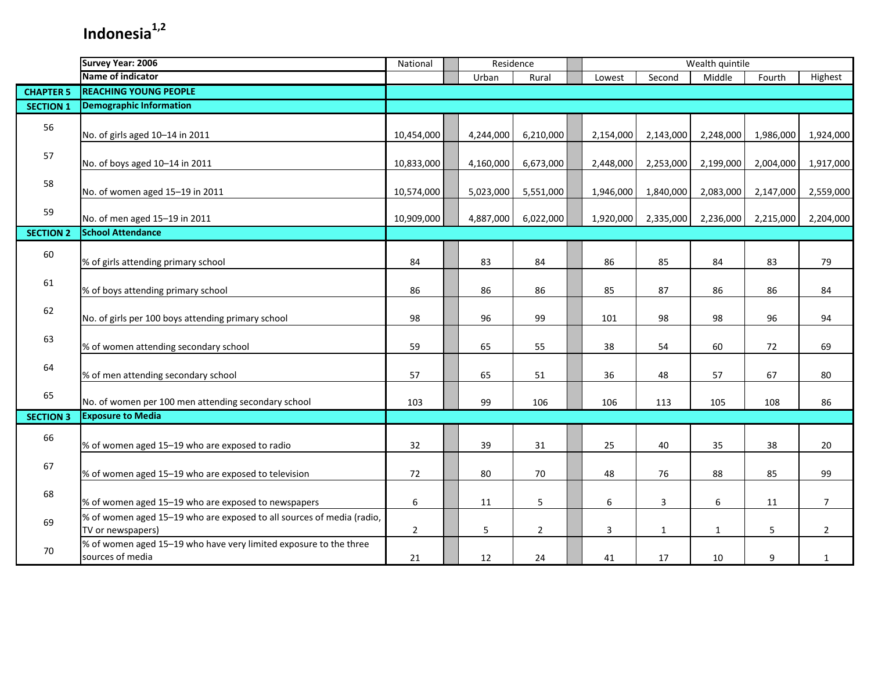|                  | <b>Survey Year: 2006</b>                                                                   | National       |           | Residence      |                  |              | Wealth quintile |           |                |
|------------------|--------------------------------------------------------------------------------------------|----------------|-----------|----------------|------------------|--------------|-----------------|-----------|----------------|
|                  | Name of indicator                                                                          |                | Urban     | Rural          | Lowest           | Second       | Middle          | Fourth    | Highest        |
| <b>CHAPTER 5</b> | <b>REACHING YOUNG PEOPLE</b>                                                               |                |           |                |                  |              |                 |           |                |
| <b>SECTION 1</b> | <b>Demographic Information</b>                                                             |                |           |                |                  |              |                 |           |                |
| 56               | No. of girls aged 10-14 in 2011                                                            | 10,454,000     | 4,244,000 | 6,210,000      | 2,154,000        | 2,143,000    | 2,248,000       | 1,986,000 | 1,924,000      |
| 57               | No. of boys aged 10-14 in 2011                                                             | 10,833,000     | 4,160,000 | 6,673,000      | 2,448,000        | 2,253,000    | 2,199,000       | 2,004,000 | 1,917,000      |
| 58               | No. of women aged 15-19 in 2011                                                            | 10,574,000     | 5,023,000 | 5,551,000      | 1,946,000        | 1,840,000    | 2,083,000       | 2,147,000 | 2,559,000      |
| 59               | No. of men aged 15-19 in 2011                                                              | 10,909,000     | 4,887,000 | 6,022,000      | 1,920,000        | 2,335,000    | 2,236,000       | 2,215,000 | 2,204,000      |
| <b>SECTION 2</b> | <b>School Attendance</b>                                                                   |                |           |                |                  |              |                 |           |                |
| 60               | % of girls attending primary school                                                        | 84             | 83        | 84             | 86               | 85           | 84              | 83        | 79             |
| 61               | % of boys attending primary school                                                         | 86             | 86        | 86             | 85               | 87           | 86              | 86        | 84             |
| 62               | No. of girls per 100 boys attending primary school                                         | 98             | 96        | 99             | 101              | 98           | 98              | 96        | 94             |
| 63               | % of women attending secondary school                                                      | 59             | 65        | 55             | 38               | 54           | 60              | 72        | 69             |
| 64               | % of men attending secondary school                                                        | 57             | 65        | 51             | 36               | 48           | 57              | 67        | 80             |
| 65               | No. of women per 100 men attending secondary school                                        | 103            | 99        | 106            | 106              | 113          | 105             | 108       | 86             |
| <b>SECTION 3</b> | <b>Exposure to Media</b>                                                                   |                |           |                |                  |              |                 |           |                |
| 66               | % of women aged 15-19 who are exposed to radio                                             | 32             | 39        | 31             | 25               | 40           | 35              | 38        | 20             |
| 67               | % of women aged 15-19 who are exposed to television                                        | 72             | 80        | 70             | 48               | 76           | 88              | 85        | 99             |
| 68               | % of women aged 15-19 who are exposed to newspapers                                        | 6              | 11        | 5              | $\boldsymbol{6}$ | 3            | 6               | 11        | $\overline{7}$ |
| 69               | % of women aged 15-19 who are exposed to all sources of media (radio,<br>TV or newspapers) | $\overline{2}$ | 5         | $\overline{2}$ | 3                | $\mathbf{1}$ | $\mathbf{1}$    | 5         | $\overline{2}$ |
| 70               | % of women aged 15-19 who have very limited exposure to the three<br>sources of media      | 21             | 12        | 24             | 41               | 17           | 10              | 9         | $\mathbf{1}$   |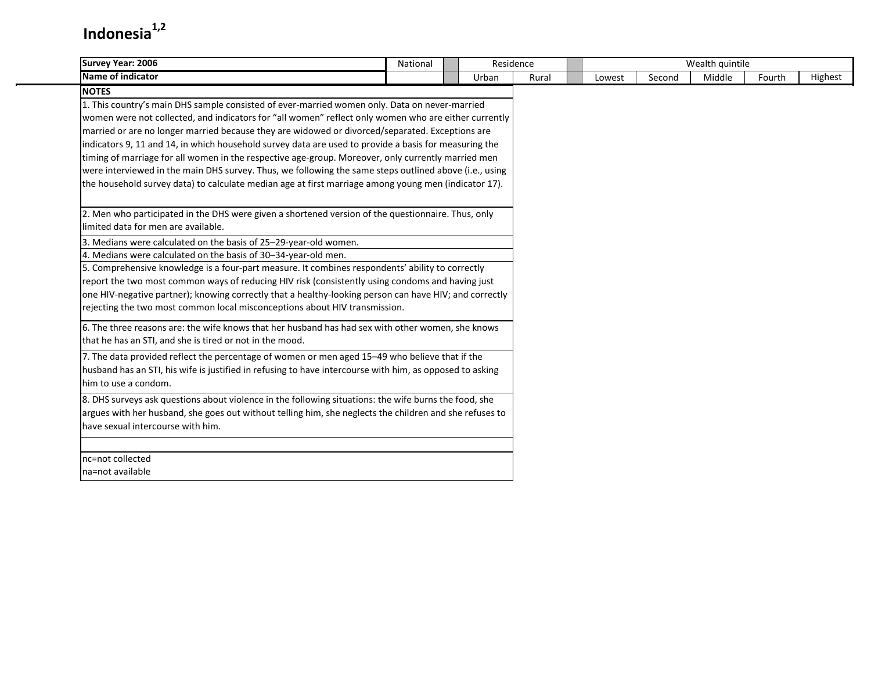| <b>Survey Year: 2006</b>                                                                                                                                                                                                                                                                                                                                                                                                                                                                                                                                                                                                                                                                                                                                  | National | Residence |       |        |        | Wealth quintile |        |         |
|-----------------------------------------------------------------------------------------------------------------------------------------------------------------------------------------------------------------------------------------------------------------------------------------------------------------------------------------------------------------------------------------------------------------------------------------------------------------------------------------------------------------------------------------------------------------------------------------------------------------------------------------------------------------------------------------------------------------------------------------------------------|----------|-----------|-------|--------|--------|-----------------|--------|---------|
| <b>Name of indicator</b>                                                                                                                                                                                                                                                                                                                                                                                                                                                                                                                                                                                                                                                                                                                                  |          | Urban     | Rural | Lowest | Second | Middle          | Fourth | Highest |
| <b>NOTES</b><br>1. This country's main DHS sample consisted of ever-married women only. Data on never-married<br>women were not collected, and indicators for "all women" reflect only women who are either currently<br>married or are no longer married because they are widowed or divorced/separated. Exceptions are<br>indicators 9, 11 and 14, in which household survey data are used to provide a basis for measuring the<br>timing of marriage for all women in the respective age-group. Moreover, only currently married men<br>were interviewed in the main DHS survey. Thus, we following the same steps outlined above (i.e., using<br>the household survey data) to calculate median age at first marriage among young men (indicator 17). |          |           |       |        |        |                 |        |         |
| 2. Men who participated in the DHS were given a shortened version of the questionnaire. Thus, only<br>limited data for men are available.<br>3. Medians were calculated on the basis of 25-29-year-old women.<br>4. Medians were calculated on the basis of 30-34-year-old men.<br>5. Comprehensive knowledge is a four-part measure. It combines respondents' ability to correctly<br>report the two most common ways of reducing HIV risk (consistently using condoms and having just<br>one HIV-negative partner); knowing correctly that a healthy-looking person can have HIV; and correctly<br>rejecting the two most common local misconceptions about HIV transmission.                                                                           |          |           |       |        |        |                 |        |         |
| 6. The three reasons are: the wife knows that her husband has had sex with other women, she knows<br>that he has an STI, and she is tired or not in the mood.                                                                                                                                                                                                                                                                                                                                                                                                                                                                                                                                                                                             |          |           |       |        |        |                 |        |         |
| 7. The data provided reflect the percentage of women or men aged 15-49 who believe that if the<br>husband has an STI, his wife is justified in refusing to have intercourse with him, as opposed to asking<br>him to use a condom.                                                                                                                                                                                                                                                                                                                                                                                                                                                                                                                        |          |           |       |        |        |                 |        |         |
| 8. DHS surveys ask questions about violence in the following situations: the wife burns the food, she<br>argues with her husband, she goes out without telling him, she neglects the children and she refuses to<br>have sexual intercourse with him.                                                                                                                                                                                                                                                                                                                                                                                                                                                                                                     |          |           |       |        |        |                 |        |         |
| nc=not collected<br>na=not available                                                                                                                                                                                                                                                                                                                                                                                                                                                                                                                                                                                                                                                                                                                      |          |           |       |        |        |                 |        |         |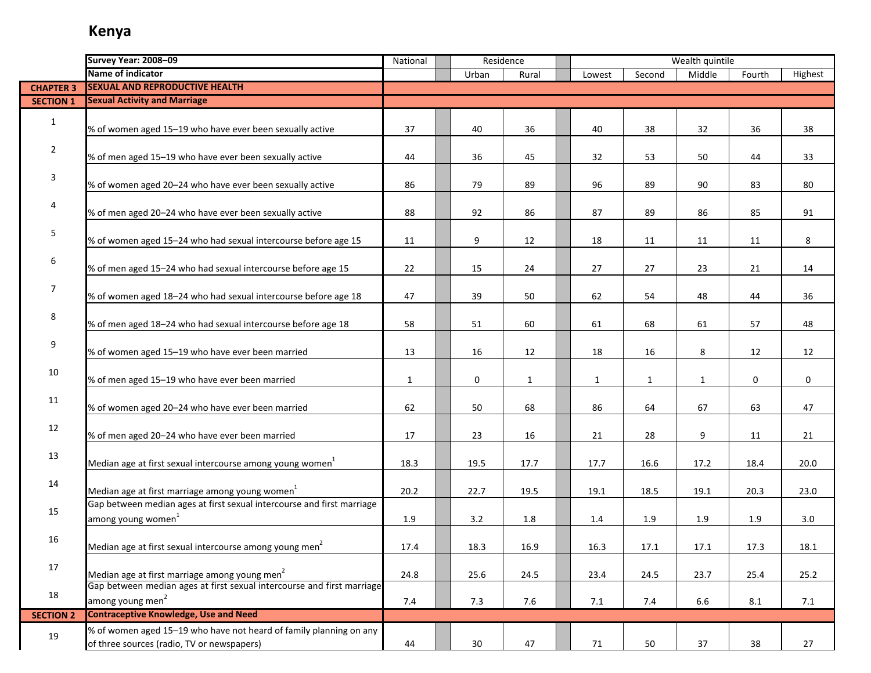|                  | Survey Year: 2008-09                                                                                             | National     |                 | Residence    |              |              | Wealth quintile |         |         |
|------------------|------------------------------------------------------------------------------------------------------------------|--------------|-----------------|--------------|--------------|--------------|-----------------|---------|---------|
|                  | Name of indicator                                                                                                |              | Urban           | Rural        | Lowest       | Second       | Middle          | Fourth  | Highest |
| <b>CHAPTER 3</b> | <b>SEXUAL AND REPRODUCTIVE HEALTH</b>                                                                            |              |                 |              |              |              |                 |         |         |
| <b>SECTION 1</b> | <b>Sexual Activity and Marriage</b>                                                                              |              |                 |              |              |              |                 |         |         |
| $\mathbf{1}$     | % of women aged 15-19 who have ever been sexually active                                                         | 37           | 40              | 36           | 40           | 38           | 32              | 36      | 38      |
| $\overline{2}$   | % of men aged 15-19 who have ever been sexually active                                                           | 44           | 36              | 45           | 32           | 53           | 50              | 44      | 33      |
| $\mathbf{3}$     | % of women aged 20-24 who have ever been sexually active                                                         | 86           | 79              | 89           | 96           | 89           | 90              | 83      | 80      |
| 4                | % of men aged 20-24 who have ever been sexually active                                                           | 88           | 92              | 86           | 87           | 89           | 86              | 85      | 91      |
| 5                | % of women aged 15-24 who had sexual intercourse before age 15                                                   | 11           | 9               | 12           | 18           | 11           | 11              | 11      | 8       |
| 6                | % of men aged 15-24 who had sexual intercourse before age 15                                                     | 22           | 15              | 24           | 27           | 27           | 23              | 21      | 14      |
| $\overline{7}$   | % of women aged 18-24 who had sexual intercourse before age 18                                                   | 47           | 39              | 50           | 62           | 54           | 48              | 44      | 36      |
| 8                | % of men aged 18-24 who had sexual intercourse before age 18                                                     | 58           | 51              | 60           | 61           | 68           | 61              | 57      | 48      |
| 9                | % of women aged 15-19 who have ever been married                                                                 | 13           | 16              | 12           | 18           | 16           | 8               | 12      | 12      |
| 10               | % of men aged 15-19 who have ever been married                                                                   | $\mathbf{1}$ | 0               | $\mathbf{1}$ | $\mathbf{1}$ | $\mathbf{1}$ | $\mathbf{1}$    | 0       | 0       |
| 11               | % of women aged 20-24 who have ever been married                                                                 | 62           | 50              | 68           | 86           | 64           | 67              | 63      | 47      |
| 12               | % of men aged 20-24 who have ever been married                                                                   | 17           | 23              | 16           | 21           | 28           | 9               | 11      | 21      |
| 13               | Median age at first sexual intercourse among young women <sup>1</sup>                                            | 18.3         | 19.5            | 17.7         | 17.7         | 16.6         | 17.2            | 18.4    | 20.0    |
| 14               | Median age at first marriage among young women <sup>1</sup>                                                      | 20.2         | 22.7            | 19.5         | 19.1         | 18.5         | 19.1            | 20.3    | 23.0    |
| 15               | Gap between median ages at first sexual intercourse and first marriage<br>among young women <sup>1</sup>         | 1.9          | 3.2             | $1.8\,$      | 1.4          | $1.9\,$      | 1.9             | $1.9\,$ | 3.0     |
| 16               | Median age at first sexual intercourse among young men <sup>2</sup>                                              | 17.4         | 18.3            | 16.9         | 16.3         | 17.1         | 17.1            | 17.3    | 18.1    |
| 17               | Median age at first marriage among young men <sup>2</sup>                                                        | 24.8         | 25.6            | 24.5         | 23.4         | 24.5         | 23.7            | 25.4    | 25.2    |
| 18               | Gap between median ages at first sexual intercourse and first marriage<br>among young men <sup>2</sup>           | 7.4          | 7.3             | 7.6          | 7.1          | 7.4          | 6.6             | 8.1     | 7.1     |
| <b>SECTION 2</b> | <b>Contraceptive Knowledge, Use and Need</b>                                                                     |              |                 |              |              |              |                 |         |         |
| 19               | % of women aged 15-19 who have not heard of family planning on any<br>of three sources (radio, TV or newspapers) | 44           | 30 <sup>°</sup> | 47           | 71           | 50           | 37              | 38      | 27      |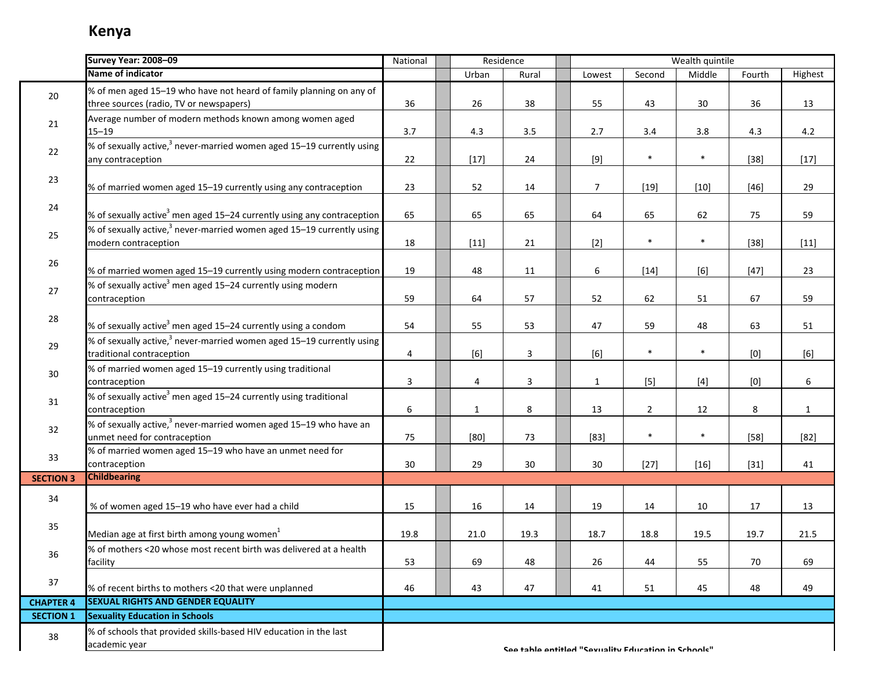|                  | Survey Year: 2008-09                                                                                           | National         | Residence    |       |                                                     |                | Wealth quintile |        |              |
|------------------|----------------------------------------------------------------------------------------------------------------|------------------|--------------|-------|-----------------------------------------------------|----------------|-----------------|--------|--------------|
|                  | Name of indicator                                                                                              |                  | Urban        | Rural | Lowest                                              | Second         | Middle          | Fourth | Highest      |
| 20               | % of men aged 15-19 who have not heard of family planning on any of<br>three sources (radio, TV or newspapers) | 36               | 26           | 38    | 55                                                  | 43             | 30              | 36     | 13           |
| 21               | Average number of modern methods known among women aged<br>$15 - 19$                                           | 3.7              | 4.3          | 3.5   | 2.7                                                 | 3.4            | 3.8             | 4.3    | 4.2          |
| 22               | % of sexually active, <sup>3</sup> never-married women aged 15–19 currently using<br>any contraception         | 22               | $[17]$       | 24    | $[9]$                                               | $\ast$         | $\ast$          | $[38]$ | $[17]$       |
| 23               | % of married women aged 15-19 currently using any contraception                                                | 23               | 52           | 14    | $\overline{7}$                                      | $[19]$         | $[10]$          | $[46]$ | 29           |
| 24               | % of sexually active <sup>3</sup> men aged 15–24 currently using any contraception                             | 65               | 65           | 65    | 64                                                  | 65             | 62              | 75     | 59           |
| 25               | % of sexually active, <sup>3</sup> never-married women aged 15–19 currently using<br>modern contraception      | 18               | $[11]$       | 21    | $[2]$                                               | $\ast$         | $\ast$          | $[38]$ | $[11]$       |
| 26               | % of married women aged 15-19 currently using modern contraception                                             | 19               | 48           | 11    | 6                                                   | $[14]$         | [6]             | $[47]$ | 23           |
| 27               | % of sexually active <sup>3</sup> men aged 15–24 currently using modern<br>contraception                       | 59               | 64           | 57    | 52                                                  | 62             | 51              | 67     | 59           |
| 28               | % of sexually active <sup>3</sup> men aged 15–24 currently using a condom                                      | 54               | 55           | 53    | 47                                                  | 59             | 48              | 63     | 51           |
| 29               | % of sexually active, <sup>3</sup> never-married women aged 15-19 currently using<br>traditional contraception | $\overline{4}$   | [6]          | 3     | [6]                                                 | $\ast$         | $\ast$          | [0]    | [6]          |
| $30\,$           | % of married women aged 15-19 currently using traditional<br>contraception                                     | 3                | 4            | 3     | $\mathbf{1}$                                        | $[5]$          | $[4]$           | [0]    | 6            |
| 31               | % of sexually active <sup>3</sup> men aged 15–24 currently using traditional<br>contraception                  | $\boldsymbol{6}$ | $\mathbf{1}$ | 8     | 13                                                  | $\overline{2}$ | 12              | 8      | $\mathbf{1}$ |
| 32               | % of sexually active, $^3$ never-married women aged 15–19 who have an<br>unmet need for contraception          | 75               | [80]         | 73    | $[83]$                                              | $\ast$         | $\ast$          | $[58]$ | $[82]$       |
| 33               | % of married women aged 15-19 who have an unmet need for<br>contraception                                      | 30               | 29           | 30    | 30                                                  | $[27]$         | $[16]$          | $[31]$ | 41           |
| <b>SECTION 3</b> | <b>Childbearing</b>                                                                                            |                  |              |       |                                                     |                |                 |        |              |
| 34               | % of women aged 15-19 who have ever had a child                                                                | 15               | 16           | 14    | 19                                                  | 14             | 10              | 17     | 13           |
| 35               | Median age at first birth among young women <sup>1</sup>                                                       | 19.8             | 21.0         | 19.3  | 18.7                                                | 18.8           | 19.5            | 19.7   | 21.5         |
| 36               | % of mothers <20 whose most recent birth was delivered at a health<br>facility                                 | 53               | 69           | 48    | 26                                                  | 44             | 55              | 70     | 69           |
| 37               | % of recent births to mothers <20 that were unplanned                                                          | 46               | 43           | 47    | 41                                                  | 51             | 45              | 48     | 49           |
| <b>CHAPTER 4</b> | <b>SEXUAL RIGHTS AND GENDER EQUALITY</b>                                                                       |                  |              |       |                                                     |                |                 |        |              |
| <b>SECTION 1</b> | <b>Sexuality Education in Schools</b>                                                                          |                  |              |       |                                                     |                |                 |        |              |
| 38               | % of schools that provided skills-based HIV education in the last<br>academic year                             |                  |              |       | Soo table antitled "Sevuality Education in Schoole" |                |                 |        |              |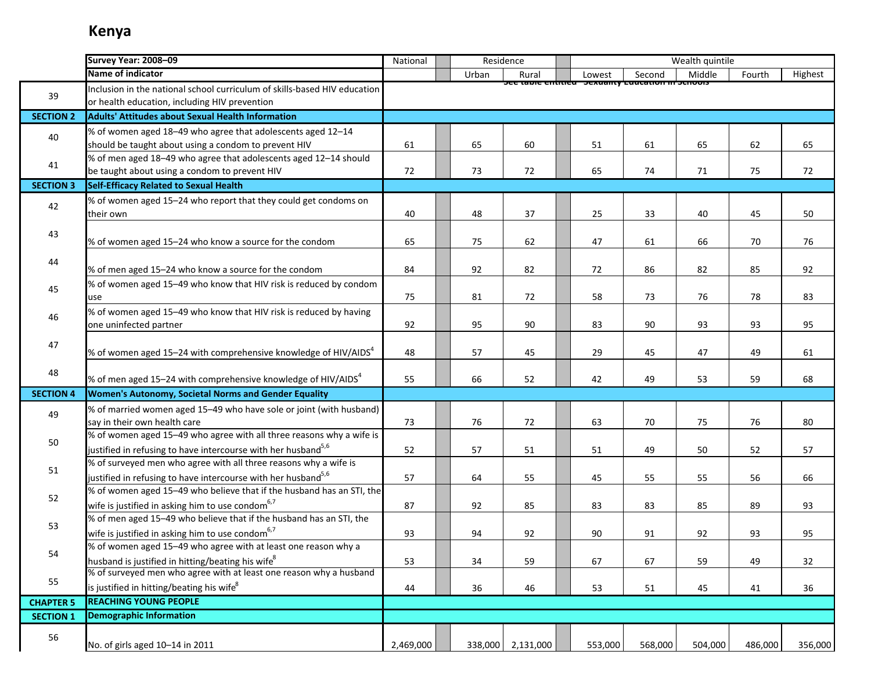|                  | Survey Year: 2008-09                                                        | National  | Residence |                   |                                                  |         | Wealth quintile |         |         |
|------------------|-----------------------------------------------------------------------------|-----------|-----------|-------------------|--------------------------------------------------|---------|-----------------|---------|---------|
|                  | Name of indicator                                                           |           | Urban     | Rural             | Lowest                                           | Second  | Middle          | Fourth  | Highest |
|                  | Inclusion in the national school curriculum of skills-based HIV education   |           |           |                   | JEE table entitled Jesuanty Education in Junuois |         |                 |         |         |
| 39               | or health education, including HIV prevention                               |           |           |                   |                                                  |         |                 |         |         |
| <b>SECTION 2</b> | <b>Adults' Attitudes about Sexual Health Information</b>                    |           |           |                   |                                                  |         |                 |         |         |
| 40               | % of women aged 18-49 who agree that adolescents aged 12-14                 |           |           |                   |                                                  |         |                 |         |         |
|                  | should be taught about using a condom to prevent HIV                        | 61        | 65        | 60                | 51                                               | 61      | 65              | 62      | 65      |
|                  | % of men aged 18-49 who agree that adolescents aged 12-14 should            |           |           |                   |                                                  |         |                 |         |         |
| 41               | be taught about using a condom to prevent HIV                               | 72        | 73        | 72                | 65                                               | 74      | 71              | 75      | 72      |
| <b>SECTION 3</b> | Self-Efficacy Related to Sexual Health                                      |           |           |                   |                                                  |         |                 |         |         |
| 42               | % of women aged 15-24 who report that they could get condoms on             |           |           |                   |                                                  |         |                 |         |         |
|                  | their own                                                                   | 40        | 48        | 37                | 25                                               | 33      | 40              | 45      | 50      |
| 43               |                                                                             |           |           |                   |                                                  |         |                 |         |         |
|                  | % of women aged 15-24 who know a source for the condom                      | 65        | 75        | 62                | 47                                               | 61      | 66              | 70      | 76      |
| 44               |                                                                             |           |           |                   |                                                  |         |                 |         |         |
|                  | % of men aged 15-24 who know a source for the condom                        | 84        | 92        | 82                | 72                                               | 86      | 82              | 85      | 92      |
| 45               | % of women aged 15-49 who know that HIV risk is reduced by condom           |           |           |                   |                                                  |         |                 |         |         |
|                  | use                                                                         | 75        | 81        | 72                | 58                                               | 73      | 76              | 78      | 83      |
| 46               | % of women aged 15-49 who know that HIV risk is reduced by having           |           |           |                   |                                                  |         |                 |         |         |
|                  | one uninfected partner                                                      | 92        | 95        | 90                | 83                                               | 90      | 93              | 93      | 95      |
| 47               |                                                                             |           |           |                   |                                                  |         |                 |         |         |
|                  | % of women aged 15-24 with comprehensive knowledge of HIV/AIDS <sup>4</sup> | 48        | 57        | 45                | 29                                               | 45      | 47              | 49      | 61      |
| 48               | % of men aged 15-24 with comprehensive knowledge of HIV/AIDS $4$            | 55        | 66        | 52                | 42                                               | 49      | 53              | 59      | 68      |
| <b>SECTION 4</b> | Women's Autonomy, Societal Norms and Gender Equality                        |           |           |                   |                                                  |         |                 |         |         |
|                  | % of married women aged 15-49 who have sole or joint (with husband)         |           |           |                   |                                                  |         |                 |         |         |
| 49               | say in their own health care                                                | 73        | 76        | 72                | 63                                               | 70      | 75              | 76      | 80      |
|                  | % of women aged 15-49 who agree with all three reasons why a wife is        |           |           |                   |                                                  |         |                 |         |         |
| 50               | justified in refusing to have intercourse with her husband <sup>5,6</sup>   | 52        | 57        | 51                | 51                                               | 49      | 50              | 52      | 57      |
|                  | % of surveyed men who agree with all three reasons why a wife is            |           |           |                   |                                                  |         |                 |         |         |
| 51               | justified in refusing to have intercourse with her husband <sup>5,6</sup>   | 57        | 64        | 55                | 45                                               | 55      | 55              | 56      | 66      |
|                  | % of women aged 15-49 who believe that if the husband has an STI, the       |           |           |                   |                                                  |         |                 |         |         |
| 52               | wife is justified in asking him to use condom $6,7$                         | 87        | 92        | 85                | 83                                               | 83      | 85              | 89      | 93      |
|                  | % of men aged 15-49 who believe that if the husband has an STI, the         |           |           |                   |                                                  |         |                 |         |         |
| 53               | wife is justified in asking him to use condom $67$                          | 93        | 94        | 92                | 90                                               | 91      | 92              | 93      | 95      |
|                  | % of women aged 15-49 who agree with at least one reason why a              |           |           |                   |                                                  |         |                 |         |         |
| 54               | husband is justified in hitting/beating his wife <sup>8</sup>               | 53        | 34        | 59                | 67                                               | 67      | 59              | 49      | 32      |
|                  | % of surveyed men who agree with at least one reason why a husband          |           |           |                   |                                                  |         |                 |         |         |
| 55               | is justified in hitting/beating his wife <sup>8</sup>                       | 44        | 36        | 46                | 53                                               | 51      | 45              | 41      | 36      |
| <b>CHAPTER 5</b> | <b>REACHING YOUNG PEOPLE</b>                                                |           |           |                   |                                                  |         |                 |         |         |
| <b>SECTION 1</b> | <b>Demographic Information</b>                                              |           |           |                   |                                                  |         |                 |         |         |
| 56               |                                                                             |           |           |                   |                                                  |         |                 |         |         |
|                  | No. of girls aged 10-14 in 2011                                             | 2,469,000 |           | 338,000 2,131,000 | 553,000                                          | 568,000 | 504,000         | 486,000 | 356,000 |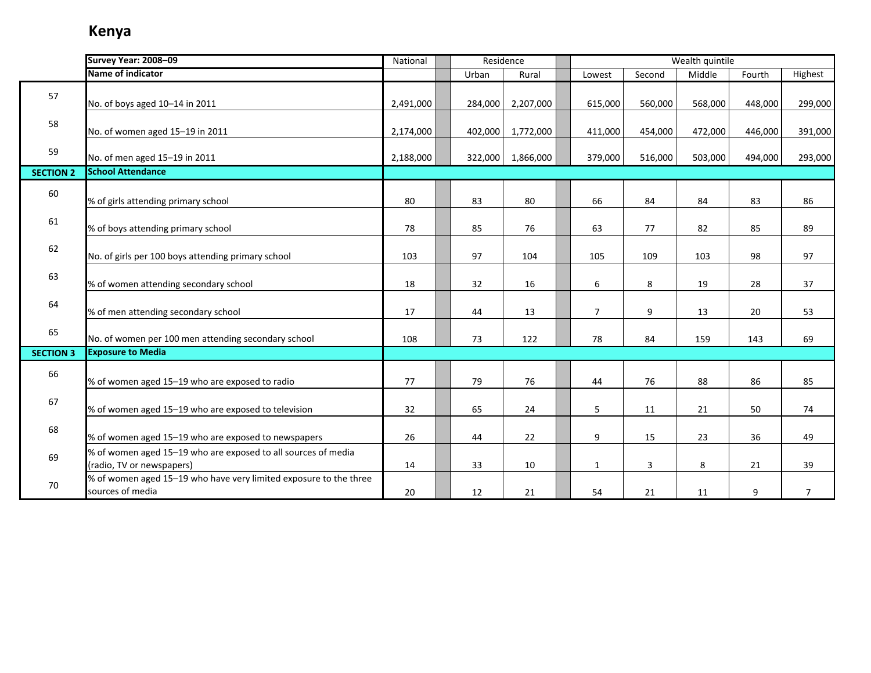|                  | Survey Year: 2008-09                                                                       | National  |         | Residence |                |         | Wealth quintile |         |                |
|------------------|--------------------------------------------------------------------------------------------|-----------|---------|-----------|----------------|---------|-----------------|---------|----------------|
|                  | Name of indicator                                                                          |           | Urban   | Rural     | Lowest         | Second  | Middle          | Fourth  | Highest        |
| 57               | No. of boys aged 10-14 in 2011                                                             | 2,491,000 | 284,000 | 2,207,000 | 615,000        | 560,000 | 568,000         | 448,000 | 299,000        |
| 58               | No. of women aged 15-19 in 2011                                                            | 2,174,000 | 402,000 | 1,772,000 | 411,000        | 454,000 | 472,000         | 446,000 | 391,000        |
| 59               | No. of men aged 15-19 in 2011                                                              | 2,188,000 | 322,000 | 1,866,000 | 379,000        | 516,000 | 503,000         | 494,000 | 293,000        |
| <b>SECTION 2</b> | <b>School Attendance</b>                                                                   |           |         |           |                |         |                 |         |                |
| 60               | % of girls attending primary school                                                        | 80        | 83      | 80        | 66             | 84      | 84              | 83      | 86             |
| 61               | % of boys attending primary school                                                         | 78        | 85      | 76        | 63             | 77      | 82              | 85      | 89             |
| 62               | No. of girls per 100 boys attending primary school                                         | 103       | 97      | 104       | 105            | 109     | 103             | 98      | 97             |
| 63               | % of women attending secondary school                                                      | 18        | 32      | 16        | 6              | 8       | 19              | 28      | 37             |
| 64               | % of men attending secondary school                                                        | 17        | 44      | 13        | $\overline{7}$ | 9       | 13              | 20      | 53             |
| 65               | No. of women per 100 men attending secondary school                                        | 108       | 73      | 122       | 78             | 84      | 159             | 143     | 69             |
| <b>SECTION 3</b> | <b>Exposure to Media</b>                                                                   |           |         |           |                |         |                 |         |                |
| 66               | % of women aged 15-19 who are exposed to radio                                             | 77        | 79      | 76        | 44             | 76      | 88              | 86      | 85             |
| 67               | % of women aged 15-19 who are exposed to television                                        | 32        | 65      | 24        | 5              | 11      | 21              | 50      | 74             |
| 68               | % of women aged 15-19 who are exposed to newspapers                                        | 26        | 44      | 22        | 9              | 15      | 23              | 36      | 49             |
| 69               | % of women aged 15-19 who are exposed to all sources of media<br>(radio, TV or newspapers) | 14        | 33      | 10        | $\mathbf{1}$   | 3       | 8               | 21      | 39             |
| 70               | % of women aged 15-19 who have very limited exposure to the three<br>sources of media      | 20        | 12      | 21        | 54             | 21      | 11              | 9       | $\overline{7}$ |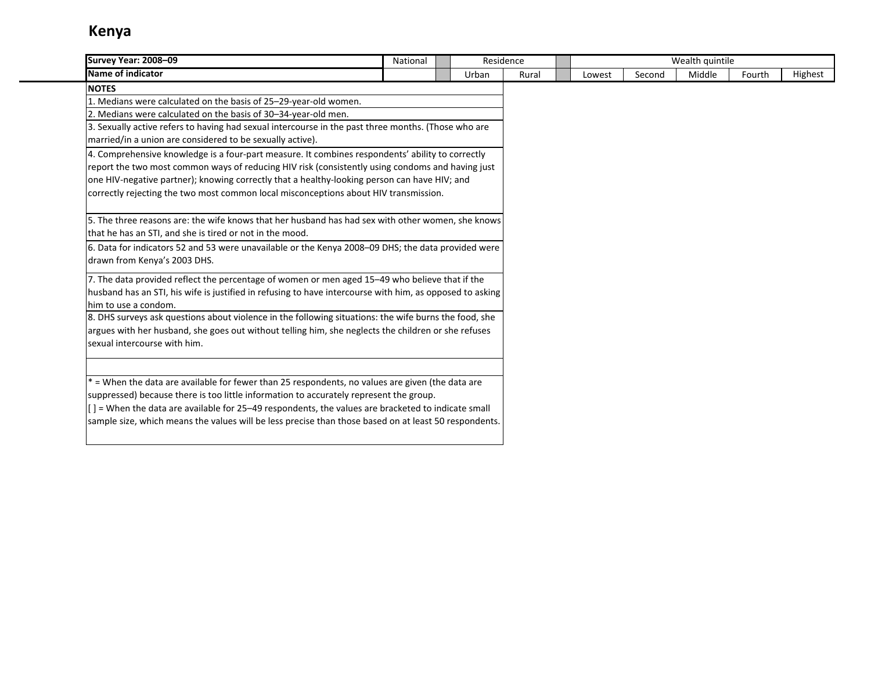| <b>Survey Year: 2008-09</b>                                                                                                                                                                | National | Residence |       |        |        | Wealth quintile |        |         |
|--------------------------------------------------------------------------------------------------------------------------------------------------------------------------------------------|----------|-----------|-------|--------|--------|-----------------|--------|---------|
| Name of indicator                                                                                                                                                                          |          | Urban     | Rural | Lowest | Second | Middle          | Fourth | Highest |
| <b>NOTES</b>                                                                                                                                                                               |          |           |       |        |        |                 |        |         |
| 1. Medians were calculated on the basis of 25-29-year-old women.                                                                                                                           |          |           |       |        |        |                 |        |         |
| 2. Medians were calculated on the basis of 30-34-year-old men.                                                                                                                             |          |           |       |        |        |                 |        |         |
| 3. Sexually active refers to having had sexual intercourse in the past three months. (Those who are                                                                                        |          |           |       |        |        |                 |        |         |
| married/in a union are considered to be sexually active).                                                                                                                                  |          |           |       |        |        |                 |        |         |
| 4. Comprehensive knowledge is a four-part measure. It combines respondents' ability to correctly                                                                                           |          |           |       |        |        |                 |        |         |
| report the two most common ways of reducing HIV risk (consistently using condoms and having just                                                                                           |          |           |       |        |        |                 |        |         |
| one HIV-negative partner); knowing correctly that a healthy-looking person can have HIV; and                                                                                               |          |           |       |        |        |                 |        |         |
| correctly rejecting the two most common local misconceptions about HIV transmission.                                                                                                       |          |           |       |        |        |                 |        |         |
|                                                                                                                                                                                            |          |           |       |        |        |                 |        |         |
| 5. The three reasons are: the wife knows that her husband has had sex with other women, she knows                                                                                          |          |           |       |        |        |                 |        |         |
| that he has an STI, and she is tired or not in the mood.                                                                                                                                   |          |           |       |        |        |                 |        |         |
| 6. Data for indicators 52 and 53 were unavailable or the Kenya 2008-09 DHS; the data provided were                                                                                         |          |           |       |        |        |                 |        |         |
| drawn from Kenya's 2003 DHS.                                                                                                                                                               |          |           |       |        |        |                 |        |         |
| 7. The data provided reflect the percentage of women or men aged 15-49 who believe that if the                                                                                             |          |           |       |        |        |                 |        |         |
| husband has an STI, his wife is justified in refusing to have intercourse with him, as opposed to asking                                                                                   |          |           |       |        |        |                 |        |         |
| lhim to use a condom.                                                                                                                                                                      |          |           |       |        |        |                 |        |         |
| 8. DHS surveys ask questions about violence in the following situations: the wife burns the food, she                                                                                      |          |           |       |        |        |                 |        |         |
| argues with her husband, she goes out without telling him, she neglects the children or she refuses                                                                                        |          |           |       |        |        |                 |        |         |
| sexual intercourse with him.                                                                                                                                                               |          |           |       |        |        |                 |        |         |
|                                                                                                                                                                                            |          |           |       |        |        |                 |        |         |
|                                                                                                                                                                                            |          |           |       |        |        |                 |        |         |
| * = When the data are available for fewer than 25 respondents, no values are given (the data are<br>suppressed) because there is too little information to accurately represent the group. |          |           |       |        |        |                 |        |         |
| [] = When the data are available for 25-49 respondents, the values are bracketed to indicate small                                                                                         |          |           |       |        |        |                 |        |         |
| sample size, which means the values will be less precise than those based on at least 50 respondents.                                                                                      |          |           |       |        |        |                 |        |         |
|                                                                                                                                                                                            |          |           |       |        |        |                 |        |         |
|                                                                                                                                                                                            |          |           |       |        |        |                 |        |         |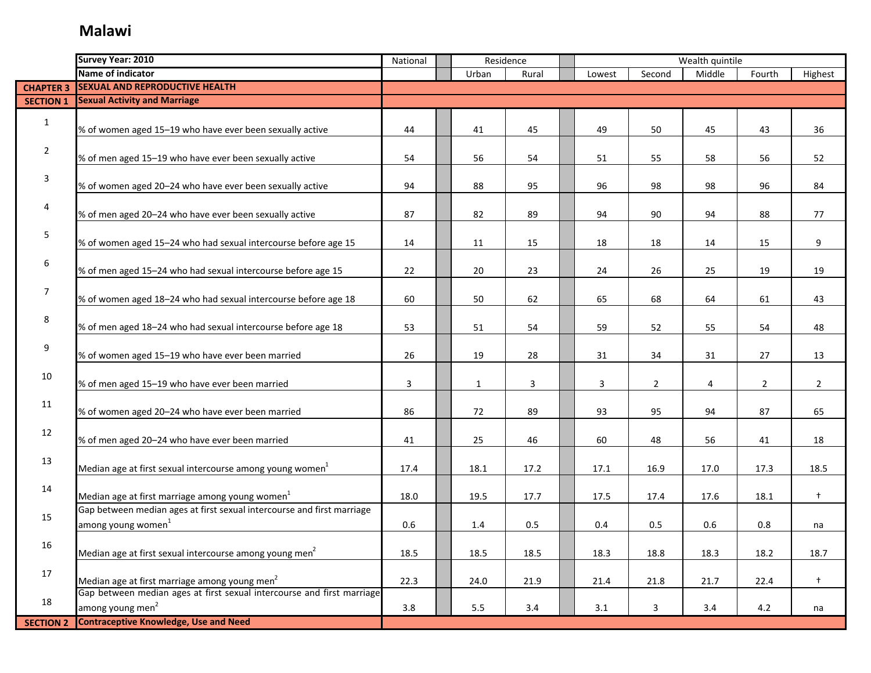### **Malawi**

|                  | Survey Year: 2010                                                                                        | National |              | Residence |        | Wealth quintile |        |                |                |
|------------------|----------------------------------------------------------------------------------------------------------|----------|--------------|-----------|--------|-----------------|--------|----------------|----------------|
|                  | Name of indicator                                                                                        |          | Urban        | Rural     | Lowest | Second          | Middle | Fourth         | Highest        |
| <b>CHAPTER 3</b> | <b>SEXUAL AND REPRODUCTIVE HEALTH</b>                                                                    |          |              |           |        |                 |        |                |                |
| <b>SECTION 1</b> | <b>Sexual Activity and Marriage</b>                                                                      |          |              |           |        |                 |        |                |                |
| $\mathbf{1}$     | % of women aged 15-19 who have ever been sexually active                                                 | 44       | 41           | 45        | 49     | 50              | 45     | 43             | 36             |
| $\overline{2}$   | % of men aged 15-19 who have ever been sexually active                                                   | 54       | 56           | 54        | 51     | 55              | 58     | 56             | 52             |
| 3                | % of women aged 20-24 who have ever been sexually active                                                 | 94       | 88           | 95        | 96     | 98              | 98     | 96             | 84             |
| 4                | % of men aged 20-24 who have ever been sexually active                                                   | 87       | 82           | 89        | 94     | 90              | 94     | 88             | 77             |
| 5                | % of women aged 15-24 who had sexual intercourse before age 15                                           | 14       | 11           | 15        | 18     | 18              | 14     | 15             | 9              |
| 6                | % of men aged 15-24 who had sexual intercourse before age 15                                             | 22       | 20           | 23        | 24     | 26              | 25     | 19             | 19             |
| 7                | % of women aged 18-24 who had sexual intercourse before age 18                                           | 60       | 50           | 62        | 65     | 68              | 64     | 61             | 43             |
| 8                | % of men aged 18-24 who had sexual intercourse before age 18                                             | 53       | 51           | 54        | 59     | 52              | 55     | 54             | 48             |
| 9                | % of women aged 15-19 who have ever been married                                                         | 26       | 19           | 28        | 31     | 34              | 31     | 27             | 13             |
| 10               | % of men aged 15-19 who have ever been married                                                           | 3        | $\mathbf{1}$ | 3         | 3      | $\overline{2}$  | 4      | $\overline{2}$ | $\overline{2}$ |
| 11               | % of women aged 20-24 who have ever been married                                                         | 86       | 72           | 89        | 93     | 95              | 94     | 87             | 65             |
| 12               | % of men aged 20-24 who have ever been married                                                           | 41       | 25           | 46        | 60     | 48              | 56     | 41             | 18             |
| 13               | Median age at first sexual intercourse among young women <sup>1</sup>                                    | 17.4     | 18.1         | 17.2      | 17.1   | 16.9            | 17.0   | 17.3           | 18.5           |
| 14               | Median age at first marriage among young women <sup>1</sup>                                              | 18.0     | 19.5         | 17.7      | 17.5   | 17.4            | 17.6   | 18.1           | $^{+}$         |
| 15               | Gap between median ages at first sexual intercourse and first marriage<br>among young women <sup>1</sup> | 0.6      | 1.4          | 0.5       | 0.4    | 0.5             | 0.6    | 0.8            | na             |
| 16               | Median age at first sexual intercourse among young men <sup>2</sup>                                      | 18.5     | 18.5         | 18.5      | 18.3   | 18.8            | 18.3   | 18.2           | 18.7           |
| 17               | Median age at first marriage among young men <sup>2</sup>                                                | 22.3     | 24.0         | 21.9      | 21.4   | 21.8            | 21.7   | 22.4           | $^{+}$         |
| 18               | Gap between median ages at first sexual intercourse and first marriage<br>among young men <sup>2</sup>   | 3.8      | $5.5\,$      | $3.4$     | 3.1    | 3               | 3.4    | 4.2            | na             |
| <b>SECTION 2</b> | <b>Contraceptive Knowledge, Use and Need</b>                                                             |          |              |           |        |                 |        |                |                |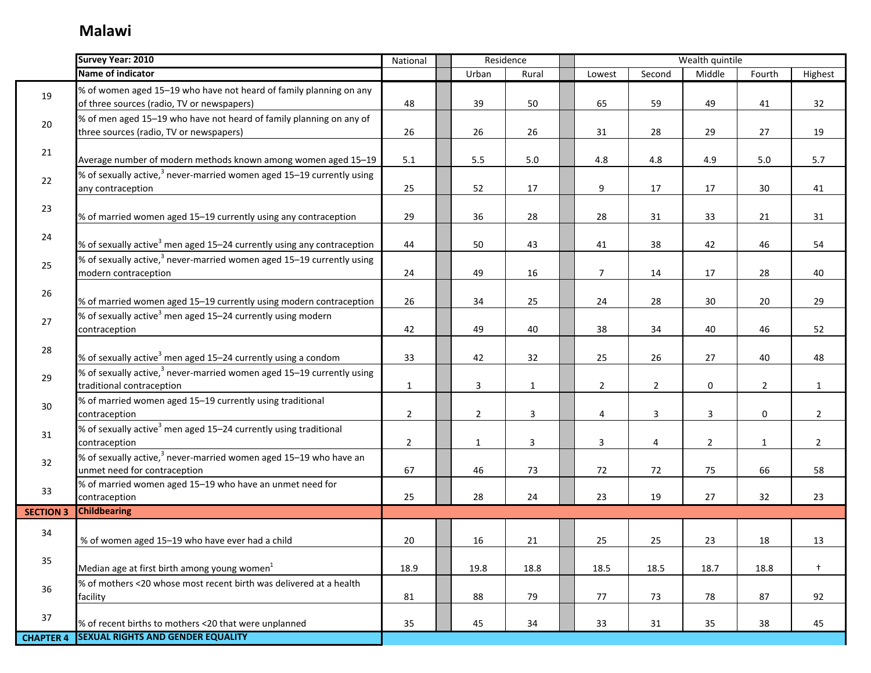|                  | Survey Year: 2010                                                                                                | National       |                | Residence    |                |                | Wealth quintile |                |                |
|------------------|------------------------------------------------------------------------------------------------------------------|----------------|----------------|--------------|----------------|----------------|-----------------|----------------|----------------|
|                  | Name of indicator                                                                                                |                | Urban          | Rural        | Lowest         | Second         | Middle          | Fourth         | Highest        |
| 19               | % of women aged 15-19 who have not heard of family planning on any<br>of three sources (radio, TV or newspapers) | 48             | 39             | 50           | 65             | 59             | 49              | 41             | 32             |
| 20               | % of men aged 15-19 who have not heard of family planning on any of<br>three sources (radio, TV or newspapers)   | 26             | 26             | 26           | 31             | 28             | 29              | 27             | 19             |
| 21               | Average number of modern methods known among women aged 15-19                                                    | 5.1            | $5.5\,$        | $5.0\,$      | 4.8            | 4.8            | 4.9             | 5.0            | 5.7            |
| 22               | % of sexually active, <sup>3</sup> never-married women aged 15–19 currently using<br>any contraception           | 25             | 52             | 17           | 9              | 17             | 17              | 30             | 41             |
| 23               | % of married women aged 15-19 currently using any contraception                                                  | 29             | 36             | 28           | 28             | 31             | 33              | 21             | 31             |
| 24               | % of sexually active <sup>3</sup> men aged 15–24 currently using any contraception                               | 44             | 50             | 43           | 41             | 38             | 42              | 46             | 54             |
| 25               | % of sexually active, $3$ never-married women aged 15–19 currently using<br>modern contraception                 | 24             | 49             | 16           | $\overline{7}$ | 14             | 17              | 28             | 40             |
| 26               | % of married women aged 15-19 currently using modern contraception                                               | 26             | 34             | 25           | 24             | 28             | 30              | 20             | 29             |
| 27               | % of sexually active <sup>3</sup> men aged 15–24 currently using modern<br>contraception                         | 42             | 49             | 40           | 38             | 34             | 40              | 46             | 52             |
| 28               | % of sexually active <sup>3</sup> men aged 15–24 currently using a condom                                        | 33             | 42             | 32           | 25             | 26             | 27              | 40             | 48             |
| 29               | % of sexually active, $3$ never-married women aged 15–19 currently using<br>traditional contraception            | $\mathbf{1}$   | $\overline{3}$ | $\mathbf{1}$ | $\overline{2}$ | $\overline{2}$ | $\mathbf 0$     | $\overline{2}$ | $\mathbf{1}$   |
| 30               | % of married women aged 15-19 currently using traditional<br>contraception                                       | $\overline{2}$ | $\overline{2}$ | $\mathbf{3}$ | 4              | $\overline{3}$ | $\overline{3}$  | $\mathbf 0$    | $\overline{2}$ |
| 31               | % of sexually active <sup>3</sup> men aged 15–24 currently using traditional<br>contraception                    | $\overline{2}$ | $\mathbf{1}$   | 3            | $\overline{3}$ | 4              | $\overline{2}$  | $\mathbf{1}$   | $\overline{2}$ |
| 32               | % of sexually active, <sup>3</sup> never-married women aged 15–19 who have an<br>unmet need for contraception    | 67             | 46             | 73           | 72             | 72             | 75              | 66             | 58             |
| 33               | % of married women aged 15-19 who have an unmet need for<br>contraception                                        | 25             | 28             | 24           | 23             | 19             | 27              | 32             | 23             |
| <b>SECTION 3</b> | <b>Childbearing</b>                                                                                              |                |                |              |                |                |                 |                |                |
| 34               | % of women aged 15-19 who have ever had a child                                                                  | 20             | 16             | 21           | 25             | 25             | 23              | 18             | 13             |
| 35               | Median age at first birth among young women $1$                                                                  | 18.9           | 19.8           | 18.8         | 18.5           | 18.5           | 18.7            | 18.8           | $\ddagger$     |
| 36               | % of mothers <20 whose most recent birth was delivered at a health<br>facility                                   | 81             | 88             | 79           | 77             | 73             | 78              | 87             | 92             |
| 37               | % of recent births to mothers <20 that were unplanned                                                            | 35             | 45             | 34           | 33             | 31             | 35              | 38             | 45             |
| <b>CHAPTER 4</b> | <b>SEXUAL RIGHTS AND GENDER EQUALITY</b>                                                                         |                |                |              |                |                |                 |                |                |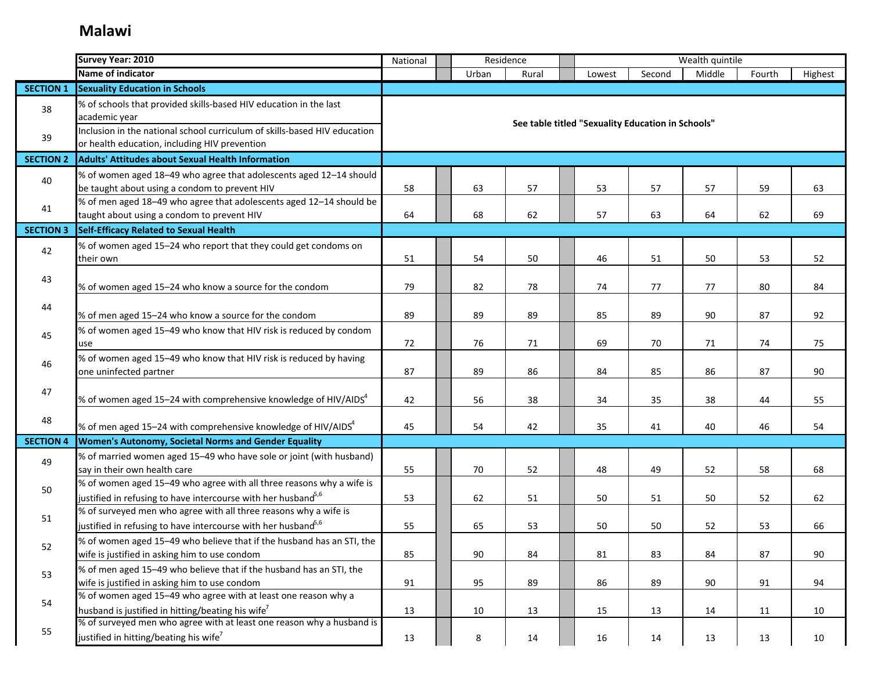|                  | Survey Year: 2010                                                                                                                                 | National | Residence |       |                                                   |        | Wealth quintile |        |         |
|------------------|---------------------------------------------------------------------------------------------------------------------------------------------------|----------|-----------|-------|---------------------------------------------------|--------|-----------------|--------|---------|
|                  | Name of indicator                                                                                                                                 |          | Urban     | Rural | Lowest                                            | Second | Middle          | Fourth | Highest |
| <b>SECTION 1</b> | <b>Sexuality Education in Schools</b>                                                                                                             |          |           |       |                                                   |        |                 |        |         |
| 38               | % of schools that provided skills-based HIV education in the last<br>academic year                                                                |          |           |       | See table titled "Sexuality Education in Schools" |        |                 |        |         |
| 39               | Inclusion in the national school curriculum of skills-based HIV education<br>or health education, including HIV prevention                        |          |           |       |                                                   |        |                 |        |         |
| <b>SECTION 2</b> | <b>Adults' Attitudes about Sexual Health Information</b>                                                                                          |          |           |       |                                                   |        |                 |        |         |
| 40               | % of women aged 18-49 who agree that adolescents aged 12-14 should<br>be taught about using a condom to prevent HIV                               | 58       | 63        | 57    | 53                                                | 57     | 57              | 59     | 63      |
| 41               | % of men aged 18-49 who agree that adolescents aged 12-14 should be<br>taught about using a condom to prevent HIV                                 | 64       | 68        | 62    | 57                                                | 63     | 64              | 62     | 69      |
| <b>SECTION 3</b> | Self-Efficacy Related to Sexual Health                                                                                                            |          |           |       |                                                   |        |                 |        |         |
| 42               | % of women aged 15-24 who report that they could get condoms on<br>their own                                                                      | 51       | 54        | 50    | 46                                                | 51     | 50              | 53     | 52      |
| 43               | % of women aged 15-24 who know a source for the condom                                                                                            | 79       | 82        | 78    | 74                                                | 77     | 77              | 80     | 84      |
| 44               | % of men aged 15-24 who know a source for the condom                                                                                              | 89       | 89        | 89    | 85                                                | 89     | 90              | 87     | 92      |
| 45               | % of women aged 15-49 who know that HIV risk is reduced by condom<br>use                                                                          | 72       | 76        | 71    | 69                                                | 70     | 71              | 74     | 75      |
| 46               | % of women aged 15-49 who know that HIV risk is reduced by having<br>one uninfected partner                                                       | 87       | 89        | 86    | 84                                                | 85     | 86              | 87     | 90      |
| 47               | % of women aged 15–24 with comprehensive knowledge of HIV/AIDS $4$                                                                                | 42       | 56        | 38    | 34                                                | 35     | 38              | 44     | 55      |
| 48               | % of men aged 15–24 with comprehensive knowledge of HIV/AIDS $4$                                                                                  | 45       | 54        | 42    | 35                                                | 41     | 40              | 46     | 54      |
| <b>SECTION 4</b> | Women's Autonomy, Societal Norms and Gender Equality                                                                                              |          |           |       |                                                   |        |                 |        |         |
| 49               | % of married women aged 15-49 who have sole or joint (with husband)<br>say in their own health care                                               | 55       | 70        | 52    | 48                                                | 49     | 52              | 58     | 68      |
| 50               | % of women aged 15-49 who agree with all three reasons why a wife is<br>justified in refusing to have intercourse with her husband <sup>5,6</sup> | 53       | 62        | 51    | 50                                                | 51     | 50              | 52     | 62      |
| 51               | % of surveyed men who agree with all three reasons why a wife is<br>justified in refusing to have intercourse with her husband $^{5,6}$           | 55       | 65        | 53    | 50                                                | 50     | 52              | 53     | 66      |
| 52               | % of women aged 15-49 who believe that if the husband has an STI, the<br>wife is justified in asking him to use condom                            | 85       | 90        | 84    | 81                                                | 83     | 84              | 87     | 90      |
| 53               | % of men aged 15-49 who believe that if the husband has an STI, the<br>wife is justified in asking him to use condom                              | 91       | 95        | 89    | 86                                                | 89     | 90              | 91     | 94      |
| 54               | % of women aged 15-49 who agree with at least one reason why a<br>husband is justified in hitting/beating his wife <sup>7</sup>                   | 13       | 10        | 13    | 15                                                | 13     | 14              | 11     | 10      |
| 55               | % of surveyed men who agree with at least one reason why a husband is<br>justified in hitting/beating his wife <sup>7</sup>                       | 13       | 8         | 14    | 16                                                | 14     | 13              | 13     | 10      |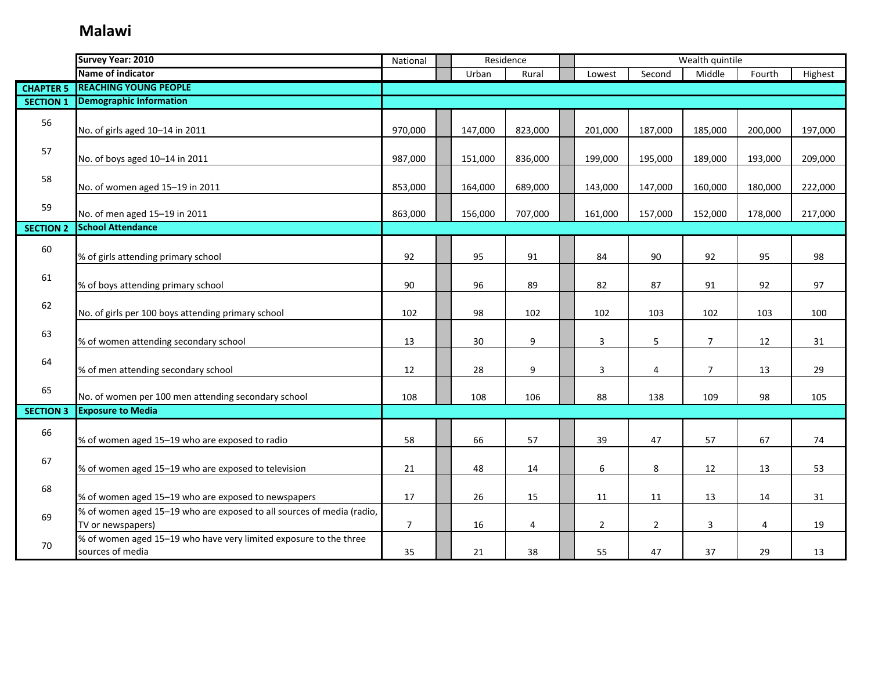|                  | Survey Year: 2010                                                                          | National       | Residence |         |                |                | Wealth quintile |                |         |         |
|------------------|--------------------------------------------------------------------------------------------|----------------|-----------|---------|----------------|----------------|-----------------|----------------|---------|---------|
|                  | Name of indicator                                                                          |                |           | Urban   | Rural          | Lowest         | Second          | Middle         | Fourth  | Highest |
| <b>CHAPTER 5</b> | <b>REACHING YOUNG PEOPLE</b>                                                               |                |           |         |                |                |                 |                |         |         |
| <b>SECTION 1</b> | <b>Demographic Information</b>                                                             |                |           |         |                |                |                 |                |         |         |
| 56               | No. of girls aged 10-14 in 2011                                                            | 970,000        |           | 147,000 | 823,000        | 201,000        | 187,000         | 185,000        | 200,000 | 197,000 |
| 57               | No. of boys aged 10-14 in 2011                                                             | 987,000        |           | 151,000 | 836,000        | 199,000        | 195,000         | 189,000        | 193,000 | 209,000 |
| 58               | No. of women aged 15-19 in 2011                                                            | 853,000        |           | 164,000 | 689,000        | 143,000        | 147,000         | 160,000        | 180,000 | 222,000 |
| 59               | No. of men aged 15-19 in 2011                                                              | 863,000        |           | 156,000 | 707,000        | 161,000        | 157,000         | 152,000        | 178,000 | 217,000 |
| <b>SECTION 2</b> | <b>School Attendance</b>                                                                   |                |           |         |                |                |                 |                |         |         |
| 60               | % of girls attending primary school                                                        | 92             |           | 95      | 91             | 84             | 90              | 92             | 95      | 98      |
| 61               | % of boys attending primary school                                                         | 90             |           | 96      | 89             | 82             | 87              | 91             | 92      | 97      |
| 62               | No. of girls per 100 boys attending primary school                                         | 102            |           | 98      | 102            | 102            | 103             | 102            | 103     | 100     |
| 63               | % of women attending secondary school                                                      | 13             |           | 30      | 9              | 3              | 5               | $\overline{7}$ | 12      | 31      |
| 64               | % of men attending secondary school                                                        | 12             |           | 28      | 9              | 3              | 4               | $\overline{7}$ | 13      | 29      |
| 65               | No. of women per 100 men attending secondary school                                        | 108            |           | 108     | 106            | 88             | 138             | 109            | 98      | 105     |
| <b>SECTION 3</b> | <b>Exposure to Media</b>                                                                   |                |           |         |                |                |                 |                |         |         |
| 66               | % of women aged 15-19 who are exposed to radio                                             | 58             |           | 66      | 57             | 39             | 47              | 57             | 67      | 74      |
| 67               | % of women aged 15-19 who are exposed to television                                        | 21             |           | 48      | 14             | 6              | 8               | 12             | 13      | 53      |
| 68               | % of women aged 15-19 who are exposed to newspapers                                        | 17             |           | 26      | 15             | 11             | 11              | 13             | 14      | 31      |
| 69               | % of women aged 15-19 who are exposed to all sources of media (radio,<br>TV or newspapers) | $\overline{7}$ |           | 16      | $\overline{4}$ | $\overline{2}$ | $\overline{2}$  | $\overline{3}$ | 4       | 19      |
| 70               | % of women aged 15-19 who have very limited exposure to the three<br>sources of media      | 35             |           | 21      | 38             | 55             | 47              | 37             | 29      | 13      |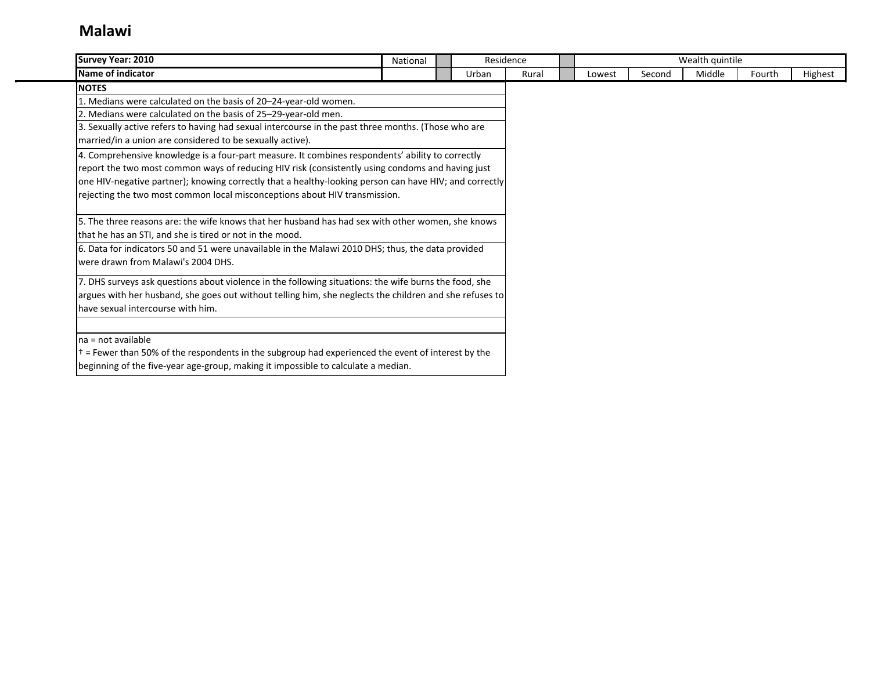| Survey Year: 2010                                                                                          | National | Residence |       |        |        | Wealth quintile |        |         |
|------------------------------------------------------------------------------------------------------------|----------|-----------|-------|--------|--------|-----------------|--------|---------|
| Name of indicator                                                                                          |          | Urban     | Rural | Lowest | Second | Middle          | Fourth | Highest |
| <b>NOTES</b>                                                                                               |          |           |       |        |        |                 |        |         |
| 1. Medians were calculated on the basis of 20-24-year-old women.                                           |          |           |       |        |        |                 |        |         |
| 2. Medians were calculated on the basis of 25–29-year-old men.                                             |          |           |       |        |        |                 |        |         |
| 3. Sexually active refers to having had sexual intercourse in the past three months. (Those who are        |          |           |       |        |        |                 |        |         |
| married/in a union are considered to be sexually active).                                                  |          |           |       |        |        |                 |        |         |
| 4. Comprehensive knowledge is a four-part measure. It combines respondents' ability to correctly           |          |           |       |        |        |                 |        |         |
| report the two most common ways of reducing HIV risk (consistently using condoms and having just           |          |           |       |        |        |                 |        |         |
| one HIV-negative partner); knowing correctly that a healthy-looking person can have HIV; and correctly     |          |           |       |        |        |                 |        |         |
| rejecting the two most common local misconceptions about HIV transmission.                                 |          |           |       |        |        |                 |        |         |
| 5. The three reasons are: the wife knows that her husband has had sex with other women, she knows          |          |           |       |        |        |                 |        |         |
| that he has an STI, and she is tired or not in the mood.                                                   |          |           |       |        |        |                 |        |         |
| 6. Data for indicators 50 and 51 were unavailable in the Malawi 2010 DHS; thus, the data provided          |          |           |       |        |        |                 |        |         |
| were drawn from Malawi's 2004 DHS.                                                                         |          |           |       |        |        |                 |        |         |
| 7. DHS surveys ask questions about violence in the following situations: the wife burns the food, she      |          |           |       |        |        |                 |        |         |
| argues with her husband, she goes out without telling him, she neglects the children and she refuses to    |          |           |       |        |        |                 |        |         |
| have sexual intercourse with him.                                                                          |          |           |       |        |        |                 |        |         |
|                                                                                                            |          |           |       |        |        |                 |        |         |
| Ina = not available                                                                                        |          |           |       |        |        |                 |        |         |
| $\dagger$ = Fewer than 50% of the respondents in the subgroup had experienced the event of interest by the |          |           |       |        |        |                 |        |         |
| beginning of the five-year age-group, making it impossible to calculate a median.                          |          |           |       |        |        |                 |        |         |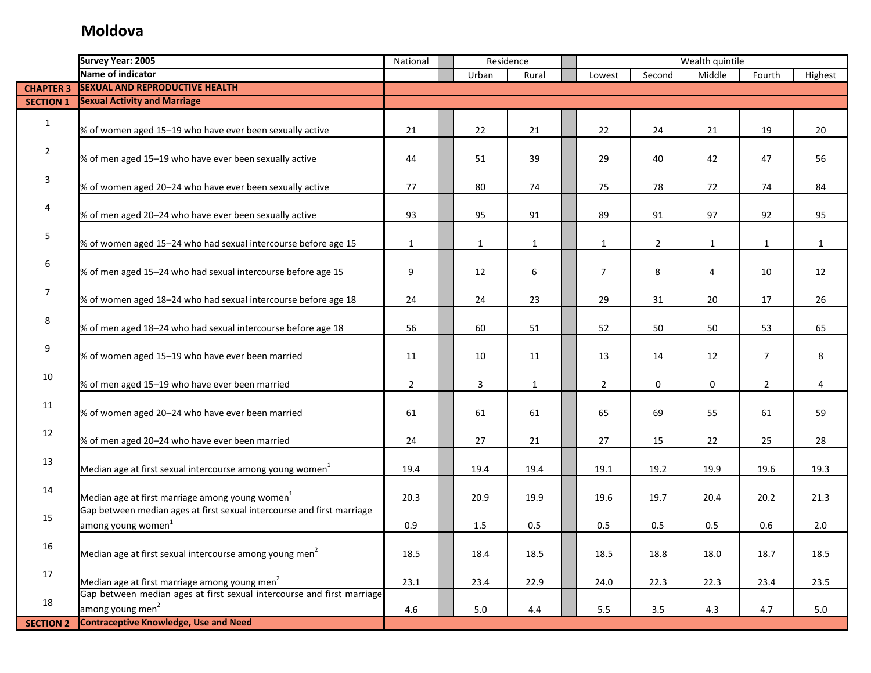|                  | <b>Survey Year: 2005</b>                                               | National       |              | Residence    |                |                | Wealth quintile |                |              |
|------------------|------------------------------------------------------------------------|----------------|--------------|--------------|----------------|----------------|-----------------|----------------|--------------|
|                  | Name of indicator                                                      |                | Urban        | Rural        | Lowest         | Second         | Middle          | Fourth         | Highest      |
| <b>CHAPTER 3</b> | <b>SEXUAL AND REPRODUCTIVE HEALTH</b>                                  |                |              |              |                |                |                 |                |              |
| <b>SECTION 1</b> | <b>Sexual Activity and Marriage</b>                                    |                |              |              |                |                |                 |                |              |
|                  |                                                                        |                |              |              |                |                |                 |                |              |
| $\mathbf{1}$     | % of women aged 15-19 who have ever been sexually active               | 21             | 22           | 21           | 22             | 24             | 21              | 19             | 20           |
|                  |                                                                        |                |              |              |                |                |                 |                |              |
| $\overline{2}$   | % of men aged 15-19 who have ever been sexually active                 | 44             | 51           | 39           | 29             | 40             | 42              | 47             | 56           |
|                  |                                                                        |                |              |              |                |                |                 |                |              |
| $\overline{3}$   | % of women aged 20-24 who have ever been sexually active               | 77             | 80           | 74           | 75             | 78             | 72              | 74             | 84           |
|                  |                                                                        |                |              |              |                |                |                 |                |              |
| 4                | % of men aged 20-24 who have ever been sexually active                 | 93             | 95           | 91           | 89             | 91             | 97              | 92             | 95           |
|                  |                                                                        |                |              |              |                |                |                 |                |              |
| 5                | % of women aged 15-24 who had sexual intercourse before age 15         | $\mathbf{1}$   | $\mathbf{1}$ | $\mathbf{1}$ | $\mathbf{1}$   | $\overline{2}$ | $\mathbf{1}$    | $\mathbf{1}$   | $\mathbf{1}$ |
|                  |                                                                        |                |              |              |                |                |                 |                |              |
| 6                | % of men aged 15-24 who had sexual intercourse before age 15           | 9              | 12           | 6            | $\overline{7}$ | 8              | 4               | 10             | 12           |
|                  |                                                                        |                |              |              |                |                |                 |                |              |
| $\overline{7}$   | % of women aged 18-24 who had sexual intercourse before age 18         | 24             | 24           | 23           | 29             | 31             | 20              | 17             | 26           |
|                  |                                                                        |                |              |              |                |                |                 |                |              |
| 8                |                                                                        |                |              |              |                |                |                 |                |              |
|                  | % of men aged 18-24 who had sexual intercourse before age 18           | 56             | 60           | 51           | 52             | 50             | 50              | 53             | 65           |
| 9                |                                                                        |                |              |              |                |                |                 |                |              |
|                  | % of women aged 15-19 who have ever been married                       | 11             | 10           | 11           | 13             | 14             | 12              | $\overline{7}$ | 8            |
| 10               |                                                                        |                |              |              |                |                |                 |                |              |
|                  | % of men aged 15-19 who have ever been married                         | $\overline{2}$ | 3            | $\mathbf{1}$ | $\overline{2}$ | 0              | $\mathbf 0$     | $\overline{2}$ | 4            |
| 11               |                                                                        |                |              |              |                |                |                 |                |              |
|                  | % of women aged 20-24 who have ever been married                       | 61             | 61           | 61           | 65             | 69             | 55              | 61             | 59           |
| 12               |                                                                        |                |              |              |                |                |                 |                |              |
|                  | % of men aged 20-24 who have ever been married                         | 24             | 27           | 21           | 27             | 15             | 22              | 25             | 28           |
| 13               |                                                                        |                |              |              |                |                |                 |                |              |
|                  | Median age at first sexual intercourse among young women <sup>1</sup>  | 19.4           | 19.4         | 19.4         | 19.1           | 19.2           | 19.9            | 19.6           | 19.3         |
| 14               |                                                                        |                |              |              |                |                |                 |                |              |
|                  | Median age at first marriage among young women <sup>1</sup>            | 20.3           | 20.9         | 19.9         | 19.6           | 19.7           | 20.4            | 20.2           | 21.3         |
| 15               | Gap between median ages at first sexual intercourse and first marriage |                |              |              |                |                |                 |                |              |
|                  | among young women <sup>1</sup>                                         | 0.9            | 1.5          | 0.5          | 0.5            | 0.5            | 0.5             | 0.6            | 2.0          |
| 16               |                                                                        |                |              |              |                |                |                 |                |              |
|                  | Median age at first sexual intercourse among young men <sup>2</sup>    | 18.5           | 18.4         | 18.5         | 18.5           | 18.8           | 18.0            | 18.7           | 18.5         |
| 17               |                                                                        |                |              |              |                |                |                 |                |              |
|                  | Median age at first marriage among young men <sup>2</sup>              | 23.1           | 23.4         | 22.9         | 24.0           | 22.3           | 22.3            | 23.4           | 23.5         |
|                  | Gap between median ages at first sexual intercourse and first marriage |                |              |              |                |                |                 |                |              |
| 18               | among young men <sup>2</sup>                                           | 4.6            | 5.0          | 4.4          | $5.5\,$        | 3.5            | 4.3             | 4.7            | 5.0          |
| <b>SECTION 2</b> | <b>Contraceptive Knowledge, Use and Need</b>                           |                |              |              |                |                |                 |                |              |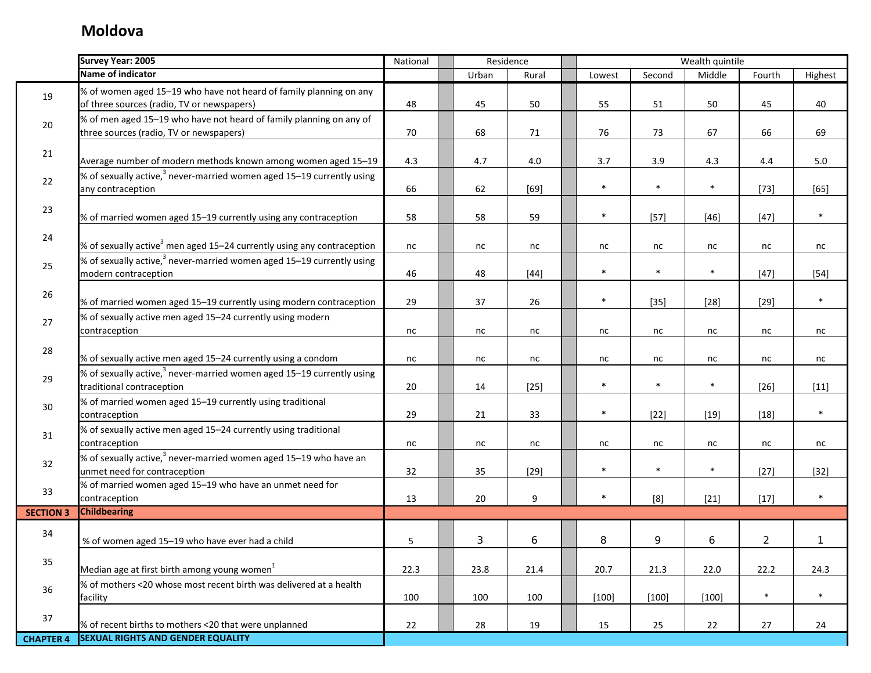|                  | <b>Survey Year: 2005</b>                                                                                         | National | Residence |            |                  |         | Wealth quintile |         |                |         |
|------------------|------------------------------------------------------------------------------------------------------------------|----------|-----------|------------|------------------|---------|-----------------|---------|----------------|---------|
|                  | Name of indicator                                                                                                |          |           | Urban      | Rural            | Lowest  | Second          | Middle  | Fourth         | Highest |
| 19               | % of women aged 15-19 who have not heard of family planning on any<br>of three sources (radio, TV or newspapers) | 48       |           | 45         | 50               | 55      | 51              | 50      | 45             | 40      |
| 20               | % of men aged 15-19 who have not heard of family planning on any of<br>three sources (radio, TV or newspapers)   | 70       |           | 68         | $71\,$           | 76      | 73              | 67      | 66             | 69      |
| 21               | Average number of modern methods known among women aged 15-19                                                    | 4.3      |           | 4.7        | 4.0              | 3.7     | 3.9             | 4.3     | $4.4\,$        | 5.0     |
| 22               | % of sexually active, $3$ never-married women aged 15-19 currently using<br>any contraception                    | 66       |           | 62         | $[69]$           | $\ast$  | $\ast$          | $\ast$  | $[73]$         | $[65]$  |
| 23               | % of married women aged 15-19 currently using any contraception                                                  | 58       |           | 58         | 59               | $\ast$  | $[57]$          | $[46]$  | $[47]$         | $\ast$  |
| 24               | % of sexually active <sup>3</sup> men aged 15-24 currently using any contraception                               | nc       |           | nc         | nc               | nc      | nc              | nc      | nc             | nc      |
| 25               | % of sexually active, $3$ never-married women aged 15–19 currently using<br>modern contraception                 | 46       |           | 48         | $[44]$           | $\ast$  | $\ast$          | $\ast$  | $[47]$         | $[54]$  |
| 26               | % of married women aged 15-19 currently using modern contraception                                               | 29       |           | 37         | 26               | $\ast$  | $[35]$          | $[28]$  | $[29]$         | $\ast$  |
| 27               | % of sexually active men aged 15-24 currently using modern<br>contraception                                      | nc       |           | nc         | nc               | nc      | nc              | nc      | nc             | nc      |
| 28               | % of sexually active men aged 15-24 currently using a condom                                                     | nc       |           | nc         | nc               | nc      | nc              | nc      | nc             | nc      |
| 29               | % of sexually active, $3$ never-married women aged 15–19 currently using<br>traditional contraception            | 20       |           | 14         | $[25]$           | $\ast$  | $\ast$          | $\ast$  | $[26]$         | $[11]$  |
| 30               | % of married women aged 15-19 currently using traditional<br>contraception                                       | 29       |           | 21         | 33               | $\ast$  | $[22]$          | $[19]$  | $[18]$         | $\ast$  |
| 31               | % of sexually active men aged 15-24 currently using traditional<br>contraception                                 | nc       |           | nc         | nc               | nc      | nc              | nc      | nc             | nc      |
| 32               | % of sexually active, <sup>3</sup> never-married women aged 15-19 who have an<br>unmet need for contraception    | 32       |           | 35         | $[29]$           | $\ast$  | $\ast$          | $\ast$  | $[27]$         | $[32]$  |
| 33               | % of married women aged 15-19 who have an unmet need for<br>contraception                                        | 13       |           | 20         | $\boldsymbol{9}$ | $\ast$  | [8]             | $[21]$  | $[17]$         | $\ast$  |
| <b>SECTION 3</b> | <b>Childbearing</b>                                                                                              |          |           |            |                  |         |                 |         |                |         |
| 34               | % of women aged 15-19 who have ever had a child                                                                  | 5        |           | $\sqrt{3}$ | 6                | 8       | 9               | 6       | $\overline{c}$ | 1       |
| 35               | Median age at first birth among young women <sup>1</sup>                                                         | 22.3     |           | 23.8       | 21.4             | 20.7    | 21.3            | 22.0    | 22.2           | 24.3    |
| 36               | % of mothers <20 whose most recent birth was delivered at a health<br>facility                                   | 100      |           | 100        | 100              | $[100]$ | $[100]$         | $[100]$ | $\ast$         | $\ast$  |
| 37               | % of recent births to mothers <20 that were unplanned                                                            | 22       |           | 28         | 19               | 15      | 25              | 22      | 27             | 24      |
| <b>CHAPTER 4</b> | <b>SEXUAL RIGHTS AND GENDER EQUALITY</b>                                                                         |          |           |            |                  |         |                 |         |                |         |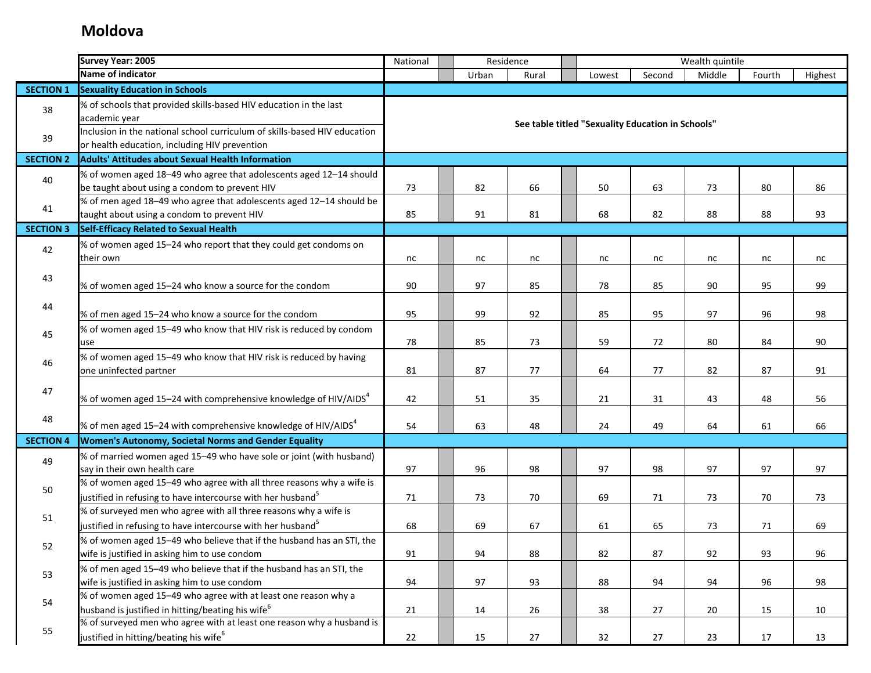|                  | <b>Survey Year: 2005</b>                                                                                                                        | National                               |       | Residence |  |        |                                                   | Wealth quintile |        |         |  |
|------------------|-------------------------------------------------------------------------------------------------------------------------------------------------|----------------------------------------|-------|-----------|--|--------|---------------------------------------------------|-----------------|--------|---------|--|
|                  | Name of indicator                                                                                                                               |                                        | Urban | Rural     |  | Lowest | Second                                            | Middle          | Fourth | Highest |  |
| <b>SECTION 1</b> | <b>Sexuality Education in Schools</b>                                                                                                           |                                        |       |           |  |        |                                                   |                 |        |         |  |
| 38               | % of schools that provided skills-based HIV education in the last<br>academic year                                                              |                                        |       |           |  |        | See table titled "Sexuality Education in Schools" |                 |        |         |  |
| 39               | Inclusion in the national school curriculum of skills-based HIV education<br>or health education, including HIV prevention                      |                                        |       |           |  |        |                                                   |                 |        |         |  |
| <b>SECTION 2</b> | <b>Adults' Attitudes about Sexual Health Information</b>                                                                                        |                                        |       |           |  |        |                                                   |                 |        |         |  |
| 40               | % of women aged 18-49 who agree that adolescents aged 12-14 should<br>be taught about using a condom to prevent HIV                             | 73                                     | 82    | 66        |  | 50     | 63                                                | 73              | 80     | 86      |  |
| 41               | % of men aged 18-49 who agree that adolescents aged 12-14 should be<br>taught about using a condom to prevent HIV                               | 85                                     | 91    | 81        |  | 68     | 82                                                | 88              | 88     | 93      |  |
| <b>SECTION 3</b> | <b>Self-Efficacy Related to Sexual Health</b>                                                                                                   |                                        |       |           |  |        |                                                   |                 |        |         |  |
| 42               | % of women aged 15-24 who report that they could get condoms on<br>their own                                                                    | nc                                     | nc    | nc        |  | nc     | nc                                                | nc              | nc     | nc      |  |
| 43               | % of women aged 15-24 who know a source for the condom                                                                                          | 90                                     | 97    | 85        |  | 78     | 85                                                | 90              | 95     | 99      |  |
| 44               | % of men aged 15-24 who know a source for the condom                                                                                            | 95                                     | 99    | 92        |  | 85     | 95                                                | 97              | 96     | 98      |  |
| 45               | % of women aged 15-49 who know that HIV risk is reduced by condom<br>use                                                                        | 78<br>85<br>59<br>72<br>73<br>80<br>84 |       |           |  |        |                                                   |                 |        |         |  |
| 46               | % of women aged 15-49 who know that HIV risk is reduced by having<br>one uninfected partner                                                     | 81                                     | 87    | 77        |  | 64     | 77                                                | 82              | 87     | 91      |  |
| 47               | % of women aged 15-24 with comprehensive knowledge of HIV/AIDS <sup>4</sup>                                                                     | 42                                     | 51    | 35        |  | 21     | 31                                                | 43              | 48     | 56      |  |
| 48               | % of men aged 15-24 with comprehensive knowledge of HIV/AIDS <sup>4</sup>                                                                       | 54                                     | 63    | 48        |  | 24     | 49                                                | 64              | 61     | 66      |  |
| <b>SECTION 4</b> | <b>Women's Autonomy, Societal Norms and Gender Equality</b>                                                                                     |                                        |       |           |  |        |                                                   |                 |        |         |  |
| 49               | % of married women aged 15-49 who have sole or joint (with husband)<br>say in their own health care                                             | 97                                     | 96    | 98        |  | 97     | 98                                                | 97              | 97     | 97      |  |
| 50               | % of women aged 15-49 who agree with all three reasons why a wife is<br>justified in refusing to have intercourse with her husband <sup>5</sup> | 71                                     | 73    | 70        |  | 69     | 71                                                | 73              | 70     | 73      |  |
| 51               | % of surveyed men who agree with all three reasons why a wife is<br>justified in refusing to have intercourse with her husband <sup>5</sup>     | 68                                     | 69    | 67        |  | 61     | 65                                                | 73              | 71     | 69      |  |
| 52               | % of women aged 15-49 who believe that if the husband has an STI, the<br>wife is justified in asking him to use condom                          | 91                                     | 94    | 88        |  | 82     | 87                                                | 92              | 93     | 96      |  |
| 53               | % of men aged 15-49 who believe that if the husband has an STI, the<br>wife is justified in asking him to use condom                            | 94                                     | 97    | 93        |  | 88     | 94                                                | 94              | 96     | 98      |  |
| 54               | % of women aged 15-49 who agree with at least one reason why a<br>husband is justified in hitting/beating his wife <sup>6</sup>                 | 21                                     | 14    | 26        |  | 38     | 27                                                | 20              | 15     | 10      |  |
| 55               | % of surveyed men who agree with at least one reason why a husband is<br>justified in hitting/beating his wife <sup>6</sup>                     | 22                                     | 15    | 27        |  | 32     | 27                                                | 23              | 17     | 13      |  |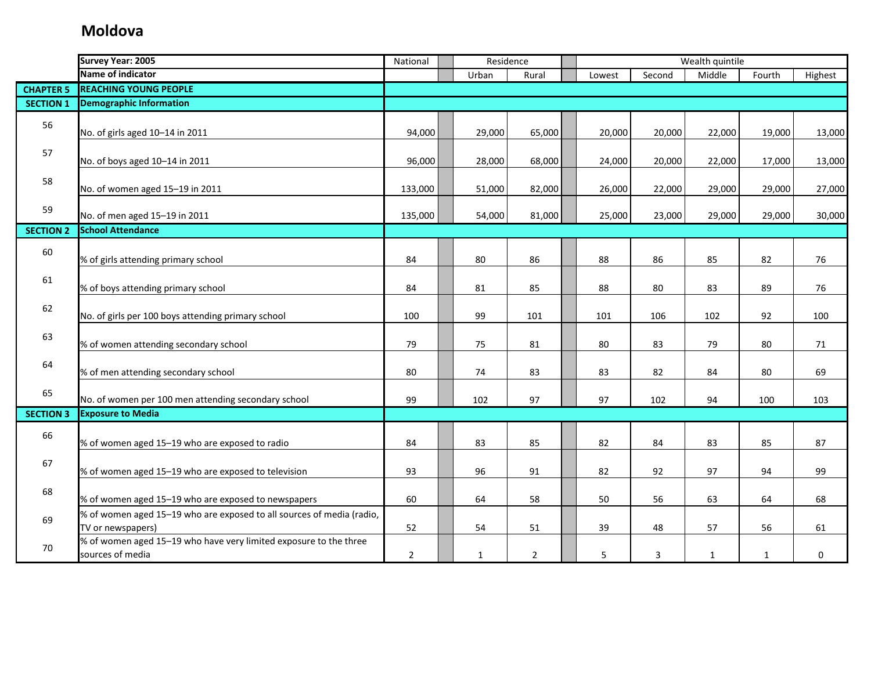|                  | <b>Survey Year: 2005</b>                                                                   | National       | Residence    |                |        | Wealth quintile |              |              |         |
|------------------|--------------------------------------------------------------------------------------------|----------------|--------------|----------------|--------|-----------------|--------------|--------------|---------|
|                  | Name of indicator                                                                          |                | Urban        | Rural          | Lowest | Second          | Middle       | Fourth       | Highest |
| <b>CHAPTER 5</b> | <b>REACHING YOUNG PEOPLE</b>                                                               |                |              |                |        |                 |              |              |         |
| <b>SECTION 1</b> | <b>Demographic Information</b>                                                             |                |              |                |        |                 |              |              |         |
| 56               | No. of girls aged 10-14 in 2011                                                            | 94,000         | 29,000       | 65,000         | 20,000 | 20,000          | 22,000       | 19,000       | 13,000  |
| 57               | No. of boys aged 10-14 in 2011                                                             | 96,000         | 28,000       | 68,000         | 24,000 | 20,000          | 22,000       | 17,000       | 13,000  |
| 58               | No. of women aged 15-19 in 2011                                                            | 133,000        | 51,000       | 82,000         | 26,000 | 22,000          | 29,000       | 29,000       | 27,000  |
| 59               | No. of men aged 15-19 in 2011                                                              | 135,000        | 54,000       | 81,000         | 25,000 | 23,000          | 29,000       | 29,000       | 30,000  |
| <b>SECTION 2</b> | <b>School Attendance</b>                                                                   |                |              |                |        |                 |              |              |         |
| 60               | % of girls attending primary school                                                        | 84             | 80           | 86             | 88     | 86              | 85           | 82           | 76      |
| 61               | % of boys attending primary school                                                         | 84             | 81           | 85             | 88     | 80              | 83           | 89           | 76      |
| 62               | No. of girls per 100 boys attending primary school                                         | 100            | 99           | 101            | 101    | 106             | 102          | 92           | 100     |
| 63               | % of women attending secondary school                                                      | 79             | 75           | 81             | 80     | 83              | 79           | 80           | 71      |
| 64               | % of men attending secondary school                                                        | 80             | 74           | 83             | 83     | 82              | 84           | 80           | 69      |
| 65               | No. of women per 100 men attending secondary school                                        | 99             | 102          | 97             | 97     | 102             | 94           | 100          | 103     |
| <b>SECTION 3</b> | <b>Exposure to Media</b>                                                                   |                |              |                |        |                 |              |              |         |
| 66               | % of women aged 15-19 who are exposed to radio                                             | 84             | 83           | 85             | 82     | 84              | 83           | 85           | 87      |
| 67               | % of women aged 15-19 who are exposed to television                                        | 93             | 96           | 91             | 82     | 92              | 97           | 94           | 99      |
| 68               | % of women aged 15-19 who are exposed to newspapers                                        | 60             | 64           | 58             | 50     | 56              | 63           | 64           | 68      |
| 69               | % of women aged 15-19 who are exposed to all sources of media (radio,<br>TV or newspapers) | 52             | 54           | 51             | 39     | 48              | 57           | 56           | 61      |
| 70               | % of women aged 15-19 who have very limited exposure to the three<br>sources of media      | $\overline{2}$ | $\mathbf{1}$ | $\overline{2}$ | 5      | 3               | $\mathbf{1}$ | $\mathbf{1}$ | 0       |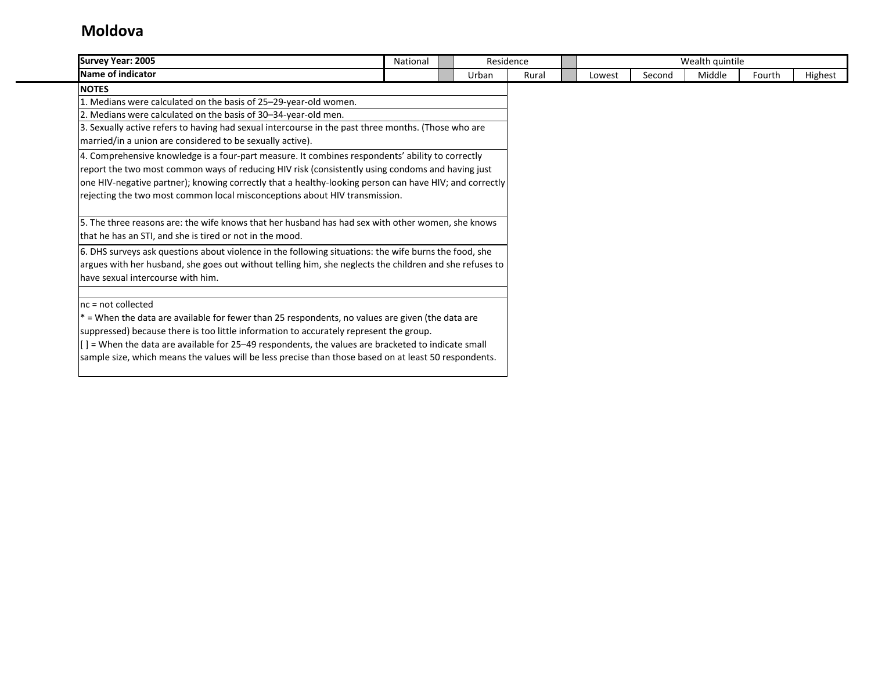| <b>Survey Year: 2005</b>                                                                                        | National | Residence |       |        |        | Wealth quintile |        |         |
|-----------------------------------------------------------------------------------------------------------------|----------|-----------|-------|--------|--------|-----------------|--------|---------|
| Name of indicator                                                                                               |          | Urban     | Rural | Lowest | Second | Middle          | Fourth | Highest |
| <b>NOTES</b>                                                                                                    |          |           |       |        |        |                 |        |         |
| 1. Medians were calculated on the basis of 25-29-year-old women.                                                |          |           |       |        |        |                 |        |         |
| 2. Medians were calculated on the basis of 30-34-year-old men.                                                  |          |           |       |        |        |                 |        |         |
| 3. Sexually active refers to having had sexual intercourse in the past three months. (Those who are             |          |           |       |        |        |                 |        |         |
| married/in a union are considered to be sexually active).                                                       |          |           |       |        |        |                 |        |         |
| 4. Comprehensive knowledge is a four-part measure. It combines respondents' ability to correctly                |          |           |       |        |        |                 |        |         |
| report the two most common ways of reducing HIV risk (consistently using condoms and having just                |          |           |       |        |        |                 |        |         |
| one HIV-negative partner); knowing correctly that a healthy-looking person can have HIV; and correctly          |          |           |       |        |        |                 |        |         |
| rejecting the two most common local misconceptions about HIV transmission.                                      |          |           |       |        |        |                 |        |         |
|                                                                                                                 |          |           |       |        |        |                 |        |         |
| 5. The three reasons are: the wife knows that her husband has had sex with other women, she knows               |          |           |       |        |        |                 |        |         |
| that he has an STI, and she is tired or not in the mood.                                                        |          |           |       |        |        |                 |        |         |
| 6. DHS surveys ask questions about violence in the following situations: the wife burns the food, she           |          |           |       |        |        |                 |        |         |
| argues with her husband, she goes out without telling him, she neglects the children and she refuses to         |          |           |       |        |        |                 |        |         |
| have sexual intercourse with him.                                                                               |          |           |       |        |        |                 |        |         |
|                                                                                                                 |          |           |       |        |        |                 |        |         |
| $nc = not collected$                                                                                            |          |           |       |        |        |                 |        |         |
| $*$ = When the data are available for fewer than 25 respondents, no values are given (the data are              |          |           |       |        |        |                 |        |         |
| suppressed) because there is too little information to accurately represent the group.                          |          |           |       |        |        |                 |        |         |
| $\left[\right]$ = When the data are available for 25–49 respondents, the values are bracketed to indicate small |          |           |       |        |        |                 |        |         |
| sample size, which means the values will be less precise than those based on at least 50 respondents.           |          |           |       |        |        |                 |        |         |
|                                                                                                                 |          |           |       |        |        |                 |        |         |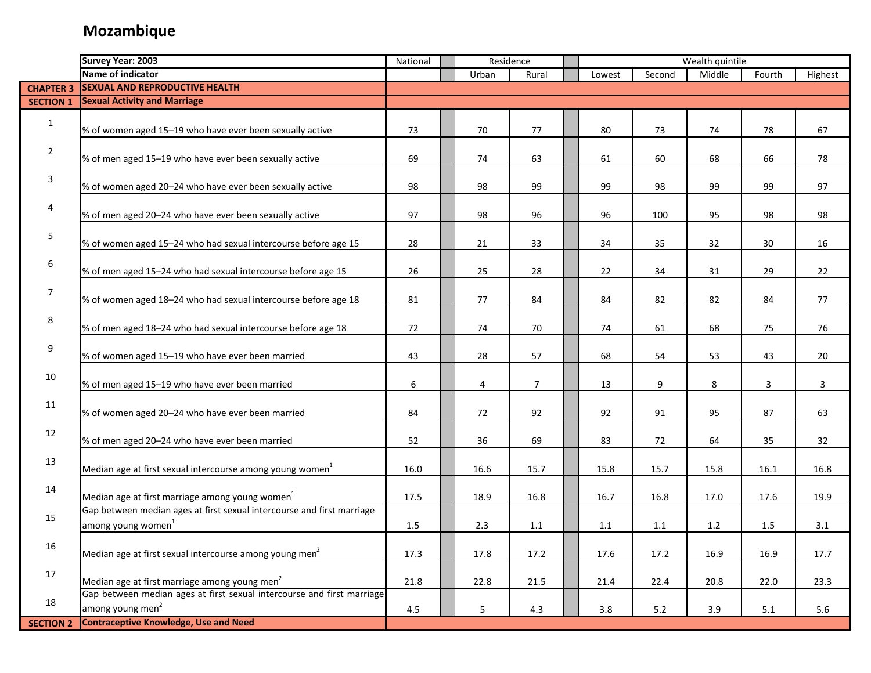|                  | <b>Survey Year: 2003</b>                                               | National |       | Residence      |        |        | Wealth quintile |         |         |
|------------------|------------------------------------------------------------------------|----------|-------|----------------|--------|--------|-----------------|---------|---------|
|                  | Name of indicator                                                      |          | Urban | Rural          | Lowest | Second | Middle          | Fourth  | Highest |
| <b>CHAPTER 3</b> | <b>SEXUAL AND REPRODUCTIVE HEALTH</b>                                  |          |       |                |        |        |                 |         |         |
| <b>SECTION 1</b> | <b>Sexual Activity and Marriage</b>                                    |          |       |                |        |        |                 |         |         |
|                  |                                                                        |          |       |                |        |        |                 |         |         |
| $\mathbf{1}$     | % of women aged 15-19 who have ever been sexually active               | 73       | 70    | 77             | 80     | 73     | 74              | 78      | 67      |
|                  |                                                                        |          |       |                |        |        |                 |         |         |
| $\overline{2}$   | % of men aged 15-19 who have ever been sexually active                 | 69       | 74    | 63             | 61     | 60     | 68              | 66      | 78      |
| $\mathbf{3}$     |                                                                        |          |       |                |        |        |                 |         |         |
|                  | % of women aged 20-24 who have ever been sexually active               | 98       | 98    | 99             | 99     | 98     | 99              | 99      | 97      |
| 4                |                                                                        |          |       |                |        |        |                 |         |         |
|                  | % of men aged 20-24 who have ever been sexually active                 | 97       | 98    | 96             | 96     | 100    | 95              | 98      | 98      |
| $\sqrt{5}$       |                                                                        |          |       |                |        |        |                 |         |         |
|                  | % of women aged 15-24 who had sexual intercourse before age 15         | 28       | 21    | 33             | 34     | 35     | 32              | 30      | 16      |
| 6                |                                                                        |          |       |                |        |        |                 |         |         |
|                  | % of men aged 15-24 who had sexual intercourse before age 15           | 26       | 25    | 28             | 22     | 34     | 31              | 29      | 22      |
| $\overline{7}$   |                                                                        |          |       |                |        |        |                 |         |         |
|                  | % of women aged 18-24 who had sexual intercourse before age 18         | 81       | 77    | 84             | 84     | 82     | 82              | 84      | 77      |
| 8                |                                                                        |          |       |                |        |        |                 |         |         |
|                  | % of men aged 18-24 who had sexual intercourse before age 18           | 72       | 74    | 70             | 74     | 61     | 68              | 75      | 76      |
| 9                |                                                                        |          |       |                |        |        |                 |         |         |
|                  | % of women aged 15-19 who have ever been married                       | 43       | 28    | 57             | 68     | 54     | 53              | 43      | 20      |
| 10               |                                                                        |          |       |                |        |        |                 |         |         |
|                  | % of men aged 15-19 who have ever been married                         | 6        | 4     | $\overline{7}$ | 13     | 9      | 8               | 3       | 3       |
| 11               | % of women aged 20-24 who have ever been married                       | 84       | 72    | 92             | 92     | 91     | 95              | 87      | 63      |
|                  |                                                                        |          |       |                |        |        |                 |         |         |
| 12               | % of men aged 20-24 who have ever been married                         | 52       | 36    | 69             | 83     | 72     | 64              | 35      | 32      |
|                  |                                                                        |          |       |                |        |        |                 |         |         |
| 13               | Median age at first sexual intercourse among young women <sup>1</sup>  | 16.0     | 16.6  | 15.7           | 15.8   | 15.7   | 15.8            | 16.1    | 16.8    |
|                  |                                                                        |          |       |                |        |        |                 |         |         |
| 14               | Median age at first marriage among young women <sup>1</sup>            | 17.5     | 18.9  | 16.8           | 16.7   | 16.8   | 17.0            | 17.6    | 19.9    |
|                  | Gap between median ages at first sexual intercourse and first marriage |          |       |                |        |        |                 |         |         |
| 15               | among young women <sup>1</sup>                                         | $1.5\,$  | 2.3   | 1.1            | 1.1    | 1.1    | $1.2$           | 1.5     | 3.1     |
|                  |                                                                        |          |       |                |        |        |                 |         |         |
| 16               | Median age at first sexual intercourse among young men <sup>2</sup>    | 17.3     | 17.8  | 17.2           | 17.6   | 17.2   | 16.9            | 16.9    | 17.7    |
| 17               |                                                                        |          |       |                |        |        |                 |         |         |
|                  | Median age at first marriage among young men <sup>2</sup>              | 21.8     | 22.8  | 21.5           | 21.4   | 22.4   | 20.8            | 22.0    | 23.3    |
| 18               | Gap between median ages at first sexual intercourse and first marriage |          |       |                |        |        |                 |         |         |
|                  | among young men <sup>2</sup>                                           | 4.5      | 5     | 4.3            | 3.8    | 5.2    | 3.9             | $5.1\,$ | 5.6     |
| <b>SECTION 2</b> | <b>Contraceptive Knowledge, Use and Need</b>                           |          |       |                |        |        |                 |         |         |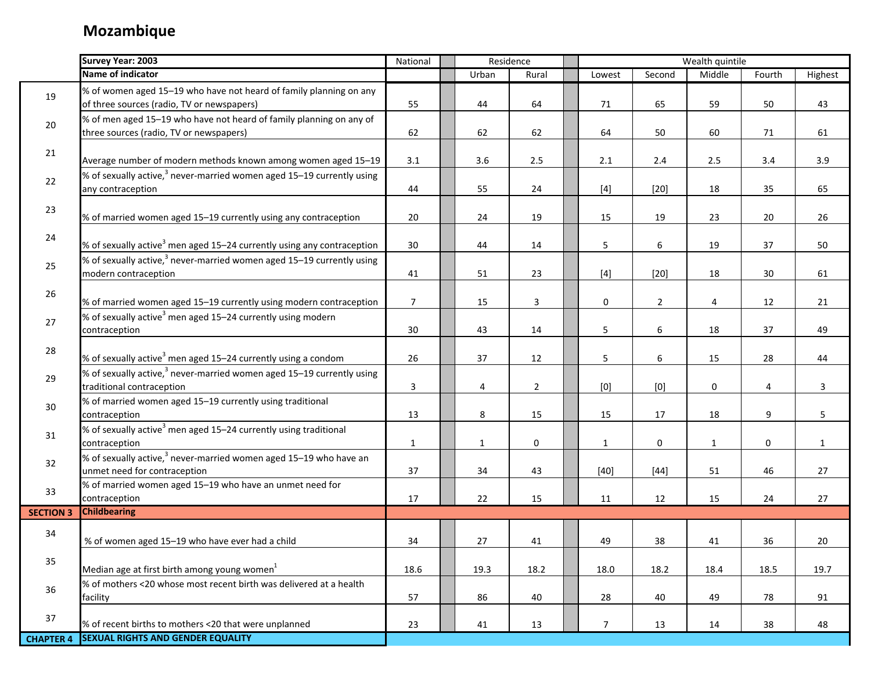|                  | <b>Survey Year: 2003</b>                                                                                         | National       | Residence    |                |                |                | Wealth quintile |        |              |
|------------------|------------------------------------------------------------------------------------------------------------------|----------------|--------------|----------------|----------------|----------------|-----------------|--------|--------------|
|                  | Name of indicator                                                                                                |                | Urban        | Rural          | Lowest         | Second         | Middle          | Fourth | Highest      |
| 19               | % of women aged 15-19 who have not heard of family planning on any<br>of three sources (radio, TV or newspapers) | 55             | 44           | 64             | 71             | 65             | 59              | 50     | 43           |
| 20               | % of men aged 15-19 who have not heard of family planning on any of<br>three sources (radio, TV or newspapers)   | 62             | 62           | 62             | 64             | 50             | 60              | 71     | 61           |
| 21               | Average number of modern methods known among women aged 15-19                                                    | 3.1            | 3.6          | $2.5\,$        | 2.1            | 2.4            | 2.5             | 3.4    | 3.9          |
| 22               | % of sexually active, <sup>3</sup> never-married women aged 15–19 currently using<br>any contraception           | 44             | 55           | 24             | $[4]$          | $[20]$         | 18              | 35     | 65           |
| 23               | % of married women aged 15-19 currently using any contraception                                                  | 20             | 24           | 19             | 15             | 19             | 23              | 20     | 26           |
| 24               | % of sexually active <sup>3</sup> men aged 15-24 currently using any contraception                               | 30             | 44           | 14             | 5              | 6              | 19              | 37     | 50           |
| 25               | % of sexually active, <sup>3</sup> never-married women aged 15–19 currently using<br>modern contraception        | 41             | 51           | 23             | $[4]$          | $[20]$         | 18              | 30     | 61           |
| 26               | % of married women aged 15-19 currently using modern contraception                                               | $\overline{7}$ | 15           | $\mathbf{3}$   | 0              | $\overline{2}$ | 4               | 12     | 21           |
| 27               | % of sexually active <sup>3</sup> men aged 15–24 currently using modern<br>contraception                         | 30             | 43           | 14             | 5              | 6              | 18              | 37     | 49           |
| 28               | % of sexually active <sup>3</sup> men aged 15–24 currently using a condom                                        | 26             | 37           | 12             | 5              | 6              | 15              | 28     | 44           |
| 29               | % of sexually active, $3$ never-married women aged 15–19 currently using<br>traditional contraception            | $\mathbf{3}$   | 4            | $\overline{2}$ | [0]            | [0]            | 0               | 4      | 3            |
| 30               | % of married women aged 15-19 currently using traditional<br>contraception                                       | 13             | 8            | 15             | 15             | 17             | 18              | 9      | 5            |
| 31               | % of sexually active <sup>3</sup> men aged 15-24 currently using traditional<br>contraception                    | $\mathbf{1}$   | $\mathbf{1}$ | 0              | $\mathbf{1}$   | 0              | $\mathbf{1}$    | 0      | $\mathbf{1}$ |
| 32               | % of sexually active, $3$ never-married women aged 15–19 who have an<br>unmet need for contraception             | 37             | 34           | 43             | $[40]$         | $[44]$         | 51              | 46     | 27           |
| 33               | % of married women aged 15-19 who have an unmet need for<br>contraception                                        | 17             | 22           | 15             | 11             | 12             | 15              | 24     | 27           |
| <b>SECTION 3</b> | <b>Childbearing</b>                                                                                              |                |              |                |                |                |                 |        |              |
| 34               | % of women aged 15-19 who have ever had a child                                                                  | 34             | 27           | 41             | 49             | 38             | 41              | 36     | 20           |
| 35               | Median age at first birth among young women $1$                                                                  | 18.6           | 19.3         | 18.2           | 18.0           | 18.2           | 18.4            | 18.5   | 19.7         |
| 36               | % of mothers <20 whose most recent birth was delivered at a health<br>facility                                   | 57             | 86           | 40             | 28             | 40             | 49              | 78     | 91           |
| 37               | % of recent births to mothers <20 that were unplanned                                                            | 23             | 41           | 13             | $\overline{7}$ | 13             | 14              | 38     | 48           |
| <b>CHAPTER 4</b> | <b>SEXUAL RIGHTS AND GENDER EQUALITY</b>                                                                         |                |              |                |                |                |                 |        |              |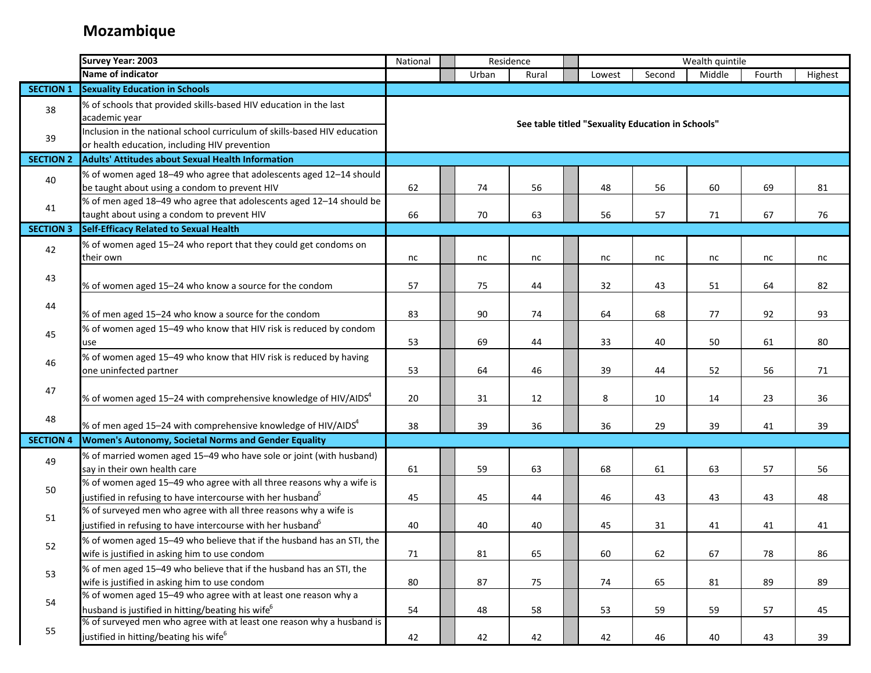|                  | <b>Survey Year: 2003</b>                                                                                                   | National | Residence |       |       | Wealth quintile                                   |        |        |        |         |
|------------------|----------------------------------------------------------------------------------------------------------------------------|----------|-----------|-------|-------|---------------------------------------------------|--------|--------|--------|---------|
|                  | Name of indicator                                                                                                          |          |           | Urban | Rural | Lowest                                            | Second | Middle | Fourth | Highest |
| <b>SECTION 1</b> | <b>Sexuality Education in Schools</b>                                                                                      |          |           |       |       |                                                   |        |        |        |         |
| 38               | % of schools that provided skills-based HIV education in the last<br>academic year                                         |          |           |       |       |                                                   |        |        |        |         |
| 39               | Inclusion in the national school curriculum of skills-based HIV education<br>or health education, including HIV prevention |          |           |       |       | See table titled "Sexuality Education in Schools" |        |        |        |         |
| <b>SECTION 2</b> | <b>Adults' Attitudes about Sexual Health Information</b>                                                                   |          |           |       |       |                                                   |        |        |        |         |
| 40               | % of women aged 18-49 who agree that adolescents aged 12-14 should                                                         |          |           |       |       |                                                   |        |        |        |         |
|                  | be taught about using a condom to prevent HIV                                                                              | 62       |           | 74    | 56    | 48                                                | 56     | 60     | 69     | 81      |
|                  | % of men aged 18-49 who agree that adolescents aged 12-14 should be                                                        |          |           |       |       |                                                   |        |        |        |         |
| 41               | taught about using a condom to prevent HIV                                                                                 | 66       |           | 70    | 63    | 56                                                | 57     | 71     | 67     | 76      |
| <b>SECTION 3</b> | Self-Efficacy Related to Sexual Health                                                                                     |          |           |       |       |                                                   |        |        |        |         |
|                  | % of women aged 15-24 who report that they could get condoms on                                                            |          |           |       |       |                                                   |        |        |        |         |
| 42               | their own                                                                                                                  | nc       |           | nc    | nc    | nc                                                | nc     | nc     | nc     | nc      |
|                  |                                                                                                                            |          |           |       |       |                                                   |        |        |        |         |
| 43               | % of women aged 15-24 who know a source for the condom                                                                     | 57       |           | 75    | 44    | 32                                                | 43     | 51     | 64     | 82      |
|                  |                                                                                                                            |          |           |       |       |                                                   |        |        |        |         |
| 44               | % of men aged 15-24 who know a source for the condom                                                                       | 83       |           | 90    | 74    | 64                                                | 68     | 77     | 92     | 93      |
|                  | % of women aged 15-49 who know that HIV risk is reduced by condom                                                          |          |           |       |       |                                                   |        |        |        |         |
| 45               | use                                                                                                                        | 53       |           | 69    | 44    | 33                                                | 40     | 50     | 61     | 80      |
|                  | % of women aged 15-49 who know that HIV risk is reduced by having                                                          |          |           |       |       |                                                   |        |        |        |         |
| 46               | one uninfected partner                                                                                                     | 53       |           | 64    | 46    | 39                                                | 44     | 52     | 56     | 71      |
|                  |                                                                                                                            |          |           |       |       |                                                   |        |        |        |         |
| 47               | % of women aged 15–24 with comprehensive knowledge of HIV/AIDS <sup>4</sup>                                                | 20       |           | 31    | 12    | 8                                                 | 10     | 14     | 23     | 36      |
|                  |                                                                                                                            |          |           |       |       |                                                   |        |        |        |         |
| 48               | % of men aged 15–24 with comprehensive knowledge of HIV/AIDS $4$                                                           | 38       |           | 39    | 36    | 36                                                | 29     | 39     | 41     | 39      |
| <b>SECTION 4</b> | Women's Autonomy, Societal Norms and Gender Equality                                                                       |          |           |       |       |                                                   |        |        |        |         |
|                  | % of married women aged 15-49 who have sole or joint (with husband)                                                        |          |           |       |       |                                                   |        |        |        |         |
| 49               | say in their own health care                                                                                               | 61       |           | 59    | 63    | 68                                                | 61     | 63     | 57     | 56      |
|                  | % of women aged 15-49 who agree with all three reasons why a wife is                                                       |          |           |       |       |                                                   |        |        |        |         |
| 50               | justified in refusing to have intercourse with her husband <sup>5</sup>                                                    | 45       |           | 45    | 44    | 46                                                | 43     | 43     | 43     | 48      |
|                  | % of surveyed men who agree with all three reasons why a wife is                                                           |          |           |       |       |                                                   |        |        |        |         |
| 51               | justified in refusing to have intercourse with her husband <sup>5</sup>                                                    | 40       |           | 40    | 40    | 45                                                | 31     | 41     | 41     | 41      |
|                  | % of women aged 15-49 who believe that if the husband has an STI, the                                                      |          |           |       |       |                                                   |        |        |        |         |
| 52               | wife is justified in asking him to use condom                                                                              | 71       |           | 81    | 65    | 60                                                | 62     | 67     | 78     | 86      |
|                  | % of men aged 15-49 who believe that if the husband has an STI, the                                                        |          |           |       |       |                                                   |        |        |        |         |
| 53               | wife is justified in asking him to use condom                                                                              | 80       |           | 87    | 75    | 74                                                | 65     | 81     | 89     | 89      |
|                  | % of women aged 15-49 who agree with at least one reason why a                                                             |          |           |       |       |                                                   |        |        |        |         |
| 54               | husband is justified in hitting/beating his wife <sup>6</sup>                                                              | 54       |           | 48    | 58    | 53                                                | 59     | 59     | 57     | 45      |
| 55               | % of surveyed men who agree with at least one reason why a husband is                                                      |          |           |       |       |                                                   |        |        |        |         |
|                  | justified in hitting/beating his wife <sup>6</sup>                                                                         | 42       |           | 42    | 42    | 42                                                | 46     | 40     | 43     | 39      |
|                  |                                                                                                                            |          |           |       |       |                                                   |        |        |        |         |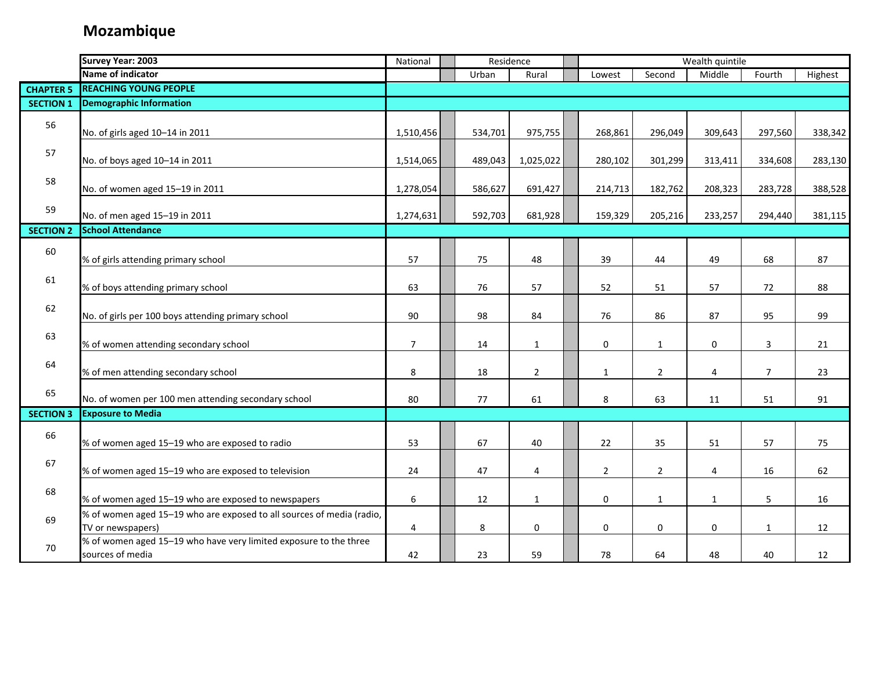|                  | <b>Survey Year: 2003</b>                                                                   | National       | Residence |                | Wealth quintile |                |                |                |                |         |
|------------------|--------------------------------------------------------------------------------------------|----------------|-----------|----------------|-----------------|----------------|----------------|----------------|----------------|---------|
|                  | Name of indicator                                                                          |                | Urban     | Rural          |                 | Lowest         | Second         | Middle         | Fourth         | Highest |
| <b>CHAPTER 5</b> | <b>REACHING YOUNG PEOPLE</b>                                                               |                |           |                |                 |                |                |                |                |         |
| <b>SECTION 1</b> | <b>Demographic Information</b>                                                             |                |           |                |                 |                |                |                |                |         |
| 56               | No. of girls aged 10-14 in 2011                                                            | 1,510,456      | 534,701   | 975,755        |                 | 268,861        | 296,049        | 309,643        | 297,560        | 338,342 |
| 57               | No. of boys aged 10-14 in 2011                                                             | 1,514,065      | 489,043   | 1,025,022      |                 | 280,102        | 301,299        | 313,411        | 334,608        | 283,130 |
| 58               | No. of women aged 15-19 in 2011                                                            | 1,278,054      | 586,627   | 691,427        |                 | 214,713        | 182,762        | 208,323        | 283,728        | 388,528 |
| 59               | No. of men aged 15-19 in 2011                                                              | 1,274,631      | 592,703   | 681,928        |                 | 159,329        | 205,216        | 233,257        | 294,440        | 381,115 |
| <b>SECTION 2</b> | <b>School Attendance</b>                                                                   |                |           |                |                 |                |                |                |                |         |
| 60               | % of girls attending primary school                                                        | 57             | 75        | 48             |                 | 39             | 44             | 49             | 68             | 87      |
| 61               | % of boys attending primary school                                                         | 63             | 76        | 57             |                 | 52             | 51             | 57             | 72             | 88      |
| 62               | No. of girls per 100 boys attending primary school                                         | 90             | 98        | 84             |                 | 76             | 86             | 87             | 95             | 99      |
| 63               | % of women attending secondary school                                                      | $\overline{7}$ | 14        | $\mathbf{1}$   |                 | 0              | $\mathbf{1}$   | $\mathbf 0$    | 3              | 21      |
| 64               | % of men attending secondary school                                                        | 8              | 18        | $\overline{2}$ |                 | $\mathbf{1}$   | $\overline{2}$ | $\overline{4}$ | $\overline{7}$ | 23      |
| 65               | No. of women per 100 men attending secondary school                                        | 80             | 77        | 61             |                 | 8              | 63             | 11             | 51             | 91      |
| <b>SECTION 3</b> | <b>Exposure to Media</b>                                                                   |                |           |                |                 |                |                |                |                |         |
| 66               | % of women aged 15-19 who are exposed to radio                                             | 53             | 67        | 40             |                 | 22             | 35             | 51             | 57             | 75      |
| 67               | % of women aged 15-19 who are exposed to television                                        | 24             | 47        | 4              |                 | $\overline{2}$ | $\overline{2}$ | 4              | 16             | 62      |
| 68               | % of women aged 15-19 who are exposed to newspapers                                        | 6              | 12        | $\mathbf{1}$   |                 | 0              | $\mathbf{1}$   | $\mathbf{1}$   | 5              | 16      |
| 69               | % of women aged 15-19 who are exposed to all sources of media (radio,<br>TV or newspapers) | 4              | 8         | 0              |                 | 0              | 0              | $\mathbf 0$    | $\mathbf{1}$   | 12      |
| 70               | % of women aged 15-19 who have very limited exposure to the three<br>sources of media      | 42             | 23        | 59             |                 | 78             | 64             | 48             | 40             | 12      |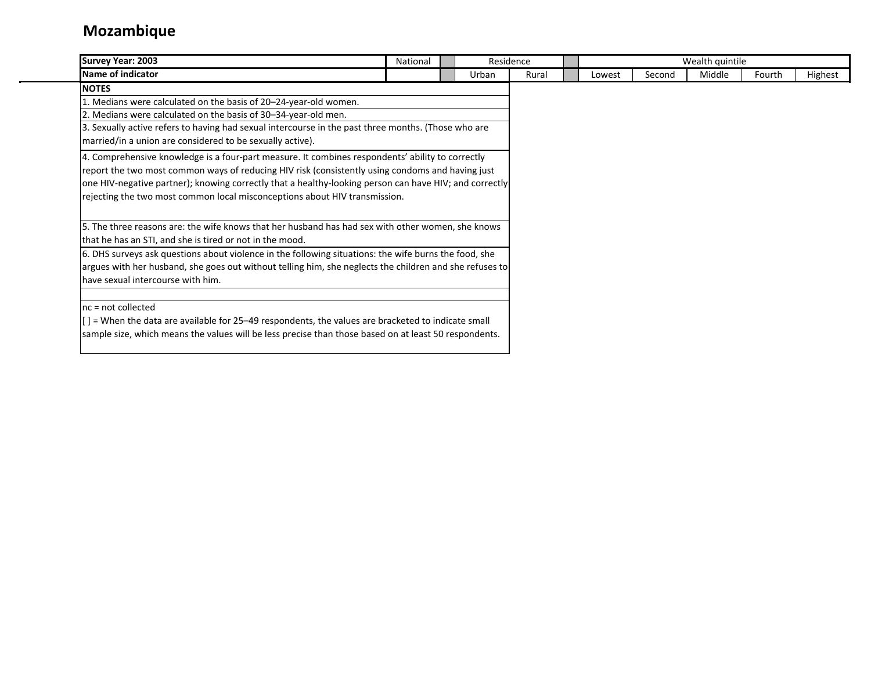| Survey Year: 2003                                                                                       | National | Residence |       |        |        | Wealth quintile |        |         |
|---------------------------------------------------------------------------------------------------------|----------|-----------|-------|--------|--------|-----------------|--------|---------|
| Name of indicator                                                                                       |          | Urban     | Rural | Lowest | Second | Middle          | Fourth | Highest |
| <b>NOTES</b>                                                                                            |          |           |       |        |        |                 |        |         |
| 1. Medians were calculated on the basis of 20-24-year-old women.                                        |          |           |       |        |        |                 |        |         |
| 2. Medians were calculated on the basis of 30-34-year-old men.                                          |          |           |       |        |        |                 |        |         |
| 3. Sexually active refers to having had sexual intercourse in the past three months. (Those who are     |          |           |       |        |        |                 |        |         |
| married/in a union are considered to be sexually active).                                               |          |           |       |        |        |                 |        |         |
| 4. Comprehensive knowledge is a four-part measure. It combines respondents' ability to correctly        |          |           |       |        |        |                 |        |         |
| report the two most common ways of reducing HIV risk (consistently using condoms and having just        |          |           |       |        |        |                 |        |         |
| one HIV-negative partner); knowing correctly that a healthy-looking person can have HIV; and correctly  |          |           |       |        |        |                 |        |         |
| rejecting the two most common local misconceptions about HIV transmission.                              |          |           |       |        |        |                 |        |         |
|                                                                                                         |          |           |       |        |        |                 |        |         |
| 5. The three reasons are: the wife knows that her husband has had sex with other women, she knows       |          |           |       |        |        |                 |        |         |
| that he has an STI, and she is tired or not in the mood.                                                |          |           |       |        |        |                 |        |         |
| 6. DHS surveys ask questions about violence in the following situations: the wife burns the food, she   |          |           |       |        |        |                 |        |         |
| argues with her husband, she goes out without telling him, she neglects the children and she refuses to |          |           |       |        |        |                 |        |         |
| have sexual intercourse with him.                                                                       |          |           |       |        |        |                 |        |         |
|                                                                                                         |          |           |       |        |        |                 |        |         |
| $nc = not collected$                                                                                    |          |           |       |        |        |                 |        |         |
| [] = When the data are available for 25-49 respondents, the values are bracketed to indicate small      |          |           |       |        |        |                 |        |         |
| sample size, which means the values will be less precise than those based on at least 50 respondents.   |          |           |       |        |        |                 |        |         |
|                                                                                                         |          |           |       |        |        |                 |        |         |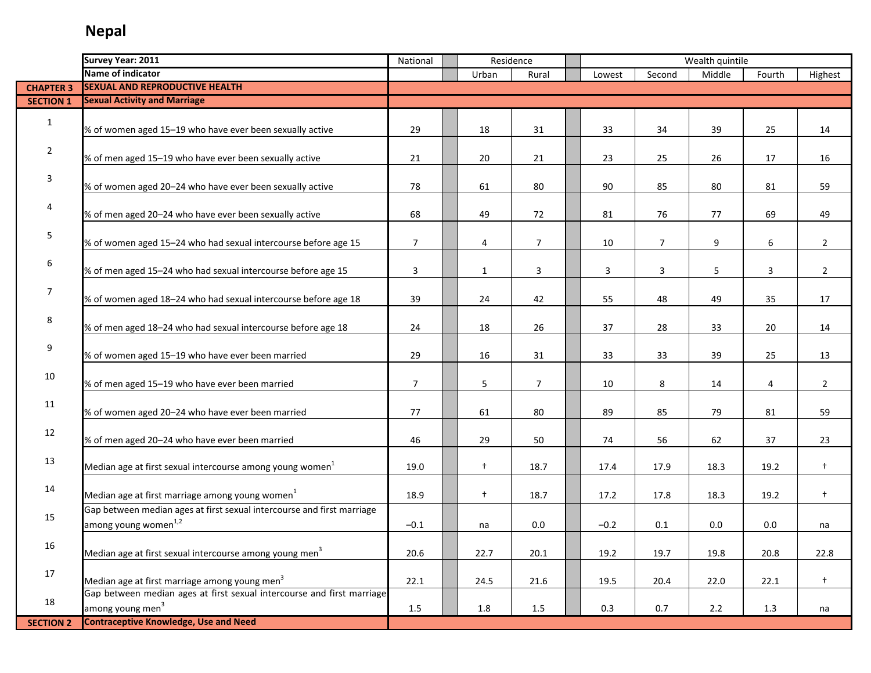|                  | Survey Year: 2011                                                      | National       | Residence    |                |        |                | Wealth quintile |         |                |
|------------------|------------------------------------------------------------------------|----------------|--------------|----------------|--------|----------------|-----------------|---------|----------------|
|                  | Name of indicator                                                      |                | Urban        | Rural          | Lowest | Second         | Middle          | Fourth  | Highest        |
| <b>CHAPTER 3</b> | <b>SEXUAL AND REPRODUCTIVE HEALTH</b>                                  |                |              |                |        |                |                 |         |                |
| <b>SECTION 1</b> | <b>Sexual Activity and Marriage</b>                                    |                |              |                |        |                |                 |         |                |
|                  |                                                                        |                |              |                |        |                |                 |         |                |
| $\mathbf{1}$     | % of women aged 15-19 who have ever been sexually active               | 29             | 18           | 31             | 33     | 34             | 39              | 25      | 14             |
|                  |                                                                        |                |              |                |        |                |                 |         |                |
| $\overline{2}$   | % of men aged 15-19 who have ever been sexually active                 | 21             | 20           | 21             | 23     | 25             | 26              | 17      | 16             |
|                  |                                                                        |                |              |                |        |                |                 |         |                |
| 3                | % of women aged 20-24 who have ever been sexually active               | 78             | 61           | 80             | 90     | 85             | 80              | 81      | 59             |
|                  |                                                                        |                |              |                |        |                |                 |         |                |
| 4                | % of men aged 20-24 who have ever been sexually active                 | 68             | 49           | 72             | 81     | 76             | 77              | 69      | 49             |
|                  |                                                                        |                |              |                |        |                |                 |         |                |
| 5                | % of women aged 15-24 who had sexual intercourse before age 15         | $\overline{7}$ | 4            | $\overline{7}$ | 10     | $\overline{7}$ | 9               | 6       | $\overline{2}$ |
|                  |                                                                        |                |              |                |        |                |                 |         |                |
| 6                | % of men aged 15-24 who had sexual intercourse before age 15           | 3              | $\mathbf{1}$ | 3              | 3      | 3              | 5               | 3       | $\overline{2}$ |
|                  |                                                                        |                |              |                |        |                |                 |         |                |
| 7                | % of women aged 18-24 who had sexual intercourse before age 18         | 39             | 24           | 42             | 55     | 48             | 49              | 35      | 17             |
|                  |                                                                        |                |              |                |        |                |                 |         |                |
| 8                |                                                                        |                |              |                |        |                |                 |         |                |
|                  | % of men aged 18-24 who had sexual intercourse before age 18           | 24             | 18           | 26             | 37     | 28             | 33              | 20      | 14             |
| 9                |                                                                        |                |              |                |        |                |                 |         |                |
|                  | % of women aged 15-19 who have ever been married                       | 29             | 16           | 31             | 33     | 33             | 39              | 25      | 13             |
| 10               |                                                                        |                |              |                |        |                |                 |         |                |
|                  | % of men aged 15-19 who have ever been married                         | $\overline{7}$ | 5            | $\overline{7}$ | 10     | 8              | 14              | 4       | $\overline{2}$ |
| 11               |                                                                        |                |              |                |        |                |                 |         |                |
|                  | % of women aged 20-24 who have ever been married                       | 77             | 61           | 80             | 89     | 85             | 79              | 81      | 59             |
| 12               |                                                                        |                |              |                |        |                |                 |         |                |
|                  | % of men aged 20-24 who have ever been married                         | 46             | 29           | 50             | 74     | 56             | 62              | 37      | 23             |
| 13               |                                                                        |                |              |                |        |                |                 |         |                |
|                  | Median age at first sexual intercourse among young women <sup>1</sup>  | 19.0           | $\ddagger$   | 18.7           | 17.4   | 17.9           | 18.3            | 19.2    | $\ddagger$     |
| 14               |                                                                        |                |              |                |        |                |                 |         |                |
|                  | Median age at first marriage among young women <sup>1</sup>            | 18.9           | $\ddagger$   | 18.7           | 17.2   | 17.8           | 18.3            | 19.2    | $\ddagger$     |
| 15               | Gap between median ages at first sexual intercourse and first marriage |                |              |                |        |                |                 |         |                |
|                  | among young women <sup>1,2</sup>                                       | $-0.1$         | na           | 0.0            | $-0.2$ | 0.1            | 0.0             | $0.0\,$ | na             |
| 16               |                                                                        |                |              |                |        |                |                 |         |                |
|                  | Median age at first sexual intercourse among young men <sup>3</sup>    | 20.6           | 22.7         | 20.1           | 19.2   | 19.7           | 19.8            | 20.8    | 22.8           |
|                  |                                                                        |                |              |                |        |                |                 |         |                |
| 17               | Median age at first marriage among young men <sup>3</sup>              | 22.1           | 24.5         | 21.6           | 19.5   | 20.4           | 22.0            | 22.1    | $+$            |
|                  | Gap between median ages at first sexual intercourse and first marriage |                |              |                |        |                |                 |         |                |
| 18               | among young men <sup>3</sup>                                           | 1.5            | 1.8          | 1.5            | 0.3    | 0.7            | 2.2             | 1.3     | na             |
| <b>SECTION 2</b> | <b>Contraceptive Knowledge, Use and Need</b>                           |                |              |                |        |                |                 |         |                |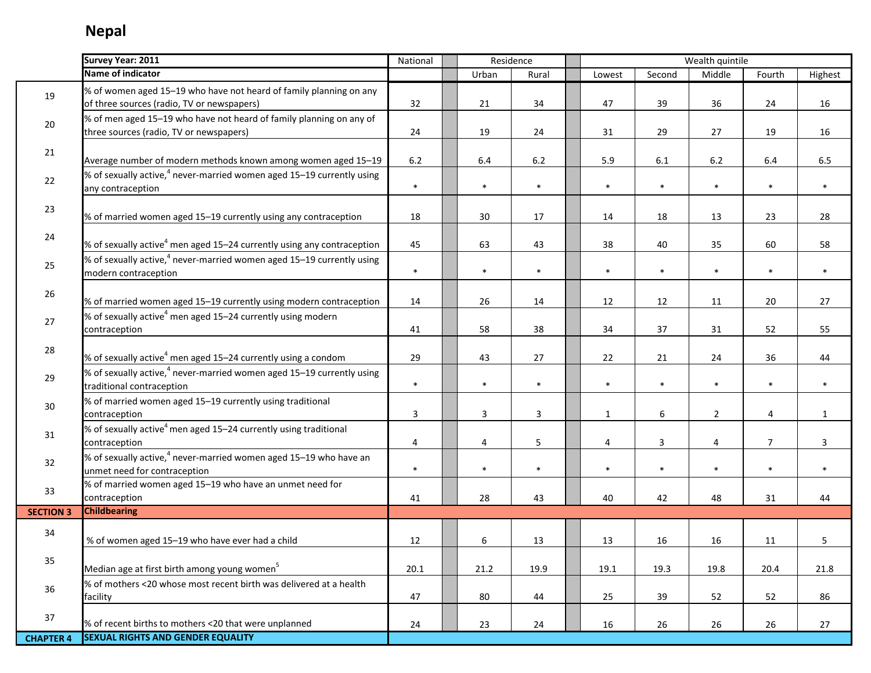i<br>S

|                  | Survey Year: 2011                                                                                                | National | Residence |              |              |        | Wealth quintile |                |              |
|------------------|------------------------------------------------------------------------------------------------------------------|----------|-----------|--------------|--------------|--------|-----------------|----------------|--------------|
|                  | Name of indicator                                                                                                |          | Urban     | Rural        | Lowest       | Second | Middle          | Fourth         | Highest      |
| 19               | % of women aged 15-19 who have not heard of family planning on any<br>of three sources (radio, TV or newspapers) | 32       | 21        | 34           | 47           | 39     | 36              | 24             | 16           |
| 20               | % of men aged 15-19 who have not heard of family planning on any of<br>three sources (radio, TV or newspapers)   | 24       | 19        | 24           | 31           | 29     | 27              | 19             | 16           |
| 21               | Average number of modern methods known among women aged 15-19                                                    | 6.2      | 6.4       | $6.2\,$      | 5.9          | 6.1    | $6.2\,$         | $6.4\,$        | 6.5          |
| 22               | % of sexually active, <sup>4</sup> never-married women aged 15-19 currently using<br>any contraception           | $\ast$   | $\ast$    | $\ast$       | $\ast$       | $\ast$ | $\ast$          | $\ast$         | $\ast$       |
| 23               | % of married women aged 15-19 currently using any contraception                                                  | 18       | 30        | 17           | 14           | 18     | 13              | 23             | 28           |
| 24               | % of sexually active <sup>4</sup> men aged 15-24 currently using any contraception                               | 45       | 63        | 43           | 38           | 40     | 35              | 60             | 58           |
| 25               | % of sexually active, <sup>4</sup> never-married women aged 15-19 currently using<br>modern contraception        | $\ast$   | $\ast$    | $\ast$       | $\ast$       | $\ast$ | $\ast$          | $\ast$         | $\ast$       |
| 26               | % of married women aged 15-19 currently using modern contraception                                               | 14       | 26        | 14           | 12           | 12     | 11              | 20             | 27           |
| 27               | % of sexually active <sup>4</sup> men aged 15-24 currently using modern<br>contraception                         | 41       | 58        | 38           | 34           | 37     | 31              | 52             | 55           |
| 28               | % of sexually active <sup>4</sup> men aged 15-24 currently using a condom                                        | 29       | 43        | 27           | 22           | 21     | 24              | 36             | 44           |
| 29               | % of sexually active, <sup>4</sup> never-married women aged 15-19 currently using<br>traditional contraception   | $\ast$   | $\ast$    | $\ast$       | $\ast$       | $\ast$ | $\ast$          | $\ast$         | $\ast$       |
| 30               | % of married women aged 15-19 currently using traditional<br>contraception                                       | 3        | 3         | $\mathbf{3}$ | $\mathbf{1}$ | 6      | $\overline{2}$  | 4              | $\mathbf{1}$ |
| 31               | % of sexually active <sup>4</sup> men aged 15-24 currently using traditional<br>contraception                    | 4        | 4         | 5            | 4            | 3      | 4               | $\overline{7}$ | 3            |
| 32               | % of sexually active, $4$ never-married women aged 15-19 who have an<br>unmet need for contraception             | $\ast$   | $\ast$    | $\ast$       | $\ast$       | $\ast$ | $\ast$          | $\ast$         | $\ast$       |
| 33               | % of married women aged 15-19 who have an unmet need for<br>contraception                                        | 41       | 28        | 43           | 40           | 42     | 48              | 31             | 44           |
| <b>SECTION 3</b> | <b>Childbearing</b>                                                                                              |          |           |              |              |        |                 |                |              |
| 34               | % of women aged 15-19 who have ever had a child                                                                  | 12       | 6         | 13           | 13           | 16     | 16              | 11             | 5            |
| 35               | Median age at first birth among young women <sup>5</sup>                                                         | 20.1     | 21.2      | 19.9         | 19.1         | 19.3   | 19.8            | 20.4           | 21.8         |
| 36               | % of mothers <20 whose most recent birth was delivered at a health<br>facility                                   | 47       | 80        | 44           | 25           | 39     | 52              | 52             | 86           |
| 37               | % of recent births to mothers <20 that were unplanned                                                            | 24       | 23        | 24           | 16           | 26     | 26              | 26             | 27           |
| <b>CHAPTER 4</b> | <b>SEXUAL RIGHTS AND GENDER EQUALITY</b>                                                                         |          |           |              |              |        |                 |                |              |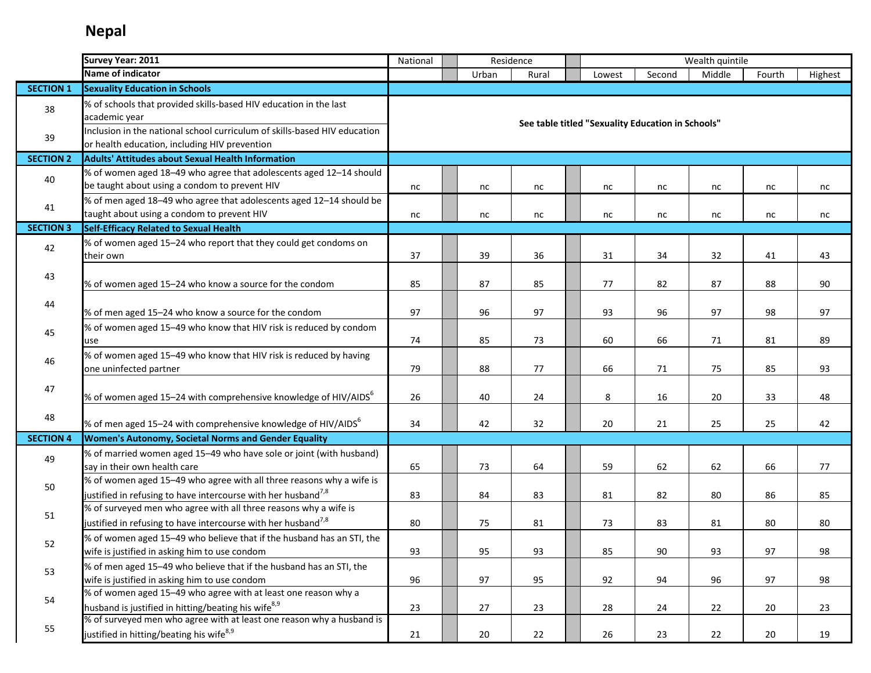|                  | Survey Year: 2011                                                                                                                                 | National                                     |  | Residence |       |  |                                                   |        | Wealth quintile |        |         |  |
|------------------|---------------------------------------------------------------------------------------------------------------------------------------------------|----------------------------------------------|--|-----------|-------|--|---------------------------------------------------|--------|-----------------|--------|---------|--|
|                  | Name of indicator                                                                                                                                 |                                              |  | Urban     | Rural |  | Lowest                                            | Second | Middle          | Fourth | Highest |  |
| <b>SECTION 1</b> | <b>Sexuality Education in Schools</b>                                                                                                             |                                              |  |           |       |  |                                                   |        |                 |        |         |  |
| 38               | % of schools that provided skills-based HIV education in the last<br>academic year                                                                |                                              |  |           |       |  | See table titled "Sexuality Education in Schools" |        |                 |        |         |  |
| 39               | Inclusion in the national school curriculum of skills-based HIV education<br>or health education, including HIV prevention                        |                                              |  |           |       |  |                                                   |        |                 |        |         |  |
| <b>SECTION 2</b> | <b>Adults' Attitudes about Sexual Health Information</b>                                                                                          |                                              |  |           |       |  |                                                   |        |                 |        |         |  |
| 40               | % of women aged 18-49 who agree that adolescents aged 12-14 should<br>be taught about using a condom to prevent HIV                               | nc                                           |  | nc        | nc    |  | nc                                                | nc     | nc              | nc     | nc      |  |
| 41               | % of men aged 18-49 who agree that adolescents aged 12-14 should be<br>taught about using a condom to prevent HIV                                 | nc                                           |  | nc        | nc    |  | nc                                                | nc     | nc              | nc     | nc      |  |
| <b>SECTION 3</b> | Self-Efficacy Related to Sexual Health                                                                                                            |                                              |  |           |       |  |                                                   |        |                 |        |         |  |
| 42               | % of women aged 15-24 who report that they could get condoms on<br>their own                                                                      | 37                                           |  | 39        | 36    |  | 31                                                | 34     | 32              | 41     | 43      |  |
| 43               | % of women aged 15-24 who know a source for the condom                                                                                            | 85                                           |  | 87        | 85    |  | 77                                                | 82     | 87              | 88     | 90      |  |
| 44               | % of men aged 15-24 who know a source for the condom                                                                                              | 97                                           |  | 96        | 97    |  | 93                                                | 96     | 97              | 98     | 97      |  |
| 45               | % of women aged 15-49 who know that HIV risk is reduced by condom<br>use                                                                          | 74<br>85<br>60<br>66<br>73<br>71<br>81<br>89 |  |           |       |  |                                                   |        |                 |        |         |  |
| 46               | % of women aged 15-49 who know that HIV risk is reduced by having<br>one uninfected partner                                                       | 79                                           |  | 88        | 77    |  | 66                                                | 71     | 75              | 85     | 93      |  |
| 47               | % of women aged 15-24 with comprehensive knowledge of HIV/AIDS <sup>6</sup>                                                                       | 26                                           |  | 40        | 24    |  | 8                                                 | 16     | 20              | 33     | 48      |  |
| 48               | % of men aged 15–24 with comprehensive knowledge of HIV/AIDS $^6$                                                                                 | 34                                           |  | 42        | 32    |  | 20                                                | 21     | 25              | 25     | 42      |  |
| <b>SECTION 4</b> | Women's Autonomy, Societal Norms and Gender Equality                                                                                              |                                              |  |           |       |  |                                                   |        |                 |        |         |  |
| 49               | % of married women aged 15-49 who have sole or joint (with husband)<br>say in their own health care                                               | 65                                           |  | 73        | 64    |  | 59                                                | 62     | 62              | 66     | 77      |  |
| 50               | % of women aged 15-49 who agree with all three reasons why a wife is<br>justified in refusing to have intercourse with her husband <sup>7,8</sup> | 83                                           |  | 84        | 83    |  | 81                                                | 82     | 80              | 86     | 85      |  |
| 51               | % of surveyed men who agree with all three reasons why a wife is<br>justified in refusing to have intercourse with her husband <sup>7,8</sup>     | 80                                           |  | 75        | 81    |  | 73                                                | 83     | 81              | 80     | 80      |  |
| 52               | % of women aged 15-49 who believe that if the husband has an STI, the<br>wife is justified in asking him to use condom                            | 93                                           |  | 95        | 93    |  | 85                                                | 90     | 93              | 97     | 98      |  |
| 53               | % of men aged 15-49 who believe that if the husband has an STI, the<br>wife is justified in asking him to use condom                              | 96                                           |  | 97        | 95    |  | 92                                                | 94     | 96              | 97     | 98      |  |
| 54               | % of women aged 15-49 who agree with at least one reason why a<br>husband is justified in hitting/beating his wife <sup>8,9</sup>                 | 23                                           |  | 27        | 23    |  | 28                                                | 24     | 22              | 20     | 23      |  |
| 55               | % of surveyed men who agree with at least one reason why a husband is<br>justified in hitting/beating his wife <sup>8,9</sup>                     | 21                                           |  | 20        | 22    |  | 26                                                | 23     | 22              | 20     | 19      |  |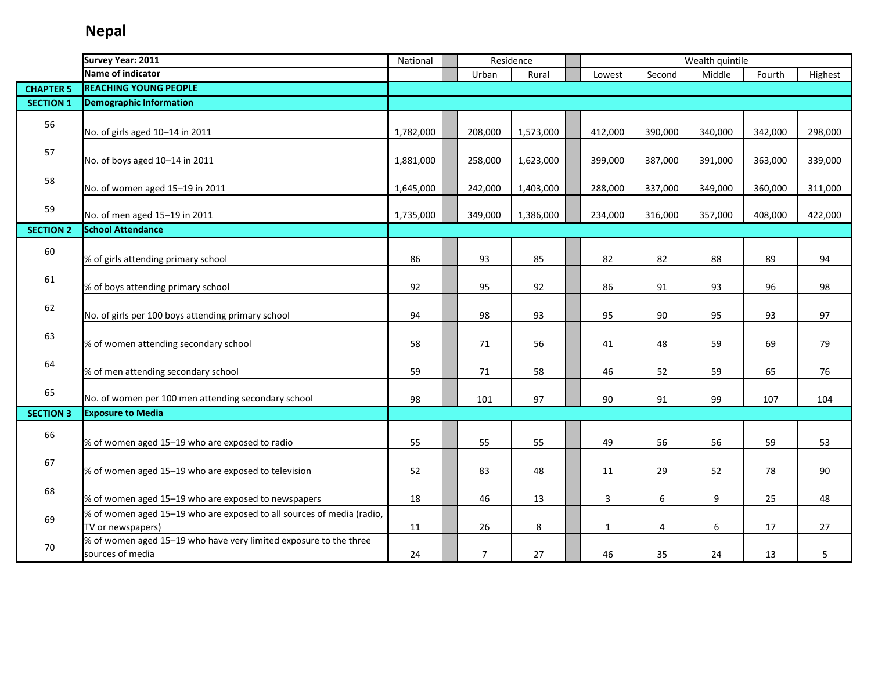|                  | Survey Year: 2011                                                                          | National  |                | Residence | Wealth quintile |         |         |         |         |
|------------------|--------------------------------------------------------------------------------------------|-----------|----------------|-----------|-----------------|---------|---------|---------|---------|
|                  | Name of indicator                                                                          |           | Urban          | Rural     | Lowest          | Second  | Middle  | Fourth  | Highest |
| <b>CHAPTER 5</b> | <b>REACHING YOUNG PEOPLE</b>                                                               |           |                |           |                 |         |         |         |         |
| <b>SECTION 1</b> | <b>Demographic Information</b>                                                             |           |                |           |                 |         |         |         |         |
| 56               | No. of girls aged 10-14 in 2011                                                            | 1,782,000 | 208,000        | 1,573,000 | 412,000         | 390,000 | 340,000 | 342,000 | 298,000 |
| 57               | No. of boys aged 10-14 in 2011                                                             | 1,881,000 | 258,000        | 1,623,000 | 399,000         | 387,000 | 391,000 | 363,000 | 339,000 |
| 58               | No. of women aged 15-19 in 2011                                                            | 1,645,000 | 242,000        | 1,403,000 | 288,000         | 337,000 | 349,000 | 360,000 | 311,000 |
| 59               | No. of men aged 15-19 in 2011                                                              | 1,735,000 | 349,000        | 1,386,000 | 234,000         | 316,000 | 357,000 | 408,000 | 422,000 |
| <b>SECTION 2</b> | <b>School Attendance</b>                                                                   |           |                |           |                 |         |         |         |         |
| 60               | % of girls attending primary school                                                        | 86        | 93             | 85        | 82              | 82      | 88      | 89      | 94      |
| 61               | % of boys attending primary school                                                         | 92        | 95             | 92        | 86              | 91      | 93      | 96      | 98      |
| 62               | No. of girls per 100 boys attending primary school                                         | 94        | 98             | 93        | 95              | 90      | 95      | 93      | 97      |
| 63               | % of women attending secondary school                                                      | 58        | 71             | 56        | 41              | 48      | 59      | 69      | 79      |
| 64               | % of men attending secondary school                                                        | 59        | 71             | 58        | 46              | 52      | 59      | 65      | 76      |
| 65               | No. of women per 100 men attending secondary school                                        | 98        | 101            | 97        | 90              | 91      | 99      | 107     | 104     |
| <b>SECTION 3</b> | <b>Exposure to Media</b>                                                                   |           |                |           |                 |         |         |         |         |
| 66               | % of women aged 15-19 who are exposed to radio                                             | 55        | 55             | 55        | 49              | 56      | 56      | 59      | 53      |
| 67               | % of women aged 15-19 who are exposed to television                                        | 52        | 83             | 48        | 11              | 29      | 52      | 78      | 90      |
| 68               | % of women aged 15-19 who are exposed to newspapers                                        | 18        | 46             | 13        | 3               | 6       | 9       | 25      | 48      |
| 69               | % of women aged 15-19 who are exposed to all sources of media (radio,<br>TV or newspapers) | 11        | 26             | 8         | $\mathbf{1}$    | 4       | 6       | 17      | 27      |
| 70               | % of women aged 15-19 who have very limited exposure to the three<br>sources of media      | 24        | $\overline{7}$ | 27        | 46              | 35      | 24      | 13      | 5       |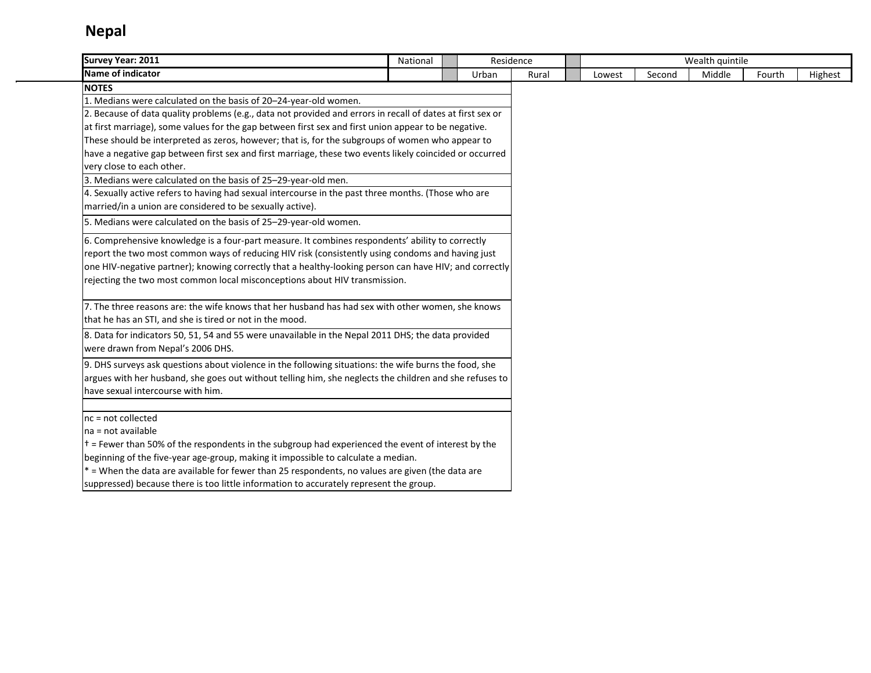| <b>Survey Year: 2011</b>                                                                                   | National | Residence |       | Wealth quintile<br>Middle<br>Lowest<br>Second<br>Fourth |  |  |  |  |         |
|------------------------------------------------------------------------------------------------------------|----------|-----------|-------|---------------------------------------------------------|--|--|--|--|---------|
| Name of indicator                                                                                          |          | Urban     | Rural |                                                         |  |  |  |  | Highest |
| <b>NOTES</b>                                                                                               |          |           |       |                                                         |  |  |  |  |         |
| 1. Medians were calculated on the basis of 20-24-year-old women.                                           |          |           |       |                                                         |  |  |  |  |         |
| 2. Because of data quality problems (e.g., data not provided and errors in recall of dates at first sex or |          |           |       |                                                         |  |  |  |  |         |
| at first marriage), some values for the gap between first sex and first union appear to be negative.       |          |           |       |                                                         |  |  |  |  |         |
| These should be interpreted as zeros, however; that is, for the subgroups of women who appear to           |          |           |       |                                                         |  |  |  |  |         |
| have a negative gap between first sex and first marriage, these two events likely coincided or occurred    |          |           |       |                                                         |  |  |  |  |         |
| very close to each other.                                                                                  |          |           |       |                                                         |  |  |  |  |         |
| 3. Medians were calculated on the basis of 25-29-year-old men.                                             |          |           |       |                                                         |  |  |  |  |         |
| 4. Sexually active refers to having had sexual intercourse in the past three months. (Those who are        |          |           |       |                                                         |  |  |  |  |         |
| married/in a union are considered to be sexually active).                                                  |          |           |       |                                                         |  |  |  |  |         |
| 5. Medians were calculated on the basis of 25-29-year-old women.                                           |          |           |       |                                                         |  |  |  |  |         |
| 6. Comprehensive knowledge is a four-part measure. It combines respondents' ability to correctly           |          |           |       |                                                         |  |  |  |  |         |
| report the two most common ways of reducing HIV risk (consistently using condoms and having just           |          |           |       |                                                         |  |  |  |  |         |
| one HIV-negative partner); knowing correctly that a healthy-looking person can have HIV; and correctly     |          |           |       |                                                         |  |  |  |  |         |
| rejecting the two most common local misconceptions about HIV transmission.                                 |          |           |       |                                                         |  |  |  |  |         |
| 7. The three reasons are: the wife knows that her husband has had sex with other women, she knows          |          |           |       |                                                         |  |  |  |  |         |
| that he has an STI, and she is tired or not in the mood.                                                   |          |           |       |                                                         |  |  |  |  |         |
| 8. Data for indicators 50, 51, 54 and 55 were unavailable in the Nepal 2011 DHS; the data provided         |          |           |       |                                                         |  |  |  |  |         |
| were drawn from Nepal's 2006 DHS.                                                                          |          |           |       |                                                         |  |  |  |  |         |
| 9. DHS surveys ask questions about violence in the following situations: the wife burns the food, she      |          |           |       |                                                         |  |  |  |  |         |
| argues with her husband, she goes out without telling him, she neglects the children and she refuses to    |          |           |       |                                                         |  |  |  |  |         |
| have sexual intercourse with him.                                                                          |          |           |       |                                                         |  |  |  |  |         |
| nc = not collected                                                                                         |          |           |       |                                                         |  |  |  |  |         |
| na = not available                                                                                         |          |           |       |                                                         |  |  |  |  |         |
| $t =$ Fewer than 50% of the respondents in the subgroup had experienced the event of interest by the       |          |           |       |                                                         |  |  |  |  |         |
| beginning of the five-year age-group, making it impossible to calculate a median.                          |          |           |       |                                                         |  |  |  |  |         |
| * = When the data are available for fewer than 25 respondents, no values are given (the data are           |          |           |       |                                                         |  |  |  |  |         |
| suppressed) because there is too little information to accurately represent the group.                     |          |           |       |                                                         |  |  |  |  |         |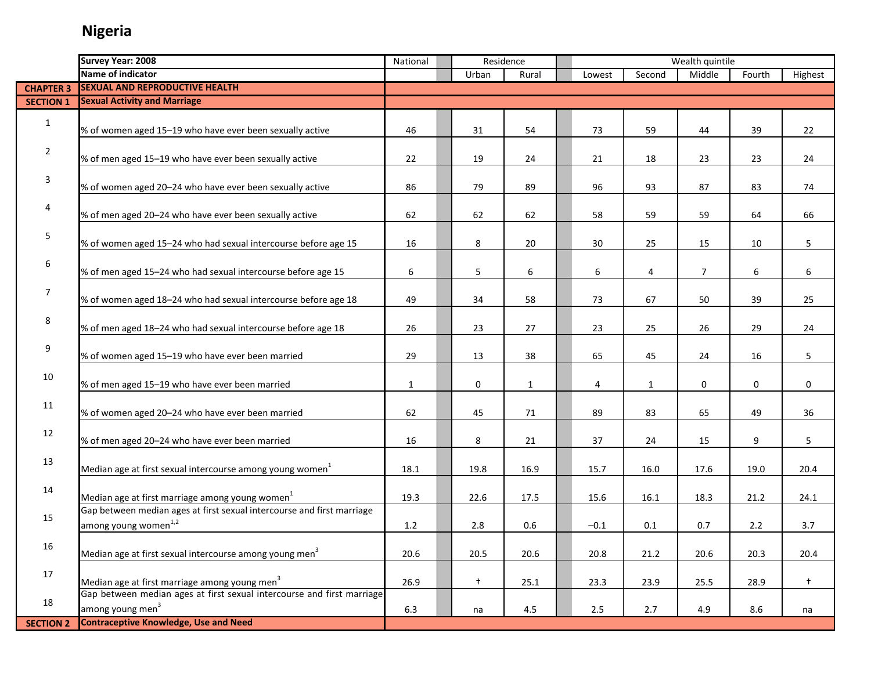|                  | <b>Survey Year: 2008</b>                                                                                                            | Wealth quintile<br>National<br>Residence |  |             |              |  |        |              |                |        |            |
|------------------|-------------------------------------------------------------------------------------------------------------------------------------|------------------------------------------|--|-------------|--------------|--|--------|--------------|----------------|--------|------------|
|                  | Name of indicator                                                                                                                   |                                          |  | Urban       | Rural        |  | Lowest | Second       | Middle         | Fourth | Highest    |
| <b>CHAPTER 3</b> | <b>SEXUAL AND REPRODUCTIVE HEALTH</b>                                                                                               |                                          |  |             |              |  |        |              |                |        |            |
| <b>SECTION 1</b> | <b>Sexual Activity and Marriage</b>                                                                                                 |                                          |  |             |              |  |        |              |                |        |            |
|                  |                                                                                                                                     |                                          |  |             |              |  |        |              |                |        |            |
| $\mathbf{1}$     | % of women aged 15-19 who have ever been sexually active                                                                            | 46                                       |  | 31          | 54           |  | 73     | 59           | 44             | 39     | 22         |
|                  |                                                                                                                                     |                                          |  |             |              |  |        |              |                |        |            |
| $\overline{2}$   | % of men aged 15-19 who have ever been sexually active                                                                              | 22                                       |  | 19          | 24           |  | 21     | 18           | 23             | 23     | 24         |
|                  |                                                                                                                                     |                                          |  |             |              |  |        |              |                |        |            |
| 3                | % of women aged 20-24 who have ever been sexually active                                                                            | 86                                       |  | 79          | 89           |  | 96     | 93           | 87             | 83     | 74         |
|                  |                                                                                                                                     |                                          |  |             |              |  |        |              |                |        |            |
| 4                | % of men aged 20-24 who have ever been sexually active                                                                              | 62                                       |  | 62          | 62           |  | 58     | 59           | 59             | 64     | 66         |
|                  |                                                                                                                                     |                                          |  |             |              |  |        |              |                |        |            |
| 5                | % of women aged 15-24 who had sexual intercourse before age 15                                                                      | 16                                       |  | 8           | 20           |  | 30     | 25           | 15             | 10     | 5          |
|                  |                                                                                                                                     |                                          |  |             |              |  |        |              |                |        |            |
| 6                | % of men aged 15-24 who had sexual intercourse before age 15                                                                        | 6                                        |  | 5           | 6            |  | 6      | 4            | $\overline{7}$ | 6      | 6          |
|                  |                                                                                                                                     |                                          |  |             |              |  |        |              |                |        |            |
| 7                | % of women aged 18-24 who had sexual intercourse before age 18                                                                      | 49                                       |  | 34          | 58           |  | 73     | 67           | 50             | 39     | 25         |
|                  |                                                                                                                                     |                                          |  |             |              |  |        |              |                |        |            |
| 8                | % of men aged 18-24 who had sexual intercourse before age 18                                                                        | 26                                       |  | 23          | 27           |  | 23     | 25           | 26             | 29     | 24         |
|                  |                                                                                                                                     |                                          |  |             |              |  |        |              |                |        |            |
| 9                | % of women aged 15-19 who have ever been married                                                                                    | 29                                       |  | 13          | 38           |  | 65     | 45           | 24             | 16     | 5          |
|                  |                                                                                                                                     |                                          |  |             |              |  |        |              |                |        |            |
| 10               | % of men aged 15-19 who have ever been married                                                                                      | $\mathbf{1}$                             |  | $\mathbf 0$ | $\mathbf{1}$ |  | 4      | $\mathbf{1}$ | 0              | 0      | 0          |
|                  |                                                                                                                                     |                                          |  |             |              |  |        |              |                |        |            |
| 11               | % of women aged 20-24 who have ever been married                                                                                    | 62                                       |  | 45          | 71           |  | 89     | 83           | 65             | 49     | 36         |
|                  |                                                                                                                                     |                                          |  |             |              |  |        |              |                |        |            |
| 12               | % of men aged 20-24 who have ever been married                                                                                      | 16                                       |  | 8           | 21           |  | 37     | 24           | 15             | 9      | 5          |
|                  |                                                                                                                                     |                                          |  |             |              |  |        |              |                |        |            |
| 13               | Median age at first sexual intercourse among young women <sup>1</sup>                                                               | 18.1                                     |  | 19.8        | 16.9         |  | 15.7   | 16.0         | 17.6           | 19.0   | 20.4       |
|                  |                                                                                                                                     |                                          |  |             |              |  |        |              |                |        |            |
| 14               | Median age at first marriage among young women <sup>1</sup>                                                                         | 19.3                                     |  | 22.6        | 17.5         |  | 15.6   | 16.1         | 18.3           | 21.2   | 24.1       |
|                  | Gap between median ages at first sexual intercourse and first marriage                                                              |                                          |  |             |              |  |        |              |                |        |            |
| 15               | among young women <sup>1,2</sup>                                                                                                    |                                          |  |             |              |  |        |              |                |        |            |
|                  |                                                                                                                                     | 1.2                                      |  | 2.8         | 0.6          |  | $-0.1$ | 0.1          | 0.7            | 2.2    | 3.7        |
| 16               | Median age at first sexual intercourse among young men <sup>3</sup>                                                                 |                                          |  |             |              |  |        |              |                |        |            |
|                  |                                                                                                                                     | 20.6                                     |  | 20.5        | 20.6         |  | 20.8   | 21.2         | 20.6           | 20.3   | 20.4       |
| 17               |                                                                                                                                     |                                          |  |             |              |  |        |              |                |        |            |
|                  | Median age at first marriage among young men <sup>3</sup><br>Gap between median ages at first sexual intercourse and first marriage | 26.9                                     |  | $^{+}$      | 25.1         |  | 23.3   | 23.9         | 25.5           | 28.9   | $\ddagger$ |
| 18               | among young men <sup>3</sup>                                                                                                        |                                          |  |             |              |  |        |              |                |        |            |
|                  | <b>Contraceptive Knowledge, Use and Need</b>                                                                                        | 6.3                                      |  | na          | 4.5          |  | 2.5    | 2.7          | 4.9            | 8.6    | na         |
| <b>SECTION 2</b> |                                                                                                                                     |                                          |  |             |              |  |        |              |                |        |            |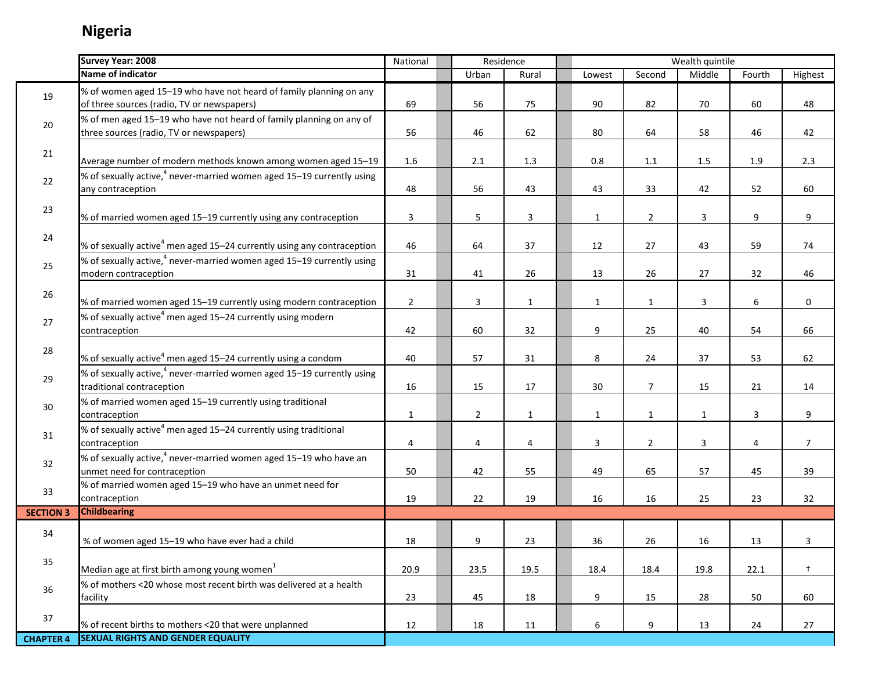Г

|                  | <b>Survey Year: 2008</b>                                                                                         | National       | Residence<br>Wealth quintile |                         |                |              |                |              |        |                |
|------------------|------------------------------------------------------------------------------------------------------------------|----------------|------------------------------|-------------------------|----------------|--------------|----------------|--------------|--------|----------------|
|                  | Name of indicator                                                                                                |                |                              | Urban                   | Rural          | Lowest       | Second         | Middle       | Fourth | Highest        |
| 19               | % of women aged 15-19 who have not heard of family planning on any<br>of three sources (radio, TV or newspapers) | 69             |                              | 56                      | 75             | 90           | 82             | 70           | 60     | 48             |
| $20\,$           | % of men aged 15-19 who have not heard of family planning on any of<br>three sources (radio, TV or newspapers)   | 56             |                              | 46                      | 62             | 80           | 64             | 58           | 46     | 42             |
| 21               | Average number of modern methods known among women aged 15-19                                                    | 1.6            |                              | 2.1                     | 1.3            | 0.8          | $1.1\,$        | 1.5          | 1.9    | 2.3            |
| 22               | % of sexually active, <sup>4</sup> never-married women aged 15-19 currently using<br>any contraception           | 48             |                              | 56                      | 43             | 43           | 33             | 42           | 52     | 60             |
| 23               | % of married women aged 15-19 currently using any contraception                                                  | 3              |                              | 5                       | $\overline{3}$ | $\mathbf{1}$ | $\overline{2}$ | 3            | 9      | 9              |
| 24               | % of sexually active <sup>4</sup> men aged 15-24 currently using any contraception                               | 46             |                              | 64                      | 37             | 12           | 27             | 43           | 59     | 74             |
| 25               | % of sexually active, $4$ never-married women aged 15–19 currently using<br>modern contraception                 | 31             |                              | 41                      | 26             | 13           | 26             | 27           | 32     | 46             |
| 26               | % of married women aged 15-19 currently using modern contraception                                               | $\overline{2}$ |                              | $\overline{\mathbf{3}}$ | $\mathbf{1}$   | $\mathbf{1}$ | $\mathbf{1}$   | 3            | 6      | 0              |
| 27               | % of sexually active <sup>4</sup> men aged 15-24 currently using modern<br>contraception                         | 42             |                              | 60                      | 32             | 9            | 25             | 40           | 54     | 66             |
| 28               | % of sexually active <sup>4</sup> men aged 15-24 currently using a condom                                        | 40             |                              | 57                      | 31             | 8            | 24             | 37           | 53     | 62             |
| 29               | % of sexually active, <sup>4</sup> never-married women aged 15-19 currently using<br>traditional contraception   | 16             |                              | 15                      | 17             | 30           | $\overline{7}$ | 15           | 21     | 14             |
| 30               | % of married women aged 15-19 currently using traditional<br>contraception                                       | $\mathbf{1}$   |                              | $\overline{2}$          | $\mathbf{1}$   | $\mathbf{1}$ | $\mathbf{1}$   | $\mathbf{1}$ | 3      | 9              |
| 31               | % of sexually active <sup>4</sup> men aged 15-24 currently using traditional<br>contraception                    | 4              |                              | 4                       | 4              | 3            | $\overline{2}$ | 3            | 4      | $\overline{7}$ |
| 32               | % of sexually active, <sup>4</sup> never-married women aged 15-19 who have an<br>unmet need for contraception    | 50             |                              | 42                      | 55             | 49           | 65             | 57           | 45     | 39             |
| 33               | % of married women aged 15-19 who have an unmet need for<br>contraception                                        | 19             |                              | 22                      | 19             | 16           | 16             | 25           | 23     | 32             |
| <b>SECTION 3</b> | <b>Childbearing</b>                                                                                              |                |                              |                         |                |              |                |              |        |                |
| 34               | % of women aged 15-19 who have ever had a child                                                                  | 18             |                              | 9                       | 23             | 36           | 26             | 16           | 13     | 3              |
| 35               | Median age at first birth among young women <sup>1</sup>                                                         | 20.9           |                              | 23.5                    | 19.5           | 18.4         | 18.4           | 19.8         | 22.1   | $+$            |
| 36               | % of mothers <20 whose most recent birth was delivered at a health<br>facility                                   | 23             |                              | 45                      | 18             | 9            | 15             | 28           | 50     | 60             |
| 37               | % of recent births to mothers <20 that were unplanned                                                            | 12             |                              | 18                      | 11             | 6            | 9              | 13           | 24     | 27             |
| <b>CHAPTER 4</b> | <b>SEXUAL RIGHTS AND GENDER EQUALITY</b>                                                                         |                |                              |                         |                |              |                |              |        |                |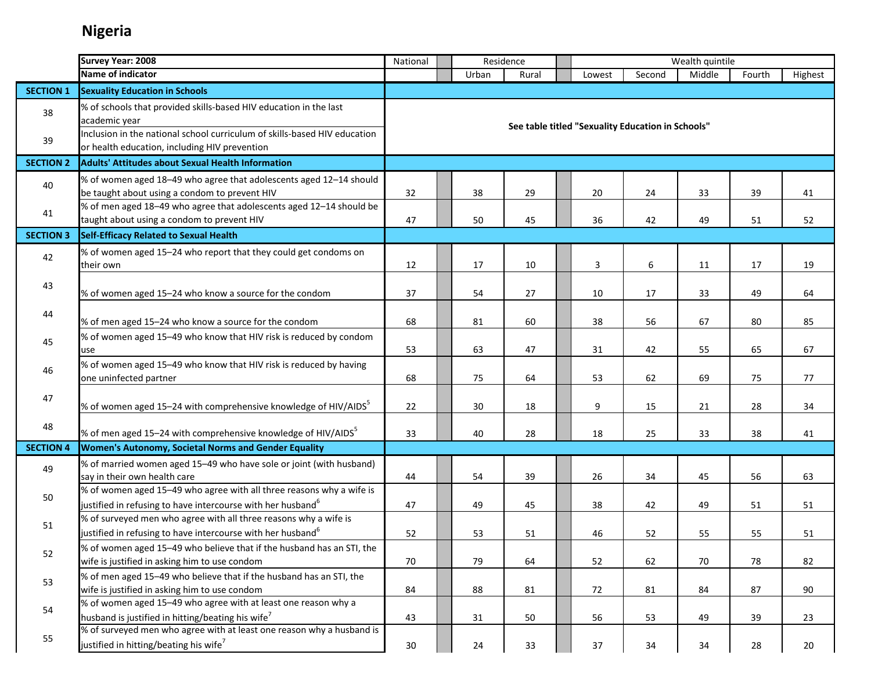|                  | <b>Survey Year: 2008</b>                                                                                                                        | Residence<br>Wealth quintile<br>National<br>Urban<br>Second<br>Middle<br>Fourth<br>Rural<br>Lowest |  |    |    |  |                |                                                   |    |    |         |
|------------------|-------------------------------------------------------------------------------------------------------------------------------------------------|----------------------------------------------------------------------------------------------------|--|----|----|--|----------------|---------------------------------------------------|----|----|---------|
|                  | Name of indicator                                                                                                                               |                                                                                                    |  |    |    |  |                |                                                   |    |    | Highest |
| <b>SECTION 1</b> | <b>Sexuality Education in Schools</b>                                                                                                           |                                                                                                    |  |    |    |  |                |                                                   |    |    |         |
| 38               | % of schools that provided skills-based HIV education in the last<br>academic year                                                              |                                                                                                    |  |    |    |  |                | See table titled "Sexuality Education in Schools" |    |    |         |
| 39               | Inclusion in the national school curriculum of skills-based HIV education<br>or health education, including HIV prevention                      |                                                                                                    |  |    |    |  |                |                                                   |    |    |         |
| <b>SECTION 2</b> | <b>Adults' Attitudes about Sexual Health Information</b>                                                                                        |                                                                                                    |  |    |    |  |                |                                                   |    |    |         |
| 40               | % of women aged 18-49 who agree that adolescents aged 12-14 should<br>be taught about using a condom to prevent HIV                             | 32                                                                                                 |  | 38 | 29 |  | 20             | 24                                                | 33 | 39 | 41      |
| 41               | % of men aged 18-49 who agree that adolescents aged 12-14 should be<br>taught about using a condom to prevent HIV                               | 47                                                                                                 |  | 50 | 45 |  | 36             | 42                                                | 49 | 51 | 52      |
| <b>SECTION 3</b> | Self-Efficacy Related to Sexual Health                                                                                                          |                                                                                                    |  |    |    |  |                |                                                   |    |    |         |
| 42               | % of women aged 15-24 who report that they could get condoms on<br>their own                                                                    | 12                                                                                                 |  | 17 | 10 |  | $\overline{3}$ | 6                                                 | 11 | 17 | 19      |
| 43               | % of women aged 15-24 who know a source for the condom                                                                                          | 37                                                                                                 |  | 54 | 27 |  | 10             | 17                                                | 33 | 49 | 64      |
| 44               | % of men aged 15-24 who know a source for the condom                                                                                            | 68                                                                                                 |  | 81 | 60 |  | 38             | 56                                                | 67 | 80 | 85      |
| 45               | % of women aged 15-49 who know that HIV risk is reduced by condom<br>use                                                                        | 53                                                                                                 |  | 63 | 47 |  | 31             | 42                                                | 55 | 65 | 67      |
| 46               | % of women aged 15-49 who know that HIV risk is reduced by having<br>one uninfected partner                                                     | 68                                                                                                 |  | 75 | 64 |  | 53             | 62                                                | 69 | 75 | 77      |
| 47               | % of women aged 15–24 with comprehensive knowledge of HIV/AIDS <sup>5</sup>                                                                     | 22                                                                                                 |  | 30 | 18 |  | 9              | 15                                                | 21 | 28 | 34      |
| 48               | % of men aged 15-24 with comprehensive knowledge of HIV/AIDS <sup>5</sup>                                                                       | 33                                                                                                 |  | 40 | 28 |  | 18             | 25                                                | 33 | 38 | 41      |
| <b>SECTION 4</b> | Women's Autonomy, Societal Norms and Gender Equality                                                                                            |                                                                                                    |  |    |    |  |                |                                                   |    |    |         |
| 49               | % of married women aged 15-49 who have sole or joint (with husband)<br>say in their own health care                                             | 44                                                                                                 |  | 54 | 39 |  | 26             | 34                                                | 45 | 56 | 63      |
| 50               | % of women aged 15-49 who agree with all three reasons why a wife is<br>justified in refusing to have intercourse with her husband <sup>6</sup> | 47                                                                                                 |  | 49 | 45 |  | 38             | 42                                                | 49 | 51 | 51      |
| 51               | % of surveyed men who agree with all three reasons why a wife is<br>justified in refusing to have intercourse with her husband <sup>6</sup>     | 52                                                                                                 |  | 53 | 51 |  | 46             | 52                                                | 55 | 55 | 51      |
| 52               | % of women aged 15-49 who believe that if the husband has an STI, the<br>wife is justified in asking him to use condom                          | 70                                                                                                 |  | 79 | 64 |  | 52             | 62                                                | 70 | 78 | 82      |
| 53               | % of men aged 15-49 who believe that if the husband has an STI, the<br>wife is justified in asking him to use condom                            | 84                                                                                                 |  | 88 | 81 |  | 72             | 81                                                | 84 | 87 | 90      |
| 54               | % of women aged 15-49 who agree with at least one reason why a<br>husband is justified in hitting/beating his wife <sup>7</sup>                 | 43                                                                                                 |  | 31 | 50 |  | 56             | 53                                                | 49 | 39 | 23      |
| 55               | % of surveyed men who agree with at least one reason why a husband is<br>justified in hitting/beating his wife <sup>7</sup>                     | 30                                                                                                 |  | 24 | 33 |  | 37             | 34                                                | 34 | 28 | 20      |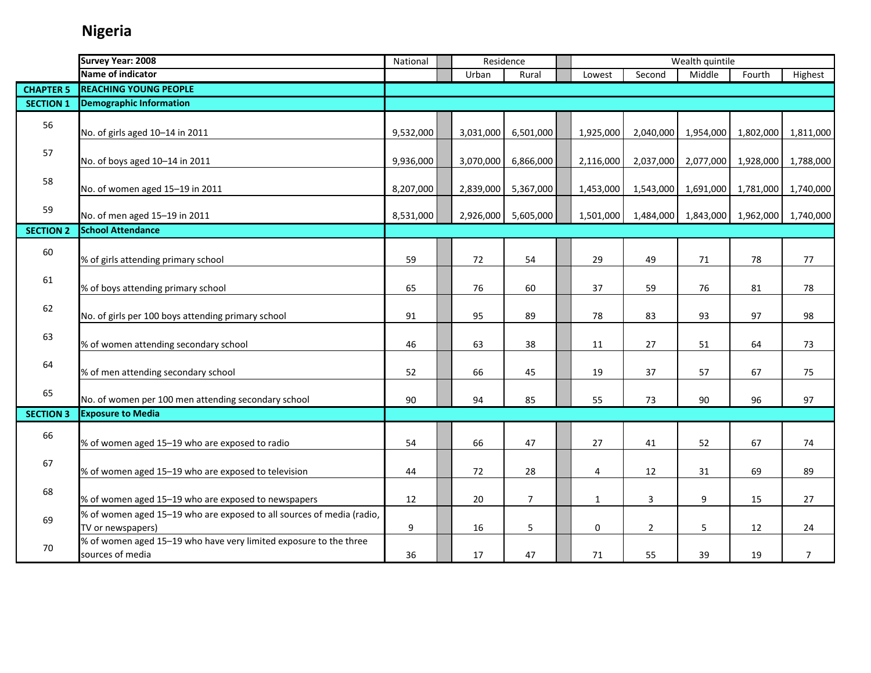|                  | <b>Survey Year: 2008</b>                                                                   | National<br>Residence |  |           | Wealth quintile |  |                |                |                     |           |                |
|------------------|--------------------------------------------------------------------------------------------|-----------------------|--|-----------|-----------------|--|----------------|----------------|---------------------|-----------|----------------|
|                  | Name of indicator                                                                          |                       |  | Urban     | Rural           |  | Lowest         | Second         | Middle              | Fourth    | Highest        |
| <b>CHAPTER 5</b> | <b>REACHING YOUNG PEOPLE</b>                                                               |                       |  |           |                 |  |                |                |                     |           |                |
| <b>SECTION 1</b> | <b>Demographic Information</b>                                                             |                       |  |           |                 |  |                |                |                     |           |                |
| 56               | No. of girls aged 10-14 in 2011                                                            | 9,532,000             |  | 3,031,000 | 6,501,000       |  | 1,925,000      | 2,040,000      | 1,954,000           | 1,802,000 | 1,811,000      |
| 57               | No. of boys aged 10-14 in 2011                                                             | 9,936,000             |  | 3,070,000 | 6,866,000       |  | 2,116,000      | 2,037,000      | 2,077,000           | 1,928,000 | 1,788,000      |
| 58               | No. of women aged 15-19 in 2011                                                            | 8,207,000             |  | 2,839,000 | 5,367,000       |  | 1,453,000      |                | 1,543,000 1,691,000 | 1,781,000 | 1,740,000      |
| 59               | No. of men aged 15-19 in 2011                                                              | 8,531,000             |  | 2,926,000 | 5,605,000       |  | 1,501,000      |                | 1,484,000 1,843,000 | 1,962,000 | 1,740,000      |
| <b>SECTION 2</b> | <b>School Attendance</b>                                                                   |                       |  |           |                 |  |                |                |                     |           |                |
| 60               | % of girls attending primary school                                                        | 59                    |  | 72        | 54              |  | 29             | 49             | 71                  | 78        | 77             |
| 61               | % of boys attending primary school                                                         | 65                    |  | 76        | 60              |  | 37             | 59             | 76                  | 81        | 78             |
| 62               | No. of girls per 100 boys attending primary school                                         | 91                    |  | 95        | 89              |  | 78             | 83             | 93                  | 97        | 98             |
| 63               | % of women attending secondary school                                                      | 46                    |  | 63        | 38              |  | 11             | 27             | 51                  | 64        | 73             |
| 64               | % of men attending secondary school                                                        | 52                    |  | 66        | 45              |  | 19             | 37             | 57                  | 67        | 75             |
| 65               | No. of women per 100 men attending secondary school                                        | 90                    |  | 94        | 85              |  | 55             | 73             | 90                  | 96        | 97             |
| <b>SECTION 3</b> | <b>Exposure to Media</b>                                                                   |                       |  |           |                 |  |                |                |                     |           |                |
| 66               | % of women aged 15-19 who are exposed to radio                                             | 54                    |  | 66        | 47              |  | 27             | 41             | 52                  | 67        | 74             |
| 67               | % of women aged 15-19 who are exposed to television                                        | 44                    |  | 72        | 28              |  | $\overline{4}$ | 12             | 31                  | 69        | 89             |
| 68               | % of women aged 15-19 who are exposed to newspapers                                        | 12                    |  | 20        | $\overline{7}$  |  | $\mathbf 1$    | 3              | 9                   | 15        | 27             |
| 69               | % of women aged 15-19 who are exposed to all sources of media (radio,<br>TV or newspapers) | 9                     |  | 16        | 5               |  | 0              | $\overline{2}$ | 5                   | 12        | 24             |
| 70               | % of women aged 15-19 who have very limited exposure to the three<br>sources of media      | 36                    |  | 17        | 47              |  | 71             | 55             | 39                  | 19        | $\overline{7}$ |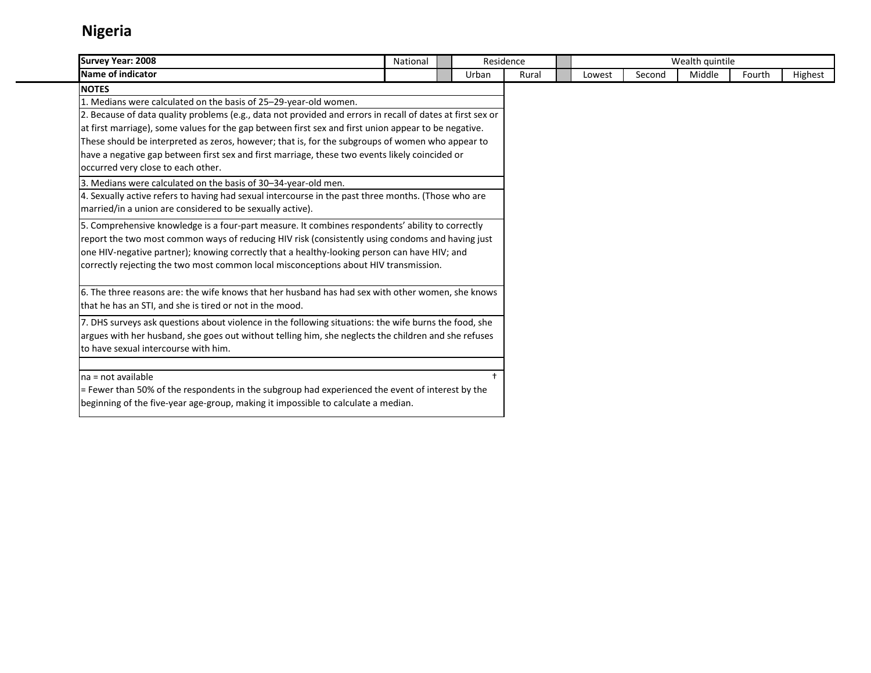| Survey Year: 2008                                                                                          | National |       | Residence |        |        | Wealth quintile |        |         |
|------------------------------------------------------------------------------------------------------------|----------|-------|-----------|--------|--------|-----------------|--------|---------|
| Name of indicator                                                                                          |          | Urban | Rural     | Lowest | Second | Middle          | Fourth | Highest |
| <b>NOTES</b>                                                                                               |          |       |           |        |        |                 |        |         |
| 1. Medians were calculated on the basis of 25-29-year-old women.                                           |          |       |           |        |        |                 |        |         |
| 2. Because of data quality problems (e.g., data not provided and errors in recall of dates at first sex or |          |       |           |        |        |                 |        |         |
| at first marriage), some values for the gap between first sex and first union appear to be negative.       |          |       |           |        |        |                 |        |         |
| These should be interpreted as zeros, however; that is, for the subgroups of women who appear to           |          |       |           |        |        |                 |        |         |
| have a negative gap between first sex and first marriage, these two events likely coincided or             |          |       |           |        |        |                 |        |         |
| loccurred very close to each other.                                                                        |          |       |           |        |        |                 |        |         |
| 3. Medians were calculated on the basis of 30-34-year-old men.                                             |          |       |           |        |        |                 |        |         |
| 4. Sexually active refers to having had sexual intercourse in the past three months. (Those who are        |          |       |           |        |        |                 |        |         |
| married/in a union are considered to be sexually active).                                                  |          |       |           |        |        |                 |        |         |
| 5. Comprehensive knowledge is a four-part measure. It combines respondents' ability to correctly           |          |       |           |        |        |                 |        |         |
| report the two most common ways of reducing HIV risk (consistently using condoms and having just           |          |       |           |        |        |                 |        |         |
| one HIV-negative partner); knowing correctly that a healthy-looking person can have HIV; and               |          |       |           |        |        |                 |        |         |
| correctly rejecting the two most common local misconceptions about HIV transmission.                       |          |       |           |        |        |                 |        |         |
| 6. The three reasons are: the wife knows that her husband has had sex with other women, she knows          |          |       |           |        |        |                 |        |         |
| that he has an STI, and she is tired or not in the mood.                                                   |          |       |           |        |        |                 |        |         |
| 7. DHS surveys ask questions about violence in the following situations: the wife burns the food, she      |          |       |           |        |        |                 |        |         |
| argues with her husband, she goes out without telling him, she neglects the children and she refuses       |          |       |           |        |        |                 |        |         |
| to have sexual intercourse with him.                                                                       |          |       |           |        |        |                 |        |         |
|                                                                                                            |          |       |           |        |        |                 |        |         |
| Ina = not available                                                                                        |          |       |           |        |        |                 |        |         |
| = Fewer than 50% of the respondents in the subgroup had experienced the event of interest by the           |          |       |           |        |        |                 |        |         |
| beginning of the five-year age-group, making it impossible to calculate a median.                          |          |       |           |        |        |                 |        |         |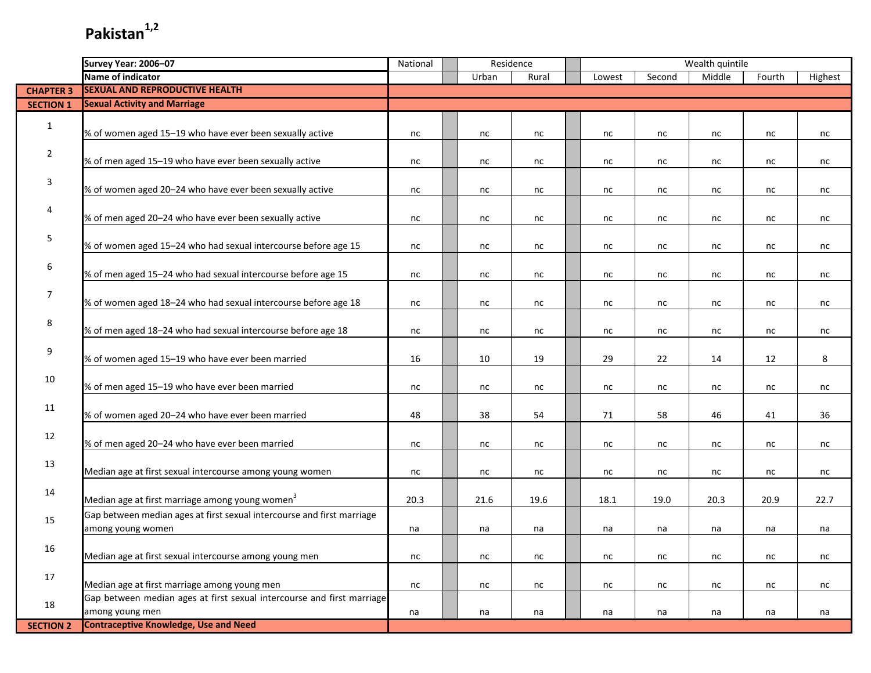|                  | Survey Year: 2006-07                                                   | National |          | Residence |        |          | Wealth quintile |          |         |
|------------------|------------------------------------------------------------------------|----------|----------|-----------|--------|----------|-----------------|----------|---------|
|                  | Name of indicator                                                      |          | Urban    | Rural     | Lowest | Second   | Middle          | Fourth   | Highest |
| <b>CHAPTER 3</b> | <b>SEXUAL AND REPRODUCTIVE HEALTH</b>                                  |          |          |           |        |          |                 |          |         |
| <b>SECTION 1</b> | <b>Sexual Activity and Marriage</b>                                    |          |          |           |        |          |                 |          |         |
|                  |                                                                        |          |          |           |        |          |                 |          |         |
| 1                | % of women aged 15-19 who have ever been sexually active               | nc       | nc       | nc        | nc     | nc       | nc              | nc       | nc      |
|                  |                                                                        |          |          |           |        |          |                 |          |         |
| $\overline{2}$   | % of men aged 15-19 who have ever been sexually active                 | nc       | nc       | nc        | nc     | nc       | nc              | nc       | nc      |
|                  |                                                                        |          |          |           |        |          |                 |          |         |
| 3                | % of women aged 20-24 who have ever been sexually active               | nc       | nc       | nc        | nc     | nc       | nc              | nc       | nc      |
|                  |                                                                        |          |          |           |        |          |                 |          |         |
| 4                | % of men aged 20-24 who have ever been sexually active                 | nc       | nc       | nc        | nc     | nc       | nc              | nc       | nc      |
|                  |                                                                        |          |          |           |        |          |                 |          |         |
| 5                | % of women aged 15-24 who had sexual intercourse before age 15         | nc       | nc       | nc        | nc     | nc       | nc              | nc       | nc      |
|                  |                                                                        |          |          |           |        |          |                 |          |         |
| 6                | % of men aged 15-24 who had sexual intercourse before age 15           | nc       | nc       | nc        | nc     | nc       | nc              | nc       | nc      |
|                  |                                                                        |          |          |           |        |          |                 |          |         |
| 7                | % of women aged 18-24 who had sexual intercourse before age 18         | nc       | nc       | nc        | nc     | nc       | nc              | nc       |         |
|                  |                                                                        |          |          |           |        |          |                 |          | nc      |
| 8                | % of men aged 18-24 who had sexual intercourse before age 18           |          |          |           |        |          |                 |          |         |
|                  |                                                                        | nc       | nc       | nc        | nc     | nc       | nc              | nc       | nc      |
| 9                | % of women aged 15-19 who have ever been married                       | 16       | 10       |           | 29     | 22       |                 |          |         |
|                  |                                                                        |          |          | 19        |        |          | 14              | 12       | 8       |
| 10               |                                                                        |          |          |           |        |          |                 |          |         |
|                  | % of men aged 15-19 who have ever been married                         | nc       | nc       | nc        | nc     | nc       | nc              | nc       | nc      |
| 11               |                                                                        |          |          |           |        |          |                 |          |         |
|                  | % of women aged 20-24 who have ever been married                       | 48       | 38       | 54        | 71     | 58       | 46              | 41       | 36      |
| 12               |                                                                        |          |          |           |        |          |                 |          |         |
|                  | % of men aged 20-24 who have ever been married                         | nc       | nc       | nc        | nc     | nc       | nc              | nc       | nc      |
| 13               |                                                                        |          |          |           |        |          |                 |          |         |
|                  | Median age at first sexual intercourse among young women               | nc       | nc       | nc        | nc     | nc       | nc              | nc       | nc      |
| 14               |                                                                        |          |          |           |        |          |                 |          |         |
|                  | Median age at first marriage among young women <sup>3</sup>            | 20.3     | 21.6     | 19.6      | 18.1   | 19.0     | 20.3            | 20.9     | 22.7    |
| 15               | Gap between median ages at first sexual intercourse and first marriage |          |          |           |        |          |                 |          |         |
|                  | among young women                                                      | na       | na       | na        | na     | na       | na              | na       | na      |
| 16               |                                                                        |          |          |           |        |          |                 |          |         |
|                  | Median age at first sexual intercourse among young men                 | $\sf nc$ | $\sf nc$ | $\sf nc$  | nc     | $\sf nc$ | nc              | $\sf nc$ | nc      |
| 17               |                                                                        |          |          |           |        |          |                 |          |         |
|                  | Median age at first marriage among young men                           | nc       | nc       | nc        | nc     | nc       | nc              | nc       | nc      |
| 18               | Gap between median ages at first sexual intercourse and first marriage |          |          |           |        |          |                 |          |         |
|                  | among young men                                                        | na       | na       | na        | na     | na       | na              | na       | na      |
| <b>SECTION 2</b> | <b>Contraceptive Knowledge, Use and Need</b>                           |          |          |           |        |          |                 |          |         |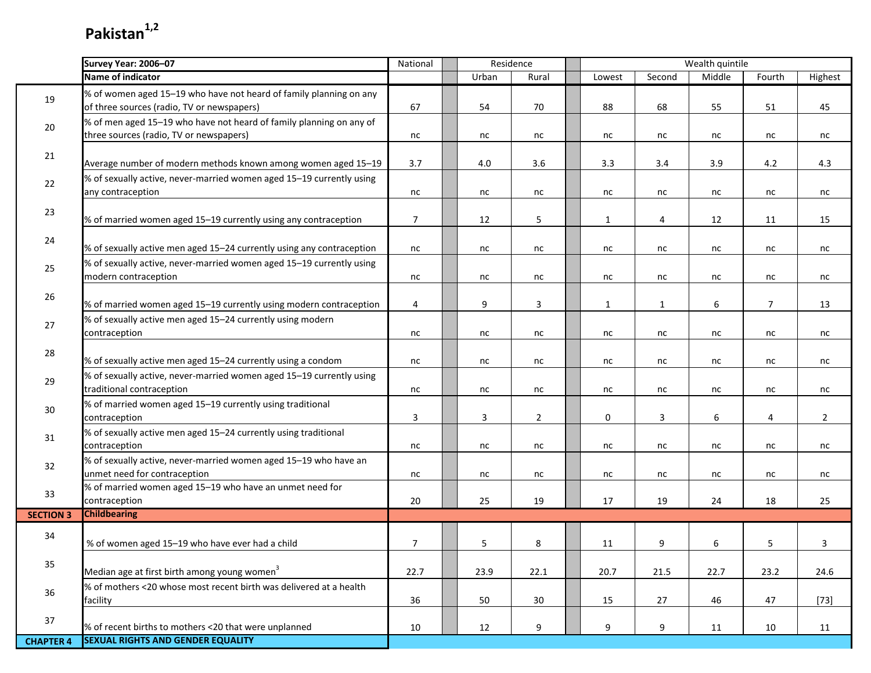I.

|                  | <b>Survey Year: 2006-07</b>                                                                                      | National       | Residence |                |              |              | Wealth quintile |                |                |
|------------------|------------------------------------------------------------------------------------------------------------------|----------------|-----------|----------------|--------------|--------------|-----------------|----------------|----------------|
|                  | Name of indicator                                                                                                |                | Urban     | Rural          | Lowest       | Second       | Middle          | Fourth         | Highest        |
| 19               | % of women aged 15-19 who have not heard of family planning on any<br>of three sources (radio, TV or newspapers) | 67             | 54        | 70             | 88           | 68           | 55              | 51             | 45             |
| $20\,$           | % of men aged 15-19 who have not heard of family planning on any of<br>three sources (radio, TV or newspapers)   | nc             | nc        | nc             | nc           | nc           | nc              | nc             | nc             |
| 21               | Average number of modern methods known among women aged 15-19                                                    | 3.7            | 4.0       | 3.6            | 3.3          | 3.4          | 3.9             | 4.2            | 4.3            |
| 22               | % of sexually active, never-married women aged 15-19 currently using<br>any contraception                        | nc             | nc        | nc             | nc           | nc           | nc              | nc             | nc             |
| 23               | % of married women aged 15-19 currently using any contraception                                                  | $\overline{7}$ | 12        | 5              | $\mathbf{1}$ | 4            | 12              | 11             | 15             |
| 24               | % of sexually active men aged 15-24 currently using any contraception                                            | nc             | nc        | nc             | nc           | nc           | nc              | nc             | nc             |
| 25               | % of sexually active, never-married women aged 15-19 currently using<br>modern contraception                     | nc             | nc        | nc             | nc           | nc           | nc              | nc             | nc             |
| 26               | % of married women aged 15-19 currently using modern contraception                                               | $\overline{4}$ | 9         | $\mathbf{3}$   | 1            | $\mathbf{1}$ | 6               | $\overline{7}$ | 13             |
| 27               | % of sexually active men aged 15-24 currently using modern<br>contraception                                      | nc             | nc        | nc             | nc           | nc           | nc              | nc             | nc             |
| 28               | % of sexually active men aged 15-24 currently using a condom                                                     | nc             | nc        | nc             | nc           | nc           | nc              | nc             | nc             |
| 29               | % of sexually active, never-married women aged 15-19 currently using<br>traditional contraception                | nc             | nc        | nc             | nc           | nc           | nc              | nc             | nc             |
| 30               | % of married women aged 15-19 currently using traditional<br>contraception                                       | 3              | 3         | $\overline{2}$ | $\mathbf 0$  | 3            | 6               | 4              | $\overline{2}$ |
| 31               | % of sexually active men aged 15-24 currently using traditional<br>contraception                                 | nc             | nc        | nc             | nc           | nc           | nc              | nc             | nc             |
| 32               | % of sexually active, never-married women aged 15-19 who have an<br>unmet need for contraception                 | nc             | nc        | nc             | nc           | nc           | nc              | nc             | nc             |
| 33               | % of married women aged 15-19 who have an unmet need for<br>contraception                                        | 20             | 25        | 19             | 17           | 19           | 24              | 18             | 25             |
| <b>SECTION 3</b> | <b>Childbearing</b>                                                                                              |                |           |                |              |              |                 |                |                |
| 34               | % of women aged 15-19 who have ever had a child                                                                  | $\overline{7}$ | 5         | 8              | 11           | 9            | 6               | 5              | 3              |
| 35               | Median age at first birth among young women <sup>3</sup>                                                         | 22.7           | 23.9      | 22.1           | 20.7         | 21.5         | 22.7            | 23.2           | 24.6           |
| 36               | % of mothers <20 whose most recent birth was delivered at a health<br>facility                                   | 36             | 50        | 30             | 15           | 27           | 46              | 47             | $[73]$         |
| 37               | % of recent births to mothers <20 that were unplanned                                                            | 10             | 12        | 9              | 9            | 9            | 11              | 10             | 11             |
| <b>CHAPTER 4</b> | <b>SEXUAL RIGHTS AND GENDER EQUALITY</b>                                                                         |                |           |                |              |              |                 |                |                |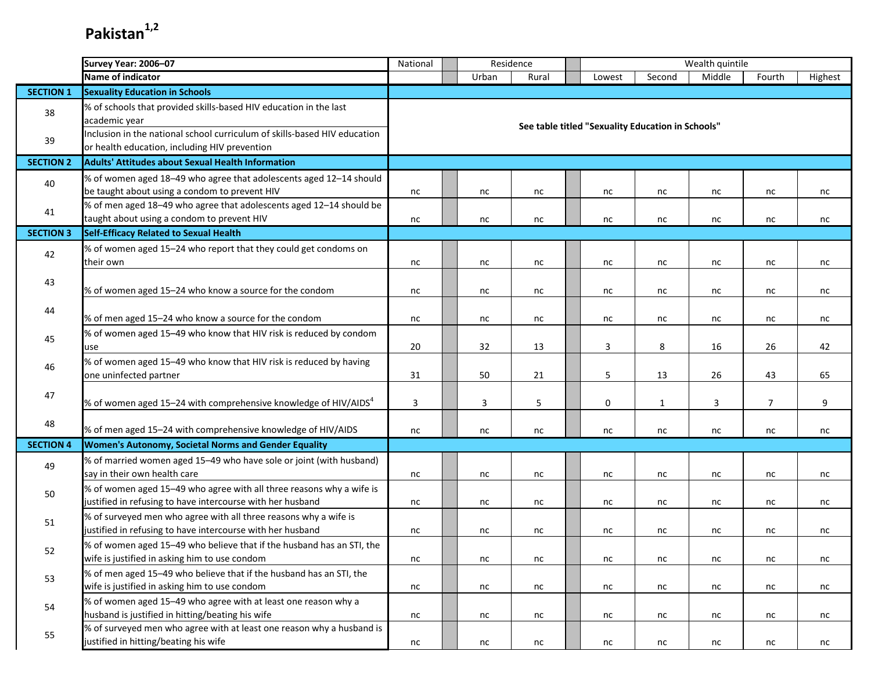|                  | Survey Year: 2006-07                                                                                                               | Wealth quintile<br>Residence<br>National<br>Urban<br>Second<br>Middle<br>Rural<br>Lowest |  |    |    |  |                                                   |              |    |                |         |  |
|------------------|------------------------------------------------------------------------------------------------------------------------------------|------------------------------------------------------------------------------------------|--|----|----|--|---------------------------------------------------|--------------|----|----------------|---------|--|
|                  | Name of indicator                                                                                                                  |                                                                                          |  |    |    |  |                                                   |              |    | Fourth         | Highest |  |
| <b>SECTION 1</b> | <b>Sexuality Education in Schools</b>                                                                                              |                                                                                          |  |    |    |  |                                                   |              |    |                |         |  |
| 38               | % of schools that provided skills-based HIV education in the last<br>academic year                                                 |                                                                                          |  |    |    |  | See table titled "Sexuality Education in Schools" |              |    |                |         |  |
| 39               | Inclusion in the national school curriculum of skills-based HIV education<br>or health education, including HIV prevention         |                                                                                          |  |    |    |  |                                                   |              |    |                |         |  |
| <b>SECTION 2</b> | <b>Adults' Attitudes about Sexual Health Information</b>                                                                           |                                                                                          |  |    |    |  |                                                   |              |    |                |         |  |
| 40               | % of women aged 18-49 who agree that adolescents aged 12-14 should<br>be taught about using a condom to prevent HIV                | nc                                                                                       |  | nc | nc |  | nc                                                | nc           | nc | nc             | nc      |  |
| 41               | % of men aged 18-49 who agree that adolescents aged 12-14 should be<br>taught about using a condom to prevent HIV                  | nc                                                                                       |  | nc | nc |  | nc                                                | nc           | nc | nc             | nc      |  |
| <b>SECTION 3</b> | <b>Self-Efficacy Related to Sexual Health</b>                                                                                      |                                                                                          |  |    |    |  |                                                   |              |    |                |         |  |
|                  | % of women aged 15-24 who report that they could get condoms on                                                                    |                                                                                          |  |    |    |  |                                                   |              |    |                |         |  |
| 42               | their own                                                                                                                          | nc                                                                                       |  | nc | nc |  | nc                                                | nc           | nc | nc             | nc      |  |
| 43               | % of women aged 15-24 who know a source for the condom                                                                             | nc                                                                                       |  | nc | nc |  | nc                                                | nc           | nc | nc             | nc      |  |
| 44               | % of men aged 15-24 who know a source for the condom                                                                               | nc                                                                                       |  | nc | nc |  | nc                                                | nc           | nc | nc             | nc      |  |
| 45               | % of women aged 15-49 who know that HIV risk is reduced by condom<br>use                                                           | 32<br>3<br>8<br>20<br>13<br>16<br>26<br>42                                               |  |    |    |  |                                                   |              |    |                |         |  |
| 46               | % of women aged 15-49 who know that HIV risk is reduced by having<br>one uninfected partner                                        | 31                                                                                       |  | 50 | 21 |  | 5                                                 | 13           | 26 | 43             | 65      |  |
| 47               | % of women aged 15–24 with comprehensive knowledge of HIV/AIDS $^4$                                                                | 3                                                                                        |  | 3  | 5  |  | 0                                                 | $\mathbf{1}$ | 3  | $\overline{7}$ | 9       |  |
| 48               | % of men aged 15-24 with comprehensive knowledge of HIV/AIDS                                                                       | nc                                                                                       |  | nc | nc |  | nc                                                | nc           | nc | nc             | nc      |  |
| <b>SECTION 4</b> | Women's Autonomy, Societal Norms and Gender Equality                                                                               |                                                                                          |  |    |    |  |                                                   |              |    |                |         |  |
| 49               | % of married women aged 15-49 who have sole or joint (with husband)<br>say in their own health care                                | nc                                                                                       |  | nc | nc |  | nc                                                | nc           | nc | nc             | nc      |  |
| 50               | % of women aged 15-49 who agree with all three reasons why a wife is<br>justified in refusing to have intercourse with her husband | nc                                                                                       |  | nc | nc |  | nc                                                | nc           | nc | nc             | nc      |  |
| 51               | % of surveyed men who agree with all three reasons why a wife is<br>justified in refusing to have intercourse with her husband     | nc                                                                                       |  | nc | nc |  | nc                                                | nc           | nc | nc             | nc      |  |
| 52               | % of women aged 15-49 who believe that if the husband has an STI, the<br>wife is justified in asking him to use condom             | nc                                                                                       |  | nc | nc |  | nc                                                | nc           | nc | nc             | nc      |  |
| 53               | % of men aged 15-49 who believe that if the husband has an STI, the<br>wife is justified in asking him to use condom               | nc                                                                                       |  | nc | nc |  | nc                                                | nc           | nc | nc             | nc      |  |
| 54               | % of women aged 15-49 who agree with at least one reason why a<br>husband is justified in hitting/beating his wife                 | nc                                                                                       |  | nc | nc |  | nc                                                | nc           | nc | nc             | nc      |  |
| 55               | % of surveyed men who agree with at least one reason why a husband is<br>justified in hitting/beating his wife                     | nc                                                                                       |  | nc | nc |  | nc                                                | nc           | nc | nc             | nc      |  |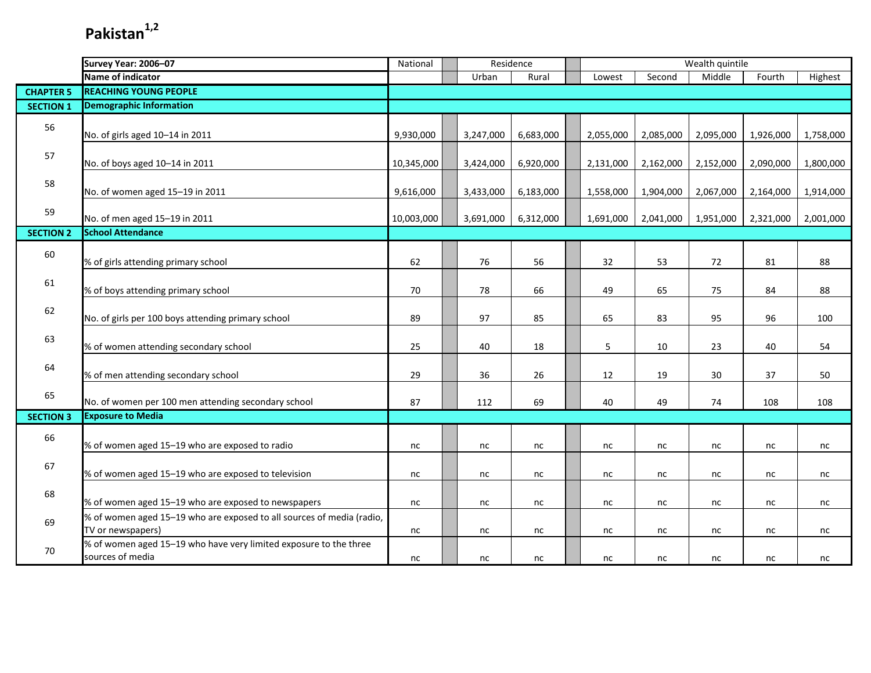|                  | Survey Year: 2006-07                                                                       | National   |           | Residence |           |           | Wealth quintile |           |           |
|------------------|--------------------------------------------------------------------------------------------|------------|-----------|-----------|-----------|-----------|-----------------|-----------|-----------|
|                  | Name of indicator                                                                          |            | Urban     | Rural     | Lowest    | Second    | Middle          | Fourth    | Highest   |
| <b>CHAPTER 5</b> | <b>REACHING YOUNG PEOPLE</b>                                                               |            |           |           |           |           |                 |           |           |
| <b>SECTION 1</b> | <b>Demographic Information</b>                                                             |            |           |           |           |           |                 |           |           |
| 56               | No. of girls aged 10-14 in 2011                                                            | 9,930,000  | 3,247,000 | 6,683,000 | 2,055,000 | 2,085,000 | 2,095,000       | 1,926,000 | 1,758,000 |
| 57               | No. of boys aged 10-14 in 2011                                                             | 10,345,000 | 3,424,000 | 6,920,000 | 2,131,000 | 2,162,000 | 2,152,000       | 2,090,000 | 1,800,000 |
| 58               | No. of women aged 15-19 in 2011                                                            | 9,616,000  | 3,433,000 | 6,183,000 | 1,558,000 | 1,904,000 | 2,067,000       | 2,164,000 | 1,914,000 |
| 59               | No. of men aged 15-19 in 2011                                                              | 10,003,000 | 3,691,000 | 6,312,000 | 1,691,000 | 2,041,000 | 1,951,000       | 2,321,000 | 2,001,000 |
| <b>SECTION 2</b> | <b>School Attendance</b>                                                                   |            |           |           |           |           |                 |           |           |
| 60               | % of girls attending primary school                                                        | 62         | 76        | 56        | 32        | 53        | 72              | 81        | 88        |
| 61               | % of boys attending primary school                                                         | 70         | 78        | 66        | 49        | 65        | 75              | 84        | 88        |
| 62               | No. of girls per 100 boys attending primary school                                         | 89         | 97        | 85        | 65        | 83        | 95              | 96        | 100       |
| 63               | % of women attending secondary school                                                      | 25         | 40        | 18        | 5         | 10        | 23              | 40        | 54        |
| 64               | % of men attending secondary school                                                        | 29         | 36        | 26        | 12        | 19        | 30              | 37        | 50        |
| 65               | No. of women per 100 men attending secondary school                                        | 87         | 112       | 69        | 40        | 49        | 74              | 108       | 108       |
| <b>SECTION 3</b> | <b>Exposure to Media</b>                                                                   |            |           |           |           |           |                 |           |           |
| 66               | % of women aged 15-19 who are exposed to radio                                             | nc         | nc        | nc        | nc        | nc        | nc              | nc        | nc        |
| 67               | % of women aged 15-19 who are exposed to television                                        | nc         | nc        | nc        | nc        | $\sf nc$  | nc              | $\sf nc$  | nc        |
| 68               | % of women aged 15-19 who are exposed to newspapers                                        | nc         | nc        | nc        | nc        | nc        | nc              | nc        | nc        |
| 69               | % of women aged 15-19 who are exposed to all sources of media (radio,<br>TV or newspapers) | nc         | nc        | nc        | nc        | nc        | nc              | nc        | nc        |
| 70               | % of women aged 15-19 who have very limited exposure to the three<br>sources of media      | nc         | nc        | nc        | nc        | nc        | nc              | nc        | nc        |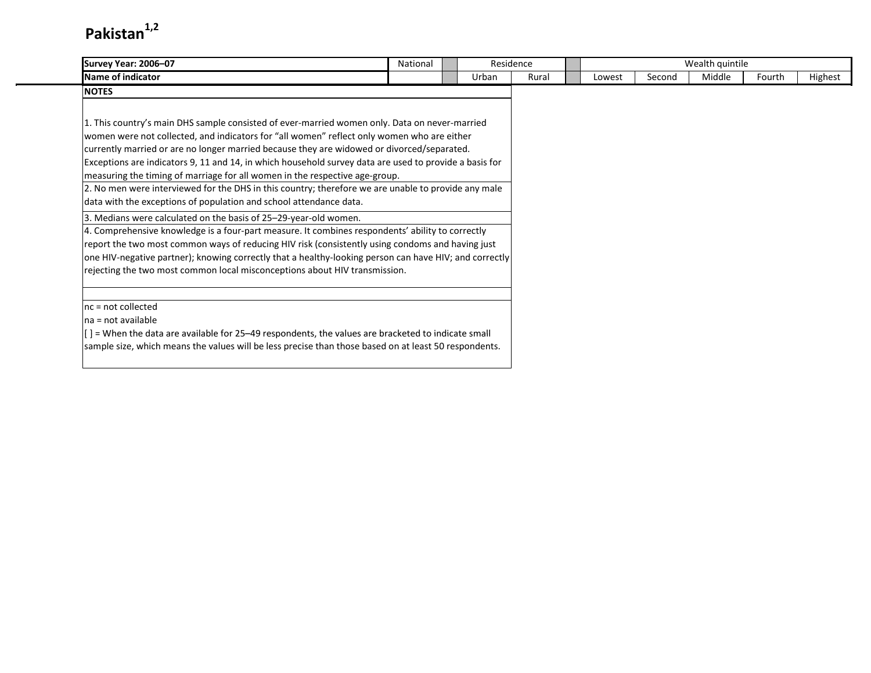| Survey Year: 2006-07                                                                                    | National | Residence |       |        |        | Wealth quintile |        |         |
|---------------------------------------------------------------------------------------------------------|----------|-----------|-------|--------|--------|-----------------|--------|---------|
| Name of indicator                                                                                       |          | Urban     | Rural | Lowest | Second | Middle          | Fourth | Highest |
| <b>NOTES</b>                                                                                            |          |           |       |        |        |                 |        |         |
|                                                                                                         |          |           |       |        |        |                 |        |         |
| 1. This country's main DHS sample consisted of ever-married women only. Data on never-married           |          |           |       |        |        |                 |        |         |
| women were not collected, and indicators for "all women" reflect only women who are either              |          |           |       |        |        |                 |        |         |
| currently married or are no longer married because they are widowed or divorced/separated.              |          |           |       |        |        |                 |        |         |
| Exceptions are indicators 9, 11 and 14, in which household survey data are used to provide a basis for  |          |           |       |        |        |                 |        |         |
| measuring the timing of marriage for all women in the respective age-group.                             |          |           |       |        |        |                 |        |         |
| 2. No men were interviewed for the DHS in this country; therefore we are unable to provide any male     |          |           |       |        |        |                 |        |         |
| data with the exceptions of population and school attendance data.                                      |          |           |       |        |        |                 |        |         |
| 3. Medians were calculated on the basis of 25-29-year-old women.                                        |          |           |       |        |        |                 |        |         |
| 4. Comprehensive knowledge is a four-part measure. It combines respondents' ability to correctly        |          |           |       |        |        |                 |        |         |
| report the two most common ways of reducing HIV risk (consistently using condoms and having just        |          |           |       |        |        |                 |        |         |
| one HIV-negative partner); knowing correctly that a healthy-looking person can have HIV; and correctly  |          |           |       |        |        |                 |        |         |
| rejecting the two most common local misconceptions about HIV transmission.                              |          |           |       |        |        |                 |        |         |
|                                                                                                         |          |           |       |        |        |                 |        |         |
| $nc = not collected$                                                                                    |          |           |       |        |        |                 |        |         |
| $na = not available$                                                                                    |          |           |       |        |        |                 |        |         |
| $[$ $]$ = When the data are available for 25–49 respondents, the values are bracketed to indicate small |          |           |       |        |        |                 |        |         |
| sample size, which means the values will be less precise than those based on at least 50 respondents.   |          |           |       |        |        |                 |        |         |
|                                                                                                         |          |           |       |        |        |                 |        |         |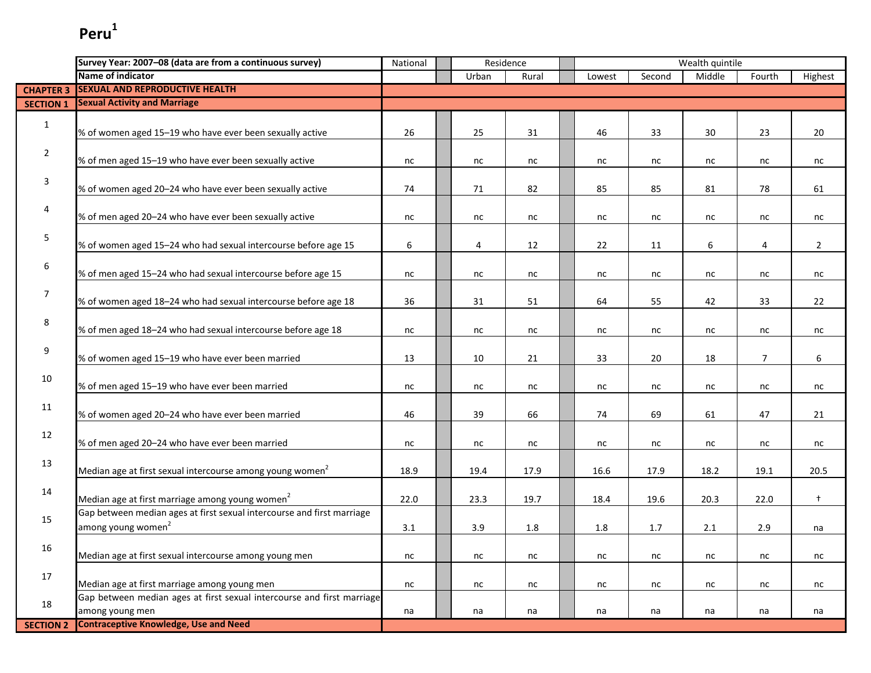|                  | Survey Year: 2007-08 (data are from a continuous survey)                                                 | National |       | Residence |        |        | Wealth quintile |                |                |
|------------------|----------------------------------------------------------------------------------------------------------|----------|-------|-----------|--------|--------|-----------------|----------------|----------------|
|                  | Name of indicator                                                                                        |          | Urban | Rural     | Lowest | Second | Middle          | Fourth         | Highest        |
| <b>CHAPTER 3</b> | <b>SEXUAL AND REPRODUCTIVE HEALTH</b>                                                                    |          |       |           |        |        |                 |                |                |
| <b>SECTION 1</b> | <b>Sexual Activity and Marriage</b>                                                                      |          |       |           |        |        |                 |                |                |
| $\mathbf{1}$     | % of women aged 15-19 who have ever been sexually active                                                 | 26       | 25    | 31        | 46     | 33     | 30              | 23             | 20             |
| $\overline{2}$   | % of men aged 15-19 who have ever been sexually active                                                   | nc       | nc    | nc        | nc     | nc     | nc              | nc             | nc             |
| 3                | % of women aged 20–24 who have ever been sexually active                                                 | 74       | 71    | 82        | 85     | 85     | 81              | 78             | 61             |
| 4                | % of men aged 20-24 who have ever been sexually active                                                   | nc       | nc    | nc        | nc     | nc     | nc              | nc             | nc             |
| 5                | % of women aged 15-24 who had sexual intercourse before age 15                                           | 6        | 4     | 12        | 22     | 11     | 6               | 4              | $\overline{2}$ |
| 6                | % of men aged 15-24 who had sexual intercourse before age 15                                             | nc       | nc    | nc        | nc     | nc     | nc              | nc             | nc             |
| $\boldsymbol{7}$ | % of women aged 18-24 who had sexual intercourse before age 18                                           | 36       | 31    | 51        | 64     | 55     | 42              | 33             | 22             |
| 8                | % of men aged 18-24 who had sexual intercourse before age 18                                             | nc       | nc    | nc        | nc     | nc     | nc              | nc             | nc             |
| 9                | % of women aged 15-19 who have ever been married                                                         | 13       | 10    | 21        | 33     | 20     | 18              | $\overline{7}$ | 6              |
| 10               | % of men aged 15-19 who have ever been married                                                           | nc       | nc    | nc        | nc     | nc     | nc              | nc             | nc             |
| 11               | % of women aged 20-24 who have ever been married                                                         | 46       | 39    | 66        | 74     | 69     | 61              | 47             | 21             |
| 12               | % of men aged 20-24 who have ever been married                                                           | nc       | nc    | nc        | nc     | nc     | nc              | nc             | nc             |
| 13               | Median age at first sexual intercourse among young women <sup>2</sup>                                    | 18.9     | 19.4  | 17.9      | 16.6   | 17.9   | 18.2            | 19.1           | 20.5           |
| 14               | Median age at first marriage among young women <sup>2</sup>                                              | 22.0     | 23.3  | 19.7      | 18.4   | 19.6   | 20.3            | 22.0           | $+$            |
| 15               | Gap between median ages at first sexual intercourse and first marriage<br>among young women <sup>2</sup> | 3.1      | 3.9   | 1.8       | 1.8    | 1.7    | 2.1             | 2.9            | na             |
| 16               | Median age at first sexual intercourse among young men                                                   | nc       | nc    | nc        | nc     | nc     | nc              | nc             | nc             |
| 17               | Median age at first marriage among young men                                                             | nc       | nc    | nc        | nc     | nc     | nc              | nc             | nc             |
| 18               | Gap between median ages at first sexual intercourse and first marriage<br>among young men                | na       | na    | na        | na     | na     | na              | na             | na             |
| <b>SECTION 2</b> | <b>Contraceptive Knowledge, Use and Need</b>                                                             |          |       |           |        |        |                 |                |                |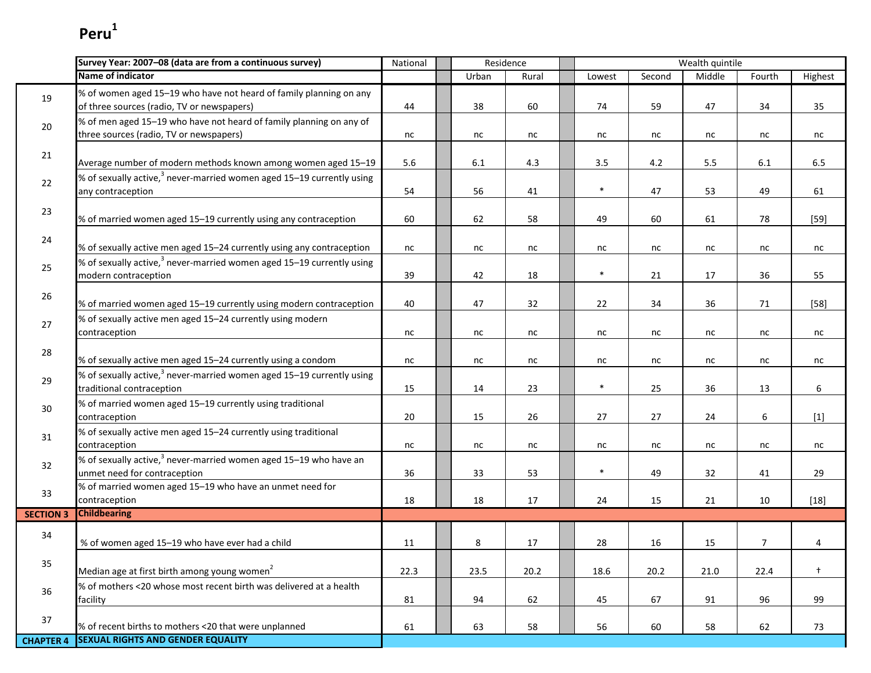|                  | Survey Year: 2007-08 (data are from a continuous survey)                                                          | National | Residence |       |        |        | Wealth quintile |                |            |
|------------------|-------------------------------------------------------------------------------------------------------------------|----------|-----------|-------|--------|--------|-----------------|----------------|------------|
|                  | Name of indicator                                                                                                 |          | Urban     | Rural | Lowest | Second | Middle          | Fourth         | Highest    |
| 19               | % of women aged 15-19 who have not heard of family planning on any<br>of three sources (radio, TV or newspapers)  | 44       | 38        | 60    | 74     | 59     | 47              | 34             | 35         |
| 20               | % of men aged 15-19 who have not heard of family planning on any of<br>three sources (radio, TV or newspapers)    | nc       | nc        | nc    | nc     | nc     | nc              | nc             | nc         |
| 21               | Average number of modern methods known among women aged 15-19                                                     | 5.6      | 6.1       | 4.3   | 3.5    | 4.2    | $5.5\,$         | $6.1\,$        | 6.5        |
| 22               | % of sexually active, $3$ never-married women aged 15–19 currently using<br>any contraception                     | 54       | 56        | 41    | $\ast$ | 47     | 53              | 49             | 61         |
| 23               | % of married women aged 15-19 currently using any contraception                                                   | 60       | 62        | 58    | 49     | 60     | 61              | 78             | $[59]$     |
| 24               | % of sexually active men aged 15-24 currently using any contraception                                             | nc       | nc        | nc    | nc     | nc     | nc              | nc             | nc         |
| 25               | % of sexually active, $3$ never-married women aged 15–19 currently using<br>modern contraception                  | 39       | 42        | 18    | $\ast$ | 21     | 17              | 36             | 55         |
| 26               | % of married women aged 15-19 currently using modern contraception                                                | 40       | 47        | 32    | 22     | 34     | 36              | 71             | $[58]$     |
| 27               | % of sexually active men aged 15-24 currently using modern<br>contraception                                       | nc       | nc        | nc    | nc     | nc     | nc              | nc             | nc         |
| 28               | % of sexually active men aged 15-24 currently using a condom                                                      | nc       | nc        | nc    | nc     | nc     | nc              | nc             | nc         |
| 29               | % of sexually active, <sup>3</sup> never-married women aged 15-19 currently using<br>traditional contraception    | 15       | 14        | 23    | $\ast$ | 25     | 36              | 13             | 6          |
| $30\,$           | % of married women aged 15-19 currently using traditional<br>contraception                                        | 20       | 15        | 26    | 27     | 27     | 24              | 6              | $[1]$      |
| 31               | % of sexually active men aged 15-24 currently using traditional<br>contraception                                  | nc       | nc        | nc    | nc     | nc     | nc              | nc             | nc         |
| 32               | $\frac{1}{2}$ of sexually active, $^3$ never-married women aged 15–19 who have an<br>unmet need for contraception | 36       | 33        | 53    | $\ast$ | 49     | 32              | 41             | 29         |
| 33               | % of married women aged 15-19 who have an unmet need for<br>contraception                                         | 18       | 18        | 17    | 24     | 15     | 21              | 10             | $[18]$     |
| <b>SECTION 3</b> | <b>Childbearing</b>                                                                                               |          |           |       |        |        |                 |                |            |
| 34               | % of women aged 15-19 who have ever had a child                                                                   | 11       | 8         | 17    | 28     | 16     | 15              | $\overline{7}$ | 4          |
| 35               | Median age at first birth among young women <sup>2</sup>                                                          | 22.3     | 23.5      | 20.2  | 18.6   | 20.2   | 21.0            | 22.4           | $\ddagger$ |
| 36               | % of mothers <20 whose most recent birth was delivered at a health<br>facility                                    | 81       | 94        | 62    | 45     | 67     | 91              | 96             | 99         |
| 37               | % of recent births to mothers <20 that were unplanned                                                             | 61       | 63        | 58    | 56     | 60     | 58              | 62             | 73         |
| <b>CHAPTER 4</b> | <b>SEXUAL RIGHTS AND GENDER EQUALITY</b>                                                                          |          |           |       |        |        |                 |                |            |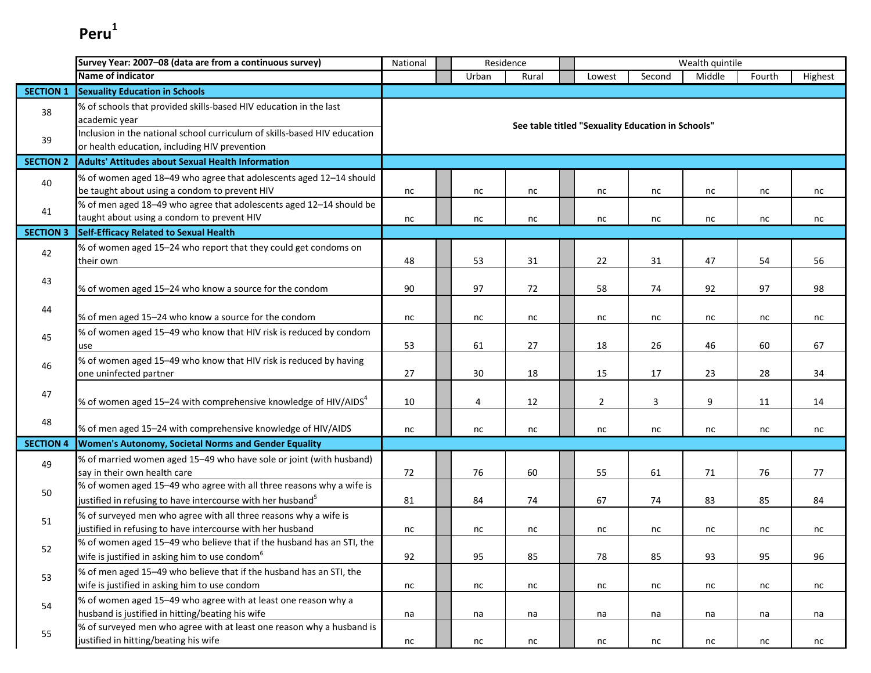|                  | Survey Year: 2007-08 (data are from a continuous survey)                                                                                        | Residence<br>Wealth quintile<br>National     |       |       |  |                                                   |        |        |        |         |  |
|------------------|-------------------------------------------------------------------------------------------------------------------------------------------------|----------------------------------------------|-------|-------|--|---------------------------------------------------|--------|--------|--------|---------|--|
|                  | <b>Name of indicator</b>                                                                                                                        |                                              | Urban | Rural |  | Lowest                                            | Second | Middle | Fourth | Highest |  |
| <b>SECTION 1</b> | <b>Sexuality Education in Schools</b>                                                                                                           |                                              |       |       |  |                                                   |        |        |        |         |  |
| 38               | % of schools that provided skills-based HIV education in the last<br>academic year                                                              |                                              |       |       |  | See table titled "Sexuality Education in Schools" |        |        |        |         |  |
| 39               | Inclusion in the national school curriculum of skills-based HIV education<br>or health education, including HIV prevention                      |                                              |       |       |  |                                                   |        |        |        |         |  |
| <b>SECTION 2</b> | <b>Adults' Attitudes about Sexual Health Information</b>                                                                                        |                                              |       |       |  |                                                   |        |        |        |         |  |
| 40               | % of women aged 18-49 who agree that adolescents aged 12-14 should<br>be taught about using a condom to prevent HIV                             | nc                                           | nc    | nc    |  | nc                                                | nc     | nc     | nc     | nc      |  |
| 41               | % of men aged 18-49 who agree that adolescents aged 12-14 should be<br>taught about using a condom to prevent HIV                               | nc                                           | nc    | nc    |  | nc                                                | nc     | nc     | nc     | nc      |  |
| <b>SECTION 3</b> | <b>Self-Efficacy Related to Sexual Health</b>                                                                                                   |                                              |       |       |  |                                                   |        |        |        |         |  |
| 42               | % of women aged 15-24 who report that they could get condoms on<br>their own                                                                    | 48                                           | 53    | 31    |  | 22                                                | 31     | 47     | 54     | 56      |  |
| 43               | % of women aged 15-24 who know a source for the condom                                                                                          | 90                                           | 97    | 72    |  | 58                                                | 74     | 92     | 97     | 98      |  |
| 44               | % of men aged 15-24 who know a source for the condom                                                                                            | nc                                           | nc    | nc    |  | nc                                                | nc     | nc     | nc     | nc      |  |
| 45               | % of women aged 15-49 who know that HIV risk is reduced by condom<br>use                                                                        | 53<br>26<br>60<br>67<br>61<br>27<br>18<br>46 |       |       |  |                                                   |        |        |        |         |  |
| 46               | % of women aged 15-49 who know that HIV risk is reduced by having<br>one uninfected partner                                                     | 27                                           | 30    | 18    |  | 15                                                | 17     | 23     | 28     | 34      |  |
| 47               | % of women aged 15–24 with comprehensive knowledge of HIV/AIDS $^4$                                                                             | 10                                           | 4     | 12    |  | $\overline{2}$                                    | 3      | 9      | 11     | 14      |  |
| 48               | % of men aged 15-24 with comprehensive knowledge of HIV/AIDS                                                                                    | nc                                           | nc    | nc    |  | nc                                                | nc     | nc     | nc     | nc      |  |
| <b>SECTION 4</b> | Women's Autonomy, Societal Norms and Gender Equality                                                                                            |                                              |       |       |  |                                                   |        |        |        |         |  |
| 49               | % of married women aged 15-49 who have sole or joint (with husband)<br>say in their own health care                                             | 72                                           | 76    | 60    |  | 55                                                | 61     | 71     | 76     | 77      |  |
| 50               | % of women aged 15-49 who agree with all three reasons why a wife is<br>justified in refusing to have intercourse with her husband <sup>5</sup> | 81                                           | 84    | 74    |  | 67                                                | 74     | 83     | 85     | 84      |  |
| 51               | % of surveyed men who agree with all three reasons why a wife is<br>justified in refusing to have intercourse with her husband                  | nc                                           | nc    | nc    |  | nc                                                | nc     | nc     | nc     | nc      |  |
| 52               | % of women aged 15-49 who believe that if the husband has an STI, the<br>wife is justified in asking him to use condom <sup>6</sup>             | 92                                           | 95    | 85    |  | 78                                                | 85     | 93     | 95     | 96      |  |
| 53               | % of men aged 15-49 who believe that if the husband has an STI, the<br>wife is justified in asking him to use condom                            | nc                                           | nc    | nc    |  | nc                                                | nc     | nc     | nc     | nc      |  |
| 54               | % of women aged 15-49 who agree with at least one reason why a<br>husband is justified in hitting/beating his wife                              | na                                           | na    | na    |  | na                                                | na     | na     | na     | na      |  |
| 55               | % of surveyed men who agree with at least one reason why a husband is<br>justified in hitting/beating his wife                                  | nc                                           | nc    | nc    |  | nc                                                | nc     | nc     | nc     | nc      |  |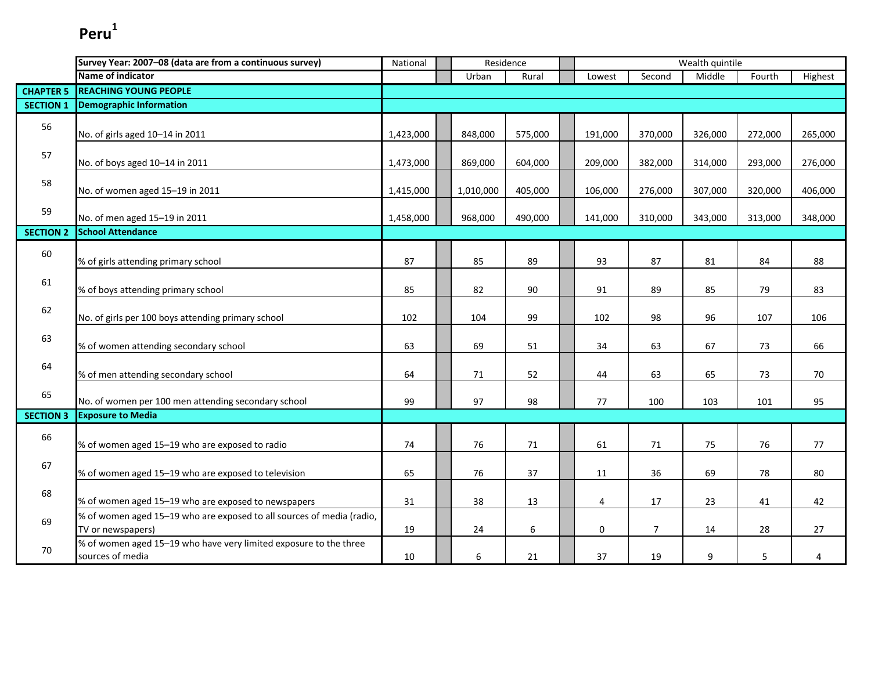|                  | Survey Year: 2007-08 (data are from a continuous survey)                                   | National  | Residence |         |         |                | Wealth quintile |         |         |
|------------------|--------------------------------------------------------------------------------------------|-----------|-----------|---------|---------|----------------|-----------------|---------|---------|
|                  | Name of indicator                                                                          |           | Urban     | Rural   | Lowest  | Second         | Middle          | Fourth  | Highest |
| <b>CHAPTER 5</b> | <b>REACHING YOUNG PEOPLE</b>                                                               |           |           |         |         |                |                 |         |         |
| <b>SECTION 1</b> | <b>Demographic Information</b>                                                             |           |           |         |         |                |                 |         |         |
| 56               | No. of girls aged 10-14 in 2011                                                            | 1,423,000 | 848,000   | 575,000 | 191,000 | 370,000        | 326,000         | 272,000 | 265,000 |
| 57               | No. of boys aged 10-14 in 2011                                                             | 1,473,000 | 869,000   | 604,000 | 209,000 | 382,000        | 314,000         | 293,000 | 276,000 |
| 58               | No. of women aged 15-19 in 2011                                                            | 1,415,000 | 1,010,000 | 405,000 | 106,000 | 276,000        | 307,000         | 320,000 | 406,000 |
| 59               | No. of men aged 15-19 in 2011                                                              | 1,458,000 | 968,000   | 490,000 | 141,000 | 310,000        | 343,000         | 313,000 | 348,000 |
| <b>SECTION 2</b> | <b>School Attendance</b>                                                                   |           |           |         |         |                |                 |         |         |
| 60               | % of girls attending primary school                                                        | 87        | 85        | 89      | 93      | 87             | 81              | 84      | 88      |
| 61               | % of boys attending primary school                                                         | 85        | 82        | 90      | 91      | 89             | 85              | 79      | 83      |
| 62               | No. of girls per 100 boys attending primary school                                         | 102       | 104       | 99      | 102     | 98             | 96              | 107     | 106     |
| 63               | % of women attending secondary school                                                      | 63        | 69        | 51      | 34      | 63             | 67              | 73      | 66      |
| 64               | % of men attending secondary school                                                        | 64        | 71        | 52      | 44      | 63             | 65              | 73      | 70      |
| 65               | No. of women per 100 men attending secondary school                                        | 99        | 97        | 98      | 77      | 100            | 103             | 101     | 95      |
| <b>SECTION 3</b> | <b>Exposure to Media</b>                                                                   |           |           |         |         |                |                 |         |         |
| 66               | % of women aged 15-19 who are exposed to radio                                             | 74        | 76        | 71      | 61      | 71             | 75              | 76      | 77      |
| 67               | % of women aged 15-19 who are exposed to television                                        | 65        | 76        | 37      | 11      | 36             | 69              | 78      | 80      |
| 68               | % of women aged 15-19 who are exposed to newspapers                                        | 31        | 38        | 13      | 4       | 17             | 23              | 41      | 42      |
| 69               | % of women aged 15-19 who are exposed to all sources of media (radio,<br>TV or newspapers) | 19        | 24        | 6       | 0       | $\overline{7}$ | 14              | 28      | 27      |
| 70               | % of women aged 15-19 who have very limited exposure to the three<br>sources of media      | 10        | 6         | 21      | 37      | 19             | 9               | 5       | 4       |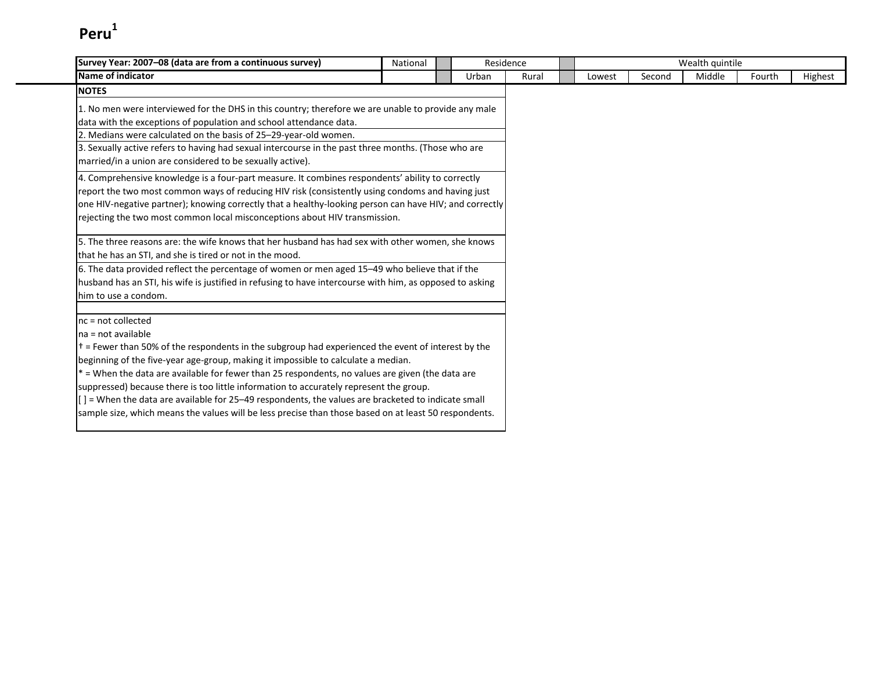| Survey Year: 2007-08 (data are from a continuous survey)                                                                                                                                                                                                                                                                                                                                                                                                                                                                                                                                                                                                                    | National                                                                                                                                                                                                                                                                                                       |       | Residence |        |        | Wealth quintile |        |         |
|-----------------------------------------------------------------------------------------------------------------------------------------------------------------------------------------------------------------------------------------------------------------------------------------------------------------------------------------------------------------------------------------------------------------------------------------------------------------------------------------------------------------------------------------------------------------------------------------------------------------------------------------------------------------------------|----------------------------------------------------------------------------------------------------------------------------------------------------------------------------------------------------------------------------------------------------------------------------------------------------------------|-------|-----------|--------|--------|-----------------|--------|---------|
| Name of indicator                                                                                                                                                                                                                                                                                                                                                                                                                                                                                                                                                                                                                                                           |                                                                                                                                                                                                                                                                                                                | Urban | Rural     | Lowest | Second | Middle          | Fourth | Highest |
| <b>NOTES</b>                                                                                                                                                                                                                                                                                                                                                                                                                                                                                                                                                                                                                                                                |                                                                                                                                                                                                                                                                                                                |       |           |        |        |                 |        |         |
| data with the exceptions of population and school attendance data.<br>2. Medians were calculated on the basis of 25-29-year-old women.<br>married/in a union are considered to be sexually active).                                                                                                                                                                                                                                                                                                                                                                                                                                                                         | 1. No men were interviewed for the DHS in this country; therefore we are unable to provide any male<br>3. Sexually active refers to having had sexual intercourse in the past three months. (Those who are<br>4. Comprehensive knowledge is a four-part measure. It combines respondents' ability to correctly |       |           |        |        |                 |        |         |
| report the two most common ways of reducing HIV risk (consistently using condoms and having just<br>one HIV-negative partner); knowing correctly that a healthy-looking person can have HIV; and correctly<br>rejecting the two most common local misconceptions about HIV transmission.                                                                                                                                                                                                                                                                                                                                                                                    |                                                                                                                                                                                                                                                                                                                |       |           |        |        |                 |        |         |
| 5. The three reasons are: the wife knows that her husband has had sex with other women, she knows<br>that he has an STI, and she is tired or not in the mood.                                                                                                                                                                                                                                                                                                                                                                                                                                                                                                               |                                                                                                                                                                                                                                                                                                                |       |           |        |        |                 |        |         |
| 6. The data provided reflect the percentage of women or men aged 15–49 who believe that if the<br>husband has an STI, his wife is justified in refusing to have intercourse with him, as opposed to asking<br>him to use a condom.                                                                                                                                                                                                                                                                                                                                                                                                                                          |                                                                                                                                                                                                                                                                                                                |       |           |        |        |                 |        |         |
| $nc = not collected$<br>Ina = not available<br>$\dagger$ = Fewer than 50% of the respondents in the subgroup had experienced the event of interest by the<br>beginning of the five-year age-group, making it impossible to calculate a median.<br>$*$ = When the data are available for fewer than 25 respondents, no values are given (the data are<br>suppressed) because there is too little information to accurately represent the group.<br>$\left[ \right]$ = When the data are available for 25–49 respondents, the values are bracketed to indicate small<br>sample size, which means the values will be less precise than those based on at least 50 respondents. |                                                                                                                                                                                                                                                                                                                |       |           |        |        |                 |        |         |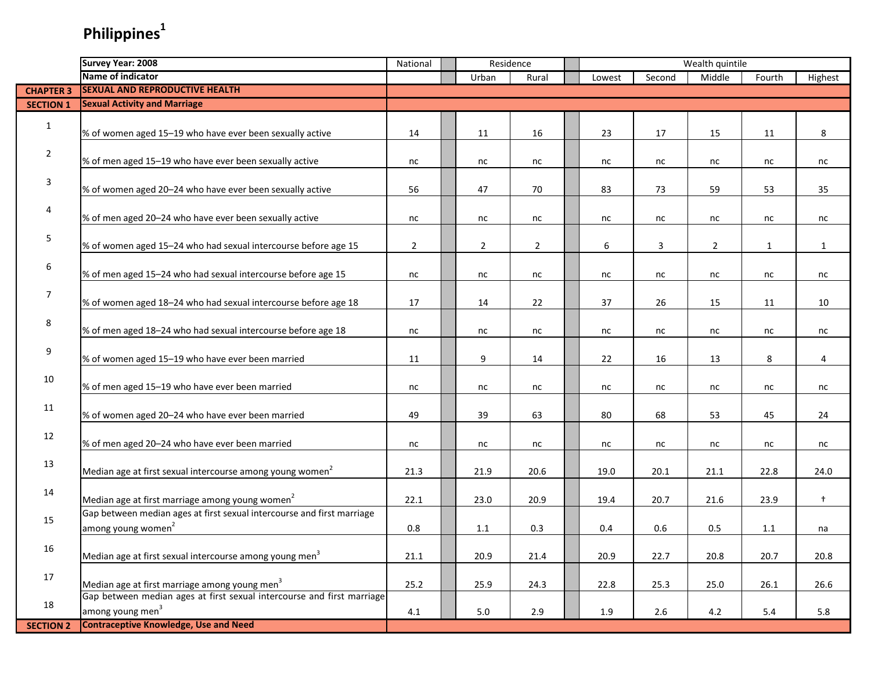# **Philippines<sup>1</sup>**

|                  | <b>Survey Year: 2008</b>                                               | National       |             | Residence      |        |        | Wealth quintile |              |              |
|------------------|------------------------------------------------------------------------|----------------|-------------|----------------|--------|--------|-----------------|--------------|--------------|
|                  | Name of indicator                                                      |                | Urban       | Rural          | Lowest | Second | Middle          | Fourth       | Highest      |
| <b>CHAPTER 3</b> | <b>SEXUAL AND REPRODUCTIVE HEALTH</b>                                  |                |             |                |        |        |                 |              |              |
| <b>SECTION 1</b> | <b>Sexual Activity and Marriage</b>                                    |                |             |                |        |        |                 |              |              |
|                  |                                                                        |                |             |                |        |        |                 |              |              |
| $\mathbf{1}$     | % of women aged 15-19 who have ever been sexually active               | 14             | 11          | 16             | 23     | 17     | 15              | 11           | 8            |
|                  |                                                                        |                |             |                |        |        |                 |              |              |
| $\overline{2}$   | % of men aged 15-19 who have ever been sexually active                 | nc             | nc          | nc             | nc     | nc     | nc              | nc           | nc           |
|                  |                                                                        |                |             |                |        |        |                 |              |              |
| 3                | % of women aged 20-24 who have ever been sexually active               | 56             | 47          | 70             | 83     | 73     | 59              | 53           | 35           |
|                  |                                                                        |                |             |                |        |        |                 |              |              |
| 4                | % of men aged 20-24 who have ever been sexually active                 | nc             | nc          | nc             | nc     | nc     | nc              | nc           | nc           |
|                  |                                                                        |                |             |                |        |        |                 |              |              |
| 5                | % of women aged 15-24 who had sexual intercourse before age 15         | $\overline{2}$ | $2^{\circ}$ | $\overline{2}$ | 6      | 3      | $\overline{2}$  | $\mathbf{1}$ | $\mathbf{1}$ |
|                  |                                                                        |                |             |                |        |        |                 |              |              |
| 6                | % of men aged 15-24 who had sexual intercourse before age 15           | nc             | nc          | nc             | nc     | nc     | nc              | nc           | nc           |
|                  |                                                                        |                |             |                |        |        |                 |              |              |
| 7                | % of women aged 18-24 who had sexual intercourse before age 18         | 17             | 14          | 22             | 37     | 26     | 15              | 11           | 10           |
|                  |                                                                        |                |             |                |        |        |                 |              |              |
| 8                |                                                                        |                |             |                |        |        |                 |              |              |
|                  | % of men aged 18-24 who had sexual intercourse before age 18           | nc             | nc          | nc             | nc     | nc     | nc              | nc           | nc           |
| 9                |                                                                        |                |             |                |        |        |                 |              |              |
|                  | % of women aged 15-19 who have ever been married                       | 11             | 9           | 14             | 22     | 16     | 13              | 8            | 4            |
| 10               |                                                                        |                |             |                |        |        |                 |              |              |
|                  | % of men aged 15-19 who have ever been married                         | nc             | nc          | nc             | nc     | nc     | nc              | nc           | nc           |
| 11               |                                                                        |                |             |                |        |        |                 |              |              |
|                  | % of women aged 20-24 who have ever been married                       | 49             | 39          | 63             | 80     | 68     | 53              | 45           | 24           |
| 12               |                                                                        |                |             |                |        |        |                 |              |              |
|                  | % of men aged 20-24 who have ever been married                         | nc             | nc          | nc             | nc     | nc     | nc              | nc           | nc           |
| 13               |                                                                        |                |             |                |        |        |                 |              |              |
|                  | Median age at first sexual intercourse among young women <sup>2</sup>  | 21.3           | 21.9        | 20.6           | 19.0   | 20.1   | 21.1            | 22.8         | 24.0         |
| 14               |                                                                        |                |             |                |        |        |                 |              |              |
|                  | Median age at first marriage among young women <sup>2</sup>            | 22.1           | 23.0        | 20.9           | 19.4   | 20.7   | 21.6            | 23.9         | $\ddagger$   |
| 15               | Gap between median ages at first sexual intercourse and first marriage |                |             |                |        |        |                 |              |              |
|                  | among young women <sup>2</sup>                                         | 0.8            | 1.1         | 0.3            | 0.4    | 0.6    | 0.5             | 1.1          | na           |
| 16               |                                                                        |                |             |                |        |        |                 |              |              |
|                  | Median age at first sexual intercourse among young men <sup>3</sup>    | 21.1           | 20.9        | 21.4           | 20.9   | 22.7   | 20.8            | 20.7         | 20.8         |
| 17               |                                                                        |                |             |                |        |        |                 |              |              |
|                  | Median age at first marriage among young men <sup>3</sup>              | 25.2           | 25.9        | 24.3           | 22.8   | 25.3   | 25.0            | 26.1         | 26.6         |
| 18               | Gap between median ages at first sexual intercourse and first marriage |                |             |                |        |        |                 |              |              |
|                  | among young men <sup>3</sup>                                           | 4.1            | 5.0         | 2.9            | 1.9    | 2.6    | 4.2             | $5.4\,$      | 5.8          |
| <b>SECTION 2</b> | <b>Contraceptive Knowledge, Use and Need</b>                           |                |             |                |        |        |                 |              |              |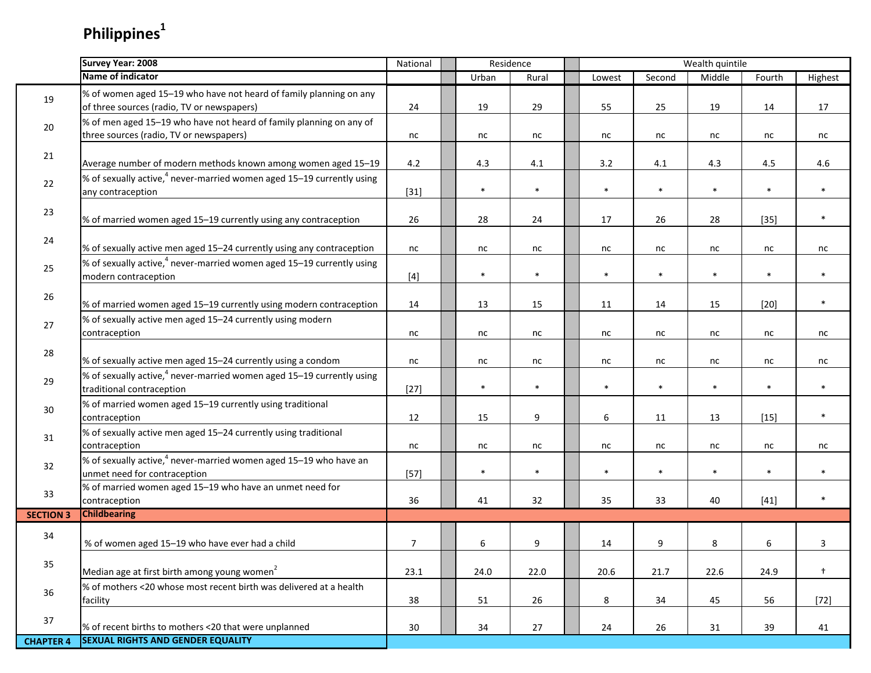# **Philippines<sup>1</sup>**

|                  | Survey Year: 2008                                                                                                | National        | Residence |        |        |        | Wealth quintile |        |         |
|------------------|------------------------------------------------------------------------------------------------------------------|-----------------|-----------|--------|--------|--------|-----------------|--------|---------|
|                  | <b>Name of indicator</b>                                                                                         |                 | Urban     | Rural  | Lowest | Second | Middle          | Fourth | Highest |
| 19               | % of women aged 15-19 who have not heard of family planning on any<br>of three sources (radio, TV or newspapers) | 24              | 19        | 29     | 55     | 25     | 19              | 14     | 17      |
| 20               | % of men aged 15-19 who have not heard of family planning on any of<br>three sources (radio, TV or newspapers)   | nc              | nc        | nc     | nc     | nc     | nc              | nc     | nc      |
| 21               | Average number of modern methods known among women aged 15-19                                                    | 4.2             | 4.3       | 4.1    | 3.2    | 4.1    | 4.3             | 4.5    | 4.6     |
| 22               | % of sexually active, <sup>4</sup> never-married women aged 15-19 currently using<br>any contraception           | $[31]$          | $\ast$    | $\ast$ | $\ast$ | $\ast$ | $\ast$          | $\ast$ | $\ast$  |
| 23               | % of married women aged 15-19 currently using any contraception                                                  | 26              | 28        | 24     | 17     | 26     | 28              | $[35]$ | $\ast$  |
| 24               | % of sexually active men aged 15-24 currently using any contraception                                            | nc              | nc        | nc     | nc     | nc     | nc              | nc     | nc      |
| 25               | % of sexually active, <sup>4</sup> never-married women aged 15-19 currently using<br>modern contraception        | $[4]$           | $\ast$    | $\ast$ | $\ast$ | $\ast$ | $\ast$          | $\ast$ | $\ast$  |
| 26               | % of married women aged 15-19 currently using modern contraception                                               | 14              | 13        | 15     | 11     | 14     | 15              | $[20]$ | $\ast$  |
| 27               | % of sexually active men aged 15-24 currently using modern<br>contraception                                      | nc              | nc        | nc     | nc     | nc     | nc              | nc     | nc      |
| 28               | % of sexually active men aged 15-24 currently using a condom                                                     | nc              | nc        | nc     | nc     | nc     | nc              | nc     | nc      |
| 29               | % of sexually active, <sup>4</sup> never-married women aged 15-19 currently using<br>traditional contraception   | $[27]$          | $\ast$    | $\ast$ | $\ast$ | $\ast$ | $\ast$          | $\ast$ | $\ast$  |
| 30               | % of married women aged 15-19 currently using traditional<br>contraception                                       | 12              | 15        | 9      | 6      | 11     | 13              | $[15]$ | $\ast$  |
| 31               | % of sexually active men aged 15-24 currently using traditional<br>contraception                                 | nc              | nc        | nc     | nc     | nc     | nc              | nc     | nc      |
| 32               | % of sexually active, <sup>4</sup> never-married women aged 15-19 who have an<br>unmet need for contraception    | $[57]$          | $\ast$    | $\ast$ | $\ast$ | $\ast$ | $\ast$          | $\ast$ | $\ast$  |
| 33               | % of married women aged 15-19 who have an unmet need for<br>contraception                                        | 36              | 41        | 32     | 35     | 33     | 40              | $[41]$ | $\ast$  |
| <b>SECTION 3</b> | <b>Childbearing</b>                                                                                              |                 |           |        |        |        |                 |        |         |
| 34               | % of women aged 15-19 who have ever had a child                                                                  | $\overline{7}$  | 6         | 9      | 14     | 9      | 8               | 6      | 3       |
| 35               | Median age at first birth among young women <sup>2</sup>                                                         | 23.1            | 24.0      | 22.0   | 20.6   | 21.7   | 22.6            | 24.9   | $+$     |
| 36               | % of mothers <20 whose most recent birth was delivered at a health<br>facility                                   | 38              | 51        | 26     | 8      | 34     | 45              | 56     | $[72]$  |
| 37               | % of recent births to mothers <20 that were unplanned                                                            | 30 <sup>°</sup> | 34        | 27     | 24     | 26     | 31              | 39     | 41      |
| <b>CHAPTER 4</b> | <b>SEXUAL RIGHTS AND GENDER EQUALITY</b>                                                                         |                 |           |        |        |        |                 |        |         |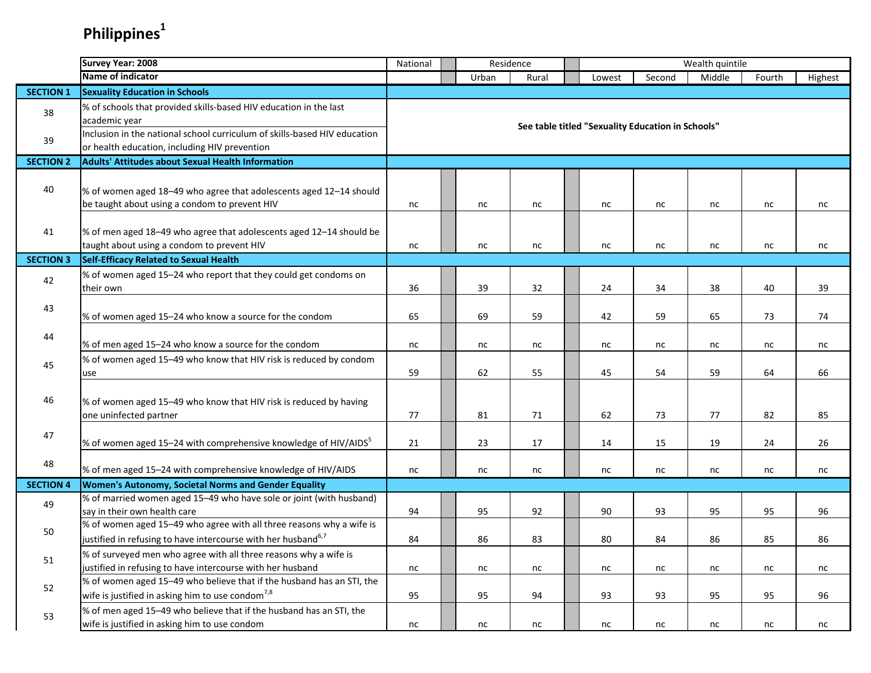# **Philippines<sup>1</sup>**

|                  | Survey Year: 2008                                                                                                                                 | National | Residence |                                                   |        |        | Wealth quintile |        |         |
|------------------|---------------------------------------------------------------------------------------------------------------------------------------------------|----------|-----------|---------------------------------------------------|--------|--------|-----------------|--------|---------|
|                  | Name of indicator                                                                                                                                 |          | Urban     | Rural                                             | Lowest | Second | Middle          | Fourth | Highest |
| <b>SECTION 1</b> | <b>Sexuality Education in Schools</b>                                                                                                             |          |           |                                                   |        |        |                 |        |         |
| 38               | % of schools that provided skills-based HIV education in the last<br>academic year                                                                |          |           | See table titled "Sexuality Education in Schools" |        |        |                 |        |         |
| 39               | Inclusion in the national school curriculum of skills-based HIV education<br>or health education, including HIV prevention                        |          |           |                                                   |        |        |                 |        |         |
| <b>SECTION 2</b> | <b>Adults' Attitudes about Sexual Health Information</b>                                                                                          |          |           |                                                   |        |        |                 |        |         |
| 40               | % of women aged 18-49 who agree that adolescents aged 12-14 should<br>be taught about using a condom to prevent HIV                               | nc       | nc        | nc                                                | nc     | nc     | nc              | nc     | nc      |
| 41               | % of men aged 18-49 who agree that adolescents aged 12-14 should be<br>taught about using a condom to prevent HIV                                 | nc       | nc        | nc                                                | nc     | nc     | nc              | nc     | nc      |
| <b>SECTION 3</b> | <b>Self-Efficacy Related to Sexual Health</b>                                                                                                     |          |           |                                                   |        |        |                 |        |         |
| 42               | % of women aged 15-24 who report that they could get condoms on<br>their own                                                                      | 36       | 39        | 32                                                | 24     | 34     | 38              | 40     | 39      |
| 43               | % of women aged 15–24 who know a source for the condom                                                                                            | 65       | 69        | 59                                                | 42     | 59     | 65              | 73     | 74      |
| 44               | % of men aged 15-24 who know a source for the condom                                                                                              | nc       | nc        | nc                                                | nc     | nc     | nc              | nc     | nc      |
| 45               | % of women aged 15-49 who know that HIV risk is reduced by condom<br>use                                                                          | 59       | 62        | 55                                                | 45     | 54     | 59              | 64     | 66      |
| 46               | % of women aged 15-49 who know that HIV risk is reduced by having<br>one uninfected partner                                                       | 77       | 81        | 71                                                | 62     | 73     | 77              | 82     | 85      |
| 47               | % of women aged 15–24 with comprehensive knowledge of HIV/AIDS <sup>5</sup>                                                                       | 21       | 23        | 17                                                | 14     | 15     | 19              | 24     | 26      |
| 48               | % of men aged 15-24 with comprehensive knowledge of HIV/AIDS                                                                                      | nc       | nc        | nc                                                | nc     | nc     | nc              | nc     | nc      |
| <b>SECTION 4</b> | Women's Autonomy, Societal Norms and Gender Equality                                                                                              |          |           |                                                   |        |        |                 |        |         |
| 49               | % of married women aged 15-49 who have sole or joint (with husband)<br>say in their own health care                                               | 94       | 95        | 92                                                | 90     | 93     | 95              | 95     | 96      |
| 50               | % of women aged 15-49 who agree with all three reasons why a wife is<br>justified in refusing to have intercourse with her husband <sup>6,7</sup> | 84       | 86        | 83                                                | 80     | 84     | 86              | 85     | 86      |
| 51               | % of surveyed men who agree with all three reasons why a wife is<br>justified in refusing to have intercourse with her husband                    | $\sf nc$ | nc        | nc                                                | nc     | nc     | nc              | nc     | nc      |
| 52               | % of women aged 15-49 who believe that if the husband has an STI, the<br>wife is justified in asking him to use condom <sup>7,8</sup>             | 95       | 95        | 94                                                | 93     | 93     | 95              | 95     | 96      |
| 53               | % of men aged 15-49 who believe that if the husband has an STI, the<br>wife is justified in asking him to use condom                              | nc       | nc        | nc                                                | nc     | nc     | nc              | nc     | nc      |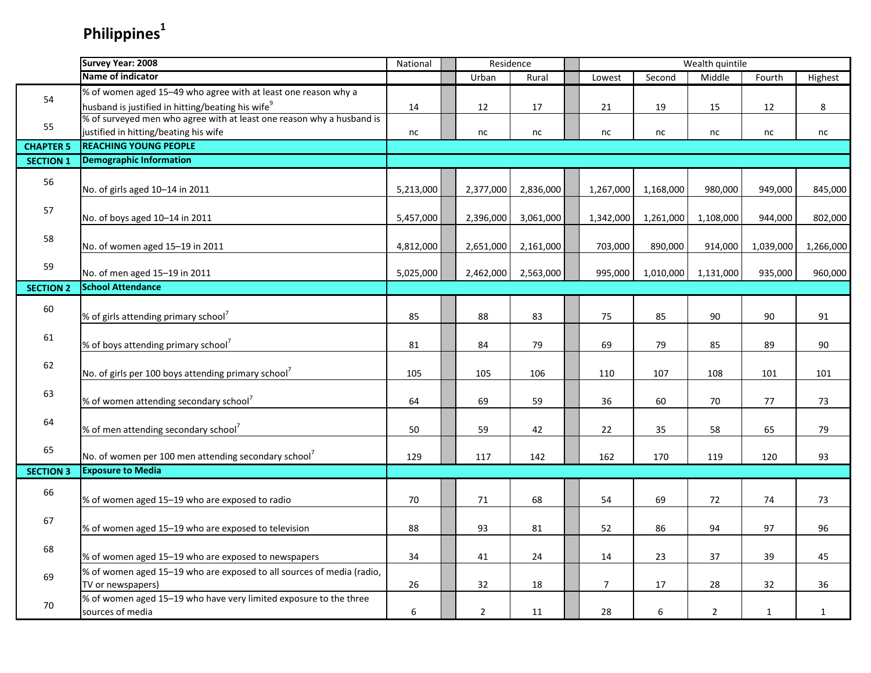# **Philippines<sup>1</sup>**

|                  | Survey Year: 2008                                                     | National  | Residence      |           |                |                  | Wealth quintile |              |              |
|------------------|-----------------------------------------------------------------------|-----------|----------------|-----------|----------------|------------------|-----------------|--------------|--------------|
|                  | <b>Name of indicator</b>                                              |           | Urban          | Rural     | Lowest         | Second           | Middle          | Fourth       | Highest      |
|                  | % of women aged 15-49 who agree with at least one reason why a        |           |                |           |                |                  |                 |              |              |
| 54               | husband is justified in hitting/beating his wife <sup>9</sup>         | 14        | 12             | 17        | 21             | 19               | 15              | 12           | 8            |
|                  | % of surveyed men who agree with at least one reason why a husband is |           |                |           |                |                  |                 |              |              |
| 55               | justified in hitting/beating his wife                                 | nc        | nc             | nc        | nc             | nc               | nc              | nc           | nc           |
| <b>CHAPTER 5</b> | <b>REACHING YOUNG PEOPLE</b>                                          |           |                |           |                |                  |                 |              |              |
| <b>SECTION 1</b> | <b>Demographic Information</b>                                        |           |                |           |                |                  |                 |              |              |
|                  |                                                                       |           |                |           |                |                  |                 |              |              |
| 56               | No. of girls aged 10-14 in 2011                                       | 5,213,000 | 2,377,000      | 2,836,000 | 1,267,000      | 1,168,000        | 980,000         | 949,000      | 845,000      |
|                  |                                                                       |           |                |           |                |                  |                 |              |              |
| 57               | No. of boys aged 10-14 in 2011                                        | 5,457,000 | 2,396,000      | 3,061,000 | 1,342,000      | 1,261,000        | 1,108,000       | 944,000      | 802,000      |
|                  |                                                                       |           |                |           |                |                  |                 |              |              |
| 58               | No. of women aged 15-19 in 2011                                       | 4,812,000 | 2,651,000      | 2,161,000 | 703,000        | 890,000          | 914,000         | 1,039,000    | 1,266,000    |
|                  |                                                                       |           |                |           |                |                  |                 |              |              |
| 59               | No. of men aged 15-19 in 2011                                         | 5,025,000 | 2,462,000      | 2,563,000 | 995,000        | 1,010,000        | 1,131,000       | 935,000      | 960,000      |
| <b>SECTION 2</b> | <b>School Attendance</b>                                              |           |                |           |                |                  |                 |              |              |
|                  |                                                                       |           |                |           |                |                  |                 |              |              |
| 60               | % of girls attending primary school <sup>7</sup>                      | 85        | 88             | 83        | 75             | 85               | 90              | 90           | 91           |
|                  |                                                                       |           |                |           |                |                  |                 |              |              |
| 61               | % of boys attending primary school <sup>7</sup>                       | 81        | 84             | 79        | 69             | 79               | 85              | 89           | 90           |
|                  |                                                                       |           |                |           |                |                  |                 |              |              |
| 62               |                                                                       |           |                |           |                |                  |                 |              |              |
|                  | No. of girls per 100 boys attending primary school <sup>7</sup>       | 105       | 105            | 106       | 110            | 107              | 108             | 101          | 101          |
| 63               |                                                                       |           |                |           |                |                  |                 |              |              |
|                  | % of women attending secondary school <sup>7</sup>                    | 64        | 69             | 59        | 36             | 60               | 70              | 77           | 73           |
| 64               |                                                                       |           |                |           |                |                  |                 |              |              |
|                  | % of men attending secondary school <sup>7</sup>                      | 50        | 59             | 42        | 22             | 35               | 58              | 65           | 79           |
| 65               |                                                                       |           |                |           |                |                  |                 |              |              |
|                  | No. of women per 100 men attending secondary school <sup>7</sup>      | 129       | 117            | 142       | 162            | 170              | 119             | 120          | 93           |
| <b>SECTION 3</b> | <b>Exposure to Media</b>                                              |           |                |           |                |                  |                 |              |              |
| 66               |                                                                       |           |                |           |                |                  |                 |              |              |
|                  | % of women aged 15-19 who are exposed to radio                        | 70        | 71             | 68        | 54             | 69               | 72              | 74           | 73           |
| 67               |                                                                       |           |                |           |                |                  |                 |              |              |
|                  | % of women aged 15-19 who are exposed to television                   | 88        | 93             | 81        | 52             | 86               | 94              | 97           | 96           |
| 68               |                                                                       |           |                |           |                |                  |                 |              |              |
|                  | % of women aged 15-19 who are exposed to newspapers                   | 34        | 41             | 24        | 14             | 23               | 37              | 39           | 45           |
| 69               | % of women aged 15-19 who are exposed to all sources of media (radio, |           |                |           |                |                  |                 |              |              |
|                  | TV or newspapers)                                                     | 26        | 32             | 18        | $\overline{7}$ | 17               | 28              | 32           | 36           |
| 70               | % of women aged 15-19 who have very limited exposure to the three     |           |                |           |                |                  |                 |              |              |
|                  | sources of media                                                      | 6         | $\overline{2}$ | 11        | 28             | $\boldsymbol{6}$ | $\overline{2}$  | $\mathbf{1}$ | $\mathbf{1}$ |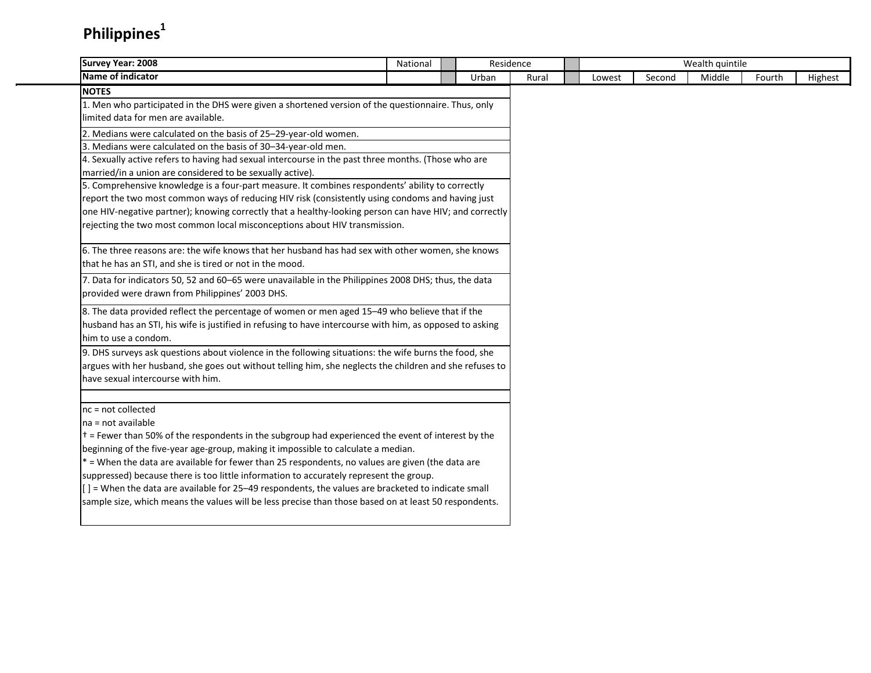## **Philippines<sup>1</sup>**

| <b>Survey Year: 2008</b>                                                                                         | National | Residence |       |        |        | Wealth quintile |        |         |
|------------------------------------------------------------------------------------------------------------------|----------|-----------|-------|--------|--------|-----------------|--------|---------|
| Name of indicator                                                                                                |          | Urban     | Rural | Lowest | Second | Middle          | Fourth | Highest |
| <b>NOTES</b>                                                                                                     |          |           |       |        |        |                 |        |         |
| 1. Men who participated in the DHS were given a shortened version of the questionnaire. Thus, only               |          |           |       |        |        |                 |        |         |
| llimited data for men are available.                                                                             |          |           |       |        |        |                 |        |         |
| 2. Medians were calculated on the basis of 25-29-year-old women.                                                 |          |           |       |        |        |                 |        |         |
| 3. Medians were calculated on the basis of 30-34-year-old men.                                                   |          |           |       |        |        |                 |        |         |
| 4. Sexually active refers to having had sexual intercourse in the past three months. (Those who are              |          |           |       |        |        |                 |        |         |
| married/in a union are considered to be sexually active).                                                        |          |           |       |        |        |                 |        |         |
| 5. Comprehensive knowledge is a four-part measure. It combines respondents' ability to correctly                 |          |           |       |        |        |                 |        |         |
| report the two most common ways of reducing HIV risk (consistently using condoms and having just                 |          |           |       |        |        |                 |        |         |
| one HIV-negative partner); knowing correctly that a healthy-looking person can have HIV; and correctly           |          |           |       |        |        |                 |        |         |
| rejecting the two most common local misconceptions about HIV transmission.                                       |          |           |       |        |        |                 |        |         |
| 6. The three reasons are: the wife knows that her husband has had sex with other women, she knows                |          |           |       |        |        |                 |        |         |
| that he has an STI, and she is tired or not in the mood.                                                         |          |           |       |        |        |                 |        |         |
| 7. Data for indicators 50, 52 and 60-65 were unavailable in the Philippines 2008 DHS; thus, the data             |          |           |       |        |        |                 |        |         |
| provided were drawn from Philippines' 2003 DHS.                                                                  |          |           |       |        |        |                 |        |         |
| 8. The data provided reflect the percentage of women or men aged 15-49 who believe that if the                   |          |           |       |        |        |                 |        |         |
| husband has an STI, his wife is justified in refusing to have intercourse with him, as opposed to asking         |          |           |       |        |        |                 |        |         |
| him to use a condom.                                                                                             |          |           |       |        |        |                 |        |         |
| 9. DHS surveys ask questions about violence in the following situations: the wife burns the food, she            |          |           |       |        |        |                 |        |         |
| argues with her husband, she goes out without telling him, she neglects the children and she refuses to          |          |           |       |        |        |                 |        |         |
| have sexual intercourse with him.                                                                                |          |           |       |        |        |                 |        |         |
| $nc = not collected$                                                                                             |          |           |       |        |        |                 |        |         |
| $na = not available$                                                                                             |          |           |       |        |        |                 |        |         |
| $\dagger$ = Fewer than 50% of the respondents in the subgroup had experienced the event of interest by the       |          |           |       |        |        |                 |        |         |
| beginning of the five-year age-group, making it impossible to calculate a median.                                |          |           |       |        |        |                 |        |         |
| $*$ = When the data are available for fewer than 25 respondents, no values are given (the data are               |          |           |       |        |        |                 |        |         |
| suppressed) because there is too little information to accurately represent the group.                           |          |           |       |        |        |                 |        |         |
| $\left[ \right]$ = When the data are available for 25–49 respondents, the values are bracketed to indicate small |          |           |       |        |        |                 |        |         |
| sample size, which means the values will be less precise than those based on at least 50 respondents.            |          |           |       |        |        |                 |        |         |
|                                                                                                                  |          |           |       |        |        |                 |        |         |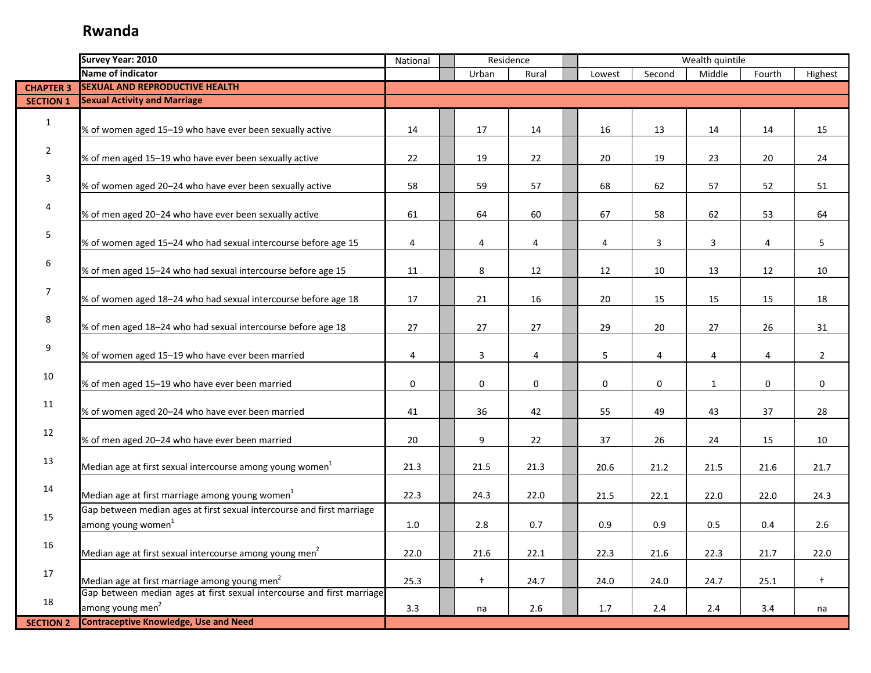|                  | Survey Year: 2010                                                                                        | National |       | Residence   |        |                | Wealth quintile |        |                |
|------------------|----------------------------------------------------------------------------------------------------------|----------|-------|-------------|--------|----------------|-----------------|--------|----------------|
|                  | Name of indicator                                                                                        |          | Urban | Rural       | Lowest | Second         | Middle          | Fourth | Highest        |
| <b>CHAPTER 3</b> | <b>SEXUAL AND REPRODUCTIVE HEALTH</b>                                                                    |          |       |             |        |                |                 |        |                |
| <b>SECTION 1</b> | <b>Sexual Activity and Marriage</b>                                                                      |          |       |             |        |                |                 |        |                |
| $\mathbf{1}$     | % of women aged 15-19 who have ever been sexually active                                                 | 14       | 17    | 14          | 16     | 13             | 14              | 14     | 15             |
|                  |                                                                                                          |          |       |             |        |                |                 |        |                |
| $\overline{2}$   | % of men aged 15-19 who have ever been sexually active                                                   | 22       | 19    | 22          | 20     | 19             | 23              | 20     | 24             |
| 3                | % of women aged 20-24 who have ever been sexually active                                                 | 58       | 59    | 57          | 68     | 62             | 57              | 52     | 51             |
| 4                | % of men aged 20-24 who have ever been sexually active                                                   | 61       | 64    | 60          | 67     | 58             | 62              | 53     | 64             |
| 5                | % of women aged 15-24 who had sexual intercourse before age 15                                           | 4        | 4     | 4           | 4      | $\overline{3}$ | 3               | 4      | 5              |
| 6                | % of men aged 15-24 who had sexual intercourse before age 15                                             | 11       | 8     | 12          | 12     | 10             | 13              | 12     | 10             |
| $\overline{7}$   | % of women aged 18-24 who had sexual intercourse before age 18                                           | 17       | 21    | 16          | 20     | 15             | 15              | 15     | 18             |
| 8                | % of men aged 18-24 who had sexual intercourse before age 18                                             | 27       | 27    | 27          | 29     | 20             | 27              | 26     | 31             |
| 9                | % of women aged 15-19 who have ever been married                                                         | 4        | 3     | 4           | 5      | 4              | 4               | 4      | $\overline{2}$ |
| 10               | % of men aged 15-19 who have ever been married                                                           | 0        | 0     | $\mathbf 0$ | 0      | 0              | 1               | 0      | $\mathbf 0$    |
| 11               | % of women aged 20-24 who have ever been married                                                         | 41       | 36    | 42          | 55     | 49             | 43              | 37     | 28             |
| 12               | % of men aged 20-24 who have ever been married                                                           | 20       | 9     | 22          | 37     | 26             | 24              | 15     | 10             |
| 13               | Median age at first sexual intercourse among young women <sup>1</sup>                                    | 21.3     | 21.5  | 21.3        | 20.6   | 21.2           | 21.5            | 21.6   | 21.7           |
| 14               | Median age at first marriage among young women $1$                                                       | 22.3     | 24.3  | 22.0        | 21.5   | 22.1           | 22.0            | 22.0   | 24.3           |
| 15               | Gap between median ages at first sexual intercourse and first marriage<br>among young women <sup>1</sup> | 1.0      | 2.8   | 0.7         | 0.9    | 0.9            | 0.5             | 0.4    | 2.6            |
| 16               | Median age at first sexual intercourse among young men <sup>2</sup>                                      | 22.0     | 21.6  | 22.1        | 22.3   | 21.6           | 22.3            | 21.7   | 22.0           |
| 17               | Median age at first marriage among young men <sup>2</sup>                                                | 25.3     | $+$   | 24.7        | 24.0   | 24.0           | 24.7            | 25.1   | $\ddagger$     |
| 18               | Gap between median ages at first sexual intercourse and first marriage<br>among young men <sup>2</sup>   | 3.3      | na    | 2.6         | 1.7    | 2.4            | 2.4             | 3.4    | na             |
| <b>SECTION 2</b> | <b>Contraceptive Knowledge, Use and Need</b>                                                             |          |       |             |        |                |                 |        |                |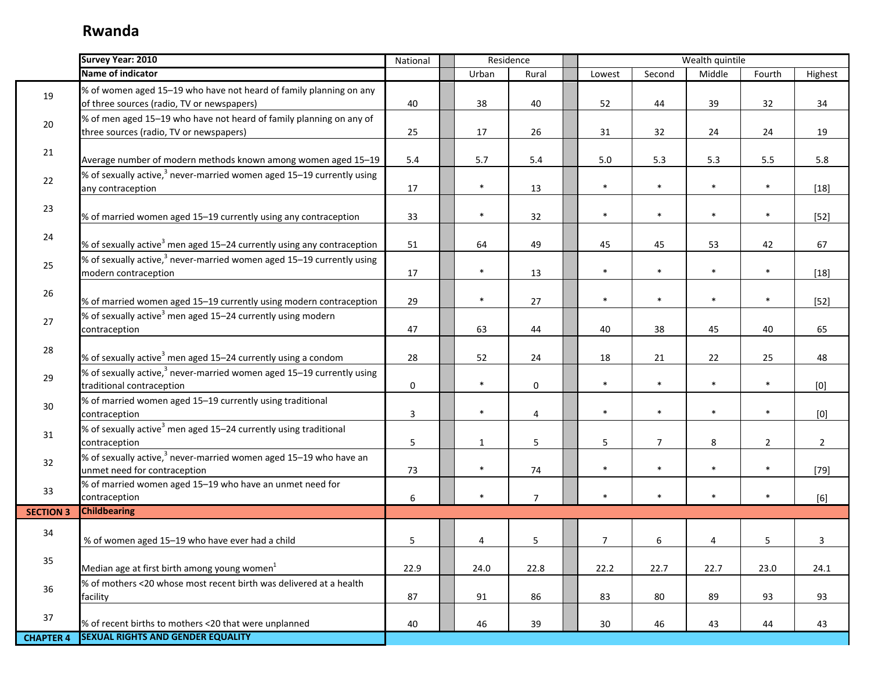|                  | Survey Year: 2010                                                                                                | National     | Residence    |                         |        |                | Wealth quintile |                |                |
|------------------|------------------------------------------------------------------------------------------------------------------|--------------|--------------|-------------------------|--------|----------------|-----------------|----------------|----------------|
|                  | Name of indicator                                                                                                |              | Urban        | Rural                   | Lowest | Second         | Middle          | Fourth         | Highest        |
| 19               | % of women aged 15-19 who have not heard of family planning on any<br>of three sources (radio, TV or newspapers) | 40           | 38           | 40                      | 52     | 44             | 39              | 32             | 34             |
| 20               | % of men aged 15-19 who have not heard of family planning on any of<br>three sources (radio, TV or newspapers)   | 25           | 17           | 26                      | 31     | 32             | 24              | 24             | 19             |
| 21               | Average number of modern methods known among women aged 15-19                                                    | 5.4          | 5.7          | 5.4                     | 5.0    | 5.3            | 5.3             | $5.5\,$        | 5.8            |
| 22               | $\%$ of sexually active, <sup>3</sup> never-married women aged 15–19 currently using<br>any contraception        | 17           | $\ast$       | 13                      | $\ast$ | $\ast$         | $\ast$          | $\ast$         | $[18]$         |
| 23               | % of married women aged 15-19 currently using any contraception                                                  | 33           | $\ast$       | 32                      | $\ast$ | $\ast$         | $\ast$          | $\ast$         | $[52]$         |
| 24               | % of sexually active <sup>3</sup> men aged 15–24 currently using any contraception                               | 51           | 64           | 49                      | 45     | 45             | 53              | 42             | 67             |
| 25               | % of sexually active, $3$ never-married women aged 15–19 currently using<br>modern contraception                 | 17           | $\ast$       | 13                      | $\ast$ | $\ast$         | $\ast$          | $\ast$         | $[18]$         |
| 26               | % of married women aged 15-19 currently using modern contraception                                               | 29           | $\ast$       | 27                      | $\ast$ | $\ast$         | $\ast$          | $\ast$         | $[52]$         |
| 27               | % of sexually active <sup>3</sup> men aged 15–24 currently using modern<br>contraception                         | 47           | 63           | 44                      | 40     | 38             | 45              | 40             | 65             |
| 28               | % of sexually active <sup>3</sup> men aged 15–24 currently using a condom                                        | 28           | 52           | 24                      | 18     | 21             | 22              | 25             | 48             |
| 29               | % of sexually active, <sup>3</sup> never-married women aged 15–19 currently using<br>traditional contraception   | $\pmb{0}$    | $\ast$       | $\mathsf{O}\phantom{0}$ | $\ast$ | $\ast$         | $\ast$          | $\ast$         | [0]            |
| 30               | % of married women aged 15-19 currently using traditional<br>contraception                                       | $\mathbf{3}$ | $\ast$       | 4                       | $\ast$ | $\ast$         | $\ast$          | $\ast$         | [0]            |
| 31               | % of sexually active <sup>3</sup> men aged 15–24 currently using traditional<br>contraception                    | 5            | $\mathbf{1}$ | 5                       | 5      | $\overline{7}$ | $\,8\,$         | $\overline{2}$ | $\overline{2}$ |
| 32               | % of sexually active, <sup>3</sup> never-married women aged 15-19 who have an<br>unmet need for contraception    | 73           | $\ast$       | 74                      | $\ast$ | $\ast$         | $\ast$          | $\ast$         | $[79]$         |
| 33               | % of married women aged 15-19 who have an unmet need for<br>contraception                                        | 6            | $\ast$       | $\overline{7}$          | $\ast$ | $\ast$         | $\ast$          | $\ast$         | $[6]$          |
| <b>SECTION 3</b> | <b>Childbearing</b>                                                                                              |              |              |                         |        |                |                 |                |                |
| 34               | % of women aged 15-19 who have ever had a child                                                                  | 5            | 4            | 5                       | 7      | 6              | 4               | 5              | 3              |
| 35               | Median age at first birth among young women $1$                                                                  | 22.9         | 24.0         | 22.8                    | 22.2   | 22.7           | 22.7            | 23.0           | 24.1           |
| 36               | % of mothers <20 whose most recent birth was delivered at a health<br>facility                                   | 87           | 91           | 86                      | 83     | 80             | 89              | 93             | 93             |
| 37               | % of recent births to mothers <20 that were unplanned                                                            | 40           | 46           | 39                      | 30     | 46             | 43              | 44             | 43             |
| <b>CHAPTER 4</b> | <b>SEXUAL RIGHTS AND GENDER EQUALITY</b>                                                                         |              |              |                         |        |                |                 |                |                |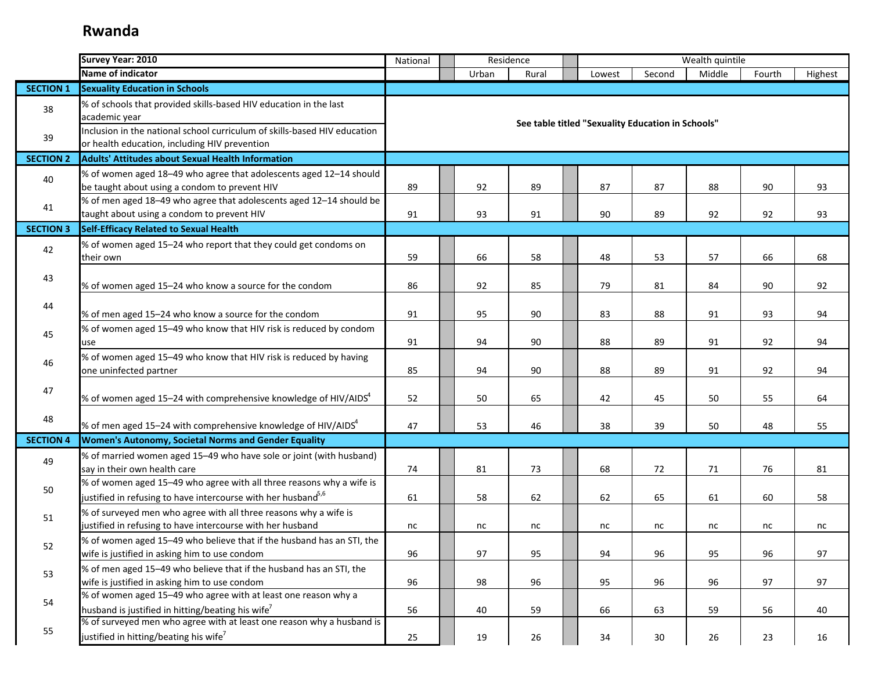|                  | Survey Year: 2010                                                                                                                                 | National |       | Residence |        |                                                   | Wealth quintile |          |         |
|------------------|---------------------------------------------------------------------------------------------------------------------------------------------------|----------|-------|-----------|--------|---------------------------------------------------|-----------------|----------|---------|
|                  | Name of indicator                                                                                                                                 |          | Urban | Rural     | Lowest | Second                                            | Middle          | Fourth   | Highest |
| <b>SECTION 1</b> | <b>Sexuality Education in Schools</b>                                                                                                             |          |       |           |        |                                                   |                 |          |         |
| 38               | % of schools that provided skills-based HIV education in the last<br>academic year                                                                |          |       |           |        | See table titled "Sexuality Education in Schools" |                 |          |         |
| 39               | Inclusion in the national school curriculum of skills-based HIV education<br>or health education, including HIV prevention                        |          |       |           |        |                                                   |                 |          |         |
| <b>SECTION 2</b> | <b>Adults' Attitudes about Sexual Health Information</b>                                                                                          |          |       |           |        |                                                   |                 |          |         |
| 40               | % of women aged 18-49 who agree that adolescents aged 12-14 should<br>be taught about using a condom to prevent HIV                               | 89       | 92    | 89        | 87     | 87                                                | 88              | 90       | 93      |
| 41               | % of men aged 18-49 who agree that adolescents aged 12-14 should be<br>taught about using a condom to prevent HIV                                 | 91       | 93    | 91        | 90     | 89                                                | 92              | 92       | 93      |
| <b>SECTION 3</b> | Self-Efficacy Related to Sexual Health                                                                                                            |          |       |           |        |                                                   |                 |          |         |
| 42               | % of women aged 15-24 who report that they could get condoms on<br>their own                                                                      | 59       | 66    | 58        | 48     | 53                                                | 57              | 66       | 68      |
| 43               | % of women aged 15-24 who know a source for the condom                                                                                            | 86       | 92    | 85        | 79     | 81                                                | 84              | 90       | 92      |
| 44               | % of men aged 15-24 who know a source for the condom                                                                                              | 91       | 95    | 90        | 83     | 88                                                | 91              | 93       | 94      |
| 45               | % of women aged 15-49 who know that HIV risk is reduced by condom<br>use                                                                          | 91       | 94    | 90        | 88     | 89                                                | 91              | 92       | 94      |
| 46               | % of women aged 15-49 who know that HIV risk is reduced by having<br>one uninfected partner                                                       | 85       | 94    | 90        | 88     | 89                                                | 91              | 92       | 94      |
| 47               | % of women aged 15–24 with comprehensive knowledge of HIV/AIDS $^4$                                                                               | 52       | 50    | 65        | 42     | 45                                                | 50              | 55       | 64      |
| 48               | % of men aged 15–24 with comprehensive knowledge of HIV/AIDS $4$                                                                                  | 47       | 53    | 46        | 38     | 39                                                | 50              | 48       | 55      |
| <b>SECTION 4</b> | Women's Autonomy, Societal Norms and Gender Equality                                                                                              |          |       |           |        |                                                   |                 |          |         |
| 49               | % of married women aged 15-49 who have sole or joint (with husband)<br>say in their own health care                                               | 74       | 81    | 73        | 68     | 72                                                | 71              | 76       | 81      |
| 50               | % of women aged 15-49 who agree with all three reasons why a wife is<br>justified in refusing to have intercourse with her husband <sup>5,6</sup> | 61       | 58    | 62        | 62     | 65                                                | 61              | 60       | 58      |
| 51               | % of surveyed men who agree with all three reasons why a wife is<br>justified in refusing to have intercourse with her husband                    | nc       | nc    | nc        | nc     | nc                                                | nc              | $\sf nc$ | nc      |
| 52               | % of women aged 15-49 who believe that if the husband has an STI, the<br>wife is justified in asking him to use condom                            | 96       | 97    | 95        | 94     | 96                                                | 95              | 96       | 97      |
| 53               | % of men aged 15-49 who believe that if the husband has an STI, the<br>wife is justified in asking him to use condom                              | 96       | 98    | 96        | 95     | 96                                                | 96              | 97       | 97      |
| 54               | % of women aged 15-49 who agree with at least one reason why a<br>husband is justified in hitting/beating his wife <sup>7</sup>                   | 56       | 40    | 59        | 66     | 63                                                | 59              | 56       | 40      |
| 55               | % of surveyed men who agree with at least one reason why a husband is<br>justified in hitting/beating his wife <sup>7</sup>                       | 25       | 19    | 26        | 34     | 30                                                | 26              | 23       | 16      |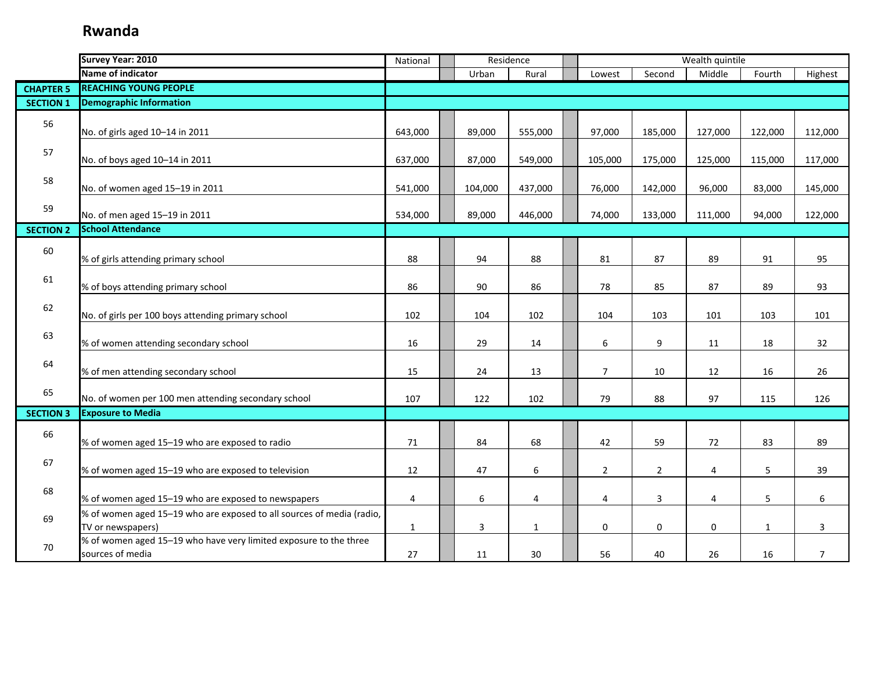|                  | Survey Year: 2010                                                                          | National     |         | Residence    |                |                | Wealth quintile |                 |                |
|------------------|--------------------------------------------------------------------------------------------|--------------|---------|--------------|----------------|----------------|-----------------|-----------------|----------------|
|                  | Name of indicator                                                                          |              | Urban   | Rural        | Lowest         | Second         | Middle          | Fourth          | Highest        |
| <b>CHAPTER 5</b> | <b>REACHING YOUNG PEOPLE</b>                                                               |              |         |              |                |                |                 |                 |                |
| <b>SECTION 1</b> | <b>Demographic Information</b>                                                             |              |         |              |                |                |                 |                 |                |
| 56               | No. of girls aged 10-14 in 2011                                                            | 643,000      | 89,000  | 555,000      | 97,000         | 185,000        | 127,000         | 122,000         | 112,000        |
| 57               | No. of boys aged 10-14 in 2011                                                             | 637,000      | 87,000  | 549,000      | 105,000        | 175,000        | 125,000         | 115,000         | 117,000        |
| 58               | No. of women aged 15-19 in 2011                                                            | 541,000      | 104,000 | 437,000      | 76,000         | 142,000        | 96,000          | 83,000          | 145,000        |
| 59               | No. of men aged 15-19 in 2011                                                              | 534,000      | 89,000  | 446,000      | 74,000         | 133,000        | 111,000         | 94,000          | 122,000        |
| <b>SECTION 2</b> | <b>School Attendance</b>                                                                   |              |         |              |                |                |                 |                 |                |
| 60               | % of girls attending primary school                                                        | 88           | 94      | 88           | 81             | 87             | 89              | 91              | 95             |
| 61               | % of boys attending primary school                                                         | 86           | 90      | 86           | 78             | 85             | 87              | 89              | 93             |
| 62               | No. of girls per 100 boys attending primary school                                         | 102          | 104     | 102          | 104            | 103            | 101             | 103             | 101            |
| 63               | % of women attending secondary school                                                      | 16           | 29      | 14           | 6              | 9              | 11              | 18              | 32             |
| 64               | % of men attending secondary school                                                        | 15           | 24      | 13           | $\overline{7}$ | 10             | 12              | 16              | 26             |
| 65               | No. of women per 100 men attending secondary school                                        | 107          | 122     | 102          | 79             | 88             | 97              | 115             | 126            |
| <b>SECTION 3</b> | <b>Exposure to Media</b>                                                                   |              |         |              |                |                |                 |                 |                |
| 66               | % of women aged 15-19 who are exposed to radio                                             | 71           | 84      | 68           | 42             | 59             | 72              | 83              | 89             |
| 67               | % of women aged 15-19 who are exposed to television                                        | 12           | 47      | 6            | $\overline{2}$ | $\overline{2}$ | $\overline{4}$  | $5\phantom{.0}$ | 39             |
| 68               | % of women aged 15-19 who are exposed to newspapers                                        | 4            | 6       | 4            | 4              | 3              | 4               | 5               | 6              |
| 69               | % of women aged 15-19 who are exposed to all sources of media (radio,<br>TV or newspapers) | $\mathbf{1}$ | 3       | $\mathbf{1}$ | 0              | 0              | 0               | $\mathbf{1}$    | 3              |
| 70               | % of women aged 15-19 who have very limited exposure to the three<br>sources of media      | 27           | 11      | 30           | 56             | 40             | 26              | 16              | $\overline{7}$ |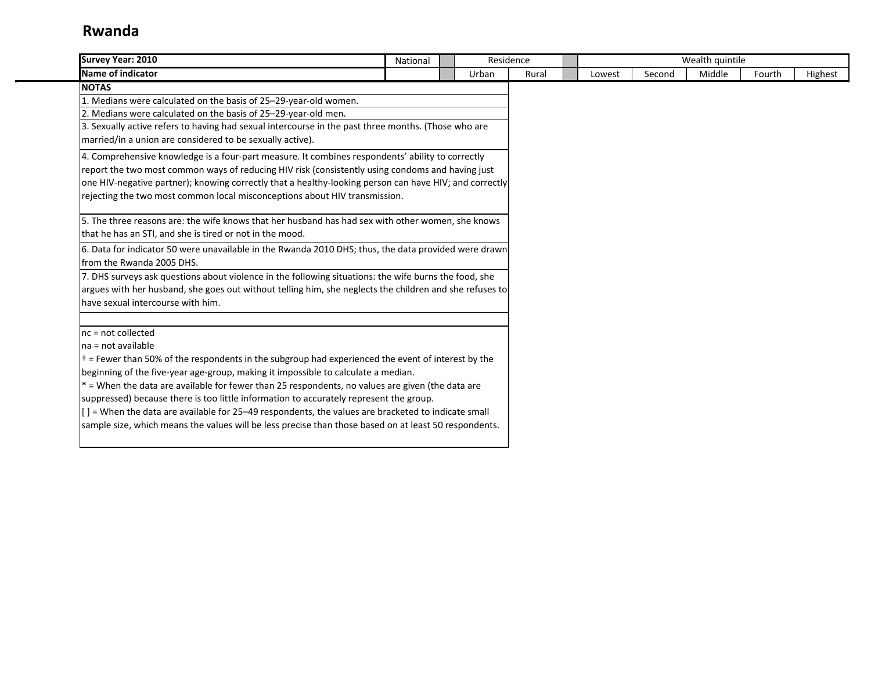| <b>Survey Year: 2010</b>                                                                                         | National | Residence |       |        |        | Wealth quintile |        |         |
|------------------------------------------------------------------------------------------------------------------|----------|-----------|-------|--------|--------|-----------------|--------|---------|
| Name of indicator                                                                                                |          | Urban     | Rural | Lowest | Second | Middle          | Fourth | Highest |
| <b>NOTAS</b>                                                                                                     |          |           |       |        |        |                 |        |         |
| 1. Medians were calculated on the basis of 25-29-year-old women.                                                 |          |           |       |        |        |                 |        |         |
| 2. Medians were calculated on the basis of 25-29-year-old men.                                                   |          |           |       |        |        |                 |        |         |
| 3. Sexually active refers to having had sexual intercourse in the past three months. (Those who are              |          |           |       |        |        |                 |        |         |
| married/in a union are considered to be sexually active).                                                        |          |           |       |        |        |                 |        |         |
| 4. Comprehensive knowledge is a four-part measure. It combines respondents' ability to correctly                 |          |           |       |        |        |                 |        |         |
| report the two most common ways of reducing HIV risk (consistently using condoms and having just                 |          |           |       |        |        |                 |        |         |
| one HIV-negative partner); knowing correctly that a healthy-looking person can have HIV; and correctly           |          |           |       |        |        |                 |        |         |
| rejecting the two most common local misconceptions about HIV transmission.                                       |          |           |       |        |        |                 |        |         |
| 5. The three reasons are: the wife knows that her husband has had sex with other women, she knows                |          |           |       |        |        |                 |        |         |
| that he has an STI, and she is tired or not in the mood.                                                         |          |           |       |        |        |                 |        |         |
| 6. Data for indicator 50 were unavailable in the Rwanda 2010 DHS; thus, the data provided were drawn             |          |           |       |        |        |                 |        |         |
| Ifrom the Rwanda 2005 DHS.                                                                                       |          |           |       |        |        |                 |        |         |
| 7. DHS surveys ask questions about violence in the following situations: the wife burns the food, she            |          |           |       |        |        |                 |        |         |
| argues with her husband, she goes out without telling him, she neglects the children and she refuses to          |          |           |       |        |        |                 |        |         |
| lhave sexual intercourse with him.                                                                               |          |           |       |        |        |                 |        |         |
| Inc = not collected                                                                                              |          |           |       |        |        |                 |        |         |
| Ina = not available                                                                                              |          |           |       |        |        |                 |        |         |
| $\uparrow$ = Fewer than 50% of the respondents in the subgroup had experienced the event of interest by the      |          |           |       |        |        |                 |        |         |
| beginning of the five-year age-group, making it impossible to calculate a median.                                |          |           |       |        |        |                 |        |         |
| * = When the data are available for fewer than 25 respondents, no values are given (the data are                 |          |           |       |        |        |                 |        |         |
| suppressed) because there is too little information to accurately represent the group.                           |          |           |       |        |        |                 |        |         |
| $\left[ \right]$ = When the data are available for 25–49 respondents, the values are bracketed to indicate small |          |           |       |        |        |                 |        |         |
| sample size, which means the values will be less precise than those based on at least 50 respondents.            |          |           |       |        |        |                 |        |         |
|                                                                                                                  |          |           |       |        |        |                 |        |         |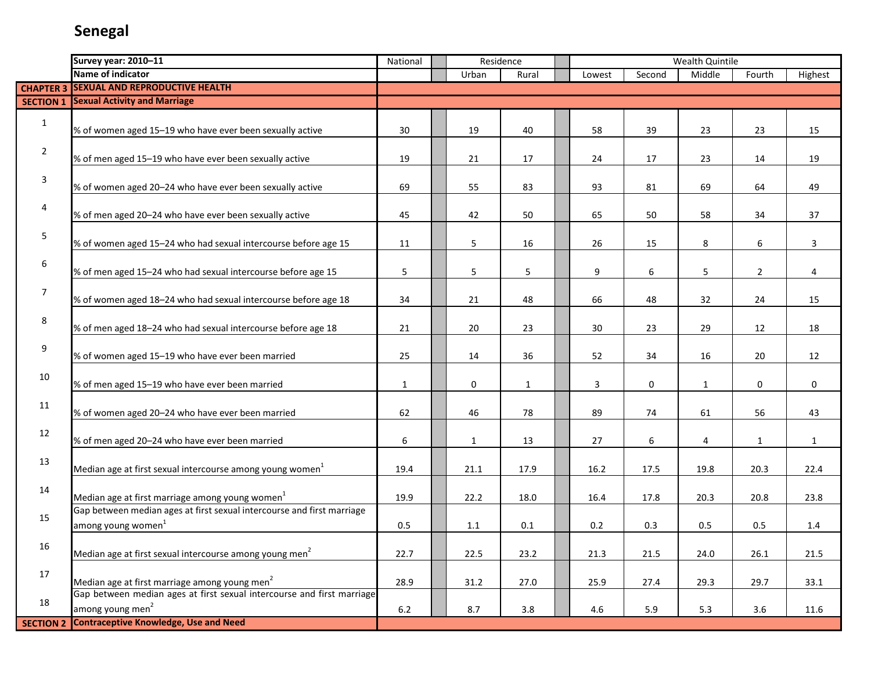|                  | Survey year: 2010-11                                                                                     | National     | Residence    |              |        |        | Wealth Quintile |                |              |
|------------------|----------------------------------------------------------------------------------------------------------|--------------|--------------|--------------|--------|--------|-----------------|----------------|--------------|
|                  | Name of indicator                                                                                        |              | Urban        | Rural        | Lowest | Second | Middle          | Fourth         | Highest      |
|                  | <b>CHAPTER 3 SEXUAL AND REPRODUCTIVE HEALTH</b>                                                          |              |              |              |        |        |                 |                |              |
|                  | <b>SECTION 1 Sexual Activity and Marriage</b>                                                            |              |              |              |        |        |                 |                |              |
| $\mathbf{1}$     | % of women aged 15-19 who have ever been sexually active                                                 | 30           | 19           | 40           | 58     | 39     | 23              | 23             | 15           |
| $\overline{2}$   | % of men aged 15-19 who have ever been sexually active                                                   | 19           | 21           | 17           | 24     | 17     | 23              | 14             | 19           |
| $\mathbf{3}$     | % of women aged 20-24 who have ever been sexually active                                                 | 69           | 55           | 83           | 93     | 81     | 69              | 64             | 49           |
| 4                | % of men aged 20-24 who have ever been sexually active                                                   | 45           | 42           | 50           | 65     | 50     | 58              | 34             | 37           |
| 5                | % of women aged 15-24 who had sexual intercourse before age 15                                           | 11           | 5            | 16           | 26     | 15     | 8               | 6              | $\mathbf{3}$ |
| 6                | % of men aged 15-24 who had sexual intercourse before age 15                                             | 5            | 5            | 5            | 9      | 6      | 5               | $\overline{2}$ | 4            |
| $\overline{7}$   | % of women aged 18-24 who had sexual intercourse before age 18                                           | 34           | 21           | 48           | 66     | 48     | 32              | 24             | 15           |
| 8                | % of men aged 18-24 who had sexual intercourse before age 18                                             | 21           | 20           | 23           | 30     | 23     | 29              | 12             | 18           |
| 9                | % of women aged 15-19 who have ever been married                                                         | 25           | 14           | 36           | 52     | 34     | 16              | 20             | 12           |
| 10               | % of men aged 15-19 who have ever been married                                                           | $\mathbf{1}$ | 0            | $\mathbf{1}$ | 3      | 0      | 1               | $\mathbf 0$    | $\mathbf 0$  |
| 11               | % of women aged 20-24 who have ever been married                                                         | 62           | 46           | 78           | 89     | 74     | 61              | 56             | 43           |
| 12               | % of men aged 20-24 who have ever been married                                                           | 6            | $\mathbf{1}$ | 13           | 27     | 6      | 4               | $\mathbf{1}$   | $\mathbf{1}$ |
| 13               | Median age at first sexual intercourse among young women <sup>1</sup>                                    | 19.4         | 21.1         | 17.9         | 16.2   | 17.5   | 19.8            | 20.3           | 22.4         |
| 14               | Median age at first marriage among young women <sup>1</sup>                                              | 19.9         | 22.2         | 18.0         | 16.4   | 17.8   | 20.3            | 20.8           | 23.8         |
| 15               | Gap between median ages at first sexual intercourse and first marriage<br>among young women <sup>1</sup> | 0.5          | 1.1          | 0.1          | 0.2    | 0.3    | 0.5             | 0.5            | 1.4          |
| 16               | Median age at first sexual intercourse among young men <sup>2</sup>                                      | 22.7         | 22.5         | 23.2         | 21.3   | 21.5   | 24.0            | 26.1           | 21.5         |
| 17               | Median age at first marriage among young men <sup>2</sup>                                                | 28.9         | 31.2         | 27.0         | 25.9   | 27.4   | 29.3            | 29.7           | 33.1         |
| 18               | Gap between median ages at first sexual intercourse and first marriage<br>among young men <sup>2</sup>   | 6.2          | 8.7          | $3.8\,$      | 4.6    | 5.9    | 5.3             | 3.6            | 11.6         |
| <b>SECTION 2</b> | <b>Contraceptive Knowledge, Use and Need</b>                                                             |              |              |              |        |        |                 |                |              |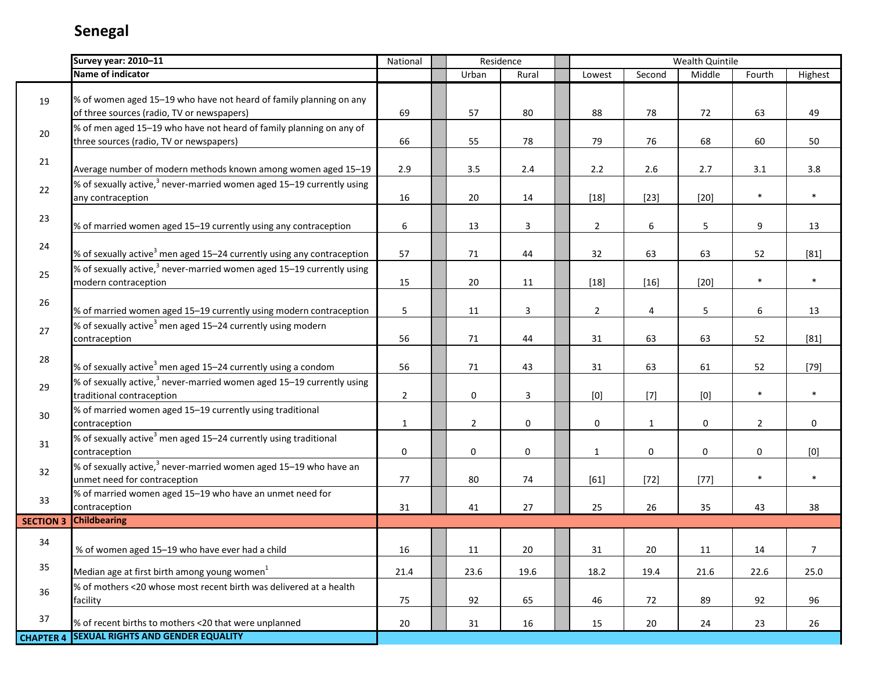|                  | Survey year: 2010-11                                                                                           | National        | Residence      |                         |                                                                                                                                                                                                                                                                                                                                                                                                                                                                                                                                                                                                                                                                                                                                                       |                  | Wealth Quintile                                                                                                                                                                                                                                                                                                                                                                                                                                                                                                                                                                                                                                                                                                                                      |                |         |
|------------------|----------------------------------------------------------------------------------------------------------------|-----------------|----------------|-------------------------|-------------------------------------------------------------------------------------------------------------------------------------------------------------------------------------------------------------------------------------------------------------------------------------------------------------------------------------------------------------------------------------------------------------------------------------------------------------------------------------------------------------------------------------------------------------------------------------------------------------------------------------------------------------------------------------------------------------------------------------------------------|------------------|------------------------------------------------------------------------------------------------------------------------------------------------------------------------------------------------------------------------------------------------------------------------------------------------------------------------------------------------------------------------------------------------------------------------------------------------------------------------------------------------------------------------------------------------------------------------------------------------------------------------------------------------------------------------------------------------------------------------------------------------------|----------------|---------|
|                  | Name of indicator                                                                                              |                 | Urban          | Rural                   | Lowest                                                                                                                                                                                                                                                                                                                                                                                                                                                                                                                                                                                                                                                                                                                                                | Second           | Middle                                                                                                                                                                                                                                                                                                                                                                                                                                                                                                                                                                                                                                                                                                                                               | Fourth         | Highest |
| 19               | % of women aged 15-19 who have not heard of family planning on any                                             |                 |                |                         |                                                                                                                                                                                                                                                                                                                                                                                                                                                                                                                                                                                                                                                                                                                                                       |                  |                                                                                                                                                                                                                                                                                                                                                                                                                                                                                                                                                                                                                                                                                                                                                      |                |         |
|                  | of three sources (radio, TV or newspapers)                                                                     | 69              | 57             | 80                      | 88                                                                                                                                                                                                                                                                                                                                                                                                                                                                                                                                                                                                                                                                                                                                                    | 78               | 72                                                                                                                                                                                                                                                                                                                                                                                                                                                                                                                                                                                                                                                                                                                                                   | 63             | 49      |
| 20               | % of men aged 15-19 who have not heard of family planning on any of<br>three sources (radio, TV or newspapers) | 66              | 55             | 78                      | 79                                                                                                                                                                                                                                                                                                                                                                                                                                                                                                                                                                                                                                                                                                                                                    | 76               | 68                                                                                                                                                                                                                                                                                                                                                                                                                                                                                                                                                                                                                                                                                                                                                   | 60             | 50      |
| 21               |                                                                                                                |                 |                |                         |                                                                                                                                                                                                                                                                                                                                                                                                                                                                                                                                                                                                                                                                                                                                                       |                  |                                                                                                                                                                                                                                                                                                                                                                                                                                                                                                                                                                                                                                                                                                                                                      |                |         |
|                  | Average number of modern methods known among women aged 15-19                                                  | 2.9             | 3.5            | $2.4$                   | $2.2$                                                                                                                                                                                                                                                                                                                                                                                                                                                                                                                                                                                                                                                                                                                                                 | 2.6              | 2.7                                                                                                                                                                                                                                                                                                                                                                                                                                                                                                                                                                                                                                                                                                                                                  | 3.1            | 3.8     |
| 22               | % of sexually active, <sup>3</sup> never-married women aged 15–19 currently using<br>any contraception         | 16              | 20             | 14                      | $[18]$                                                                                                                                                                                                                                                                                                                                                                                                                                                                                                                                                                                                                                                                                                                                                | $[23]$           | $[20]$                                                                                                                                                                                                                                                                                                                                                                                                                                                                                                                                                                                                                                                                                                                                               | $\ast$         | $\ast$  |
| 23               | % of married women aged 15-19 currently using any contraception                                                | $6\phantom{.}6$ | 13             | $\mathbf{3}$            | $\overline{2}$                                                                                                                                                                                                                                                                                                                                                                                                                                                                                                                                                                                                                                                                                                                                        | $\boldsymbol{6}$ | 5                                                                                                                                                                                                                                                                                                                                                                                                                                                                                                                                                                                                                                                                                                                                                    | $9\,$          | 13      |
| 24               | % of sexually active <sup>3</sup> men aged 15-24 currently using any contraception                             | 57              | 71             | 44                      | 32                                                                                                                                                                                                                                                                                                                                                                                                                                                                                                                                                                                                                                                                                                                                                    | 63               | 63                                                                                                                                                                                                                                                                                                                                                                                                                                                                                                                                                                                                                                                                                                                                                   | 52             | $[81]$  |
| 25               | % of sexually active, $^3$ never-married women aged 15–19 currently using<br>modern contraception              | 15              | 20             | 11                      | $[18]$                                                                                                                                                                                                                                                                                                                                                                                                                                                                                                                                                                                                                                                                                                                                                | $[16]$           | $[20]$                                                                                                                                                                                                                                                                                                                                                                                                                                                                                                                                                                                                                                                                                                                                               | $\ast$         | $\ast$  |
| 26               | % of married women aged 15-19 currently using modern contraception                                             | 5               | 11             | $\overline{\mathbf{3}}$ | $\overline{2}$                                                                                                                                                                                                                                                                                                                                                                                                                                                                                                                                                                                                                                                                                                                                        | $\overline{4}$   | 5                                                                                                                                                                                                                                                                                                                                                                                                                                                                                                                                                                                                                                                                                                                                                    | 6              | 13      |
| 27               | % of sexually active <sup>3</sup> men aged 15-24 currently using modern<br>contraception                       | 56              | 71             | 44                      | 31                                                                                                                                                                                                                                                                                                                                                                                                                                                                                                                                                                                                                                                                                                                                                    | 63               | 63                                                                                                                                                                                                                                                                                                                                                                                                                                                                                                                                                                                                                                                                                                                                                   | 52             | $[81]$  |
| 28               | % of sexually active <sup>3</sup> men aged 15-24 currently using a condom                                      | 56              | 71             | 43                      | 31                                                                                                                                                                                                                                                                                                                                                                                                                                                                                                                                                                                                                                                                                                                                                    | 63               | 61                                                                                                                                                                                                                                                                                                                                                                                                                                                                                                                                                                                                                                                                                                                                                   | 52             | $[79]$  |
| 29               | % of sexually active, $3$ never-married women aged 15–19 currently using<br>traditional contraception          | $\overline{2}$  | $\mathbf 0$    | 3                       | $[0] % \begin{center} % \includegraphics[width=\linewidth]{imagesSupplemental_3.png} % \end{center} % \caption { % Our method is used for the method. % Note that the \emph{exponent} is used for the method. % Note that the \emph{exponent} is used for the method. % Note that the \emph{exponent} is used for the method. % Note that the \emph{exponent} is used for the method. % Note that the \emph{exponent} is used for the method. % Note that the \emph{exportector} is used for the method. % Note that the \emph{exportector} is used for the method. % Note that the \emph{exportector} is used for the method. % Note that the \emph{exportector} is used for the method. % Note that the \emph{exportector} is used for the method.$ | $[7]$            | $[0] % \begin{center} % \includegraphics[width=\linewidth]{imagesSupplemental_3.png} % \end{center} % \caption { % Our method is used for the method. % Note that the \emph{exponent} is used for the method. % Note that the \emph{exponent} is used for the method. % Note that the \emph{exponent} is used for the method. % Note that the \emph{exponent} is used for the method. % Note that the \emph{exponent} is used for the method. % Note that the \emph{exponent} is used for the method. % Note that the \emph{exportector} is used for the method. % Note that the \emph{exportector} is used for the method. % Note that the \emph{exportector} is used for the method. % Note that the \emph{exportector} is used for the method. %$ | $\ast$         | $\ast$  |
| 30               | % of married women aged 15-19 currently using traditional<br>contraception                                     | $\mathbf{1}$    | $\overline{2}$ | 0                       | $\pmb{0}$                                                                                                                                                                                                                                                                                                                                                                                                                                                                                                                                                                                                                                                                                                                                             | $\mathbf{1}$     | 0                                                                                                                                                                                                                                                                                                                                                                                                                                                                                                                                                                                                                                                                                                                                                    | $\overline{2}$ | 0       |
| 31               | % of sexually active <sup>3</sup> men aged 15–24 currently using traditional<br>contraception                  | $\pmb{0}$       | 0              | $\pmb{0}$               | $\mathbf{1}$                                                                                                                                                                                                                                                                                                                                                                                                                                                                                                                                                                                                                                                                                                                                          | 0                | $\pmb{0}$                                                                                                                                                                                                                                                                                                                                                                                                                                                                                                                                                                                                                                                                                                                                            | $\mathbf 0$    | [0]     |
| 32               | % of sexually active, $^3$ never-married women aged 15–19 who have an<br>unmet need for contraception          | 77              | 80             | 74                      | $[61]$                                                                                                                                                                                                                                                                                                                                                                                                                                                                                                                                                                                                                                                                                                                                                | $[72]$           | $[77]$                                                                                                                                                                                                                                                                                                                                                                                                                                                                                                                                                                                                                                                                                                                                               | $\ast$         | $\ast$  |
| 33               | % of married women aged 15-19 who have an unmet need for<br>contraception                                      | 31              | 41             | 27                      | 25                                                                                                                                                                                                                                                                                                                                                                                                                                                                                                                                                                                                                                                                                                                                                    | 26               | 35                                                                                                                                                                                                                                                                                                                                                                                                                                                                                                                                                                                                                                                                                                                                                   | 43             | 38      |
| <b>SECTION 3</b> | <b>Childbearing</b>                                                                                            |                 |                |                         |                                                                                                                                                                                                                                                                                                                                                                                                                                                                                                                                                                                                                                                                                                                                                       |                  |                                                                                                                                                                                                                                                                                                                                                                                                                                                                                                                                                                                                                                                                                                                                                      |                |         |
| 34               | % of women aged 15-19 who have ever had a child                                                                | 16              | 11             | 20                      | 31                                                                                                                                                                                                                                                                                                                                                                                                                                                                                                                                                                                                                                                                                                                                                    | 20               | 11                                                                                                                                                                                                                                                                                                                                                                                                                                                                                                                                                                                                                                                                                                                                                   | 14             | 7       |
| 35               | Median age at first birth among young women <sup>1</sup>                                                       | 21.4            | 23.6           | 19.6                    | 18.2                                                                                                                                                                                                                                                                                                                                                                                                                                                                                                                                                                                                                                                                                                                                                  | 19.4             | 21.6                                                                                                                                                                                                                                                                                                                                                                                                                                                                                                                                                                                                                                                                                                                                                 | 22.6           | 25.0    |
| 36               | % of mothers <20 whose most recent birth was delivered at a health<br>facility                                 | 75              | 92             | 65                      | 46                                                                                                                                                                                                                                                                                                                                                                                                                                                                                                                                                                                                                                                                                                                                                    | 72               | 89                                                                                                                                                                                                                                                                                                                                                                                                                                                                                                                                                                                                                                                                                                                                                   | 92             | 96      |
| 37               | % of recent births to mothers <20 that were unplanned                                                          | 20              | 31             | 16                      | 15                                                                                                                                                                                                                                                                                                                                                                                                                                                                                                                                                                                                                                                                                                                                                    | 20               | 24                                                                                                                                                                                                                                                                                                                                                                                                                                                                                                                                                                                                                                                                                                                                                   | 23             | 26      |
| <b>CHAPTER 4</b> | <b>SEXUAL RIGHTS AND GENDER EQUALITY</b>                                                                       |                 |                |                         |                                                                                                                                                                                                                                                                                                                                                                                                                                                                                                                                                                                                                                                                                                                                                       |                  |                                                                                                                                                                                                                                                                                                                                                                                                                                                                                                                                                                                                                                                                                                                                                      |                |         |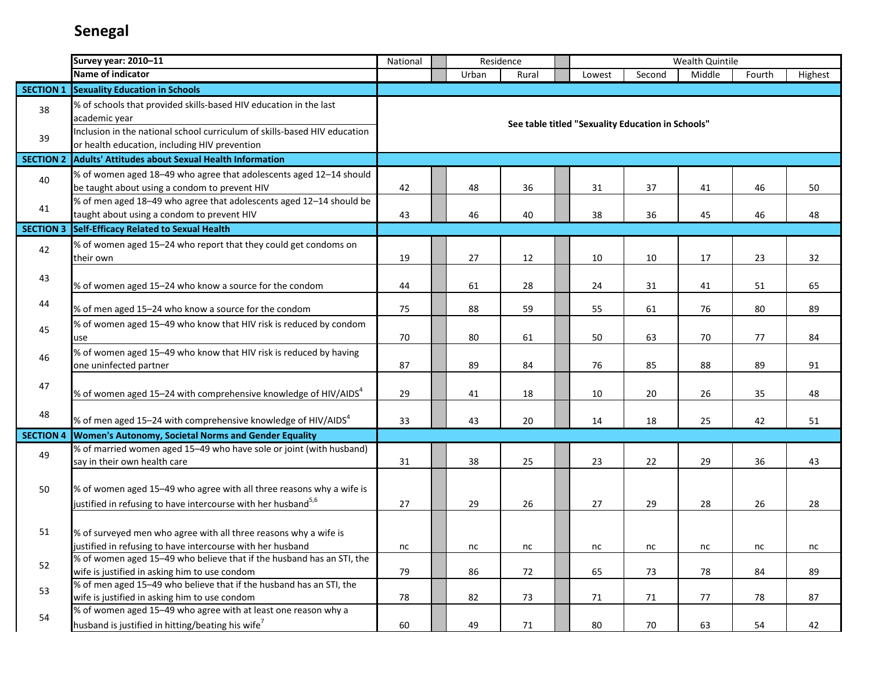|                  | <b>Survey year: 2010-11</b>                                                                                                                       | National |       | Residence |                                                   |        | Wealth Quintile |        |         |
|------------------|---------------------------------------------------------------------------------------------------------------------------------------------------|----------|-------|-----------|---------------------------------------------------|--------|-----------------|--------|---------|
|                  | Name of indicator                                                                                                                                 |          | Urban | Rural     | Lowest                                            | Second | Middle          | Fourth | Highest |
| <b>SECTION 1</b> | <b>Sexuality Education in Schools</b>                                                                                                             |          |       |           |                                                   |        |                 |        |         |
| 38               | % of schools that provided skills-based HIV education in the last<br>academic year                                                                |          |       |           | See table titled "Sexuality Education in Schools" |        |                 |        |         |
| 39               | Inclusion in the national school curriculum of skills-based HIV education<br>or health education, including HIV prevention                        |          |       |           |                                                   |        |                 |        |         |
| <b>SECTION 2</b> | <b>Adults' Attitudes about Sexual Health Information</b>                                                                                          |          |       |           |                                                   |        |                 |        |         |
| 40               | % of women aged 18-49 who agree that adolescents aged 12-14 should<br>be taught about using a condom to prevent HIV                               | 42       | 48    | 36        | 31                                                | 37     | 41              | 46     | 50      |
| 41               | % of men aged 18-49 who agree that adolescents aged 12-14 should be<br>taught about using a condom to prevent HIV                                 | 43       | 46    | 40        | 38                                                | 36     | 45              | 46     | 48      |
| <b>SECTION 3</b> | Self-Efficacy Related to Sexual Health                                                                                                            |          |       |           |                                                   |        |                 |        |         |
| 42               | % of women aged 15-24 who report that they could get condoms on<br>their own                                                                      | 19       | 27    | 12        | 10                                                | 10     | 17              | 23     | 32      |
| 43               | % of women aged 15-24 who know a source for the condom                                                                                            | 44       | 61    | 28        | 24                                                | 31     | 41              | 51     | 65      |
| 44               | % of men aged 15-24 who know a source for the condom                                                                                              | 75       | 88    | 59        | 55                                                | 61     | 76              | 80     | 89      |
| 45               | % of women aged 15-49 who know that HIV risk is reduced by condom<br>use                                                                          | 70       | 80    | 61        | 50                                                | 63     | 70              | 77     | 84      |
| 46               | % of women aged 15-49 who know that HIV risk is reduced by having<br>one uninfected partner                                                       | 87       | 89    | 84        | 76                                                | 85     | 88              | 89     | 91      |
| 47               | % of women aged 15–24 with comprehensive knowledge of HIV/AIDS $4$                                                                                | 29       | 41    | 18        | 10                                                | 20     | 26              | 35     | 48      |
| 48               | % of men aged 15–24 with comprehensive knowledge of HIV/AIDS $4$                                                                                  | 33       | 43    | 20        | 14                                                | 18     | 25              | 42     | 51      |
| <b>SECTION 4</b> | Women's Autonomy, Societal Norms and Gender Equality                                                                                              |          |       |           |                                                   |        |                 |        |         |
| 49               | % of married women aged 15-49 who have sole or joint (with husband)<br>say in their own health care                                               | 31       | 38    | 25        | 23                                                | 22     | 29              | 36     | 43      |
| 50               | % of women aged 15-49 who agree with all three reasons why a wife is<br>justified in refusing to have intercourse with her husband <sup>5,6</sup> | 27       | 29    | 26        | 27                                                | 29     | 28              | 26     | 28      |
| 51               | % of surveyed men who agree with all three reasons why a wife is<br>justified in refusing to have intercourse with her husband                    | nc       | nc    | nc        | nc                                                | nc     | nc              | nc     | nc      |
| 52               | % of women aged 15-49 who believe that if the husband has an STI, the<br>wife is justified in asking him to use condom                            | 79       | 86    | 72        | 65                                                | 73     | 78              | 84     | 89      |
| 53               | % of men aged 15-49 who believe that if the husband has an STI, the<br>wife is justified in asking him to use condom                              | 78       | 82    | 73        | 71                                                | 71     | 77              | 78     | 87      |
| 54               | % of women aged 15-49 who agree with at least one reason why a<br>husband is justified in hitting/beating his wife <sup>7</sup>                   | 60       | 49    | 71        | 80                                                | 70     | 63              | 54     | 42      |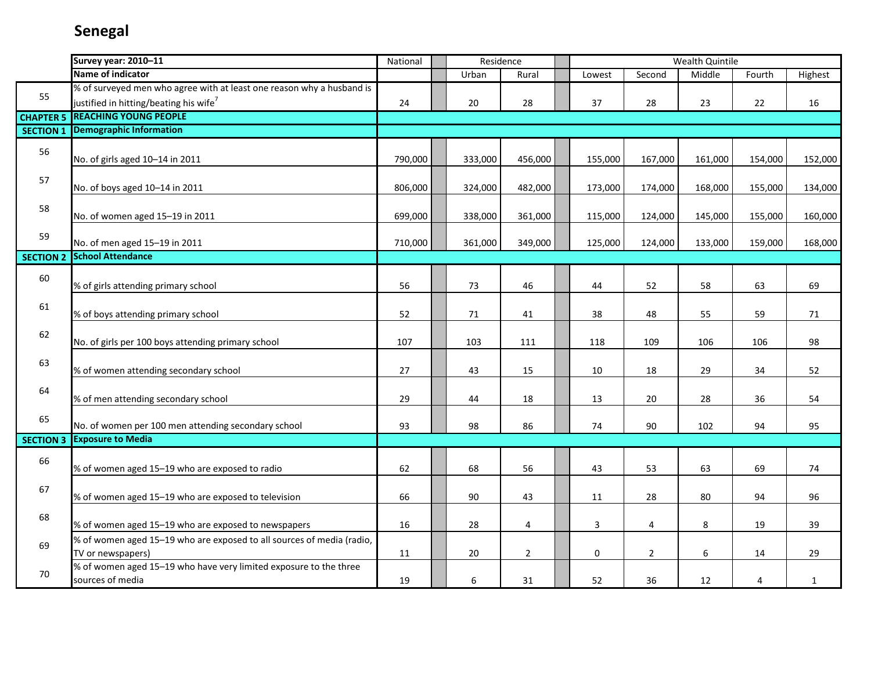| Name of indicator<br>Middle<br>Urban<br>Second<br>Fourth<br>Highest<br>Rural<br>Lowest<br>% of surveyed men who agree with at least one reason why a husband is<br>55<br>justified in hitting/beating his wife <sup>7</sup><br>20<br>37<br>24<br>28<br>28<br>23<br>22<br>16<br><b>REACHING YOUNG PEOPLE</b><br><b>CHAPTER 5</b><br>Demographic Information<br><b>SECTION 1</b><br>56<br>No. of girls aged 10-14 in 2011<br>790,000<br>333,000<br>456,000<br>155,000<br>167,000<br>161,000<br>154,000<br>57<br>No. of boys aged 10-14 in 2011<br>806,000<br>324,000<br>482,000<br>173,000<br>174,000<br>168,000<br>155,000<br>58<br>No. of women aged 15-19 in 2011<br>699,000<br>338,000<br>361,000<br>115,000<br>124,000<br>145,000<br>155,000<br>160,000<br>59<br>No. of men aged 15-19 in 2011<br>710,000<br>361,000<br>349,000<br>125,000<br>124,000<br>133,000<br>159,000<br>168,000<br><b>School Attendance</b><br><b>SECTION 2</b><br>60<br>% of girls attending primary school<br>56<br>73<br>46<br>52<br>58<br>63<br>69<br>44<br>61<br>% of boys attending primary school<br>52<br>71<br>41<br>38<br>48<br>55<br>59<br>71<br>62<br>107<br>98<br>No. of girls per 100 boys attending primary school<br>103<br>111<br>118<br>109<br>106<br>106<br>63<br>27<br>43<br>% of women attending secondary school<br>15<br>10<br>18<br>29<br>34<br>52<br>64<br>% of men attending secondary school<br>29<br>44<br>18<br>13<br>20<br>28<br>36<br>54<br>65<br>No. of women per 100 men attending secondary school<br>93<br>98<br>86<br>74<br>90<br>102<br>94<br>95<br><b>Exposure to Media</b><br><b>SECTION 3</b><br>66<br>% of women aged 15-19 who are exposed to radio<br>62<br>68<br>56<br>53<br>63<br>69<br>43<br>74<br>67<br>% of women aged 15-19 who are exposed to television<br>90<br>80<br>96<br>66<br>43<br>28<br>94<br>11<br>68<br>% of women aged 15-19 who are exposed to newspapers<br>16<br>28<br>$\overline{4}$<br>$\mathbf{3}$<br>4<br>8<br>19<br>39<br>% of women aged 15-19 who are exposed to all sources of media (radio,<br>69<br>$\overline{2}$<br>6<br>TV or newspapers)<br>20<br>0<br>$\overline{2}$<br>11<br>14<br>29<br>% of women aged 15-19 who have very limited exposure to the three<br>70 | Survey year: 2010-11 | National | Residence |    |    |    | Wealth Quintile |   |              |
|----------------------------------------------------------------------------------------------------------------------------------------------------------------------------------------------------------------------------------------------------------------------------------------------------------------------------------------------------------------------------------------------------------------------------------------------------------------------------------------------------------------------------------------------------------------------------------------------------------------------------------------------------------------------------------------------------------------------------------------------------------------------------------------------------------------------------------------------------------------------------------------------------------------------------------------------------------------------------------------------------------------------------------------------------------------------------------------------------------------------------------------------------------------------------------------------------------------------------------------------------------------------------------------------------------------------------------------------------------------------------------------------------------------------------------------------------------------------------------------------------------------------------------------------------------------------------------------------------------------------------------------------------------------------------------------------------------------------------------------------------------------------------------------------------------------------------------------------------------------------------------------------------------------------------------------------------------------------------------------------------------------------------------------------------------------------------------------------------------------------------------------------------------------------------------------------------------------------------|----------------------|----------|-----------|----|----|----|-----------------|---|--------------|
|                                                                                                                                                                                                                                                                                                                                                                                                                                                                                                                                                                                                                                                                                                                                                                                                                                                                                                                                                                                                                                                                                                                                                                                                                                                                                                                                                                                                                                                                                                                                                                                                                                                                                                                                                                                                                                                                                                                                                                                                                                                                                                                                                                                                                            |                      |          |           |    |    |    |                 |   |              |
|                                                                                                                                                                                                                                                                                                                                                                                                                                                                                                                                                                                                                                                                                                                                                                                                                                                                                                                                                                                                                                                                                                                                                                                                                                                                                                                                                                                                                                                                                                                                                                                                                                                                                                                                                                                                                                                                                                                                                                                                                                                                                                                                                                                                                            |                      |          |           |    |    |    |                 |   |              |
|                                                                                                                                                                                                                                                                                                                                                                                                                                                                                                                                                                                                                                                                                                                                                                                                                                                                                                                                                                                                                                                                                                                                                                                                                                                                                                                                                                                                                                                                                                                                                                                                                                                                                                                                                                                                                                                                                                                                                                                                                                                                                                                                                                                                                            |                      |          |           |    |    |    |                 |   |              |
|                                                                                                                                                                                                                                                                                                                                                                                                                                                                                                                                                                                                                                                                                                                                                                                                                                                                                                                                                                                                                                                                                                                                                                                                                                                                                                                                                                                                                                                                                                                                                                                                                                                                                                                                                                                                                                                                                                                                                                                                                                                                                                                                                                                                                            |                      |          |           |    |    |    |                 |   |              |
|                                                                                                                                                                                                                                                                                                                                                                                                                                                                                                                                                                                                                                                                                                                                                                                                                                                                                                                                                                                                                                                                                                                                                                                                                                                                                                                                                                                                                                                                                                                                                                                                                                                                                                                                                                                                                                                                                                                                                                                                                                                                                                                                                                                                                            |                      |          |           |    |    |    |                 |   |              |
|                                                                                                                                                                                                                                                                                                                                                                                                                                                                                                                                                                                                                                                                                                                                                                                                                                                                                                                                                                                                                                                                                                                                                                                                                                                                                                                                                                                                                                                                                                                                                                                                                                                                                                                                                                                                                                                                                                                                                                                                                                                                                                                                                                                                                            |                      |          |           |    |    |    |                 |   |              |
|                                                                                                                                                                                                                                                                                                                                                                                                                                                                                                                                                                                                                                                                                                                                                                                                                                                                                                                                                                                                                                                                                                                                                                                                                                                                                                                                                                                                                                                                                                                                                                                                                                                                                                                                                                                                                                                                                                                                                                                                                                                                                                                                                                                                                            |                      |          |           |    |    |    |                 |   | 152,000      |
|                                                                                                                                                                                                                                                                                                                                                                                                                                                                                                                                                                                                                                                                                                                                                                                                                                                                                                                                                                                                                                                                                                                                                                                                                                                                                                                                                                                                                                                                                                                                                                                                                                                                                                                                                                                                                                                                                                                                                                                                                                                                                                                                                                                                                            |                      |          |           |    |    |    |                 |   |              |
|                                                                                                                                                                                                                                                                                                                                                                                                                                                                                                                                                                                                                                                                                                                                                                                                                                                                                                                                                                                                                                                                                                                                                                                                                                                                                                                                                                                                                                                                                                                                                                                                                                                                                                                                                                                                                                                                                                                                                                                                                                                                                                                                                                                                                            |                      |          |           |    |    |    |                 |   | 134,000      |
|                                                                                                                                                                                                                                                                                                                                                                                                                                                                                                                                                                                                                                                                                                                                                                                                                                                                                                                                                                                                                                                                                                                                                                                                                                                                                                                                                                                                                                                                                                                                                                                                                                                                                                                                                                                                                                                                                                                                                                                                                                                                                                                                                                                                                            |                      |          |           |    |    |    |                 |   |              |
|                                                                                                                                                                                                                                                                                                                                                                                                                                                                                                                                                                                                                                                                                                                                                                                                                                                                                                                                                                                                                                                                                                                                                                                                                                                                                                                                                                                                                                                                                                                                                                                                                                                                                                                                                                                                                                                                                                                                                                                                                                                                                                                                                                                                                            |                      |          |           |    |    |    |                 |   |              |
|                                                                                                                                                                                                                                                                                                                                                                                                                                                                                                                                                                                                                                                                                                                                                                                                                                                                                                                                                                                                                                                                                                                                                                                                                                                                                                                                                                                                                                                                                                                                                                                                                                                                                                                                                                                                                                                                                                                                                                                                                                                                                                                                                                                                                            |                      |          |           |    |    |    |                 |   |              |
|                                                                                                                                                                                                                                                                                                                                                                                                                                                                                                                                                                                                                                                                                                                                                                                                                                                                                                                                                                                                                                                                                                                                                                                                                                                                                                                                                                                                                                                                                                                                                                                                                                                                                                                                                                                                                                                                                                                                                                                                                                                                                                                                                                                                                            |                      |          |           |    |    |    |                 |   |              |
|                                                                                                                                                                                                                                                                                                                                                                                                                                                                                                                                                                                                                                                                                                                                                                                                                                                                                                                                                                                                                                                                                                                                                                                                                                                                                                                                                                                                                                                                                                                                                                                                                                                                                                                                                                                                                                                                                                                                                                                                                                                                                                                                                                                                                            |                      |          |           |    |    |    |                 |   |              |
|                                                                                                                                                                                                                                                                                                                                                                                                                                                                                                                                                                                                                                                                                                                                                                                                                                                                                                                                                                                                                                                                                                                                                                                                                                                                                                                                                                                                                                                                                                                                                                                                                                                                                                                                                                                                                                                                                                                                                                                                                                                                                                                                                                                                                            |                      |          |           |    |    |    |                 |   |              |
|                                                                                                                                                                                                                                                                                                                                                                                                                                                                                                                                                                                                                                                                                                                                                                                                                                                                                                                                                                                                                                                                                                                                                                                                                                                                                                                                                                                                                                                                                                                                                                                                                                                                                                                                                                                                                                                                                                                                                                                                                                                                                                                                                                                                                            |                      |          |           |    |    |    |                 |   |              |
|                                                                                                                                                                                                                                                                                                                                                                                                                                                                                                                                                                                                                                                                                                                                                                                                                                                                                                                                                                                                                                                                                                                                                                                                                                                                                                                                                                                                                                                                                                                                                                                                                                                                                                                                                                                                                                                                                                                                                                                                                                                                                                                                                                                                                            |                      |          |           |    |    |    |                 |   |              |
|                                                                                                                                                                                                                                                                                                                                                                                                                                                                                                                                                                                                                                                                                                                                                                                                                                                                                                                                                                                                                                                                                                                                                                                                                                                                                                                                                                                                                                                                                                                                                                                                                                                                                                                                                                                                                                                                                                                                                                                                                                                                                                                                                                                                                            |                      |          |           |    |    |    |                 |   |              |
|                                                                                                                                                                                                                                                                                                                                                                                                                                                                                                                                                                                                                                                                                                                                                                                                                                                                                                                                                                                                                                                                                                                                                                                                                                                                                                                                                                                                                                                                                                                                                                                                                                                                                                                                                                                                                                                                                                                                                                                                                                                                                                                                                                                                                            |                      |          |           |    |    |    |                 |   |              |
|                                                                                                                                                                                                                                                                                                                                                                                                                                                                                                                                                                                                                                                                                                                                                                                                                                                                                                                                                                                                                                                                                                                                                                                                                                                                                                                                                                                                                                                                                                                                                                                                                                                                                                                                                                                                                                                                                                                                                                                                                                                                                                                                                                                                                            |                      |          |           |    |    |    |                 |   |              |
|                                                                                                                                                                                                                                                                                                                                                                                                                                                                                                                                                                                                                                                                                                                                                                                                                                                                                                                                                                                                                                                                                                                                                                                                                                                                                                                                                                                                                                                                                                                                                                                                                                                                                                                                                                                                                                                                                                                                                                                                                                                                                                                                                                                                                            |                      |          |           |    |    |    |                 |   |              |
|                                                                                                                                                                                                                                                                                                                                                                                                                                                                                                                                                                                                                                                                                                                                                                                                                                                                                                                                                                                                                                                                                                                                                                                                                                                                                                                                                                                                                                                                                                                                                                                                                                                                                                                                                                                                                                                                                                                                                                                                                                                                                                                                                                                                                            |                      |          |           |    |    |    |                 |   |              |
|                                                                                                                                                                                                                                                                                                                                                                                                                                                                                                                                                                                                                                                                                                                                                                                                                                                                                                                                                                                                                                                                                                                                                                                                                                                                                                                                                                                                                                                                                                                                                                                                                                                                                                                                                                                                                                                                                                                                                                                                                                                                                                                                                                                                                            |                      |          |           |    |    |    |                 |   |              |
|                                                                                                                                                                                                                                                                                                                                                                                                                                                                                                                                                                                                                                                                                                                                                                                                                                                                                                                                                                                                                                                                                                                                                                                                                                                                                                                                                                                                                                                                                                                                                                                                                                                                                                                                                                                                                                                                                                                                                                                                                                                                                                                                                                                                                            |                      |          |           |    |    |    |                 |   |              |
|                                                                                                                                                                                                                                                                                                                                                                                                                                                                                                                                                                                                                                                                                                                                                                                                                                                                                                                                                                                                                                                                                                                                                                                                                                                                                                                                                                                                                                                                                                                                                                                                                                                                                                                                                                                                                                                                                                                                                                                                                                                                                                                                                                                                                            |                      |          |           |    |    |    |                 |   |              |
|                                                                                                                                                                                                                                                                                                                                                                                                                                                                                                                                                                                                                                                                                                                                                                                                                                                                                                                                                                                                                                                                                                                                                                                                                                                                                                                                                                                                                                                                                                                                                                                                                                                                                                                                                                                                                                                                                                                                                                                                                                                                                                                                                                                                                            |                      |          |           |    |    |    |                 |   |              |
|                                                                                                                                                                                                                                                                                                                                                                                                                                                                                                                                                                                                                                                                                                                                                                                                                                                                                                                                                                                                                                                                                                                                                                                                                                                                                                                                                                                                                                                                                                                                                                                                                                                                                                                                                                                                                                                                                                                                                                                                                                                                                                                                                                                                                            |                      |          |           |    |    |    |                 |   |              |
|                                                                                                                                                                                                                                                                                                                                                                                                                                                                                                                                                                                                                                                                                                                                                                                                                                                                                                                                                                                                                                                                                                                                                                                                                                                                                                                                                                                                                                                                                                                                                                                                                                                                                                                                                                                                                                                                                                                                                                                                                                                                                                                                                                                                                            |                      |          |           |    |    |    |                 |   |              |
|                                                                                                                                                                                                                                                                                                                                                                                                                                                                                                                                                                                                                                                                                                                                                                                                                                                                                                                                                                                                                                                                                                                                                                                                                                                                                                                                                                                                                                                                                                                                                                                                                                                                                                                                                                                                                                                                                                                                                                                                                                                                                                                                                                                                                            |                      |          |           |    |    |    |                 |   |              |
|                                                                                                                                                                                                                                                                                                                                                                                                                                                                                                                                                                                                                                                                                                                                                                                                                                                                                                                                                                                                                                                                                                                                                                                                                                                                                                                                                                                                                                                                                                                                                                                                                                                                                                                                                                                                                                                                                                                                                                                                                                                                                                                                                                                                                            |                      |          |           |    |    |    |                 |   |              |
|                                                                                                                                                                                                                                                                                                                                                                                                                                                                                                                                                                                                                                                                                                                                                                                                                                                                                                                                                                                                                                                                                                                                                                                                                                                                                                                                                                                                                                                                                                                                                                                                                                                                                                                                                                                                                                                                                                                                                                                                                                                                                                                                                                                                                            |                      |          |           |    |    |    |                 |   |              |
|                                                                                                                                                                                                                                                                                                                                                                                                                                                                                                                                                                                                                                                                                                                                                                                                                                                                                                                                                                                                                                                                                                                                                                                                                                                                                                                                                                                                                                                                                                                                                                                                                                                                                                                                                                                                                                                                                                                                                                                                                                                                                                                                                                                                                            |                      |          |           |    |    |    |                 |   |              |
|                                                                                                                                                                                                                                                                                                                                                                                                                                                                                                                                                                                                                                                                                                                                                                                                                                                                                                                                                                                                                                                                                                                                                                                                                                                                                                                                                                                                                                                                                                                                                                                                                                                                                                                                                                                                                                                                                                                                                                                                                                                                                                                                                                                                                            |                      |          |           |    |    |    |                 |   |              |
|                                                                                                                                                                                                                                                                                                                                                                                                                                                                                                                                                                                                                                                                                                                                                                                                                                                                                                                                                                                                                                                                                                                                                                                                                                                                                                                                                                                                                                                                                                                                                                                                                                                                                                                                                                                                                                                                                                                                                                                                                                                                                                                                                                                                                            |                      |          |           |    |    |    |                 |   |              |
|                                                                                                                                                                                                                                                                                                                                                                                                                                                                                                                                                                                                                                                                                                                                                                                                                                                                                                                                                                                                                                                                                                                                                                                                                                                                                                                                                                                                                                                                                                                                                                                                                                                                                                                                                                                                                                                                                                                                                                                                                                                                                                                                                                                                                            |                      |          |           |    |    |    |                 |   |              |
|                                                                                                                                                                                                                                                                                                                                                                                                                                                                                                                                                                                                                                                                                                                                                                                                                                                                                                                                                                                                                                                                                                                                                                                                                                                                                                                                                                                                                                                                                                                                                                                                                                                                                                                                                                                                                                                                                                                                                                                                                                                                                                                                                                                                                            | sources of media     | 19       | 6         | 31 | 52 | 36 | 12              | 4 | $\mathbf{1}$ |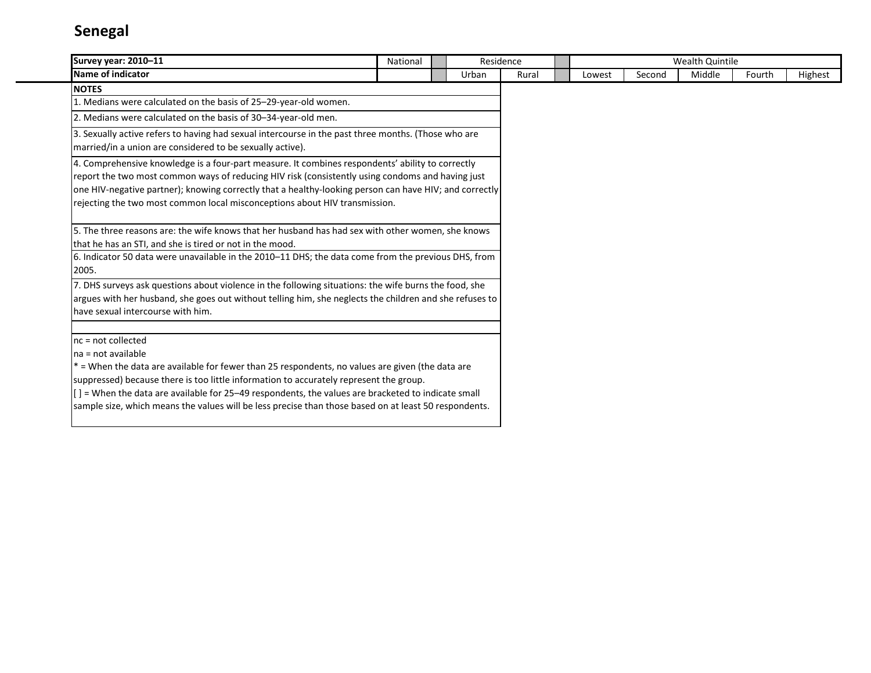| Survey year: 2010-11                                                                                                                                                                                                                                                                                                                                                                                                                                    | National |       | Residence |       |        |        | Wealth Quintile |        |         |
|---------------------------------------------------------------------------------------------------------------------------------------------------------------------------------------------------------------------------------------------------------------------------------------------------------------------------------------------------------------------------------------------------------------------------------------------------------|----------|-------|-----------|-------|--------|--------|-----------------|--------|---------|
| Name of indicator                                                                                                                                                                                                                                                                                                                                                                                                                                       |          | Urban |           | Rural | Lowest | Second | Middle          | Fourth | Highest |
| <b>NOTES</b>                                                                                                                                                                                                                                                                                                                                                                                                                                            |          |       |           |       |        |        |                 |        |         |
| 1. Medians were calculated on the basis of 25-29-year-old women.                                                                                                                                                                                                                                                                                                                                                                                        |          |       |           |       |        |        |                 |        |         |
| 2. Medians were calculated on the basis of 30-34-year-old men.                                                                                                                                                                                                                                                                                                                                                                                          |          |       |           |       |        |        |                 |        |         |
| 3. Sexually active refers to having had sexual intercourse in the past three months. (Those who are<br>married/in a union are considered to be sexually active).                                                                                                                                                                                                                                                                                        |          |       |           |       |        |        |                 |        |         |
| 4. Comprehensive knowledge is a four-part measure. It combines respondents' ability to correctly<br>report the two most common ways of reducing HIV risk (consistently using condoms and having just<br>one HIV-negative partner); knowing correctly that a healthy-looking person can have HIV; and correctly<br>rejecting the two most common local misconceptions about HIV transmission.                                                            |          |       |           |       |        |        |                 |        |         |
| 5. The three reasons are: the wife knows that her husband has had sex with other women, she knows<br>that he has an STI, and she is tired or not in the mood.<br>6. Indicator 50 data were unavailable in the 2010–11 DHS; the data come from the previous DHS, from<br>2005.                                                                                                                                                                           |          |       |           |       |        |        |                 |        |         |
| 7. DHS surveys ask questions about violence in the following situations: the wife burns the food, she<br>argues with her husband, she goes out without telling him, she neglects the children and she refuses to<br>have sexual intercourse with him.                                                                                                                                                                                                   |          |       |           |       |        |        |                 |        |         |
| $nc = not collected$<br>na = not available<br>* = When the data are available for fewer than 25 respondents, no values are given (the data are<br>suppressed) because there is too little information to accurately represent the group.<br>[] = When the data are available for 25-49 respondents, the values are bracketed to indicate small<br>sample size, which means the values will be less precise than those based on at least 50 respondents. |          |       |           |       |        |        |                 |        |         |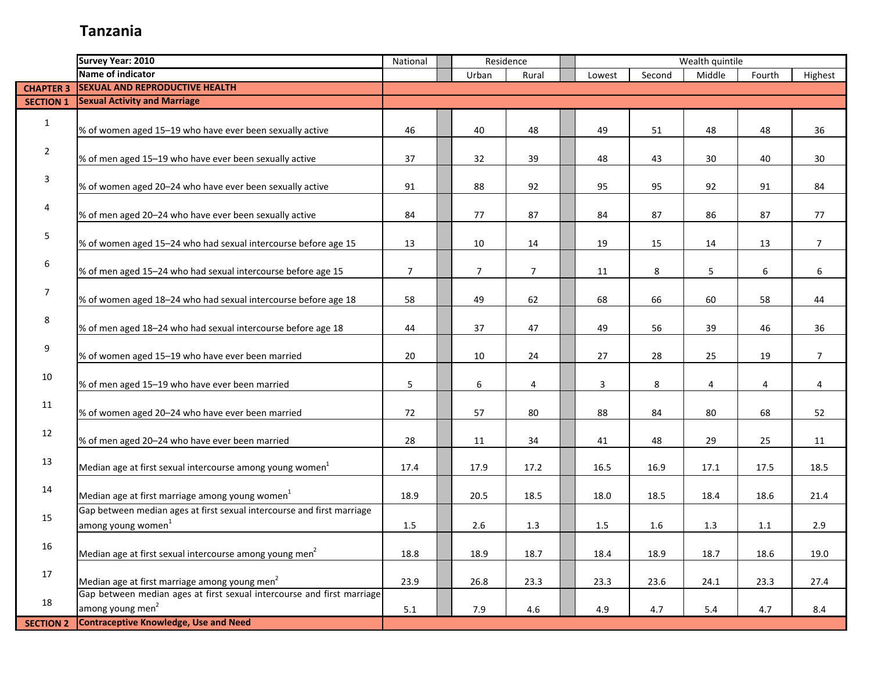|                  | <b>Survey Year: 2010</b>                                               | National       |                | Residence      |        |        | Wealth quintile |        |                |
|------------------|------------------------------------------------------------------------|----------------|----------------|----------------|--------|--------|-----------------|--------|----------------|
|                  | Name of indicator                                                      |                | Urban          | Rural          | Lowest | Second | Middle          | Fourth | Highest        |
| <b>CHAPTER 3</b> | <b>SEXUAL AND REPRODUCTIVE HEALTH</b>                                  |                |                |                |        |        |                 |        |                |
| <b>SECTION 1</b> | <b>Sexual Activity and Marriage</b>                                    |                |                |                |        |        |                 |        |                |
|                  |                                                                        |                |                |                |        |        |                 |        |                |
| $\mathbf{1}$     | % of women aged 15-19 who have ever been sexually active               | 46             | 40             | 48             | 49     | 51     | 48              | 48     | 36             |
|                  |                                                                        |                |                |                |        |        |                 |        |                |
| $\overline{2}$   | % of men aged 15-19 who have ever been sexually active                 | 37             | 32             | 39             | 48     | 43     | 30              | 40     | 30             |
|                  |                                                                        |                |                |                |        |        |                 |        |                |
| 3                | % of women aged 20-24 who have ever been sexually active               | 91             | 88             | 92             | 95     | 95     | 92              | 91     | 84             |
|                  |                                                                        |                |                |                |        |        |                 |        |                |
| 4                | % of men aged 20-24 who have ever been sexually active                 | 84             | 77             | 87             | 84     | 87     | 86              | 87     | 77             |
|                  |                                                                        |                |                |                |        |        |                 |        |                |
| 5                | % of women aged 15-24 who had sexual intercourse before age 15         | 13             | 10             | 14             | 19     | 15     | 14              | 13     | $\overline{7}$ |
|                  |                                                                        |                |                |                |        |        |                 |        |                |
| 6                | % of men aged 15-24 who had sexual intercourse before age 15           | $\overline{7}$ | $\overline{7}$ | $\overline{7}$ | 11     | 8      | 5               | 6      | 6              |
|                  |                                                                        |                |                |                |        |        |                 |        |                |
| 7                | % of women aged 18-24 who had sexual intercourse before age 18         | 58             | 49             | 62             | 68     | 66     | 60              | 58     | 44             |
|                  |                                                                        |                |                |                |        |        |                 |        |                |
| 8                | % of men aged 18-24 who had sexual intercourse before age 18           | 44             | 37             | 47             | 49     | 56     | 39              | 46     | 36             |
|                  |                                                                        |                |                |                |        |        |                 |        |                |
| 9                | % of women aged 15-19 who have ever been married                       | 20             | 10             | 24             | 27     | 28     | 25              | 19     | $\overline{7}$ |
|                  |                                                                        |                |                |                |        |        |                 |        |                |
| 10               | % of men aged 15-19 who have ever been married                         | 5              | 6              | 4              | 3      | 8      | 4               | 4      | 4              |
|                  |                                                                        |                |                |                |        |        |                 |        |                |
| 11               | % of women aged 20-24 who have ever been married                       | 72             | 57             | 80             | 88     | 84     | 80              | 68     | 52             |
|                  |                                                                        |                |                |                |        |        |                 |        |                |
| 12               | % of men aged 20-24 who have ever been married                         | 28             | 11             | 34             | 41     | 48     | 29              | 25     | 11             |
|                  |                                                                        |                |                |                |        |        |                 |        |                |
| 13               | Median age at first sexual intercourse among young women <sup>1</sup>  | 17.4           | 17.9           | 17.2           | 16.5   | 16.9   | 17.1            | 17.5   | 18.5           |
|                  |                                                                        |                |                |                |        |        |                 |        |                |
| 14               | Median age at first marriage among young women <sup>1</sup>            | 18.9           | 20.5           | 18.5           | 18.0   | 18.5   | 18.4            | 18.6   | 21.4           |
|                  | Gap between median ages at first sexual intercourse and first marriage |                |                |                |        |        |                 |        |                |
| 15               | among young women <sup>1</sup>                                         | 1.5            | 2.6            | 1.3            | 1.5    | 1.6    | 1.3             | 1.1    | 2.9            |
|                  |                                                                        |                |                |                |        |        |                 |        |                |
| 16               | Median age at first sexual intercourse among young men <sup>2</sup>    | 18.8           | 18.9           | 18.7           | 18.4   | 18.9   | 18.7            | 18.6   | 19.0           |
|                  |                                                                        |                |                |                |        |        |                 |        |                |
| 17               | Median age at first marriage among young men <sup>2</sup>              | 23.9           | 26.8           | 23.3           | 23.3   | 23.6   | 24.1            | 23.3   | 27.4           |
|                  | Gap between median ages at first sexual intercourse and first marriage |                |                |                |        |        |                 |        |                |
| 18               | among young men <sup>2</sup>                                           | 5.1            | 7.9            | 4.6            | 4.9    | 4.7    | 5.4             | 4.7    | 8.4            |
| <b>SECTION 2</b> | <b>Contraceptive Knowledge, Use and Need</b>                           |                |                |                |        |        |                 |        |                |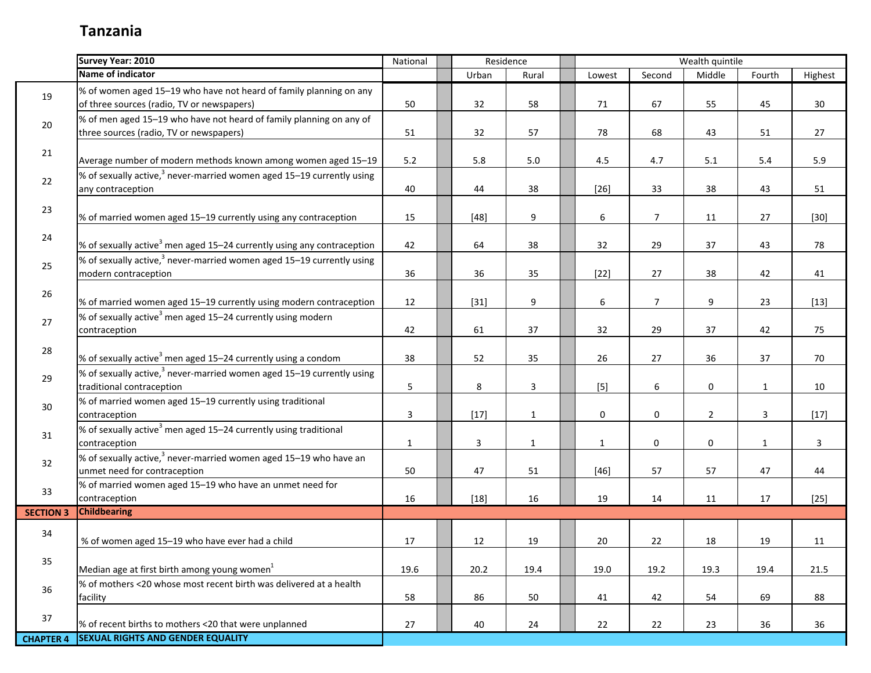|                  | <b>Survey Year: 2010</b>                                                                                                  | National     |                | Residence    |             |                     | Wealth quintile     |                         |                |
|------------------|---------------------------------------------------------------------------------------------------------------------------|--------------|----------------|--------------|-------------|---------------------|---------------------|-------------------------|----------------|
|                  | Name of indicator                                                                                                         |              | Urban          | Rural        | Lowest      | Second              | Middle              | Fourth                  | Highest        |
| 19               | % of women aged 15-19 who have not heard of family planning on any<br>of three sources (radio, TV or newspapers)          | 50           | 32             | 58           | 71          | 67                  | 55                  | 45                      | 30             |
| 20               | % of men aged 15–19 who have not heard of family planning on any of<br>three sources (radio, TV or newspapers)            | 51           | 32             | 57           | 78          | 68                  | 43                  | 51                      | 27             |
| 21               | Average number of modern methods known among women aged 15-19                                                             | 5.2          | 5.8            | $5.0\,$      | 4.5         | 4.7                 | 5.1                 | $5.4\,$                 | 5.9            |
| 22               | % of sexually active, <sup>3</sup> never-married women aged 15–19 currently using<br>any contraception                    | 40           | 44             | 38           | $[26]$      | 33                  | 38                  | 43                      | 51             |
| 23               | % of married women aged 15-19 currently using any contraception                                                           | 15           | $[48]$         | 9            | 6           | $\overline{7}$      | 11                  | 27                      | $[30]$         |
| 24               | % of sexually active <sup>3</sup> men aged 15-24 currently using any contraception                                        | 42           | 64             | 38           | 32          | 29                  | 37                  | 43                      | 78             |
| 25               | % of sexually active, $3$ never-married women aged 15–19 currently using<br>modern contraception                          | 36           | 36             | 35           | $[22]$      | 27                  | 38                  | 42                      | 41             |
| 26               | % of married women aged 15-19 currently using modern contraception                                                        | 12           | $[31]$         | 9            | 6           | $\overline{7}$      | 9                   | 23                      | $[13]$         |
| 27               | % of sexually active <sup>3</sup> men aged 15–24 currently using modern<br>contraception                                  | 42           | 61             | 37           | 32          | 29                  | 37                  | 42                      | 75             |
| 28               | % of sexually active <sup>3</sup> men aged 15-24 currently using a condom                                                 | 38           | 52             | 35           | 26          | 27                  | 36                  | 37                      | 70             |
| 29               | % of sexually active, $3$ never-married women aged 15–19 currently using<br>traditional contraception                     | 5            | 8              | $\mathbf{3}$ | $[5]$       | 6                   | $\mathsf{O}\xspace$ | $\mathbf{1}$            | 10             |
| 30 <sup>°</sup>  | % of married women aged 15-19 currently using traditional<br>contraception                                                | 3            | $[17]$         | $\mathbf{1}$ | 0           | $\mathbf 0$         | $\overline{2}$      | $\overline{\mathbf{3}}$ | $[17]$         |
| 31               | % of sexually active <sup>3</sup> men aged 15-24 currently using traditional<br>contraception                             | $\mathbf{1}$ | $\overline{3}$ | $\mathbf{1}$ | $\mathbf 1$ | $\mathsf{O}\xspace$ | $\pmb{0}$           | $\mathbf{1}$            | $\overline{3}$ |
| 32               | $\frac{1}{2}$ of sexually active, <sup>3</sup> never-married women aged 15–19 who have an<br>unmet need for contraception | 50           | 47             | 51           | $[46]$      | 57                  | 57                  | 47                      | 44             |
| 33               | % of married women aged 15-19 who have an unmet need for<br>contraception                                                 | 16           | $[18]$         | 16           | 19          | 14                  | 11                  | 17                      | $[25]$         |
| <b>SECTION 3</b> | <b>Childbearing</b>                                                                                                       |              |                |              |             |                     |                     |                         |                |
| 34               | % of women aged 15-19 who have ever had a child                                                                           | 17           | 12             | 19           | 20          | 22                  | 18                  | 19                      | 11             |
| 35               | Median age at first birth among young women <sup>1</sup>                                                                  | 19.6         | 20.2           | 19.4         | 19.0        | 19.2                | 19.3                | 19.4                    | 21.5           |
| 36               | % of mothers <20 whose most recent birth was delivered at a health<br>facility                                            | 58           | 86             | 50           | 41          | 42                  | 54                  | 69                      | 88             |
| 37               | % of recent births to mothers <20 that were unplanned                                                                     | 27           | 40             | 24           | 22          | 22                  | 23                  | 36                      | 36             |
| <b>CHAPTER 4</b> | <b>SEXUAL RIGHTS AND GENDER EQUALITY</b>                                                                                  |              |                |              |             |                     |                     |                         |                |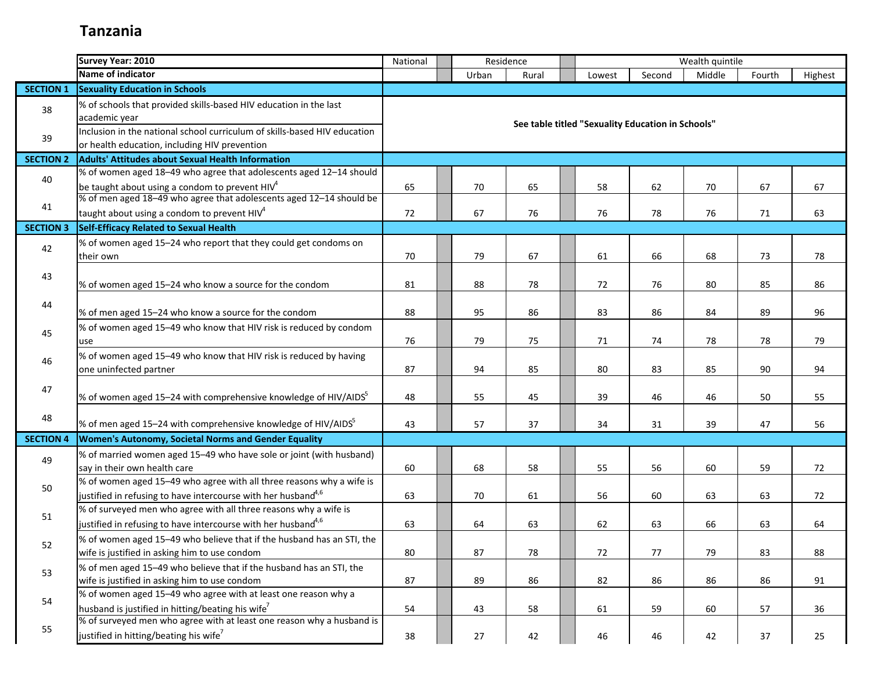|                  | <b>Survey Year: 2010</b>                                                                                                   | National | Residence |       |                                                   |        | Wealth quintile |        |         |
|------------------|----------------------------------------------------------------------------------------------------------------------------|----------|-----------|-------|---------------------------------------------------|--------|-----------------|--------|---------|
|                  | Name of indicator                                                                                                          |          | Urban     | Rural | Lowest                                            | Second | Middle          | Fourth | Highest |
| <b>SECTION 1</b> | <b>Sexuality Education in Schools</b>                                                                                      |          |           |       |                                                   |        |                 |        |         |
| 38               | % of schools that provided skills-based HIV education in the last<br>academic year                                         |          |           |       |                                                   |        |                 |        |         |
| 39               | Inclusion in the national school curriculum of skills-based HIV education<br>or health education, including HIV prevention |          |           |       | See table titled "Sexuality Education in Schools" |        |                 |        |         |
| <b>SECTION 2</b> | <b>Adults' Attitudes about Sexual Health Information</b>                                                                   |          |           |       |                                                   |        |                 |        |         |
|                  | % of women aged 18-49 who agree that adolescents aged 12-14 should                                                         |          |           |       |                                                   |        |                 |        |         |
| 40               | be taught about using a condom to prevent $HIV4$                                                                           | 65       | 70        | 65    | 58                                                | 62     | 70              | 67     | 67      |
|                  | % of men aged 18-49 who agree that adolescents aged 12-14 should be                                                        |          |           |       |                                                   |        |                 |        |         |
| 41               | taught about using a condom to prevent HIV <sup>4</sup>                                                                    | 72       | 67        | 76    | 76                                                | 78     | 76              | 71     | 63      |
| <b>SECTION 3</b> | Self-Efficacy Related to Sexual Health                                                                                     |          |           |       |                                                   |        |                 |        |         |
| 42               | % of women aged 15-24 who report that they could get condoms on                                                            |          |           |       |                                                   |        |                 |        |         |
|                  | their own                                                                                                                  | 70       | 79        | 67    | 61                                                | 66     | 68              | 73     | 78      |
| 43               |                                                                                                                            |          |           |       |                                                   |        |                 |        |         |
|                  | % of women aged 15-24 who know a source for the condom                                                                     | 81       | 88        | 78    | 72                                                | 76     | 80              | 85     | 86      |
|                  |                                                                                                                            |          |           |       |                                                   |        |                 |        |         |
| 44               | % of men aged 15-24 who know a source for the condom                                                                       | 88       | 95        | 86    | 83                                                | 86     | 84              | 89     | 96      |
|                  | % of women aged 15-49 who know that HIV risk is reduced by condom                                                          |          |           |       |                                                   |        |                 |        |         |
| 45               | use                                                                                                                        | 76       | 79        | 75    | 71                                                | 74     | 78              | 78     | 79      |
|                  | % of women aged 15-49 who know that HIV risk is reduced by having                                                          |          |           |       |                                                   |        |                 |        |         |
| 46               | one uninfected partner                                                                                                     | 87       | 94        | 85    | 80                                                | 83     | 85              | 90     | 94      |
|                  |                                                                                                                            |          |           |       |                                                   |        |                 |        |         |
| 47               | % of women aged 15–24 with comprehensive knowledge of HIV/AIDS <sup>5</sup>                                                | 48       | 55        | 45    | 39                                                | 46     | 46              | 50     | 55      |
|                  |                                                                                                                            |          |           |       |                                                   |        |                 |        |         |
| 48               | % of men aged 15–24 with comprehensive knowledge of HIV/AIDS                                                               | 43       | 57        | 37    | 34                                                | 31     | 39              | 47     | 56      |
| <b>SECTION 4</b> | Women's Autonomy, Societal Norms and Gender Equality                                                                       |          |           |       |                                                   |        |                 |        |         |
| 49               | % of married women aged 15-49 who have sole or joint (with husband)                                                        |          |           |       |                                                   |        |                 |        |         |
|                  | say in their own health care                                                                                               | 60       | 68        | 58    | 55                                                | 56     | 60              | 59     | 72      |
|                  | % of women aged 15-49 who agree with all three reasons why a wife is                                                       |          |           |       |                                                   |        |                 |        |         |
| 50               | justified in refusing to have intercourse with her husband <sup>4,6</sup>                                                  | 63       | 70        | 61    | 56                                                | 60     | 63              | 63     | 72      |
|                  | % of surveyed men who agree with all three reasons why a wife is                                                           |          |           |       |                                                   |        |                 |        |         |
| 51               | justified in refusing to have intercourse with her husband $4,6$                                                           | 63       | 64        | 63    | 62                                                | 63     | 66              | 63     | 64      |
|                  | % of women aged 15-49 who believe that if the husband has an STI, the                                                      |          |           |       |                                                   |        |                 |        |         |
| 52               | wife is justified in asking him to use condom                                                                              | 80       | 87        | 78    | 72                                                | 77     | 79              | 83     | 88      |
|                  | % of men aged 15-49 who believe that if the husband has an STI, the                                                        |          |           |       |                                                   |        |                 |        |         |
| 53               | wife is justified in asking him to use condom                                                                              | 87       | 89        | 86    | 82                                                | 86     | 86              | 86     | 91      |
|                  | % of women aged 15-49 who agree with at least one reason why a                                                             |          |           |       |                                                   |        |                 |        |         |
| 54               | husband is justified in hitting/beating his wife <sup>7</sup>                                                              | 54       | 43        | 58    | 61                                                | 59     | 60              | 57     | 36      |
|                  | % of surveyed men who agree with at least one reason why a husband is                                                      |          |           |       |                                                   |        |                 |        |         |
| 55               | justified in hitting/beating his wife <sup>7</sup>                                                                         | 38       | 27        | 42    | 46                                                | 46     | 42              | 37     | 25      |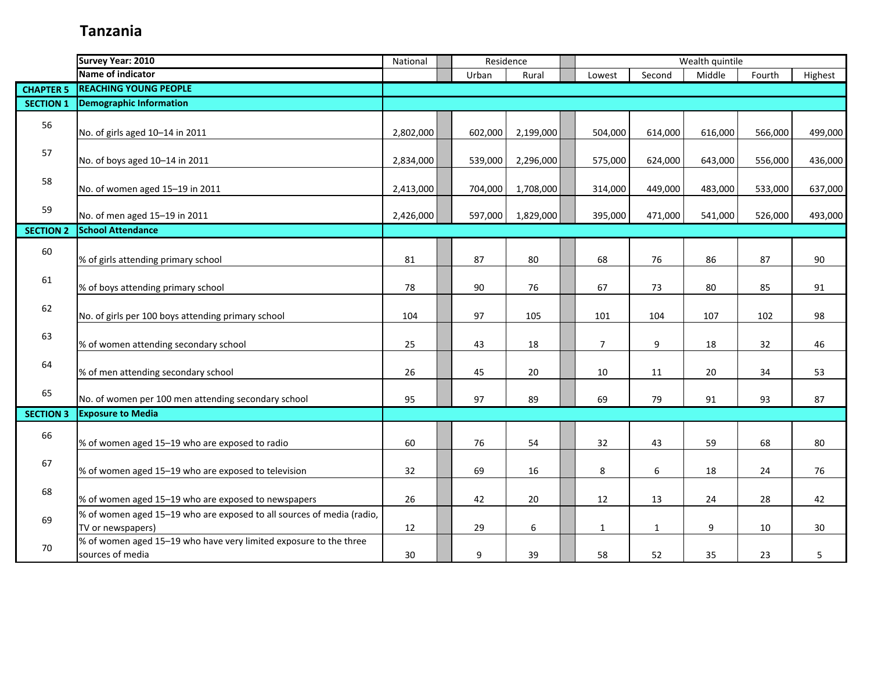|                  | Survey Year: 2010                                                                          | National  | Residence |           |                |              | Wealth quintile |         |         |
|------------------|--------------------------------------------------------------------------------------------|-----------|-----------|-----------|----------------|--------------|-----------------|---------|---------|
|                  | <b>Name of indicator</b>                                                                   |           | Urban     | Rural     | Lowest         | Second       | Middle          | Fourth  | Highest |
| <b>CHAPTER 5</b> | <b>REACHING YOUNG PEOPLE</b>                                                               |           |           |           |                |              |                 |         |         |
| <b>SECTION 1</b> | <b>Demographic Information</b>                                                             |           |           |           |                |              |                 |         |         |
| 56               | No. of girls aged 10-14 in 2011                                                            | 2,802,000 | 602,000   | 2,199,000 | 504,000        | 614,000      | 616,000         | 566,000 | 499,000 |
| 57               | No. of boys aged 10-14 in 2011                                                             | 2,834,000 | 539,000   | 2,296,000 | 575,000        | 624,000      | 643,000         | 556,000 | 436,000 |
| 58               | No. of women aged 15-19 in 2011                                                            | 2,413,000 | 704,000   | 1,708,000 | 314,000        | 449,000      | 483,000         | 533,000 | 637,000 |
| 59               | No. of men aged 15-19 in 2011                                                              | 2,426,000 | 597,000   | 1,829,000 | 395,000        | 471,000      | 541,000         | 526,000 | 493,000 |
| <b>SECTION 2</b> | <b>School Attendance</b>                                                                   |           |           |           |                |              |                 |         |         |
| 60               | % of girls attending primary school                                                        | 81        | 87        | 80        | 68             | 76           | 86              | 87      | 90      |
| 61               | % of boys attending primary school                                                         | 78        | 90        | 76        | 67             | 73           | 80              | 85      | 91      |
| 62               | No. of girls per 100 boys attending primary school                                         | 104       | 97        | 105       | 101            | 104          | 107             | 102     | 98      |
| 63               | % of women attending secondary school                                                      | 25        | 43        | 18        | $\overline{7}$ | 9            | 18              | 32      | 46      |
| 64               | % of men attending secondary school                                                        | 26        | 45        | 20        | 10             | 11           | 20              | 34      | 53      |
| 65               | No. of women per 100 men attending secondary school                                        | 95        | 97        | 89        | 69             | 79           | 91              | 93      | 87      |
| <b>SECTION 3</b> | <b>Exposure to Media</b>                                                                   |           |           |           |                |              |                 |         |         |
| 66               | % of women aged 15-19 who are exposed to radio                                             | 60        | 76        | 54        | 32             | 43           | 59              | 68      | 80      |
| 67               | % of women aged 15-19 who are exposed to television                                        | 32        | 69        | 16        | 8              | 6            | 18              | 24      | 76      |
| 68               | % of women aged 15-19 who are exposed to newspapers                                        | 26        | 42        | 20        | 12             | 13           | 24              | 28      | 42      |
| 69               | % of women aged 15-19 who are exposed to all sources of media (radio,<br>TV or newspapers) | 12        | 29        | 6         | $\mathbf{1}$   | $\mathbf{1}$ | 9               | 10      | 30      |
| 70               | % of women aged 15-19 who have very limited exposure to the three<br>sources of media      | 30        | 9         | 39        | 58             | 52           | 35              | 23      | 5       |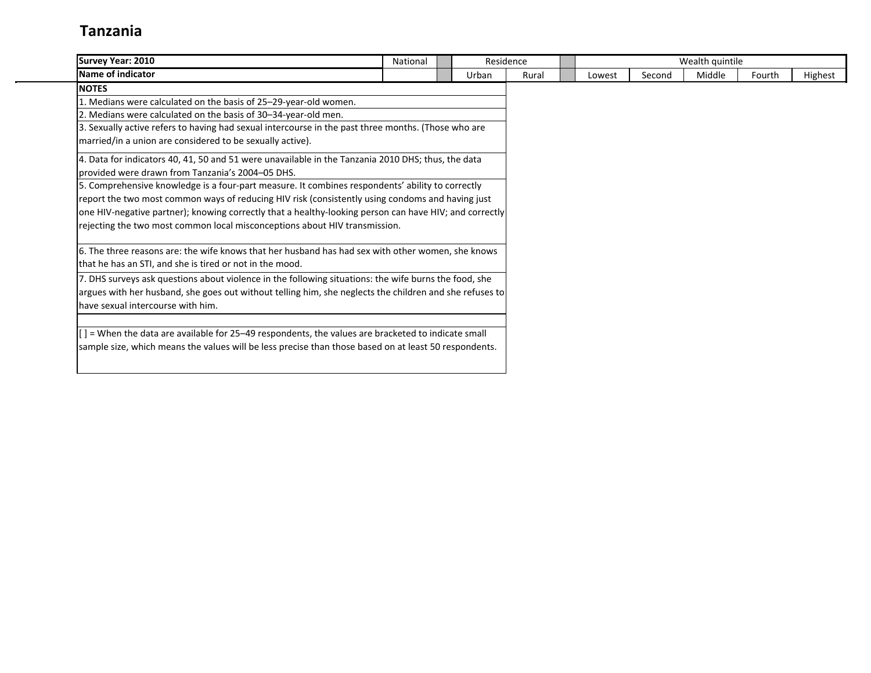| <b>Survey Year: 2010</b>                                                                                | National | Residence |       |        |        | Wealth quintile |        |         |
|---------------------------------------------------------------------------------------------------------|----------|-----------|-------|--------|--------|-----------------|--------|---------|
| Name of indicator                                                                                       |          | Urban     | Rural | Lowest | Second | Middle          | Fourth | Highest |
| <b>NOTES</b>                                                                                            |          |           |       |        |        |                 |        |         |
| 1. Medians were calculated on the basis of 25–29-year-old women.                                        |          |           |       |        |        |                 |        |         |
| 2. Medians were calculated on the basis of 30-34-year-old men.                                          |          |           |       |        |        |                 |        |         |
| 3. Sexually active refers to having had sexual intercourse in the past three months. (Those who are     |          |           |       |        |        |                 |        |         |
| married/in a union are considered to be sexually active).                                               |          |           |       |        |        |                 |        |         |
| 4. Data for indicators 40, 41, 50 and 51 were unavailable in the Tanzania 2010 DHS; thus, the data      |          |           |       |        |        |                 |        |         |
| provided were drawn from Tanzania's 2004–05 DHS.                                                        |          |           |       |        |        |                 |        |         |
| 5. Comprehensive knowledge is a four-part measure. It combines respondents' ability to correctly        |          |           |       |        |        |                 |        |         |
| report the two most common ways of reducing HIV risk (consistently using condoms and having just        |          |           |       |        |        |                 |        |         |
| one HIV-negative partner); knowing correctly that a healthy-looking person can have HIV; and correctly  |          |           |       |        |        |                 |        |         |
| rejecting the two most common local misconceptions about HIV transmission.                              |          |           |       |        |        |                 |        |         |
| 6. The three reasons are: the wife knows that her husband has had sex with other women, she knows       |          |           |       |        |        |                 |        |         |
| that he has an STI, and she is tired or not in the mood.                                                |          |           |       |        |        |                 |        |         |
| 7. DHS surveys ask questions about violence in the following situations: the wife burns the food, she   |          |           |       |        |        |                 |        |         |
| argues with her husband, she goes out without telling him, she neglects the children and she refuses to |          |           |       |        |        |                 |        |         |
| have sexual intercourse with him.                                                                       |          |           |       |        |        |                 |        |         |
| $[$ $]$ = When the data are available for 25–49 respondents, the values are bracketed to indicate small |          |           |       |        |        |                 |        |         |
| sample size, which means the values will be less precise than those based on at least 50 respondents.   |          |           |       |        |        |                 |        |         |
|                                                                                                         |          |           |       |        |        |                 |        |         |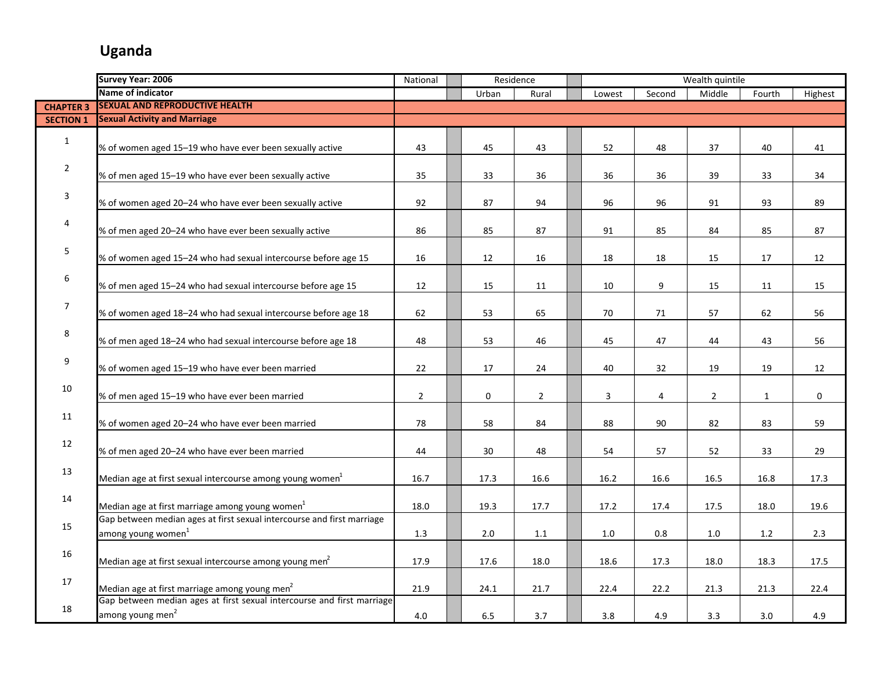|                  | <b>Survey Year: 2006</b>                                               | National       |              | Residence      |                         |         | Wealth quintile |              |             |
|------------------|------------------------------------------------------------------------|----------------|--------------|----------------|-------------------------|---------|-----------------|--------------|-------------|
|                  | Name of indicator                                                      |                | Urban        | Rural          | Lowest                  | Second  | Middle          | Fourth       | Highest     |
| <b>CHAPTER 3</b> | <b>SEXUAL AND REPRODUCTIVE HEALTH</b>                                  |                |              |                |                         |         |                 |              |             |
| <b>SECTION 1</b> | <b>Sexual Activity and Marriage</b>                                    |                |              |                |                         |         |                 |              |             |
|                  |                                                                        |                |              |                |                         |         |                 |              |             |
| $\mathbf{1}$     | % of women aged 15-19 who have ever been sexually active               | 43             | 45           | 43             | 52                      | 48      | 37              | 40           | 41          |
|                  |                                                                        |                |              |                |                         |         |                 |              |             |
| $\overline{2}$   | % of men aged 15-19 who have ever been sexually active                 | 35             | 33           | 36             | 36                      | 36      | 39              | 33           | 34          |
|                  |                                                                        |                |              |                |                         |         |                 |              |             |
| 3                | % of women aged 20-24 who have ever been sexually active               | 92             | 87           | 94             | 96                      | 96      | 91              | 93           | 89          |
|                  |                                                                        |                |              |                |                         |         |                 |              |             |
| 4                | % of men aged 20-24 who have ever been sexually active                 | 86             | 85           | 87             | 91                      | 85      | 84              | 85           | 87          |
|                  |                                                                        |                |              |                |                         |         |                 |              |             |
| 5                | % of women aged 15-24 who had sexual intercourse before age 15         | 16             | 12           | 16             | 18                      | 18      | 15              | 17           | 12          |
|                  |                                                                        |                |              |                |                         |         |                 |              |             |
| 6                | % of men aged 15-24 who had sexual intercourse before age 15           | 12             | 15           | 11             | 10                      | 9       | 15              | 11           | 15          |
|                  |                                                                        |                |              |                |                         |         |                 |              |             |
| $\overline{7}$   | % of women aged 18-24 who had sexual intercourse before age 18         | 62             | 53           | 65             | 70                      | 71      | 57              | 62           | 56          |
|                  |                                                                        |                |              |                |                         |         |                 |              |             |
| 8                | % of men aged 18-24 who had sexual intercourse before age 18           | 48             | 53           | 46             | 45                      | 47      | 44              | 43           | 56          |
|                  |                                                                        |                |              |                |                         |         |                 |              |             |
| 9                | % of women aged 15-19 who have ever been married                       | 22             | 17           | 24             | 40                      | 32      | 19              | 19           | 12          |
|                  |                                                                        |                |              |                |                         |         |                 |              |             |
| 10               | % of men aged 15-19 who have ever been married                         | $\overline{2}$ | $\mathbf{0}$ | $\overline{2}$ | $\overline{\mathbf{3}}$ | 4       | $\overline{2}$  | $\mathbf{1}$ | $\mathbf 0$ |
|                  |                                                                        |                |              |                |                         |         |                 |              |             |
| 11               | % of women aged 20-24 who have ever been married                       | 78             | 58           | 84             | 88                      | 90      | 82              | 83           | 59          |
|                  |                                                                        |                |              |                |                         |         |                 |              |             |
| 12               | % of men aged 20-24 who have ever been married                         | 44             | 30           | 48             | 54                      | 57      | 52              | 33           | 29          |
|                  |                                                                        |                |              |                |                         |         |                 |              |             |
| 13               | Median age at first sexual intercourse among young women <sup>1</sup>  | 16.7           | 17.3         | 16.6           | 16.2                    | 16.6    | 16.5            | 16.8         | 17.3        |
|                  |                                                                        |                |              |                |                         |         |                 |              |             |
| 14               | Median age at first marriage among young women <sup>1</sup>            | 18.0           | 19.3         | 17.7           | 17.2                    | 17.4    | 17.5            | 18.0         | 19.6        |
|                  | Gap between median ages at first sexual intercourse and first marriage |                |              |                |                         |         |                 |              |             |
| 15               | among young women <sup>1</sup>                                         | 1.3            | $2.0$        | 1.1            | 1.0                     | $0.8\,$ | 1.0             | $1.2\,$      | 2.3         |
|                  |                                                                        |                |              |                |                         |         |                 |              |             |
| 16               | Median age at first sexual intercourse among young men <sup>2</sup>    | 17.9           | 17.6         | 18.0           | 18.6                    | 17.3    | 18.0            | 18.3         | 17.5        |
|                  |                                                                        |                |              |                |                         |         |                 |              |             |
| 17               | Median age at first marriage among young men <sup>2</sup>              | 21.9           | 24.1         | 21.7           | 22.4                    | 22.2    | 21.3            | 21.3         | 22.4        |
|                  | Gap between median ages at first sexual intercourse and first marriage |                |              |                |                         |         |                 |              |             |
| 18               | among young men <sup>2</sup>                                           | 4.0            | 6.5          | 3.7            | 3.8                     | 4.9     | 3.3             | 3.0          | 4.9         |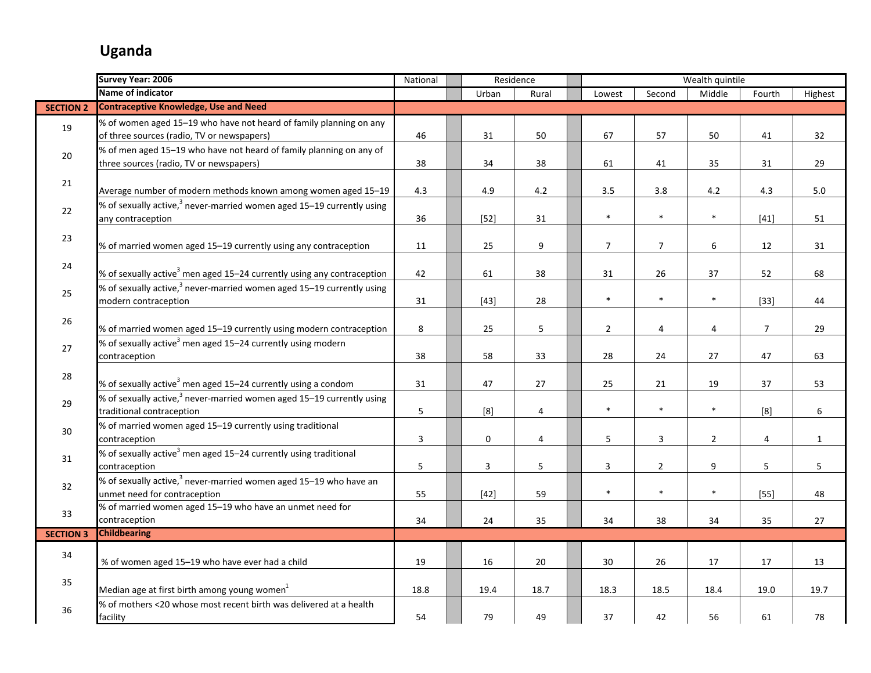|                  | Survey Year: 2006                                                                  | National |              | Residence      |                |                | Wealth quintile |                |              |
|------------------|------------------------------------------------------------------------------------|----------|--------------|----------------|----------------|----------------|-----------------|----------------|--------------|
|                  | <b>Name of indicator</b>                                                           |          | Urban        | Rural          | Lowest         | Second         | Middle          | Fourth         | Highest      |
| <b>SECTION 2</b> | <b>Contraceptive Knowledge, Use and Need</b>                                       |          |              |                |                |                |                 |                |              |
| 19               | % of women aged 15-19 who have not heard of family planning on any                 |          |              |                |                |                |                 |                |              |
|                  | of three sources (radio, TV or newspapers)                                         | 46       | 31           | 50             | 67             | 57             | 50              | 41             | 32           |
|                  | % of men aged 15-19 who have not heard of family planning on any of                |          |              |                |                |                |                 |                |              |
| 20               | three sources (radio, TV or newspapers)                                            | 38       | 34           | 38             | 61             | 41             | 35              | 31             | 29           |
|                  |                                                                                    |          |              |                |                |                |                 |                |              |
| 21               | Average number of modern methods known among women aged 15-19                      | 4.3      | 4.9          | 4.2            | 3.5            | 3.8            | 4.2             | 4.3            | 5.0          |
|                  | % of sexually active, $3$ never-married women aged 15–19 currently using           |          |              |                |                |                |                 |                |              |
| 22               | any contraception                                                                  | 36       | $[52]$       | 31             | $\ast$         | $\ast$         | $\ast$          | $[41]$         | 51           |
|                  |                                                                                    |          |              |                |                |                |                 |                |              |
| 23               | % of married women aged 15-19 currently using any contraception                    | 11       | 25           | 9              | $\overline{7}$ | $\overline{7}$ | 6               | 12             | 31           |
|                  |                                                                                    |          |              |                |                |                |                 |                |              |
| 24               | % of sexually active <sup>3</sup> men aged 15–24 currently using any contraception | 42       | 61           | 38             | 31             | 26             | 37              | 52             | 68           |
|                  | % of sexually active, $3$ never-married women aged 15–19 currently using           |          |              |                |                |                |                 |                |              |
| 25               | modern contraception                                                               | 31       | $[43]$       | 28             | $\ast$         | $\ast$         | $\ast$          | $[33]$         | 44           |
|                  |                                                                                    |          |              |                |                |                |                 |                |              |
| 26               | % of married women aged 15-19 currently using modern contraception                 | 8        | 25           | 5              | $\overline{2}$ | 4              | $\overline{4}$  | $\overline{7}$ | 29           |
| 27               | % of sexually active <sup>3</sup> men aged 15-24 currently using modern            |          |              |                |                |                |                 |                |              |
|                  | contraception                                                                      | 38       | 58           | 33             | 28             | 24             | 27              | 47             | 63           |
| 28               |                                                                                    |          |              |                |                |                |                 |                |              |
|                  | % of sexually active <sup>3</sup> men aged 15–24 currently using a condom          | 31       | 47           | 27             | 25             | 21             | 19              | 37             | 53           |
| 29               | % of sexually active, <sup>3</sup> never-married women aged 15–19 currently using  |          |              |                |                |                |                 |                |              |
|                  | traditional contraception                                                          | 5        | [8]          | $\overline{4}$ | $\ast$         | $\ast$         | $\ast$          | [8]            | 6            |
| 30               | % of married women aged 15-19 currently using traditional                          |          |              |                |                |                |                 |                |              |
|                  | contraception                                                                      | 3        | $\mathbf 0$  | 4              | 5              | $\mathsf 3$    | $\overline{2}$  | 4              | $\mathbf{1}$ |
| 31               | % of sexually active <sup>3</sup> men aged 15-24 currently using traditional       |          |              |                |                |                |                 |                |              |
|                  | contraception                                                                      | 5        | $\mathbf{3}$ | 5              | 3              | $\overline{2}$ | 9               | 5              | 5            |
| 32               | % of sexually active, <sup>3</sup> never-married women aged 15–19 who have an      |          |              |                |                |                |                 |                |              |
|                  | unmet need for contraception                                                       | 55       | $[42]$       | 59             | $\ast$         | $\ast$         | $\ast$          | $[55]$         | 48           |
| 33               | % of married women aged 15-19 who have an unmet need for                           |          |              |                |                |                |                 |                |              |
|                  | contraception                                                                      | 34       | 24           | 35             | 34             | 38             | 34              | 35             | 27           |
| <b>SECTION 3</b> | <b>Childbearing</b>                                                                |          |              |                |                |                |                 |                |              |
| 34               |                                                                                    |          |              |                |                |                |                 |                |              |
|                  | % of women aged 15-19 who have ever had a child                                    | 19       | 16           | 20             | 30             | 26             | 17              | 17             | 13           |
| 35               |                                                                                    |          |              |                |                |                |                 |                |              |
|                  | Median age at first birth among young women <sup>1</sup>                           | 18.8     | 19.4         | 18.7           | 18.3           | 18.5           | 18.4            | 19.0           | 19.7         |
| 36               | % of mothers <20 whose most recent birth was delivered at a health                 |          |              |                |                |                |                 |                |              |
|                  | facility                                                                           | 54       | 79           | 49             | 37             | 42             | 56              | 61             | 78           |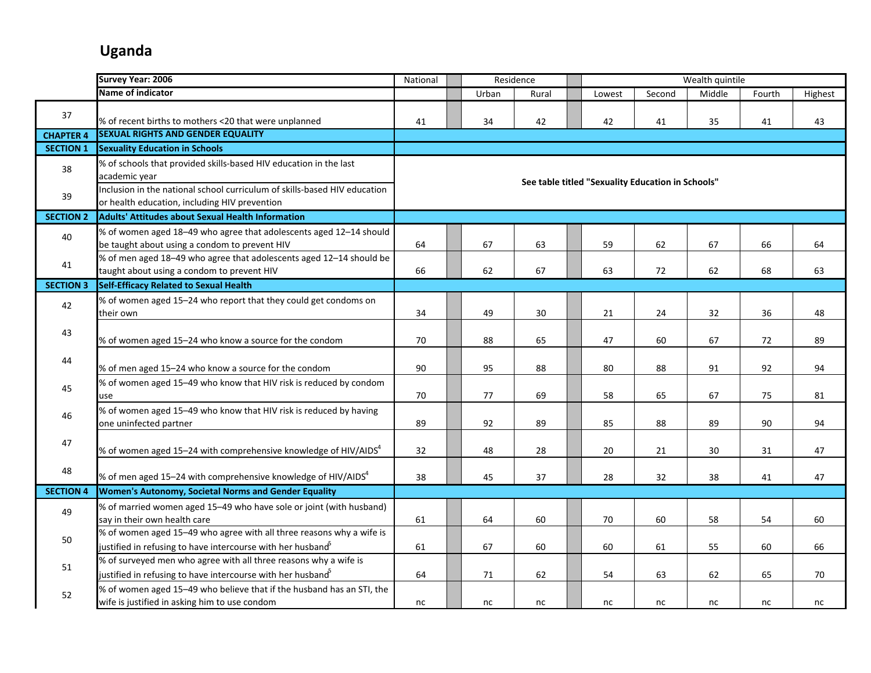|                  | <b>Survey Year: 2006</b>                                                                                                                | National |       | Residence |                                                   |        | Wealth quintile |        |         |
|------------------|-----------------------------------------------------------------------------------------------------------------------------------------|----------|-------|-----------|---------------------------------------------------|--------|-----------------|--------|---------|
|                  | <b>Name of indicator</b>                                                                                                                |          | Urban | Rural     | Lowest                                            | Second | Middle          | Fourth | Highest |
| 37               |                                                                                                                                         |          |       |           |                                                   |        |                 |        |         |
|                  | % of recent births to mothers <20 that were unplanned                                                                                   | 41       | 34    | 42        | 42                                                | 41     | 35              | 41     | 43      |
| <b>CHAPTER 4</b> | <b>SEXUAL RIGHTS AND GENDER EQUALITY</b>                                                                                                |          |       |           |                                                   |        |                 |        |         |
| <b>SECTION 1</b> | <b>Sexuality Education in Schools</b>                                                                                                   |          |       |           |                                                   |        |                 |        |         |
| 38               | % of schools that provided skills-based HIV education in the last<br>academic year                                                      |          |       |           |                                                   |        |                 |        |         |
| 39               | Inclusion in the national school curriculum of skills-based HIV education<br>or health education, including HIV prevention              |          |       |           | See table titled "Sexuality Education in Schools" |        |                 |        |         |
| <b>SECTION 2</b> | <b>Adults' Attitudes about Sexual Health Information</b>                                                                                |          |       |           |                                                   |        |                 |        |         |
| 40               | % of women aged 18-49 who agree that adolescents aged 12-14 should<br>be taught about using a condom to prevent HIV                     | 64       | 67    | 63        | 59                                                | 62     | 67              | 66     | 64      |
| 41               | % of men aged 18-49 who agree that adolescents aged 12-14 should be<br>taught about using a condom to prevent HIV                       | 66       | 62    | 67        | 63                                                | 72     | 62              | 68     | 63      |
| <b>SECTION 3</b> | Self-Efficacy Related to Sexual Health                                                                                                  |          |       |           |                                                   |        |                 |        |         |
| 42               | % of women aged 15-24 who report that they could get condoms on<br>their own                                                            | 34       | 49    | 30        | 21                                                | 24     | 32              | 36     | 48      |
| 43               | % of women aged 15-24 who know a source for the condom                                                                                  | 70       | 88    | 65        | 47                                                | 60     | 67              | 72     | 89      |
| 44               | % of men aged 15-24 who know a source for the condom                                                                                    | 90       | 95    | 88        | 80                                                | 88     | 91              | 92     | 94      |
| 45               | % of women aged 15-49 who know that HIV risk is reduced by condom<br>use                                                                | 70       | 77    | 69        | 58                                                | 65     | 67              | 75     | 81      |
| 46               | % of women aged 15-49 who know that HIV risk is reduced by having<br>one uninfected partner                                             | 89       | 92    | 89        | 85                                                | 88     | 89              | 90     | 94      |
| 47               | % of women aged 15-24 with comprehensive knowledge of HIV/AIDS <sup>4</sup>                                                             | 32       | 48    | 28        | 20                                                | 21     | 30              | 31     | 47      |
| 48               | % of men aged 15–24 with comprehensive knowledge of HIV/AIDS <sup>4</sup>                                                               | 38       | 45    | 37        | 28                                                | 32     | 38              | 41     | 47      |
| <b>SECTION 4</b> | Women's Autonomy, Societal Norms and Gender Equality                                                                                    |          |       |           |                                                   |        |                 |        |         |
| 49               | % of married women aged 15-49 who have sole or joint (with husband)<br>say in their own health care                                     | 61       | 64    | 60        | 70                                                | 60     | 58              | 54     | 60      |
| 50               | % of women aged 15-49 who agree with all three reasons why a wife is<br>justified in refusing to have intercourse with her husband $^5$ | 61       | 67    | 60        | 60                                                | 61     | 55              | 60     | 66      |
| 51               | % of surveyed men who agree with all three reasons why a wife is<br>justified in refusing to have intercourse with her husband $^5$     | 64       | 71    | 62        | 54                                                | 63     | 62              | 65     | 70      |
| 52               | % of women aged 15-49 who believe that if the husband has an STI, the<br>wife is justified in asking him to use condom                  | nc       | nc    | nc        | nc                                                | nc     | nc              | nc     | nc      |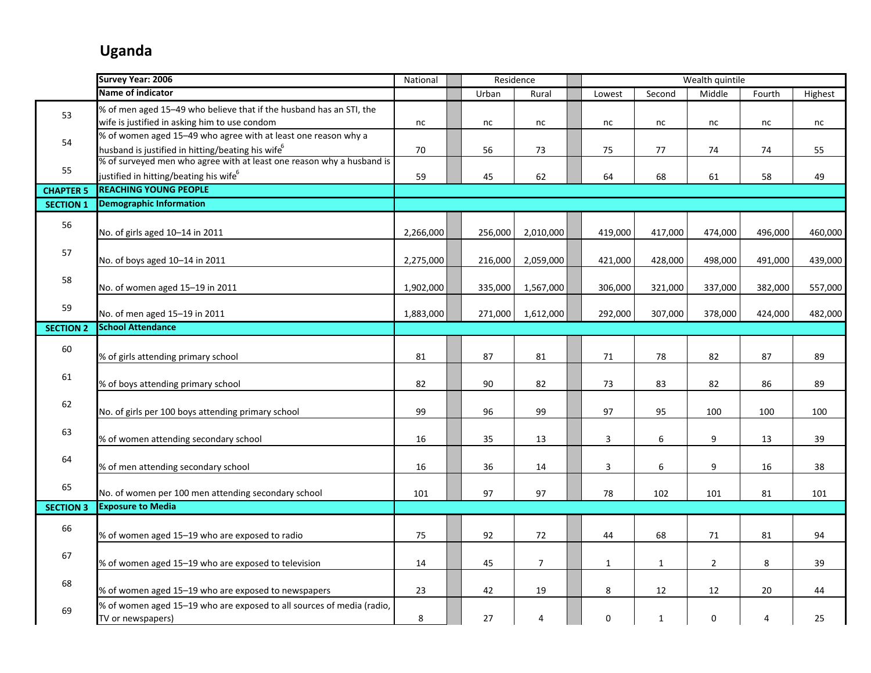|                  | Survey Year: 2006                                                                          | National  | Residence |                |              |              | Wealth quintile |         |         |
|------------------|--------------------------------------------------------------------------------------------|-----------|-----------|----------------|--------------|--------------|-----------------|---------|---------|
|                  | Name of indicator                                                                          |           | Urban     | Rural          | Lowest       | Second       | Middle          | Fourth  | Highest |
| 53               | % of men aged 15-49 who believe that if the husband has an STI, the                        |           |           |                |              |              |                 |         |         |
|                  | wife is justified in asking him to use condom                                              | nc        | nc        | nc             | nc           | nc           | nc              | nc      | nc      |
| 54               | % of women aged 15-49 who agree with at least one reason why a                             |           |           |                |              |              |                 |         |         |
|                  | husband is justified in hitting/beating his wife <sup>6</sup>                              | 70        | 56        | 73             | 75           | 77           | 74              | 74      | 55      |
| 55               | % of surveyed men who agree with at least one reason why a husband is                      |           |           |                |              |              |                 |         |         |
|                  | justified in hitting/beating his wife $^6$                                                 | 59        | 45        | 62             | 64           | 68           | 61              | 58      | 49      |
| <b>CHAPTER 5</b> | <b>REACHING YOUNG PEOPLE</b>                                                               |           |           |                |              |              |                 |         |         |
| <b>SECTION 1</b> | <b>Demographic Information</b>                                                             |           |           |                |              |              |                 |         |         |
| 56               | No. of girls aged 10-14 in 2011                                                            | 2,266,000 | 256,000   | 2,010,000      | 419,000      | 417,000      | 474,000         | 496,000 | 460,000 |
| 57               |                                                                                            |           |           |                |              |              |                 |         |         |
|                  | No. of boys aged 10-14 in 2011                                                             | 2,275,000 | 216,000   | 2,059,000      | 421,000      | 428,000      | 498,000         | 491,000 | 439,000 |
| 58               |                                                                                            |           |           |                |              |              |                 |         |         |
|                  | No. of women aged 15-19 in 2011                                                            | 1,902,000 | 335,000   | 1,567,000      | 306,000      | 321,000      | 337,000         | 382,000 | 557,000 |
| 59               | No. of men aged 15-19 in 2011                                                              | 1,883,000 | 271,000   | 1,612,000      | 292,000      | 307,000      | 378,000         | 424,000 | 482,000 |
| <b>SECTION 2</b> | <b>School Attendance</b>                                                                   |           |           |                |              |              |                 |         |         |
| 60               |                                                                                            |           |           |                |              |              |                 |         |         |
|                  | % of girls attending primary school                                                        | 81        | 87        | 81             | 71           | 78           | 82              | 87      | 89      |
| 61               | % of boys attending primary school                                                         | 82        | 90        | 82             | 73           | 83           | 82              | 86      | 89      |
| 62               |                                                                                            |           |           |                |              |              |                 |         |         |
|                  | No. of girls per 100 boys attending primary school                                         | 99        | 96        | 99             | 97           | 95           | 100             | 100     | 100     |
| 63               |                                                                                            |           |           |                |              |              |                 |         |         |
|                  | % of women attending secondary school                                                      | 16        | 35        | 13             | $\mathbf{3}$ | 6            | 9               | 13      | 39      |
| 64               |                                                                                            |           |           |                |              |              |                 |         |         |
|                  | % of men attending secondary school                                                        | 16        | 36        | 14             | 3            | 6            | 9               | 16      | 38      |
| 65               | No. of women per 100 men attending secondary school                                        | 101       | 97        | 97             | 78           | 102          | 101             | 81      | 101     |
| <b>SECTION 3</b> | <b>Exposure to Media</b>                                                                   |           |           |                |              |              |                 |         |         |
| 66               |                                                                                            |           |           |                |              |              |                 |         |         |
|                  | % of women aged 15-19 who are exposed to radio                                             | 75        | 92        | 72             | 44           | 68           | 71              | 81      | 94      |
| 67               |                                                                                            |           |           |                |              |              |                 |         |         |
|                  | % of women aged 15-19 who are exposed to television                                        | 14        | 45        | $\overline{7}$ | $\mathbf{1}$ | $\mathbf{1}$ | $\overline{2}$  | 8       | 39      |
| 68               |                                                                                            |           |           |                |              |              |                 |         |         |
|                  | % of women aged 15-19 who are exposed to newspapers                                        | 23        | 42        | 19             | 8            | 12           | 12              | 20      | 44      |
| 69               | % of women aged 15-19 who are exposed to all sources of media (radio,<br>TV or newspapers) | 8         | 27        | 4              | 0            | $\mathbf{1}$ | 0               | 4       | 25      |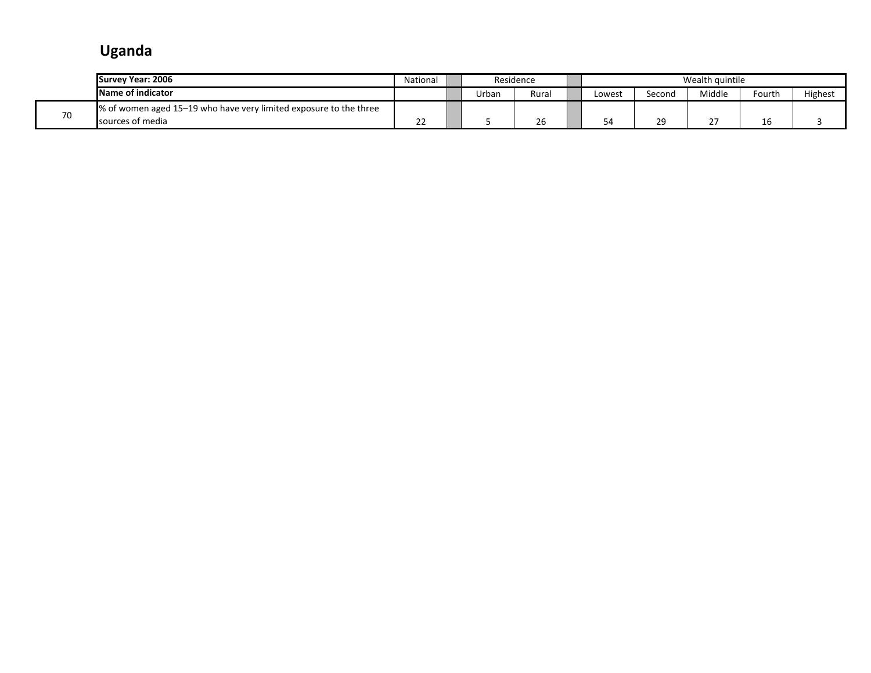|    | Survey Year: 2006                                                  | National |       | Residence |       |        | Wealth quintile |        |         |
|----|--------------------------------------------------------------------|----------|-------|-----------|-------|--------|-----------------|--------|---------|
|    | Name of indicator                                                  |          | Urban | Rural     | -owes | Second | Middle          | Fourth | Highest |
| 70 | ■% of women aged 15–19 who have very limited exposure to the three |          |       |           |       |        |                 |        |         |
|    | sources of media                                                   | --       |       | 26        | 54    |        | $\sim$ $-$<br>- | 16     |         |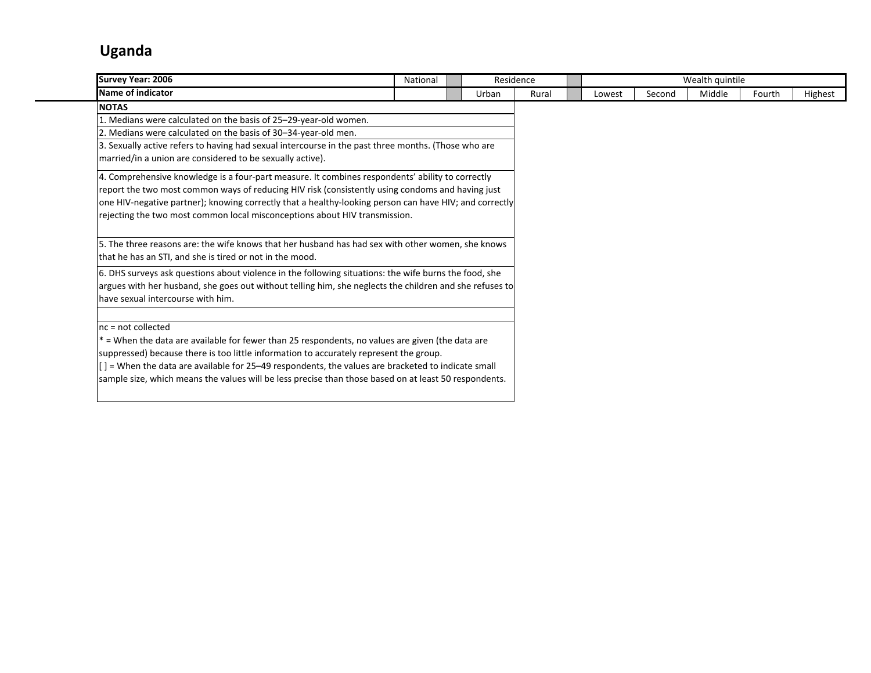| Survey Year: 2006                                                                                                                                                                                                                                                                                                                                                                                                                                                                                                                                                                                                                                                                                                      | National |       | Residence |        |        | Wealth quintile |        |         |
|------------------------------------------------------------------------------------------------------------------------------------------------------------------------------------------------------------------------------------------------------------------------------------------------------------------------------------------------------------------------------------------------------------------------------------------------------------------------------------------------------------------------------------------------------------------------------------------------------------------------------------------------------------------------------------------------------------------------|----------|-------|-----------|--------|--------|-----------------|--------|---------|
| Name of indicator                                                                                                                                                                                                                                                                                                                                                                                                                                                                                                                                                                                                                                                                                                      |          | Urban | Rural     | Lowest | Second | Middle          | Fourth | Highest |
| <b>NOTAS</b><br>1. Medians were calculated on the basis of 25–29-year-old women.<br>2. Medians were calculated on the basis of 30-34-year-old men.<br>3. Sexually active refers to having had sexual intercourse in the past three months. (Those who are<br>married/in a union are considered to be sexually active).<br>4. Comprehensive knowledge is a four-part measure. It combines respondents' ability to correctly<br>report the two most common ways of reducing HIV risk (consistently using condoms and having just<br>one HIV-negative partner); knowing correctly that a healthy-looking person can have HIV; and correctly<br>rejecting the two most common local misconceptions about HIV transmission. |          |       |           |        |        |                 |        |         |
| 5. The three reasons are: the wife knows that her husband has had sex with other women, she knows<br>that he has an STI, and she is tired or not in the mood.<br>6. DHS surveys ask questions about violence in the following situations: the wife burns the food, she<br>argues with her husband, she goes out without telling him, she neglects the children and she refuses to<br>have sexual intercourse with him.                                                                                                                                                                                                                                                                                                 |          |       |           |        |        |                 |        |         |
| $nc = not collected$<br>$*$ = When the data are available for fewer than 25 respondents, no values are given (the data are<br>suppressed) because there is too little information to accurately represent the group.<br>$[$ ] = When the data are available for 25–49 respondents, the values are bracketed to indicate small<br>sample size, which means the values will be less precise than those based on at least 50 respondents.                                                                                                                                                                                                                                                                                 |          |       |           |        |        |                 |        |         |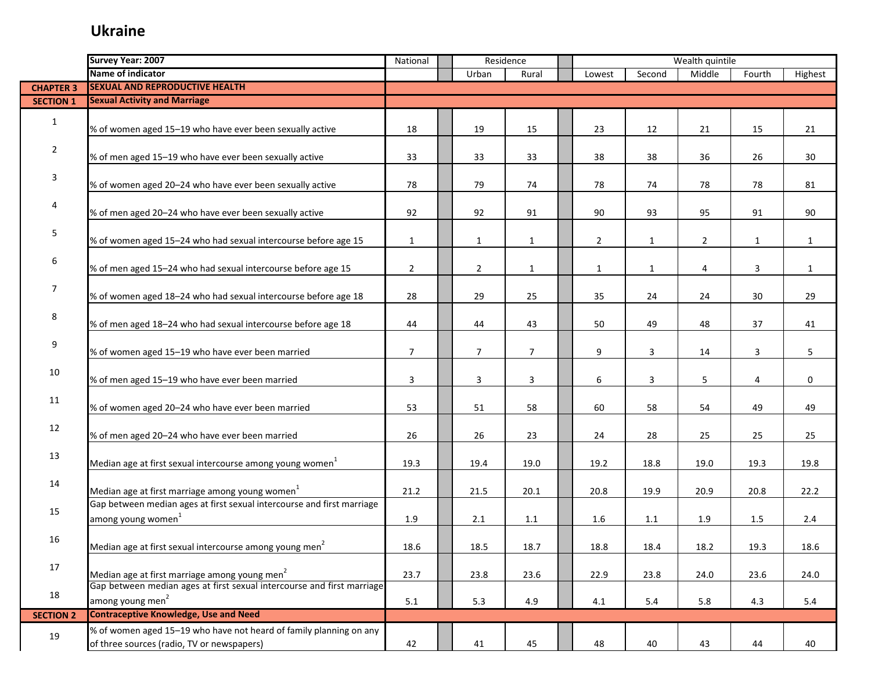|                  | Survey Year: 2007                                                                                                | National       |                | Residence      |                |              | Wealth quintile |              |              |
|------------------|------------------------------------------------------------------------------------------------------------------|----------------|----------------|----------------|----------------|--------------|-----------------|--------------|--------------|
|                  | Name of indicator                                                                                                |                | Urban          | Rural          | Lowest         | Second       | Middle          | Fourth       | Highest      |
| <b>CHAPTER 3</b> | <b>SEXUAL AND REPRODUCTIVE HEALTH</b>                                                                            |                |                |                |                |              |                 |              |              |
| <b>SECTION 1</b> | <b>Sexual Activity and Marriage</b>                                                                              |                |                |                |                |              |                 |              |              |
| $\mathbf{1}$     | % of women aged 15-19 who have ever been sexually active                                                         | 18             | 19             | 15             | 23             | 12           | 21              | 15           | 21           |
| $\overline{2}$   | % of men aged 15-19 who have ever been sexually active                                                           | 33             | 33             | 33             | 38             | 38           | 36              | 26           | 30           |
| 3                | % of women aged 20-24 who have ever been sexually active                                                         | 78             | 79             | 74             | 78             | 74           | 78              | 78           | 81           |
| 4                | % of men aged 20-24 who have ever been sexually active                                                           | 92             | 92             | 91             | 90             | 93           | 95              | 91           | 90           |
| 5                | % of women aged 15-24 who had sexual intercourse before age 15                                                   | $\mathbf{1}$   | $\mathbf{1}$   | $\mathbf{1}$   | $\overline{c}$ | $\mathbf{1}$ | $\overline{2}$  | $\mathbf{1}$ | $\mathbf{1}$ |
| 6                | % of men aged 15-24 who had sexual intercourse before age 15                                                     | $\overline{2}$ | $\overline{2}$ | $\mathbf{1}$   | $\mathbf{1}$   | $\mathbf{1}$ | $\overline{4}$  | 3            | $\mathbf{1}$ |
| $\overline{7}$   | % of women aged 18-24 who had sexual intercourse before age 18                                                   | 28             | 29             | 25             | 35             | 24           | 24              | 30           | 29           |
| 8                | % of men aged 18-24 who had sexual intercourse before age 18                                                     | 44             | 44             | 43             | 50             | 49           | 48              | 37           | 41           |
| 9                | % of women aged 15-19 who have ever been married                                                                 | $\overline{7}$ | 7              | $\overline{7}$ | 9              | 3            | 14              | 3            | 5            |
| 10               | % of men aged 15-19 who have ever been married                                                                   | 3              | 3              | 3              | 6              | 3            | 5               | 4            | 0            |
| 11               | % of women aged 20-24 who have ever been married                                                                 | 53             | 51             | 58             | 60             | 58           | 54              | 49           | 49           |
| 12               | % of men aged 20-24 who have ever been married                                                                   | 26             | 26             | 23             | 24             | 28           | 25              | 25           | 25           |
| 13               | Median age at first sexual intercourse among young women <sup>1</sup>                                            | 19.3           | 19.4           | 19.0           | 19.2           | 18.8         | 19.0            | 19.3         | 19.8         |
| 14               | Median age at first marriage among young women $1$                                                               | 21.2           | 21.5           | 20.1           | 20.8           | 19.9         | 20.9            | 20.8         | 22.2         |
| 15               | Gap between median ages at first sexual intercourse and first marriage<br>among young women <sup>1</sup>         | 1.9            | 2.1            | 1.1            | 1.6            | 1.1          | 1.9             | 1.5          | 2.4          |
| 16               | Median age at first sexual intercourse among young men <sup>2</sup>                                              | 18.6           | 18.5           | 18.7           | 18.8           | 18.4         | 18.2            | 19.3         | 18.6         |
| 17               | Median age at first marriage among young men <sup>2</sup>                                                        | 23.7           | 23.8           | 23.6           | 22.9           | 23.8         | 24.0            | 23.6         | 24.0         |
| 18               | Gap between median ages at first sexual intercourse and first marriage<br>among young men <sup>2</sup>           | 5.1            | 5.3            | 4.9            | 4.1            | 5.4          | 5.8             | 4.3          | 5.4          |
| <b>SECTION 2</b> | <b>Contraceptive Knowledge, Use and Need</b>                                                                     |                |                |                |                |              |                 |              |              |
| 19               | % of women aged 15-19 who have not heard of family planning on any<br>of three sources (radio, TV or newspapers) | 42             | 41             | 45             | 48             | 40           | 43              | 44           | 40           |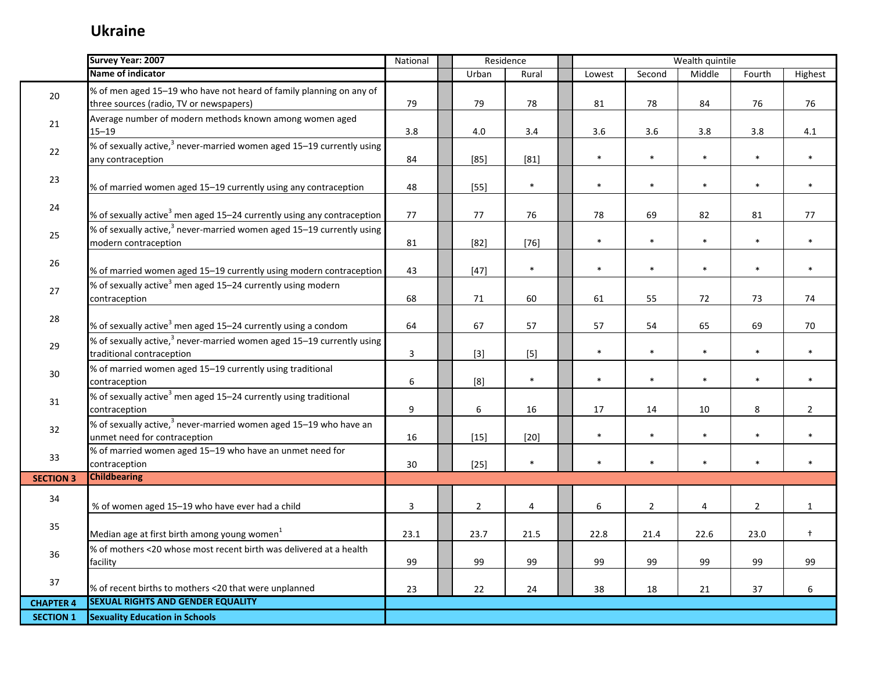|                  | Survey Year: 2007                                                                                              | National                | Residence        |              |                  |                | Wealth quintile |                |                |
|------------------|----------------------------------------------------------------------------------------------------------------|-------------------------|------------------|--------------|------------------|----------------|-----------------|----------------|----------------|
|                  | Name of indicator                                                                                              |                         | Urban            | Rural        | Lowest           | Second         | Middle          | Fourth         | Highest        |
| 20               | % of men aged 15-19 who have not heard of family planning on any of<br>three sources (radio, TV or newspapers) | 79                      | 79               | 78           | 81               | 78             | 84              | 76             | 76             |
|                  |                                                                                                                |                         |                  |              |                  |                |                 |                |                |
| 21               | Average number of modern methods known among women aged<br>$15 - 19$                                           | 3.8                     | 4.0              | 3.4          | 3.6              | 3.6            | 3.8             | 3.8            | 4.1            |
| 22               | % of sexually active, <sup>3</sup> never-married women aged 15–19 currently using<br>any contraception         | 84                      | $[85]$           | $[81]$       | $\ast$           | $\ast$         | $\ast$          | $\ast$         | $\ast$         |
| 23               | % of married women aged 15-19 currently using any contraception                                                | 48                      | $[55]$           | $\pmb{\ast}$ | $\ast$           | $\ast$         | $\pmb{\ast}$    | $\ast$         | $\ast$         |
| 24               | % of sexually active <sup>3</sup> men aged 15–24 currently using any contraception                             | 77                      | 77               | 76           | 78               | 69             | 82              | 81             | 77             |
| 25               | % of sexually active, <sup>3</sup> never-married women aged 15–19 currently using<br>modern contraception      | 81                      | $[82]$           | $[76]$       | $\ast$           | $\ast$         | $\ast$          | $\ast$         | $\ast$         |
| 26               | % of married women aged 15-19 currently using modern contraception                                             | 43                      | $[47]$           | $\ast$       | $\ast$           | $\ast$         | $\ast$          | $\ast$         | $\ast$         |
| 27               | % of sexually active <sup>3</sup> men aged 15-24 currently using modern<br>contraception                       | 68                      | 71               | 60           | 61               | 55             | 72              | 73             | 74             |
| 28               | % of sexually active <sup>3</sup> men aged 15–24 currently using a condom                                      | 64                      | 67               | 57           | 57               | 54             | 65              | 69             | 70             |
| 29               | % of sexually active, <sup>3</sup> never-married women aged 15-19 currently using<br>traditional contraception | $\overline{\mathbf{3}}$ | $[3]$            | $[5]$        | $\ast$           | $\ast$         | $\ast$          | $\ast$         | $\ast$         |
| 30               | % of married women aged 15-19 currently using traditional<br>contraception                                     | 6                       | [8]              | $\pmb{\ast}$ | $\ast$           | $\ast$         | $\ast$          | $\ast$         | $\ast$         |
| 31               | % of sexually active <sup>3</sup> men aged 15-24 currently using traditional<br>contraception                  | 9                       | $\boldsymbol{6}$ | 16           | 17               | 14             | 10              | 8              | $\overline{2}$ |
| 32               | % of sexually active, <sup>3</sup> never-married women aged 15-19 who have an<br>unmet need for contraception  | 16                      | $[15]$           | $[20]$       | $\ast$           | $\ast$         | $\ast$          | $\ast$         | $\ast$         |
| 33               | % of married women aged 15-19 who have an unmet need for<br>contraception                                      | 30                      | $[25]$           | $\pmb{\ast}$ | $\ast$           | $\ast$         | $\ast$          | $\ast$         | $\ast$         |
| <b>SECTION 3</b> | <b>Childbearing</b>                                                                                            |                         |                  |              |                  |                |                 |                |                |
| 34               | % of women aged 15-19 who have ever had a child                                                                | $\overline{3}$          | $\overline{2}$   | 4            | $\boldsymbol{6}$ | $\overline{2}$ | 4               | $\overline{2}$ | $\mathbf{1}$   |
| 35               | Median age at first birth among young women <sup>1</sup>                                                       | 23.1                    | 23.7             | 21.5         | 22.8             | 21.4           | 22.6            | 23.0           | $\ddagger$     |
| 36               | % of mothers <20 whose most recent birth was delivered at a health<br>facility                                 | 99                      | 99               | 99           | 99               | 99             | 99              | 99             | 99             |
| 37               | % of recent births to mothers <20 that were unplanned                                                          | 23                      | 22               | 24           | 38               | 18             | 21              | 37             | 6              |
| <b>CHAPTER 4</b> | <b>SEXUAL RIGHTS AND GENDER EQUALITY</b>                                                                       |                         |                  |              |                  |                |                 |                |                |
| <b>SECTION 1</b> | <b>Sexuality Education in Schools</b>                                                                          |                         |                  |              |                  |                |                 |                |                |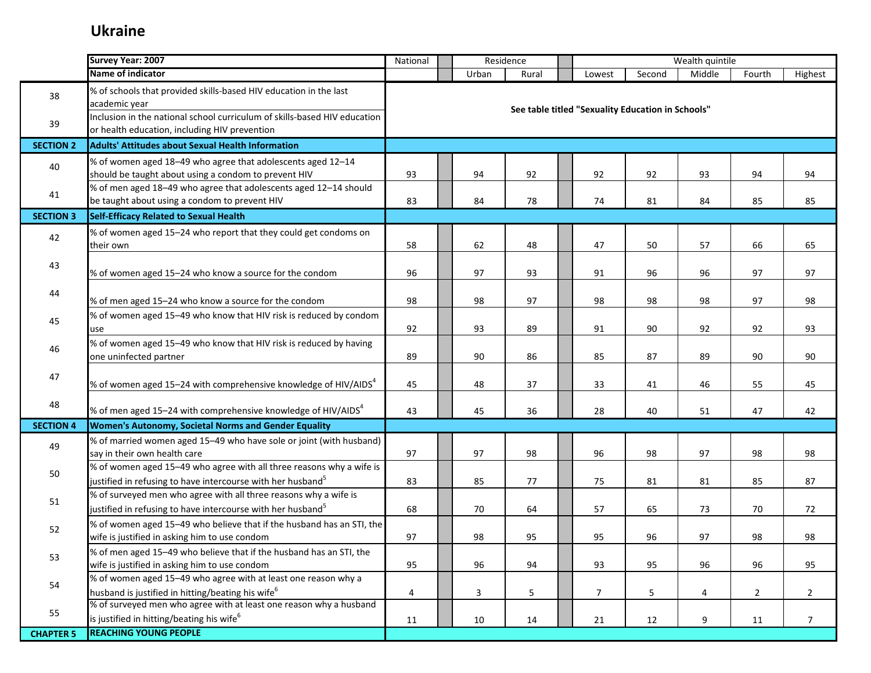|                  | Survey Year: 2007                                                                                                                               | National |       | Residence |                                                   |        | Wealth quintile |                |                 |
|------------------|-------------------------------------------------------------------------------------------------------------------------------------------------|----------|-------|-----------|---------------------------------------------------|--------|-----------------|----------------|-----------------|
|                  | Name of indicator                                                                                                                               |          | Urban | Rural     | Lowest                                            | Second | Middle          | Fourth         | Highest         |
| 38               | % of schools that provided skills-based HIV education in the last<br>academic year                                                              |          |       |           | See table titled "Sexuality Education in Schools" |        |                 |                |                 |
| 39               | Inclusion in the national school curriculum of skills-based HIV education<br>or health education, including HIV prevention                      |          |       |           |                                                   |        |                 |                |                 |
| <b>SECTION 2</b> | <b>Adults' Attitudes about Sexual Health Information</b>                                                                                        |          |       |           |                                                   |        |                 |                |                 |
| 40               | % of women aged 18-49 who agree that adolescents aged 12-14<br>should be taught about using a condom to prevent HIV                             | 93       | 94    | 92        | 92                                                | 92     | 93              | 94             | 94              |
| 41               | % of men aged 18-49 who agree that adolescents aged 12-14 should<br>be taught about using a condom to prevent HIV                               | 83       | 84    | 78        | 74                                                | 81     | 84              | 85             | 85              |
| <b>SECTION 3</b> | Self-Efficacy Related to Sexual Health                                                                                                          |          |       |           |                                                   |        |                 |                |                 |
| 42               | % of women aged 15-24 who report that they could get condoms on<br>their own                                                                    | 58       | 62    | 48        | 47                                                | 50     | 57              | 66             | 65              |
| 43               | % of women aged 15-24 who know a source for the condom                                                                                          | 96       | 97    | 93        | 91                                                | 96     | 96              | 97             | 97              |
| 44               | % of men aged 15-24 who know a source for the condom                                                                                            | 98       | 98    | 97        | 98                                                | 98     | 98              | 97             | 98              |
| 45               | % of women aged 15-49 who know that HIV risk is reduced by condom<br>use                                                                        | 92       | 93    | 89        | 91                                                | 90     | 92              | 92             | 93              |
| 46               | % of women aged 15-49 who know that HIV risk is reduced by having<br>one uninfected partner                                                     | 89       | 90    | 86        | 85                                                | 87     | 89              | 90             | 90              |
| 47               | % of women aged 15–24 with comprehensive knowledge of HIV/AIDS $^4$                                                                             | 45       | 48    | 37        | 33                                                | 41     | 46              | 55             | 45              |
| 48               | % of men aged 15–24 with comprehensive knowledge of HIV/AIDS <sup>4</sup>                                                                       | 43       | 45    | 36        | 28                                                | 40     | 51              | 47             | 42              |
| <b>SECTION 4</b> | Women's Autonomy, Societal Norms and Gender Equality                                                                                            |          |       |           |                                                   |        |                 |                |                 |
| 49               | % of married women aged 15-49 who have sole or joint (with husband)<br>say in their own health care                                             | 97       | 97    | 98        | 96                                                | 98     | 97              | 98             | 98              |
| 50               | % of women aged 15-49 who agree with all three reasons why a wife is<br>justified in refusing to have intercourse with her husband <sup>5</sup> | 83       | 85    | 77        | 75                                                | 81     | 81              | 85             | 87              |
| 51               | % of surveyed men who agree with all three reasons why a wife is<br>ustified in refusing to have intercourse with her husband <sup>5</sup>      | 68       | 70    | 64        | 57                                                | 65     | 73              | 70             | 72              |
| 52               | % of women aged 15-49 who believe that if the husband has an STI, the<br>wife is justified in asking him to use condom                          | 97       | 98    | 95        | 95                                                | 96     | 97              | 98             | 98              |
| 53               | % of men aged 15-49 who believe that if the husband has an STI, the<br>wife is justified in asking him to use condom                            | 95       | 96    | 94        | 93                                                | 95     | 96              | 96             | 95              |
| 54               | % of women aged 15-49 who agree with at least one reason why a<br>husband is justified in hitting/beating his wife <sup>6</sup>                 | 4        | 3     | 5         | $\overline{7}$                                    | 5      | 4               | $\overline{2}$ | $\overline{2}$  |
| 55               | % of surveyed men who agree with at least one reason why a husband<br>is justified in hitting/beating his wife <sup>6</sup>                     | 11       | 10    | 14        | 21                                                | 12     | 9               | 11             | $7\overline{ }$ |
| <b>CHAPTER 5</b> | <b>REACHING YOUNG PEOPLE</b>                                                                                                                    |          |       |           |                                                   |        |                 |                |                 |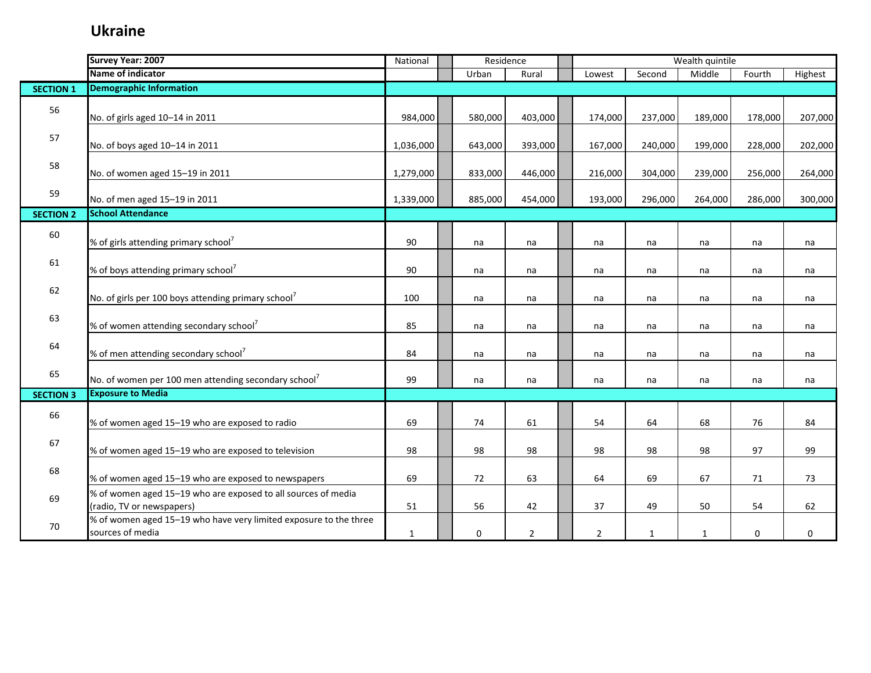|                  | Survey Year: 2007                                                                          | National     | Residence |                |                |              | Wealth quintile |         |         |
|------------------|--------------------------------------------------------------------------------------------|--------------|-----------|----------------|----------------|--------------|-----------------|---------|---------|
|                  | Name of indicator                                                                          |              | Urban     | Rural          | Lowest         | Second       | Middle          | Fourth  | Highest |
| <b>SECTION 1</b> | <b>Demographic Information</b>                                                             |              |           |                |                |              |                 |         |         |
| 56               | No. of girls aged 10-14 in 2011                                                            | 984,000      | 580,000   | 403,000        | 174,000        | 237,000      | 189,000         | 178,000 | 207,000 |
| 57               | No. of boys aged 10-14 in 2011                                                             | 1,036,000    | 643,000   | 393,000        | 167,000        | 240,000      | 199,000         | 228,000 | 202,000 |
| 58               | No. of women aged 15-19 in 2011                                                            | 1,279,000    | 833,000   | 446,000        | 216,000        | 304,000      | 239,000         | 256,000 | 264,000 |
| 59               | No. of men aged 15-19 in 2011                                                              | 1,339,000    | 885,000   | 454,000        | 193,000        | 296,000      | 264,000         | 286,000 | 300,000 |
| <b>SECTION 2</b> | <b>School Attendance</b>                                                                   |              |           |                |                |              |                 |         |         |
| 60               | % of girls attending primary school <sup>7</sup>                                           | 90           | na        | na             | na             | na           | na              | na      | na      |
| 61               | % of boys attending primary school <sup>7</sup>                                            | 90           | na        | na             | na             | na           | na              | na      | na      |
| 62               | No. of girls per 100 boys attending primary school <sup>7</sup>                            | 100          | na        | na             | na             | na           | na              | na      | na      |
| 63               | % of women attending secondary school <sup>7</sup>                                         | 85           | na        | na             | na             | na           | na              | na      | na      |
| 64               | % of men attending secondary school <sup>7</sup>                                           | 84           | na        | na             | na             | na           | na              | na      | na      |
| 65               | No. of women per 100 men attending secondary school <sup>7</sup>                           | 99           | na        | na             | na             | na           | na              | na      | na      |
| <b>SECTION 3</b> | <b>Exposure to Media</b>                                                                   |              |           |                |                |              |                 |         |         |
| 66               | % of women aged 15-19 who are exposed to radio                                             | 69           | 74        | 61             | 54             | 64           | 68              | 76      | 84      |
| 67               | % of women aged 15-19 who are exposed to television                                        | 98           | 98        | 98             | 98             | 98           | 98              | 97      | 99      |
| 68               | % of women aged 15-19 who are exposed to newspapers                                        | 69           | 72        | 63             | 64             | 69           | 67              | 71      | 73      |
| 69               | % of women aged 15-19 who are exposed to all sources of media<br>(radio, TV or newspapers) | 51           | 56        | 42             | 37             | 49           | 50              | 54      | 62      |
| 70               | % of women aged 15-19 who have very limited exposure to the three<br>sources of media      | $\mathbf{1}$ | 0         | $\overline{2}$ | $\overline{2}$ | $\mathbf{1}$ | 1               | 0       | 0       |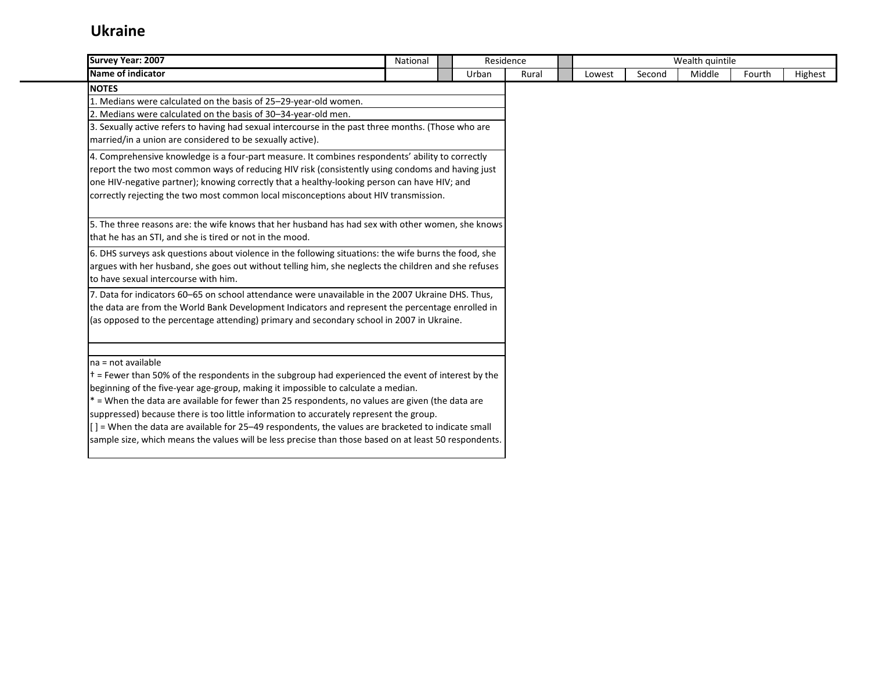| Survey Year: 2007                                                                                       | National | Residence |       |        |        | Wealth quintile |        |         |
|---------------------------------------------------------------------------------------------------------|----------|-----------|-------|--------|--------|-----------------|--------|---------|
| <b>Name of indicator</b>                                                                                |          | Urban     | Rural | Lowest | Second | Middle          | Fourth | Highest |
| <b>NOTES</b>                                                                                            |          |           |       |        |        |                 |        |         |
| 1. Medians were calculated on the basis of 25-29-year-old women.                                        |          |           |       |        |        |                 |        |         |
| 2. Medians were calculated on the basis of 30-34-year-old men.                                          |          |           |       |        |        |                 |        |         |
| 3. Sexually active refers to having had sexual intercourse in the past three months. (Those who are     |          |           |       |        |        |                 |        |         |
| married/in a union are considered to be sexually active).                                               |          |           |       |        |        |                 |        |         |
| 4. Comprehensive knowledge is a four-part measure. It combines respondents' ability to correctly        |          |           |       |        |        |                 |        |         |
| report the two most common ways of reducing HIV risk (consistently using condoms and having just        |          |           |       |        |        |                 |        |         |
| one HIV-negative partner); knowing correctly that a healthy-looking person can have HIV; and            |          |           |       |        |        |                 |        |         |
| correctly rejecting the two most common local misconceptions about HIV transmission.                    |          |           |       |        |        |                 |        |         |
|                                                                                                         |          |           |       |        |        |                 |        |         |
| 5. The three reasons are: the wife knows that her husband has had sex with other women, she knows       |          |           |       |        |        |                 |        |         |
| that he has an STI, and she is tired or not in the mood.                                                |          |           |       |        |        |                 |        |         |
| 6. DHS surveys ask questions about violence in the following situations: the wife burns the food, she   |          |           |       |        |        |                 |        |         |
| argues with her husband, she goes out without telling him, she neglects the children and she refuses    |          |           |       |        |        |                 |        |         |
| to have sexual intercourse with him.                                                                    |          |           |       |        |        |                 |        |         |
| 7. Data for indicators 60-65 on school attendance were unavailable in the 2007 Ukraine DHS. Thus,       |          |           |       |        |        |                 |        |         |
| the data are from the World Bank Development Indicators and represent the percentage enrolled in        |          |           |       |        |        |                 |        |         |
| (as opposed to the percentage attending) primary and secondary school in 2007 in Ukraine.               |          |           |       |        |        |                 |        |         |
|                                                                                                         |          |           |       |        |        |                 |        |         |
| $na = not available$                                                                                    |          |           |       |        |        |                 |        |         |
| $t =$ Fewer than 50% of the respondents in the subgroup had experienced the event of interest by the    |          |           |       |        |        |                 |        |         |
| beginning of the five-year age-group, making it impossible to calculate a median.                       |          |           |       |        |        |                 |        |         |
| * = When the data are available for fewer than 25 respondents, no values are given (the data are        |          |           |       |        |        |                 |        |         |
| suppressed) because there is too little information to accurately represent the group.                  |          |           |       |        |        |                 |        |         |
| $[$ $]$ = When the data are available for 25–49 respondents, the values are bracketed to indicate small |          |           |       |        |        |                 |        |         |
| sample size, which means the values will be less precise than those based on at least 50 respondents.   |          |           |       |        |        |                 |        |         |
|                                                                                                         |          |           |       |        |        |                 |        |         |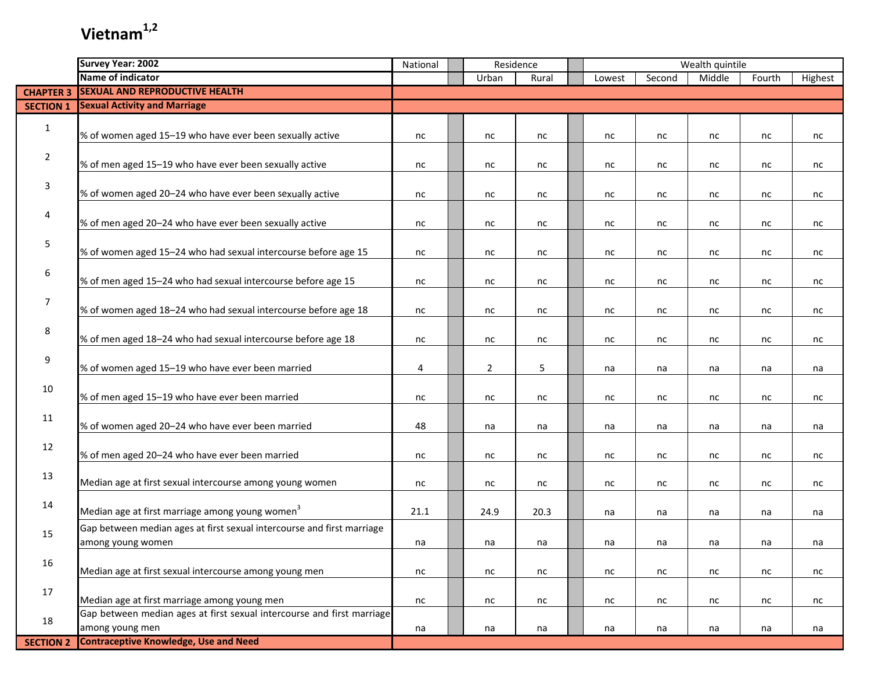| <b>Name of indicator</b><br>Second<br>Middle<br>Fourth<br>Highest<br>Urban<br>Rural<br>Lowest<br><b>SEXUAL AND REPRODUCTIVE HEALTH</b><br><b>CHAPTER 3</b><br><b>Sexual Activity and Marriage</b><br><b>SECTION 1</b><br>$\mathbf{1}$<br>% of women aged 15-19 who have ever been sexually active<br>nc<br>nc<br>nc<br>nc<br>nc<br>nc<br>nc<br>nc<br>$\overline{2}$<br>% of men aged 15-19 who have ever been sexually active<br>nc<br>nc<br>nc<br>nc<br>nc<br>nc<br>nc<br>nc<br>3<br>% of women aged 20-24 who have ever been sexually active<br>nc<br>nc<br>nc<br>nc<br>nc<br>nc<br>nc<br>nc<br>4<br>% of men aged 20-24 who have ever been sexually active<br>nc<br>nc<br>nc<br>nc<br>nc<br>nc<br>nc<br>nc<br>5<br>% of women aged 15-24 who had sexual intercourse before age 15<br>nc<br>nc<br>nc<br>nc<br>nc<br>nc<br>nc<br>nc<br>$6\,$<br>% of men aged 15-24 who had sexual intercourse before age 15<br>nc<br>nc<br>nc<br>nc<br>nc<br>nc<br>nc<br>nc<br>$\overline{7}$<br>% of women aged 18-24 who had sexual intercourse before age 18<br>nc<br>nc<br>nc<br>nc<br>nc<br>nc<br>nc<br>nc<br>8<br>% of men aged 18-24 who had sexual intercourse before age 18<br>nc<br>nc<br>nc<br>nc<br>nc<br>nc<br>nc<br>nc<br>9<br>% of women aged 15-19 who have ever been married<br>$\overline{2}$<br>5<br>4<br>na<br>na<br>na<br>na<br>na<br>10<br>% of men aged 15-19 who have ever been married<br>nc<br>nc<br>nc<br>nc<br>nc<br>nc<br>nc<br>nc<br>11<br>% of women aged 20-24 who have ever been married<br>48<br>na<br>na<br>na<br>na<br>na<br>na<br>na<br>12<br>% of men aged 20-24 who have ever been married<br>nc<br>nc<br>nc<br>nc<br>nc<br>nc<br>nc<br>nc<br>13<br>Median age at first sexual intercourse among young women<br>nc<br>nc<br>nc<br>nc<br>nc<br>nc<br>nc<br>nc<br>14<br>Median age at first marriage among young women <sup>3</sup><br>21.1<br>20.3<br>24.9<br>na<br>na<br>na<br>na<br>na<br>Gap between median ages at first sexual intercourse and first marriage<br>15<br>among young women<br>na<br>na<br>na<br>na<br>na<br>na<br>na<br>na<br>16<br>Median age at first sexual intercourse among young men<br>nc<br>nc<br>nc<br>nc<br>nc<br>nc<br>nc<br>nc<br>17<br>Median age at first marriage among young men<br>nc<br>nc<br>nc<br>nc<br>nc<br>nc<br>nc<br>nc<br>Gap between median ages at first sexual intercourse and first marriage<br>18<br>among young men<br>na<br>na<br>na<br>na<br>na<br>na<br>na<br>na |                  | <b>Survey Year: 2002</b>                     | National | Residence |  |  | Wealth quintile |  |  |  |  |  |
|------------------------------------------------------------------------------------------------------------------------------------------------------------------------------------------------------------------------------------------------------------------------------------------------------------------------------------------------------------------------------------------------------------------------------------------------------------------------------------------------------------------------------------------------------------------------------------------------------------------------------------------------------------------------------------------------------------------------------------------------------------------------------------------------------------------------------------------------------------------------------------------------------------------------------------------------------------------------------------------------------------------------------------------------------------------------------------------------------------------------------------------------------------------------------------------------------------------------------------------------------------------------------------------------------------------------------------------------------------------------------------------------------------------------------------------------------------------------------------------------------------------------------------------------------------------------------------------------------------------------------------------------------------------------------------------------------------------------------------------------------------------------------------------------------------------------------------------------------------------------------------------------------------------------------------------------------------------------------------------------------------------------------------------------------------------------------------------------------------------------------------------------------------------------------------------------------------------------------------------------------------------------------------------------------------------------------------------------------------------------------------------------------------------------------------------------|------------------|----------------------------------------------|----------|-----------|--|--|-----------------|--|--|--|--|--|
|                                                                                                                                                                                                                                                                                                                                                                                                                                                                                                                                                                                                                                                                                                                                                                                                                                                                                                                                                                                                                                                                                                                                                                                                                                                                                                                                                                                                                                                                                                                                                                                                                                                                                                                                                                                                                                                                                                                                                                                                                                                                                                                                                                                                                                                                                                                                                                                                                                                |                  |                                              |          |           |  |  |                 |  |  |  |  |  |
|                                                                                                                                                                                                                                                                                                                                                                                                                                                                                                                                                                                                                                                                                                                                                                                                                                                                                                                                                                                                                                                                                                                                                                                                                                                                                                                                                                                                                                                                                                                                                                                                                                                                                                                                                                                                                                                                                                                                                                                                                                                                                                                                                                                                                                                                                                                                                                                                                                                |                  |                                              |          |           |  |  |                 |  |  |  |  |  |
|                                                                                                                                                                                                                                                                                                                                                                                                                                                                                                                                                                                                                                                                                                                                                                                                                                                                                                                                                                                                                                                                                                                                                                                                                                                                                                                                                                                                                                                                                                                                                                                                                                                                                                                                                                                                                                                                                                                                                                                                                                                                                                                                                                                                                                                                                                                                                                                                                                                |                  |                                              |          |           |  |  |                 |  |  |  |  |  |
|                                                                                                                                                                                                                                                                                                                                                                                                                                                                                                                                                                                                                                                                                                                                                                                                                                                                                                                                                                                                                                                                                                                                                                                                                                                                                                                                                                                                                                                                                                                                                                                                                                                                                                                                                                                                                                                                                                                                                                                                                                                                                                                                                                                                                                                                                                                                                                                                                                                |                  |                                              |          |           |  |  |                 |  |  |  |  |  |
|                                                                                                                                                                                                                                                                                                                                                                                                                                                                                                                                                                                                                                                                                                                                                                                                                                                                                                                                                                                                                                                                                                                                                                                                                                                                                                                                                                                                                                                                                                                                                                                                                                                                                                                                                                                                                                                                                                                                                                                                                                                                                                                                                                                                                                                                                                                                                                                                                                                |                  |                                              |          |           |  |  |                 |  |  |  |  |  |
|                                                                                                                                                                                                                                                                                                                                                                                                                                                                                                                                                                                                                                                                                                                                                                                                                                                                                                                                                                                                                                                                                                                                                                                                                                                                                                                                                                                                                                                                                                                                                                                                                                                                                                                                                                                                                                                                                                                                                                                                                                                                                                                                                                                                                                                                                                                                                                                                                                                |                  |                                              |          |           |  |  |                 |  |  |  |  |  |
|                                                                                                                                                                                                                                                                                                                                                                                                                                                                                                                                                                                                                                                                                                                                                                                                                                                                                                                                                                                                                                                                                                                                                                                                                                                                                                                                                                                                                                                                                                                                                                                                                                                                                                                                                                                                                                                                                                                                                                                                                                                                                                                                                                                                                                                                                                                                                                                                                                                |                  |                                              |          |           |  |  |                 |  |  |  |  |  |
|                                                                                                                                                                                                                                                                                                                                                                                                                                                                                                                                                                                                                                                                                                                                                                                                                                                                                                                                                                                                                                                                                                                                                                                                                                                                                                                                                                                                                                                                                                                                                                                                                                                                                                                                                                                                                                                                                                                                                                                                                                                                                                                                                                                                                                                                                                                                                                                                                                                |                  |                                              |          |           |  |  |                 |  |  |  |  |  |
|                                                                                                                                                                                                                                                                                                                                                                                                                                                                                                                                                                                                                                                                                                                                                                                                                                                                                                                                                                                                                                                                                                                                                                                                                                                                                                                                                                                                                                                                                                                                                                                                                                                                                                                                                                                                                                                                                                                                                                                                                                                                                                                                                                                                                                                                                                                                                                                                                                                |                  |                                              |          |           |  |  |                 |  |  |  |  |  |
|                                                                                                                                                                                                                                                                                                                                                                                                                                                                                                                                                                                                                                                                                                                                                                                                                                                                                                                                                                                                                                                                                                                                                                                                                                                                                                                                                                                                                                                                                                                                                                                                                                                                                                                                                                                                                                                                                                                                                                                                                                                                                                                                                                                                                                                                                                                                                                                                                                                |                  |                                              |          |           |  |  |                 |  |  |  |  |  |
|                                                                                                                                                                                                                                                                                                                                                                                                                                                                                                                                                                                                                                                                                                                                                                                                                                                                                                                                                                                                                                                                                                                                                                                                                                                                                                                                                                                                                                                                                                                                                                                                                                                                                                                                                                                                                                                                                                                                                                                                                                                                                                                                                                                                                                                                                                                                                                                                                                                |                  |                                              |          |           |  |  |                 |  |  |  |  |  |
|                                                                                                                                                                                                                                                                                                                                                                                                                                                                                                                                                                                                                                                                                                                                                                                                                                                                                                                                                                                                                                                                                                                                                                                                                                                                                                                                                                                                                                                                                                                                                                                                                                                                                                                                                                                                                                                                                                                                                                                                                                                                                                                                                                                                                                                                                                                                                                                                                                                |                  |                                              |          |           |  |  |                 |  |  |  |  |  |
|                                                                                                                                                                                                                                                                                                                                                                                                                                                                                                                                                                                                                                                                                                                                                                                                                                                                                                                                                                                                                                                                                                                                                                                                                                                                                                                                                                                                                                                                                                                                                                                                                                                                                                                                                                                                                                                                                                                                                                                                                                                                                                                                                                                                                                                                                                                                                                                                                                                |                  |                                              |          |           |  |  |                 |  |  |  |  |  |
|                                                                                                                                                                                                                                                                                                                                                                                                                                                                                                                                                                                                                                                                                                                                                                                                                                                                                                                                                                                                                                                                                                                                                                                                                                                                                                                                                                                                                                                                                                                                                                                                                                                                                                                                                                                                                                                                                                                                                                                                                                                                                                                                                                                                                                                                                                                                                                                                                                                |                  |                                              |          |           |  |  |                 |  |  |  |  |  |
|                                                                                                                                                                                                                                                                                                                                                                                                                                                                                                                                                                                                                                                                                                                                                                                                                                                                                                                                                                                                                                                                                                                                                                                                                                                                                                                                                                                                                                                                                                                                                                                                                                                                                                                                                                                                                                                                                                                                                                                                                                                                                                                                                                                                                                                                                                                                                                                                                                                |                  |                                              |          |           |  |  |                 |  |  |  |  |  |
|                                                                                                                                                                                                                                                                                                                                                                                                                                                                                                                                                                                                                                                                                                                                                                                                                                                                                                                                                                                                                                                                                                                                                                                                                                                                                                                                                                                                                                                                                                                                                                                                                                                                                                                                                                                                                                                                                                                                                                                                                                                                                                                                                                                                                                                                                                                                                                                                                                                |                  |                                              |          |           |  |  |                 |  |  |  |  |  |
|                                                                                                                                                                                                                                                                                                                                                                                                                                                                                                                                                                                                                                                                                                                                                                                                                                                                                                                                                                                                                                                                                                                                                                                                                                                                                                                                                                                                                                                                                                                                                                                                                                                                                                                                                                                                                                                                                                                                                                                                                                                                                                                                                                                                                                                                                                                                                                                                                                                |                  |                                              |          |           |  |  |                 |  |  |  |  |  |
|                                                                                                                                                                                                                                                                                                                                                                                                                                                                                                                                                                                                                                                                                                                                                                                                                                                                                                                                                                                                                                                                                                                                                                                                                                                                                                                                                                                                                                                                                                                                                                                                                                                                                                                                                                                                                                                                                                                                                                                                                                                                                                                                                                                                                                                                                                                                                                                                                                                |                  |                                              |          |           |  |  |                 |  |  |  |  |  |
|                                                                                                                                                                                                                                                                                                                                                                                                                                                                                                                                                                                                                                                                                                                                                                                                                                                                                                                                                                                                                                                                                                                                                                                                                                                                                                                                                                                                                                                                                                                                                                                                                                                                                                                                                                                                                                                                                                                                                                                                                                                                                                                                                                                                                                                                                                                                                                                                                                                |                  |                                              |          |           |  |  |                 |  |  |  |  |  |
|                                                                                                                                                                                                                                                                                                                                                                                                                                                                                                                                                                                                                                                                                                                                                                                                                                                                                                                                                                                                                                                                                                                                                                                                                                                                                                                                                                                                                                                                                                                                                                                                                                                                                                                                                                                                                                                                                                                                                                                                                                                                                                                                                                                                                                                                                                                                                                                                                                                |                  |                                              |          |           |  |  |                 |  |  |  |  |  |
|                                                                                                                                                                                                                                                                                                                                                                                                                                                                                                                                                                                                                                                                                                                                                                                                                                                                                                                                                                                                                                                                                                                                                                                                                                                                                                                                                                                                                                                                                                                                                                                                                                                                                                                                                                                                                                                                                                                                                                                                                                                                                                                                                                                                                                                                                                                                                                                                                                                |                  |                                              |          |           |  |  |                 |  |  |  |  |  |
|                                                                                                                                                                                                                                                                                                                                                                                                                                                                                                                                                                                                                                                                                                                                                                                                                                                                                                                                                                                                                                                                                                                                                                                                                                                                                                                                                                                                                                                                                                                                                                                                                                                                                                                                                                                                                                                                                                                                                                                                                                                                                                                                                                                                                                                                                                                                                                                                                                                |                  |                                              |          |           |  |  |                 |  |  |  |  |  |
|                                                                                                                                                                                                                                                                                                                                                                                                                                                                                                                                                                                                                                                                                                                                                                                                                                                                                                                                                                                                                                                                                                                                                                                                                                                                                                                                                                                                                                                                                                                                                                                                                                                                                                                                                                                                                                                                                                                                                                                                                                                                                                                                                                                                                                                                                                                                                                                                                                                |                  |                                              |          |           |  |  |                 |  |  |  |  |  |
|                                                                                                                                                                                                                                                                                                                                                                                                                                                                                                                                                                                                                                                                                                                                                                                                                                                                                                                                                                                                                                                                                                                                                                                                                                                                                                                                                                                                                                                                                                                                                                                                                                                                                                                                                                                                                                                                                                                                                                                                                                                                                                                                                                                                                                                                                                                                                                                                                                                |                  |                                              |          |           |  |  |                 |  |  |  |  |  |
|                                                                                                                                                                                                                                                                                                                                                                                                                                                                                                                                                                                                                                                                                                                                                                                                                                                                                                                                                                                                                                                                                                                                                                                                                                                                                                                                                                                                                                                                                                                                                                                                                                                                                                                                                                                                                                                                                                                                                                                                                                                                                                                                                                                                                                                                                                                                                                                                                                                |                  |                                              |          |           |  |  |                 |  |  |  |  |  |
|                                                                                                                                                                                                                                                                                                                                                                                                                                                                                                                                                                                                                                                                                                                                                                                                                                                                                                                                                                                                                                                                                                                                                                                                                                                                                                                                                                                                                                                                                                                                                                                                                                                                                                                                                                                                                                                                                                                                                                                                                                                                                                                                                                                                                                                                                                                                                                                                                                                |                  |                                              |          |           |  |  |                 |  |  |  |  |  |
|                                                                                                                                                                                                                                                                                                                                                                                                                                                                                                                                                                                                                                                                                                                                                                                                                                                                                                                                                                                                                                                                                                                                                                                                                                                                                                                                                                                                                                                                                                                                                                                                                                                                                                                                                                                                                                                                                                                                                                                                                                                                                                                                                                                                                                                                                                                                                                                                                                                |                  |                                              |          |           |  |  |                 |  |  |  |  |  |
|                                                                                                                                                                                                                                                                                                                                                                                                                                                                                                                                                                                                                                                                                                                                                                                                                                                                                                                                                                                                                                                                                                                                                                                                                                                                                                                                                                                                                                                                                                                                                                                                                                                                                                                                                                                                                                                                                                                                                                                                                                                                                                                                                                                                                                                                                                                                                                                                                                                |                  |                                              |          |           |  |  |                 |  |  |  |  |  |
|                                                                                                                                                                                                                                                                                                                                                                                                                                                                                                                                                                                                                                                                                                                                                                                                                                                                                                                                                                                                                                                                                                                                                                                                                                                                                                                                                                                                                                                                                                                                                                                                                                                                                                                                                                                                                                                                                                                                                                                                                                                                                                                                                                                                                                                                                                                                                                                                                                                |                  |                                              |          |           |  |  |                 |  |  |  |  |  |
|                                                                                                                                                                                                                                                                                                                                                                                                                                                                                                                                                                                                                                                                                                                                                                                                                                                                                                                                                                                                                                                                                                                                                                                                                                                                                                                                                                                                                                                                                                                                                                                                                                                                                                                                                                                                                                                                                                                                                                                                                                                                                                                                                                                                                                                                                                                                                                                                                                                |                  |                                              |          |           |  |  |                 |  |  |  |  |  |
|                                                                                                                                                                                                                                                                                                                                                                                                                                                                                                                                                                                                                                                                                                                                                                                                                                                                                                                                                                                                                                                                                                                                                                                                                                                                                                                                                                                                                                                                                                                                                                                                                                                                                                                                                                                                                                                                                                                                                                                                                                                                                                                                                                                                                                                                                                                                                                                                                                                |                  |                                              |          |           |  |  |                 |  |  |  |  |  |
|                                                                                                                                                                                                                                                                                                                                                                                                                                                                                                                                                                                                                                                                                                                                                                                                                                                                                                                                                                                                                                                                                                                                                                                                                                                                                                                                                                                                                                                                                                                                                                                                                                                                                                                                                                                                                                                                                                                                                                                                                                                                                                                                                                                                                                                                                                                                                                                                                                                |                  |                                              |          |           |  |  |                 |  |  |  |  |  |
|                                                                                                                                                                                                                                                                                                                                                                                                                                                                                                                                                                                                                                                                                                                                                                                                                                                                                                                                                                                                                                                                                                                                                                                                                                                                                                                                                                                                                                                                                                                                                                                                                                                                                                                                                                                                                                                                                                                                                                                                                                                                                                                                                                                                                                                                                                                                                                                                                                                |                  |                                              |          |           |  |  |                 |  |  |  |  |  |
|                                                                                                                                                                                                                                                                                                                                                                                                                                                                                                                                                                                                                                                                                                                                                                                                                                                                                                                                                                                                                                                                                                                                                                                                                                                                                                                                                                                                                                                                                                                                                                                                                                                                                                                                                                                                                                                                                                                                                                                                                                                                                                                                                                                                                                                                                                                                                                                                                                                |                  |                                              |          |           |  |  |                 |  |  |  |  |  |
|                                                                                                                                                                                                                                                                                                                                                                                                                                                                                                                                                                                                                                                                                                                                                                                                                                                                                                                                                                                                                                                                                                                                                                                                                                                                                                                                                                                                                                                                                                                                                                                                                                                                                                                                                                                                                                                                                                                                                                                                                                                                                                                                                                                                                                                                                                                                                                                                                                                |                  |                                              |          |           |  |  |                 |  |  |  |  |  |
|                                                                                                                                                                                                                                                                                                                                                                                                                                                                                                                                                                                                                                                                                                                                                                                                                                                                                                                                                                                                                                                                                                                                                                                                                                                                                                                                                                                                                                                                                                                                                                                                                                                                                                                                                                                                                                                                                                                                                                                                                                                                                                                                                                                                                                                                                                                                                                                                                                                |                  |                                              |          |           |  |  |                 |  |  |  |  |  |
|                                                                                                                                                                                                                                                                                                                                                                                                                                                                                                                                                                                                                                                                                                                                                                                                                                                                                                                                                                                                                                                                                                                                                                                                                                                                                                                                                                                                                                                                                                                                                                                                                                                                                                                                                                                                                                                                                                                                                                                                                                                                                                                                                                                                                                                                                                                                                                                                                                                |                  |                                              |          |           |  |  |                 |  |  |  |  |  |
|                                                                                                                                                                                                                                                                                                                                                                                                                                                                                                                                                                                                                                                                                                                                                                                                                                                                                                                                                                                                                                                                                                                                                                                                                                                                                                                                                                                                                                                                                                                                                                                                                                                                                                                                                                                                                                                                                                                                                                                                                                                                                                                                                                                                                                                                                                                                                                                                                                                |                  |                                              |          |           |  |  |                 |  |  |  |  |  |
|                                                                                                                                                                                                                                                                                                                                                                                                                                                                                                                                                                                                                                                                                                                                                                                                                                                                                                                                                                                                                                                                                                                                                                                                                                                                                                                                                                                                                                                                                                                                                                                                                                                                                                                                                                                                                                                                                                                                                                                                                                                                                                                                                                                                                                                                                                                                                                                                                                                |                  |                                              |          |           |  |  |                 |  |  |  |  |  |
|                                                                                                                                                                                                                                                                                                                                                                                                                                                                                                                                                                                                                                                                                                                                                                                                                                                                                                                                                                                                                                                                                                                                                                                                                                                                                                                                                                                                                                                                                                                                                                                                                                                                                                                                                                                                                                                                                                                                                                                                                                                                                                                                                                                                                                                                                                                                                                                                                                                |                  |                                              |          |           |  |  |                 |  |  |  |  |  |
|                                                                                                                                                                                                                                                                                                                                                                                                                                                                                                                                                                                                                                                                                                                                                                                                                                                                                                                                                                                                                                                                                                                                                                                                                                                                                                                                                                                                                                                                                                                                                                                                                                                                                                                                                                                                                                                                                                                                                                                                                                                                                                                                                                                                                                                                                                                                                                                                                                                |                  |                                              |          |           |  |  |                 |  |  |  |  |  |
|                                                                                                                                                                                                                                                                                                                                                                                                                                                                                                                                                                                                                                                                                                                                                                                                                                                                                                                                                                                                                                                                                                                                                                                                                                                                                                                                                                                                                                                                                                                                                                                                                                                                                                                                                                                                                                                                                                                                                                                                                                                                                                                                                                                                                                                                                                                                                                                                                                                | <b>SECTION 2</b> | <b>Contraceptive Knowledge, Use and Need</b> |          |           |  |  |                 |  |  |  |  |  |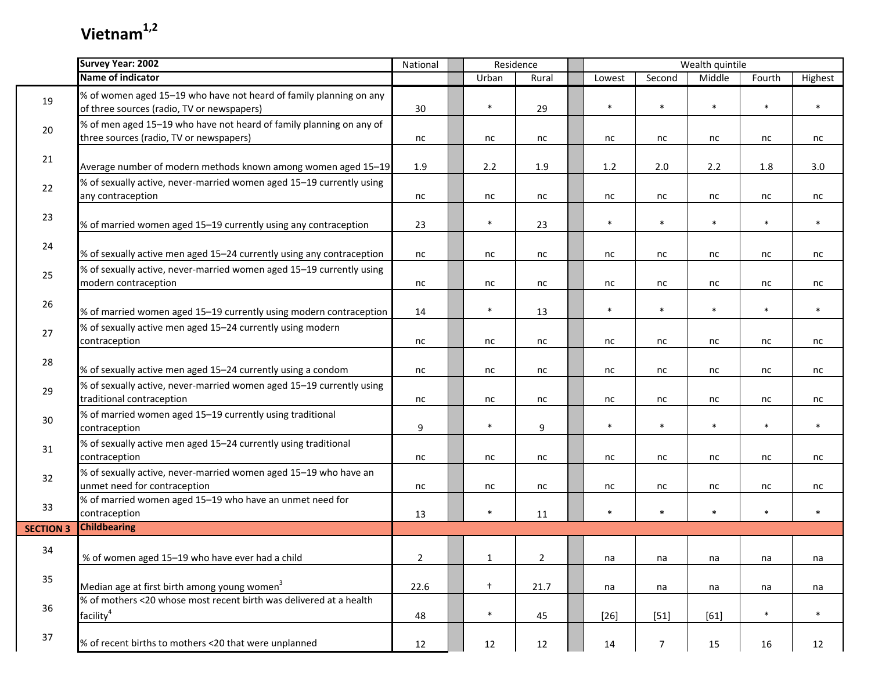|                  | <b>Survey Year: 2002</b>                                                                                          | National       |              | Residence      |        |                | Wealth quintile |        |         |
|------------------|-------------------------------------------------------------------------------------------------------------------|----------------|--------------|----------------|--------|----------------|-----------------|--------|---------|
|                  | Name of indicator                                                                                                 |                | Urban        | Rural          | Lowest | Second         | Middle          | Fourth | Highest |
| 19               | % of women aged 15-19 who have not heard of family planning on any<br>of three sources (radio, TV or newspapers)  | 30             | $\ast$       | 29             | $\ast$ | $\ast$         | $\ast$          | $\ast$ | $\ast$  |
| 20               | $\%$ of men aged 15–19 who have not heard of family planning on any of<br>three sources (radio, TV or newspapers) | nc             | nc           | nc             | nc     | nc             | nc              | nc     | nc      |
| 21               | Average number of modern methods known among women aged 15-19                                                     | $1.9\,$        | 2.2          | 1.9            | 1.2    | 2.0            | 2.2             | 1.8    | 3.0     |
| 22               | % of sexually active, never-married women aged 15-19 currently using<br>any contraception                         | nc             | nc           | nc             | nc     | nc             | nc              | nc     | nc      |
| 23               | % of married women aged 15-19 currently using any contraception                                                   | 23             | $\ast$       | 23             | $\ast$ | $\ast$         | $\ast$          | $\ast$ | $\ast$  |
| 24               | % of sexually active men aged 15-24 currently using any contraception                                             | nc             | nc           | nc             | nc     | nc             | nc              | nc     | nc      |
| 25               | % of sexually active, never-married women aged 15-19 currently using<br>modern contraception                      | nc             | nc           | nc             | nc     | nc             | nc              | nc     | nc      |
| 26               | % of married women aged 15-19 currently using modern contraception                                                | 14             | $\ast$       | 13             | $\ast$ | $\ast$         | $\ast$          | $\ast$ | $\ast$  |
| 27               | % of sexually active men aged 15-24 currently using modern<br>contraception                                       | nc             | nc           | nc             | nc     | nc             | nc              | nc     | nc      |
| 28               | % of sexually active men aged 15-24 currently using a condom                                                      | nc             | nc           | nc             | nc     | nc             | nc              | nc     | nc      |
| 29               | % of sexually active, never-married women aged 15-19 currently using<br>traditional contraception                 | nc             | nc           | nc             | nc     | nc             | nc              | nc     | nc      |
| 30               | % of married women aged 15-19 currently using traditional<br>contraception                                        | 9              | $\ast$       | 9              | $\ast$ | $\ast$         | $\ast$          | $\ast$ | $\ast$  |
| 31               | % of sexually active men aged 15-24 currently using traditional<br>contraception                                  | nc             | nc           | nc             | nc     | nc             | nc              | nc     | nc      |
| 32               | % of sexually active, never-married women aged 15-19 who have an<br>unmet need for contraception                  | nc             | nc           | nc             | nc     | nc             | nc              | nc     | nc      |
| 33               | % of married women aged 15-19 who have an unmet need for<br>contraception                                         | 13             | $\ast$       | 11             | $\ast$ | $\ast$         | $\ast$          | $\ast$ | $\ast$  |
| <b>SECTION 3</b> | <b>Childbearing</b>                                                                                               |                |              |                |        |                |                 |        |         |
| 34               | % of women aged 15-19 who have ever had a child                                                                   | $\overline{2}$ | $\mathbf{1}$ | $\overline{2}$ | na     | na             | na              | na     | na      |
| 35               | Median age at first birth among young women <sup>3</sup>                                                          | 22.6           | $+$          | 21.7           | na     | na             | na              | na     | na      |
| 36               | % of mothers <20 whose most recent birth was delivered at a health<br>facility <sup>4</sup>                       | 48             | $\ast$       | 45             | $[26]$ | $[51]$         | $[61]$          | $\ast$ | $\ast$  |
| $37$             | % of recent births to mothers <20 that were unplanned                                                             | 12             | 12           | 12             | 14     | $\overline{7}$ | 15              | 16     | 12      |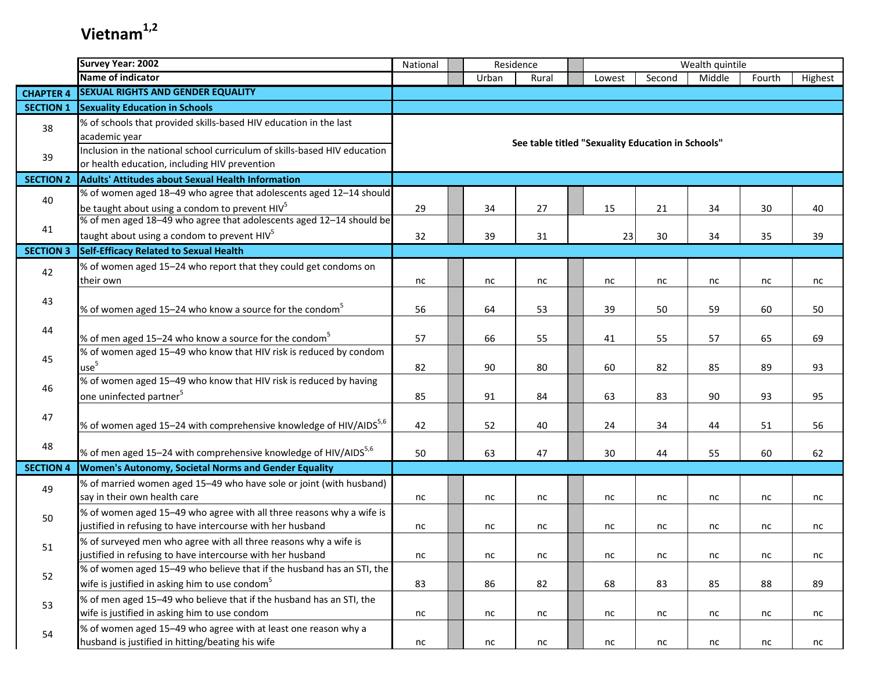|                  | <b>Survey Year: 2002</b>                                                                                                           | Residence<br>National |  |       |                                                   |  | Wealth quintile |        |        |        |         |
|------------------|------------------------------------------------------------------------------------------------------------------------------------|-----------------------|--|-------|---------------------------------------------------|--|-----------------|--------|--------|--------|---------|
|                  | Name of indicator                                                                                                                  |                       |  | Urban | Rural                                             |  | Lowest          | Second | Middle | Fourth | Highest |
| <b>CHAPTER 4</b> | <b>SEXUAL RIGHTS AND GENDER EQUALITY</b>                                                                                           |                       |  |       |                                                   |  |                 |        |        |        |         |
| <b>SECTION 1</b> | <b>Sexuality Education in Schools</b>                                                                                              |                       |  |       |                                                   |  |                 |        |        |        |         |
| 38               | % of schools that provided skills-based HIV education in the last<br>academic year                                                 |                       |  |       |                                                   |  |                 |        |        |        |         |
| 39               | Inclusion in the national school curriculum of skills-based HIV education<br>or health education, including HIV prevention         |                       |  |       | See table titled "Sexuality Education in Schools" |  |                 |        |        |        |         |
| <b>SECTION 2</b> | Adults' Attitudes about Sexual Health Information                                                                                  |                       |  |       |                                                   |  |                 |        |        |        |         |
| 40               | % of women aged 18-49 who agree that adolescents aged 12-14 should<br>be taught about using a condom to prevent $HIV5$             | 29                    |  | 34    | 27                                                |  | 15              | 21     | 34     | 30     | 40      |
| 41               | % of men aged 18-49 who agree that adolescents aged 12-14 should be<br>taught about using a condom to prevent HIV <sup>5</sup>     | 32                    |  |       |                                                   |  |                 |        |        |        |         |
| <b>SECTION 3</b> | <b>Self-Efficacy Related to Sexual Health</b>                                                                                      |                       |  | 39    | 31                                                |  | 23              | 30     | 34     | 35     | 39      |
|                  | % of women aged 15-24 who report that they could get condoms on                                                                    |                       |  |       |                                                   |  |                 |        |        |        |         |
| 42               | their own                                                                                                                          | nc                    |  | nc    | nc                                                |  | nc              | nc     | nc     | nc     | nc      |
| 43               | % of women aged 15–24 who know a source for the condom <sup>5</sup>                                                                | 56                    |  | 64    | 53                                                |  | 39              | 50     | 59     | 60     | 50      |
| 44               | % of men aged 15–24 who know a source for the condom <sup>5</sup>                                                                  | 57                    |  | 66    | 55                                                |  | 41              | 55     | 57     | 65     | 69      |
| 45               | % of women aged 15-49 who know that HIV risk is reduced by condom<br>use <sup>5</sup>                                              | 82                    |  | 90    | 80                                                |  | 60              | 82     | 85     | 89     | 93      |
| 46               | % of women aged 15-49 who know that HIV risk is reduced by having<br>one uninfected partner <sup>5</sup>                           | 85                    |  | 91    | 84                                                |  | 63              | 83     | 90     | 93     | 95      |
| 47               |                                                                                                                                    |                       |  |       |                                                   |  |                 |        |        |        |         |
|                  | % of women aged 15-24 with comprehensive knowledge of HIV/AIDS <sup>5,6</sup>                                                      | 42                    |  | 52    | 40                                                |  | 24              | 34     | 44     | 51     | 56      |
| 48               | % of men aged 15-24 with comprehensive knowledge of HIV/AIDS <sup>5,6</sup>                                                        | 50                    |  | 63    | 47                                                |  | 30              | 44     | 55     | 60     | 62      |
| <b>SECTION 4</b> | Women's Autonomy, Societal Norms and Gender Equality                                                                               |                       |  |       |                                                   |  |                 |        |        |        |         |
| 49               | % of married women aged 15-49 who have sole or joint (with husband)<br>say in their own health care                                | nc                    |  | nc    | nc                                                |  | nc              | nc     | nc     | nc     | nc      |
| 50               | % of women aged 15-49 who agree with all three reasons why a wife is<br>justified in refusing to have intercourse with her husband | nc                    |  | nc    | nc                                                |  | nc              | nc     | nc     | nc     | nc      |
| 51               | % of surveyed men who agree with all three reasons why a wife is<br>justified in refusing to have intercourse with her husband     | nc                    |  | nc    | nc                                                |  | nc              | nc     | nc     | nc     | nc      |
| 52               | % of women aged 15-49 who believe that if the husband has an STI, the                                                              |                       |  |       |                                                   |  |                 |        |        |        |         |
|                  | wife is justified in asking him to use condom <sup>5</sup>                                                                         | 83                    |  | 86    | 82                                                |  | 68              | 83     | 85     | 88     | 89      |
| 53               | % of men aged 15-49 who believe that if the husband has an STI, the<br>wife is justified in asking him to use condom               | nc                    |  | nc    | nc                                                |  | nc              | nc     | nc     | nc     | nc      |
| 54               | % of women aged 15-49 who agree with at least one reason why a<br>husband is justified in hitting/beating his wife                 | nc                    |  | nc    | nc                                                |  | nc              | nc     | nc     | nc     | nc      |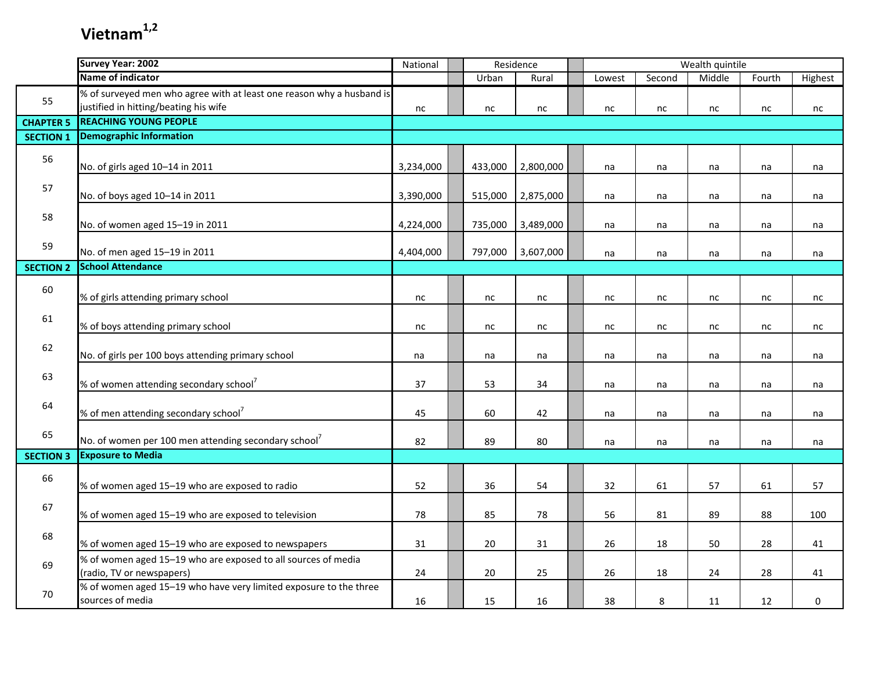|                  | <b>Survey Year: 2002</b>                                              | National  |         | Residence |        |        | Wealth quintile |        |             |
|------------------|-----------------------------------------------------------------------|-----------|---------|-----------|--------|--------|-----------------|--------|-------------|
|                  | Name of indicator                                                     |           | Urban   | Rural     | Lowest | Second | Middle          | Fourth | Highest     |
|                  | % of surveyed men who agree with at least one reason why a husband is |           |         |           |        |        |                 |        |             |
| 55               | justified in hitting/beating his wife                                 | nc        | nc      | nc        | nc     | nc     | nc              | nc     | nc          |
| <b>CHAPTER 5</b> | <b>REACHING YOUNG PEOPLE</b>                                          |           |         |           |        |        |                 |        |             |
| <b>SECTION 1</b> | <b>Demographic Information</b>                                        |           |         |           |        |        |                 |        |             |
| 56               |                                                                       |           |         |           |        |        |                 |        |             |
|                  | No. of girls aged 10-14 in 2011                                       | 3,234,000 | 433,000 | 2,800,000 | na     | na     | na              | na     | na          |
| 57               |                                                                       |           |         |           |        |        |                 |        |             |
|                  | No. of boys aged 10-14 in 2011                                        | 3,390,000 | 515,000 | 2,875,000 | na     | na     | na              | na     | na          |
| 58               |                                                                       |           |         |           |        |        |                 |        |             |
|                  | No. of women aged 15-19 in 2011                                       | 4,224,000 | 735,000 | 3,489,000 | na     | na     | na              | na     | na          |
| 59               |                                                                       |           |         |           |        |        |                 |        |             |
|                  | No. of men aged 15-19 in 2011                                         | 4,404,000 | 797,000 | 3,607,000 | na     | na     | na              | na     | na          |
| <b>SECTION 2</b> | <b>School Attendance</b>                                              |           |         |           |        |        |                 |        |             |
| 60               |                                                                       |           |         |           |        |        |                 |        |             |
|                  | % of girls attending primary school                                   | nc        | nc      | nc        | nc     | nc     | nc              | nc     | nc          |
| 61               |                                                                       |           |         |           |        |        |                 |        |             |
|                  | % of boys attending primary school                                    | nc        | nc      | nc        | nc     | nc     | nc              | nc     | nc          |
| 62               |                                                                       |           |         |           |        |        |                 |        |             |
|                  | No. of girls per 100 boys attending primary school                    | na        | na      | na        | na     | na     | na              | na     | na          |
| 63               |                                                                       |           |         |           |        |        |                 |        |             |
|                  | % of women attending secondary school <sup>7</sup>                    | 37        | 53      | 34        | na     | na     | na              | na     | na          |
| 64               |                                                                       |           |         |           |        |        |                 |        |             |
|                  | % of men attending secondary school <sup>7</sup>                      | 45        | 60      | 42        | na     | na     | na              | na     | na          |
| 65               |                                                                       |           |         |           |        |        |                 |        |             |
|                  | No. of women per 100 men attending secondary school <sup>7</sup>      | 82        | 89      | 80        | na     | na     | na              | na     | na          |
| <b>SECTION 3</b> | <b>Exposure to Media</b>                                              |           |         |           |        |        |                 |        |             |
| 66               |                                                                       |           |         |           |        |        |                 |        |             |
|                  | % of women aged 15-19 who are exposed to radio                        | 52        | 36      | 54        | 32     | 61     | 57              | 61     | 57          |
| 67               |                                                                       |           |         |           |        |        |                 |        |             |
|                  | % of women aged 15-19 who are exposed to television                   | 78        | 85      | 78        | 56     | 81     | 89              | 88     | 100         |
| 68               |                                                                       |           |         |           |        |        |                 |        |             |
|                  | % of women aged 15-19 who are exposed to newspapers                   | 31        | 20      | 31        | 26     | 18     | 50              | 28     | 41          |
| 69               | % of women aged 15-19 who are exposed to all sources of media         |           |         |           |        |        |                 |        |             |
|                  | (radio, TV or newspapers)                                             | 24        | 20      | 25        | 26     | 18     | 24              | 28     | 41          |
| 70               | % of women aged 15-19 who have very limited exposure to the three     |           |         |           |        |        |                 |        |             |
|                  | sources of media                                                      | 16        | 15      | 16        | 38     | 8      | 11              | 12     | $\mathbf 0$ |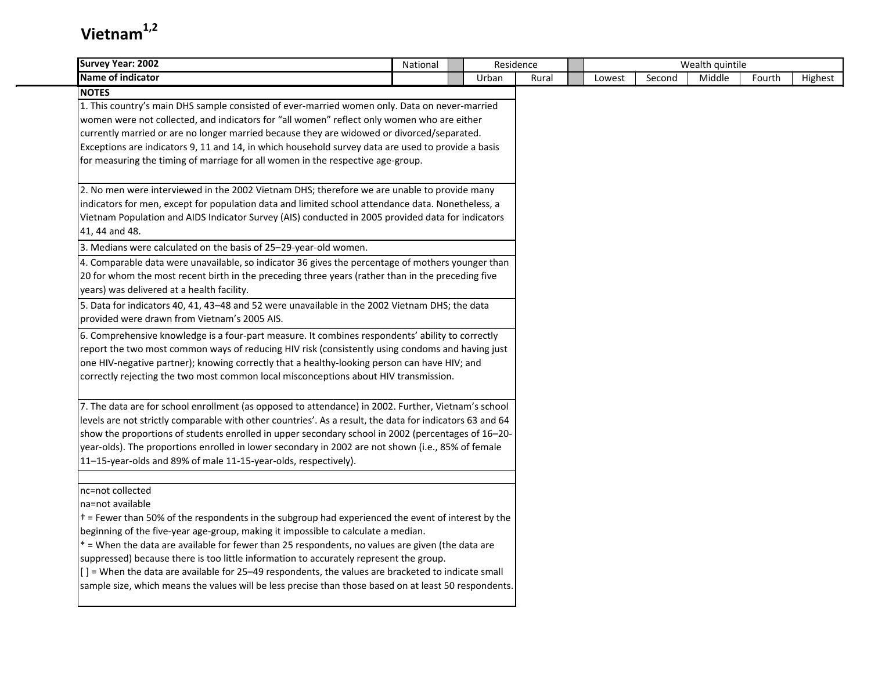| <b>Survey Year: 2002</b>                                                                                                                                                                | National | Residence |       |        |        | Wealth quintile |        |         |
|-----------------------------------------------------------------------------------------------------------------------------------------------------------------------------------------|----------|-----------|-------|--------|--------|-----------------|--------|---------|
| <b>Name of indicator</b>                                                                                                                                                                |          | Urban     | Rural | Lowest | Second | Middle          | Fourth | Highest |
| <b>NOTES</b>                                                                                                                                                                            |          |           |       |        |        |                 |        |         |
| 1. This country's main DHS sample consisted of ever-married women only. Data on never-married                                                                                           |          |           |       |        |        |                 |        |         |
| women were not collected, and indicators for "all women" reflect only women who are either                                                                                              |          |           |       |        |        |                 |        |         |
| currently married or are no longer married because they are widowed or divorced/separated.                                                                                              |          |           |       |        |        |                 |        |         |
| Exceptions are indicators 9, 11 and 14, in which household survey data are used to provide a basis                                                                                      |          |           |       |        |        |                 |        |         |
| for measuring the timing of marriage for all women in the respective age-group.                                                                                                         |          |           |       |        |        |                 |        |         |
| 2. No men were interviewed in the 2002 Vietnam DHS; therefore we are unable to provide many                                                                                             |          |           |       |        |        |                 |        |         |
| indicators for men, except for population data and limited school attendance data. Nonetheless, a                                                                                       |          |           |       |        |        |                 |        |         |
| Vietnam Population and AIDS Indicator Survey (AIS) conducted in 2005 provided data for indicators                                                                                       |          |           |       |        |        |                 |        |         |
| 41, 44 and 48.                                                                                                                                                                          |          |           |       |        |        |                 |        |         |
| 3. Medians were calculated on the basis of 25-29-year-old women.                                                                                                                        |          |           |       |        |        |                 |        |         |
| 4. Comparable data were unavailable, so indicator 36 gives the percentage of mothers younger than                                                                                       |          |           |       |        |        |                 |        |         |
| 20 for whom the most recent birth in the preceding three years (rather than in the preceding five                                                                                       |          |           |       |        |        |                 |        |         |
| years) was delivered at a health facility.                                                                                                                                              |          |           |       |        |        |                 |        |         |
| 5. Data for indicators 40, 41, 43-48 and 52 were unavailable in the 2002 Vietnam DHS; the data                                                                                          |          |           |       |        |        |                 |        |         |
| provided were drawn from Vietnam's 2005 AIS.                                                                                                                                            |          |           |       |        |        |                 |        |         |
| 6. Comprehensive knowledge is a four-part measure. It combines respondents' ability to correctly                                                                                        |          |           |       |        |        |                 |        |         |
| report the two most common ways of reducing HIV risk (consistently using condoms and having just                                                                                        |          |           |       |        |        |                 |        |         |
| one HIV-negative partner); knowing correctly that a healthy-looking person can have HIV; and                                                                                            |          |           |       |        |        |                 |        |         |
| correctly rejecting the two most common local misconceptions about HIV transmission.                                                                                                    |          |           |       |        |        |                 |        |         |
| 7. The data are for school enrollment (as opposed to attendance) in 2002. Further, Vietnam's school                                                                                     |          |           |       |        |        |                 |        |         |
| levels are not strictly comparable with other countries'. As a result, the data for indicators 63 and 64                                                                                |          |           |       |        |        |                 |        |         |
| show the proportions of students enrolled in upper secondary school in 2002 (percentages of 16-20-                                                                                      |          |           |       |        |        |                 |        |         |
| year-olds). The proportions enrolled in lower secondary in 2002 are not shown (i.e., 85% of female                                                                                      |          |           |       |        |        |                 |        |         |
| 11-15-year-olds and 89% of male 11-15-year-olds, respectively).                                                                                                                         |          |           |       |        |        |                 |        |         |
|                                                                                                                                                                                         |          |           |       |        |        |                 |        |         |
| nc=not collected                                                                                                                                                                        |          |           |       |        |        |                 |        |         |
| na=not available                                                                                                                                                                        |          |           |       |        |        |                 |        |         |
| t = Fewer than 50% of the respondents in the subgroup had experienced the event of interest by the<br>beginning of the five-year age-group, making it impossible to calculate a median. |          |           |       |        |        |                 |        |         |
| * = When the data are available for fewer than 25 respondents, no values are given (the data are                                                                                        |          |           |       |        |        |                 |        |         |
| suppressed) because there is too little information to accurately represent the group.                                                                                                  |          |           |       |        |        |                 |        |         |
| [] = When the data are available for 25-49 respondents, the values are bracketed to indicate small                                                                                      |          |           |       |        |        |                 |        |         |
| sample size, which means the values will be less precise than those based on at least 50 respondents.                                                                                   |          |           |       |        |        |                 |        |         |
|                                                                                                                                                                                         |          |           |       |        |        |                 |        |         |
|                                                                                                                                                                                         |          |           |       |        |        |                 |        |         |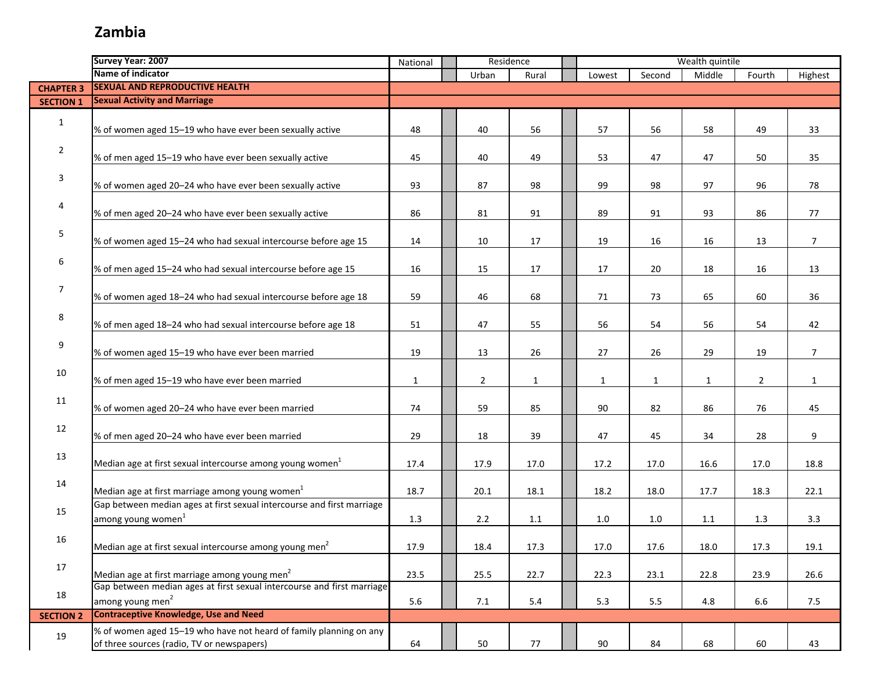#### **Zambia**

|                  | Survey Year: 2007                                                                                                | National | Residence |                |       | Wealth quintile |              |        |        |                |                |  |
|------------------|------------------------------------------------------------------------------------------------------------------|----------|-----------|----------------|-------|-----------------|--------------|--------|--------|----------------|----------------|--|
|                  | Name of indicator                                                                                                |          |           | Urban          | Rural |                 | Lowest       | Second | Middle | Fourth         | Highest        |  |
| <b>CHAPTER 3</b> | <b>SEXUAL AND REPRODUCTIVE HEALTH</b>                                                                            |          |           |                |       |                 |              |        |        |                |                |  |
| <b>SECTION 1</b> | <b>Sexual Activity and Marriage</b>                                                                              |          |           |                |       |                 |              |        |        |                |                |  |
| $\mathbf{1}$     | % of women aged 15-19 who have ever been sexually active                                                         | 48       |           | 40             | 56    |                 | 57           | 56     | 58     | 49             | 33             |  |
| $\overline{2}$   | % of men aged 15-19 who have ever been sexually active                                                           | 45       |           | 40             | 49    |                 | 53           | 47     | 47     | 50             | 35             |  |
| 3                | % of women aged 20-24 who have ever been sexually active                                                         | 93       |           | 87             | 98    |                 | 99           | 98     | 97     | 96             | 78             |  |
| 4                | % of men aged 20-24 who have ever been sexually active                                                           | 86       |           | 81             | 91    |                 | 89           | 91     | 93     | 86             | 77             |  |
| 5                | % of women aged 15-24 who had sexual intercourse before age 15                                                   | 14       |           | 10             | 17    |                 | 19           | 16     | 16     | 13             | $\overline{7}$ |  |
| 6                | % of men aged 15-24 who had sexual intercourse before age 15                                                     | 16       |           | 15             | 17    |                 | 17           | 20     | 18     | 16             | 13             |  |
| 7                | % of women aged 18-24 who had sexual intercourse before age 18                                                   | 59       |           | 46             | 68    |                 | 71           | 73     | 65     | 60             | 36             |  |
| 8                | % of men aged 18-24 who had sexual intercourse before age 18                                                     | 51       |           | 47             | 55    |                 | 56           | 54     | 56     | 54             | 42             |  |
| 9                | % of women aged 15-19 who have ever been married                                                                 | 19       |           | 13             | 26    |                 | 27           | 26     | 29     | 19             | $\overline{7}$ |  |
| 10               | % of men aged 15-19 who have ever been married                                                                   | 1        |           | $\overline{2}$ | 1     |                 | $\mathbf{1}$ | 1      | 1      | $\overline{2}$ | $\mathbf{1}$   |  |
| 11               | % of women aged 20-24 who have ever been married                                                                 | 74       |           | 59             | 85    |                 | 90           | 82     | 86     | 76             | 45             |  |
| 12               | % of men aged 20-24 who have ever been married                                                                   | 29       |           | 18             | 39    |                 | 47           | 45     | 34     | 28             | 9              |  |
| 13               | Median age at first sexual intercourse among young women $^{1}$                                                  | 17.4     |           | 17.9           | 17.0  |                 | 17.2         | 17.0   | 16.6   | 17.0           | 18.8           |  |
| 14               | Median age at first marriage among young women <sup>1</sup>                                                      | 18.7     |           | 20.1           | 18.1  |                 | 18.2         | 18.0   | 17.7   | 18.3           | 22.1           |  |
| 15               | Gap between median ages at first sexual intercourse and first marriage<br>among young women <sup>1</sup>         | 1.3      |           | 2.2            | 1.1   |                 | 1.0          | 1.0    | 1.1    | 1.3            | 3.3            |  |
| 16               | Median age at first sexual intercourse among young men <sup>2</sup>                                              | 17.9     |           | 18.4           | 17.3  |                 | 17.0         | 17.6   | 18.0   | 17.3           | 19.1           |  |
| 17               | Median age at first marriage among young men <sup>2</sup>                                                        | 23.5     |           | 25.5           | 22.7  |                 | 22.3         | 23.1   | 22.8   | 23.9           | 26.6           |  |
| 18               | Gap between median ages at first sexual intercourse and first marriage<br>among young men <sup>2</sup>           | 5.6      |           | 7.1            | 5.4   |                 | 5.3          | 5.5    | 4.8    | 6.6            | 7.5            |  |
| <b>SECTION 2</b> | <b>Contraceptive Knowledge, Use and Need</b>                                                                     |          |           |                |       |                 |              |        |        |                |                |  |
| 19               | % of women aged 15-19 who have not heard of family planning on any<br>of three sources (radio, TV or newspapers) | 64       |           | 50             | 77    |                 | 90           | 84     | 68     | 60             | 43             |  |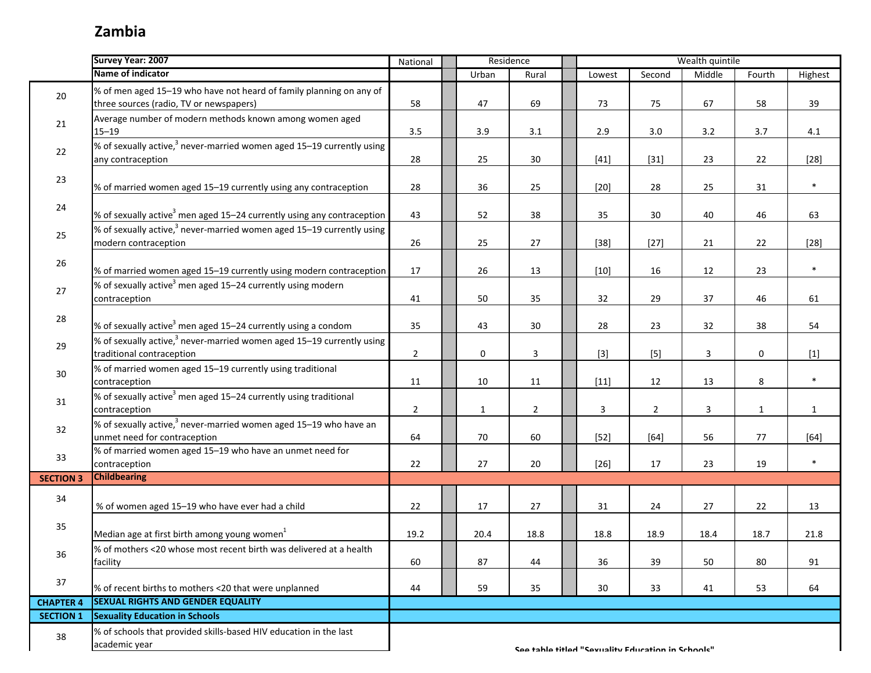### **Zambia**

|                  | Survey Year: 2007                                                                                              | National       | Residence |              |                | Wealth quintile |                                                   |                |        |              |              |  |
|------------------|----------------------------------------------------------------------------------------------------------------|----------------|-----------|--------------|----------------|-----------------|---------------------------------------------------|----------------|--------|--------------|--------------|--|
|                  | Name of indicator                                                                                              |                |           | Urban        | Rural          |                 | Lowest                                            | Second         | Middle | Fourth       | Highest      |  |
| 20               | % of men aged 15-19 who have not heard of family planning on any of<br>three sources (radio, TV or newspapers) | 58             |           | 47           | 69             |                 | 73                                                | 75             | 67     | 58           | 39           |  |
| 21               | Average number of modern methods known among women aged<br>$15 - 19$                                           | 3.5            |           | 3.9          | 3.1            |                 | 2.9                                               | 3.0            | 3.2    | 3.7          | 4.1          |  |
| 22               | % of sexually active, <sup>3</sup> never-married women aged 15-19 currently using<br>any contraception         | 28             |           | 25           | 30             |                 | $[41]$                                            | $[31]$         | 23     | 22           | $[28]$       |  |
| 23               | % of married women aged 15-19 currently using any contraception                                                | 28             |           | 36           | 25             |                 | $[20]$                                            | 28             | 25     | 31           | $\ast$       |  |
| 24               | % of sexually active <sup>3</sup> men aged 15–24 currently using any contraception                             | 43             |           | 52           | 38             |                 | 35                                                | 30             | 40     | 46           | 63           |  |
| 25               | % of sexually active, $^3$ never-married women aged 15–19 currently using<br>modern contraception              | 26             |           | 25           | 27             |                 | $[38]$                                            | $[27]$         | 21     | 22           | $[28]$       |  |
| 26               | % of married women aged 15-19 currently using modern contraception                                             | 17             |           | 26           | 13             |                 | $[10]$                                            | 16             | 12     | 23           | $\ast$       |  |
| 27               | % of sexually active <sup>3</sup> men aged 15–24 currently using modern<br>contraception                       | 41             |           | 50           | 35             |                 | 32                                                | 29             | 37     | 46           | 61           |  |
| 28               | % of sexually active <sup>3</sup> men aged 15–24 currently using a condom                                      | 35             |           | 43           | 30             |                 | 28                                                | 23             | 32     | 38           | 54           |  |
| 29               | % of sexually active, <sup>3</sup> never-married women aged 15-19 currently using<br>traditional contraception | $\overline{2}$ |           | 0            | 3              |                 | $[3]$                                             | $[5]$          | 3      | 0            | $[1]$        |  |
| 30               | % of married women aged 15-19 currently using traditional<br>contraception                                     | 11             |           | 10           | 11             |                 | $[11]$                                            | 12             | 13     | 8            | $\ast$       |  |
| 31               | % of sexually active <sup>3</sup> men aged 15–24 currently using traditional<br>contraception                  | $\overline{2}$ |           | $\mathbf{1}$ | $\overline{2}$ |                 | 3                                                 | $\overline{2}$ | 3      | $\mathbf{1}$ | $\mathbf{1}$ |  |
| 32               | % of sexually active, <sup>3</sup> never-married women aged 15-19 who have an<br>unmet need for contraception  | 64             |           | 70           | 60             |                 | $[52]$                                            | $[64]$         | 56     | 77           | $[64]$       |  |
| 33               | % of married women aged 15-19 who have an unmet need for<br>contraception                                      | 22             |           | 27           | 20             |                 | $[26]$                                            | 17             | 23     | 19           | $\ast$       |  |
| <b>SECTION 3</b> | <b>Childbearing</b>                                                                                            |                |           |              |                |                 |                                                   |                |        |              |              |  |
| 34               | % of women aged 15-19 who have ever had a child                                                                | 22             |           | 17           | 27             |                 | 31                                                | 24             | 27     | 22           | 13           |  |
| 35               | Median age at first birth among young women <sup>1</sup>                                                       | 19.2           |           | 20.4         | 18.8           |                 | 18.8                                              | 18.9           | 18.4   | 18.7         | 21.8         |  |
| 36               | % of mothers <20 whose most recent birth was delivered at a health<br>facility                                 | 60             |           | 87           | 44             |                 | 36                                                | 39             | 50     | 80           | 91           |  |
| 37               | % of recent births to mothers <20 that were unplanned                                                          | 44             |           | 59           | 35             |                 | 30                                                | 33             | 41     | 53           | 64           |  |
| <b>CHAPTER 4</b> | SEXUAL RIGHTS AND GENDER EQUALITY                                                                              |                |           |              |                |                 |                                                   |                |        |              |              |  |
| <b>SECTION 1</b> | <b>Sexuality Education in Schools</b>                                                                          |                |           |              |                |                 |                                                   |                |        |              |              |  |
| 38               | % of schools that provided skills-based HIV education in the last<br>academic year                             |                |           |              |                |                 | Soo tahla titlad "Savuality Education in Schoole" |                |        |              |              |  |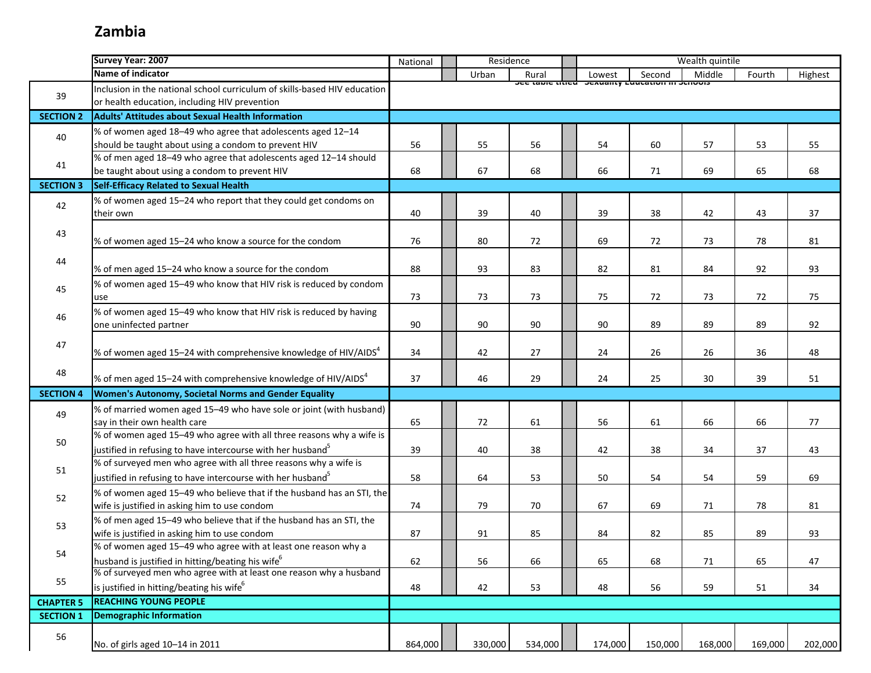# **Zambia**

|                  | Survey Year: 2007                                                         | National | Residence |         | Wealth quintile                                      |         |         |         |         |
|------------------|---------------------------------------------------------------------------|----------|-----------|---------|------------------------------------------------------|---------|---------|---------|---------|
|                  | Name of indicator                                                         |          | Urban     | Rural   | Lowest                                               | Second  | Middle  | Fourth  | Highest |
|                  | Inclusion in the national school curriculum of skills-based HIV education |          |           |         | סכב נמטוב נונוכט - טכאטמוונץ בטטנמנוטוו ווו טכווטטוס |         |         |         |         |
| 39               | or health education, including HIV prevention                             |          |           |         |                                                      |         |         |         |         |
| <b>SECTION 2</b> | <b>Adults' Attitudes about Sexual Health Information</b>                  |          |           |         |                                                      |         |         |         |         |
|                  | % of women aged 18-49 who agree that adolescents aged 12-14               |          |           |         |                                                      |         |         |         |         |
| 40               | should be taught about using a condom to prevent HIV                      | 56       | 55        | 56      | 54                                                   | 60      | 57      | 53      | 55      |
|                  | % of men aged 18-49 who agree that adolescents aged 12-14 should          |          |           |         |                                                      |         |         |         |         |
| 41               | be taught about using a condom to prevent HIV                             | 68       | 67        | 68      | 66                                                   | 71      | 69      | 65      | 68      |
| <b>SECTION 3</b> | Self-Efficacy Related to Sexual Health                                    |          |           |         |                                                      |         |         |         |         |
| 42               | % of women aged 15-24 who report that they could get condoms on           |          |           |         |                                                      |         |         |         |         |
|                  | their own                                                                 | 40       | 39        | 40      | 39                                                   | 38      | 42      | 43      | 37      |
|                  |                                                                           |          |           |         |                                                      |         |         |         |         |
| 43               | % of women aged 15-24 who know a source for the condom                    | 76       | 80        | 72      | 69                                                   | 72      | 73      | 78      | 81      |
|                  |                                                                           |          |           |         |                                                      |         |         |         |         |
| 44               | % of men aged 15-24 who know a source for the condom                      | 88       | 93        | 83      | 82                                                   | 81      | 84      | 92      | 93      |
| 45               | % of women aged 15-49 who know that HIV risk is reduced by condom         |          |           |         |                                                      |         |         |         |         |
|                  | use                                                                       | 73       | 73        | 73      | 75                                                   | 72      | 73      | 72      | 75      |
| 46               | % of women aged 15-49 who know that HIV risk is reduced by having         |          |           |         |                                                      |         |         |         |         |
|                  | one uninfected partner                                                    | 90       | 90        | 90      | 90                                                   | 89      | 89      | 89      | 92      |
| 47               |                                                                           |          |           |         |                                                      |         |         |         |         |
|                  | % of women aged 15–24 with comprehensive knowledge of HIV/AIDS $^4$       | 34       | 42        | 27      | 24                                                   | 26      | 26      | 36      | 48      |
| 48               |                                                                           |          |           |         |                                                      |         |         |         |         |
|                  | % of men aged 15–24 with comprehensive knowledge of HIV/AIDS <sup>4</sup> | 37       | 46        | 29      | 24                                                   | 25      | 30      | 39      | 51      |
| <b>SECTION 4</b> | Women's Autonomy, Societal Norms and Gender Equality                      |          |           |         |                                                      |         |         |         |         |
| 49               | % of married women aged 15-49 who have sole or joint (with husband)       |          |           |         |                                                      |         |         |         |         |
|                  | say in their own health care                                              | 65       | 72        | 61      | 56                                                   | 61      | 66      | 66      | 77      |
| 50               | % of women aged 15-49 who agree with all three reasons why a wife is      |          |           |         |                                                      |         |         |         |         |
|                  | justified in refusing to have intercourse with her husband <sup>5</sup>   | 39       | 40        | 38      | 42                                                   | 38      | 34      | 37      | 43      |
| 51               | % of surveyed men who agree with all three reasons why a wife is          |          |           |         |                                                      |         |         |         |         |
|                  | justified in refusing to have intercourse with her husband <sup>5</sup>   | 58       | 64        | 53      | 50                                                   | 54      | 54      | 59      | 69      |
| 52               | % of women aged 15-49 who believe that if the husband has an STI, the     |          |           |         |                                                      |         |         |         |         |
|                  | wife is justified in asking him to use condom                             | 74       | 79        | 70      | 67                                                   | 69      | 71      | 78      | 81      |
| 53               | % of men aged 15-49 who believe that if the husband has an STI, the       |          |           |         |                                                      |         |         |         |         |
|                  | wife is justified in asking him to use condom                             | 87       | 91        | 85      | 84                                                   | 82      | 85      | 89      | 93      |
| 54               | % of women aged 15-49 who agree with at least one reason why a            |          |           |         |                                                      |         |         |         |         |
|                  | husband is justified in hitting/beating his wife <sup>6</sup>             | 62       | 56        | 66      | 65                                                   | 68      | 71      | 65      | 47      |
| 55               | % of surveyed men who agree with at least one reason why a husband        |          |           |         |                                                      |         |         |         |         |
|                  | is justified in hitting/beating his wife <sup>6</sup>                     | 48       | 42        | 53      | 48                                                   | 56      | 59      | 51      | 34      |
| <b>CHAPTER 5</b> | <b>REACHING YOUNG PEOPLE</b>                                              |          |           |         |                                                      |         |         |         |         |
| <b>SECTION 1</b> | <b>Demographic Information</b>                                            |          |           |         |                                                      |         |         |         |         |
| 56               |                                                                           |          |           |         |                                                      |         |         |         |         |
|                  | No. of girls aged 10-14 in 2011                                           | 864,000  | 330,000   | 534,000 | 174,000                                              | 150,000 | 168,000 | 169,000 | 202,000 |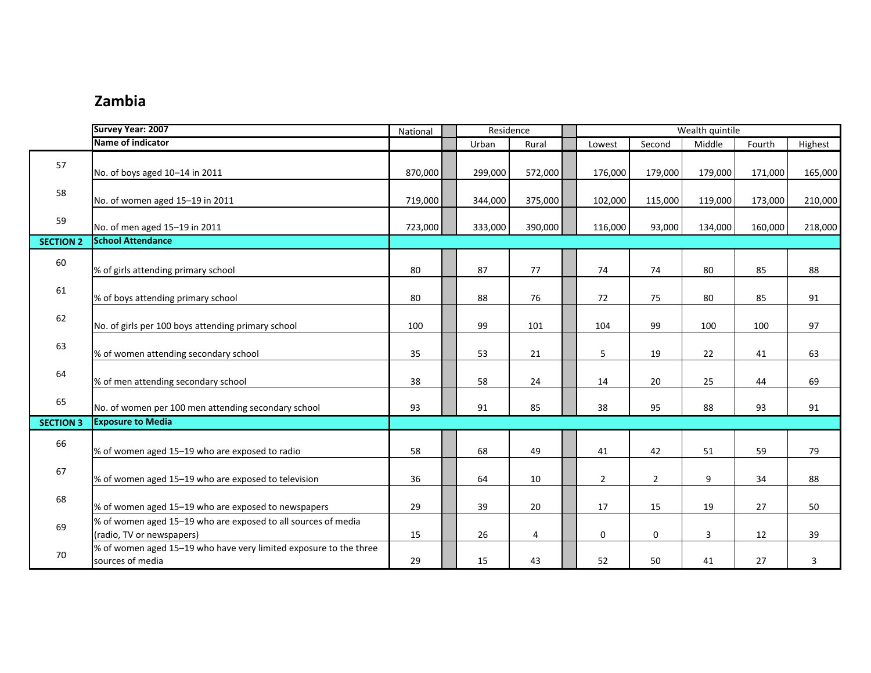#### **Zambia**

|                  | Survey Year: 2007                                                                          | National | Residence |         | Wealth quintile |                |         |         |         |  |  |
|------------------|--------------------------------------------------------------------------------------------|----------|-----------|---------|-----------------|----------------|---------|---------|---------|--|--|
|                  | Name of indicator                                                                          |          | Urban     | Rural   | Lowest          | Second         | Middle  | Fourth  | Highest |  |  |
| 57               | No. of boys aged 10-14 in 2011                                                             | 870,000  | 299,000   | 572,000 | 176,000         | 179,000        | 179,000 | 171,000 | 165,000 |  |  |
| 58               | No. of women aged 15-19 in 2011                                                            | 719,000  | 344,000   | 375,000 | 102,000         | 115,000        | 119,000 | 173,000 | 210,000 |  |  |
| 59               | No. of men aged 15-19 in 2011                                                              | 723,000  | 333,000   | 390,000 | 116,000         | 93,000         | 134,000 | 160,000 | 218,000 |  |  |
| <b>SECTION 2</b> | <b>School Attendance</b>                                                                   |          |           |         |                 |                |         |         |         |  |  |
| 60               | % of girls attending primary school                                                        | 80       | 87        | 77      | 74              | 74             | 80      | 85      | 88      |  |  |
| 61               | % of boys attending primary school                                                         | 80       | 88        | 76      | 72              | 75             | 80      | 85      | 91      |  |  |
| 62               | No. of girls per 100 boys attending primary school                                         | 100      | 99        | 101     | 104             | 99             | 100     | 100     | 97      |  |  |
| 63               | % of women attending secondary school                                                      | 35       | 53        | 21      | 5               | 19             | 22      | 41      | 63      |  |  |
| 64               | % of men attending secondary school                                                        | 38       | 58        | 24      | 14              | 20             | 25      | 44      | 69      |  |  |
| 65               | No. of women per 100 men attending secondary school                                        | 93       | 91        | 85      | 38              | 95             | 88      | 93      | 91      |  |  |
| <b>SECTION 3</b> | <b>Exposure to Media</b>                                                                   |          |           |         |                 |                |         |         |         |  |  |
| 66               | % of women aged 15-19 who are exposed to radio                                             | 58       | 68        | 49      | 41              | 42             | 51      | 59      | 79      |  |  |
| 67               | % of women aged 15-19 who are exposed to television                                        | 36       | 64        | 10      | $\overline{2}$  | $\overline{2}$ | 9       | 34      | 88      |  |  |
| 68               | % of women aged 15-19 who are exposed to newspapers                                        | 29       | 39        | 20      | 17              | 15             | 19      | 27      | 50      |  |  |
| 69               | % of women aged 15-19 who are exposed to all sources of media<br>(radio, TV or newspapers) | 15       | 26        | 4       | $\mathbf 0$     | $\mathbf 0$    | 3       | 12      | 39      |  |  |
| 70               | % of women aged 15-19 who have very limited exposure to the three<br>sources of media      | 29       | 15        | 43      | 52              | 50             | 41      | 27      | 3       |  |  |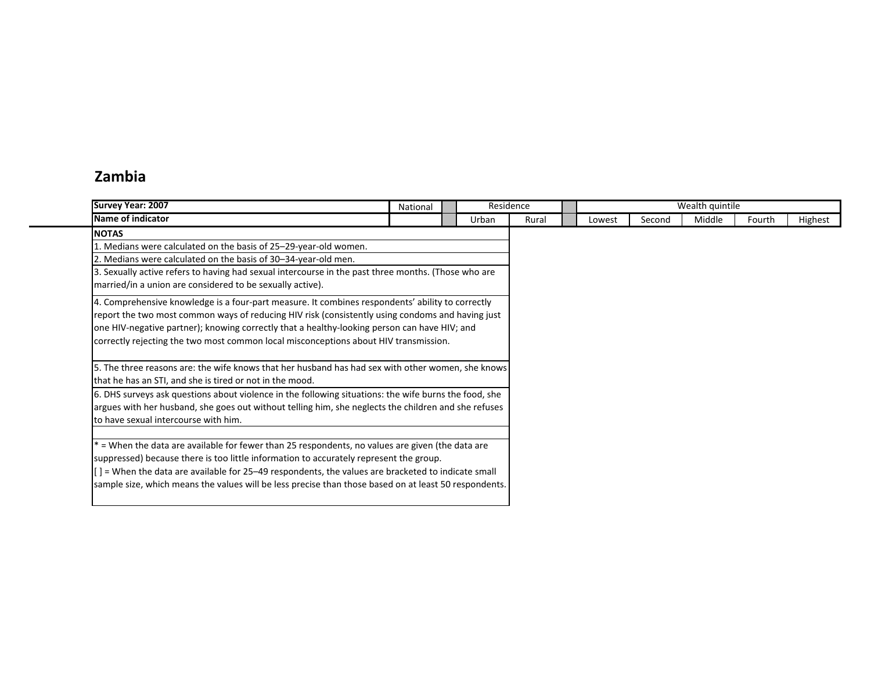#### **Zambia**

| <b>Survey Year: 2007</b>                                                                                      | National | Residence |       | Wealth quintile |        |        |        |         |  |  |  |
|---------------------------------------------------------------------------------------------------------------|----------|-----------|-------|-----------------|--------|--------|--------|---------|--|--|--|
| Name of indicator                                                                                             |          | Urban     | Rural | Lowest          | Second | Middle | Fourth | Highest |  |  |  |
| <b>NOTAS</b>                                                                                                  |          |           |       |                 |        |        |        |         |  |  |  |
| 1. Medians were calculated on the basis of 25-29-year-old women.                                              |          |           |       |                 |        |        |        |         |  |  |  |
| 2. Medians were calculated on the basis of 30-34-year-old men.                                                |          |           |       |                 |        |        |        |         |  |  |  |
| 3. Sexually active refers to having had sexual intercourse in the past three months. (Those who are           |          |           |       |                 |        |        |        |         |  |  |  |
| married/in a union are considered to be sexually active).                                                     |          |           |       |                 |        |        |        |         |  |  |  |
| 4. Comprehensive knowledge is a four-part measure. It combines respondents' ability to correctly              |          |           |       |                 |        |        |        |         |  |  |  |
| report the two most common ways of reducing HIV risk (consistently using condoms and having just              |          |           |       |                 |        |        |        |         |  |  |  |
| one HIV-negative partner); knowing correctly that a healthy-looking person can have HIV; and                  |          |           |       |                 |        |        |        |         |  |  |  |
| correctly rejecting the two most common local misconceptions about HIV transmission.                          |          |           |       |                 |        |        |        |         |  |  |  |
|                                                                                                               |          |           |       |                 |        |        |        |         |  |  |  |
| 5. The three reasons are: the wife knows that her husband has had sex with other women, she knows             |          |           |       |                 |        |        |        |         |  |  |  |
| that he has an STI, and she is tired or not in the mood.                                                      |          |           |       |                 |        |        |        |         |  |  |  |
| 6. DHS surveys ask questions about violence in the following situations: the wife burns the food, she         |          |           |       |                 |        |        |        |         |  |  |  |
| argues with her husband, she goes out without telling him, she neglects the children and she refuses          |          |           |       |                 |        |        |        |         |  |  |  |
| to have sexual intercourse with him.                                                                          |          |           |       |                 |        |        |        |         |  |  |  |
|                                                                                                               |          |           |       |                 |        |        |        |         |  |  |  |
| $*$ = When the data are available for fewer than 25 respondents, no values are given (the data are            |          |           |       |                 |        |        |        |         |  |  |  |
| suppressed) because there is too little information to accurately represent the group.                        |          |           |       |                 |        |        |        |         |  |  |  |
| $\vert \vert$ = When the data are available for 25–49 respondents, the values are bracketed to indicate small |          |           |       |                 |        |        |        |         |  |  |  |
| sample size, which means the values will be less precise than those based on at least 50 respondents.         |          |           |       |                 |        |        |        |         |  |  |  |
|                                                                                                               |          |           |       |                 |        |        |        |         |  |  |  |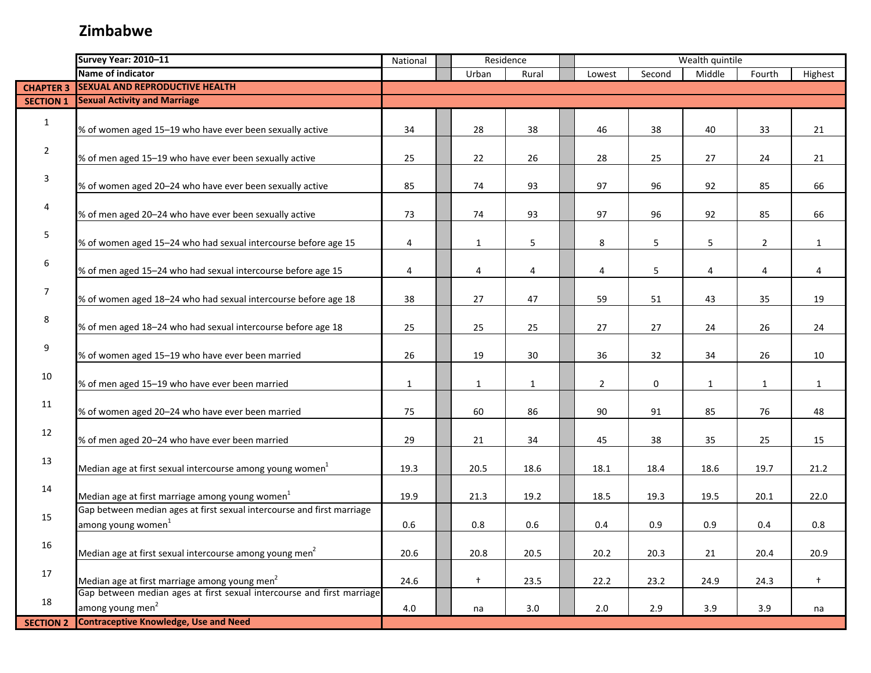|                  | Survey Year: 2010-11                                                                                     | National     | Residence      |              |                | Wealth quintile |              |              |              |
|------------------|----------------------------------------------------------------------------------------------------------|--------------|----------------|--------------|----------------|-----------------|--------------|--------------|--------------|
|                  | Name of indicator                                                                                        |              | Urban          | Rural        | Lowest         | Second          | Middle       | Fourth       | Highest      |
| <b>CHAPTER 3</b> | <b>SEXUAL AND REPRODUCTIVE HEALTH</b>                                                                    |              |                |              |                |                 |              |              |              |
| <b>SECTION 1</b> | <b>Sexual Activity and Marriage</b>                                                                      |              |                |              |                |                 |              |              |              |
| $\mathbf{1}$     | % of women aged 15-19 who have ever been sexually active                                                 | 34           | 28             | 38           | 46             | 38              | 40           | 33           | 21           |
| $\overline{2}$   | % of men aged 15-19 who have ever been sexually active                                                   | 25           | 22             | 26           | 28             | 25              | 27           | 24           | 21           |
| 3                | % of women aged 20-24 who have ever been sexually active                                                 | 85           | 74             | 93           | 97             | 96              | 92           | 85           | 66           |
| 4                | % of men aged 20-24 who have ever been sexually active                                                   | 73           | 74             | 93           | 97             | 96              | 92           | 85           | 66           |
| 5                | % of women aged 15-24 who had sexual intercourse before age 15                                           | 4            | $\mathbf{1}$   | 5            | 8              | 5               | 5            | $\mathbf 2$  | $\mathbf{1}$ |
| 6                | % of men aged 15-24 who had sexual intercourse before age 15                                             | 4            | $\overline{4}$ | 4            | 4              | 5               | 4            | 4            | 4            |
| $\overline{7}$   | % of women aged 18-24 who had sexual intercourse before age 18                                           | 38           | 27             | 47           | 59             | 51              | 43           | 35           | 19           |
| 8                | % of men aged 18-24 who had sexual intercourse before age 18                                             | 25           | 25             | 25           | 27             | 27              | 24           | 26           | 24           |
| 9                | % of women aged 15-19 who have ever been married                                                         | 26           | 19             | 30           | 36             | 32              | 34           | 26           | 10           |
| 10               | % of men aged 15-19 who have ever been married                                                           | $\mathbf{1}$ | $\mathbf{1}$   | $\mathbf{1}$ | $\overline{2}$ | $\mathbf 0$     | $\mathbf{1}$ | $\mathbf{1}$ | $\mathbf{1}$ |
| 11               | % of women aged 20-24 who have ever been married                                                         | 75           | 60             | 86           | 90             | 91              | 85           | 76           | 48           |
| 12               | % of men aged 20-24 who have ever been married                                                           | 29           | 21             | 34           | 45             | 38              | 35           | 25           | 15           |
| 13               | Median age at first sexual intercourse among young women $^{1}$                                          | 19.3         | 20.5           | 18.6         | 18.1           | 18.4            | 18.6         | 19.7         | 21.2         |
| 14               | Median age at first marriage among young women <sup>1</sup>                                              | 19.9         | 21.3           | 19.2         | 18.5           | 19.3            | 19.5         | 20.1         | 22.0         |
| 15               | Gap between median ages at first sexual intercourse and first marriage<br>among young women <sup>1</sup> | 0.6          | 0.8            | 0.6          | 0.4            | 0.9             | 0.9          | 0.4          | 0.8          |
| 16               | Median age at first sexual intercourse among young men <sup>2</sup>                                      | 20.6         | 20.8           | 20.5         | 20.2           | 20.3            | 21           | 20.4         | 20.9         |
| 17               | Median age at first marriage among young men <sup>2</sup>                                                | 24.6         | $\ddagger$     | 23.5         | 22.2           | 23.2            | 24.9         | 24.3         | $\ddagger$   |
| 18               | Gap between median ages at first sexual intercourse and first marriage<br>among young men <sup>2</sup>   | 4.0          | na             | 3.0          | 2.0            | 2.9             | 3.9          | 3.9          | na           |
| <b>SECTION 2</b> | <b>Contraceptive Knowledge, Use and Need</b>                                                             |              |                |              |                |                 |              |              |              |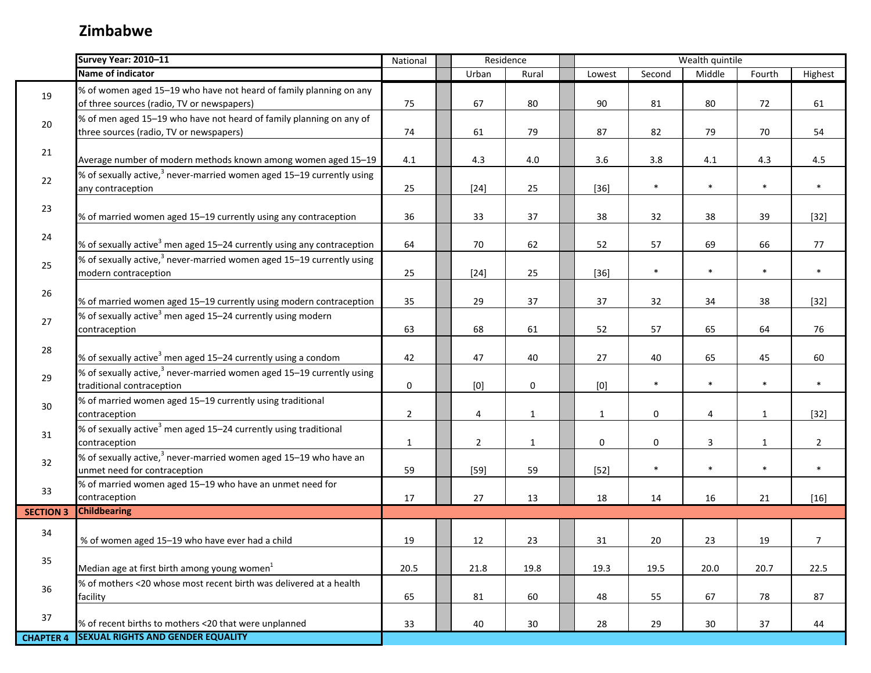|                  | Survey Year: 2010-11                                                                                             | National       | Residence |                |              | Wealth quintile |        |              |              |                |
|------------------|------------------------------------------------------------------------------------------------------------------|----------------|-----------|----------------|--------------|-----------------|--------|--------------|--------------|----------------|
|                  | Name of indicator                                                                                                |                |           | Urban          | Rural        | Lowest          | Second | Middle       | Fourth       | Highest        |
| 19               | % of women aged 15-19 who have not heard of family planning on any<br>of three sources (radio, TV or newspapers) | 75             |           | 67             | 80           | 90              | 81     | 80           | 72           | 61             |
| $20\,$           | % of men aged 15-19 who have not heard of family planning on any of<br>three sources (radio, TV or newspapers)   | 74             |           | 61             | 79           | 87              | 82     | 79           | 70           | 54             |
| 21               | Average number of modern methods known among women aged 15-19                                                    | 4.1            |           | 4.3            | 4.0          | 3.6             | 3.8    | $4.1\,$      | 4.3          | 4.5            |
| 22               | % of sexually active, $3$ never-married women aged 15–19 currently using<br>any contraception                    | 25             |           | $[24]$         | 25           | $[36]$          | $\ast$ | $\ast$       | $\ast$       | $\ast$         |
| 23               | % of married women aged 15-19 currently using any contraception                                                  | 36             |           | 33             | 37           | 38              | 32     | 38           | 39           | $[32]$         |
| 24               | % of sexually active <sup>3</sup> men aged 15–24 currently using any contraception                               | 64             |           | 70             | 62           | 52              | 57     | 69           | 66           | 77             |
| 25               | % of sexually active, $3$ never-married women aged 15–19 currently using<br>modern contraception                 | 25             |           | $[24]$         | 25           | $[36]$          | $\ast$ | $\ast$       | $\ast$       | $\ast$         |
| 26               | % of married women aged 15-19 currently using modern contraception                                               | 35             |           | 29             | 37           | 37              | 32     | 34           | 38           | $[32]$         |
| 27               | % of sexually active <sup>3</sup> men aged 15–24 currently using modern<br>contraception                         | 63             |           | 68             | 61           | 52              | 57     | 65           | 64           | 76             |
| 28               | % of sexually active <sup>3</sup> men aged 15-24 currently using a condom                                        | 42             |           | 47             | 40           | 27              | 40     | 65           | 45           | 60             |
| 29               | % of sexually active, <sup>3</sup> never-married women aged 15–19 currently using<br>traditional contraception   | 0              |           | [0]            | 0            | [0]             | $\ast$ | $\ast$       | $\ast$       | $\ast$         |
| 30               | % of married women aged 15-19 currently using traditional<br>contraception                                       | $\overline{2}$ |           | 4              | $\mathbf{1}$ | $\mathbf{1}$    | 0      | 4            | $\mathbf{1}$ | $[32]$         |
| 31               | % of sexually active <sup>3</sup> men aged 15–24 currently using traditional<br>contraception                    | $\mathbf{1}$   |           | $\overline{2}$ | $\mathbf{1}$ | $\mathbf 0$     | 0      | $\mathbf{3}$ | $\mathbf{1}$ | $\overline{2}$ |
| 32               | % of sexually active, <sup>3</sup> never-married women aged 15–19 who have an<br>unmet need for contraception    | 59             |           | $[59]$         | 59           | $[52]$          | $\ast$ | $\ast$       | $\ast$       | $\ast$         |
| 33               | % of married women aged 15-19 who have an unmet need for<br>contraception                                        | 17             |           | 27             | 13           | 18              | 14     | 16           | 21           | $[16]$         |
| <b>SECTION 3</b> | <b>Childbearing</b>                                                                                              |                |           |                |              |                 |        |              |              |                |
| 34               | % of women aged 15-19 who have ever had a child                                                                  | 19             |           | 12             | 23           | 31              | 20     | 23           | 19           | 7              |
| 35               | Median age at first birth among young women $1$                                                                  | 20.5           |           | 21.8           | 19.8         | 19.3            | 19.5   | 20.0         | 20.7         | 22.5           |
| 36               | % of mothers <20 whose most recent birth was delivered at a health<br>facility                                   | 65             |           | 81             | 60           | 48              | 55     | 67           | 78           | 87             |
| 37               | % of recent births to mothers <20 that were unplanned                                                            | 33             |           | 40             | 30           | 28              | 29     | 30           | 37           | 44             |
| <b>CHAPTER 4</b> | <b>SEXUAL RIGHTS AND GENDER EQUALITY</b>                                                                         |                |           |                |              |                 |        |              |              |                |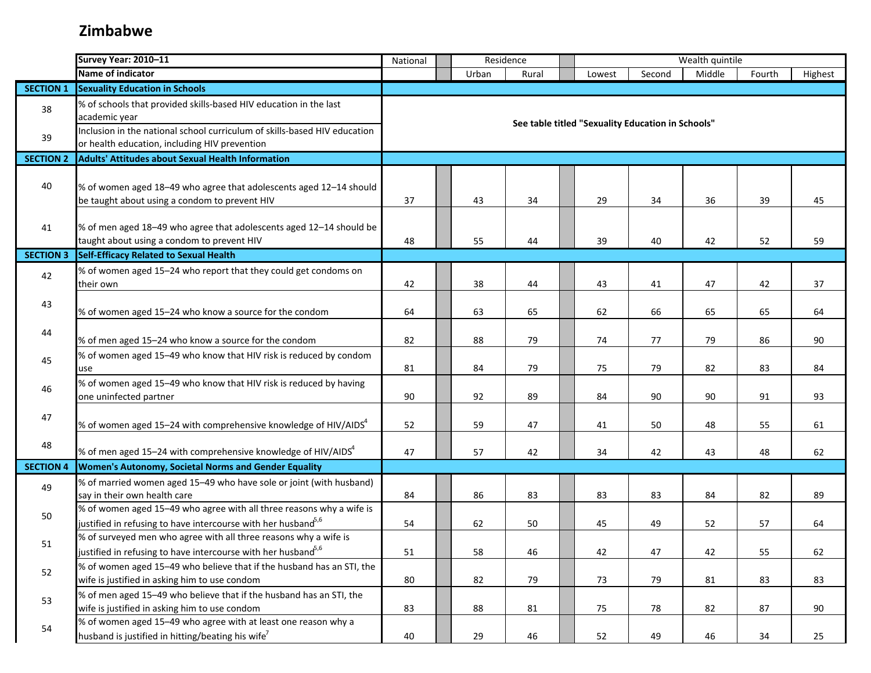|                  | <b>Survey Year: 2010-11</b>                                                                                                                   | National |  | Residence |       |  |                                                   | Wealth quintile |        |        |         |  |
|------------------|-----------------------------------------------------------------------------------------------------------------------------------------------|----------|--|-----------|-------|--|---------------------------------------------------|-----------------|--------|--------|---------|--|
|                  | Name of indicator                                                                                                                             |          |  | Urban     | Rural |  | Lowest                                            | Second          | Middle | Fourth | Highest |  |
| <b>SECTION 1</b> | <b>Sexuality Education in Schools</b>                                                                                                         |          |  |           |       |  |                                                   |                 |        |        |         |  |
| 38               | % of schools that provided skills-based HIV education in the last<br>academic year                                                            |          |  |           |       |  | See table titled "Sexuality Education in Schools" |                 |        |        |         |  |
| 39               | Inclusion in the national school curriculum of skills-based HIV education<br>or health education, including HIV prevention                    |          |  |           |       |  |                                                   |                 |        |        |         |  |
| <b>SECTION 2</b> | <b>Adults' Attitudes about Sexual Health Information</b>                                                                                      |          |  |           |       |  |                                                   |                 |        |        |         |  |
| 40               | % of women aged 18-49 who agree that adolescents aged 12-14 should<br>be taught about using a condom to prevent HIV                           | 37       |  | 43        | 34    |  | 29                                                | 34              | 36     | 39     | 45      |  |
| 41               | % of men aged 18-49 who agree that adolescents aged 12-14 should be<br>taught about using a condom to prevent HIV                             | 48       |  | 55        | 44    |  | 39                                                | 40              | 42     | 52     | 59      |  |
| <b>SECTION 3</b> | <b>Self-Efficacy Related to Sexual Health</b>                                                                                                 |          |  |           |       |  |                                                   |                 |        |        |         |  |
| 42               | % of women aged 15-24 who report that they could get condoms on<br>their own                                                                  | 42       |  | 38        | 44    |  | 43                                                | 41              | 47     | 42     | 37      |  |
| 43               | % of women aged 15-24 who know a source for the condom                                                                                        | 64       |  | 63        | 65    |  | 62                                                | 66              | 65     | 65     | 64      |  |
| 44               | % of men aged 15-24 who know a source for the condom                                                                                          | 82       |  | 88        | 79    |  | 74                                                | 77              | 79     | 86     | 90      |  |
| 45               | % of women aged 15-49 who know that HIV risk is reduced by condom<br>use                                                                      | 81       |  | 84        | 79    |  | 75                                                | 79              | 82     | 83     | 84      |  |
| 46               | % of women aged 15-49 who know that HIV risk is reduced by having<br>one uninfected partner                                                   | 90       |  | 92        | 89    |  | 84                                                | 90              | 90     | 91     | 93      |  |
| 47               | % of women aged 15–24 with comprehensive knowledge of HIV/AIDS $4$                                                                            | 52       |  | 59        | 47    |  | 41                                                | 50              | 48     | 55     | 61      |  |
| 48               | % of men aged 15–24 with comprehensive knowledge of HIV/AIDS $^4$                                                                             | 47       |  | 57        | 42    |  | 34                                                | 42              | 43     | 48     | 62      |  |
| <b>SECTION 4</b> | Women's Autonomy, Societal Norms and Gender Equality                                                                                          |          |  |           |       |  |                                                   |                 |        |        |         |  |
| 49               | % of married women aged 15-49 who have sole or joint (with husband)<br>say in their own health care                                           | 84       |  | 86        | 83    |  | 83                                                | 83              | 84     | 82     | 89      |  |
| 50               | % of women aged 15-49 who agree with all three reasons why a wife is<br>justified in refusing to have intercourse with her husband $5,6$      | 54       |  | 62        | 50    |  | 45                                                | 49              | 52     | 57     | 64      |  |
| 51               | % of surveyed men who agree with all three reasons why a wife is<br>justified in refusing to have intercourse with her husband <sup>5,6</sup> | 51       |  | 58        | 46    |  | 42                                                | 47              | 42     | 55     | 62      |  |
| 52               | % of women aged 15-49 who believe that if the husband has an STI, the<br>wife is justified in asking him to use condom                        | 80       |  | 82        | 79    |  | 73                                                | 79              | 81     | 83     | 83      |  |
| 53               | % of men aged 15-49 who believe that if the husband has an STI, the<br>wife is justified in asking him to use condom                          | 83       |  | 88        | 81    |  | 75                                                | 78              | 82     | 87     | 90      |  |
| 54               | % of women aged 15-49 who agree with at least one reason why a<br>husband is justified in hitting/beating his wife <sup>7</sup>               | 40       |  | 29        | 46    |  | 52                                                | 49              | 46     | 34     | 25      |  |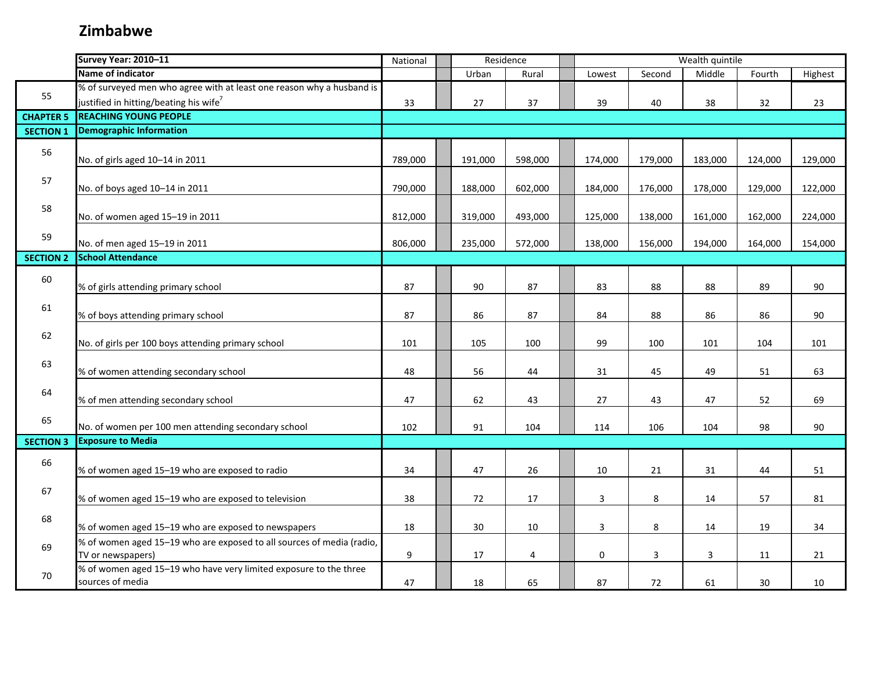|                  | Survey Year: 2010-11                                                  | National         | Residence |         | Wealth quintile         |                |         |         |         |  |
|------------------|-----------------------------------------------------------------------|------------------|-----------|---------|-------------------------|----------------|---------|---------|---------|--|
|                  | Name of indicator                                                     |                  | Urban     | Rural   | Lowest                  | Second         | Middle  | Fourth  | Highest |  |
|                  | % of surveyed men who agree with at least one reason why a husband is |                  |           |         |                         |                |         |         |         |  |
| 55               | justified in hitting/beating his wife <sup>7</sup>                    | 33               | 27        | 37      | 39                      | 40             | 38      | 32      | 23      |  |
| <b>CHAPTER 5</b> | <b>REACHING YOUNG PEOPLE</b>                                          |                  |           |         |                         |                |         |         |         |  |
| <b>SECTION 1</b> | <b>Demographic Information</b>                                        |                  |           |         |                         |                |         |         |         |  |
| 56               |                                                                       |                  |           |         |                         |                |         |         |         |  |
|                  | No. of girls aged 10-14 in 2011                                       | 789,000          | 191,000   | 598,000 | 174,000                 | 179,000        | 183,000 | 124,000 | 129,000 |  |
| 57               |                                                                       |                  |           |         |                         |                |         |         |         |  |
|                  | No. of boys aged 10-14 in 2011                                        | 790,000          | 188,000   | 602,000 | 184,000                 | 176,000        | 178,000 | 129,000 | 122,000 |  |
| 58               |                                                                       |                  |           |         |                         |                |         |         |         |  |
|                  | No. of women aged 15-19 in 2011                                       | 812,000          | 319,000   | 493,000 | 125,000                 | 138,000        | 161,000 | 162,000 | 224,000 |  |
| 59               |                                                                       |                  |           |         |                         |                |         |         |         |  |
|                  | No. of men aged 15-19 in 2011                                         | 806,000          | 235,000   | 572,000 | 138,000                 | 156,000        | 194,000 | 164,000 | 154,000 |  |
| <b>SECTION 2</b> | <b>School Attendance</b>                                              |                  |           |         |                         |                |         |         |         |  |
| 60               |                                                                       |                  |           |         |                         |                |         |         |         |  |
|                  | % of girls attending primary school                                   | 87               | 90        | 87      | 83                      | 88             | 88      | 89      | 90      |  |
| 61               |                                                                       |                  |           |         |                         |                |         |         |         |  |
|                  | % of boys attending primary school                                    | 87               | 86        | 87      | 84                      | 88             | 86      | 86      | 90      |  |
| 62               |                                                                       |                  |           |         |                         |                |         |         |         |  |
|                  | No. of girls per 100 boys attending primary school                    | 101              | 105       | 100     | 99                      | 100            | 101     | 104     | 101     |  |
| 63               |                                                                       |                  |           |         |                         |                |         |         |         |  |
|                  | % of women attending secondary school                                 | 48               | 56        | 44      | 31                      | 45             | 49      | 51      | 63      |  |
| 64               |                                                                       |                  |           |         |                         |                |         |         |         |  |
|                  | % of men attending secondary school                                   | 47               | 62        | 43      | 27                      | 43             | 47      | 52      | 69      |  |
| 65               | No. of women per 100 men attending secondary school                   | 102              | 91        | 104     | 114                     | 106            | 104     | 98      | 90      |  |
| <b>SECTION 3</b> | <b>Exposure to Media</b>                                              |                  |           |         |                         |                |         |         |         |  |
|                  |                                                                       |                  |           |         |                         |                |         |         |         |  |
| 66               | % of women aged 15-19 who are exposed to radio                        | 34               | 47        | 26      | 10                      | 21             | 31      | 44      | 51      |  |
|                  |                                                                       |                  |           |         |                         |                |         |         |         |  |
| 67               | % of women aged 15-19 who are exposed to television                   | 38               | 72        | 17      | $\overline{\mathbf{3}}$ | $\,8\,$        | 14      | 57      | 81      |  |
|                  |                                                                       |                  |           |         |                         |                |         |         |         |  |
| 68               | % of women aged 15-19 who are exposed to newspapers                   | 18               | 30        | 10      | 3                       | $\,8\,$        | 14      | 19      | 34      |  |
|                  | % of women aged 15-19 who are exposed to all sources of media (radio, |                  |           |         |                         |                |         |         |         |  |
| 69               | TV or newspapers)                                                     | $\boldsymbol{9}$ | 17        | 4       | 0                       | $\overline{3}$ | 3       | 11      | 21      |  |
|                  | % of women aged 15-19 who have very limited exposure to the three     |                  |           |         |                         |                |         |         |         |  |
| 70               | sources of media                                                      | 47               | 18        | 65      | 87                      | 72             | 61      | 30      | 10      |  |